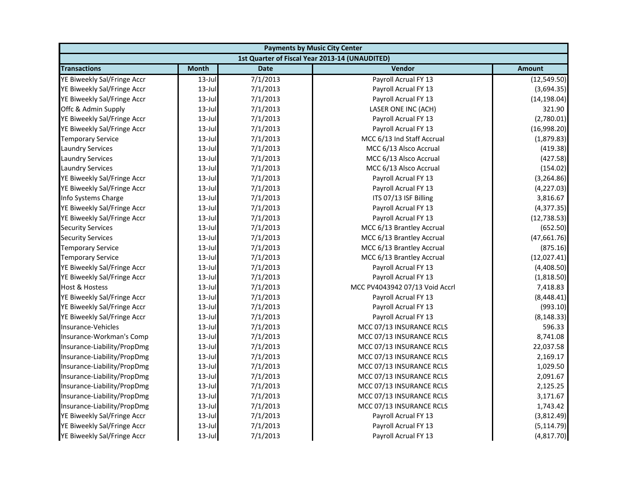| <b>Payments by Music City Center</b> |              |             |                                                |               |
|--------------------------------------|--------------|-------------|------------------------------------------------|---------------|
|                                      |              |             | 1st Quarter of Fiscal Year 2013-14 (UNAUDITED) |               |
| <b>Transactions</b>                  | <b>Month</b> | <b>Date</b> | Vendor                                         | <b>Amount</b> |
| YE Biweekly Sal/Fringe Accr          | $13$ -Jul    | 7/1/2013    | Payroll Acrual FY 13                           | (12, 549.50)  |
| YE Biweekly Sal/Fringe Accr          | $13$ -Jul    | 7/1/2013    | Payroll Acrual FY 13                           | (3,694.35)    |
| YE Biweekly Sal/Fringe Accr          | $13$ -Jul    | 7/1/2013    | Payroll Acrual FY 13                           | (14, 198.04)  |
| Offc & Admin Supply                  | $13$ -Jul    | 7/1/2013    | LASER ONE INC (ACH)                            | 321.90        |
| YE Biweekly Sal/Fringe Accr          | $13$ -Jul    | 7/1/2013    | Payroll Acrual FY 13                           | (2,780.01)    |
| YE Biweekly Sal/Fringe Accr          | $13$ -Jul    | 7/1/2013    | Payroll Acrual FY 13                           | (16,998.20)   |
| <b>Temporary Service</b>             | $13$ -Jul    | 7/1/2013    | MCC 6/13 Ind Staff Accrual                     | (1,879.83)    |
| <b>Laundry Services</b>              | $13$ -Jul    | 7/1/2013    | MCC 6/13 Alsco Accrual                         | (419.38)      |
| <b>Laundry Services</b>              | $13$ -Jul    | 7/1/2013    | MCC 6/13 Alsco Accrual                         | (427.58)      |
| <b>Laundry Services</b>              | $13$ -Jul    | 7/1/2013    | MCC 6/13 Alsco Accrual                         | (154.02)      |
| YE Biweekly Sal/Fringe Accr          | $13$ -Jul    | 7/1/2013    | Payroll Acrual FY 13                           | (3, 264.86)   |
| YE Biweekly Sal/Fringe Accr          | $13$ -Jul    | 7/1/2013    | Payroll Acrual FY 13                           | (4, 227.03)   |
| Info Systems Charge                  | $13$ -Jul    | 7/1/2013    | ITS 07/13 ISF Billing                          | 3,816.67      |
| YE Biweekly Sal/Fringe Accr          | $13$ -Jul    | 7/1/2013    | Payroll Acrual FY 13                           | (4,377.35)    |
| YE Biweekly Sal/Fringe Accr          | $13$ -Jul    | 7/1/2013    | Payroll Acrual FY 13                           | (12, 738.53)  |
| <b>Security Services</b>             | $13$ -Jul    | 7/1/2013    | MCC 6/13 Brantley Accrual                      | (652.50)      |
| <b>Security Services</b>             | $13$ -Jul    | 7/1/2013    | MCC 6/13 Brantley Accrual                      | (47,661.76)   |
| <b>Temporary Service</b>             | $13$ -Jul    | 7/1/2013    | MCC 6/13 Brantley Accrual                      | (875.16)      |
| <b>Temporary Service</b>             | $13$ -Jul    | 7/1/2013    | MCC 6/13 Brantley Accrual                      | (12,027.41)   |
| YE Biweekly Sal/Fringe Accr          | $13$ -Jul    | 7/1/2013    | Payroll Acrual FY 13                           | (4,408.50)    |
| YE Biweekly Sal/Fringe Accr          | $13$ -Jul    | 7/1/2013    | Payroll Acrual FY 13                           | (1,818.50)    |
| <b>Host &amp; Hostess</b>            | $13$ -Jul    | 7/1/2013    | MCC PV4043942 07/13 Void Accrl                 | 7,418.83      |
| YE Biweekly Sal/Fringe Accr          | $13$ -Jul    | 7/1/2013    | Payroll Acrual FY 13                           | (8,448.41)    |
| YE Biweekly Sal/Fringe Accr          | $13$ -Jul    | 7/1/2013    | Payroll Acrual FY 13                           | (993.10)      |
| YE Biweekly Sal/Fringe Accr          | $13$ -Jul    | 7/1/2013    | Payroll Acrual FY 13                           | (8, 148.33)   |
| Insurance-Vehicles                   | $13$ -Jul    | 7/1/2013    | MCC 07/13 INSURANCE RCLS                       | 596.33        |
| Insurance-Workman's Comp             | $13$ -Jul    | 7/1/2013    | MCC 07/13 INSURANCE RCLS                       | 8,741.08      |
| Insurance-Liability/PropDmg          | $13$ -Jul    | 7/1/2013    | MCC 07/13 INSURANCE RCLS                       | 22,037.58     |
| Insurance-Liability/PropDmg          | $13$ -Jul    | 7/1/2013    | MCC 07/13 INSURANCE RCLS                       | 2,169.17      |
| Insurance-Liability/PropDmg          | $13$ -Jul    | 7/1/2013    | MCC 07/13 INSURANCE RCLS                       | 1,029.50      |
| Insurance-Liability/PropDmg          | $13$ -Jul    | 7/1/2013    | MCC 07/13 INSURANCE RCLS                       | 2,091.67      |
| Insurance-Liability/PropDmg          | $13$ -Jul    | 7/1/2013    | MCC 07/13 INSURANCE RCLS                       | 2,125.25      |
| Insurance-Liability/PropDmg          | $13$ -Jul    | 7/1/2013    | MCC 07/13 INSURANCE RCLS                       | 3,171.67      |
| Insurance-Liability/PropDmg          | $13$ -Jul    | 7/1/2013    | MCC 07/13 INSURANCE RCLS                       | 1,743.42      |
| YE Biweekly Sal/Fringe Accr          | $13$ -Jul    | 7/1/2013    | Payroll Acrual FY 13                           | (3,812.49)    |
| YE Biweekly Sal/Fringe Accr          | $13$ -Jul    | 7/1/2013    | Payroll Acrual FY 13                           | (5, 114.79)   |
| YE Biweekly Sal/Fringe Accr          | 13-Jul       | 7/1/2013    | Payroll Acrual FY 13                           | (4,817.70)    |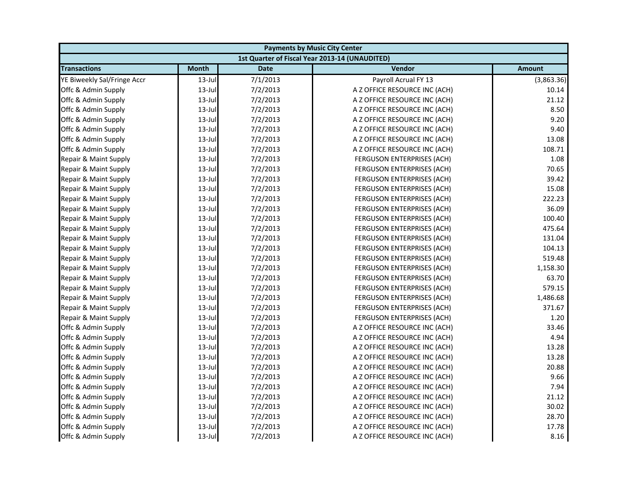| <b>Payments by Music City Center</b> |              |             |                                                |               |
|--------------------------------------|--------------|-------------|------------------------------------------------|---------------|
|                                      |              |             | 1st Quarter of Fiscal Year 2013-14 (UNAUDITED) |               |
| <b>Transactions</b>                  | <b>Month</b> | <b>Date</b> | Vendor                                         | <b>Amount</b> |
| YE Biweekly Sal/Fringe Accr          | $13$ -Jul    | 7/1/2013    | Payroll Acrual FY 13                           | (3,863.36)    |
| Offc & Admin Supply                  | $13$ -Jul    | 7/2/2013    | A Z OFFICE RESOURCE INC (ACH)                  | 10.14         |
| Offc & Admin Supply                  | $13$ -Jul    | 7/2/2013    | A Z OFFICE RESOURCE INC (ACH)                  | 21.12         |
| Offc & Admin Supply                  | 13-Jul       | 7/2/2013    | A Z OFFICE RESOURCE INC (ACH)                  | 8.50          |
| Offc & Admin Supply                  | $13$ -Jul    | 7/2/2013    | A Z OFFICE RESOURCE INC (ACH)                  | 9.20          |
| Offc & Admin Supply                  | $13$ -Jul    | 7/2/2013    | A Z OFFICE RESOURCE INC (ACH)                  | 9.40          |
| Offc & Admin Supply                  | $13$ -Jul    | 7/2/2013    | A Z OFFICE RESOURCE INC (ACH)                  | 13.08         |
| Offc & Admin Supply                  | $13$ -Jul    | 7/2/2013    | A Z OFFICE RESOURCE INC (ACH)                  | 108.71        |
| Repair & Maint Supply                | $13$ -Jul    | 7/2/2013    | FERGUSON ENTERPRISES (ACH)                     | 1.08          |
| Repair & Maint Supply                | $13$ -Jul    | 7/2/2013    | FERGUSON ENTERPRISES (ACH)                     | 70.65         |
| Repair & Maint Supply                | $13$ -Jul    | 7/2/2013    | FERGUSON ENTERPRISES (ACH)                     | 39.42         |
| Repair & Maint Supply                | $13$ -Jul    | 7/2/2013    | FERGUSON ENTERPRISES (ACH)                     | 15.08         |
| Repair & Maint Supply                | $13$ -Jul    | 7/2/2013    | FERGUSON ENTERPRISES (ACH)                     | 222.23        |
| Repair & Maint Supply                | $13$ -Jul    | 7/2/2013    | FERGUSON ENTERPRISES (ACH)                     | 36.09         |
| Repair & Maint Supply                | $13$ -Jul    | 7/2/2013    | FERGUSON ENTERPRISES (ACH)                     | 100.40        |
| Repair & Maint Supply                | $13$ -Jul    | 7/2/2013    | FERGUSON ENTERPRISES (ACH)                     | 475.64        |
| Repair & Maint Supply                | 13-Jul       | 7/2/2013    | FERGUSON ENTERPRISES (ACH)                     | 131.04        |
| Repair & Maint Supply                | $13$ -Jul    | 7/2/2013    | FERGUSON ENTERPRISES (ACH)                     | 104.13        |
| Repair & Maint Supply                | $13$ -Jul    | 7/2/2013    | FERGUSON ENTERPRISES (ACH)                     | 519.48        |
| Repair & Maint Supply                | $13$ -Jul    | 7/2/2013    | FERGUSON ENTERPRISES (ACH)                     | 1,158.30      |
| Repair & Maint Supply                | $13$ -Jul    | 7/2/2013    | FERGUSON ENTERPRISES (ACH)                     | 63.70         |
| Repair & Maint Supply                | $13$ -Jul    | 7/2/2013    | FERGUSON ENTERPRISES (ACH)                     | 579.15        |
| Repair & Maint Supply                | $13$ -Jul    | 7/2/2013    | FERGUSON ENTERPRISES (ACH)                     | 1,486.68      |
| Repair & Maint Supply                | $13$ -Jul    | 7/2/2013    | FERGUSON ENTERPRISES (ACH)                     | 371.67        |
| Repair & Maint Supply                | $13$ -Jul    | 7/2/2013    | FERGUSON ENTERPRISES (ACH)                     | 1.20          |
| Offc & Admin Supply                  | $13$ -Jul    | 7/2/2013    | A Z OFFICE RESOURCE INC (ACH)                  | 33.46         |
| Offc & Admin Supply                  | $13$ -Jul    | 7/2/2013    | A Z OFFICE RESOURCE INC (ACH)                  | 4.94          |
| Offc & Admin Supply                  | $13$ -Jul    | 7/2/2013    | A Z OFFICE RESOURCE INC (ACH)                  | 13.28         |
| Offc & Admin Supply                  | $13$ -Jul    | 7/2/2013    | A Z OFFICE RESOURCE INC (ACH)                  | 13.28         |
| Offc & Admin Supply                  | $13$ -Jul    | 7/2/2013    | A Z OFFICE RESOURCE INC (ACH)                  | 20.88         |
| Offc & Admin Supply                  | $13$ -Jul    | 7/2/2013    | A Z OFFICE RESOURCE INC (ACH)                  | 9.66          |
| Offc & Admin Supply                  | $13$ -Jul    | 7/2/2013    | A Z OFFICE RESOURCE INC (ACH)                  | 7.94          |
| Offc & Admin Supply                  | $13$ -Jul    | 7/2/2013    | A Z OFFICE RESOURCE INC (ACH)                  | 21.12         |
| Offc & Admin Supply                  | $13$ -Jul    | 7/2/2013    | A Z OFFICE RESOURCE INC (ACH)                  | 30.02         |
| Offc & Admin Supply                  | $13$ -Jul    | 7/2/2013    | A Z OFFICE RESOURCE INC (ACH)                  | 28.70         |
| Offc & Admin Supply                  | 13-Jul       | 7/2/2013    | A Z OFFICE RESOURCE INC (ACH)                  | 17.78         |
| Offc & Admin Supply                  | $13$ -Jul    | 7/2/2013    | A Z OFFICE RESOURCE INC (ACH)                  | 8.16          |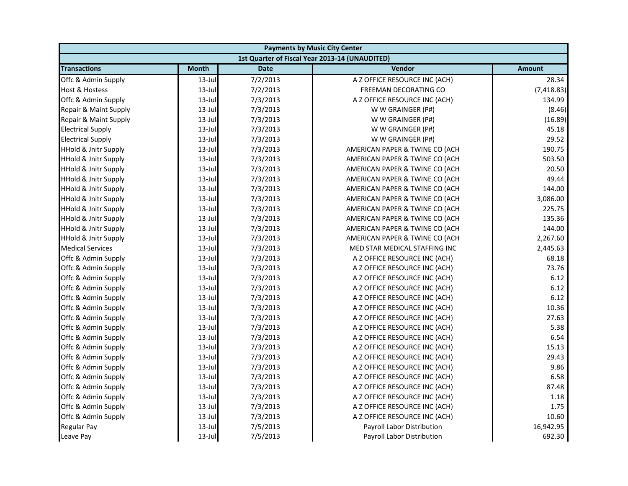| <b>Payments by Music City Center</b> |              |             |                                                |               |
|--------------------------------------|--------------|-------------|------------------------------------------------|---------------|
|                                      |              |             | 1st Quarter of Fiscal Year 2013-14 (UNAUDITED) |               |
| <b>Transactions</b>                  | <b>Month</b> | <b>Date</b> | Vendor                                         | <b>Amount</b> |
| Offc & Admin Supply                  | $13$ -Jul    | 7/2/2013    | A Z OFFICE RESOURCE INC (ACH)                  | 28.34         |
| Host & Hostess                       | 13-Jul       | 7/2/2013    | FREEMAN DECORATING CO                          | (7, 418.83)   |
| Offc & Admin Supply                  | 13-Jul       | 7/3/2013    | A Z OFFICE RESOURCE INC (ACH)                  | 134.99        |
| Repair & Maint Supply                | $13$ -Jul    | 7/3/2013    | W W GRAINGER (P#)                              | (8.46)        |
| Repair & Maint Supply                | $13 -$ Jul   | 7/3/2013    | W W GRAINGER (P#)                              | (16.89)       |
| <b>Electrical Supply</b>             | $13$ -Jul    | 7/3/2013    | W W GRAINGER (P#)                              | 45.18         |
| <b>Electrical Supply</b>             | $13$ -Jul    | 7/3/2013    | W W GRAINGER (P#)                              | 29.52         |
| <b>HHold &amp; Jnitr Supply</b>      | $13$ -Jul    | 7/3/2013    | AMERICAN PAPER & TWINE CO (ACH                 | 190.75        |
| <b>HHold &amp; Jnitr Supply</b>      | 13-Jul       | 7/3/2013    | AMERICAN PAPER & TWINE CO (ACH                 | 503.50        |
| <b>HHold &amp; Jnitr Supply</b>      | $13$ -Jul    | 7/3/2013    | AMERICAN PAPER & TWINE CO (ACH                 | 20.50         |
| <b>HHold &amp; Jnitr Supply</b>      | $13$ -Jul    | 7/3/2013    | AMERICAN PAPER & TWINE CO (ACH                 | 49.44         |
| <b>HHold &amp; Jnitr Supply</b>      | $13$ -Jul    | 7/3/2013    | AMERICAN PAPER & TWINE CO (ACH                 | 144.00        |
| <b>HHold &amp; Jnitr Supply</b>      | $13$ -Jul    | 7/3/2013    | AMERICAN PAPER & TWINE CO (ACH                 | 3,086.00      |
| <b>HHold &amp; Jnitr Supply</b>      | $13$ -Jul    | 7/3/2013    | AMERICAN PAPER & TWINE CO (ACH                 | 225.75        |
| <b>HHold &amp; Jnitr Supply</b>      | $13$ -Jul    | 7/3/2013    | AMERICAN PAPER & TWINE CO (ACH                 | 135.36        |
| <b>HHold &amp; Jnitr Supply</b>      | 13-Jul       | 7/3/2013    | AMERICAN PAPER & TWINE CO (ACH                 | 144.00        |
| HHold & Jnitr Supply                 | $13$ -Jul    | 7/3/2013    | AMERICAN PAPER & TWINE CO (ACH                 | 2,267.60      |
| <b>Medical Services</b>              | 13-Jul       | 7/3/2013    | MED STAR MEDICAL STAFFING INC                  | 2,445.63      |
| Offc & Admin Supply                  | $13$ -Jul    | 7/3/2013    | A Z OFFICE RESOURCE INC (ACH)                  | 68.18         |
| Offc & Admin Supply                  | $13$ -Jul    | 7/3/2013    | A Z OFFICE RESOURCE INC (ACH)                  | 73.76         |
| Offc & Admin Supply                  | 13-Jul       | 7/3/2013    | A Z OFFICE RESOURCE INC (ACH)                  | 6.12          |
| Offc & Admin Supply                  | $13$ -Jul    | 7/3/2013    | A Z OFFICE RESOURCE INC (ACH)                  | 6.12          |
| Offc & Admin Supply                  | $13$ -Jul    | 7/3/2013    | A Z OFFICE RESOURCE INC (ACH)                  | 6.12          |
| Offc & Admin Supply                  | $13$ -Jul    | 7/3/2013    | A Z OFFICE RESOURCE INC (ACH)                  | 10.36         |
| Offc & Admin Supply                  | 13-Jul       | 7/3/2013    | A Z OFFICE RESOURCE INC (ACH)                  | 27.63         |
| Offc & Admin Supply                  | $13$ -Jul    | 7/3/2013    | A Z OFFICE RESOURCE INC (ACH)                  | 5.38          |
| Offc & Admin Supply                  | $13 -$ Jul   | 7/3/2013    | A Z OFFICE RESOURCE INC (ACH)                  | 6.54          |
| Offc & Admin Supply                  | $13$ -Jul    | 7/3/2013    | A Z OFFICE RESOURCE INC (ACH)                  | 15.13         |
| Offc & Admin Supply                  | 13-Jul       | 7/3/2013    | A Z OFFICE RESOURCE INC (ACH)                  | 29.43         |
| Offc & Admin Supply                  | 13-Jul       | 7/3/2013    | A Z OFFICE RESOURCE INC (ACH)                  | 9.86          |
| Offc & Admin Supply                  | $13$ -Jul    | 7/3/2013    | A Z OFFICE RESOURCE INC (ACH)                  | 6.58          |
| Offc & Admin Supply                  | $13$ -Jul    | 7/3/2013    | A Z OFFICE RESOURCE INC (ACH)                  | 87.48         |
| Offc & Admin Supply                  | $13$ -Jul    | 7/3/2013    | A Z OFFICE RESOURCE INC (ACH)                  | 1.18          |
| Offc & Admin Supply                  | 13-Jul       | 7/3/2013    | A Z OFFICE RESOURCE INC (ACH)                  | 1.75          |
| Offc & Admin Supply                  | $13$ -Jul    | 7/3/2013    | A Z OFFICE RESOURCE INC (ACH)                  | 10.60         |
| <b>Regular Pay</b>                   | $13$ -Jul    | 7/5/2013    | Payroll Labor Distribution                     | 16,942.95     |
| Leave Pay                            | $13$ -Jul    | 7/5/2013    | Payroll Labor Distribution                     | 692.30        |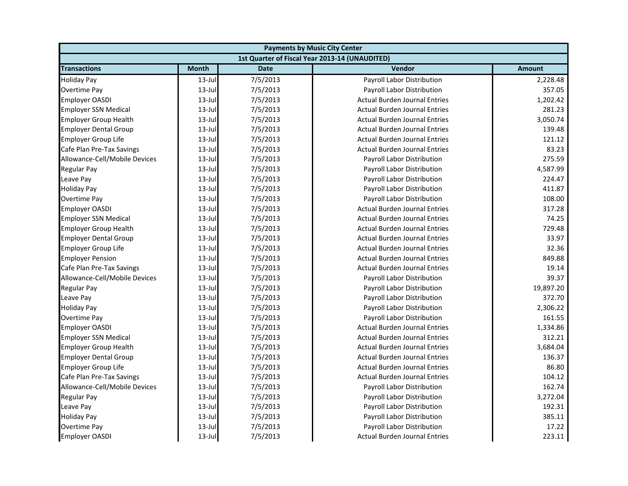| <b>Payments by Music City Center</b> |              |             |                                                |               |
|--------------------------------------|--------------|-------------|------------------------------------------------|---------------|
|                                      |              |             | 1st Quarter of Fiscal Year 2013-14 (UNAUDITED) |               |
| <b>Transactions</b>                  | <b>Month</b> | <b>Date</b> | Vendor                                         | <b>Amount</b> |
| <b>Holiday Pay</b>                   | $13$ -Jul    | 7/5/2013    | Payroll Labor Distribution                     | 2,228.48      |
| Overtime Pay                         | $13$ -Jul    | 7/5/2013    | Payroll Labor Distribution                     | 357.05        |
| <b>Employer OASDI</b>                | $13$ -Jul    | 7/5/2013    | <b>Actual Burden Journal Entries</b>           | 1,202.42      |
| <b>Employer SSN Medical</b>          | $13$ -Jul    | 7/5/2013    | <b>Actual Burden Journal Entries</b>           | 281.23        |
| <b>Employer Group Health</b>         | $13$ -Jul    | 7/5/2013    | <b>Actual Burden Journal Entries</b>           | 3,050.74      |
| <b>Employer Dental Group</b>         | $13$ -Jul    | 7/5/2013    | <b>Actual Burden Journal Entries</b>           | 139.48        |
| <b>Employer Group Life</b>           | $13$ -Jul    | 7/5/2013    | <b>Actual Burden Journal Entries</b>           | 121.12        |
| Cafe Plan Pre-Tax Savings            | $13$ -Jul    | 7/5/2013    | <b>Actual Burden Journal Entries</b>           | 83.23         |
| Allowance-Cell/Mobile Devices        | $13$ -Jul    | 7/5/2013    | Payroll Labor Distribution                     | 275.59        |
| <b>Regular Pay</b>                   | $13$ -Jul    | 7/5/2013    | Payroll Labor Distribution                     | 4,587.99      |
| Leave Pay                            | $13$ -Jul    | 7/5/2013    | Payroll Labor Distribution                     | 224.47        |
| <b>Holiday Pay</b>                   | $13$ -Jul    | 7/5/2013    | Payroll Labor Distribution                     | 411.87        |
| <b>Overtime Pay</b>                  | $13$ -Jul    | 7/5/2013    | Payroll Labor Distribution                     | 108.00        |
| <b>Employer OASDI</b>                | $13$ -Jul    | 7/5/2013    | Actual Burden Journal Entries                  | 317.28        |
| <b>Employer SSN Medical</b>          | $13$ -Jul    | 7/5/2013    | <b>Actual Burden Journal Entries</b>           | 74.25         |
| <b>Employer Group Health</b>         | $13$ -Jul    | 7/5/2013    | <b>Actual Burden Journal Entries</b>           | 729.48        |
| <b>Employer Dental Group</b>         | $13$ -Jul    | 7/5/2013    | <b>Actual Burden Journal Entries</b>           | 33.97         |
| <b>Employer Group Life</b>           | $13$ -Jul    | 7/5/2013    | <b>Actual Burden Journal Entries</b>           | 32.36         |
| <b>Employer Pension</b>              | $13 -$ Jul   | 7/5/2013    | <b>Actual Burden Journal Entries</b>           | 849.88        |
| Cafe Plan Pre-Tax Savings            | $13$ -Jul    | 7/5/2013    | <b>Actual Burden Journal Entries</b>           | 19.14         |
| Allowance-Cell/Mobile Devices        | $13$ -Jul    | 7/5/2013    | Payroll Labor Distribution                     | 39.37         |
| <b>Regular Pay</b>                   | $13$ -Jul    | 7/5/2013    | Payroll Labor Distribution                     | 19,897.20     |
| Leave Pay                            | $13$ -Jul    | 7/5/2013    | Payroll Labor Distribution                     | 372.70        |
| <b>Holiday Pay</b>                   | $13$ -Jul    | 7/5/2013    | Payroll Labor Distribution                     | 2,306.22      |
| <b>Overtime Pay</b>                  | $13$ -Jul    | 7/5/2013    | Payroll Labor Distribution                     | 161.55        |
| <b>Employer OASDI</b>                | $13-Jul$     | 7/5/2013    | <b>Actual Burden Journal Entries</b>           | 1,334.86      |
| <b>Employer SSN Medical</b>          | $13$ -Jul    | 7/5/2013    | <b>Actual Burden Journal Entries</b>           | 312.21        |
| <b>Employer Group Health</b>         | $13$ -Jul    | 7/5/2013    | <b>Actual Burden Journal Entries</b>           | 3,684.04      |
| <b>Employer Dental Group</b>         | 13-Jul       | 7/5/2013    | <b>Actual Burden Journal Entries</b>           | 136.37        |
| <b>Employer Group Life</b>           | $13$ -Jul    | 7/5/2013    | <b>Actual Burden Journal Entries</b>           | 86.80         |
| Cafe Plan Pre-Tax Savings            | $13$ -Jul    | 7/5/2013    | <b>Actual Burden Journal Entries</b>           | 104.12        |
| Allowance-Cell/Mobile Devices        | $13$ -Jul    | 7/5/2013    | Payroll Labor Distribution                     | 162.74        |
| <b>Regular Pay</b>                   | $13$ -Jul    | 7/5/2013    | Payroll Labor Distribution                     | 3,272.04      |
| Leave Pay                            | $13$ -Jul    | 7/5/2013    | Payroll Labor Distribution                     | 192.31        |
| <b>Holiday Pay</b>                   | $13$ -Jul    | 7/5/2013    | Payroll Labor Distribution                     | 385.11        |
| Overtime Pay                         | $13$ -Jul    | 7/5/2013    | Payroll Labor Distribution                     | 17.22         |
| <b>Employer OASDI</b>                | 13-Jul       | 7/5/2013    | <b>Actual Burden Journal Entries</b>           | 223.11        |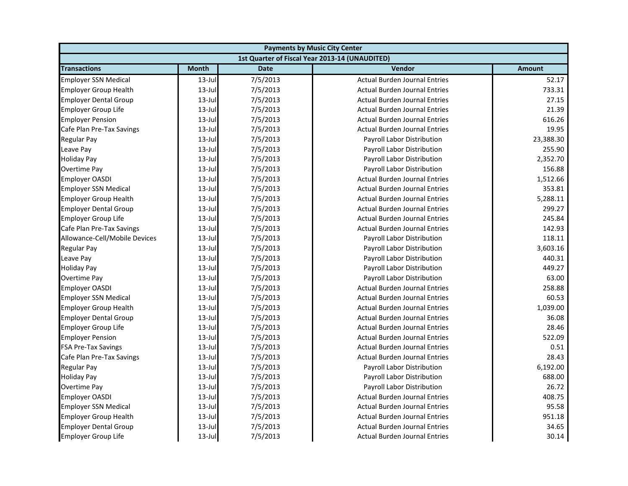| <b>Payments by Music City Center</b> |              |             |                                                |               |
|--------------------------------------|--------------|-------------|------------------------------------------------|---------------|
|                                      |              |             | 1st Quarter of Fiscal Year 2013-14 (UNAUDITED) |               |
| <b>Transactions</b>                  | <b>Month</b> | <b>Date</b> | Vendor                                         | <b>Amount</b> |
| <b>Employer SSN Medical</b>          | $13$ -Jul    | 7/5/2013    | <b>Actual Burden Journal Entries</b>           | 52.17         |
| <b>Employer Group Health</b>         | $13$ -Jul    | 7/5/2013    | <b>Actual Burden Journal Entries</b>           | 733.31        |
| <b>Employer Dental Group</b>         | $13$ -Jul    | 7/5/2013    | <b>Actual Burden Journal Entries</b>           | 27.15         |
| <b>Employer Group Life</b>           | $13$ -Jul    | 7/5/2013    | <b>Actual Burden Journal Entries</b>           | 21.39         |
| <b>Employer Pension</b>              | $13$ -Jul    | 7/5/2013    | <b>Actual Burden Journal Entries</b>           | 616.26        |
| Cafe Plan Pre-Tax Savings            | $13$ -Jul    | 7/5/2013    | <b>Actual Burden Journal Entries</b>           | 19.95         |
| <b>Regular Pay</b>                   | $13$ -Jul    | 7/5/2013    | Payroll Labor Distribution                     | 23,388.30     |
| Leave Pay                            | $13$ -Jul    | 7/5/2013    | Payroll Labor Distribution                     | 255.90        |
| <b>Holiday Pay</b>                   | $13$ -Jul    | 7/5/2013    | Payroll Labor Distribution                     | 2,352.70      |
| Overtime Pay                         | $13$ -Jul    | 7/5/2013    | Payroll Labor Distribution                     | 156.88        |
| <b>Employer OASDI</b>                | $13$ -Jul    | 7/5/2013    | <b>Actual Burden Journal Entries</b>           | 1,512.66      |
| <b>Employer SSN Medical</b>          | $13$ -Jul    | 7/5/2013    | <b>Actual Burden Journal Entries</b>           | 353.81        |
| <b>Employer Group Health</b>         | $13$ -Jul    | 7/5/2013    | <b>Actual Burden Journal Entries</b>           | 5,288.11      |
| <b>Employer Dental Group</b>         | $13$ -Jul    | 7/5/2013    | <b>Actual Burden Journal Entries</b>           | 299.27        |
| <b>Employer Group Life</b>           | $13$ -Jul    | 7/5/2013    | <b>Actual Burden Journal Entries</b>           | 245.84        |
| Cafe Plan Pre-Tax Savings            | $13$ -Jul    | 7/5/2013    | <b>Actual Burden Journal Entries</b>           | 142.93        |
| Allowance-Cell/Mobile Devices        | $13$ -Jul    | 7/5/2013    | Payroll Labor Distribution                     | 118.11        |
| <b>Regular Pay</b>                   | $13$ -Jul    | 7/5/2013    | Payroll Labor Distribution                     | 3,603.16      |
| Leave Pay                            | $13 -$ Jul   | 7/5/2013    | Payroll Labor Distribution                     | 440.31        |
| <b>Holiday Pay</b>                   | $13$ -Jul    | 7/5/2013    | Payroll Labor Distribution                     | 449.27        |
| Overtime Pay                         | $13$ -Jul    | 7/5/2013    | Payroll Labor Distribution                     | 63.00         |
| <b>Employer OASDI</b>                | $13$ -Jul    | 7/5/2013    | <b>Actual Burden Journal Entries</b>           | 258.88        |
| <b>Employer SSN Medical</b>          | $13$ -Jul    | 7/5/2013    | <b>Actual Burden Journal Entries</b>           | 60.53         |
| <b>Employer Group Health</b>         | $13$ -Jul    | 7/5/2013    | <b>Actual Burden Journal Entries</b>           | 1,039.00      |
| <b>Employer Dental Group</b>         | $13$ -Jul    | 7/5/2013    | <b>Actual Burden Journal Entries</b>           | 36.08         |
| <b>Employer Group Life</b>           | $13-Jul$     | 7/5/2013    | <b>Actual Burden Journal Entries</b>           | 28.46         |
| <b>Employer Pension</b>              | $13$ -Jul    | 7/5/2013    | <b>Actual Burden Journal Entries</b>           | 522.09        |
| <b>FSA Pre-Tax Savings</b>           | $13$ -Jul    | 7/5/2013    | <b>Actual Burden Journal Entries</b>           | 0.51          |
| Cafe Plan Pre-Tax Savings            | 13-Jul       | 7/5/2013    | <b>Actual Burden Journal Entries</b>           | 28.43         |
| <b>Regular Pay</b>                   | $13$ -Jul    | 7/5/2013    | Payroll Labor Distribution                     | 6,192.00      |
| <b>Holiday Pay</b>                   | $13$ -Jul    | 7/5/2013    | Payroll Labor Distribution                     | 688.00        |
| <b>Overtime Pay</b>                  | $13$ -Jul    | 7/5/2013    | Payroll Labor Distribution                     | 26.72         |
| <b>Employer OASDI</b>                | $13$ -Jul    | 7/5/2013    | <b>Actual Burden Journal Entries</b>           | 408.75        |
| <b>Employer SSN Medical</b>          | $13$ -Jul    | 7/5/2013    | <b>Actual Burden Journal Entries</b>           | 95.58         |
| <b>Employer Group Health</b>         | $13$ -Jul    | 7/5/2013    | <b>Actual Burden Journal Entries</b>           | 951.18        |
| <b>Employer Dental Group</b>         | $13$ -Jul    | 7/5/2013    | <b>Actual Burden Journal Entries</b>           | 34.65         |
| <b>Employer Group Life</b>           | 13-Jul       | 7/5/2013    | <b>Actual Burden Journal Entries</b>           | 30.14         |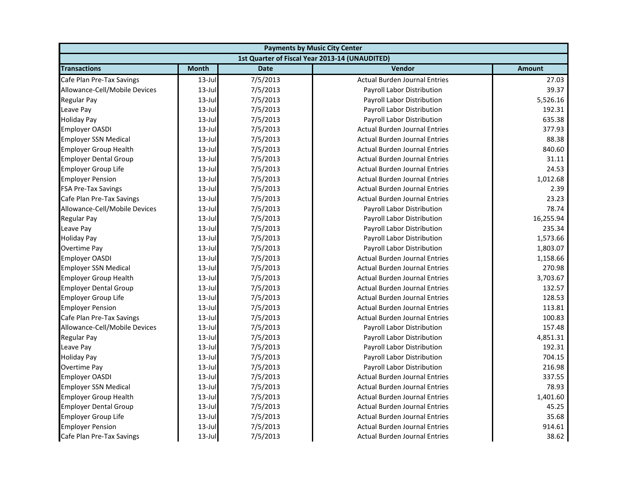| <b>Payments by Music City Center</b> |              |             |                                                |               |
|--------------------------------------|--------------|-------------|------------------------------------------------|---------------|
|                                      |              |             | 1st Quarter of Fiscal Year 2013-14 (UNAUDITED) |               |
| <b>Transactions</b>                  | <b>Month</b> | <b>Date</b> | Vendor                                         | <b>Amount</b> |
| Cafe Plan Pre-Tax Savings            | $13$ -Jul    | 7/5/2013    | <b>Actual Burden Journal Entries</b>           | 27.03         |
| Allowance-Cell/Mobile Devices        | $13$ -Jul    | 7/5/2013    | Payroll Labor Distribution                     | 39.37         |
| <b>Regular Pay</b>                   | $13$ -Jul    | 7/5/2013    | Payroll Labor Distribution                     | 5,526.16      |
| Leave Pay                            | $13$ -Jul    | 7/5/2013    | Payroll Labor Distribution                     | 192.31        |
| <b>Holiday Pay</b>                   | $13$ -Jul    | 7/5/2013    | Payroll Labor Distribution                     | 635.38        |
| <b>Employer OASDI</b>                | $13$ -Jul    | 7/5/2013    | <b>Actual Burden Journal Entries</b>           | 377.93        |
| <b>Employer SSN Medical</b>          | $13$ -Jul    | 7/5/2013    | <b>Actual Burden Journal Entries</b>           | 88.38         |
| <b>Employer Group Health</b>         | $13$ -Jul    | 7/5/2013    | <b>Actual Burden Journal Entries</b>           | 840.60        |
| <b>Employer Dental Group</b>         | $13$ -Jul    | 7/5/2013    | <b>Actual Burden Journal Entries</b>           | 31.11         |
| <b>Employer Group Life</b>           | $13$ -Jul    | 7/5/2013    | <b>Actual Burden Journal Entries</b>           | 24.53         |
| <b>Employer Pension</b>              | $13$ -Jul    | 7/5/2013    | <b>Actual Burden Journal Entries</b>           | 1,012.68      |
| <b>FSA Pre-Tax Savings</b>           | $13$ -Jul    | 7/5/2013    | <b>Actual Burden Journal Entries</b>           | 2.39          |
| Cafe Plan Pre-Tax Savings            | $13$ -Jul    | 7/5/2013    | <b>Actual Burden Journal Entries</b>           | 23.23         |
| Allowance-Cell/Mobile Devices        | $13$ -Jul    | 7/5/2013    | Payroll Labor Distribution                     | 78.74         |
| <b>Regular Pay</b>                   | $13$ -Jul    | 7/5/2013    | Payroll Labor Distribution                     | 16,255.94     |
| Leave Pay                            | $13$ -Jul    | 7/5/2013    | Payroll Labor Distribution                     | 235.34        |
| <b>Holiday Pay</b>                   | $13$ -Jul    | 7/5/2013    | Payroll Labor Distribution                     | 1,573.66      |
| Overtime Pay                         | $13$ -Jul    | 7/5/2013    | Payroll Labor Distribution                     | 1,803.07      |
| <b>Employer OASDI</b>                | $13 -$ Jul   | 7/5/2013    | <b>Actual Burden Journal Entries</b>           | 1,158.66      |
| <b>Employer SSN Medical</b>          | $13$ -Jul    | 7/5/2013    | <b>Actual Burden Journal Entries</b>           | 270.98        |
| <b>Employer Group Health</b>         | $13$ -Jul    | 7/5/2013    | <b>Actual Burden Journal Entries</b>           | 3,703.67      |
| <b>Employer Dental Group</b>         | $13$ -Jul    | 7/5/2013    | <b>Actual Burden Journal Entries</b>           | 132.57        |
| <b>Employer Group Life</b>           | $13$ -Jul    | 7/5/2013    | <b>Actual Burden Journal Entries</b>           | 128.53        |
| <b>Employer Pension</b>              | $13$ -Jul    | 7/5/2013    | <b>Actual Burden Journal Entries</b>           | 113.81        |
| Cafe Plan Pre-Tax Savings            | $13$ -Jul    | 7/5/2013    | <b>Actual Burden Journal Entries</b>           | 100.83        |
| Allowance-Cell/Mobile Devices        | $13 -$ Jul   | 7/5/2013    | Payroll Labor Distribution                     | 157.48        |
| <b>Regular Pay</b>                   | $13$ -Jul    | 7/5/2013    | Payroll Labor Distribution                     | 4,851.31      |
| Leave Pay                            | $13$ -Jul    | 7/5/2013    | Payroll Labor Distribution                     | 192.31        |
| <b>Holiday Pay</b>                   | 13-Jul       | 7/5/2013    | Payroll Labor Distribution                     | 704.15        |
| Overtime Pay                         | $13$ -Jul    | 7/5/2013    | Payroll Labor Distribution                     | 216.98        |
| <b>Employer OASDI</b>                | $13$ -Jul    | 7/5/2013    | <b>Actual Burden Journal Entries</b>           | 337.55        |
| <b>Employer SSN Medical</b>          | $13$ -Jul    | 7/5/2013    | <b>Actual Burden Journal Entries</b>           | 78.93         |
| <b>Employer Group Health</b>         | $13$ -Jul    | 7/5/2013    | <b>Actual Burden Journal Entries</b>           | 1,401.60      |
| <b>Employer Dental Group</b>         | $13$ -Jul    | 7/5/2013    | <b>Actual Burden Journal Entries</b>           | 45.25         |
| <b>Employer Group Life</b>           | $13$ -Jul    | 7/5/2013    | <b>Actual Burden Journal Entries</b>           | 35.68         |
| <b>Employer Pension</b>              | $13$ -Jul    | 7/5/2013    | <b>Actual Burden Journal Entries</b>           | 914.61        |
| Cafe Plan Pre-Tax Savings            | 13-Jul       | 7/5/2013    | <b>Actual Burden Journal Entries</b>           | 38.62         |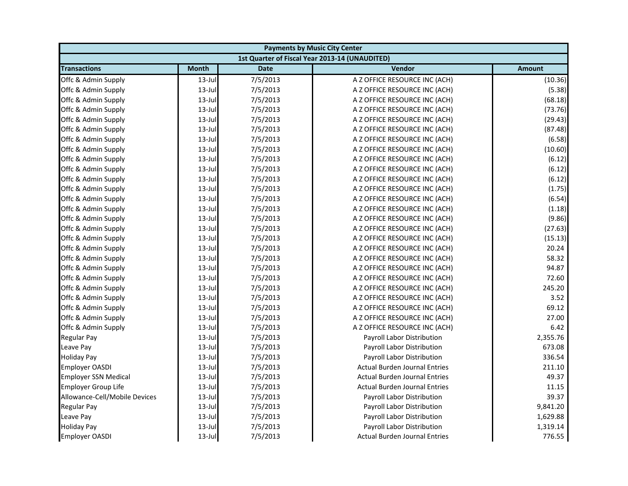| <b>Payments by Music City Center</b> |              |             |                                                |               |
|--------------------------------------|--------------|-------------|------------------------------------------------|---------------|
|                                      |              |             | 1st Quarter of Fiscal Year 2013-14 (UNAUDITED) |               |
| <b>Transactions</b>                  | <b>Month</b> | <b>Date</b> | Vendor                                         | <b>Amount</b> |
| Offc & Admin Supply                  | $13$ -Jul    | 7/5/2013    | A Z OFFICE RESOURCE INC (ACH)                  | (10.36)       |
| Offc & Admin Supply                  | $13$ -Jul    | 7/5/2013    | A Z OFFICE RESOURCE INC (ACH)                  | (5.38)        |
| Offc & Admin Supply                  | 13-Jul       | 7/5/2013    | A Z OFFICE RESOURCE INC (ACH)                  | (68.18)       |
| Offc & Admin Supply                  | 13-Jul       | 7/5/2013    | A Z OFFICE RESOURCE INC (ACH)                  | (73.76)       |
| Offc & Admin Supply                  | $13$ -Jul    | 7/5/2013    | A Z OFFICE RESOURCE INC (ACH)                  | (29.43)       |
| Offc & Admin Supply                  | $13$ -Jul    | 7/5/2013    | A Z OFFICE RESOURCE INC (ACH)                  | (87.48)       |
| Offc & Admin Supply                  | $13$ -Jul    | 7/5/2013    | A Z OFFICE RESOURCE INC (ACH)                  | (6.58)        |
| Offc & Admin Supply                  | $13$ -Jul    | 7/5/2013    | A Z OFFICE RESOURCE INC (ACH)                  | (10.60)       |
| Offc & Admin Supply                  | $13$ -Jul    | 7/5/2013    | A Z OFFICE RESOURCE INC (ACH)                  | (6.12)        |
| Offc & Admin Supply                  | $13$ -Jul    | 7/5/2013    | A Z OFFICE RESOURCE INC (ACH)                  | (6.12)        |
| Offc & Admin Supply                  | $13$ -Jul    | 7/5/2013    | A Z OFFICE RESOURCE INC (ACH)                  | (6.12)        |
| Offc & Admin Supply                  | $13$ -Jul    | 7/5/2013    | A Z OFFICE RESOURCE INC (ACH)                  | (1.75)        |
| Offc & Admin Supply                  | $13$ -Jul    | 7/5/2013    | A Z OFFICE RESOURCE INC (ACH)                  | (6.54)        |
| Offc & Admin Supply                  | $13$ -Jul    | 7/5/2013    | A Z OFFICE RESOURCE INC (ACH)                  | (1.18)        |
| Offc & Admin Supply                  | $13$ -Jul    | 7/5/2013    | A Z OFFICE RESOURCE INC (ACH)                  | (9.86)        |
| Offc & Admin Supply                  | 13-Jul       | 7/5/2013    | A Z OFFICE RESOURCE INC (ACH)                  | (27.63)       |
| Offc & Admin Supply                  | 13-Jul       | 7/5/2013    | A Z OFFICE RESOURCE INC (ACH)                  | (15.13)       |
| Offc & Admin Supply                  | $13$ -Jul    | 7/5/2013    | A Z OFFICE RESOURCE INC (ACH)                  | 20.24         |
| Offc & Admin Supply                  | 13-Jul       | 7/5/2013    | A Z OFFICE RESOURCE INC (ACH)                  | 58.32         |
| Offc & Admin Supply                  | $13$ -Jul    | 7/5/2013    | A Z OFFICE RESOURCE INC (ACH)                  | 94.87         |
| Offc & Admin Supply                  | $13$ -Jul    | 7/5/2013    | A Z OFFICE RESOURCE INC (ACH)                  | 72.60         |
| Offc & Admin Supply                  | $13$ -Jul    | 7/5/2013    | A Z OFFICE RESOURCE INC (ACH)                  | 245.20        |
| Offc & Admin Supply                  | 13-Jul       | 7/5/2013    | A Z OFFICE RESOURCE INC (ACH)                  | 3.52          |
| Offc & Admin Supply                  | 13-Jul       | 7/5/2013    | A Z OFFICE RESOURCE INC (ACH)                  | 69.12         |
| Offc & Admin Supply                  | $13$ -Jul    | 7/5/2013    | A Z OFFICE RESOURCE INC (ACH)                  | 27.00         |
| Offc & Admin Supply                  | 13-Jul       | 7/5/2013    | A Z OFFICE RESOURCE INC (ACH)                  | 6.42          |
| Regular Pay                          | $13$ -Jul    | 7/5/2013    | Payroll Labor Distribution                     | 2,355.76      |
| Leave Pay                            | $13$ -Jul    | 7/5/2013    | Payroll Labor Distribution                     | 673.08        |
| <b>Holiday Pay</b>                   | $13$ -Jul    | 7/5/2013    | Payroll Labor Distribution                     | 336.54        |
| <b>Employer OASDI</b>                | $13$ -Jul    | 7/5/2013    | <b>Actual Burden Journal Entries</b>           | 211.10        |
| <b>Employer SSN Medical</b>          | $13$ -Jul    | 7/5/2013    | <b>Actual Burden Journal Entries</b>           | 49.37         |
| <b>Employer Group Life</b>           | 13-Jul       | 7/5/2013    | <b>Actual Burden Journal Entries</b>           | 11.15         |
| Allowance-Cell/Mobile Devices        | $13$ -Jul    | 7/5/2013    | Payroll Labor Distribution                     | 39.37         |
| <b>Regular Pay</b>                   | $13$ -Jul    | 7/5/2013    | Payroll Labor Distribution                     | 9,841.20      |
| Leave Pay                            | $13$ -Jul    | 7/5/2013    | Payroll Labor Distribution                     | 1,629.88      |
| <b>Holiday Pay</b>                   | $13$ -Jul    | 7/5/2013    | Payroll Labor Distribution                     | 1,319.14      |
| <b>Employer OASDI</b>                | $13$ -Jul    | 7/5/2013    | <b>Actual Burden Journal Entries</b>           | 776.55        |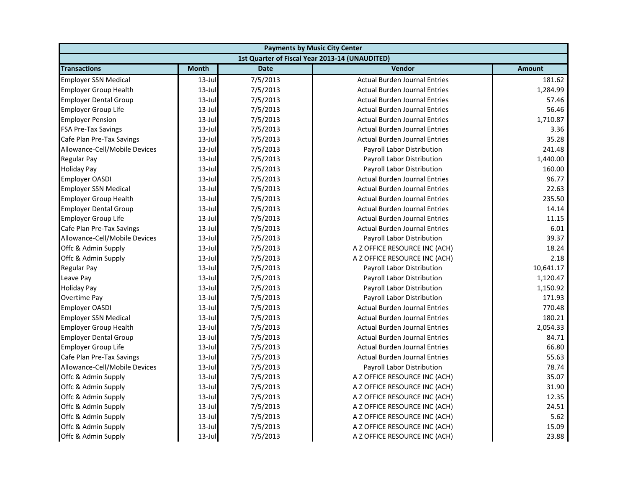| <b>Payments by Music City Center</b> |              |             |                                                |               |
|--------------------------------------|--------------|-------------|------------------------------------------------|---------------|
|                                      |              |             | 1st Quarter of Fiscal Year 2013-14 (UNAUDITED) |               |
| <b>Transactions</b>                  | <b>Month</b> | <b>Date</b> | <b>Vendor</b>                                  | <b>Amount</b> |
| <b>Employer SSN Medical</b>          | $13$ -Jul    | 7/5/2013    | <b>Actual Burden Journal Entries</b>           | 181.62        |
| <b>Employer Group Health</b>         | $13$ -Jul    | 7/5/2013    | <b>Actual Burden Journal Entries</b>           | 1,284.99      |
| <b>Employer Dental Group</b>         | $13$ -Jul    | 7/5/2013    | <b>Actual Burden Journal Entries</b>           | 57.46         |
| <b>Employer Group Life</b>           | $13$ -Jul    | 7/5/2013    | <b>Actual Burden Journal Entries</b>           | 56.46         |
| <b>Employer Pension</b>              | $13$ -Jul    | 7/5/2013    | <b>Actual Burden Journal Entries</b>           | 1,710.87      |
| <b>FSA Pre-Tax Savings</b>           | $13$ -Jul    | 7/5/2013    | <b>Actual Burden Journal Entries</b>           | 3.36          |
| Cafe Plan Pre-Tax Savings            | $13$ -Jul    | 7/5/2013    | <b>Actual Burden Journal Entries</b>           | 35.28         |
| Allowance-Cell/Mobile Devices        | $13$ -Jul    | 7/5/2013    | Payroll Labor Distribution                     | 241.48        |
| <b>Regular Pay</b>                   | $13$ -Jul    | 7/5/2013    | Payroll Labor Distribution                     | 1,440.00      |
| <b>Holiday Pay</b>                   | $13$ -Jul    | 7/5/2013    | Payroll Labor Distribution                     | 160.00        |
| <b>Employer OASDI</b>                | $13$ -Jul    | 7/5/2013    | <b>Actual Burden Journal Entries</b>           | 96.77         |
| <b>Employer SSN Medical</b>          | $13$ -Jul    | 7/5/2013    | <b>Actual Burden Journal Entries</b>           | 22.63         |
| <b>Employer Group Health</b>         | $13$ -Jul    | 7/5/2013    | <b>Actual Burden Journal Entries</b>           | 235.50        |
| <b>Employer Dental Group</b>         | $13$ -Jul    | 7/5/2013    | <b>Actual Burden Journal Entries</b>           | 14.14         |
| <b>Employer Group Life</b>           | $13$ -Jul    | 7/5/2013    | <b>Actual Burden Journal Entries</b>           | 11.15         |
| Cafe Plan Pre-Tax Savings            | $13$ -Jul    | 7/5/2013    | <b>Actual Burden Journal Entries</b>           | 6.01          |
| Allowance-Cell/Mobile Devices        | $13$ -Jul    | 7/5/2013    | Payroll Labor Distribution                     | 39.37         |
| Offc & Admin Supply                  | $13$ -Jul    | 7/5/2013    | A Z OFFICE RESOURCE INC (ACH)                  | 18.24         |
| Offc & Admin Supply                  | $13$ -Jul    | 7/5/2013    | A Z OFFICE RESOURCE INC (ACH)                  | 2.18          |
| <b>Regular Pay</b>                   | $13$ -Jul    | 7/5/2013    | Payroll Labor Distribution                     | 10,641.17     |
| Leave Pay                            | $13$ -Jul    | 7/5/2013    | Payroll Labor Distribution                     | 1,120.47      |
| <b>Holiday Pay</b>                   | $13$ -Jul    | 7/5/2013    | Payroll Labor Distribution                     | 1,150.92      |
| Overtime Pay                         | $13$ -Jul    | 7/5/2013    | Payroll Labor Distribution                     | 171.93        |
| <b>Employer OASDI</b>                | $13$ -Jul    | 7/5/2013    | <b>Actual Burden Journal Entries</b>           | 770.48        |
| <b>Employer SSN Medical</b>          | $13$ -Jul    | 7/5/2013    | <b>Actual Burden Journal Entries</b>           | 180.21        |
| <b>Employer Group Health</b>         | $13$ -Jul    | 7/5/2013    | <b>Actual Burden Journal Entries</b>           | 2,054.33      |
| <b>Employer Dental Group</b>         | $13$ -Jul    | 7/5/2013    | <b>Actual Burden Journal Entries</b>           | 84.71         |
| <b>Employer Group Life</b>           | $13$ -Jul    | 7/5/2013    | <b>Actual Burden Journal Entries</b>           | 66.80         |
| Cafe Plan Pre-Tax Savings            | $13$ -Jul    | 7/5/2013    | <b>Actual Burden Journal Entries</b>           | 55.63         |
| Allowance-Cell/Mobile Devices        | $13$ -Jul    | 7/5/2013    | Payroll Labor Distribution                     | 78.74         |
| Offc & Admin Supply                  | $13$ -Jul    | 7/5/2013    | A Z OFFICE RESOURCE INC (ACH)                  | 35.07         |
| Offc & Admin Supply                  | $13$ -Jul    | 7/5/2013    | A Z OFFICE RESOURCE INC (ACH)                  | 31.90         |
| Offc & Admin Supply                  | $13$ -Jul    | 7/5/2013    | A Z OFFICE RESOURCE INC (ACH)                  | 12.35         |
| Offc & Admin Supply                  | $13$ -Jul    | 7/5/2013    | A Z OFFICE RESOURCE INC (ACH)                  | 24.51         |
| Offc & Admin Supply                  | $13$ -Jul    | 7/5/2013    | A Z OFFICE RESOURCE INC (ACH)                  | 5.62          |
| Offc & Admin Supply                  | $13$ -Jul    | 7/5/2013    | A Z OFFICE RESOURCE INC (ACH)                  | 15.09         |
| Offc & Admin Supply                  | 13-Jul       | 7/5/2013    | A Z OFFICE RESOURCE INC (ACH)                  | 23.88         |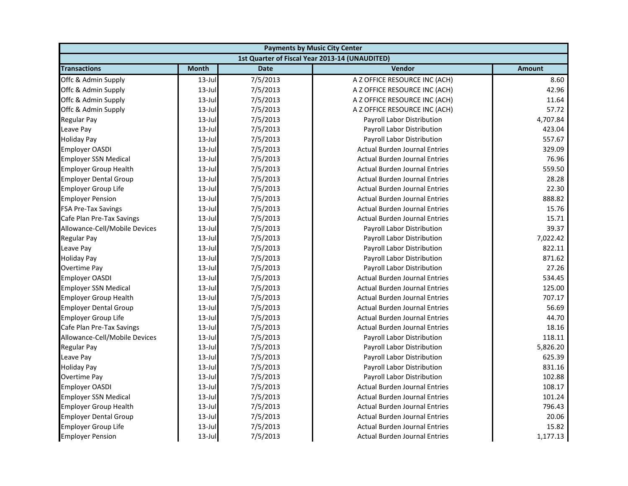| <b>Payments by Music City Center</b> |              |             |                                                |          |
|--------------------------------------|--------------|-------------|------------------------------------------------|----------|
|                                      |              |             | 1st Quarter of Fiscal Year 2013-14 (UNAUDITED) |          |
| <b>Transactions</b>                  | <b>Month</b> | <b>Date</b> | Vendor                                         | Amount   |
| Offc & Admin Supply                  | $13$ -Jul    | 7/5/2013    | A Z OFFICE RESOURCE INC (ACH)                  | 8.60     |
| Offc & Admin Supply                  | $13$ -Jul    | 7/5/2013    | A Z OFFICE RESOURCE INC (ACH)                  | 42.96    |
| Offc & Admin Supply                  | $13$ -Jul    | 7/5/2013    | A Z OFFICE RESOURCE INC (ACH)                  | 11.64    |
| Offc & Admin Supply                  | $13$ -Jul    | 7/5/2013    | A Z OFFICE RESOURCE INC (ACH)                  | 57.72    |
| <b>Regular Pay</b>                   | $13$ -Jul    | 7/5/2013    | Payroll Labor Distribution                     | 4,707.84 |
| Leave Pay                            | $13$ -Jul    | 7/5/2013    | Payroll Labor Distribution                     | 423.04   |
| <b>Holiday Pay</b>                   | $13$ -Jul    | 7/5/2013    | Payroll Labor Distribution                     | 557.67   |
| <b>Employer OASDI</b>                | $13$ -Jul    | 7/5/2013    | <b>Actual Burden Journal Entries</b>           | 329.09   |
| <b>Employer SSN Medical</b>          | $13$ -Jul    | 7/5/2013    | <b>Actual Burden Journal Entries</b>           | 76.96    |
| <b>Employer Group Health</b>         | $13$ -Jul    | 7/5/2013    | <b>Actual Burden Journal Entries</b>           | 559.50   |
| <b>Employer Dental Group</b>         | $13$ -Jul    | 7/5/2013    | <b>Actual Burden Journal Entries</b>           | 28.28    |
| <b>Employer Group Life</b>           | $13$ -Jul    | 7/5/2013    | <b>Actual Burden Journal Entries</b>           | 22.30    |
| <b>Employer Pension</b>              | $13$ -Jul    | 7/5/2013    | <b>Actual Burden Journal Entries</b>           | 888.82   |
| <b>FSA Pre-Tax Savings</b>           | $13$ -Jul    | 7/5/2013    | <b>Actual Burden Journal Entries</b>           | 15.76    |
| Cafe Plan Pre-Tax Savings            | $13$ -Jul    | 7/5/2013    | <b>Actual Burden Journal Entries</b>           | 15.71    |
| Allowance-Cell/Mobile Devices        | $13$ -Jul    | 7/5/2013    | Payroll Labor Distribution                     | 39.37    |
| <b>Regular Pay</b>                   | $13$ -Jul    | 7/5/2013    | Payroll Labor Distribution                     | 7,022.42 |
| Leave Pay                            | $13$ -Jul    | 7/5/2013    | Payroll Labor Distribution                     | 822.11   |
| <b>Holiday Pay</b>                   | $13$ -Jul    | 7/5/2013    | Payroll Labor Distribution                     | 871.62   |
| Overtime Pay                         | $13$ -Jul    | 7/5/2013    | Payroll Labor Distribution                     | 27.26    |
| <b>Employer OASDI</b>                | $13$ -Jul    | 7/5/2013    | <b>Actual Burden Journal Entries</b>           | 534.45   |
| <b>Employer SSN Medical</b>          | $13$ -Jul    | 7/5/2013    | <b>Actual Burden Journal Entries</b>           | 125.00   |
| <b>Employer Group Health</b>         | $13$ -Jul    | 7/5/2013    | <b>Actual Burden Journal Entries</b>           | 707.17   |
| <b>Employer Dental Group</b>         | $13$ -Jul    | 7/5/2013    | <b>Actual Burden Journal Entries</b>           | 56.69    |
| <b>Employer Group Life</b>           | $13$ -Jul    | 7/5/2013    | <b>Actual Burden Journal Entries</b>           | 44.70    |
| Cafe Plan Pre-Tax Savings            | $13$ -Jul    | 7/5/2013    | <b>Actual Burden Journal Entries</b>           | 18.16    |
| Allowance-Cell/Mobile Devices        | $13$ -Jul    | 7/5/2013    | Payroll Labor Distribution                     | 118.11   |
| <b>Regular Pay</b>                   | $13$ -Jul    | 7/5/2013    | Payroll Labor Distribution                     | 5,826.20 |
| Leave Pay                            | $13$ -Jul    | 7/5/2013    | Payroll Labor Distribution                     | 625.39   |
| <b>Holiday Pay</b>                   | $13$ -Jul    | 7/5/2013    | Payroll Labor Distribution                     | 831.16   |
| Overtime Pay                         | $13$ -Jul    | 7/5/2013    | Payroll Labor Distribution                     | 102.88   |
| <b>Employer OASDI</b>                | $13$ -Jul    | 7/5/2013    | <b>Actual Burden Journal Entries</b>           | 108.17   |
| <b>Employer SSN Medical</b>          | $13$ -Jul    | 7/5/2013    | <b>Actual Burden Journal Entries</b>           | 101.24   |
| <b>Employer Group Health</b>         | $13$ -Jul    | 7/5/2013    | <b>Actual Burden Journal Entries</b>           | 796.43   |
| <b>Employer Dental Group</b>         | $13$ -Jul    | 7/5/2013    | <b>Actual Burden Journal Entries</b>           | 20.06    |
| <b>Employer Group Life</b>           | $13$ -Jul    | 7/5/2013    | <b>Actual Burden Journal Entries</b>           | 15.82    |
| <b>Employer Pension</b>              | $13$ -Jul    | 7/5/2013    | <b>Actual Burden Journal Entries</b>           | 1,177.13 |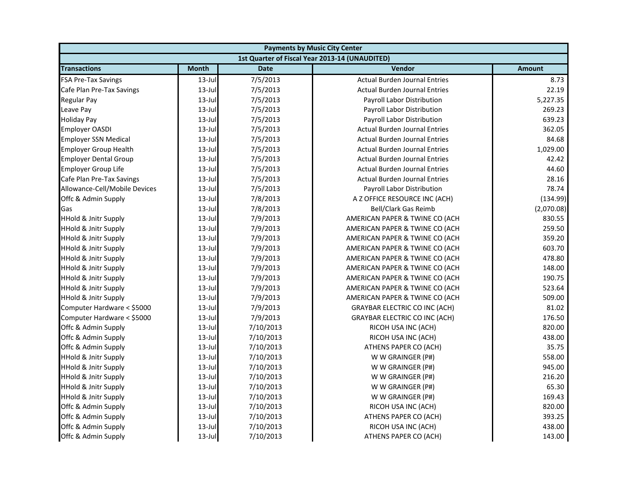| <b>Payments by Music City Center</b> |              |             |                                                |               |
|--------------------------------------|--------------|-------------|------------------------------------------------|---------------|
|                                      |              |             | 1st Quarter of Fiscal Year 2013-14 (UNAUDITED) |               |
| <b>Transactions</b>                  | <b>Month</b> | <b>Date</b> | Vendor                                         | <b>Amount</b> |
| <b>FSA Pre-Tax Savings</b>           | $13$ -Jul    | 7/5/2013    | <b>Actual Burden Journal Entries</b>           | 8.73          |
| Cafe Plan Pre-Tax Savings            | $13$ -Jul    | 7/5/2013    | <b>Actual Burden Journal Entries</b>           | 22.19         |
| Regular Pay                          | 13-Jul       | 7/5/2013    | Payroll Labor Distribution                     | 5,227.35      |
| Leave Pay                            | $13$ -Jul    | 7/5/2013    | Payroll Labor Distribution                     | 269.23        |
| <b>Holiday Pay</b>                   | $13$ -Jul    | 7/5/2013    | Payroll Labor Distribution                     | 639.23        |
| <b>Employer OASDI</b>                | $13 - Jul$   | 7/5/2013    | <b>Actual Burden Journal Entries</b>           | 362.05        |
| <b>Employer SSN Medical</b>          | $13$ -Jul    | 7/5/2013    | <b>Actual Burden Journal Entries</b>           | 84.68         |
| <b>Employer Group Health</b>         | $13$ -Jul    | 7/5/2013    | <b>Actual Burden Journal Entries</b>           | 1,029.00      |
| <b>Employer Dental Group</b>         | $13$ -Jul    | 7/5/2013    | <b>Actual Burden Journal Entries</b>           | 42.42         |
| <b>Employer Group Life</b>           | $13$ -Jul    | 7/5/2013    | <b>Actual Burden Journal Entries</b>           | 44.60         |
| Cafe Plan Pre-Tax Savings            | $13$ -Jul    | 7/5/2013    | <b>Actual Burden Journal Entries</b>           | 28.16         |
| Allowance-Cell/Mobile Devices        | $13$ -Jul    | 7/5/2013    | Payroll Labor Distribution                     | 78.74         |
| Offc & Admin Supply                  | $13$ -Jul    | 7/8/2013    | A Z OFFICE RESOURCE INC (ACH)                  | (134.99)      |
| Gas                                  | $13$ -Jul    | 7/8/2013    | <b>Bell/Clark Gas Reimb</b>                    | (2,070.08)    |
| <b>HHold &amp; Jnitr Supply</b>      | $13$ -Jul    | 7/9/2013    | AMERICAN PAPER & TWINE CO (ACH                 | 830.55        |
| <b>HHold &amp; Jnitr Supply</b>      | 13-Jul       | 7/9/2013    | AMERICAN PAPER & TWINE CO (ACH                 | 259.50        |
| <b>HHold &amp; Jnitr Supply</b>      | $13$ -Jul    | 7/9/2013    | AMERICAN PAPER & TWINE CO (ACH                 | 359.20        |
| <b>HHold &amp; Jnitr Supply</b>      | 13-Jul       | 7/9/2013    | AMERICAN PAPER & TWINE CO (ACH                 | 603.70        |
| <b>HHold &amp; Jnitr Supply</b>      | $13$ -Jul    | 7/9/2013    | AMERICAN PAPER & TWINE CO (ACH                 | 478.80        |
| <b>HHold &amp; Jnitr Supply</b>      | $13$ -Jul    | 7/9/2013    | AMERICAN PAPER & TWINE CO (ACH                 | 148.00        |
| <b>HHold &amp; Jnitr Supply</b>      | $13$ -Jul    | 7/9/2013    | AMERICAN PAPER & TWINE CO (ACH                 | 190.75        |
| <b>HHold &amp; Jnitr Supply</b>      | $13$ -Jul    | 7/9/2013    | AMERICAN PAPER & TWINE CO (ACH                 | 523.64        |
| <b>HHold &amp; Jnitr Supply</b>      | $13$ -Jul    | 7/9/2013    | AMERICAN PAPER & TWINE CO (ACH                 | 509.00        |
| Computer Hardware < \$5000           | $13$ -Jul    | 7/9/2013    | <b>GRAYBAR ELECTRIC CO INC (ACH)</b>           | 81.02         |
| Computer Hardware < \$5000           | $13$ -Jul    | 7/9/2013    | <b>GRAYBAR ELECTRIC CO INC (ACH)</b>           | 176.50        |
| Offc & Admin Supply                  | $13$ -Jul    | 7/10/2013   | RICOH USA INC (ACH)                            | 820.00        |
| Offc & Admin Supply                  | $13$ -Jul    | 7/10/2013   | RICOH USA INC (ACH)                            | 438.00        |
| Offc & Admin Supply                  | $13$ -Jul    | 7/10/2013   | ATHENS PAPER CO (ACH)                          | 35.75         |
| <b>HHold &amp; Jnitr Supply</b>      | $13$ -Jul    | 7/10/2013   | W W GRAINGER (P#)                              | 558.00        |
| <b>HHold &amp; Jnitr Supply</b>      | $13$ -Jul    | 7/10/2013   | W W GRAINGER (P#)                              | 945.00        |
| <b>HHold &amp; Jnitr Supply</b>      | $13$ -Jul    | 7/10/2013   | W W GRAINGER (P#)                              | 216.20        |
| <b>HHold &amp; Jnitr Supply</b>      | 13-Jul       | 7/10/2013   | W W GRAINGER (P#)                              | 65.30         |
| <b>HHold &amp; Jnitr Supply</b>      | $13$ -Jul    | 7/10/2013   | W W GRAINGER (P#)                              | 169.43        |
| Offc & Admin Supply                  | $13$ -Jul    | 7/10/2013   | RICOH USA INC (ACH)                            | 820.00        |
| Offc & Admin Supply                  | $13$ -Jul    | 7/10/2013   | ATHENS PAPER CO (ACH)                          | 393.25        |
| Offc & Admin Supply                  | $13 -$ Jul   | 7/10/2013   | RICOH USA INC (ACH)                            | 438.00        |
| Offc & Admin Supply                  | 13-Jul       | 7/10/2013   | ATHENS PAPER CO (ACH)                          | 143.00        |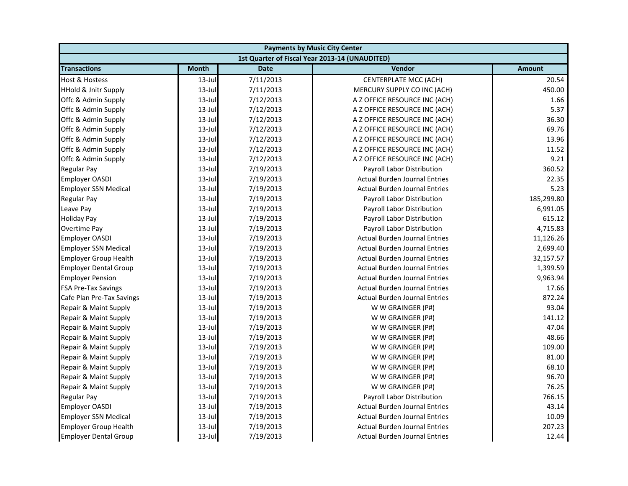| <b>Payments by Music City Center</b> |              |             |                                                |            |
|--------------------------------------|--------------|-------------|------------------------------------------------|------------|
|                                      |              |             | 1st Quarter of Fiscal Year 2013-14 (UNAUDITED) |            |
| <b>Transactions</b>                  | <b>Month</b> | <b>Date</b> | Vendor                                         | Amount     |
| <b>Host &amp; Hostess</b>            | $13$ -Jul    | 7/11/2013   | <b>CENTERPLATE MCC (ACH)</b>                   | 20.54      |
| <b>HHold &amp; Jnitr Supply</b>      | 13-Jul       | 7/11/2013   | MERCURY SUPPLY CO INC (ACH)                    | 450.00     |
| Offc & Admin Supply                  | 13-Jul       | 7/12/2013   | A Z OFFICE RESOURCE INC (ACH)                  | 1.66       |
| Offc & Admin Supply                  | $13$ -Jul    | 7/12/2013   | A Z OFFICE RESOURCE INC (ACH)                  | 5.37       |
| Offc & Admin Supply                  | $13 -$ Jul   | 7/12/2013   | A Z OFFICE RESOURCE INC (ACH)                  | 36.30      |
| Offc & Admin Supply                  | $13 - Jul$   | 7/12/2013   | A Z OFFICE RESOURCE INC (ACH)                  | 69.76      |
| Offc & Admin Supply                  | $13$ -Jul    | 7/12/2013   | A Z OFFICE RESOURCE INC (ACH)                  | 13.96      |
| Offc & Admin Supply                  | $13$ -Jul    | 7/12/2013   | A Z OFFICE RESOURCE INC (ACH)                  | 11.52      |
| Offc & Admin Supply                  | 13-Jul       | 7/12/2013   | A Z OFFICE RESOURCE INC (ACH)                  | 9.21       |
| <b>Regular Pay</b>                   | $13$ -Jul    | 7/19/2013   | Payroll Labor Distribution                     | 360.52     |
| <b>Employer OASDI</b>                | $13$ -Jul    | 7/19/2013   | <b>Actual Burden Journal Entries</b>           | 22.35      |
| <b>Employer SSN Medical</b>          | $13$ -Jul    | 7/19/2013   | <b>Actual Burden Journal Entries</b>           | 5.23       |
| <b>Regular Pay</b>                   | $13$ -Jul    | 7/19/2013   | Payroll Labor Distribution                     | 185,299.80 |
| Leave Pay                            | $13$ -Jul    | 7/19/2013   | Payroll Labor Distribution                     | 6,991.05   |
| <b>Holiday Pay</b>                   | $13$ -Jul    | 7/19/2013   | Payroll Labor Distribution                     | 615.12     |
| <b>Overtime Pay</b>                  | 13-Jul       | 7/19/2013   | Payroll Labor Distribution                     | 4,715.83   |
| <b>Employer OASDI</b>                | $13$ -Jul    | 7/19/2013   | <b>Actual Burden Journal Entries</b>           | 11,126.26  |
| <b>Employer SSN Medical</b>          | $13$ -Jul    | 7/19/2013   | <b>Actual Burden Journal Entries</b>           | 2,699.40   |
| <b>Employer Group Health</b>         | $13 - Jul$   | 7/19/2013   | <b>Actual Burden Journal Entries</b>           | 32,157.57  |
| <b>Employer Dental Group</b>         | $13$ -Jul    | 7/19/2013   | <b>Actual Burden Journal Entries</b>           | 1,399.59   |
| <b>Employer Pension</b>              | $13$ -Jul    | 7/19/2013   | <b>Actual Burden Journal Entries</b>           | 9,963.94   |
| <b>FSA Pre-Tax Savings</b>           | 13-Jul       | 7/19/2013   | <b>Actual Burden Journal Entries</b>           | 17.66      |
| Cafe Plan Pre-Tax Savings            | $13$ -Jul    | 7/19/2013   | <b>Actual Burden Journal Entries</b>           | 872.24     |
| Repair & Maint Supply                | $13$ -Jul    | 7/19/2013   | W W GRAINGER (P#)                              | 93.04      |
| Repair & Maint Supply                | 13-Jul       | 7/19/2013   | W W GRAINGER (P#)                              | 141.12     |
| Repair & Maint Supply                | $13$ -Jul    | 7/19/2013   | W W GRAINGER (P#)                              | 47.04      |
| Repair & Maint Supply                | $13$ -Jul    | 7/19/2013   | W W GRAINGER (P#)                              | 48.66      |
| Repair & Maint Supply                | $13$ -Jul    | 7/19/2013   | W W GRAINGER (P#)                              | 109.00     |
| Repair & Maint Supply                | 13-Jul       | 7/19/2013   | W W GRAINGER (P#)                              | 81.00      |
| Repair & Maint Supply                | $13$ -Jul    | 7/19/2013   | W W GRAINGER (P#)                              | 68.10      |
| Repair & Maint Supply                | 13-Jul       | 7/19/2013   | W W GRAINGER (P#)                              | 96.70      |
| Repair & Maint Supply                | $13$ -Jul    | 7/19/2013   | W W GRAINGER (P#)                              | 76.25      |
| <b>Regular Pay</b>                   | $13$ -Jul    | 7/19/2013   | <b>Payroll Labor Distribution</b>              | 766.15     |
| <b>Employer OASDI</b>                | 13-Jul       | 7/19/2013   | <b>Actual Burden Journal Entries</b>           | 43.14      |
| <b>Employer SSN Medical</b>          | $13$ -Jul    | 7/19/2013   | <b>Actual Burden Journal Entries</b>           | 10.09      |
| <b>Employer Group Health</b>         | $13$ -Jul    | 7/19/2013   | <b>Actual Burden Journal Entries</b>           | 207.23     |
| <b>Employer Dental Group</b>         | $13$ -Jul    | 7/19/2013   | <b>Actual Burden Journal Entries</b>           | 12.44      |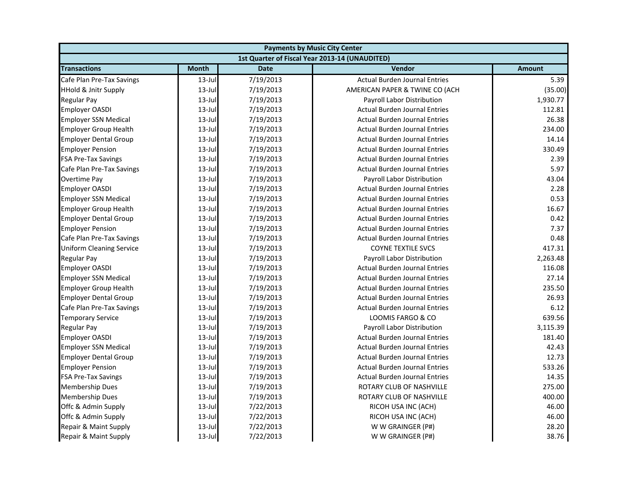| <b>Payments by Music City Center</b> |              |             |                                                |          |
|--------------------------------------|--------------|-------------|------------------------------------------------|----------|
|                                      |              |             | 1st Quarter of Fiscal Year 2013-14 (UNAUDITED) |          |
| <b>Transactions</b>                  | <b>Month</b> | <b>Date</b> | Vendor                                         | Amount   |
| Cafe Plan Pre-Tax Savings            | $13$ -Jul    | 7/19/2013   | <b>Actual Burden Journal Entries</b>           | 5.39     |
| <b>HHold &amp; Jnitr Supply</b>      | $13$ -Jul    | 7/19/2013   | AMERICAN PAPER & TWINE CO (ACH                 | (35.00)  |
| <b>Regular Pay</b>                   | $13$ -Jul    | 7/19/2013   | Payroll Labor Distribution                     | 1,930.77 |
| <b>Employer OASDI</b>                | $13$ -Jul    | 7/19/2013   | <b>Actual Burden Journal Entries</b>           | 112.81   |
| <b>Employer SSN Medical</b>          | $13$ -Jul    | 7/19/2013   | <b>Actual Burden Journal Entries</b>           | 26.38    |
| <b>Employer Group Health</b>         | $13$ -Jul    | 7/19/2013   | <b>Actual Burden Journal Entries</b>           | 234.00   |
| <b>Employer Dental Group</b>         | $13$ -Jul    | 7/19/2013   | <b>Actual Burden Journal Entries</b>           | 14.14    |
| <b>Employer Pension</b>              | $13$ -Jul    | 7/19/2013   | <b>Actual Burden Journal Entries</b>           | 330.49   |
| <b>FSA Pre-Tax Savings</b>           | $13$ -Jul    | 7/19/2013   | <b>Actual Burden Journal Entries</b>           | 2.39     |
| Cafe Plan Pre-Tax Savings            | $13$ -Jul    | 7/19/2013   | <b>Actual Burden Journal Entries</b>           | 5.97     |
| Overtime Pay                         | $13$ -Jul    | 7/19/2013   | Payroll Labor Distribution                     | 43.04    |
| <b>Employer OASDI</b>                | $13$ -Jul    | 7/19/2013   | <b>Actual Burden Journal Entries</b>           | 2.28     |
| <b>Employer SSN Medical</b>          | $13$ -Jul    | 7/19/2013   | <b>Actual Burden Journal Entries</b>           | 0.53     |
| <b>Employer Group Health</b>         | $13$ -Jul    | 7/19/2013   | <b>Actual Burden Journal Entries</b>           | 16.67    |
| <b>Employer Dental Group</b>         | $13$ -Jul    | 7/19/2013   | <b>Actual Burden Journal Entries</b>           | 0.42     |
| <b>Employer Pension</b>              | $13$ -Jul    | 7/19/2013   | <b>Actual Burden Journal Entries</b>           | 7.37     |
| Cafe Plan Pre-Tax Savings            | $13$ -Jul    | 7/19/2013   | <b>Actual Burden Journal Entries</b>           | 0.48     |
| <b>Uniform Cleaning Service</b>      | $13$ -Jul    | 7/19/2013   | <b>COYNE TEXTILE SVCS</b>                      | 417.31   |
| <b>Regular Pay</b>                   | $13$ -Jul    | 7/19/2013   | Payroll Labor Distribution                     | 2,263.48 |
| <b>Employer OASDI</b>                | $13$ -Jul    | 7/19/2013   | <b>Actual Burden Journal Entries</b>           | 116.08   |
| <b>Employer SSN Medical</b>          | $13$ -Jul    | 7/19/2013   | <b>Actual Burden Journal Entries</b>           | 27.14    |
| <b>Employer Group Health</b>         | $13$ -Jul    | 7/19/2013   | <b>Actual Burden Journal Entries</b>           | 235.50   |
| <b>Employer Dental Group</b>         | $13$ -Jul    | 7/19/2013   | <b>Actual Burden Journal Entries</b>           | 26.93    |
| Cafe Plan Pre-Tax Savings            | $13$ -Jul    | 7/19/2013   | <b>Actual Burden Journal Entries</b>           | 6.12     |
| <b>Temporary Service</b>             | $13$ -Jul    | 7/19/2013   | LOOMIS FARGO & CO                              | 639.56   |
| <b>Regular Pay</b>                   | $13$ -Jul    | 7/19/2013   | Payroll Labor Distribution                     | 3,115.39 |
| <b>Employer OASDI</b>                | $13$ -Jul    | 7/19/2013   | <b>Actual Burden Journal Entries</b>           | 181.40   |
| <b>Employer SSN Medical</b>          | $13$ -Jul    | 7/19/2013   | <b>Actual Burden Journal Entries</b>           | 42.43    |
| <b>Employer Dental Group</b>         | $13$ -Jul    | 7/19/2013   | <b>Actual Burden Journal Entries</b>           | 12.73    |
| <b>Employer Pension</b>              | $13$ -Jul    | 7/19/2013   | <b>Actual Burden Journal Entries</b>           | 533.26   |
| <b>FSA Pre-Tax Savings</b>           | $13$ -Jul    | 7/19/2013   | <b>Actual Burden Journal Entries</b>           | 14.35    |
| <b>Membership Dues</b>               | $13$ -Jul    | 7/19/2013   | ROTARY CLUB OF NASHVILLE                       | 275.00   |
| <b>Membership Dues</b>               | $13$ -Jul    | 7/19/2013   | ROTARY CLUB OF NASHVILLE                       | 400.00   |
| Offc & Admin Supply                  | $13$ -Jul    | 7/22/2013   | RICOH USA INC (ACH)                            | 46.00    |
| Offc & Admin Supply                  | $13$ -Jul    | 7/22/2013   | RICOH USA INC (ACH)                            | 46.00    |
| Repair & Maint Supply                | $13$ -Jul    | 7/22/2013   | W W GRAINGER (P#)                              | 28.20    |
| Repair & Maint Supply                | 13-Jul       | 7/22/2013   | W W GRAINGER (P#)                              | 38.76    |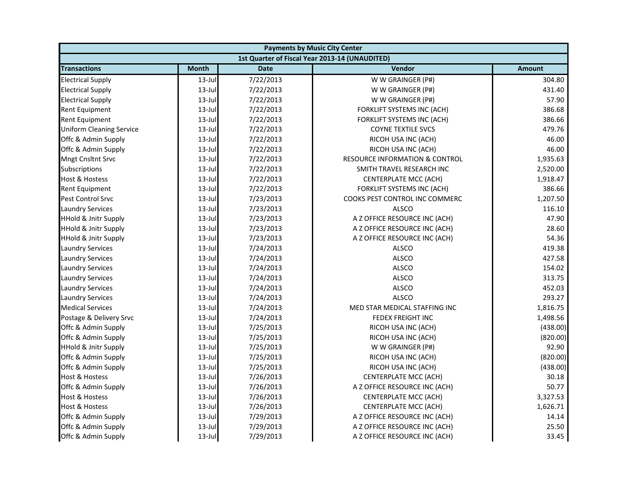| <b>Payments by Music City Center</b> |              |             |                                                |               |
|--------------------------------------|--------------|-------------|------------------------------------------------|---------------|
|                                      |              |             | 1st Quarter of Fiscal Year 2013-14 (UNAUDITED) |               |
| <b>Transactions</b>                  | <b>Month</b> | <b>Date</b> | Vendor                                         | <b>Amount</b> |
| <b>Electrical Supply</b>             | $13$ -Jul    | 7/22/2013   | W W GRAINGER (P#)                              | 304.80        |
| <b>Electrical Supply</b>             | $13$ -Jul    | 7/22/2013   | W W GRAINGER (P#)                              | 431.40        |
| <b>Electrical Supply</b>             | $13$ -Jul    | 7/22/2013   | W W GRAINGER (P#)                              | 57.90         |
| Rent Equipment                       | $13$ -Jul    | 7/22/2013   | FORKLIFT SYSTEMS INC (ACH)                     | 386.68        |
| Rent Equipment                       | $13$ -Jul    | 7/22/2013   | FORKLIFT SYSTEMS INC (ACH)                     | 386.66        |
| <b>Uniform Cleaning Service</b>      | $13$ -Jul    | 7/22/2013   | <b>COYNE TEXTILE SVCS</b>                      | 479.76        |
| Offc & Admin Supply                  | $13$ -Jul    | 7/22/2013   | RICOH USA INC (ACH)                            | 46.00         |
| Offc & Admin Supply                  | $13$ -Jul    | 7/22/2013   | RICOH USA INC (ACH)                            | 46.00         |
| Mngt Cnsltnt Srvc                    | $13$ -Jul    | 7/22/2013   | <b>RESOURCE INFORMATION &amp; CONTROL</b>      | 1,935.63      |
| Subscriptions                        | $13$ -Jul    | 7/22/2013   | SMITH TRAVEL RESEARCH INC                      | 2,520.00      |
| Host & Hostess                       | $13$ -Jul    | 7/22/2013   | CENTERPLATE MCC (ACH)                          | 1,918.47      |
| Rent Equipment                       | $13$ -Jul    | 7/22/2013   | FORKLIFT SYSTEMS INC (ACH)                     | 386.66        |
| <b>Pest Control Srvc</b>             | $13$ -Jul    | 7/23/2013   | COOKS PEST CONTROL INC COMMERC                 | 1,207.50      |
| <b>Laundry Services</b>              | $13$ -Jul    | 7/23/2013   | <b>ALSCO</b>                                   | 116.10        |
| <b>HHold &amp; Jnitr Supply</b>      | $13$ -Jul    | 7/23/2013   | A Z OFFICE RESOURCE INC (ACH)                  | 47.90         |
| <b>HHold &amp; Jnitr Supply</b>      | $13$ -Jul    | 7/23/2013   | A Z OFFICE RESOURCE INC (ACH)                  | 28.60         |
| <b>HHold &amp; Jnitr Supply</b>      | $13$ -Jul    | 7/23/2013   | A Z OFFICE RESOURCE INC (ACH)                  | 54.36         |
| <b>Laundry Services</b>              | $13$ -Jul    | 7/24/2013   | <b>ALSCO</b>                                   | 419.38        |
| <b>Laundry Services</b>              | $13$ -Jul    | 7/24/2013   | <b>ALSCO</b>                                   | 427.58        |
| <b>Laundry Services</b>              | $13$ -Jul    | 7/24/2013   | <b>ALSCO</b>                                   | 154.02        |
| <b>Laundry Services</b>              | $13$ -Jul    | 7/24/2013   | <b>ALSCO</b>                                   | 313.75        |
| <b>Laundry Services</b>              | $13$ -Jul    | 7/24/2013   | <b>ALSCO</b>                                   | 452.03        |
| <b>Laundry Services</b>              | $13$ -Jul    | 7/24/2013   | <b>ALSCO</b>                                   | 293.27        |
| <b>Medical Services</b>              | $13$ -Jul    | 7/24/2013   | MED STAR MEDICAL STAFFING INC                  | 1,816.75      |
| Postage & Delivery Srvc              | $13$ -Jul    | 7/24/2013   | FEDEX FREIGHT INC                              | 1,498.56      |
| Offc & Admin Supply                  | $13$ -Jul    | 7/25/2013   | RICOH USA INC (ACH)                            | (438.00)      |
| Offc & Admin Supply                  | $13$ -Jul    | 7/25/2013   | RICOH USA INC (ACH)                            | (820.00)      |
| <b>HHold &amp; Jnitr Supply</b>      | $13$ -Jul    | 7/25/2013   | W W GRAINGER (P#)                              | 92.90         |
| Offc & Admin Supply                  | $13$ -Jul    | 7/25/2013   | RICOH USA INC (ACH)                            | (820.00)      |
| Offc & Admin Supply                  | $13$ -Jul    | 7/25/2013   | RICOH USA INC (ACH)                            | (438.00)      |
| <b>Host &amp; Hostess</b>            | $13$ -Jul    | 7/26/2013   | CENTERPLATE MCC (ACH)                          | 30.18         |
| Offc & Admin Supply                  | $13$ -Jul    | 7/26/2013   | A Z OFFICE RESOURCE INC (ACH)                  | 50.77         |
| Host & Hostess                       | $13$ -Jul    | 7/26/2013   | CENTERPLATE MCC (ACH)                          | 3,327.53      |
| <b>Host &amp; Hostess</b>            | $13$ -Jul    | 7/26/2013   | CENTERPLATE MCC (ACH)                          | 1,626.71      |
| Offc & Admin Supply                  | $13$ -Jul    | 7/29/2013   | A Z OFFICE RESOURCE INC (ACH)                  | 14.14         |
| Offc & Admin Supply                  | 13-Jul       | 7/29/2013   | A Z OFFICE RESOURCE INC (ACH)                  | 25.50         |
| Offc & Admin Supply                  | $13$ -Jul    | 7/29/2013   | A Z OFFICE RESOURCE INC (ACH)                  | 33.45         |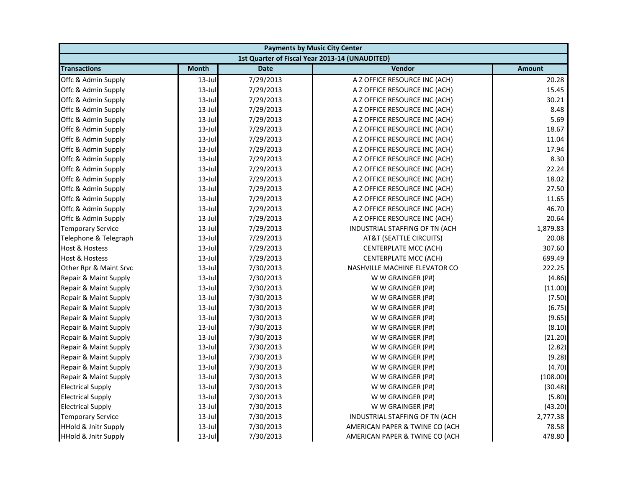| <b>Payments by Music City Center</b> |              |             |                                                |               |
|--------------------------------------|--------------|-------------|------------------------------------------------|---------------|
|                                      |              |             | 1st Quarter of Fiscal Year 2013-14 (UNAUDITED) |               |
| <b>Transactions</b>                  | <b>Month</b> | <b>Date</b> | Vendor                                         | <b>Amount</b> |
| Offc & Admin Supply                  | $13$ -Jul    | 7/29/2013   | A Z OFFICE RESOURCE INC (ACH)                  | 20.28         |
| Offc & Admin Supply                  | $13$ -Jul    | 7/29/2013   | A Z OFFICE RESOURCE INC (ACH)                  | 15.45         |
| Offc & Admin Supply                  | $13$ -Jul    | 7/29/2013   | A Z OFFICE RESOURCE INC (ACH)                  | 30.21         |
| Offc & Admin Supply                  | $13$ -Jul    | 7/29/2013   | A Z OFFICE RESOURCE INC (ACH)                  | 8.48          |
| Offc & Admin Supply                  | $13$ -Jul    | 7/29/2013   | A Z OFFICE RESOURCE INC (ACH)                  | 5.69          |
| Offc & Admin Supply                  | $13$ -Jul    | 7/29/2013   | A Z OFFICE RESOURCE INC (ACH)                  | 18.67         |
| Offc & Admin Supply                  | $13$ -Jul    | 7/29/2013   | A Z OFFICE RESOURCE INC (ACH)                  | 11.04         |
| Offc & Admin Supply                  | $13$ -Jul    | 7/29/2013   | A Z OFFICE RESOURCE INC (ACH)                  | 17.94         |
| Offc & Admin Supply                  | $13$ -Jul    | 7/29/2013   | A Z OFFICE RESOURCE INC (ACH)                  | 8.30          |
| Offc & Admin Supply                  | $13$ -Jul    | 7/29/2013   | A Z OFFICE RESOURCE INC (ACH)                  | 22.24         |
| Offc & Admin Supply                  | $13$ -Jul    | 7/29/2013   | A Z OFFICE RESOURCE INC (ACH)                  | 18.02         |
| Offc & Admin Supply                  | $13$ -Jul    | 7/29/2013   | A Z OFFICE RESOURCE INC (ACH)                  | 27.50         |
| Offc & Admin Supply                  | $13$ -Jul    | 7/29/2013   | A Z OFFICE RESOURCE INC (ACH)                  | 11.65         |
| Offc & Admin Supply                  | $13$ -Jul    | 7/29/2013   | A Z OFFICE RESOURCE INC (ACH)                  | 46.70         |
| Offc & Admin Supply                  | $13$ -Jul    | 7/29/2013   | A Z OFFICE RESOURCE INC (ACH)                  | 20.64         |
| <b>Temporary Service</b>             | $13$ -Jul    | 7/29/2013   | INDUSTRIAL STAFFING OF TN (ACH                 | 1,879.83      |
| Telephone & Telegraph                | 13-Jul       | 7/29/2013   | AT&T (SEATTLE CIRCUITS)                        | 20.08         |
| Host & Hostess                       | $13$ -Jul    | 7/29/2013   | CENTERPLATE MCC (ACH)                          | 307.60        |
| <b>Host &amp; Hostess</b>            | $13$ -Jul    | 7/29/2013   | CENTERPLATE MCC (ACH)                          | 699.49        |
| Other Rpr & Maint Srvc               | $13$ -Jul    | 7/30/2013   | NASHVILLE MACHINE ELEVATOR CO                  | 222.25        |
| Repair & Maint Supply                | $13$ -Jul    | 7/30/2013   | W W GRAINGER (P#)                              | (4.86)        |
| Repair & Maint Supply                | $13$ -Jul    | 7/30/2013   | W W GRAINGER (P#)                              | (11.00)       |
| Repair & Maint Supply                | $13$ -Jul    | 7/30/2013   | W W GRAINGER (P#)                              | (7.50)        |
| Repair & Maint Supply                | $13$ -Jul    | 7/30/2013   | W W GRAINGER (P#)                              | (6.75)        |
| Repair & Maint Supply                | $13$ -Jul    | 7/30/2013   | W W GRAINGER (P#)                              | (9.65)        |
| Repair & Maint Supply                | $13$ -Jul    | 7/30/2013   | W W GRAINGER (P#)                              | (8.10)        |
| Repair & Maint Supply                | $13$ -Jul    | 7/30/2013   | W W GRAINGER (P#)                              | (21.20)       |
| Repair & Maint Supply                | $13$ -Jul    | 7/30/2013   | W W GRAINGER (P#)                              | (2.82)        |
| Repair & Maint Supply                | $13$ -Jul    | 7/30/2013   | W W GRAINGER (P#)                              | (9.28)        |
| Repair & Maint Supply                | $13$ -Jul    | 7/30/2013   | W W GRAINGER (P#)                              | (4.70)        |
| Repair & Maint Supply                | $13$ -Jul    | 7/30/2013   | W W GRAINGER (P#)                              | (108.00)      |
| <b>Electrical Supply</b>             | $13$ -Jul    | 7/30/2013   | W W GRAINGER (P#)                              | (30.48)       |
| <b>Electrical Supply</b>             | $13$ -Jul    | 7/30/2013   | W W GRAINGER (P#)                              | (5.80)        |
| <b>Electrical Supply</b>             | $13$ -Jul    | 7/30/2013   | W W GRAINGER (P#)                              | (43.20)       |
| <b>Temporary Service</b>             | $13$ -Jul    | 7/30/2013   | INDUSTRIAL STAFFING OF TN (ACH                 | 2,777.38      |
| <b>HHold &amp; Jnitr Supply</b>      | $13$ -Jul    | 7/30/2013   | AMERICAN PAPER & TWINE CO (ACH                 | 78.58         |
| <b>HHold &amp; Jnitr Supply</b>      | $13$ -Jul    | 7/30/2013   | AMERICAN PAPER & TWINE CO (ACH                 | 478.80        |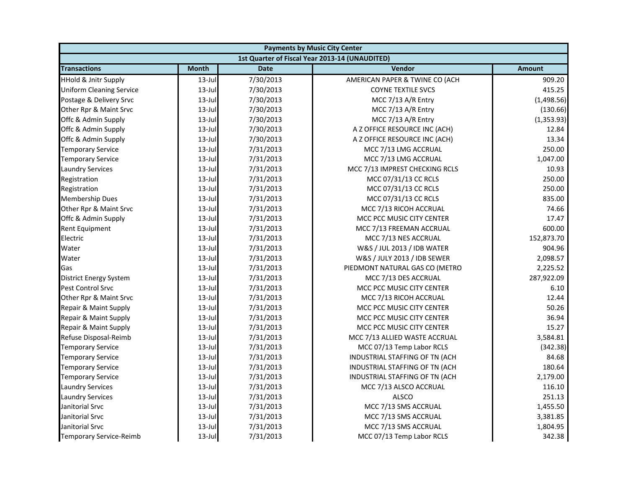| <b>Payments by Music City Center</b> |              |             |                                                |               |
|--------------------------------------|--------------|-------------|------------------------------------------------|---------------|
|                                      |              |             | 1st Quarter of Fiscal Year 2013-14 (UNAUDITED) |               |
| <b>Transactions</b>                  | <b>Month</b> | <b>Date</b> | Vendor                                         | <b>Amount</b> |
| <b>HHold &amp; Jnitr Supply</b>      | $13$ -Jul    | 7/30/2013   | AMERICAN PAPER & TWINE CO (ACH                 | 909.20        |
| <b>Uniform Cleaning Service</b>      | $13$ -Jul    | 7/30/2013   | <b>COYNE TEXTILE SVCS</b>                      | 415.25        |
| Postage & Delivery Srvc              | $13$ -Jul    | 7/30/2013   | MCC 7/13 A/R Entry                             | (1,498.56)    |
| Other Rpr & Maint Srvc               | $13$ -Jul    | 7/30/2013   | MCC 7/13 A/R Entry                             | (130.66)      |
| Offc & Admin Supply                  | 13-Jul       | 7/30/2013   | MCC 7/13 A/R Entry                             | (1,353.93)    |
| Offc & Admin Supply                  | $13$ -Jul    | 7/30/2013   | A Z OFFICE RESOURCE INC (ACH)                  | 12.84         |
| Offc & Admin Supply                  | $13$ -Jul    | 7/30/2013   | A Z OFFICE RESOURCE INC (ACH)                  | 13.34         |
| <b>Temporary Service</b>             | $13$ -Jul    | 7/31/2013   | MCC 7/13 LMG ACCRUAL                           | 250.00        |
| <b>Temporary Service</b>             | $13$ -Jul    | 7/31/2013   | MCC 7/13 LMG ACCRUAL                           | 1,047.00      |
| <b>Laundry Services</b>              | $13$ -Jul    | 7/31/2013   | MCC 7/13 IMPREST CHECKING RCLS                 | 10.93         |
| Registration                         | $13$ -Jul    | 7/31/2013   | MCC 07/31/13 CC RCLS                           | 250.00        |
| Registration                         | $13$ -Jul    | 7/31/2013   | MCC 07/31/13 CC RCLS                           | 250.00        |
| <b>Membership Dues</b>               | $13$ -Jul    | 7/31/2013   | MCC 07/31/13 CC RCLS                           | 835.00        |
| Other Rpr & Maint Srvc               | $13$ -Jul    | 7/31/2013   | MCC 7/13 RICOH ACCRUAL                         | 74.66         |
| Offc & Admin Supply                  | $13$ -Jul    | 7/31/2013   | MCC PCC MUSIC CITY CENTER                      | 17.47         |
| Rent Equipment                       | $13$ -Jul    | 7/31/2013   | MCC 7/13 FREEMAN ACCRUAL                       | 600.00        |
| Electric                             | $13$ -Jul    | 7/31/2013   | MCC 7/13 NES ACCRUAL                           | 152,873.70    |
| Water                                | $13$ -Jul    | 7/31/2013   | W&S / JUL 2013 / IDB WATER                     | 904.96        |
| Water                                | $13$ -Jul    | 7/31/2013   | W&S / JULY 2013 / IDB SEWER                    | 2,098.57      |
| Gas                                  | $13$ -Jul    | 7/31/2013   | PIEDMONT NATURAL GAS CO (METRO                 | 2,225.52      |
| <b>District Energy System</b>        | $13$ -Jul    | 7/31/2013   | MCC 7/13 DES ACCRUAL                           | 287,922.09    |
| <b>Pest Control Srvc</b>             | $13$ -Jul    | 7/31/2013   | MCC PCC MUSIC CITY CENTER                      | 6.10          |
| Other Rpr & Maint Srvc               | $13$ -Jul    | 7/31/2013   | MCC 7/13 RICOH ACCRUAL                         | 12.44         |
| Repair & Maint Supply                | $13$ -Jul    | 7/31/2013   | MCC PCC MUSIC CITY CENTER                      | 50.26         |
| Repair & Maint Supply                | 13-Jul       | 7/31/2013   | MCC PCC MUSIC CITY CENTER                      | 36.94         |
| Repair & Maint Supply                | $13$ -Jul    | 7/31/2013   | MCC PCC MUSIC CITY CENTER                      | 15.27         |
| Refuse Disposal-Reimb                | $13$ -Jul    | 7/31/2013   | MCC 7/13 ALLIED WASTE ACCRUAL                  | 3,584.81      |
| <b>Temporary Service</b>             | $13$ -Jul    | 7/31/2013   | MCC 07/13 Temp Labor RCLS                      | (342.38)      |
| <b>Temporary Service</b>             | $13$ -Jul    | 7/31/2013   | INDUSTRIAL STAFFING OF TN (ACH                 | 84.68         |
| <b>Temporary Service</b>             | $13$ -Jul    | 7/31/2013   | INDUSTRIAL STAFFING OF TN (ACH                 | 180.64        |
| <b>Temporary Service</b>             | $13$ -Jul    | 7/31/2013   | INDUSTRIAL STAFFING OF TN (ACH                 | 2,179.00      |
| <b>Laundry Services</b>              | $13$ -Jul    | 7/31/2013   | MCC 7/13 ALSCO ACCRUAL                         | 116.10        |
| <b>Laundry Services</b>              | $13$ -Jul    | 7/31/2013   | <b>ALSCO</b>                                   | 251.13        |
| Janitorial Srvc                      | $13$ -Jul    | 7/31/2013   | MCC 7/13 SMS ACCRUAL                           | 1,455.50      |
| Janitorial Srvc                      | $13$ -Jul    | 7/31/2013   | MCC 7/13 SMS ACCRUAL                           | 3,381.85      |
| Janitorial Srvc                      | 13-Jul       | 7/31/2013   | MCC 7/13 SMS ACCRUAL                           | 1,804.95      |
| <b>Temporary Service-Reimb</b>       | 13-Jul       | 7/31/2013   | MCC 07/13 Temp Labor RCLS                      | 342.38        |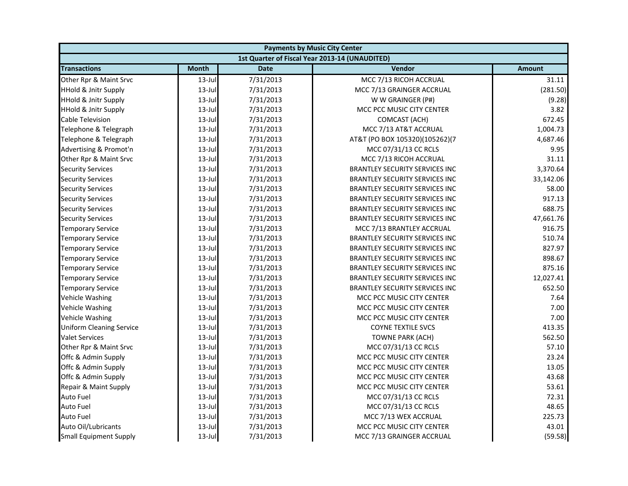| <b>Payments by Music City Center</b> |              |             |                                                |               |
|--------------------------------------|--------------|-------------|------------------------------------------------|---------------|
|                                      |              |             | 1st Quarter of Fiscal Year 2013-14 (UNAUDITED) |               |
| <b>Transactions</b>                  | <b>Month</b> | <b>Date</b> | Vendor                                         | <b>Amount</b> |
| Other Rpr & Maint Srvc               | $13$ -Jul    | 7/31/2013   | MCC 7/13 RICOH ACCRUAL                         | 31.11         |
| <b>HHold &amp; Jnitr Supply</b>      | $13$ -Jul    | 7/31/2013   | MCC 7/13 GRAINGER ACCRUAL                      | (281.50)      |
| <b>HHold &amp; Jnitr Supply</b>      | $13$ -Jul    | 7/31/2013   | W W GRAINGER (P#)                              | (9.28)        |
| <b>HHold &amp; Jnitr Supply</b>      | $13$ -Jul    | 7/31/2013   | MCC PCC MUSIC CITY CENTER                      | 3.82          |
| Cable Television                     | $13$ -Jul    | 7/31/2013   | COMCAST (ACH)                                  | 672.45        |
| Telephone & Telegraph                | $13$ -Jul    | 7/31/2013   | MCC 7/13 AT&T ACCRUAL                          | 1,004.73      |
| Telephone & Telegraph                | $13$ -Jul    | 7/31/2013   | AT&T (PO BOX 105320)(105262)(7                 | 4,687.46      |
| Advertising & Promot'n               | $13$ -Jul    | 7/31/2013   | MCC 07/31/13 CC RCLS                           | 9.95          |
| Other Rpr & Maint Srvc               | $13$ -Jul    | 7/31/2013   | MCC 7/13 RICOH ACCRUAL                         | 31.11         |
| <b>Security Services</b>             | $13$ -Jul    | 7/31/2013   | <b>BRANTLEY SECURITY SERVICES INC</b>          | 3,370.64      |
| <b>Security Services</b>             | $13$ -Jul    | 7/31/2013   | <b>BRANTLEY SECURITY SERVICES INC</b>          | 33,142.06     |
| <b>Security Services</b>             | $13$ -Jul    | 7/31/2013   | <b>BRANTLEY SECURITY SERVICES INC</b>          | 58.00         |
| <b>Security Services</b>             | $13$ -Jul    | 7/31/2013   | <b>BRANTLEY SECURITY SERVICES INC</b>          | 917.13        |
| <b>Security Services</b>             | $13$ -Jul    | 7/31/2013   | <b>BRANTLEY SECURITY SERVICES INC</b>          | 688.75        |
| <b>Security Services</b>             | $13$ -Jul    | 7/31/2013   | <b>BRANTLEY SECURITY SERVICES INC</b>          | 47,661.76     |
| <b>Temporary Service</b>             | $13$ -Jul    | 7/31/2013   | MCC 7/13 BRANTLEY ACCRUAL                      | 916.75        |
| <b>Temporary Service</b>             | $13$ -Jul    | 7/31/2013   | <b>BRANTLEY SECURITY SERVICES INC</b>          | 510.74        |
| <b>Temporary Service</b>             | $13$ -Jul    | 7/31/2013   | <b>BRANTLEY SECURITY SERVICES INC</b>          | 827.97        |
| <b>Temporary Service</b>             | $13$ -Jul    | 7/31/2013   | <b>BRANTLEY SECURITY SERVICES INC</b>          | 898.67        |
| <b>Temporary Service</b>             | $13$ -Jul    | 7/31/2013   | <b>BRANTLEY SECURITY SERVICES INC</b>          | 875.16        |
| <b>Temporary Service</b>             | $13$ -Jul    | 7/31/2013   | <b>BRANTLEY SECURITY SERVICES INC</b>          | 12,027.41     |
| <b>Temporary Service</b>             | $13$ -Jul    | 7/31/2013   | <b>BRANTLEY SECURITY SERVICES INC</b>          | 652.50        |
| Vehicle Washing                      | $13$ -Jul    | 7/31/2013   | MCC PCC MUSIC CITY CENTER                      | 7.64          |
| Vehicle Washing                      | $13$ -Jul    | 7/31/2013   | MCC PCC MUSIC CITY CENTER                      | 7.00          |
| Vehicle Washing                      | $13$ -Jul    | 7/31/2013   | MCC PCC MUSIC CITY CENTER                      | 7.00          |
| <b>Uniform Cleaning Service</b>      | $13$ -Jul    | 7/31/2013   | <b>COYNE TEXTILE SVCS</b>                      | 413.35        |
| <b>Valet Services</b>                | $13$ -Jul    | 7/31/2013   | <b>TOWNE PARK (ACH)</b>                        | 562.50        |
| Other Rpr & Maint Srvc               | $13$ -Jul    | 7/31/2013   | MCC 07/31/13 CC RCLS                           | 57.10         |
| Offc & Admin Supply                  | $13$ -Jul    | 7/31/2013   | MCC PCC MUSIC CITY CENTER                      | 23.24         |
| Offc & Admin Supply                  | $13$ -Jul    | 7/31/2013   | MCC PCC MUSIC CITY CENTER                      | 13.05         |
| Offc & Admin Supply                  | $13$ -Jul    | 7/31/2013   | MCC PCC MUSIC CITY CENTER                      | 43.68         |
| Repair & Maint Supply                | 13-Jul       | 7/31/2013   | MCC PCC MUSIC CITY CENTER                      | 53.61         |
| Auto Fuel                            | $13$ -Jul    | 7/31/2013   | MCC 07/31/13 CC RCLS                           | 72.31         |
| <b>Auto Fuel</b>                     | $13$ -Jul    | 7/31/2013   | MCC 07/31/13 CC RCLS                           | 48.65         |
| <b>Auto Fuel</b>                     | $13$ -Jul    | 7/31/2013   | MCC 7/13 WEX ACCRUAL                           | 225.73        |
| Auto Oil/Lubricants                  | 13-Jul       | 7/31/2013   | MCC PCC MUSIC CITY CENTER                      | 43.01         |
| <b>Small Equipment Supply</b>        | $13$ -Jul    | 7/31/2013   | MCC 7/13 GRAINGER ACCRUAL                      | (59.58)       |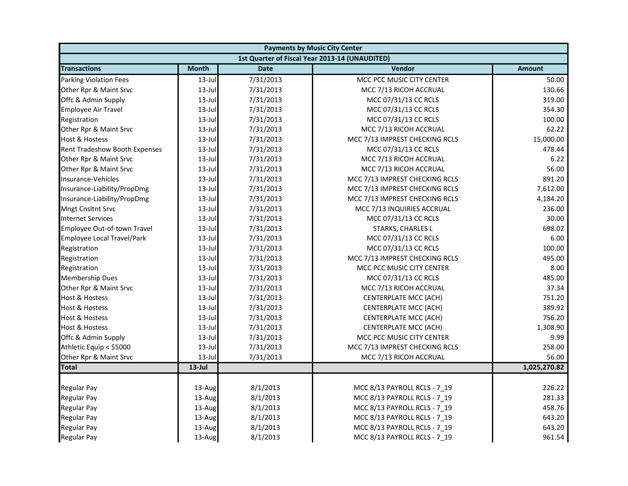| <b>Payments by Music City Center</b> |              |             |                                                |               |
|--------------------------------------|--------------|-------------|------------------------------------------------|---------------|
|                                      |              |             | 1st Quarter of Fiscal Year 2013-14 (UNAUDITED) |               |
| <b>Transactions</b>                  | <b>Month</b> | <b>Date</b> | Vendor                                         | <b>Amount</b> |
| Parking Violation Fees               | $13$ -Jul    | 7/31/2013   | MCC PCC MUSIC CITY CENTER                      | 50.00         |
| Other Rpr & Maint Srvc               | 13-Jul       | 7/31/2013   | MCC 7/13 RICOH ACCRUAL                         | 130.66        |
| Offc & Admin Supply                  | $13$ -Jul    | 7/31/2013   | MCC 07/31/13 CC RCLS                           | 319.00        |
| <b>Employee Air Travel</b>           | $13$ -Jul    | 7/31/2013   | MCC 07/31/13 CC RCLS                           | 354.30        |
| Registration                         | $13$ -Jul    | 7/31/2013   | MCC 07/31/13 CC RCLS                           | 100.00        |
| Other Rpr & Maint Srvc               | $13$ -Jul    | 7/31/2013   | MCC 7/13 RICOH ACCRUAL                         | 62.22         |
| Host & Hostess                       | $13$ -Jul    | 7/31/2013   | MCC 7/13 IMPREST CHECKING RCLS                 | 15,000.00     |
| Rent Tradeshow Booth Expenses        | $13$ -Jul    | 7/31/2013   | MCC 07/31/13 CC RCLS                           | 478.44        |
| Other Rpr & Maint Srvc               | $13$ -Jul    | 7/31/2013   | MCC 7/13 RICOH ACCRUAL                         | 6.22          |
| Other Rpr & Maint Srvc               | $13$ -Jul    | 7/31/2013   | MCC 7/13 RICOH ACCRUAL                         | 56.00         |
| Insurance-Vehicles                   | 13-Jul       | 7/31/2013   | MCC 7/13 IMPREST CHECKING RCLS                 | 891.20        |
| Insurance-Liability/PropDmg          | $13$ -Jul    | 7/31/2013   | MCC 7/13 IMPREST CHECKING RCLS                 | 7,612.00      |
| Insurance-Liability/PropDmg          | $13$ -Jul    | 7/31/2013   | MCC 7/13 IMPREST CHECKING RCLS                 | 4,184.20      |
| Mngt Cnsltnt Srvc                    | $13$ -Jul    | 7/31/2013   | MCC 7/13 INQUIRIES ACCRUAL                     | 236.00        |
| <b>Internet Services</b>             | $13$ -Jul    | 7/31/2013   | MCC 07/31/13 CC RCLS                           | 30.00         |
| Employee Out-of-town Travel          | $13$ -Jul    | 7/31/2013   | STARKS, CHARLES L                              | 698.02        |
| Employee Local Travel/Park           | $13$ -Jul    | 7/31/2013   | MCC 07/31/13 CC RCLS                           | 6.00          |
| Registration                         | $13$ -Jul    | 7/31/2013   | MCC 07/31/13 CC RCLS                           | 100.00        |
| Registration                         | $13$ -Jul    | 7/31/2013   | MCC 7/13 IMPREST CHECKING RCLS                 | 495.00        |
| Registration                         | $13$ -Jul    | 7/31/2013   | MCC PCC MUSIC CITY CENTER                      | 8.00          |
| Membership Dues                      | $13$ -Jul    | 7/31/2013   | MCC 07/31/13 CC RCLS                           | 485.00        |
| Other Rpr & Maint Srvc               | $13$ -Jul    | 7/31/2013   | MCC 7/13 RICOH ACCRUAL                         | 37.34         |
| Host & Hostess                       | $13$ -Jul    | 7/31/2013   | CENTERPLATE MCC (ACH)                          | 751.20        |
| <b>Host &amp; Hostess</b>            | $13$ -Jul    | 7/31/2013   | CENTERPLATE MCC (ACH)                          | 389.92        |
| Host & Hostess                       | $13$ -Jul    | 7/31/2013   | CENTERPLATE MCC (ACH)                          | 756.20        |
| Host & Hostess                       | $13$ -Jul    | 7/31/2013   | CENTERPLATE MCC (ACH)                          | 1,308.90      |
| Offc & Admin Supply                  | $13$ -Jul    | 7/31/2013   | MCC PCC MUSIC CITY CENTER                      | 9.99          |
| Athletic Equip < \$5000              | $13$ -Jul    | 7/31/2013   | MCC 7/13 IMPREST CHECKING RCLS                 | 258.00        |
| Other Rpr & Maint Srvc               | $13$ -Jul    | 7/31/2013   | MCC 7/13 RICOH ACCRUAL                         | 56.00         |
| <b>Total</b>                         | $13$ -Jul    |             |                                                | 1,025,270.82  |
|                                      |              |             |                                                |               |
| Regular Pay                          | 13-Aug       | 8/1/2013    | MCC 8/13 PAYROLL RCLS - 7 19                   | 226.22        |
| <b>Regular Pay</b>                   | 13-Aug       | 8/1/2013    | MCC 8/13 PAYROLL RCLS - 7 19                   | 281.33        |
| Regular Pay                          | 13-Aug       | 8/1/2013    | MCC 8/13 PAYROLL RCLS - 7 19                   | 458.76        |
| <b>Regular Pay</b>                   | 13-Aug       | 8/1/2013    | MCC 8/13 PAYROLL RCLS - 7 19                   | 643.20        |
| <b>Regular Pay</b>                   | 13-Aug       | 8/1/2013    | MCC 8/13 PAYROLL RCLS - 7_19                   | 643.20        |
| <b>Regular Pay</b>                   | 13-Aug       | 8/1/2013    | MCC 8/13 PAYROLL RCLS - 7 19                   | 961.54        |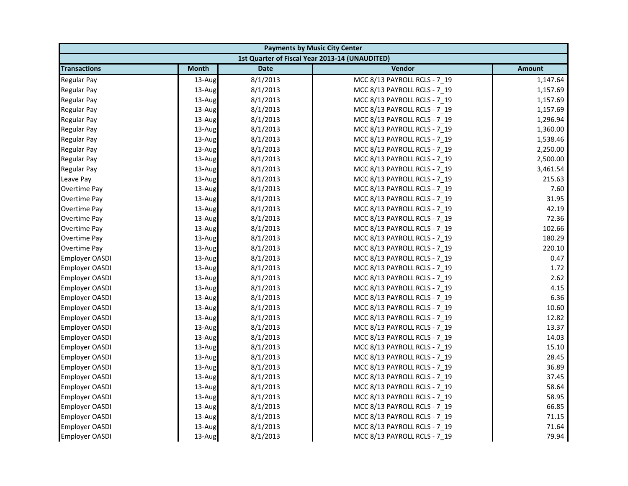| <b>Payments by Music City Center</b> |              |             |                                                |               |
|--------------------------------------|--------------|-------------|------------------------------------------------|---------------|
|                                      |              |             | 1st Quarter of Fiscal Year 2013-14 (UNAUDITED) |               |
| <b>Transactions</b>                  | <b>Month</b> | <b>Date</b> | Vendor                                         | <b>Amount</b> |
| <b>Regular Pay</b>                   | 13-Aug       | 8/1/2013    | MCC 8/13 PAYROLL RCLS - 7 19                   | 1,147.64      |
| <b>Regular Pay</b>                   | 13-Aug       | 8/1/2013    | MCC 8/13 PAYROLL RCLS - 7_19                   | 1,157.69      |
| <b>Regular Pay</b>                   | 13-Aug       | 8/1/2013    | MCC 8/13 PAYROLL RCLS - 7 19                   | 1,157.69      |
| <b>Regular Pay</b>                   | 13-Aug       | 8/1/2013    | MCC 8/13 PAYROLL RCLS - 7 19                   | 1,157.69      |
| <b>Regular Pay</b>                   | 13-Aug       | 8/1/2013    | MCC 8/13 PAYROLL RCLS - 7_19                   | 1,296.94      |
| <b>Regular Pay</b>                   | 13-Aug       | 8/1/2013    | MCC 8/13 PAYROLL RCLS - 7_19                   | 1,360.00      |
| Regular Pay                          | 13-Aug       | 8/1/2013    | MCC 8/13 PAYROLL RCLS - 7 19                   | 1,538.46      |
| <b>Regular Pay</b>                   | 13-Aug       | 8/1/2013    | MCC 8/13 PAYROLL RCLS - 7_19                   | 2,250.00      |
| <b>Regular Pay</b>                   | 13-Aug       | 8/1/2013    | MCC 8/13 PAYROLL RCLS - 7 19                   | 2,500.00      |
| <b>Regular Pay</b>                   | 13-Aug       | 8/1/2013    | MCC 8/13 PAYROLL RCLS - 7 19                   | 3,461.54      |
| Leave Pay                            | 13-Aug       | 8/1/2013    | MCC 8/13 PAYROLL RCLS - 7_19                   | 215.63        |
| Overtime Pay                         | 13-Aug       | 8/1/2013    | MCC 8/13 PAYROLL RCLS - 7 19                   | 7.60          |
| Overtime Pay                         | 13-Aug       | 8/1/2013    | MCC 8/13 PAYROLL RCLS - 7_19                   | 31.95         |
| Overtime Pay                         | 13-Aug       | 8/1/2013    | MCC 8/13 PAYROLL RCLS - 7 19                   | 42.19         |
| Overtime Pay                         | 13-Aug       | 8/1/2013    | MCC 8/13 PAYROLL RCLS - 7_19                   | 72.36         |
| Overtime Pay                         | 13-Aug       | 8/1/2013    | MCC 8/13 PAYROLL RCLS - 7 19                   | 102.66        |
| Overtime Pay                         | 13-Aug       | 8/1/2013    | MCC 8/13 PAYROLL RCLS - 7 19                   | 180.29        |
| <b>Overtime Pay</b>                  | 13-Aug       | 8/1/2013    | MCC 8/13 PAYROLL RCLS - 7_19                   | 220.10        |
| <b>Employer OASDI</b>                | 13-Aug       | 8/1/2013    | MCC 8/13 PAYROLL RCLS - 7 19                   | 0.47          |
| <b>Employer OASDI</b>                | 13-Aug       | 8/1/2013    | MCC 8/13 PAYROLL RCLS - 7_19                   | 1.72          |
| <b>Employer OASDI</b>                | 13-Aug       | 8/1/2013    | MCC 8/13 PAYROLL RCLS - 7_19                   | 2.62          |
| <b>Employer OASDI</b>                | 13-Aug       | 8/1/2013    | MCC 8/13 PAYROLL RCLS - 7 19                   | 4.15          |
| <b>Employer OASDI</b>                | 13-Aug       | 8/1/2013    | MCC 8/13 PAYROLL RCLS - 7_19                   | 6.36          |
| <b>Employer OASDI</b>                | 13-Aug       | 8/1/2013    | MCC 8/13 PAYROLL RCLS - 7 19                   | 10.60         |
| <b>Employer OASDI</b>                | 13-Aug       | 8/1/2013    | MCC 8/13 PAYROLL RCLS - 7 19                   | 12.82         |
| <b>Employer OASDI</b>                | 13-Aug       | 8/1/2013    | MCC 8/13 PAYROLL RCLS - 7_19                   | 13.37         |
| <b>Employer OASDI</b>                | 13-Aug       | 8/1/2013    | MCC 8/13 PAYROLL RCLS - 7_19                   | 14.03         |
| <b>Employer OASDI</b>                | 13-Aug       | 8/1/2013    | MCC 8/13 PAYROLL RCLS - 7 19                   | 15.10         |
| <b>Employer OASDI</b>                | 13-Aug       | 8/1/2013    | MCC 8/13 PAYROLL RCLS - 7 19                   | 28.45         |
| <b>Employer OASDI</b>                | 13-Aug       | 8/1/2013    | MCC 8/13 PAYROLL RCLS - 7_19                   | 36.89         |
| <b>Employer OASDI</b>                | 13-Aug       | 8/1/2013    | MCC 8/13 PAYROLL RCLS - 7 19                   | 37.45         |
| <b>Employer OASDI</b>                | 13-Aug       | 8/1/2013    | MCC 8/13 PAYROLL RCLS - 7 19                   | 58.64         |
| <b>Employer OASDI</b>                | 13-Aug       | 8/1/2013    | MCC 8/13 PAYROLL RCLS - 7_19                   | 58.95         |
| <b>Employer OASDI</b>                | 13-Aug       | 8/1/2013    | MCC 8/13 PAYROLL RCLS - 7 19                   | 66.85         |
| <b>Employer OASDI</b>                | 13-Aug       | 8/1/2013    | MCC 8/13 PAYROLL RCLS - 7 19                   | 71.15         |
| <b>Employer OASDI</b>                | 13-Aug       | 8/1/2013    | MCC 8/13 PAYROLL RCLS - 7_19                   | 71.64         |
| <b>Employer OASDI</b>                | 13-Aug       | 8/1/2013    | MCC 8/13 PAYROLL RCLS - 7 19                   | 79.94         |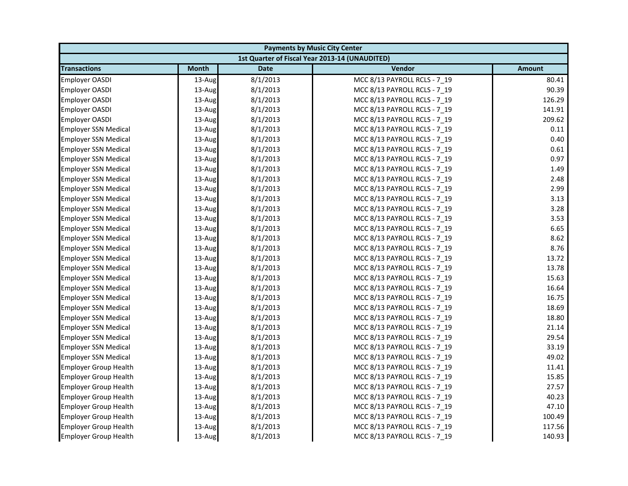| <b>Payments by Music City Center</b> |              |             |                                                |               |
|--------------------------------------|--------------|-------------|------------------------------------------------|---------------|
|                                      |              |             | 1st Quarter of Fiscal Year 2013-14 (UNAUDITED) |               |
| <b>Transactions</b>                  | <b>Month</b> | <b>Date</b> | Vendor                                         | <b>Amount</b> |
| <b>Employer OASDI</b>                | 13-Aug       | 8/1/2013    | MCC 8/13 PAYROLL RCLS - 7 19                   | 80.41         |
| Employer OASDI                       | 13-Aug       | 8/1/2013    | MCC 8/13 PAYROLL RCLS - 7_19                   | 90.39         |
| <b>Employer OASDI</b>                | 13-Aug       | 8/1/2013    | MCC 8/13 PAYROLL RCLS - 7 19                   | 126.29        |
| <b>Employer OASDI</b>                | 13-Aug       | 8/1/2013    | MCC 8/13 PAYROLL RCLS - 7 19                   | 141.91        |
| Employer OASDI                       | 13-Aug       | 8/1/2013    | MCC 8/13 PAYROLL RCLS - 7_19                   | 209.62        |
| <b>Employer SSN Medical</b>          | 13-Aug       | 8/1/2013    | MCC 8/13 PAYROLL RCLS - 7 19                   | 0.11          |
| <b>Employer SSN Medical</b>          | 13-Aug       | 8/1/2013    | MCC 8/13 PAYROLL RCLS - 7 19                   | 0.40          |
| <b>Employer SSN Medical</b>          | 13-Aug       | 8/1/2013    | MCC 8/13 PAYROLL RCLS - 7 19                   | 0.61          |
| <b>Employer SSN Medical</b>          | 13-Aug       | 8/1/2013    | MCC 8/13 PAYROLL RCLS - 7_19                   | 0.97          |
| <b>Employer SSN Medical</b>          | 13-Aug       | 8/1/2013    | MCC 8/13 PAYROLL RCLS - 7_19                   | 1.49          |
| <b>Employer SSN Medical</b>          | 13-Aug       | 8/1/2013    | MCC 8/13 PAYROLL RCLS - 7 19                   | 2.48          |
| <b>Employer SSN Medical</b>          | 13-Aug       | 8/1/2013    | MCC 8/13 PAYROLL RCLS - 7 19                   | 2.99          |
| <b>Employer SSN Medical</b>          | 13-Aug       | 8/1/2013    | MCC 8/13 PAYROLL RCLS - 7_19                   | 3.13          |
| <b>Employer SSN Medical</b>          | 13-Aug       | 8/1/2013    | MCC 8/13 PAYROLL RCLS - 7 19                   | 3.28          |
| <b>Employer SSN Medical</b>          | 13-Aug       | 8/1/2013    | MCC 8/13 PAYROLL RCLS - 7 19                   | 3.53          |
| <b>Employer SSN Medical</b>          | 13-Aug       | 8/1/2013    | MCC 8/13 PAYROLL RCLS - 7_19                   | 6.65          |
| <b>Employer SSN Medical</b>          | 13-Aug       | 8/1/2013    | MCC 8/13 PAYROLL RCLS - 7 19                   | 8.62          |
| <b>Employer SSN Medical</b>          | 13-Aug       | 8/1/2013    | MCC 8/13 PAYROLL RCLS - 7 19                   | 8.76          |
| <b>Employer SSN Medical</b>          | 13-Aug       | 8/1/2013    | MCC 8/13 PAYROLL RCLS - 7_19                   | 13.72         |
| <b>Employer SSN Medical</b>          | 13-Aug       | 8/1/2013    | MCC 8/13 PAYROLL RCLS - 7 19                   | 13.78         |
| <b>Employer SSN Medical</b>          | 13-Aug       | 8/1/2013    | MCC 8/13 PAYROLL RCLS - 7 19                   | 15.63         |
| <b>Employer SSN Medical</b>          | 13-Aug       | 8/1/2013    | MCC 8/13 PAYROLL RCLS - 7 19                   | 16.64         |
| <b>Employer SSN Medical</b>          | 13-Aug       | 8/1/2013    | MCC 8/13 PAYROLL RCLS - 7_19                   | 16.75         |
| <b>Employer SSN Medical</b>          | 13-Aug       | 8/1/2013    | MCC 8/13 PAYROLL RCLS - 7 19                   | 18.69         |
| <b>Employer SSN Medical</b>          | 13-Aug       | 8/1/2013    | MCC 8/13 PAYROLL RCLS - 7 19                   | 18.80         |
| <b>Employer SSN Medical</b>          | 13-Aug       | 8/1/2013    | MCC 8/13 PAYROLL RCLS - 7_19                   | 21.14         |
| <b>Employer SSN Medical</b>          | 13-Aug       | 8/1/2013    | MCC 8/13 PAYROLL RCLS - 7 19                   | 29.54         |
| <b>Employer SSN Medical</b>          | 13-Aug       | 8/1/2013    | MCC 8/13 PAYROLL RCLS - 7 19                   | 33.19         |
| <b>Employer SSN Medical</b>          | 13-Aug       | 8/1/2013    | MCC 8/13 PAYROLL RCLS - 7_19                   | 49.02         |
| <b>Employer Group Health</b>         | 13-Aug       | 8/1/2013    | MCC 8/13 PAYROLL RCLS - 7 19                   | 11.41         |
| <b>Employer Group Health</b>         | 13-Aug       | 8/1/2013    | MCC 8/13 PAYROLL RCLS - 7 19                   | 15.85         |
| <b>Employer Group Health</b>         | 13-Aug       | 8/1/2013    | MCC 8/13 PAYROLL RCLS - 7 19                   | 27.57         |
| <b>Employer Group Health</b>         | 13-Aug       | 8/1/2013    | MCC 8/13 PAYROLL RCLS - 7_19                   | 40.23         |
| <b>Employer Group Health</b>         | 13-Aug       | 8/1/2013    | MCC 8/13 PAYROLL RCLS - 7_19                   | 47.10         |
| <b>Employer Group Health</b>         | 13-Aug       | 8/1/2013    | MCC 8/13 PAYROLL RCLS - 7 19                   | 100.49        |
| <b>Employer Group Health</b>         | 13-Aug       | 8/1/2013    | MCC 8/13 PAYROLL RCLS - 7_19                   | 117.56        |
| <b>Employer Group Health</b>         | 13-Aug       | 8/1/2013    | MCC 8/13 PAYROLL RCLS - 7 19                   | 140.93        |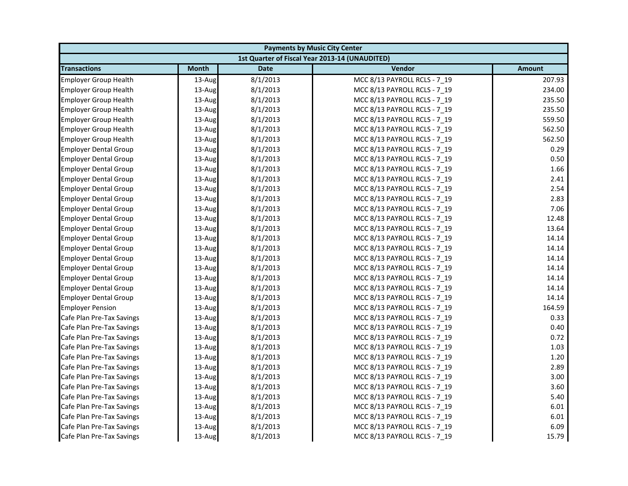| <b>Payments by Music City Center</b> |              |             |                                                |               |
|--------------------------------------|--------------|-------------|------------------------------------------------|---------------|
|                                      |              |             | 1st Quarter of Fiscal Year 2013-14 (UNAUDITED) |               |
| <b>Transactions</b>                  | <b>Month</b> | <b>Date</b> | Vendor                                         | <b>Amount</b> |
| <b>Employer Group Health</b>         | 13-Aug       | 8/1/2013    | MCC 8/13 PAYROLL RCLS - 7 19                   | 207.93        |
| <b>Employer Group Health</b>         | 13-Aug       | 8/1/2013    | MCC 8/13 PAYROLL RCLS - 7_19                   | 234.00        |
| <b>Employer Group Health</b>         | 13-Aug       | 8/1/2013    | MCC 8/13 PAYROLL RCLS - 7 19                   | 235.50        |
| <b>Employer Group Health</b>         | 13-Aug       | 8/1/2013    | MCC 8/13 PAYROLL RCLS - 7 19                   | 235.50        |
| <b>Employer Group Health</b>         | 13-Aug       | 8/1/2013    | MCC 8/13 PAYROLL RCLS - 7_19                   | 559.50        |
| <b>Employer Group Health</b>         | 13-Aug       | 8/1/2013    | MCC 8/13 PAYROLL RCLS - 7_19                   | 562.50        |
| <b>Employer Group Health</b>         | 13-Aug       | 8/1/2013    | MCC 8/13 PAYROLL RCLS - 7 19                   | 562.50        |
| <b>Employer Dental Group</b>         | 13-Aug       | 8/1/2013    | MCC 8/13 PAYROLL RCLS - 7_19                   | 0.29          |
| <b>Employer Dental Group</b>         | 13-Aug       | 8/1/2013    | MCC 8/13 PAYROLL RCLS - 7 19                   | 0.50          |
| <b>Employer Dental Group</b>         | 13-Aug       | 8/1/2013    | MCC 8/13 PAYROLL RCLS - 7 19                   | 1.66          |
| <b>Employer Dental Group</b>         | 13-Aug       | 8/1/2013    | MCC 8/13 PAYROLL RCLS - 7 19                   | 2.41          |
| <b>Employer Dental Group</b>         | 13-Aug       | 8/1/2013    | MCC 8/13 PAYROLL RCLS - 7 19                   | 2.54          |
| <b>Employer Dental Group</b>         | 13-Aug       | 8/1/2013    | MCC 8/13 PAYROLL RCLS - 7_19                   | 2.83          |
| <b>Employer Dental Group</b>         | 13-Aug       | 8/1/2013    | MCC 8/13 PAYROLL RCLS - 7 19                   | 7.06          |
| <b>Employer Dental Group</b>         | 13-Aug       | 8/1/2013    | MCC 8/13 PAYROLL RCLS - 7_19                   | 12.48         |
| <b>Employer Dental Group</b>         | 13-Aug       | 8/1/2013    | MCC 8/13 PAYROLL RCLS - 7 19                   | 13.64         |
| <b>Employer Dental Group</b>         | 13-Aug       | 8/1/2013    | MCC 8/13 PAYROLL RCLS - 7 19                   | 14.14         |
| <b>Employer Dental Group</b>         | 13-Aug       | 8/1/2013    | MCC 8/13 PAYROLL RCLS - 7_19                   | 14.14         |
| <b>Employer Dental Group</b>         | 13-Aug       | 8/1/2013    | MCC 8/13 PAYROLL RCLS - 7 19                   | 14.14         |
| <b>Employer Dental Group</b>         | 13-Aug       | 8/1/2013    | MCC 8/13 PAYROLL RCLS - 7_19                   | 14.14         |
| <b>Employer Dental Group</b>         | 13-Aug       | 8/1/2013    | MCC 8/13 PAYROLL RCLS - 7_19                   | 14.14         |
| <b>Employer Dental Group</b>         | 13-Aug       | 8/1/2013    | MCC 8/13 PAYROLL RCLS - 7 19                   | 14.14         |
| <b>Employer Dental Group</b>         | 13-Aug       | 8/1/2013    | MCC 8/13 PAYROLL RCLS - 7_19                   | 14.14         |
| <b>Employer Pension</b>              | 13-Aug       | 8/1/2013    | MCC 8/13 PAYROLL RCLS - 7 19                   | 164.59        |
| Cafe Plan Pre-Tax Savings            | 13-Aug       | 8/1/2013    | MCC 8/13 PAYROLL RCLS - 7 19                   | 0.33          |
| Cafe Plan Pre-Tax Savings            | 13-Aug       | 8/1/2013    | MCC 8/13 PAYROLL RCLS - 7 19                   | 0.40          |
| Cafe Plan Pre-Tax Savings            | 13-Aug       | 8/1/2013    | MCC 8/13 PAYROLL RCLS - 7_19                   | 0.72          |
| Cafe Plan Pre-Tax Savings            | 13-Aug       | 8/1/2013    | MCC 8/13 PAYROLL RCLS - 7 19                   | 1.03          |
| Cafe Plan Pre-Tax Savings            | 13-Aug       | 8/1/2013    | MCC 8/13 PAYROLL RCLS - 7 19                   | 1.20          |
| Cafe Plan Pre-Tax Savings            | 13-Aug       | 8/1/2013    | MCC 8/13 PAYROLL RCLS - 7_19                   | 2.89          |
| Cafe Plan Pre-Tax Savings            | 13-Aug       | 8/1/2013    | MCC 8/13 PAYROLL RCLS - 7 19                   | 3.00          |
| Cafe Plan Pre-Tax Savings            | 13-Aug       | 8/1/2013    | MCC 8/13 PAYROLL RCLS - 7 19                   | 3.60          |
| Cafe Plan Pre-Tax Savings            | 13-Aug       | 8/1/2013    | MCC 8/13 PAYROLL RCLS - 7_19                   | 5.40          |
| Cafe Plan Pre-Tax Savings            | 13-Aug       | 8/1/2013    | MCC 8/13 PAYROLL RCLS - 7 19                   | 6.01          |
| Cafe Plan Pre-Tax Savings            | 13-Aug       | 8/1/2013    | MCC 8/13 PAYROLL RCLS - 7 19                   | 6.01          |
| Cafe Plan Pre-Tax Savings            | 13-Aug       | 8/1/2013    | MCC 8/13 PAYROLL RCLS - 7 19                   | 6.09          |
| Cafe Plan Pre-Tax Savings            | 13-Aug       | 8/1/2013    | MCC 8/13 PAYROLL RCLS - 7 19                   | 15.79         |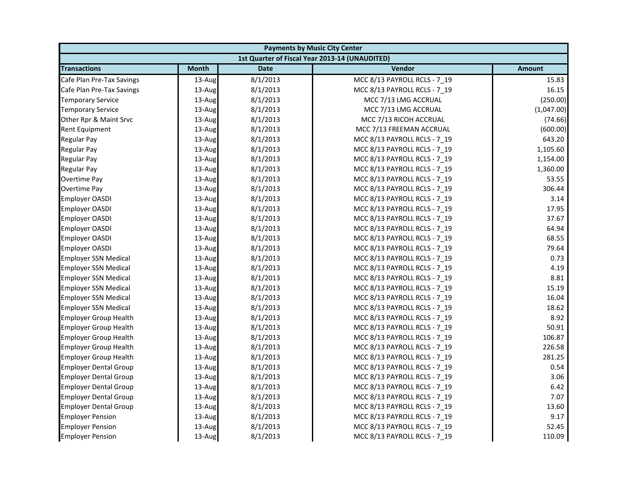| <b>Payments by Music City Center</b> |              |             |                                                |               |
|--------------------------------------|--------------|-------------|------------------------------------------------|---------------|
|                                      |              |             | 1st Quarter of Fiscal Year 2013-14 (UNAUDITED) |               |
| <b>Transactions</b>                  | <b>Month</b> | <b>Date</b> | Vendor                                         | <b>Amount</b> |
| Cafe Plan Pre-Tax Savings            | 13-Aug       | 8/1/2013    | MCC 8/13 PAYROLL RCLS - 7 19                   | 15.83         |
| Cafe Plan Pre-Tax Savings            | 13-Aug       | 8/1/2013    | MCC 8/13 PAYROLL RCLS - 7 19                   | 16.15         |
| <b>Temporary Service</b>             | 13-Aug       | 8/1/2013    | MCC 7/13 LMG ACCRUAL                           | (250.00)      |
| <b>Temporary Service</b>             | 13-Aug       | 8/1/2013    | MCC 7/13 LMG ACCRUAL                           | (1,047.00)    |
| Other Rpr & Maint Srvc               | 13-Aug       | 8/1/2013    | MCC 7/13 RICOH ACCRUAL                         | (74.66)       |
| Rent Equipment                       | 13-Aug       | 8/1/2013    | MCC 7/13 FREEMAN ACCRUAL                       | (600.00)      |
| Regular Pay                          | 13-Aug       | 8/1/2013    | MCC 8/13 PAYROLL RCLS - 7_19                   | 643.20        |
| Regular Pay                          | 13-Aug       | 8/1/2013    | MCC 8/13 PAYROLL RCLS - 7 19                   | 1,105.60      |
| <b>Regular Pay</b>                   | 13-Aug       | 8/1/2013    | MCC 8/13 PAYROLL RCLS - 7 19                   | 1,154.00      |
| <b>Regular Pay</b>                   | 13-Aug       | 8/1/2013    | MCC 8/13 PAYROLL RCLS - 7 19                   | 1,360.00      |
| <b>Overtime Pay</b>                  | 13-Aug       | 8/1/2013    | MCC 8/13 PAYROLL RCLS - 7_19                   | 53.55         |
| Overtime Pay                         | 13-Aug       | 8/1/2013    | MCC 8/13 PAYROLL RCLS - 7 19                   | 306.44        |
| <b>Employer OASDI</b>                | 13-Aug       | 8/1/2013    | MCC 8/13 PAYROLL RCLS - 7_19                   | 3.14          |
| <b>Employer OASDI</b>                | 13-Aug       | 8/1/2013    | MCC 8/13 PAYROLL RCLS - 7_19                   | 17.95         |
| <b>Employer OASDI</b>                | 13-Aug       | 8/1/2013    | MCC 8/13 PAYROLL RCLS - 7 19                   | 37.67         |
| <b>Employer OASDI</b>                | 13-Aug       | 8/1/2013    | MCC 8/13 PAYROLL RCLS - 7 19                   | 64.94         |
| <b>Employer OASDI</b>                | 13-Aug       | 8/1/2013    | MCC 8/13 PAYROLL RCLS - 7 19                   | 68.55         |
| <b>Employer OASDI</b>                | 13-Aug       | 8/1/2013    | MCC 8/13 PAYROLL RCLS - 7_19                   | 79.64         |
| <b>Employer SSN Medical</b>          | 13-Aug       | 8/1/2013    | MCC 8/13 PAYROLL RCLS - 7 19                   | 0.73          |
| <b>Employer SSN Medical</b>          | 13-Aug       | 8/1/2013    | MCC 8/13 PAYROLL RCLS - 7_19                   | 4.19          |
| <b>Employer SSN Medical</b>          | 13-Aug       | 8/1/2013    | MCC 8/13 PAYROLL RCLS - 7 19                   | 8.81          |
| <b>Employer SSN Medical</b>          | 13-Aug       | 8/1/2013    | MCC 8/13 PAYROLL RCLS - 7 19                   | 15.19         |
| <b>Employer SSN Medical</b>          | 13-Aug       | 8/1/2013    | MCC 8/13 PAYROLL RCLS - 7 19                   | 16.04         |
| <b>Employer SSN Medical</b>          | 13-Aug       | 8/1/2013    | MCC 8/13 PAYROLL RCLS - 7 19                   | 18.62         |
| <b>Employer Group Health</b>         | 13-Aug       | 8/1/2013    | MCC 8/13 PAYROLL RCLS - 7_19                   | 8.92          |
| <b>Employer Group Health</b>         | 13-Aug       | 8/1/2013    | MCC 8/13 PAYROLL RCLS - 7 19                   | 50.91         |
| <b>Employer Group Health</b>         | 13-Aug       | 8/1/2013    | MCC 8/13 PAYROLL RCLS - 7_19                   | 106.87        |
| <b>Employer Group Health</b>         | 13-Aug       | 8/1/2013    | MCC 8/13 PAYROLL RCLS - 7 19                   | 226.58        |
| <b>Employer Group Health</b>         | 13-Aug       | 8/1/2013    | MCC 8/13 PAYROLL RCLS - 7_19                   | 281.25        |
| <b>Employer Dental Group</b>         | 13-Aug       | 8/1/2013    | MCC 8/13 PAYROLL RCLS - 7 19                   | 0.54          |
| <b>Employer Dental Group</b>         | 13-Aug       | 8/1/2013    | MCC 8/13 PAYROLL RCLS - 7 19                   | 3.06          |
| <b>Employer Dental Group</b>         | 13-Aug       | 8/1/2013    | MCC 8/13 PAYROLL RCLS - 7 19                   | 6.42          |
| <b>Employer Dental Group</b>         | 13-Aug       | 8/1/2013    | MCC 8/13 PAYROLL RCLS - 7 19                   | 7.07          |
| <b>Employer Dental Group</b>         | 13-Aug       | 8/1/2013    | MCC 8/13 PAYROLL RCLS - 7_19                   | 13.60         |
| <b>Employer Pension</b>              | 13-Aug       | 8/1/2013    | MCC 8/13 PAYROLL RCLS - 7 19                   | 9.17          |
| <b>Employer Pension</b>              | 13-Aug       | 8/1/2013    | MCC 8/13 PAYROLL RCLS - 7_19                   | 52.45         |
| <b>Employer Pension</b>              | 13-Aug       | 8/1/2013    | MCC 8/13 PAYROLL RCLS - 7 19                   | 110.09        |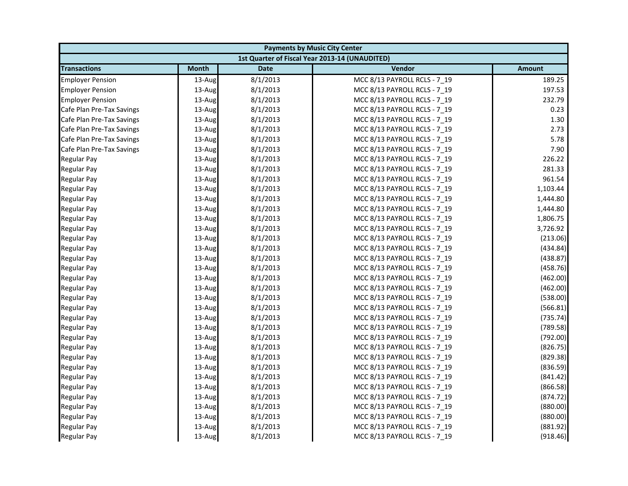| <b>Payments by Music City Center</b> |              |             |                                                |               |
|--------------------------------------|--------------|-------------|------------------------------------------------|---------------|
|                                      |              |             | 1st Quarter of Fiscal Year 2013-14 (UNAUDITED) |               |
| <b>Transactions</b>                  | <b>Month</b> | <b>Date</b> | Vendor                                         | <b>Amount</b> |
| <b>Employer Pension</b>              | 13-Aug       | 8/1/2013    | MCC 8/13 PAYROLL RCLS - 7_19                   | 189.25        |
| <b>Employer Pension</b>              | 13-Aug       | 8/1/2013    | MCC 8/13 PAYROLL RCLS - 7_19                   | 197.53        |
| <b>Employer Pension</b>              | 13-Aug       | 8/1/2013    | MCC 8/13 PAYROLL RCLS - 7 19                   | 232.79        |
| Cafe Plan Pre-Tax Savings            | 13-Aug       | 8/1/2013    | MCC 8/13 PAYROLL RCLS - 7 19                   | 0.23          |
| Cafe Plan Pre-Tax Savings            | 13-Aug       | 8/1/2013    | MCC 8/13 PAYROLL RCLS - 7_19                   | 1.30          |
| Cafe Plan Pre-Tax Savings            | 13-Aug       | 8/1/2013    | MCC 8/13 PAYROLL RCLS - 7_19                   | 2.73          |
| Cafe Plan Pre-Tax Savings            | 13-Aug       | 8/1/2013    | MCC 8/13 PAYROLL RCLS - 7 19                   | 5.78          |
| Cafe Plan Pre-Tax Savings            | 13-Aug       | 8/1/2013    | MCC 8/13 PAYROLL RCLS - 7_19                   | 7.90          |
| <b>Regular Pay</b>                   | 13-Aug       | 8/1/2013    | MCC 8/13 PAYROLL RCLS - 7 19                   | 226.22        |
| <b>Regular Pay</b>                   | 13-Aug       | 8/1/2013    | MCC 8/13 PAYROLL RCLS - 7 19                   | 281.33        |
| <b>Regular Pay</b>                   | 13-Aug       | 8/1/2013    | MCC 8/13 PAYROLL RCLS - 7_19                   | 961.54        |
| <b>Regular Pay</b>                   | 13-Aug       | 8/1/2013    | MCC 8/13 PAYROLL RCLS - 7 19                   | 1,103.44      |
| <b>Regular Pay</b>                   | 13-Aug       | 8/1/2013    | MCC 8/13 PAYROLL RCLS - 7_19                   | 1,444.80      |
| <b>Regular Pay</b>                   | 13-Aug       | 8/1/2013    | MCC 8/13 PAYROLL RCLS - 7_19                   | 1,444.80      |
| <b>Regular Pay</b>                   | 13-Aug       | 8/1/2013    | MCC 8/13 PAYROLL RCLS - 7_19                   | 1,806.75      |
| <b>Regular Pay</b>                   | 13-Aug       | 8/1/2013    | MCC 8/13 PAYROLL RCLS - 7 19                   | 3,726.92      |
| <b>Regular Pay</b>                   | 13-Aug       | 8/1/2013    | MCC 8/13 PAYROLL RCLS - 7 19                   | (213.06)      |
| <b>Regular Pay</b>                   | 13-Aug       | 8/1/2013    | MCC 8/13 PAYROLL RCLS - 7_19                   | (434.84)      |
| <b>Regular Pay</b>                   | 13-Aug       | 8/1/2013    | MCC 8/13 PAYROLL RCLS - 7_19                   | (438.87)      |
| <b>Regular Pay</b>                   | 13-Aug       | 8/1/2013    | MCC 8/13 PAYROLL RCLS - 7_19                   | (458.76)      |
| <b>Regular Pay</b>                   | 13-Aug       | 8/1/2013    | MCC 8/13 PAYROLL RCLS - 7_19                   | (462.00)      |
| <b>Regular Pay</b>                   | 13-Aug       | 8/1/2013    | MCC 8/13 PAYROLL RCLS - 7 19                   | (462.00)      |
| <b>Regular Pay</b>                   | 13-Aug       | 8/1/2013    | MCC 8/13 PAYROLL RCLS - 7_19                   | (538.00)      |
| <b>Regular Pay</b>                   | 13-Aug       | 8/1/2013    | MCC 8/13 PAYROLL RCLS - 7 19                   | (566.81)      |
| <b>Regular Pay</b>                   | 13-Aug       | 8/1/2013    | MCC 8/13 PAYROLL RCLS - 7 19                   | (735.74)      |
| <b>Regular Pay</b>                   | 13-Aug       | 8/1/2013    | MCC 8/13 PAYROLL RCLS - 7_19                   | (789.58)      |
| <b>Regular Pay</b>                   | 13-Aug       | 8/1/2013    | MCC 8/13 PAYROLL RCLS - 7_19                   | (792.00)      |
| <b>Regular Pay</b>                   | 13-Aug       | 8/1/2013    | MCC 8/13 PAYROLL RCLS - 7 19                   | (826.75)      |
| <b>Regular Pay</b>                   | 13-Aug       | 8/1/2013    | MCC 8/13 PAYROLL RCLS - 7_19                   | (829.38)      |
| <b>Regular Pay</b>                   | 13-Aug       | 8/1/2013    | MCC 8/13 PAYROLL RCLS - 7_19                   | (836.59)      |
| <b>Regular Pay</b>                   | 13-Aug       | 8/1/2013    | MCC 8/13 PAYROLL RCLS - 7 19                   | (841.42)      |
| <b>Regular Pay</b>                   | 13-Aug       | 8/1/2013    | MCC 8/13 PAYROLL RCLS - 7 19                   | (866.58)      |
| <b>Regular Pay</b>                   | 13-Aug       | 8/1/2013    | MCC 8/13 PAYROLL RCLS - 7_19                   | (874.72)      |
| <b>Regular Pay</b>                   | 13-Aug       | 8/1/2013    | MCC 8/13 PAYROLL RCLS - 7_19                   | (880.00)      |
| <b>Regular Pay</b>                   | 13-Aug       | 8/1/2013    | MCC 8/13 PAYROLL RCLS - 7 19                   | (880.00)      |
| <b>Regular Pay</b>                   | 13-Aug       | 8/1/2013    | MCC 8/13 PAYROLL RCLS - 7_19                   | (881.92)      |
| <b>Regular Pay</b>                   | 13-Aug       | 8/1/2013    | MCC 8/13 PAYROLL RCLS - 7 19                   | (918.46)      |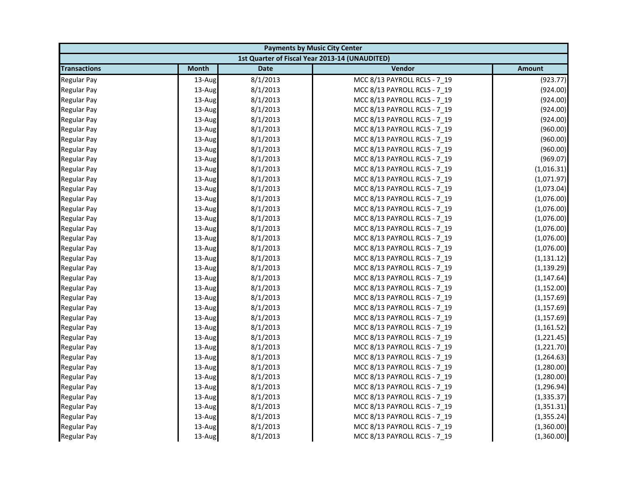| <b>Payments by Music City Center</b> |              |             |                                                |               |
|--------------------------------------|--------------|-------------|------------------------------------------------|---------------|
|                                      |              |             | 1st Quarter of Fiscal Year 2013-14 (UNAUDITED) |               |
| <b>Transactions</b>                  | <b>Month</b> | <b>Date</b> | Vendor                                         | <b>Amount</b> |
| <b>Regular Pay</b>                   | 13-Aug       | 8/1/2013    | MCC 8/13 PAYROLL RCLS - 7_19                   | (923.77)      |
| <b>Regular Pay</b>                   | 13-Aug       | 8/1/2013    | MCC 8/13 PAYROLL RCLS - 7_19                   | (924.00)      |
| <b>Regular Pay</b>                   | 13-Aug       | 8/1/2013    | MCC 8/13 PAYROLL RCLS - 7 19                   | (924.00)      |
| <b>Regular Pay</b>                   | 13-Aug       | 8/1/2013    | MCC 8/13 PAYROLL RCLS - 7_19                   | (924.00)      |
| <b>Regular Pay</b>                   | 13-Aug       | 8/1/2013    | MCC 8/13 PAYROLL RCLS - 7_19                   | (924.00)      |
| <b>Regular Pay</b>                   | 13-Aug       | 8/1/2013    | MCC 8/13 PAYROLL RCLS - 7_19                   | (960.00)      |
| <b>Regular Pay</b>                   | 13-Aug       | 8/1/2013    | MCC 8/13 PAYROLL RCLS - 7 19                   | (960.00)      |
| <b>Regular Pay</b>                   | 13-Aug       | 8/1/2013    | MCC 8/13 PAYROLL RCLS - 7_19                   | (960.00)      |
| <b>Regular Pay</b>                   | 13-Aug       | 8/1/2013    | MCC 8/13 PAYROLL RCLS - 7 19                   | (969.07)      |
| <b>Regular Pay</b>                   | 13-Aug       | 8/1/2013    | MCC 8/13 PAYROLL RCLS - 7 19                   | (1,016.31)    |
| <b>Regular Pay</b>                   | 13-Aug       | 8/1/2013    | MCC 8/13 PAYROLL RCLS - 7_19                   | (1,071.97)    |
| <b>Regular Pay</b>                   | 13-Aug       | 8/1/2013    | MCC 8/13 PAYROLL RCLS - 7 19                   | (1,073.04)    |
| <b>Regular Pay</b>                   | 13-Aug       | 8/1/2013    | MCC 8/13 PAYROLL RCLS - 7_19                   | (1,076.00)    |
| <b>Regular Pay</b>                   | 13-Aug       | 8/1/2013    | MCC 8/13 PAYROLL RCLS - 7_19                   | (1,076.00)    |
| <b>Regular Pay</b>                   | 13-Aug       | 8/1/2013    | MCC 8/13 PAYROLL RCLS - 7_19                   | (1,076.00)    |
| <b>Regular Pay</b>                   | 13-Aug       | 8/1/2013    | MCC 8/13 PAYROLL RCLS - 7_19                   | (1,076.00)    |
| <b>Regular Pay</b>                   | 13-Aug       | 8/1/2013    | MCC 8/13 PAYROLL RCLS - 7 19                   | (1,076.00)    |
| <b>Regular Pay</b>                   | 13-Aug       | 8/1/2013    | MCC 8/13 PAYROLL RCLS - 7_19                   | (1,076.00)    |
| <b>Regular Pay</b>                   | 13-Aug       | 8/1/2013    | MCC 8/13 PAYROLL RCLS - 7_19                   | (1, 131.12)   |
| <b>Regular Pay</b>                   | 13-Aug       | 8/1/2013    | MCC 8/13 PAYROLL RCLS - 7_19                   | (1, 139.29)   |
| <b>Regular Pay</b>                   | 13-Aug       | 8/1/2013    | MCC 8/13 PAYROLL RCLS - 7_19                   | (1, 147.64)   |
| <b>Regular Pay</b>                   | 13-Aug       | 8/1/2013    | MCC 8/13 PAYROLL RCLS - 7 19                   | (1, 152.00)   |
| <b>Regular Pay</b>                   | 13-Aug       | 8/1/2013    | MCC 8/13 PAYROLL RCLS - 7_19                   | (1, 157.69)   |
| <b>Regular Pay</b>                   | 13-Aug       | 8/1/2013    | MCC 8/13 PAYROLL RCLS - 7 19                   | (1, 157.69)   |
| <b>Regular Pay</b>                   | 13-Aug       | 8/1/2013    | MCC 8/13 PAYROLL RCLS - 7 19                   | (1, 157.69)   |
| <b>Regular Pay</b>                   | 13-Aug       | 8/1/2013    | MCC 8/13 PAYROLL RCLS - 7_19                   | (1, 161.52)   |
| <b>Regular Pay</b>                   | 13-Aug       | 8/1/2013    | MCC 8/13 PAYROLL RCLS - 7_19                   | (1,221.45)    |
| <b>Regular Pay</b>                   | 13-Aug       | 8/1/2013    | MCC 8/13 PAYROLL RCLS - 7 19                   | (1,221.70)    |
| <b>Regular Pay</b>                   | 13-Aug       | 8/1/2013    | MCC 8/13 PAYROLL RCLS - 7_19                   | (1, 264.63)   |
| <b>Regular Pay</b>                   | 13-Aug       | 8/1/2013    | MCC 8/13 PAYROLL RCLS - 7_19                   | (1,280.00)    |
| <b>Regular Pay</b>                   | 13-Aug       | 8/1/2013    | MCC 8/13 PAYROLL RCLS - 7 19                   | (1,280.00)    |
| <b>Regular Pay</b>                   | 13-Aug       | 8/1/2013    | MCC 8/13 PAYROLL RCLS - 7 19                   | (1, 296.94)   |
| <b>Regular Pay</b>                   | 13-Aug       | 8/1/2013    | MCC 8/13 PAYROLL RCLS - 7_19                   | (1, 335.37)   |
| <b>Regular Pay</b>                   | 13-Aug       | 8/1/2013    | MCC 8/13 PAYROLL RCLS - 7_19                   | (1,351.31)    |
| <b>Regular Pay</b>                   | 13-Aug       | 8/1/2013    | MCC 8/13 PAYROLL RCLS - 7 19                   | (1, 355.24)   |
| <b>Regular Pay</b>                   | 13-Aug       | 8/1/2013    | MCC 8/13 PAYROLL RCLS - 7_19                   | (1,360.00)    |
| <b>Regular Pay</b>                   | 13-Aug       | 8/1/2013    | MCC 8/13 PAYROLL RCLS - 7 19                   | (1,360.00)    |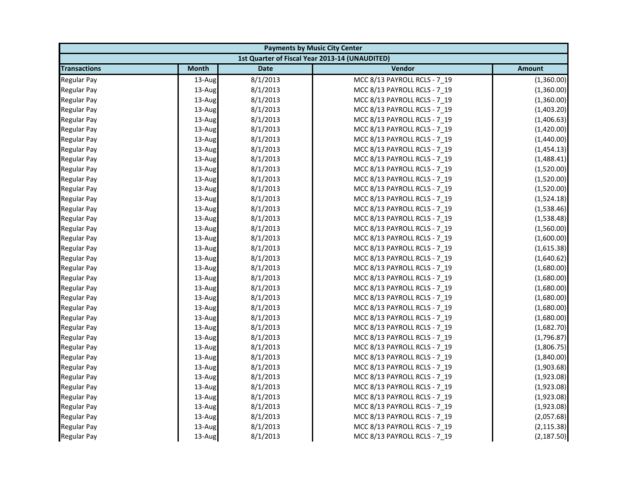| <b>Payments by Music City Center</b> |              |             |                                                |               |
|--------------------------------------|--------------|-------------|------------------------------------------------|---------------|
|                                      |              |             | 1st Quarter of Fiscal Year 2013-14 (UNAUDITED) |               |
| <b>Transactions</b>                  | <b>Month</b> | <b>Date</b> | Vendor                                         | <b>Amount</b> |
| <b>Regular Pay</b>                   | 13-Aug       | 8/1/2013    | MCC 8/13 PAYROLL RCLS - 7_19                   | (1,360.00)    |
| <b>Regular Pay</b>                   | 13-Aug       | 8/1/2013    | MCC 8/13 PAYROLL RCLS - 7_19                   | (1,360.00)    |
| <b>Regular Pay</b>                   | 13-Aug       | 8/1/2013    | MCC 8/13 PAYROLL RCLS - 7 19                   | (1,360.00)    |
| <b>Regular Pay</b>                   | 13-Aug       | 8/1/2013    | MCC 8/13 PAYROLL RCLS - 7_19                   | (1,403.20)    |
| <b>Regular Pay</b>                   | 13-Aug       | 8/1/2013    | MCC 8/13 PAYROLL RCLS - 7_19                   | (1,406.63)    |
| <b>Regular Pay</b>                   | 13-Aug       | 8/1/2013    | MCC 8/13 PAYROLL RCLS - 7_19                   | (1,420.00)    |
| <b>Regular Pay</b>                   | 13-Aug       | 8/1/2013    | MCC 8/13 PAYROLL RCLS - 7 19                   | (1,440.00)    |
| <b>Regular Pay</b>                   | 13-Aug       | 8/1/2013    | MCC 8/13 PAYROLL RCLS - 7_19                   | (1,454.13)    |
| Regular Pay                          | 13-Aug       | 8/1/2013    | MCC 8/13 PAYROLL RCLS - 7 19                   | (1,488.41)    |
| <b>Regular Pay</b>                   | 13-Aug       | 8/1/2013    | MCC 8/13 PAYROLL RCLS - 7 19                   | (1,520.00)    |
| <b>Regular Pay</b>                   | 13-Aug       | 8/1/2013    | MCC 8/13 PAYROLL RCLS - 7_19                   | (1,520.00)    |
| <b>Regular Pay</b>                   | 13-Aug       | 8/1/2013    | MCC 8/13 PAYROLL RCLS - 7 19                   | (1,520.00)    |
| <b>Regular Pay</b>                   | 13-Aug       | 8/1/2013    | MCC 8/13 PAYROLL RCLS - 7_19                   | (1,524.18)    |
| <b>Regular Pay</b>                   | 13-Aug       | 8/1/2013    | MCC 8/13 PAYROLL RCLS - 7_19                   | (1,538.46)    |
| <b>Regular Pay</b>                   | 13-Aug       | 8/1/2013    | MCC 8/13 PAYROLL RCLS - 7_19                   | (1,538.48)    |
| <b>Regular Pay</b>                   | 13-Aug       | 8/1/2013    | MCC 8/13 PAYROLL RCLS - 7_19                   | (1,560.00)    |
| <b>Regular Pay</b>                   | 13-Aug       | 8/1/2013    | MCC 8/13 PAYROLL RCLS - 7 19                   | (1,600.00)    |
| <b>Regular Pay</b>                   | 13-Aug       | 8/1/2013    | MCC 8/13 PAYROLL RCLS - 7_19                   | (1,615.38)    |
| <b>Regular Pay</b>                   | 13-Aug       | 8/1/2013    | MCC 8/13 PAYROLL RCLS - 7_19                   | (1,640.62)    |
| <b>Regular Pay</b>                   | 13-Aug       | 8/1/2013    | MCC 8/13 PAYROLL RCLS - 7_19                   | (1,680.00)    |
| <b>Regular Pay</b>                   | 13-Aug       | 8/1/2013    | MCC 8/13 PAYROLL RCLS - 7_19                   | (1,680.00)    |
| <b>Regular Pay</b>                   | 13-Aug       | 8/1/2013    | MCC 8/13 PAYROLL RCLS - 7 19                   | (1,680.00)    |
| <b>Regular Pay</b>                   | 13-Aug       | 8/1/2013    | MCC 8/13 PAYROLL RCLS - 7_19                   | (1,680.00)    |
| <b>Regular Pay</b>                   | 13-Aug       | 8/1/2013    | MCC 8/13 PAYROLL RCLS - 7 19                   | (1,680.00)    |
| <b>Regular Pay</b>                   | 13-Aug       | 8/1/2013    | MCC 8/13 PAYROLL RCLS - 7 19                   | (1,680.00)    |
| <b>Regular Pay</b>                   | 13-Aug       | 8/1/2013    | MCC 8/13 PAYROLL RCLS - 7_19                   | (1,682.70)    |
| <b>Regular Pay</b>                   | 13-Aug       | 8/1/2013    | MCC 8/13 PAYROLL RCLS - 7_19                   | (1,796.87)    |
| <b>Regular Pay</b>                   | 13-Aug       | 8/1/2013    | MCC 8/13 PAYROLL RCLS - 7 19                   | (1,806.75)    |
| <b>Regular Pay</b>                   | 13-Aug       | 8/1/2013    | MCC 8/13 PAYROLL RCLS - 7_19                   | (1,840.00)    |
| <b>Regular Pay</b>                   | 13-Aug       | 8/1/2013    | MCC 8/13 PAYROLL RCLS - 7_19                   | (1,903.68)    |
| <b>Regular Pay</b>                   | 13-Aug       | 8/1/2013    | MCC 8/13 PAYROLL RCLS - 7 19                   | (1,923.08)    |
| <b>Regular Pay</b>                   | 13-Aug       | 8/1/2013    | MCC 8/13 PAYROLL RCLS - 7 19                   | (1,923.08)    |
| <b>Regular Pay</b>                   | 13-Aug       | 8/1/2013    | MCC 8/13 PAYROLL RCLS - 7_19                   | (1,923.08)    |
| <b>Regular Pay</b>                   | 13-Aug       | 8/1/2013    | MCC 8/13 PAYROLL RCLS - 7_19                   | (1,923.08)    |
| <b>Regular Pay</b>                   | 13-Aug       | 8/1/2013    | MCC 8/13 PAYROLL RCLS - 7 19                   | (2,057.68)    |
| <b>Regular Pay</b>                   | 13-Aug       | 8/1/2013    | MCC 8/13 PAYROLL RCLS - 7_19                   | (2, 115.38)   |
| <b>Regular Pay</b>                   | 13-Aug       | 8/1/2013    | MCC 8/13 PAYROLL RCLS - 7 19                   | (2, 187.50)   |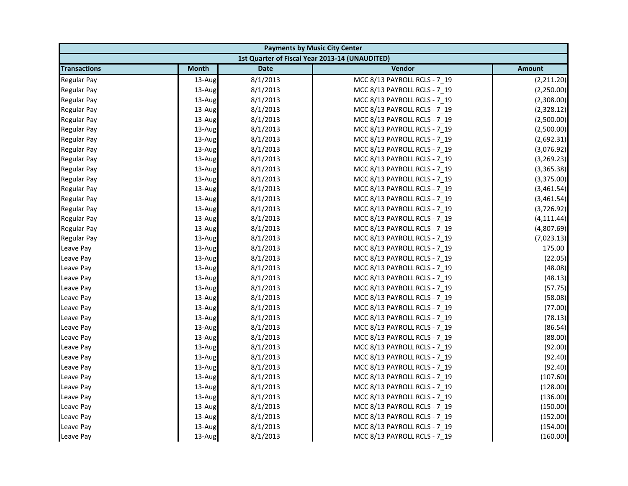| <b>Payments by Music City Center</b> |              |             |                                                |               |
|--------------------------------------|--------------|-------------|------------------------------------------------|---------------|
|                                      |              |             | 1st Quarter of Fiscal Year 2013-14 (UNAUDITED) |               |
| <b>Transactions</b>                  | <b>Month</b> | <b>Date</b> | Vendor                                         | <b>Amount</b> |
| <b>Regular Pay</b>                   | 13-Aug       | 8/1/2013    | MCC 8/13 PAYROLL RCLS - 7 19                   | (2,211.20)    |
| <b>Regular Pay</b>                   | 13-Aug       | 8/1/2013    | MCC 8/13 PAYROLL RCLS - 7_19                   | (2,250.00)    |
| <b>Regular Pay</b>                   | 13-Aug       | 8/1/2013    | MCC 8/13 PAYROLL RCLS - 7 19                   | (2,308.00)    |
| <b>Regular Pay</b>                   | 13-Aug       | 8/1/2013    | MCC 8/13 PAYROLL RCLS - 7 19                   | (2,328.12)    |
| <b>Regular Pay</b>                   | 13-Aug       | 8/1/2013    | MCC 8/13 PAYROLL RCLS - 7_19                   | (2,500.00)    |
| <b>Regular Pay</b>                   | 13-Aug       | 8/1/2013    | MCC 8/13 PAYROLL RCLS - 7 19                   | (2,500.00)    |
| <b>Regular Pay</b>                   | 13-Aug       | 8/1/2013    | MCC 8/13 PAYROLL RCLS - 7_19                   | (2,692.31)    |
| <b>Regular Pay</b>                   | 13-Aug       | 8/1/2013    | MCC 8/13 PAYROLL RCLS - 7_19                   | (3,076.92)    |
| <b>Regular Pay</b>                   | 13-Aug       | 8/1/2013    | MCC 8/13 PAYROLL RCLS - 7_19                   | (3,269.23)    |
| <b>Regular Pay</b>                   | 13-Aug       | 8/1/2013    | MCC 8/13 PAYROLL RCLS - 7_19                   | (3,365.38)    |
| <b>Regular Pay</b>                   | 13-Aug       | 8/1/2013    | MCC 8/13 PAYROLL RCLS - 7 19                   | (3,375.00)    |
| <b>Regular Pay</b>                   | 13-Aug       | 8/1/2013    | MCC 8/13 PAYROLL RCLS - 7_19                   | (3,461.54)    |
| <b>Regular Pay</b>                   | 13-Aug       | 8/1/2013    | MCC 8/13 PAYROLL RCLS - 7_19                   | (3,461.54)    |
| <b>Regular Pay</b>                   | 13-Aug       | 8/1/2013    | MCC 8/13 PAYROLL RCLS - 7 19                   | (3,726.92)    |
| <b>Regular Pay</b>                   | 13-Aug       | 8/1/2013    | MCC 8/13 PAYROLL RCLS - 7 19                   | (4, 111.44)   |
| <b>Regular Pay</b>                   | 13-Aug       | 8/1/2013    | MCC 8/13 PAYROLL RCLS - 7_19                   | (4,807.69)    |
| <b>Regular Pay</b>                   | 13-Aug       | 8/1/2013    | MCC 8/13 PAYROLL RCLS - 7_19                   | (7,023.13)    |
| Leave Pay                            | 13-Aug       | 8/1/2013    | MCC 8/13 PAYROLL RCLS - 7 19                   | 175.00        |
| Leave Pay                            | 13-Aug       | 8/1/2013    | MCC 8/13 PAYROLL RCLS - 7_19                   | (22.05)       |
| Leave Pay                            | 13-Aug       | 8/1/2013    | MCC 8/13 PAYROLL RCLS - 7 19                   | (48.08)       |
| Leave Pay                            | 13-Aug       | 8/1/2013    | MCC 8/13 PAYROLL RCLS - 7 19                   | (48.13)       |
| Leave Pay                            | 13-Aug       | 8/1/2013    | MCC 8/13 PAYROLL RCLS - 7_19                   | (57.75)       |
| Leave Pay                            | 13-Aug       | 8/1/2013    | MCC 8/13 PAYROLL RCLS - 7_19                   | (58.08)       |
| Leave Pay                            | 13-Aug       | 8/1/2013    | MCC 8/13 PAYROLL RCLS - 7 19                   | (77.00)       |
| Leave Pay                            | 13-Aug       | 8/1/2013    | MCC 8/13 PAYROLL RCLS - 7_19                   | (78.13)       |
| Leave Pay                            | 13-Aug       | 8/1/2013    | MCC 8/13 PAYROLL RCLS - 7_19                   | (86.54)       |
| Leave Pay                            | 13-Aug       | 8/1/2013    | MCC 8/13 PAYROLL RCLS - 7_19                   | (88.00)       |
| Leave Pay                            | 13-Aug       | 8/1/2013    | MCC 8/13 PAYROLL RCLS - 7 19                   | (92.00)       |
| Leave Pay                            | 13-Aug       | 8/1/2013    | MCC 8/13 PAYROLL RCLS - 7_19                   | (92.40)       |
| Leave Pay                            | 13-Aug       | 8/1/2013    | MCC 8/13 PAYROLL RCLS - 7_19                   | (92.40)       |
| Leave Pay                            | 13-Aug       | 8/1/2013    | MCC 8/13 PAYROLL RCLS - 7 19                   | (107.60)      |
| Leave Pay                            | 13-Aug       | 8/1/2013    | MCC 8/13 PAYROLL RCLS - 7_19                   | (128.00)      |
| Leave Pay                            | 13-Aug       | 8/1/2013    | MCC 8/13 PAYROLL RCLS - 7_19                   | (136.00)      |
| Leave Pay                            | 13-Aug       | 8/1/2013    | MCC 8/13 PAYROLL RCLS - 7_19                   | (150.00)      |
| Leave Pay                            | 13-Aug       | 8/1/2013    | MCC 8/13 PAYROLL RCLS - 7 19                   | (152.00)      |
| Leave Pay                            | 13-Aug       | 8/1/2013    | MCC 8/13 PAYROLL RCLS - 7_19                   | (154.00)      |
| Leave Pay                            | 13-Aug       | 8/1/2013    | MCC 8/13 PAYROLL RCLS - 7 19                   | (160.00)      |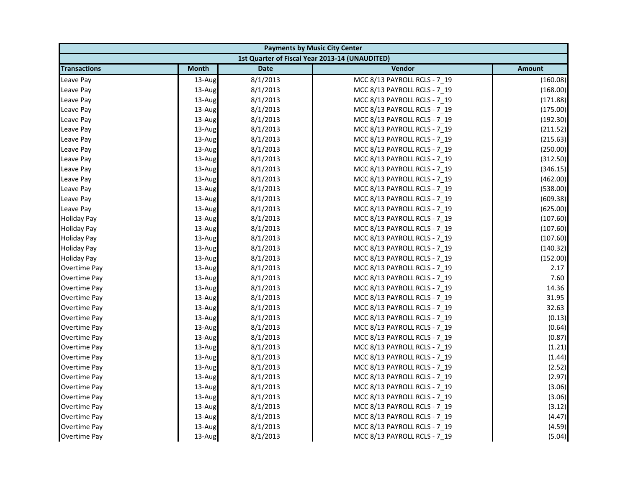| <b>Payments by Music City Center</b> |              |             |                                                |               |
|--------------------------------------|--------------|-------------|------------------------------------------------|---------------|
|                                      |              |             | 1st Quarter of Fiscal Year 2013-14 (UNAUDITED) |               |
| <b>Transactions</b>                  | <b>Month</b> | <b>Date</b> | Vendor                                         | <b>Amount</b> |
| Leave Pay                            | 13-Aug       | 8/1/2013    | MCC 8/13 PAYROLL RCLS - 7_19                   | (160.08)      |
| Leave Pay                            | 13-Aug       | 8/1/2013    | MCC 8/13 PAYROLL RCLS - 7_19                   | (168.00)      |
| Leave Pay                            | 13-Aug       | 8/1/2013    | MCC 8/13 PAYROLL RCLS - 7 19                   | (171.88)      |
| Leave Pay                            | 13-Aug       | 8/1/2013    | MCC 8/13 PAYROLL RCLS - 7 19                   | (175.00)      |
| Leave Pay                            | 13-Aug       | 8/1/2013    | MCC 8/13 PAYROLL RCLS - 7_19                   | (192.30)      |
| Leave Pay                            | 13-Aug       | 8/1/2013    | MCC 8/13 PAYROLL RCLS - 7_19                   | (211.52)      |
| Leave Pay                            | 13-Aug       | 8/1/2013    | MCC 8/13 PAYROLL RCLS - 7 19                   | (215.63)      |
| Leave Pay                            | 13-Aug       | 8/1/2013    | MCC 8/13 PAYROLL RCLS - 7_19                   | (250.00)      |
| Leave Pay                            | 13-Aug       | 8/1/2013    | MCC 8/13 PAYROLL RCLS - 7 19                   | (312.50)      |
| Leave Pay                            | 13-Aug       | 8/1/2013    | MCC 8/13 PAYROLL RCLS - 7 19                   | (346.15)      |
| Leave Pay                            | 13-Aug       | 8/1/2013    | MCC 8/13 PAYROLL RCLS - 7_19                   | (462.00)      |
| Leave Pay                            | 13-Aug       | 8/1/2013    | MCC 8/13 PAYROLL RCLS - 7 19                   | (538.00)      |
| Leave Pay                            | 13-Aug       | 8/1/2013    | MCC 8/13 PAYROLL RCLS - 7_19                   | (609.38)      |
| Leave Pay                            | 13-Aug       | 8/1/2013    | MCC 8/13 PAYROLL RCLS - 7_19                   | (625.00)      |
| <b>Holiday Pay</b>                   | 13-Aug       | 8/1/2013    | MCC 8/13 PAYROLL RCLS - 7_19                   | (107.60)      |
| <b>Holiday Pay</b>                   | 13-Aug       | 8/1/2013    | MCC 8/13 PAYROLL RCLS - 7 19                   | (107.60)      |
| <b>Holiday Pay</b>                   | 13-Aug       | 8/1/2013    | MCC 8/13 PAYROLL RCLS - 7 19                   | (107.60)      |
| <b>Holiday Pay</b>                   | 13-Aug       | 8/1/2013    | MCC 8/13 PAYROLL RCLS - 7_19                   | (140.32)      |
| <b>Holiday Pay</b>                   | 13-Aug       | 8/1/2013    | MCC 8/13 PAYROLL RCLS - 7 19                   | (152.00)      |
| Overtime Pay                         | 13-Aug       | 8/1/2013    | MCC 8/13 PAYROLL RCLS - 7_19                   | 2.17          |
| Overtime Pay                         | 13-Aug       | 8/1/2013    | MCC 8/13 PAYROLL RCLS - 7_19                   | 7.60          |
| Overtime Pay                         | 13-Aug       | 8/1/2013    | MCC 8/13 PAYROLL RCLS - 7 19                   | 14.36         |
| Overtime Pay                         | 13-Aug       | 8/1/2013    | MCC 8/13 PAYROLL RCLS - 7_19                   | 31.95         |
| Overtime Pay                         | 13-Aug       | 8/1/2013    | MCC 8/13 PAYROLL RCLS - 7 19                   | 32.63         |
| Overtime Pay                         | 13-Aug       | 8/1/2013    | MCC 8/13 PAYROLL RCLS - 7 19                   | (0.13)        |
| Overtime Pay                         | 13-Aug       | 8/1/2013    | MCC 8/13 PAYROLL RCLS - 7_19                   | (0.64)        |
| Overtime Pay                         | 13-Aug       | 8/1/2013    | MCC 8/13 PAYROLL RCLS - 7_19                   | (0.87)        |
| Overtime Pay                         | 13-Aug       | 8/1/2013    | MCC 8/13 PAYROLL RCLS - 7 19                   | (1.21)        |
| Overtime Pay                         | 13-Aug       | 8/1/2013    | MCC 8/13 PAYROLL RCLS - 7 19                   | (1.44)        |
| Overtime Pay                         | 13-Aug       | 8/1/2013    | MCC 8/13 PAYROLL RCLS - 7_19                   | (2.52)        |
| Overtime Pay                         | 13-Aug       | 8/1/2013    | MCC 8/13 PAYROLL RCLS - 7 19                   | (2.97)        |
| Overtime Pay                         | 13-Aug       | 8/1/2013    | MCC 8/13 PAYROLL RCLS - 7 19                   | (3.06)        |
| Overtime Pay                         | 13-Aug       | 8/1/2013    | MCC 8/13 PAYROLL RCLS - 7_19                   | (3.06)        |
| Overtime Pay                         | 13-Aug       | 8/1/2013    | MCC 8/13 PAYROLL RCLS - 7_19                   | (3.12)        |
| <b>Overtime Pay</b>                  | 13-Aug       | 8/1/2013    | MCC 8/13 PAYROLL RCLS - 7 19                   | (4.47)        |
| Overtime Pay                         | 13-Aug       | 8/1/2013    | MCC 8/13 PAYROLL RCLS - 7_19                   | (4.59)        |
| Overtime Pay                         | 13-Aug       | 8/1/2013    | MCC 8/13 PAYROLL RCLS - 7 19                   | (5.04)        |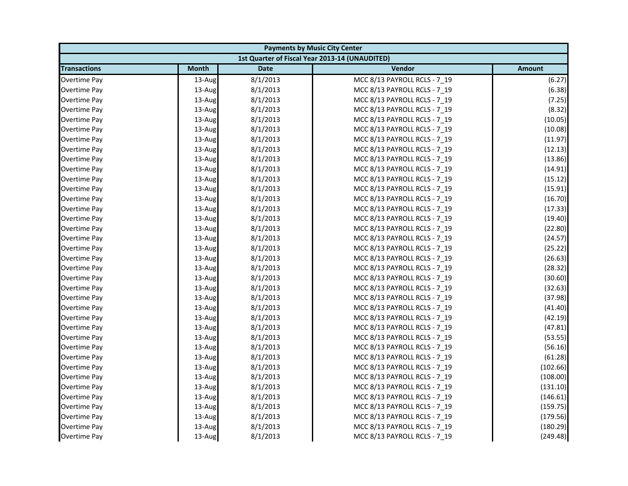| <b>Payments by Music City Center</b> |              |             |                                                |               |
|--------------------------------------|--------------|-------------|------------------------------------------------|---------------|
|                                      |              |             | 1st Quarter of Fiscal Year 2013-14 (UNAUDITED) |               |
| <b>Transactions</b>                  | <b>Month</b> | <b>Date</b> | Vendor                                         | <b>Amount</b> |
| Overtime Pay                         | 13-Aug       | 8/1/2013    | MCC 8/13 PAYROLL RCLS - 7 19                   | (6.27)        |
| <b>Overtime Pay</b>                  | 13-Aug       | 8/1/2013    | MCC 8/13 PAYROLL RCLS - 7_19                   | (6.38)        |
| Overtime Pay                         | 13-Aug       | 8/1/2013    | MCC 8/13 PAYROLL RCLS - 7 19                   | (7.25)        |
| Overtime Pay                         | 13-Aug       | 8/1/2013    | MCC 8/13 PAYROLL RCLS - 7 19                   | (8.32)        |
| <b>Overtime Pay</b>                  | 13-Aug       | 8/1/2013    | MCC 8/13 PAYROLL RCLS - 7_19                   | (10.05)       |
| Overtime Pay                         | 13-Aug       | 8/1/2013    | MCC 8/13 PAYROLL RCLS - 7_19                   | (10.08)       |
| Overtime Pay                         | 13-Aug       | 8/1/2013    | MCC 8/13 PAYROLL RCLS - 7 19                   | (11.97)       |
| Overtime Pay                         | 13-Aug       | 8/1/2013    | MCC 8/13 PAYROLL RCLS - 7_19                   | (12.13)       |
| Overtime Pay                         | 13-Aug       | 8/1/2013    | MCC 8/13 PAYROLL RCLS - 7 19                   | (13.86)       |
| Overtime Pay                         | 13-Aug       | 8/1/2013    | MCC 8/13 PAYROLL RCLS - 7 19                   | (14.91)       |
| Overtime Pay                         | 13-Aug       | 8/1/2013    | MCC 8/13 PAYROLL RCLS - 7_19                   | (15.12)       |
| <b>Overtime Pay</b>                  | 13-Aug       | 8/1/2013    | MCC 8/13 PAYROLL RCLS - 7 19                   | (15.91)       |
| Overtime Pay                         | 13-Aug       | 8/1/2013    | MCC 8/13 PAYROLL RCLS - 7_19                   | (16.70)       |
| Overtime Pay                         | 13-Aug       | 8/1/2013    | MCC 8/13 PAYROLL RCLS - 7_19                   | (17.33)       |
| <b>Overtime Pay</b>                  | 13-Aug       | 8/1/2013    | MCC 8/13 PAYROLL RCLS - 7_19                   | (19.40)       |
| Overtime Pay                         | 13-Aug       | 8/1/2013    | MCC 8/13 PAYROLL RCLS - 7 19                   | (22.80)       |
| Overtime Pay                         | 13-Aug       | 8/1/2013    | MCC 8/13 PAYROLL RCLS - 7 19                   | (24.57)       |
| <b>Overtime Pay</b>                  | 13-Aug       | 8/1/2013    | MCC 8/13 PAYROLL RCLS - 7_19                   | (25.22)       |
| Overtime Pay                         | 13-Aug       | 8/1/2013    | MCC 8/13 PAYROLL RCLS - 7 19                   | (26.63)       |
| Overtime Pay                         | 13-Aug       | 8/1/2013    | MCC 8/13 PAYROLL RCLS - 7_19                   | (28.32)       |
| Overtime Pay                         | 13-Aug       | 8/1/2013    | MCC 8/13 PAYROLL RCLS - 7_19                   | (30.60)       |
| <b>Overtime Pay</b>                  | 13-Aug       | 8/1/2013    | MCC 8/13 PAYROLL RCLS - 7 19                   | (32.63)       |
| Overtime Pay                         | 13-Aug       | 8/1/2013    | MCC 8/13 PAYROLL RCLS - 7_19                   | (37.98)       |
| Overtime Pay                         | 13-Aug       | 8/1/2013    | MCC 8/13 PAYROLL RCLS - 7 19                   | (41.40)       |
| Overtime Pay                         | 13-Aug       | 8/1/2013    | MCC 8/13 PAYROLL RCLS - 7 19                   | (42.19)       |
| Overtime Pay                         | 13-Aug       | 8/1/2013    | MCC 8/13 PAYROLL RCLS - 7_19                   | (47.81)       |
| <b>Overtime Pay</b>                  | 13-Aug       | 8/1/2013    | MCC 8/13 PAYROLL RCLS - 7_19                   | (53.55)       |
| Overtime Pay                         | 13-Aug       | 8/1/2013    | MCC 8/13 PAYROLL RCLS - 7 19                   | (56.16)       |
| Overtime Pay                         | 13-Aug       | 8/1/2013    | MCC 8/13 PAYROLL RCLS - 7 19                   | (61.28)       |
| <b>Overtime Pay</b>                  | 13-Aug       | 8/1/2013    | MCC 8/13 PAYROLL RCLS - 7_19                   | (102.66)      |
| Overtime Pay                         | 13-Aug       | 8/1/2013    | MCC 8/13 PAYROLL RCLS - 7 19                   | (108.00)      |
| Overtime Pay                         | 13-Aug       | 8/1/2013    | MCC 8/13 PAYROLL RCLS - 7 19                   | (131.10)      |
| <b>Overtime Pay</b>                  | 13-Aug       | 8/1/2013    | MCC 8/13 PAYROLL RCLS - 7_19                   | (146.61)      |
| Overtime Pay                         | 13-Aug       | 8/1/2013    | MCC 8/13 PAYROLL RCLS - 7 19                   | (159.75)      |
| Overtime Pay                         | 13-Aug       | 8/1/2013    | MCC 8/13 PAYROLL RCLS - 7 19                   | (179.56)      |
| Overtime Pay                         | 13-Aug       | 8/1/2013    | MCC 8/13 PAYROLL RCLS - 7_19                   | (180.29)      |
| Overtime Pay                         | 13-Aug       | 8/1/2013    | MCC 8/13 PAYROLL RCLS - 7 19                   | (249.48)      |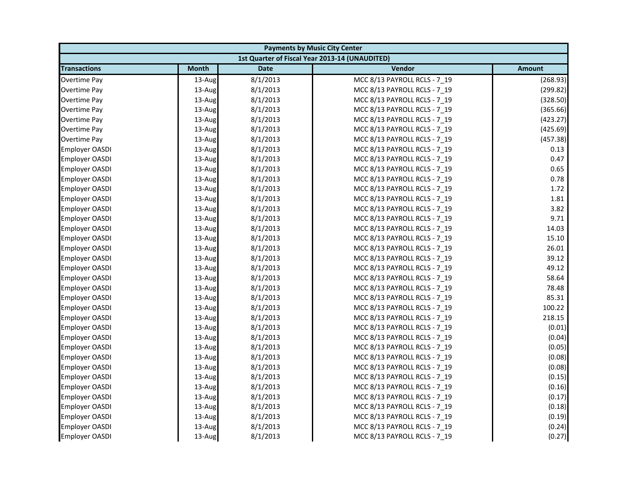| <b>Payments by Music City Center</b> |              |             |                                                |               |
|--------------------------------------|--------------|-------------|------------------------------------------------|---------------|
|                                      |              |             | 1st Quarter of Fiscal Year 2013-14 (UNAUDITED) |               |
| <b>Transactions</b>                  | <b>Month</b> | <b>Date</b> | Vendor                                         | <b>Amount</b> |
| Overtime Pay                         | 13-Aug       | 8/1/2013    | MCC 8/13 PAYROLL RCLS - 7 19                   | (268.93)      |
| <b>Overtime Pay</b>                  | 13-Aug       | 8/1/2013    | MCC 8/13 PAYROLL RCLS - 7_19                   | (299.82)      |
| Overtime Pay                         | 13-Aug       | 8/1/2013    | MCC 8/13 PAYROLL RCLS - 7 19                   | (328.50)      |
| Overtime Pay                         | 13-Aug       | 8/1/2013    | MCC 8/13 PAYROLL RCLS - 7 19                   | (365.66)      |
| <b>Overtime Pay</b>                  | 13-Aug       | 8/1/2013    | MCC 8/13 PAYROLL RCLS - 7_19                   | (423.27)      |
| Overtime Pay                         | 13-Aug       | 8/1/2013    | MCC 8/13 PAYROLL RCLS - 7_19                   | (425.69)      |
| Overtime Pay                         | 13-Aug       | 8/1/2013    | MCC 8/13 PAYROLL RCLS - 7 19                   | (457.38)      |
| <b>Employer OASDI</b>                | 13-Aug       | 8/1/2013    | MCC 8/13 PAYROLL RCLS - 7_19                   | 0.13          |
| <b>Employer OASDI</b>                | 13-Aug       | 8/1/2013    | MCC 8/13 PAYROLL RCLS - 7 19                   | 0.47          |
| <b>Employer OASDI</b>                | 13-Aug       | 8/1/2013    | MCC 8/13 PAYROLL RCLS - 7 19                   | 0.65          |
| <b>Employer OASDI</b>                | 13-Aug       | 8/1/2013    | MCC 8/13 PAYROLL RCLS - 7_19                   | 0.78          |
| <b>Employer OASDI</b>                | 13-Aug       | 8/1/2013    | MCC 8/13 PAYROLL RCLS - 7 19                   | 1.72          |
| <b>Employer OASDI</b>                | 13-Aug       | 8/1/2013    | MCC 8/13 PAYROLL RCLS - 7_19                   | 1.81          |
| <b>Employer OASDI</b>                | 13-Aug       | 8/1/2013    | MCC 8/13 PAYROLL RCLS - 7 19                   | 3.82          |
| <b>Employer OASDI</b>                | 13-Aug       | 8/1/2013    | MCC 8/13 PAYROLL RCLS - 7_19                   | 9.71          |
| <b>Employer OASDI</b>                | 13-Aug       | 8/1/2013    | MCC 8/13 PAYROLL RCLS - 7 19                   | 14.03         |
| <b>Employer OASDI</b>                | 13-Aug       | 8/1/2013    | MCC 8/13 PAYROLL RCLS - 7 19                   | 15.10         |
| Employer OASDI                       | 13-Aug       | 8/1/2013    | MCC 8/13 PAYROLL RCLS - 7_19                   | 26.01         |
| <b>Employer OASDI</b>                | 13-Aug       | 8/1/2013    | MCC 8/13 PAYROLL RCLS - 7 19                   | 39.12         |
| Employer OASDI                       | 13-Aug       | 8/1/2013    | MCC 8/13 PAYROLL RCLS - 7_19                   | 49.12         |
| <b>Employer OASDI</b>                | 13-Aug       | 8/1/2013    | MCC 8/13 PAYROLL RCLS - 7_19                   | 58.64         |
| <b>Employer OASDI</b>                | 13-Aug       | 8/1/2013    | MCC 8/13 PAYROLL RCLS - 7 19                   | 78.48         |
| <b>Employer OASDI</b>                | 13-Aug       | 8/1/2013    | MCC 8/13 PAYROLL RCLS - 7_19                   | 85.31         |
| <b>Employer OASDI</b>                | 13-Aug       | 8/1/2013    | MCC 8/13 PAYROLL RCLS - 7 19                   | 100.22        |
| <b>Employer OASDI</b>                | 13-Aug       | 8/1/2013    | MCC 8/13 PAYROLL RCLS - 7 19                   | 218.15        |
| Employer OASDI                       | 13-Aug       | 8/1/2013    | MCC 8/13 PAYROLL RCLS - 7_19                   | (0.01)        |
| <b>Employer OASDI</b>                | 13-Aug       | 8/1/2013    | MCC 8/13 PAYROLL RCLS - 7_19                   | (0.04)        |
| <b>Employer OASDI</b>                | 13-Aug       | 8/1/2013    | MCC 8/13 PAYROLL RCLS - 7 19                   | (0.05)        |
| <b>Employer OASDI</b>                | 13-Aug       | 8/1/2013    | MCC 8/13 PAYROLL RCLS - 7 19                   | (0.08)        |
| Employer OASDI                       | 13-Aug       | 8/1/2013    | MCC 8/13 PAYROLL RCLS - 7_19                   | (0.08)        |
| <b>Employer OASDI</b>                | 13-Aug       | 8/1/2013    | MCC 8/13 PAYROLL RCLS - 7 19                   | (0.15)        |
| <b>Employer OASDI</b>                | 13-Aug       | 8/1/2013    | MCC 8/13 PAYROLL RCLS - 7 19                   | (0.16)        |
| Employer OASDI                       | 13-Aug       | 8/1/2013    | MCC 8/13 PAYROLL RCLS - 7_19                   | (0.17)        |
| <b>Employer OASDI</b>                | 13-Aug       | 8/1/2013    | MCC 8/13 PAYROLL RCLS - 7_19                   | (0.18)        |
| <b>Employer OASDI</b>                | 13-Aug       | 8/1/2013    | MCC 8/13 PAYROLL RCLS - 7 19                   | (0.19)        |
| <b>Employer OASDI</b>                | 13-Aug       | 8/1/2013    | MCC 8/13 PAYROLL RCLS - 7_19                   | (0.24)        |
| <b>Employer OASDI</b>                | 13-Aug       | 8/1/2013    | MCC 8/13 PAYROLL RCLS - 7 19                   | (0.27)        |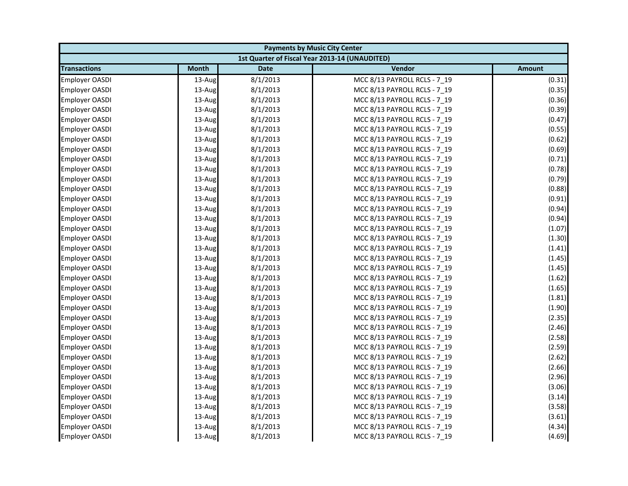| <b>Payments by Music City Center</b> |              |             |                                                |               |
|--------------------------------------|--------------|-------------|------------------------------------------------|---------------|
|                                      |              |             | 1st Quarter of Fiscal Year 2013-14 (UNAUDITED) |               |
| <b>Transactions</b>                  | <b>Month</b> | <b>Date</b> | Vendor                                         | <b>Amount</b> |
| <b>Employer OASDI</b>                | 13-Aug       | 8/1/2013    | MCC 8/13 PAYROLL RCLS - 7 19                   | (0.31)        |
| <b>Employer OASDI</b>                | 13-Aug       | 8/1/2013    | MCC 8/13 PAYROLL RCLS - 7_19                   | (0.35)        |
| <b>Employer OASDI</b>                | 13-Aug       | 8/1/2013    | MCC 8/13 PAYROLL RCLS - 7 19                   | (0.36)        |
| Employer OASDI                       | 13-Aug       | 8/1/2013    | MCC 8/13 PAYROLL RCLS - 7 19                   | (0.39)        |
| <b>Employer OASDI</b>                | 13-Aug       | 8/1/2013    | MCC 8/13 PAYROLL RCLS - 7_19                   | (0.47)        |
| <b>Employer OASDI</b>                | 13-Aug       | 8/1/2013    | MCC 8/13 PAYROLL RCLS - 7_19                   | (0.55)        |
| Employer OASDI                       | 13-Aug       | 8/1/2013    | MCC 8/13 PAYROLL RCLS - 7 19                   | (0.62)        |
| <b>Employer OASDI</b>                | 13-Aug       | 8/1/2013    | MCC 8/13 PAYROLL RCLS - 7_19                   | (0.69)        |
| <b>Employer OASDI</b>                | 13-Aug       | 8/1/2013    | MCC 8/13 PAYROLL RCLS - 7 19                   | (0.71)        |
| Employer OASDI                       | 13-Aug       | 8/1/2013    | MCC 8/13 PAYROLL RCLS - 7 19                   | (0.78)        |
| Employer OASDI                       | 13-Aug       | 8/1/2013    | MCC 8/13 PAYROLL RCLS - 7_19                   | (0.79)        |
| <b>Employer OASDI</b>                | 13-Aug       | 8/1/2013    | MCC 8/13 PAYROLL RCLS - 7 19                   | (0.88)        |
| <b>Employer OASDI</b>                | 13-Aug       | 8/1/2013    | MCC 8/13 PAYROLL RCLS - 7_19                   | (0.91)        |
| <b>Employer OASDI</b>                | 13-Aug       | 8/1/2013    | MCC 8/13 PAYROLL RCLS - 7_19                   | (0.94)        |
| <b>Employer OASDI</b>                | 13-Aug       | 8/1/2013    | MCC 8/13 PAYROLL RCLS - 7_19                   | (0.94)        |
| <b>Employer OASDI</b>                | 13-Aug       | 8/1/2013    | MCC 8/13 PAYROLL RCLS - 7 19                   | (1.07)        |
| Employer OASDI                       | 13-Aug       | 8/1/2013    | MCC 8/13 PAYROLL RCLS - 7 19                   | (1.30)        |
| Employer OASDI                       | 13-Aug       | 8/1/2013    | MCC 8/13 PAYROLL RCLS - 7_19                   | (1.41)        |
| Employer OASDI                       | 13-Aug       | 8/1/2013    | MCC 8/13 PAYROLL RCLS - 7 19                   | (1.45)        |
| <b>Employer OASDI</b>                | 13-Aug       | 8/1/2013    | MCC 8/13 PAYROLL RCLS - 7_19                   | (1.45)        |
| <b>Employer OASDI</b>                | 13-Aug       | 8/1/2013    | MCC 8/13 PAYROLL RCLS - 7_19                   | (1.62)        |
| <b>Employer OASDI</b>                | 13-Aug       | 8/1/2013    | MCC 8/13 PAYROLL RCLS - 7 19                   | (1.65)        |
| <b>Employer OASDI</b>                | 13-Aug       | 8/1/2013    | MCC 8/13 PAYROLL RCLS - 7_19                   | (1.81)        |
| <b>Employer OASDI</b>                | 13-Aug       | 8/1/2013    | MCC 8/13 PAYROLL RCLS - 7 19                   | (1.90)        |
| <b>Employer OASDI</b>                | 13-Aug       | 8/1/2013    | MCC 8/13 PAYROLL RCLS - 7 19                   | (2.35)        |
| Employer OASDI                       | 13-Aug       | 8/1/2013    | MCC 8/13 PAYROLL RCLS - 7_19                   | (2.46)        |
| <b>Employer OASDI</b>                | 13-Aug       | 8/1/2013    | MCC 8/13 PAYROLL RCLS - 7_19                   | (2.58)        |
| <b>Employer OASDI</b>                | 13-Aug       | 8/1/2013    | MCC 8/13 PAYROLL RCLS - 7 19                   | (2.59)        |
| <b>Employer OASDI</b>                | 13-Aug       | 8/1/2013    | MCC 8/13 PAYROLL RCLS - 7_19                   | (2.62)        |
| Employer OASDI                       | 13-Aug       | 8/1/2013    | MCC 8/13 PAYROLL RCLS - 7_19                   | (2.66)        |
| <b>Employer OASDI</b>                | 13-Aug       | 8/1/2013    | MCC 8/13 PAYROLL RCLS - 7 19                   | (2.96)        |
| <b>Employer OASDI</b>                | 13-Aug       | 8/1/2013    | MCC 8/13 PAYROLL RCLS - 7 19                   | (3.06)        |
| <b>Employer OASDI</b>                | 13-Aug       | 8/1/2013    | MCC 8/13 PAYROLL RCLS - 7_19                   | (3.14)        |
| <b>Employer OASDI</b>                | 13-Aug       | 8/1/2013    | MCC 8/13 PAYROLL RCLS - 7_19                   | (3.58)        |
| <b>Employer OASDI</b>                | 13-Aug       | 8/1/2013    | MCC 8/13 PAYROLL RCLS - 7 19                   | (3.61)        |
| <b>Employer OASDI</b>                | 13-Aug       | 8/1/2013    | MCC 8/13 PAYROLL RCLS - 7_19                   | (4.34)        |
| <b>Employer OASDI</b>                | 13-Aug       | 8/1/2013    | MCC 8/13 PAYROLL RCLS - 7 19                   | (4.69)        |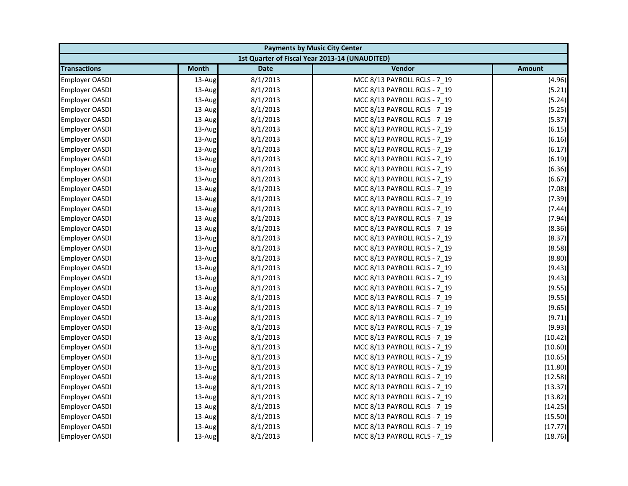| <b>Payments by Music City Center</b> |              |             |                                                |               |
|--------------------------------------|--------------|-------------|------------------------------------------------|---------------|
|                                      |              |             | 1st Quarter of Fiscal Year 2013-14 (UNAUDITED) |               |
| <b>Transactions</b>                  | <b>Month</b> | <b>Date</b> | Vendor                                         | <b>Amount</b> |
| <b>Employer OASDI</b>                | 13-Aug       | 8/1/2013    | MCC 8/13 PAYROLL RCLS - 7 19                   | (4.96)        |
| <b>Employer OASDI</b>                | 13-Aug       | 8/1/2013    | MCC 8/13 PAYROLL RCLS - 7_19                   | (5.21)        |
| <b>Employer OASDI</b>                | 13-Aug       | 8/1/2013    | MCC 8/13 PAYROLL RCLS - 7 19                   | (5.24)        |
| Employer OASDI                       | 13-Aug       | 8/1/2013    | MCC 8/13 PAYROLL RCLS - 7 19                   | (5.25)        |
| <b>Employer OASDI</b>                | 13-Aug       | 8/1/2013    | MCC 8/13 PAYROLL RCLS - 7_19                   | (5.37)        |
| <b>Employer OASDI</b>                | 13-Aug       | 8/1/2013    | MCC 8/13 PAYROLL RCLS - 7_19                   | (6.15)        |
| Employer OASDI                       | 13-Aug       | 8/1/2013    | MCC 8/13 PAYROLL RCLS - 7 19                   | (6.16)        |
| <b>Employer OASDI</b>                | 13-Aug       | 8/1/2013    | MCC 8/13 PAYROLL RCLS - 7_19                   | (6.17)        |
| <b>Employer OASDI</b>                | 13-Aug       | 8/1/2013    | MCC 8/13 PAYROLL RCLS - 7 19                   | (6.19)        |
| Employer OASDI                       | 13-Aug       | 8/1/2013    | MCC 8/13 PAYROLL RCLS - 7 19                   | (6.36)        |
| Employer OASDI                       | 13-Aug       | 8/1/2013    | MCC 8/13 PAYROLL RCLS - 7_19                   | (6.67)        |
| <b>Employer OASDI</b>                | 13-Aug       | 8/1/2013    | MCC 8/13 PAYROLL RCLS - 7 19                   | (7.08)        |
| <b>Employer OASDI</b>                | 13-Aug       | 8/1/2013    | MCC 8/13 PAYROLL RCLS - 7_19                   | (7.39)        |
| <b>Employer OASDI</b>                | 13-Aug       | 8/1/2013    | MCC 8/13 PAYROLL RCLS - 7_19                   | (7.44)        |
| <b>Employer OASDI</b>                | 13-Aug       | 8/1/2013    | MCC 8/13 PAYROLL RCLS - 7_19                   | (7.94)        |
| <b>Employer OASDI</b>                | 13-Aug       | 8/1/2013    | MCC 8/13 PAYROLL RCLS - 7 19                   | (8.36)        |
| <b>Employer OASDI</b>                | 13-Aug       | 8/1/2013    | MCC 8/13 PAYROLL RCLS - 7 19                   | (8.37)        |
| Employer OASDI                       | 13-Aug       | 8/1/2013    | MCC 8/13 PAYROLL RCLS - 7_19                   | (8.58)        |
| Employer OASDI                       | 13-Aug       | 8/1/2013    | MCC 8/13 PAYROLL RCLS - 7 19                   | (8.80)        |
| <b>Employer OASDI</b>                | 13-Aug       | 8/1/2013    | MCC 8/13 PAYROLL RCLS - 7_19                   | (9.43)        |
| <b>Employer OASDI</b>                | 13-Aug       | 8/1/2013    | MCC 8/13 PAYROLL RCLS - 7_19                   | (9.43)        |
| <b>Employer OASDI</b>                | 13-Aug       | 8/1/2013    | MCC 8/13 PAYROLL RCLS - 7 19                   | (9.55)        |
| <b>Employer OASDI</b>                | 13-Aug       | 8/1/2013    | MCC 8/13 PAYROLL RCLS - 7_19                   | (9.55)        |
| <b>Employer OASDI</b>                | 13-Aug       | 8/1/2013    | MCC 8/13 PAYROLL RCLS - 7 19                   | (9.65)        |
| <b>Employer OASDI</b>                | 13-Aug       | 8/1/2013    | MCC 8/13 PAYROLL RCLS - 7 19                   | (9.71)        |
| Employer OASDI                       | 13-Aug       | 8/1/2013    | MCC 8/13 PAYROLL RCLS - 7_19                   | (9.93)        |
| <b>Employer OASDI</b>                | 13-Aug       | 8/1/2013    | MCC 8/13 PAYROLL RCLS - 7_19                   | (10.42)       |
| <b>Employer OASDI</b>                | 13-Aug       | 8/1/2013    | MCC 8/13 PAYROLL RCLS - 7 19                   | (10.60)       |
| <b>Employer OASDI</b>                | 13-Aug       | 8/1/2013    | MCC 8/13 PAYROLL RCLS - 7_19                   | (10.65)       |
| Employer OASDI                       | 13-Aug       | 8/1/2013    | MCC 8/13 PAYROLL RCLS - 7_19                   | (11.80)       |
| <b>Employer OASDI</b>                | 13-Aug       | 8/1/2013    | MCC 8/13 PAYROLL RCLS - 7 19                   | (12.58)       |
| <b>Employer OASDI</b>                | 13-Aug       | 8/1/2013    | MCC 8/13 PAYROLL RCLS - 7 19                   | (13.37)       |
| <b>Employer OASDI</b>                | 13-Aug       | 8/1/2013    | MCC 8/13 PAYROLL RCLS - 7_19                   | (13.82)       |
| <b>Employer OASDI</b>                | 13-Aug       | 8/1/2013    | MCC 8/13 PAYROLL RCLS - 7_19                   | (14.25)       |
| <b>Employer OASDI</b>                | 13-Aug       | 8/1/2013    | MCC 8/13 PAYROLL RCLS - 7 19                   | (15.50)       |
| <b>Employer OASDI</b>                | 13-Aug       | 8/1/2013    | MCC 8/13 PAYROLL RCLS - 7_19                   | (17.77)       |
| <b>Employer OASDI</b>                | 13-Aug       | 8/1/2013    | MCC 8/13 PAYROLL RCLS - 7 19                   | (18.76)       |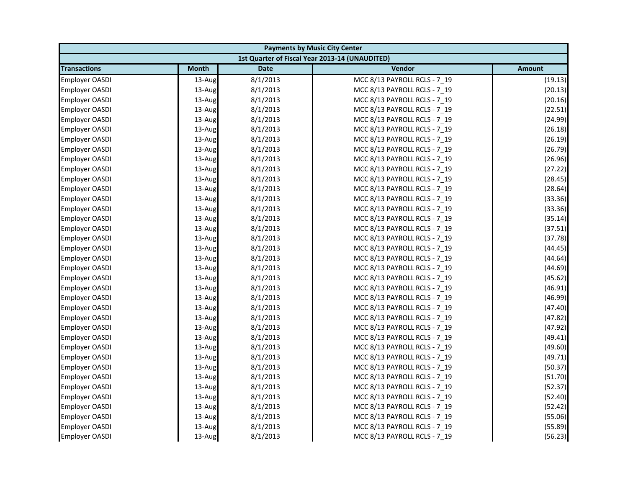| <b>Payments by Music City Center</b> |              |             |                                                |               |
|--------------------------------------|--------------|-------------|------------------------------------------------|---------------|
|                                      |              |             | 1st Quarter of Fiscal Year 2013-14 (UNAUDITED) |               |
| <b>Transactions</b>                  | <b>Month</b> | <b>Date</b> | Vendor                                         | <b>Amount</b> |
| <b>Employer OASDI</b>                | 13-Aug       | 8/1/2013    | MCC 8/13 PAYROLL RCLS - 7_19                   | (19.13)       |
| <b>Employer OASDI</b>                | 13-Aug       | 8/1/2013    | MCC 8/13 PAYROLL RCLS - 7_19                   | (20.13)       |
| <b>Employer OASDI</b>                | 13-Aug       | 8/1/2013    | MCC 8/13 PAYROLL RCLS - 7 19                   | (20.16)       |
| Employer OASDI                       | 13-Aug       | 8/1/2013    | MCC 8/13 PAYROLL RCLS - 7 19                   | (22.51)       |
| <b>Employer OASDI</b>                | 13-Aug       | 8/1/2013    | MCC 8/13 PAYROLL RCLS - 7_19                   | (24.99)       |
| <b>Employer OASDI</b>                | 13-Aug       | 8/1/2013    | MCC 8/13 PAYROLL RCLS - 7_19                   | (26.18)       |
| Employer OASDI                       | 13-Aug       | 8/1/2013    | MCC 8/13 PAYROLL RCLS - 7 19                   | (26.19)       |
| <b>Employer OASDI</b>                | 13-Aug       | 8/1/2013    | MCC 8/13 PAYROLL RCLS - 7_19                   | (26.79)       |
| <b>Employer OASDI</b>                | 13-Aug       | 8/1/2013    | MCC 8/13 PAYROLL RCLS - 7 19                   | (26.96)       |
| <b>Employer OASDI</b>                | 13-Aug       | 8/1/2013    | MCC 8/13 PAYROLL RCLS - 7 19                   | (27.22)       |
| <b>Employer OASDI</b>                | 13-Aug       | 8/1/2013    | MCC 8/13 PAYROLL RCLS - 7_19                   | (28.45)       |
| <b>Employer OASDI</b>                | 13-Aug       | 8/1/2013    | MCC 8/13 PAYROLL RCLS - 7 19                   | (28.64)       |
| <b>Employer OASDI</b>                | 13-Aug       | 8/1/2013    | MCC 8/13 PAYROLL RCLS - 7_19                   | (33.36)       |
| <b>Employer OASDI</b>                | 13-Aug       | 8/1/2013    | MCC 8/13 PAYROLL RCLS - 7_19                   | (33.36)       |
| <b>Employer OASDI</b>                | 13-Aug       | 8/1/2013    | MCC 8/13 PAYROLL RCLS - 7_19                   | (35.14)       |
| <b>Employer OASDI</b>                | 13-Aug       | 8/1/2013    | MCC 8/13 PAYROLL RCLS - 7 19                   | (37.51)       |
| <b>Employer OASDI</b>                | 13-Aug       | 8/1/2013    | MCC 8/13 PAYROLL RCLS - 7 19                   | (37.78)       |
| Employer OASDI                       | 13-Aug       | 8/1/2013    | MCC 8/13 PAYROLL RCLS - 7_19                   | (44.45)       |
| Employer OASDI                       | 13-Aug       | 8/1/2013    | MCC 8/13 PAYROLL RCLS - 7 19                   | (44.64)       |
| <b>Employer OASDI</b>                | 13-Aug       | 8/1/2013    | MCC 8/13 PAYROLL RCLS - 7_19                   | (44.69)       |
| <b>Employer OASDI</b>                | 13-Aug       | 8/1/2013    | MCC 8/13 PAYROLL RCLS - 7_19                   | (45.62)       |
| <b>Employer OASDI</b>                | 13-Aug       | 8/1/2013    | MCC 8/13 PAYROLL RCLS - 7 19                   | (46.91)       |
| <b>Employer OASDI</b>                | 13-Aug       | 8/1/2013    | MCC 8/13 PAYROLL RCLS - 7_19                   | (46.99)       |
| <b>Employer OASDI</b>                | 13-Aug       | 8/1/2013    | MCC 8/13 PAYROLL RCLS - 7 19                   | (47.40)       |
| <b>Employer OASDI</b>                | 13-Aug       | 8/1/2013    | MCC 8/13 PAYROLL RCLS - 7 19                   | (47.82)       |
| Employer OASDI                       | 13-Aug       | 8/1/2013    | MCC 8/13 PAYROLL RCLS - 7_19                   | (47.92)       |
| <b>Employer OASDI</b>                | 13-Aug       | 8/1/2013    | MCC 8/13 PAYROLL RCLS - 7_19                   | (49.41)       |
| <b>Employer OASDI</b>                | 13-Aug       | 8/1/2013    | MCC 8/13 PAYROLL RCLS - 7 19                   | (49.60)       |
| <b>Employer OASDI</b>                | 13-Aug       | 8/1/2013    | MCC 8/13 PAYROLL RCLS - 7_19                   | (49.71)       |
| Employer OASDI                       | 13-Aug       | 8/1/2013    | MCC 8/13 PAYROLL RCLS - 7_19                   | (50.37)       |
| <b>Employer OASDI</b>                | 13-Aug       | 8/1/2013    | MCC 8/13 PAYROLL RCLS - 7 19                   | (51.70)       |
| <b>Employer OASDI</b>                | 13-Aug       | 8/1/2013    | MCC 8/13 PAYROLL RCLS - 7 19                   | (52.37)       |
| Employer OASDI                       | 13-Aug       | 8/1/2013    | MCC 8/13 PAYROLL RCLS - 7_19                   | (52.40)       |
| <b>Employer OASDI</b>                | 13-Aug       | 8/1/2013    | MCC 8/13 PAYROLL RCLS - 7_19                   | (52.42)       |
| <b>Employer OASDI</b>                | 13-Aug       | 8/1/2013    | MCC 8/13 PAYROLL RCLS - 7 19                   | (55.06)       |
| <b>Employer OASDI</b>                | 13-Aug       | 8/1/2013    | MCC 8/13 PAYROLL RCLS - 7_19                   | (55.89)       |
| <b>Employer OASDI</b>                | 13-Aug       | 8/1/2013    | MCC 8/13 PAYROLL RCLS - 7 19                   | (56.23)       |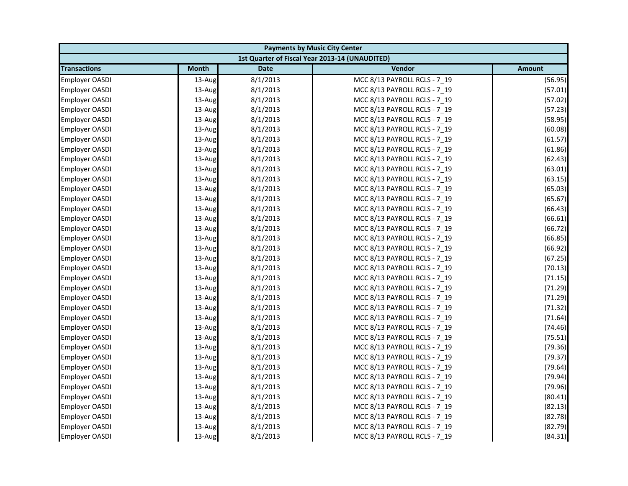| <b>Payments by Music City Center</b> |              |             |                                                |               |
|--------------------------------------|--------------|-------------|------------------------------------------------|---------------|
|                                      |              |             | 1st Quarter of Fiscal Year 2013-14 (UNAUDITED) |               |
| <b>Transactions</b>                  | <b>Month</b> | <b>Date</b> | Vendor                                         | <b>Amount</b> |
| <b>Employer OASDI</b>                | 13-Aug       | 8/1/2013    | MCC 8/13 PAYROLL RCLS - 7_19                   | (56.95)       |
| <b>Employer OASDI</b>                | 13-Aug       | 8/1/2013    | MCC 8/13 PAYROLL RCLS - 7_19                   | (57.01)       |
| <b>Employer OASDI</b>                | 13-Aug       | 8/1/2013    | MCC 8/13 PAYROLL RCLS - 7 19                   | (57.02)       |
| <b>Employer OASDI</b>                | 13-Aug       | 8/1/2013    | MCC 8/13 PAYROLL RCLS - 7 19                   | (57.23)       |
| <b>Employer OASDI</b>                | 13-Aug       | 8/1/2013    | MCC 8/13 PAYROLL RCLS - 7_19                   | (58.95)       |
| <b>Employer OASDI</b>                | 13-Aug       | 8/1/2013    | MCC 8/13 PAYROLL RCLS - 7_19                   | (60.08)       |
| <b>Employer OASDI</b>                | 13-Aug       | 8/1/2013    | MCC 8/13 PAYROLL RCLS - 7 19                   | (61.57)       |
| <b>Employer OASDI</b>                | 13-Aug       | 8/1/2013    | MCC 8/13 PAYROLL RCLS - 7_19                   | (61.86)       |
| <b>Employer OASDI</b>                | 13-Aug       | 8/1/2013    | MCC 8/13 PAYROLL RCLS - 7 19                   | (62.43)       |
| <b>Employer OASDI</b>                | 13-Aug       | 8/1/2013    | MCC 8/13 PAYROLL RCLS - 7 19                   | (63.01)       |
| <b>Employer OASDI</b>                | 13-Aug       | 8/1/2013    | MCC 8/13 PAYROLL RCLS - 7_19                   | (63.15)       |
| <b>Employer OASDI</b>                | 13-Aug       | 8/1/2013    | MCC 8/13 PAYROLL RCLS - 7 19                   | (65.03)       |
| <b>Employer OASDI</b>                | 13-Aug       | 8/1/2013    | MCC 8/13 PAYROLL RCLS - 7_19                   | (65.67)       |
| <b>Employer OASDI</b>                | 13-Aug       | 8/1/2013    | MCC 8/13 PAYROLL RCLS - 7_19                   | (66.43)       |
| <b>Employer OASDI</b>                | 13-Aug       | 8/1/2013    | MCC 8/13 PAYROLL RCLS - 7_19                   | (66.61)       |
| <b>Employer OASDI</b>                | 13-Aug       | 8/1/2013    | MCC 8/13 PAYROLL RCLS - 7 19                   | (66.72)       |
| <b>Employer OASDI</b>                | 13-Aug       | 8/1/2013    | MCC 8/13 PAYROLL RCLS - 7 19                   | (66.85)       |
| Employer OASDI                       | 13-Aug       | 8/1/2013    | MCC 8/13 PAYROLL RCLS - 7_19                   | (66.92)       |
| <b>Employer OASDI</b>                | 13-Aug       | 8/1/2013    | MCC 8/13 PAYROLL RCLS - 7 19                   | (67.25)       |
| <b>Employer OASDI</b>                | 13-Aug       | 8/1/2013    | MCC 8/13 PAYROLL RCLS - 7_19                   | (70.13)       |
| <b>Employer OASDI</b>                | 13-Aug       | 8/1/2013    | MCC 8/13 PAYROLL RCLS - 7_19                   | (71.15)       |
| <b>Employer OASDI</b>                | 13-Aug       | 8/1/2013    | MCC 8/13 PAYROLL RCLS - 7 19                   | (71.29)       |
| <b>Employer OASDI</b>                | 13-Aug       | 8/1/2013    | MCC 8/13 PAYROLL RCLS - 7_19                   | (71.29)       |
| <b>Employer OASDI</b>                | 13-Aug       | 8/1/2013    | MCC 8/13 PAYROLL RCLS - 7 19                   | (71.32)       |
| <b>Employer OASDI</b>                | 13-Aug       | 8/1/2013    | MCC 8/13 PAYROLL RCLS - 7 19                   | (71.64)       |
| Employer OASDI                       | 13-Aug       | 8/1/2013    | MCC 8/13 PAYROLL RCLS - 7_19                   | (74.46)       |
| <b>Employer OASDI</b>                | 13-Aug       | 8/1/2013    | MCC 8/13 PAYROLL RCLS - 7_19                   | (75.51)       |
| <b>Employer OASDI</b>                | 13-Aug       | 8/1/2013    | MCC 8/13 PAYROLL RCLS - 7 19                   | (79.36)       |
| <b>Employer OASDI</b>                | 13-Aug       | 8/1/2013    | MCC 8/13 PAYROLL RCLS - 7_19                   | (79.37)       |
| Employer OASDI                       | 13-Aug       | 8/1/2013    | MCC 8/13 PAYROLL RCLS - 7_19                   | (79.64)       |
| <b>Employer OASDI</b>                | 13-Aug       | 8/1/2013    | MCC 8/13 PAYROLL RCLS - 7 19                   | (79.94)       |
| <b>Employer OASDI</b>                | 13-Aug       | 8/1/2013    | MCC 8/13 PAYROLL RCLS - 7 19                   | (79.96)       |
| Employer OASDI                       | 13-Aug       | 8/1/2013    | MCC 8/13 PAYROLL RCLS - 7_19                   | (80.41)       |
| <b>Employer OASDI</b>                | 13-Aug       | 8/1/2013    | MCC 8/13 PAYROLL RCLS - 7_19                   | (82.13)       |
| <b>Employer OASDI</b>                | 13-Aug       | 8/1/2013    | MCC 8/13 PAYROLL RCLS - 7 19                   | (82.78)       |
| <b>Employer OASDI</b>                | 13-Aug       | 8/1/2013    | MCC 8/13 PAYROLL RCLS - 7_19                   | (82.79)       |
| <b>Employer OASDI</b>                | 13-Aug       | 8/1/2013    | MCC 8/13 PAYROLL RCLS - 7 19                   | (84.31)       |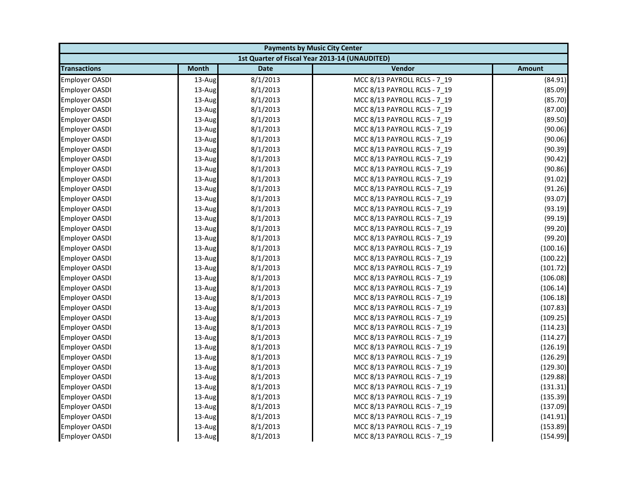| <b>Payments by Music City Center</b> |              |             |                                                |               |
|--------------------------------------|--------------|-------------|------------------------------------------------|---------------|
|                                      |              |             | 1st Quarter of Fiscal Year 2013-14 (UNAUDITED) |               |
| <b>Transactions</b>                  | <b>Month</b> | <b>Date</b> | Vendor                                         | <b>Amount</b> |
| <b>Employer OASDI</b>                | 13-Aug       | 8/1/2013    | MCC 8/13 PAYROLL RCLS - 7_19                   | (84.91)       |
| <b>Employer OASDI</b>                | 13-Aug       | 8/1/2013    | MCC 8/13 PAYROLL RCLS - 7_19                   | (85.09)       |
| <b>Employer OASDI</b>                | 13-Aug       | 8/1/2013    | MCC 8/13 PAYROLL RCLS - 7 19                   | (85.70)       |
| <b>Employer OASDI</b>                | 13-Aug       | 8/1/2013    | MCC 8/13 PAYROLL RCLS - 7 19                   | (87.00)       |
| <b>Employer OASDI</b>                | 13-Aug       | 8/1/2013    | MCC 8/13 PAYROLL RCLS - 7_19                   | (89.50)       |
| <b>Employer OASDI</b>                | 13-Aug       | 8/1/2013    | MCC 8/13 PAYROLL RCLS - 7_19                   | (90.06)       |
| <b>Employer OASDI</b>                | 13-Aug       | 8/1/2013    | MCC 8/13 PAYROLL RCLS - 7 19                   | (90.06)       |
| <b>Employer OASDI</b>                | 13-Aug       | 8/1/2013    | MCC 8/13 PAYROLL RCLS - 7_19                   | (90.39)       |
| <b>Employer OASDI</b>                | 13-Aug       | 8/1/2013    | MCC 8/13 PAYROLL RCLS - 7 19                   | (90.42)       |
| Employer OASDI                       | 13-Aug       | 8/1/2013    | MCC 8/13 PAYROLL RCLS - 7 19                   | (90.86)       |
| Employer OASDI                       | 13-Aug       | 8/1/2013    | MCC 8/13 PAYROLL RCLS - 7_19                   | (91.02)       |
| <b>Employer OASDI</b>                | 13-Aug       | 8/1/2013    | MCC 8/13 PAYROLL RCLS - 7 19                   | (91.26)       |
| <b>Employer OASDI</b>                | 13-Aug       | 8/1/2013    | MCC 8/13 PAYROLL RCLS - 7_19                   | (93.07)       |
| <b>Employer OASDI</b>                | 13-Aug       | 8/1/2013    | MCC 8/13 PAYROLL RCLS - 7_19                   | (93.19)       |
| <b>Employer OASDI</b>                | 13-Aug       | 8/1/2013    | MCC 8/13 PAYROLL RCLS - 7_19                   | (99.19)       |
| <b>Employer OASDI</b>                | 13-Aug       | 8/1/2013    | MCC 8/13 PAYROLL RCLS - 7 19                   | (99.20)       |
| <b>Employer OASDI</b>                | 13-Aug       | 8/1/2013    | MCC 8/13 PAYROLL RCLS - 7 19                   | (99.20)       |
| Employer OASDI                       | 13-Aug       | 8/1/2013    | MCC 8/13 PAYROLL RCLS - 7_19                   | (100.16)      |
| <b>Employer OASDI</b>                | 13-Aug       | 8/1/2013    | MCC 8/13 PAYROLL RCLS - 7 19                   | (100.22)      |
| <b>Employer OASDI</b>                | 13-Aug       | 8/1/2013    | MCC 8/13 PAYROLL RCLS - 7_19                   | (101.72)      |
| <b>Employer OASDI</b>                | 13-Aug       | 8/1/2013    | MCC 8/13 PAYROLL RCLS - 7_19                   | (106.08)      |
| <b>Employer OASDI</b>                | 13-Aug       | 8/1/2013    | MCC 8/13 PAYROLL RCLS - 7 19                   | (106.14)      |
| <b>Employer OASDI</b>                | 13-Aug       | 8/1/2013    | MCC 8/13 PAYROLL RCLS - 7_19                   | (106.18)      |
| <b>Employer OASDI</b>                | 13-Aug       | 8/1/2013    | MCC 8/13 PAYROLL RCLS - 7 19                   | (107.83)      |
| <b>Employer OASDI</b>                | 13-Aug       | 8/1/2013    | MCC 8/13 PAYROLL RCLS - 7 19                   | (109.25)      |
| Employer OASDI                       | 13-Aug       | 8/1/2013    | MCC 8/13 PAYROLL RCLS - 7_19                   | (114.23)      |
| <b>Employer OASDI</b>                | 13-Aug       | 8/1/2013    | MCC 8/13 PAYROLL RCLS - 7_19                   | (114.27)      |
| <b>Employer OASDI</b>                | 13-Aug       | 8/1/2013    | MCC 8/13 PAYROLL RCLS - 7 19                   | (126.19)      |
| <b>Employer OASDI</b>                | 13-Aug       | 8/1/2013    | MCC 8/13 PAYROLL RCLS - 7_19                   | (126.29)      |
| <b>Employer OASDI</b>                | 13-Aug       | 8/1/2013    | MCC 8/13 PAYROLL RCLS - 7_19                   | (129.30)      |
| <b>Employer OASDI</b>                | 13-Aug       | 8/1/2013    | MCC 8/13 PAYROLL RCLS - 7 19                   | (129.88)      |
| <b>Employer OASDI</b>                | 13-Aug       | 8/1/2013    | MCC 8/13 PAYROLL RCLS - 7 19                   | (131.31)      |
| <b>Employer OASDI</b>                | 13-Aug       | 8/1/2013    | MCC 8/13 PAYROLL RCLS - 7_19                   | (135.39)      |
| <b>Employer OASDI</b>                | 13-Aug       | 8/1/2013    | MCC 8/13 PAYROLL RCLS - 7_19                   | (137.09)      |
| <b>Employer OASDI</b>                | 13-Aug       | 8/1/2013    | MCC 8/13 PAYROLL RCLS - 7 19                   | (141.91)      |
| <b>Employer OASDI</b>                | 13-Aug       | 8/1/2013    | MCC 8/13 PAYROLL RCLS - 7_19                   | (153.89)      |
| <b>Employer OASDI</b>                | 13-Aug       | 8/1/2013    | MCC 8/13 PAYROLL RCLS - 7 19                   | (154.99)      |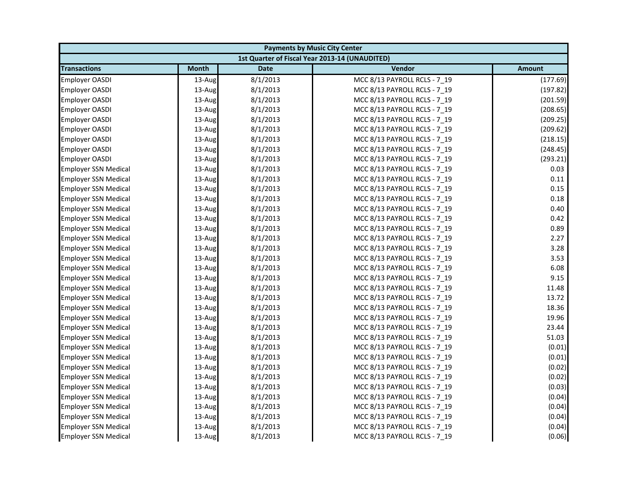|                             | <b>Payments by Music City Center</b> |             |                                                |               |  |
|-----------------------------|--------------------------------------|-------------|------------------------------------------------|---------------|--|
|                             |                                      |             | 1st Quarter of Fiscal Year 2013-14 (UNAUDITED) |               |  |
| <b>Transactions</b>         | <b>Month</b>                         | <b>Date</b> | Vendor                                         | <b>Amount</b> |  |
| <b>Employer OASDI</b>       | 13-Aug                               | 8/1/2013    | MCC 8/13 PAYROLL RCLS - 7 19                   | (177.69)      |  |
| <b>Employer OASDI</b>       | 13-Aug                               | 8/1/2013    | MCC 8/13 PAYROLL RCLS - 7_19                   | (197.82)      |  |
| <b>Employer OASDI</b>       | 13-Aug                               | 8/1/2013    | MCC 8/13 PAYROLL RCLS - 7 19                   | (201.59)      |  |
| <b>Employer OASDI</b>       | 13-Aug                               | 8/1/2013    | MCC 8/13 PAYROLL RCLS - 7 19                   | (208.65)      |  |
| <b>Employer OASDI</b>       | 13-Aug                               | 8/1/2013    | MCC 8/13 PAYROLL RCLS - 7_19                   | (209.25)      |  |
| <b>Employer OASDI</b>       | 13-Aug                               | 8/1/2013    | MCC 8/13 PAYROLL RCLS - 7_19                   | (209.62)      |  |
| <b>Employer OASDI</b>       | 13-Aug                               | 8/1/2013    | MCC 8/13 PAYROLL RCLS - 7 19                   | (218.15)      |  |
| <b>Employer OASDI</b>       | 13-Aug                               | 8/1/2013    | MCC 8/13 PAYROLL RCLS - 7_19                   | (248.45)      |  |
| <b>Employer OASDI</b>       | 13-Aug                               | 8/1/2013    | MCC 8/13 PAYROLL RCLS - 7 19                   | (293.21)      |  |
| <b>Employer SSN Medical</b> | 13-Aug                               | 8/1/2013    | MCC 8/13 PAYROLL RCLS - 7 19                   | 0.03          |  |
| <b>Employer SSN Medical</b> | 13-Aug                               | 8/1/2013    | MCC 8/13 PAYROLL RCLS - 7 19                   | 0.11          |  |
| <b>Employer SSN Medical</b> | 13-Aug                               | 8/1/2013    | MCC 8/13 PAYROLL RCLS - 7 19                   | 0.15          |  |
| <b>Employer SSN Medical</b> | 13-Aug                               | 8/1/2013    | MCC 8/13 PAYROLL RCLS - 7_19                   | 0.18          |  |
| <b>Employer SSN Medical</b> | 13-Aug                               | 8/1/2013    | MCC 8/13 PAYROLL RCLS - 7 19                   | 0.40          |  |
| <b>Employer SSN Medical</b> | 13-Aug                               | 8/1/2013    | MCC 8/13 PAYROLL RCLS - 7_19                   | 0.42          |  |
| <b>Employer SSN Medical</b> | 13-Aug                               | 8/1/2013    | MCC 8/13 PAYROLL RCLS - 7 19                   | 0.89          |  |
| <b>Employer SSN Medical</b> | 13-Aug                               | 8/1/2013    | MCC 8/13 PAYROLL RCLS - 7 19                   | 2.27          |  |
| <b>Employer SSN Medical</b> | 13-Aug                               | 8/1/2013    | MCC 8/13 PAYROLL RCLS - 7_19                   | 3.28          |  |
| <b>Employer SSN Medical</b> | 13-Aug                               | 8/1/2013    | MCC 8/13 PAYROLL RCLS - 7 19                   | 3.53          |  |
| <b>Employer SSN Medical</b> | 13-Aug                               | 8/1/2013    | MCC 8/13 PAYROLL RCLS - 7_19                   | 6.08          |  |
| <b>Employer SSN Medical</b> | 13-Aug                               | 8/1/2013    | MCC 8/13 PAYROLL RCLS - 7_19                   | 9.15          |  |
| <b>Employer SSN Medical</b> | 13-Aug                               | 8/1/2013    | MCC 8/13 PAYROLL RCLS - 7 19                   | 11.48         |  |
| <b>Employer SSN Medical</b> | 13-Aug                               | 8/1/2013    | MCC 8/13 PAYROLL RCLS - 7_19                   | 13.72         |  |
| <b>Employer SSN Medical</b> | 13-Aug                               | 8/1/2013    | MCC 8/13 PAYROLL RCLS - 7 19                   | 18.36         |  |
| <b>Employer SSN Medical</b> | 13-Aug                               | 8/1/2013    | MCC 8/13 PAYROLL RCLS - 7 19                   | 19.96         |  |
| <b>Employer SSN Medical</b> | 13-Aug                               | 8/1/2013    | MCC 8/13 PAYROLL RCLS - 7 19                   | 23.44         |  |
| Employer SSN Medical        | 13-Aug                               | 8/1/2013    | MCC 8/13 PAYROLL RCLS - 7_19                   | 51.03         |  |
| <b>Employer SSN Medical</b> | 13-Aug                               | 8/1/2013    | MCC 8/13 PAYROLL RCLS - 7 19                   | (0.01)        |  |
| <b>Employer SSN Medical</b> | 13-Aug                               | 8/1/2013    | MCC 8/13 PAYROLL RCLS - 7 19                   | (0.01)        |  |
| <b>Employer SSN Medical</b> | 13-Aug                               | 8/1/2013    | MCC 8/13 PAYROLL RCLS - 7_19                   | (0.02)        |  |
| <b>Employer SSN Medical</b> | 13-Aug                               | 8/1/2013    | MCC 8/13 PAYROLL RCLS - 7 19                   | (0.02)        |  |
| <b>Employer SSN Medical</b> | 13-Aug                               | 8/1/2013    | MCC 8/13 PAYROLL RCLS - 7 19                   | (0.03)        |  |
| <b>Employer SSN Medical</b> | 13-Aug                               | 8/1/2013    | MCC 8/13 PAYROLL RCLS - 7_19                   | (0.04)        |  |
| <b>Employer SSN Medical</b> | 13-Aug                               | 8/1/2013    | MCC 8/13 PAYROLL RCLS - 7 19                   | (0.04)        |  |
| <b>Employer SSN Medical</b> | 13-Aug                               | 8/1/2013    | MCC 8/13 PAYROLL RCLS - 7 19                   | (0.04)        |  |
| <b>Employer SSN Medical</b> | 13-Aug                               | 8/1/2013    | MCC 8/13 PAYROLL RCLS - 7 19                   | (0.04)        |  |
| <b>Employer SSN Medical</b> | 13-Aug                               | 8/1/2013    | MCC 8/13 PAYROLL RCLS - 7 19                   | (0.06)        |  |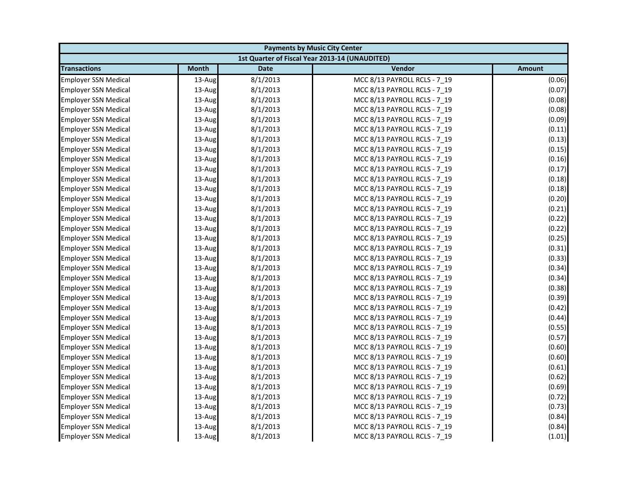| <b>Payments by Music City Center</b> |              |             |                                                |               |
|--------------------------------------|--------------|-------------|------------------------------------------------|---------------|
|                                      |              |             | 1st Quarter of Fiscal Year 2013-14 (UNAUDITED) |               |
| <b>Transactions</b>                  | <b>Month</b> | <b>Date</b> | Vendor                                         | <b>Amount</b> |
| <b>Employer SSN Medical</b>          | 13-Aug       | 8/1/2013    | MCC 8/13 PAYROLL RCLS - 7 19                   | (0.06)        |
| <b>Employer SSN Medical</b>          | 13-Aug       | 8/1/2013    | MCC 8/13 PAYROLL RCLS - 7_19                   | (0.07)        |
| <b>Employer SSN Medical</b>          | 13-Aug       | 8/1/2013    | MCC 8/13 PAYROLL RCLS - 7 19                   | (0.08)        |
| <b>Employer SSN Medical</b>          | 13-Aug       | 8/1/2013    | MCC 8/13 PAYROLL RCLS - 7 19                   | (0.08)        |
| <b>Employer SSN Medical</b>          | 13-Aug       | 8/1/2013    | MCC 8/13 PAYROLL RCLS - 7_19                   | (0.09)        |
| <b>Employer SSN Medical</b>          | 13-Aug       | 8/1/2013    | MCC 8/13 PAYROLL RCLS - 7_19                   | (0.11)        |
| <b>Employer SSN Medical</b>          | 13-Aug       | 8/1/2013    | MCC 8/13 PAYROLL RCLS - 7 19                   | (0.13)        |
| <b>Employer SSN Medical</b>          | 13-Aug       | 8/1/2013    | MCC 8/13 PAYROLL RCLS - 7_19                   | (0.15)        |
| <b>Employer SSN Medical</b>          | 13-Aug       | 8/1/2013    | MCC 8/13 PAYROLL RCLS - 7 19                   | (0.16)        |
| <b>Employer SSN Medical</b>          | 13-Aug       | 8/1/2013    | MCC 8/13 PAYROLL RCLS - 7 19                   | (0.17)        |
| <b>Employer SSN Medical</b>          | 13-Aug       | 8/1/2013    | MCC 8/13 PAYROLL RCLS - 7 19                   | (0.18)        |
| <b>Employer SSN Medical</b>          | 13-Aug       | 8/1/2013    | MCC 8/13 PAYROLL RCLS - 7 19                   | (0.18)        |
| <b>Employer SSN Medical</b>          | 13-Aug       | 8/1/2013    | MCC 8/13 PAYROLL RCLS - 7_19                   | (0.20)        |
| <b>Employer SSN Medical</b>          | 13-Aug       | 8/1/2013    | MCC 8/13 PAYROLL RCLS - 7 19                   | (0.21)        |
| <b>Employer SSN Medical</b>          | 13-Aug       | 8/1/2013    | MCC 8/13 PAYROLL RCLS - 7_19                   | (0.22)        |
| <b>Employer SSN Medical</b>          | 13-Aug       | 8/1/2013    | MCC 8/13 PAYROLL RCLS - 7 19                   | (0.22)        |
| <b>Employer SSN Medical</b>          | 13-Aug       | 8/1/2013    | MCC 8/13 PAYROLL RCLS - 7 19                   | (0.25)        |
| <b>Employer SSN Medical</b>          | 13-Aug       | 8/1/2013    | MCC 8/13 PAYROLL RCLS - 7_19                   | (0.31)        |
| <b>Employer SSN Medical</b>          | 13-Aug       | 8/1/2013    | MCC 8/13 PAYROLL RCLS - 7 19                   | (0.33)        |
| <b>Employer SSN Medical</b>          | 13-Aug       | 8/1/2013    | MCC 8/13 PAYROLL RCLS - 7_19                   | (0.34)        |
| <b>Employer SSN Medical</b>          | 13-Aug       | 8/1/2013    | MCC 8/13 PAYROLL RCLS - 7_19                   | (0.34)        |
| <b>Employer SSN Medical</b>          | 13-Aug       | 8/1/2013    | MCC 8/13 PAYROLL RCLS - 7 19                   | (0.38)        |
| <b>Employer SSN Medical</b>          | 13-Aug       | 8/1/2013    | MCC 8/13 PAYROLL RCLS - 7_19                   | (0.39)        |
| <b>Employer SSN Medical</b>          | 13-Aug       | 8/1/2013    | MCC 8/13 PAYROLL RCLS - 7 19                   | (0.42)        |
| <b>Employer SSN Medical</b>          | 13-Aug       | 8/1/2013    | MCC 8/13 PAYROLL RCLS - 7 19                   | (0.44)        |
| <b>Employer SSN Medical</b>          | 13-Aug       | 8/1/2013    | MCC 8/13 PAYROLL RCLS - 7 19                   | (0.55)        |
| Employer SSN Medical                 | 13-Aug       | 8/1/2013    | MCC 8/13 PAYROLL RCLS - 7_19                   | (0.57)        |
| <b>Employer SSN Medical</b>          | 13-Aug       | 8/1/2013    | MCC 8/13 PAYROLL RCLS - 7 19                   | (0.60)        |
| <b>Employer SSN Medical</b>          | 13-Aug       | 8/1/2013    | MCC 8/13 PAYROLL RCLS - 7_19                   | (0.60)        |
| <b>Employer SSN Medical</b>          | 13-Aug       | 8/1/2013    | MCC 8/13 PAYROLL RCLS - 7_19                   | (0.61)        |
| <b>Employer SSN Medical</b>          | 13-Aug       | 8/1/2013    | MCC 8/13 PAYROLL RCLS - 7 19                   | (0.62)        |
| <b>Employer SSN Medical</b>          | 13-Aug       | 8/1/2013    | MCC 8/13 PAYROLL RCLS - 7 19                   | (0.69)        |
| <b>Employer SSN Medical</b>          | 13-Aug       | 8/1/2013    | MCC 8/13 PAYROLL RCLS - 7_19                   | (0.72)        |
| <b>Employer SSN Medical</b>          | 13-Aug       | 8/1/2013    | MCC 8/13 PAYROLL RCLS - 7 19                   | (0.73)        |
| <b>Employer SSN Medical</b>          | 13-Aug       | 8/1/2013    | MCC 8/13 PAYROLL RCLS - 7 19                   | (0.84)        |
| <b>Employer SSN Medical</b>          | 13-Aug       | 8/1/2013    | MCC 8/13 PAYROLL RCLS - 7 19                   | (0.84)        |
| <b>Employer SSN Medical</b>          | 13-Aug       | 8/1/2013    | MCC 8/13 PAYROLL RCLS - 7 19                   | (1.01)        |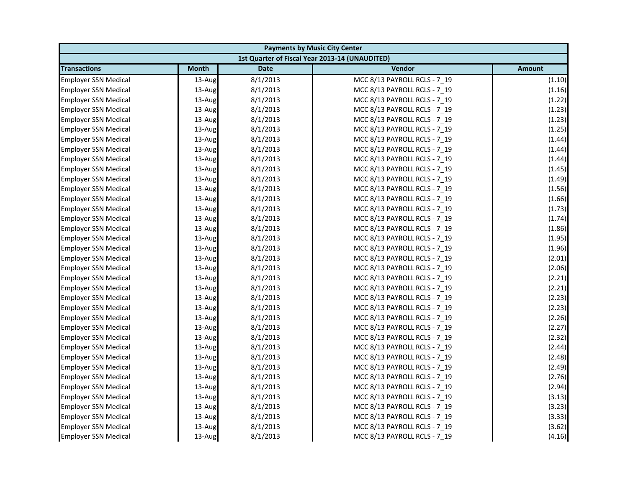|                             | <b>Payments by Music City Center</b> |             |                                                |               |  |
|-----------------------------|--------------------------------------|-------------|------------------------------------------------|---------------|--|
|                             |                                      |             | 1st Quarter of Fiscal Year 2013-14 (UNAUDITED) |               |  |
| <b>Transactions</b>         | <b>Month</b>                         | <b>Date</b> | Vendor                                         | <b>Amount</b> |  |
| <b>Employer SSN Medical</b> | 13-Aug                               | 8/1/2013    | MCC 8/13 PAYROLL RCLS - 7 19                   | (1.10)        |  |
| <b>Employer SSN Medical</b> | 13-Aug                               | 8/1/2013    | MCC 8/13 PAYROLL RCLS - 7_19                   | (1.16)        |  |
| <b>Employer SSN Medical</b> | 13-Aug                               | 8/1/2013    | MCC 8/13 PAYROLL RCLS - 7 19                   | (1.22)        |  |
| <b>Employer SSN Medical</b> | 13-Aug                               | 8/1/2013    | MCC 8/13 PAYROLL RCLS - 7 19                   | (1.23)        |  |
| <b>Employer SSN Medical</b> | 13-Aug                               | 8/1/2013    | MCC 8/13 PAYROLL RCLS - 7_19                   | (1.23)        |  |
| <b>Employer SSN Medical</b> | 13-Aug                               | 8/1/2013    | MCC 8/13 PAYROLL RCLS - 7_19                   | (1.25)        |  |
| <b>Employer SSN Medical</b> | 13-Aug                               | 8/1/2013    | MCC 8/13 PAYROLL RCLS - 7 19                   | (1.44)        |  |
| <b>Employer SSN Medical</b> | 13-Aug                               | 8/1/2013    | MCC 8/13 PAYROLL RCLS - 7_19                   | (1.44)        |  |
| <b>Employer SSN Medical</b> | 13-Aug                               | 8/1/2013    | MCC 8/13 PAYROLL RCLS - 7 19                   | (1.44)        |  |
| <b>Employer SSN Medical</b> | 13-Aug                               | 8/1/2013    | MCC 8/13 PAYROLL RCLS - 7 19                   | (1.45)        |  |
| <b>Employer SSN Medical</b> | 13-Aug                               | 8/1/2013    | MCC 8/13 PAYROLL RCLS - 7_19                   | (1.49)        |  |
| <b>Employer SSN Medical</b> | 13-Aug                               | 8/1/2013    | MCC 8/13 PAYROLL RCLS - 7 19                   | (1.56)        |  |
| <b>Employer SSN Medical</b> | 13-Aug                               | 8/1/2013    | MCC 8/13 PAYROLL RCLS - 7_19                   | (1.66)        |  |
| <b>Employer SSN Medical</b> | 13-Aug                               | 8/1/2013    | MCC 8/13 PAYROLL RCLS - 7 19                   | (1.73)        |  |
| <b>Employer SSN Medical</b> | 13-Aug                               | 8/1/2013    | MCC 8/13 PAYROLL RCLS - 7_19                   | (1.74)        |  |
| <b>Employer SSN Medical</b> | 13-Aug                               | 8/1/2013    | MCC 8/13 PAYROLL RCLS - 7 19                   | (1.86)        |  |
| <b>Employer SSN Medical</b> | 13-Aug                               | 8/1/2013    | MCC 8/13 PAYROLL RCLS - 7 19                   | (1.95)        |  |
| <b>Employer SSN Medical</b> | 13-Aug                               | 8/1/2013    | MCC 8/13 PAYROLL RCLS - 7_19                   | (1.96)        |  |
| <b>Employer SSN Medical</b> | 13-Aug                               | 8/1/2013    | MCC 8/13 PAYROLL RCLS - 7 19                   | (2.01)        |  |
| <b>Employer SSN Medical</b> | 13-Aug                               | 8/1/2013    | MCC 8/13 PAYROLL RCLS - 7_19                   | (2.06)        |  |
| <b>Employer SSN Medical</b> | 13-Aug                               | 8/1/2013    | MCC 8/13 PAYROLL RCLS - 7_19                   | (2.21)        |  |
| <b>Employer SSN Medical</b> | 13-Aug                               | 8/1/2013    | MCC 8/13 PAYROLL RCLS - 7 19                   | (2.21)        |  |
| <b>Employer SSN Medical</b> | 13-Aug                               | 8/1/2013    | MCC 8/13 PAYROLL RCLS - 7_19                   | (2.23)        |  |
| <b>Employer SSN Medical</b> | 13-Aug                               | 8/1/2013    | MCC 8/13 PAYROLL RCLS - 7 19                   | (2.23)        |  |
| <b>Employer SSN Medical</b> | 13-Aug                               | 8/1/2013    | MCC 8/13 PAYROLL RCLS - 7 19                   | (2.26)        |  |
| <b>Employer SSN Medical</b> | 13-Aug                               | 8/1/2013    | MCC 8/13 PAYROLL RCLS - 7_19                   | (2.27)        |  |
| Employer SSN Medical        | 13-Aug                               | 8/1/2013    | MCC 8/13 PAYROLL RCLS - 7_19                   | (2.32)        |  |
| <b>Employer SSN Medical</b> | 13-Aug                               | 8/1/2013    | MCC 8/13 PAYROLL RCLS - 7 19                   | (2.44)        |  |
| <b>Employer SSN Medical</b> | 13-Aug                               | 8/1/2013    | MCC 8/13 PAYROLL RCLS - 7_19                   | (2.48)        |  |
| <b>Employer SSN Medical</b> | 13-Aug                               | 8/1/2013    | MCC 8/13 PAYROLL RCLS - 7_19                   | (2.49)        |  |
| <b>Employer SSN Medical</b> | 13-Aug                               | 8/1/2013    | MCC 8/13 PAYROLL RCLS - 7 19                   | (2.76)        |  |
| <b>Employer SSN Medical</b> | 13-Aug                               | 8/1/2013    | MCC 8/13 PAYROLL RCLS - 7 19                   | (2.94)        |  |
| <b>Employer SSN Medical</b> | 13-Aug                               | 8/1/2013    | MCC 8/13 PAYROLL RCLS - 7_19                   | (3.13)        |  |
| <b>Employer SSN Medical</b> | 13-Aug                               | 8/1/2013    | MCC 8/13 PAYROLL RCLS - 7 19                   | (3.23)        |  |
| <b>Employer SSN Medical</b> | 13-Aug                               | 8/1/2013    | MCC 8/13 PAYROLL RCLS - 7 19                   | (3.33)        |  |
| <b>Employer SSN Medical</b> | 13-Aug                               | 8/1/2013    | MCC 8/13 PAYROLL RCLS - 7_19                   | (3.62)        |  |
| <b>Employer SSN Medical</b> | 13-Aug                               | 8/1/2013    | MCC 8/13 PAYROLL RCLS - 7 19                   | (4.16)        |  |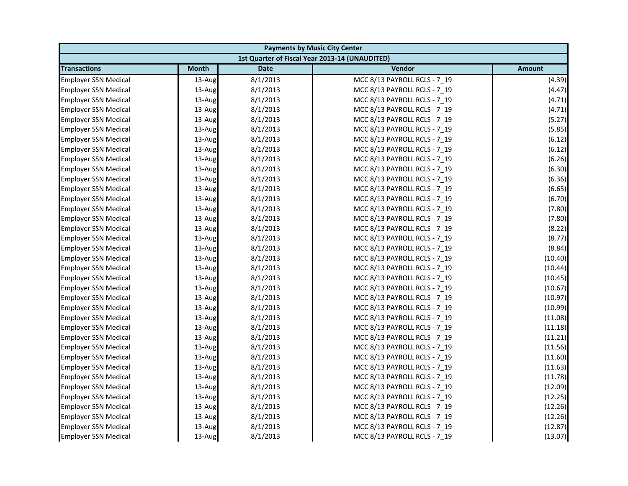| <b>Payments by Music City Center</b> |              |             |                                                |               |
|--------------------------------------|--------------|-------------|------------------------------------------------|---------------|
|                                      |              |             | 1st Quarter of Fiscal Year 2013-14 (UNAUDITED) |               |
| <b>Transactions</b>                  | <b>Month</b> | <b>Date</b> | Vendor                                         | <b>Amount</b> |
| <b>Employer SSN Medical</b>          | 13-Aug       | 8/1/2013    | MCC 8/13 PAYROLL RCLS - 7 19                   | (4.39)        |
| <b>Employer SSN Medical</b>          | 13-Aug       | 8/1/2013    | MCC 8/13 PAYROLL RCLS - 7_19                   | (4.47)        |
| <b>Employer SSN Medical</b>          | 13-Aug       | 8/1/2013    | MCC 8/13 PAYROLL RCLS - 7 19                   | (4.71)        |
| <b>Employer SSN Medical</b>          | 13-Aug       | 8/1/2013    | MCC 8/13 PAYROLL RCLS - 7 19                   | (4.71)        |
| <b>Employer SSN Medical</b>          | 13-Aug       | 8/1/2013    | MCC 8/13 PAYROLL RCLS - 7_19                   | (5.27)        |
| <b>Employer SSN Medical</b>          | 13-Aug       | 8/1/2013    | MCC 8/13 PAYROLL RCLS - 7_19                   | (5.85)        |
| <b>Employer SSN Medical</b>          | 13-Aug       | 8/1/2013    | MCC 8/13 PAYROLL RCLS - 7 19                   | (6.12)        |
| <b>Employer SSN Medical</b>          | 13-Aug       | 8/1/2013    | MCC 8/13 PAYROLL RCLS - 7_19                   | (6.12)        |
| <b>Employer SSN Medical</b>          | 13-Aug       | 8/1/2013    | MCC 8/13 PAYROLL RCLS - 7 19                   | (6.26)        |
| <b>Employer SSN Medical</b>          | 13-Aug       | 8/1/2013    | MCC 8/13 PAYROLL RCLS - 7 19                   | (6.30)        |
| <b>Employer SSN Medical</b>          | 13-Aug       | 8/1/2013    | MCC 8/13 PAYROLL RCLS - 7_19                   | (6.36)        |
| <b>Employer SSN Medical</b>          | 13-Aug       | 8/1/2013    | MCC 8/13 PAYROLL RCLS - 7 19                   | (6.65)        |
| <b>Employer SSN Medical</b>          | 13-Aug       | 8/1/2013    | MCC 8/13 PAYROLL RCLS - 7_19                   | (6.70)        |
| <b>Employer SSN Medical</b>          | 13-Aug       | 8/1/2013    | MCC 8/13 PAYROLL RCLS - 7 19                   | (7.80)        |
| <b>Employer SSN Medical</b>          | 13-Aug       | 8/1/2013    | MCC 8/13 PAYROLL RCLS - 7_19                   | (7.80)        |
| <b>Employer SSN Medical</b>          | 13-Aug       | 8/1/2013    | MCC 8/13 PAYROLL RCLS - 7 19                   | (8.22)        |
| <b>Employer SSN Medical</b>          | 13-Aug       | 8/1/2013    | MCC 8/13 PAYROLL RCLS - 7 19                   | (8.77)        |
| <b>Employer SSN Medical</b>          | 13-Aug       | 8/1/2013    | MCC 8/13 PAYROLL RCLS - 7_19                   | (8.84)        |
| <b>Employer SSN Medical</b>          | 13-Aug       | 8/1/2013    | MCC 8/13 PAYROLL RCLS - 7 19                   | (10.40)       |
| <b>Employer SSN Medical</b>          | 13-Aug       | 8/1/2013    | MCC 8/13 PAYROLL RCLS - 7_19                   | (10.44)       |
| <b>Employer SSN Medical</b>          | 13-Aug       | 8/1/2013    | MCC 8/13 PAYROLL RCLS - 7_19                   | (10.45)       |
| <b>Employer SSN Medical</b>          | 13-Aug       | 8/1/2013    | MCC 8/13 PAYROLL RCLS - 7 19                   | (10.67)       |
| <b>Employer SSN Medical</b>          | 13-Aug       | 8/1/2013    | MCC 8/13 PAYROLL RCLS - 7_19                   | (10.97)       |
| <b>Employer SSN Medical</b>          | 13-Aug       | 8/1/2013    | MCC 8/13 PAYROLL RCLS - 7 19                   | (10.99)       |
| <b>Employer SSN Medical</b>          | 13-Aug       | 8/1/2013    | MCC 8/13 PAYROLL RCLS - 7 19                   | (11.08)       |
| <b>Employer SSN Medical</b>          | 13-Aug       | 8/1/2013    | MCC 8/13 PAYROLL RCLS - 7_19                   | (11.18)       |
| Employer SSN Medical                 | 13-Aug       | 8/1/2013    | MCC 8/13 PAYROLL RCLS - 7_19                   | (11.21)       |
| <b>Employer SSN Medical</b>          | 13-Aug       | 8/1/2013    | MCC 8/13 PAYROLL RCLS - 7 19                   | (11.56)       |
| <b>Employer SSN Medical</b>          | 13-Aug       | 8/1/2013    | MCC 8/13 PAYROLL RCLS - 7_19                   | (11.60)       |
| <b>Employer SSN Medical</b>          | 13-Aug       | 8/1/2013    | MCC 8/13 PAYROLL RCLS - 7_19                   | (11.63)       |
| <b>Employer SSN Medical</b>          | 13-Aug       | 8/1/2013    | MCC 8/13 PAYROLL RCLS - 7 19                   | (11.78)       |
| <b>Employer SSN Medical</b>          | 13-Aug       | 8/1/2013    | MCC 8/13 PAYROLL RCLS - 7 19                   | (12.09)       |
| <b>Employer SSN Medical</b>          | 13-Aug       | 8/1/2013    | MCC 8/13 PAYROLL RCLS - 7_19                   | (12.25)       |
| <b>Employer SSN Medical</b>          | 13-Aug       | 8/1/2013    | MCC 8/13 PAYROLL RCLS - 7 19                   | (12.26)       |
| <b>Employer SSN Medical</b>          | 13-Aug       | 8/1/2013    | MCC 8/13 PAYROLL RCLS - 7 19                   | (12.26)       |
| <b>Employer SSN Medical</b>          | 13-Aug       | 8/1/2013    | MCC 8/13 PAYROLL RCLS - 7_19                   | (12.87)       |
| <b>Employer SSN Medical</b>          | 13-Aug       | 8/1/2013    | MCC 8/13 PAYROLL RCLS - 7 19                   | (13.07)       |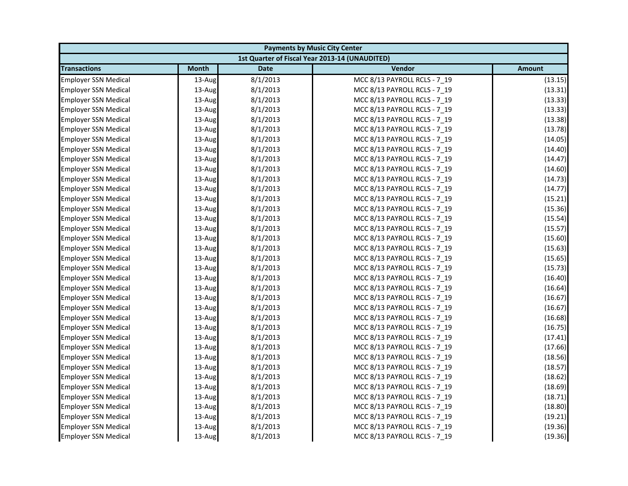| <b>Payments by Music City Center</b> |              |             |                                                |               |
|--------------------------------------|--------------|-------------|------------------------------------------------|---------------|
|                                      |              |             | 1st Quarter of Fiscal Year 2013-14 (UNAUDITED) |               |
| <b>Transactions</b>                  | <b>Month</b> | <b>Date</b> | Vendor                                         | <b>Amount</b> |
| <b>Employer SSN Medical</b>          | 13-Aug       | 8/1/2013    | MCC 8/13 PAYROLL RCLS - 7 19                   | (13.15)       |
| <b>Employer SSN Medical</b>          | 13-Aug       | 8/1/2013    | MCC 8/13 PAYROLL RCLS - 7_19                   | (13.31)       |
| <b>Employer SSN Medical</b>          | 13-Aug       | 8/1/2013    | MCC 8/13 PAYROLL RCLS - 7 19                   | (13.33)       |
| <b>Employer SSN Medical</b>          | 13-Aug       | 8/1/2013    | MCC 8/13 PAYROLL RCLS - 7 19                   | (13.33)       |
| <b>Employer SSN Medical</b>          | 13-Aug       | 8/1/2013    | MCC 8/13 PAYROLL RCLS - 7_19                   | (13.38)       |
| <b>Employer SSN Medical</b>          | 13-Aug       | 8/1/2013    | MCC 8/13 PAYROLL RCLS - 7_19                   | (13.78)       |
| <b>Employer SSN Medical</b>          | 13-Aug       | 8/1/2013    | MCC 8/13 PAYROLL RCLS - 7 19                   | (14.05)       |
| <b>Employer SSN Medical</b>          | 13-Aug       | 8/1/2013    | MCC 8/13 PAYROLL RCLS - 7_19                   | (14.40)       |
| <b>Employer SSN Medical</b>          | 13-Aug       | 8/1/2013    | MCC 8/13 PAYROLL RCLS - 7 19                   | (14.47)       |
| <b>Employer SSN Medical</b>          | 13-Aug       | 8/1/2013    | MCC 8/13 PAYROLL RCLS - 7 19                   | (14.60)       |
| <b>Employer SSN Medical</b>          | 13-Aug       | 8/1/2013    | MCC 8/13 PAYROLL RCLS - 7_19                   | (14.73)       |
| <b>Employer SSN Medical</b>          | 13-Aug       | 8/1/2013    | MCC 8/13 PAYROLL RCLS - 7 19                   | (14.77)       |
| <b>Employer SSN Medical</b>          | 13-Aug       | 8/1/2013    | MCC 8/13 PAYROLL RCLS - 7_19                   | (15.21)       |
| <b>Employer SSN Medical</b>          | 13-Aug       | 8/1/2013    | MCC 8/13 PAYROLL RCLS - 7 19                   | (15.36)       |
| <b>Employer SSN Medical</b>          | 13-Aug       | 8/1/2013    | MCC 8/13 PAYROLL RCLS - 7_19                   | (15.54)       |
| <b>Employer SSN Medical</b>          | 13-Aug       | 8/1/2013    | MCC 8/13 PAYROLL RCLS - 7 19                   | (15.57)       |
| <b>Employer SSN Medical</b>          | 13-Aug       | 8/1/2013    | MCC 8/13 PAYROLL RCLS - 7 19                   | (15.60)       |
| <b>Employer SSN Medical</b>          | 13-Aug       | 8/1/2013    | MCC 8/13 PAYROLL RCLS - 7_19                   | (15.63)       |
| <b>Employer SSN Medical</b>          | 13-Aug       | 8/1/2013    | MCC 8/13 PAYROLL RCLS - 7 19                   | (15.65)       |
| <b>Employer SSN Medical</b>          | 13-Aug       | 8/1/2013    | MCC 8/13 PAYROLL RCLS - 7_19                   | (15.73)       |
| <b>Employer SSN Medical</b>          | 13-Aug       | 8/1/2013    | MCC 8/13 PAYROLL RCLS - 7_19                   | (16.40)       |
| <b>Employer SSN Medical</b>          | 13-Aug       | 8/1/2013    | MCC 8/13 PAYROLL RCLS - 7 19                   | (16.64)       |
| <b>Employer SSN Medical</b>          | 13-Aug       | 8/1/2013    | MCC 8/13 PAYROLL RCLS - 7_19                   | (16.67)       |
| <b>Employer SSN Medical</b>          | 13-Aug       | 8/1/2013    | MCC 8/13 PAYROLL RCLS - 7 19                   | (16.67)       |
| <b>Employer SSN Medical</b>          | 13-Aug       | 8/1/2013    | MCC 8/13 PAYROLL RCLS - 7 19                   | (16.68)       |
| <b>Employer SSN Medical</b>          | 13-Aug       | 8/1/2013    | MCC 8/13 PAYROLL RCLS - 7_19                   | (16.75)       |
| Employer SSN Medical                 | 13-Aug       | 8/1/2013    | MCC 8/13 PAYROLL RCLS - 7_19                   | (17.41)       |
| <b>Employer SSN Medical</b>          | 13-Aug       | 8/1/2013    | MCC 8/13 PAYROLL RCLS - 7 19                   | (17.66)       |
| <b>Employer SSN Medical</b>          | 13-Aug       | 8/1/2013    | MCC 8/13 PAYROLL RCLS - 7_19                   | (18.56)       |
| <b>Employer SSN Medical</b>          | 13-Aug       | 8/1/2013    | MCC 8/13 PAYROLL RCLS - 7_19                   | (18.57)       |
| <b>Employer SSN Medical</b>          | 13-Aug       | 8/1/2013    | MCC 8/13 PAYROLL RCLS - 7 19                   | (18.62)       |
| <b>Employer SSN Medical</b>          | 13-Aug       | 8/1/2013    | MCC 8/13 PAYROLL RCLS - 7 19                   | (18.69)       |
| <b>Employer SSN Medical</b>          | 13-Aug       | 8/1/2013    | MCC 8/13 PAYROLL RCLS - 7_19                   | (18.71)       |
| <b>Employer SSN Medical</b>          | 13-Aug       | 8/1/2013    | MCC 8/13 PAYROLL RCLS - 7 19                   | (18.80)       |
| <b>Employer SSN Medical</b>          | 13-Aug       | 8/1/2013    | MCC 8/13 PAYROLL RCLS - 7 19                   | (19.21)       |
| <b>Employer SSN Medical</b>          | 13-Aug       | 8/1/2013    | MCC 8/13 PAYROLL RCLS - 7_19                   | (19.36)       |
| <b>Employer SSN Medical</b>          | 13-Aug       | 8/1/2013    | MCC 8/13 PAYROLL RCLS - 7 19                   | (19.36)       |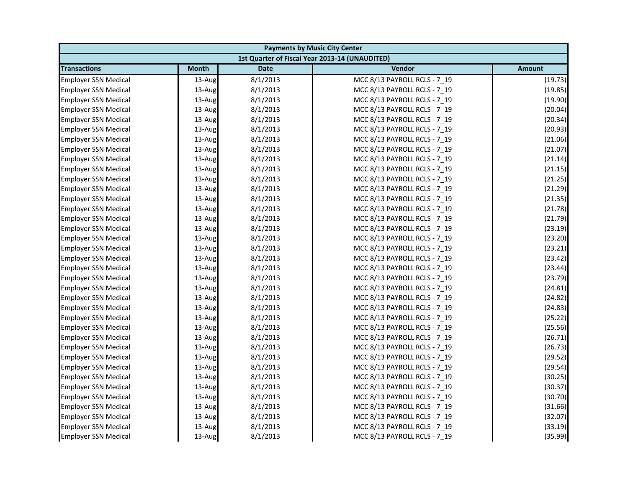| <b>Payments by Music City Center</b> |              |             |                                                |               |
|--------------------------------------|--------------|-------------|------------------------------------------------|---------------|
|                                      |              |             | 1st Quarter of Fiscal Year 2013-14 (UNAUDITED) |               |
| <b>Transactions</b>                  | <b>Month</b> | <b>Date</b> | Vendor                                         | <b>Amount</b> |
| <b>Employer SSN Medical</b>          | 13-Aug       | 8/1/2013    | MCC 8/13 PAYROLL RCLS - 7 19                   | (19.73)       |
| <b>Employer SSN Medical</b>          | 13-Aug       | 8/1/2013    | MCC 8/13 PAYROLL RCLS - 7_19                   | (19.85)       |
| <b>Employer SSN Medical</b>          | 13-Aug       | 8/1/2013    | MCC 8/13 PAYROLL RCLS - 7 19                   | (19.90)       |
| <b>Employer SSN Medical</b>          | 13-Aug       | 8/1/2013    | MCC 8/13 PAYROLL RCLS - 7 19                   | (20.04)       |
| <b>Employer SSN Medical</b>          | 13-Aug       | 8/1/2013    | MCC 8/13 PAYROLL RCLS - 7_19                   | (20.34)       |
| <b>Employer SSN Medical</b>          | 13-Aug       | 8/1/2013    | MCC 8/13 PAYROLL RCLS - 7_19                   | (20.93)       |
| <b>Employer SSN Medical</b>          | 13-Aug       | 8/1/2013    | MCC 8/13 PAYROLL RCLS - 7 19                   | (21.06)       |
| <b>Employer SSN Medical</b>          | 13-Aug       | 8/1/2013    | MCC 8/13 PAYROLL RCLS - 7_19                   | (21.07)       |
| <b>Employer SSN Medical</b>          | 13-Aug       | 8/1/2013    | MCC 8/13 PAYROLL RCLS - 7 19                   | (21.14)       |
| <b>Employer SSN Medical</b>          | 13-Aug       | 8/1/2013    | MCC 8/13 PAYROLL RCLS - 7 19                   | (21.15)       |
| <b>Employer SSN Medical</b>          | 13-Aug       | 8/1/2013    | MCC 8/13 PAYROLL RCLS - 7 19                   | (21.25)       |
| <b>Employer SSN Medical</b>          | 13-Aug       | 8/1/2013    | MCC 8/13 PAYROLL RCLS - 7 19                   | (21.29)       |
| <b>Employer SSN Medical</b>          | 13-Aug       | 8/1/2013    | MCC 8/13 PAYROLL RCLS - 7_19                   | (21.35)       |
| <b>Employer SSN Medical</b>          | 13-Aug       | 8/1/2013    | MCC 8/13 PAYROLL RCLS - 7 19                   | (21.78)       |
| <b>Employer SSN Medical</b>          | 13-Aug       | 8/1/2013    | MCC 8/13 PAYROLL RCLS - 7_19                   | (21.79)       |
| <b>Employer SSN Medical</b>          | 13-Aug       | 8/1/2013    | MCC 8/13 PAYROLL RCLS - 7 19                   | (23.19)       |
| <b>Employer SSN Medical</b>          | 13-Aug       | 8/1/2013    | MCC 8/13 PAYROLL RCLS - 7 19                   | (23.20)       |
| <b>Employer SSN Medical</b>          | 13-Aug       | 8/1/2013    | MCC 8/13 PAYROLL RCLS - 7_19                   | (23.21)       |
| <b>Employer SSN Medical</b>          | 13-Aug       | 8/1/2013    | MCC 8/13 PAYROLL RCLS - 7 19                   | (23.42)       |
| <b>Employer SSN Medical</b>          | 13-Aug       | 8/1/2013    | MCC 8/13 PAYROLL RCLS - 7_19                   | (23.44)       |
| <b>Employer SSN Medical</b>          | 13-Aug       | 8/1/2013    | MCC 8/13 PAYROLL RCLS - 7_19                   | (23.79)       |
| <b>Employer SSN Medical</b>          | $13$ -Aug    | 8/1/2013    | MCC 8/13 PAYROLL RCLS - 7 19                   | (24.81)       |
| <b>Employer SSN Medical</b>          | 13-Aug       | 8/1/2013    | MCC 8/13 PAYROLL RCLS - 7_19                   | (24.82)       |
| <b>Employer SSN Medical</b>          | 13-Aug       | 8/1/2013    | MCC 8/13 PAYROLL RCLS - 7 19                   | (24.83)       |
| <b>Employer SSN Medical</b>          | 13-Aug       | 8/1/2013    | MCC 8/13 PAYROLL RCLS - 7 19                   | (25.22)       |
| <b>Employer SSN Medical</b>          | 13-Aug       | 8/1/2013    | MCC 8/13 PAYROLL RCLS - 7_19                   | (25.56)       |
| Employer SSN Medical                 | 13-Aug       | 8/1/2013    | MCC 8/13 PAYROLL RCLS - 7_19                   | (26.71)       |
| <b>Employer SSN Medical</b>          | 13-Aug       | 8/1/2013    | MCC 8/13 PAYROLL RCLS - 7 19                   | (26.73)       |
| <b>Employer SSN Medical</b>          | 13-Aug       | 8/1/2013    | MCC 8/13 PAYROLL RCLS - 7 19                   | (29.52)       |
| <b>Employer SSN Medical</b>          | 13-Aug       | 8/1/2013    | MCC 8/13 PAYROLL RCLS - 7_19                   | (29.54)       |
| <b>Employer SSN Medical</b>          | 13-Aug       | 8/1/2013    | MCC 8/13 PAYROLL RCLS - 7 19                   | (30.25)       |
| <b>Employer SSN Medical</b>          | 13-Aug       | 8/1/2013    | MCC 8/13 PAYROLL RCLS - 7 19                   | (30.37)       |
| <b>Employer SSN Medical</b>          | 13-Aug       | 8/1/2013    | MCC 8/13 PAYROLL RCLS - 7_19                   | (30.70)       |
| <b>Employer SSN Medical</b>          | 13-Aug       | 8/1/2013    | MCC 8/13 PAYROLL RCLS - 7 19                   | (31.66)       |
| <b>Employer SSN Medical</b>          | 13-Aug       | 8/1/2013    | MCC 8/13 PAYROLL RCLS - 7 19                   | (32.07)       |
| <b>Employer SSN Medical</b>          | 13-Aug       | 8/1/2013    | MCC 8/13 PAYROLL RCLS - 7_19                   | (33.19)       |
| <b>Employer SSN Medical</b>          | 13-Aug       | 8/1/2013    | MCC 8/13 PAYROLL RCLS - 7 19                   | (35.99)       |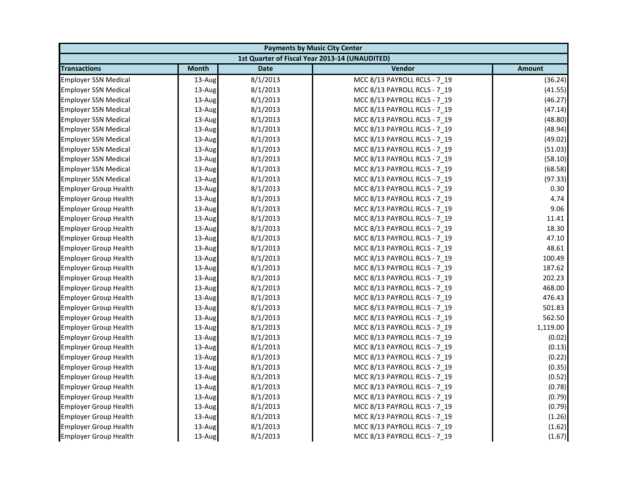| <b>Payments by Music City Center</b> |              |             |                                                |               |
|--------------------------------------|--------------|-------------|------------------------------------------------|---------------|
|                                      |              |             | 1st Quarter of Fiscal Year 2013-14 (UNAUDITED) |               |
| <b>Transactions</b>                  | <b>Month</b> | <b>Date</b> | Vendor                                         | <b>Amount</b> |
| <b>Employer SSN Medical</b>          | 13-Aug       | 8/1/2013    | MCC 8/13 PAYROLL RCLS - 7 19                   | (36.24)       |
| <b>Employer SSN Medical</b>          | 13-Aug       | 8/1/2013    | MCC 8/13 PAYROLL RCLS - 7_19                   | (41.55)       |
| <b>Employer SSN Medical</b>          | 13-Aug       | 8/1/2013    | MCC 8/13 PAYROLL RCLS - 7 19                   | (46.27)       |
| <b>Employer SSN Medical</b>          | 13-Aug       | 8/1/2013    | MCC 8/13 PAYROLL RCLS - 7 19                   | (47.14)       |
| <b>Employer SSN Medical</b>          | 13-Aug       | 8/1/2013    | MCC 8/13 PAYROLL RCLS - 7_19                   | (48.80)       |
| <b>Employer SSN Medical</b>          | 13-Aug       | 8/1/2013    | MCC 8/13 PAYROLL RCLS - 7 19                   | (48.94)       |
| <b>Employer SSN Medical</b>          | 13-Aug       | 8/1/2013    | MCC 8/13 PAYROLL RCLS - 7 19                   | (49.02)       |
| <b>Employer SSN Medical</b>          | 13-Aug       | 8/1/2013    | MCC 8/13 PAYROLL RCLS - 7 19                   | (51.03)       |
| <b>Employer SSN Medical</b>          | 13-Aug       | 8/1/2013    | MCC 8/13 PAYROLL RCLS - 7_19                   | (58.10)       |
| <b>Employer SSN Medical</b>          | 13-Aug       | 8/1/2013    | MCC 8/13 PAYROLL RCLS - 7 19                   | (68.58)       |
| <b>Employer SSN Medical</b>          | 13-Aug       | 8/1/2013    | MCC 8/13 PAYROLL RCLS - 7 19                   | (97.33)       |
| <b>Employer Group Health</b>         | 13-Aug       | 8/1/2013    | MCC 8/13 PAYROLL RCLS - 7 19                   | 0.30          |
| <b>Employer Group Health</b>         | 13-Aug       | 8/1/2013    | MCC 8/13 PAYROLL RCLS - 7_19                   | 4.74          |
| <b>Employer Group Health</b>         | $13$ -Aug    | 8/1/2013    | MCC 8/13 PAYROLL RCLS - 7 19                   | 9.06          |
| <b>Employer Group Health</b>         | 13-Aug       | 8/1/2013    | MCC 8/13 PAYROLL RCLS - 7 19                   | 11.41         |
| <b>Employer Group Health</b>         | 13-Aug       | 8/1/2013    | MCC 8/13 PAYROLL RCLS - 7_19                   | 18.30         |
| <b>Employer Group Health</b>         | 13-Aug       | 8/1/2013    | MCC 8/13 PAYROLL RCLS - 7 19                   | 47.10         |
| <b>Employer Group Health</b>         | 13-Aug       | 8/1/2013    | MCC 8/13 PAYROLL RCLS - 7 19                   | 48.61         |
| <b>Employer Group Health</b>         | 13-Aug       | 8/1/2013    | MCC 8/13 PAYROLL RCLS - 7_19                   | 100.49        |
| <b>Employer Group Health</b>         | 13-Aug       | 8/1/2013    | MCC 8/13 PAYROLL RCLS - 7 19                   | 187.62        |
| <b>Employer Group Health</b>         | 13-Aug       | 8/1/2013    | MCC 8/13 PAYROLL RCLS - 7 19                   | 202.23        |
| <b>Employer Group Health</b>         | 13-Aug       | 8/1/2013    | MCC 8/13 PAYROLL RCLS - 7_19                   | 468.00        |
| <b>Employer Group Health</b>         | 13-Aug       | 8/1/2013    | MCC 8/13 PAYROLL RCLS - 7_19                   | 476.43        |
| <b>Employer Group Health</b>         | 13-Aug       | 8/1/2013    | MCC 8/13 PAYROLL RCLS - 7 19                   | 501.83        |
| <b>Employer Group Health</b>         | 13-Aug       | 8/1/2013    | MCC 8/13 PAYROLL RCLS - 7 19                   | 562.50        |
| <b>Employer Group Health</b>         | 13-Aug       | 8/1/2013    | MCC 8/13 PAYROLL RCLS - 7_19                   | 1,119.00      |
| <b>Employer Group Health</b>         | 13-Aug       | 8/1/2013    | MCC 8/13 PAYROLL RCLS - 7 19                   | (0.02)        |
| <b>Employer Group Health</b>         | 13-Aug       | 8/1/2013    | MCC 8/13 PAYROLL RCLS - 7 19                   | (0.13)        |
| <b>Employer Group Health</b>         | 13-Aug       | 8/1/2013    | MCC 8/13 PAYROLL RCLS - 7_19                   | (0.22)        |
| <b>Employer Group Health</b>         | 13-Aug       | 8/1/2013    | MCC 8/13 PAYROLL RCLS - 7 19                   | (0.35)        |
| <b>Employer Group Health</b>         | 13-Aug       | 8/1/2013    | MCC 8/13 PAYROLL RCLS - 7 19                   | (0.52)        |
| <b>Employer Group Health</b>         | 13-Aug       | 8/1/2013    | MCC 8/13 PAYROLL RCLS - 7 19                   | (0.78)        |
| <b>Employer Group Health</b>         | 13-Aug       | 8/1/2013    | MCC 8/13 PAYROLL RCLS - 7_19                   | (0.79)        |
| <b>Employer Group Health</b>         | 13-Aug       | 8/1/2013    | MCC 8/13 PAYROLL RCLS - 7_19                   | (0.79)        |
| <b>Employer Group Health</b>         | 13-Aug       | 8/1/2013    | MCC 8/13 PAYROLL RCLS - 7 19                   | (1.26)        |
| <b>Employer Group Health</b>         | 13-Aug       | 8/1/2013    | MCC 8/13 PAYROLL RCLS - 7_19                   | (1.62)        |
| <b>Employer Group Health</b>         | 13-Aug       | 8/1/2013    | MCC 8/13 PAYROLL RCLS - 7 19                   | (1.67)        |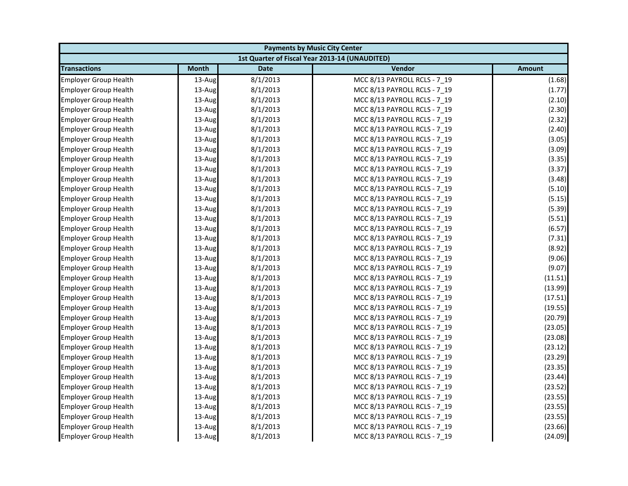| <b>Payments by Music City Center</b> |              |             |                                                |               |
|--------------------------------------|--------------|-------------|------------------------------------------------|---------------|
|                                      |              |             | 1st Quarter of Fiscal Year 2013-14 (UNAUDITED) |               |
| <b>Transactions</b>                  | <b>Month</b> | <b>Date</b> | Vendor                                         | <b>Amount</b> |
| <b>Employer Group Health</b>         | 13-Aug       | 8/1/2013    | MCC 8/13 PAYROLL RCLS - 7 19                   | (1.68)        |
| <b>Employer Group Health</b>         | 13-Aug       | 8/1/2013    | MCC 8/13 PAYROLL RCLS - 7_19                   | (1.77)        |
| <b>Employer Group Health</b>         | 13-Aug       | 8/1/2013    | MCC 8/13 PAYROLL RCLS - 7_19                   | (2.10)        |
| <b>Employer Group Health</b>         | 13-Aug       | 8/1/2013    | MCC 8/13 PAYROLL RCLS - 7 19                   | (2.30)        |
| <b>Employer Group Health</b>         | 13-Aug       | 8/1/2013    | MCC 8/13 PAYROLL RCLS - 7_19                   | (2.32)        |
| <b>Employer Group Health</b>         | 13-Aug       | 8/1/2013    | MCC 8/13 PAYROLL RCLS - 7 19                   | (2.40)        |
| <b>Employer Group Health</b>         | 13-Aug       | 8/1/2013    | MCC 8/13 PAYROLL RCLS - 7 19                   | (3.05)        |
| <b>Employer Group Health</b>         | 13-Aug       | 8/1/2013    | MCC 8/13 PAYROLL RCLS - 7 19                   | (3.09)        |
| <b>Employer Group Health</b>         | 13-Aug       | 8/1/2013    | MCC 8/13 PAYROLL RCLS - 7_19                   | (3.35)        |
| <b>Employer Group Health</b>         | 13-Aug       | 8/1/2013    | MCC 8/13 PAYROLL RCLS - 7 19                   | (3.37)        |
| <b>Employer Group Health</b>         | 13-Aug       | 8/1/2013    | MCC 8/13 PAYROLL RCLS - 7 19                   | (3.48)        |
| <b>Employer Group Health</b>         | 13-Aug       | 8/1/2013    | MCC 8/13 PAYROLL RCLS - 7 19                   | (5.10)        |
| <b>Employer Group Health</b>         | 13-Aug       | 8/1/2013    | MCC 8/13 PAYROLL RCLS - 7_19                   | (5.15)        |
| <b>Employer Group Health</b>         | 13-Aug       | 8/1/2013    | MCC 8/13 PAYROLL RCLS - 7 19                   | (5.39)        |
| <b>Employer Group Health</b>         | 13-Aug       | 8/1/2013    | MCC 8/13 PAYROLL RCLS - 7 19                   | (5.51)        |
| <b>Employer Group Health</b>         | 13-Aug       | 8/1/2013    | MCC 8/13 PAYROLL RCLS - 7_19                   | (6.57)        |
| <b>Employer Group Health</b>         | 13-Aug       | 8/1/2013    | MCC 8/13 PAYROLL RCLS - 7 19                   | (7.31)        |
| <b>Employer Group Health</b>         | 13-Aug       | 8/1/2013    | MCC 8/13 PAYROLL RCLS - 7 19                   | (8.92)        |
| <b>Employer Group Health</b>         | 13-Aug       | 8/1/2013    | MCC 8/13 PAYROLL RCLS - 7_19                   | (9.06)        |
| <b>Employer Group Health</b>         | 13-Aug       | 8/1/2013    | MCC 8/13 PAYROLL RCLS - 7 19                   | (9.07)        |
| <b>Employer Group Health</b>         | 13-Aug       | 8/1/2013    | MCC 8/13 PAYROLL RCLS - 7 19                   | (11.51)       |
| <b>Employer Group Health</b>         | 13-Aug       | 8/1/2013    | MCC 8/13 PAYROLL RCLS - 7_19                   | (13.99)       |
| <b>Employer Group Health</b>         | 13-Aug       | 8/1/2013    | MCC 8/13 PAYROLL RCLS - 7_19                   | (17.51)       |
| <b>Employer Group Health</b>         | 13-Aug       | 8/1/2013    | MCC 8/13 PAYROLL RCLS - 7 19                   | (19.55)       |
| <b>Employer Group Health</b>         | 13-Aug       | 8/1/2013    | MCC 8/13 PAYROLL RCLS - 7 19                   | (20.79)       |
| <b>Employer Group Health</b>         | 13-Aug       | 8/1/2013    | MCC 8/13 PAYROLL RCLS - 7_19                   | (23.05)       |
| <b>Employer Group Health</b>         | 13-Aug       | 8/1/2013    | MCC 8/13 PAYROLL RCLS - 7_19                   | (23.08)       |
| <b>Employer Group Health</b>         | 13-Aug       | 8/1/2013    | MCC 8/13 PAYROLL RCLS - 7 19                   | (23.12)       |
| <b>Employer Group Health</b>         | 13-Aug       | 8/1/2013    | MCC 8/13 PAYROLL RCLS - 7_19                   | (23.29)       |
| <b>Employer Group Health</b>         | 13-Aug       | 8/1/2013    | MCC 8/13 PAYROLL RCLS - 7 19                   | (23.35)       |
| <b>Employer Group Health</b>         | 13-Aug       | 8/1/2013    | MCC 8/13 PAYROLL RCLS - 7 19                   | (23.44)       |
| <b>Employer Group Health</b>         | 13-Aug       | 8/1/2013    | MCC 8/13 PAYROLL RCLS - 7 19                   | (23.52)       |
| <b>Employer Group Health</b>         | 13-Aug       | 8/1/2013    | MCC 8/13 PAYROLL RCLS - 7 19                   | (23.55)       |
| <b>Employer Group Health</b>         | 13-Aug       | 8/1/2013    | MCC 8/13 PAYROLL RCLS - 7_19                   | (23.55)       |
| <b>Employer Group Health</b>         | 13-Aug       | 8/1/2013    | MCC 8/13 PAYROLL RCLS - 7 19                   | (23.55)       |
| <b>Employer Group Health</b>         | 13-Aug       | 8/1/2013    | MCC 8/13 PAYROLL RCLS - 7_19                   | (23.66)       |
| <b>Employer Group Health</b>         | 13-Aug       | 8/1/2013    | MCC 8/13 PAYROLL RCLS - 7 19                   | (24.09)       |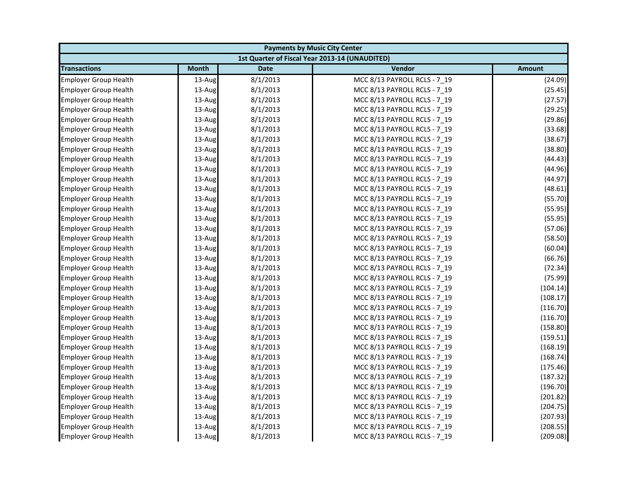| <b>Payments by Music City Center</b> |              |             |                                                |               |
|--------------------------------------|--------------|-------------|------------------------------------------------|---------------|
|                                      |              |             | 1st Quarter of Fiscal Year 2013-14 (UNAUDITED) |               |
| <b>Transactions</b>                  | <b>Month</b> | <b>Date</b> | Vendor                                         | <b>Amount</b> |
| <b>Employer Group Health</b>         | 13-Aug       | 8/1/2013    | MCC 8/13 PAYROLL RCLS - 7 19                   | (24.09)       |
| <b>Employer Group Health</b>         | 13-Aug       | 8/1/2013    | MCC 8/13 PAYROLL RCLS - 7_19                   | (25.45)       |
| <b>Employer Group Health</b>         | 13-Aug       | 8/1/2013    | MCC 8/13 PAYROLL RCLS - 7 19                   | (27.57)       |
| <b>Employer Group Health</b>         | 13-Aug       | 8/1/2013    | MCC 8/13 PAYROLL RCLS - 7 19                   | (29.25)       |
| <b>Employer Group Health</b>         | 13-Aug       | 8/1/2013    | MCC 8/13 PAYROLL RCLS - 7_19                   | (29.86)       |
| <b>Employer Group Health</b>         | 13-Aug       | 8/1/2013    | MCC 8/13 PAYROLL RCLS - 7 19                   | (33.68)       |
| <b>Employer Group Health</b>         | 13-Aug       | 8/1/2013    | MCC 8/13 PAYROLL RCLS - 7 19                   | (38.67)       |
| <b>Employer Group Health</b>         | 13-Aug       | 8/1/2013    | MCC 8/13 PAYROLL RCLS - 7 19                   | (38.80)       |
| <b>Employer Group Health</b>         | 13-Aug       | 8/1/2013    | MCC 8/13 PAYROLL RCLS - 7_19                   | (44.43)       |
| <b>Employer Group Health</b>         | 13-Aug       | 8/1/2013    | MCC 8/13 PAYROLL RCLS - 7_19                   | (44.96)       |
| <b>Employer Group Health</b>         | 13-Aug       | 8/1/2013    | MCC 8/13 PAYROLL RCLS - 7 19                   | (44.97)       |
| <b>Employer Group Health</b>         | 13-Aug       | 8/1/2013    | MCC 8/13 PAYROLL RCLS - 7 19                   | (48.61)       |
| <b>Employer Group Health</b>         | 13-Aug       | 8/1/2013    | MCC 8/13 PAYROLL RCLS - 7_19                   | (55.70)       |
| <b>Employer Group Health</b>         | 13-Aug       | 8/1/2013    | MCC 8/13 PAYROLL RCLS - 7 19                   | (55.95)       |
| <b>Employer Group Health</b>         | 13-Aug       | 8/1/2013    | MCC 8/13 PAYROLL RCLS - 7 19                   | (55.95)       |
| <b>Employer Group Health</b>         | 13-Aug       | 8/1/2013    | MCC 8/13 PAYROLL RCLS - 7_19                   | (57.06)       |
| <b>Employer Group Health</b>         | 13-Aug       | 8/1/2013    | MCC 8/13 PAYROLL RCLS - 7 19                   | (58.50)       |
| <b>Employer Group Health</b>         | 13-Aug       | 8/1/2013    | MCC 8/13 PAYROLL RCLS - 7 19                   | (60.04)       |
| <b>Employer Group Health</b>         | 13-Aug       | 8/1/2013    | MCC 8/13 PAYROLL RCLS - 7_19                   | (66.76)       |
| <b>Employer Group Health</b>         | 13-Aug       | 8/1/2013    | MCC 8/13 PAYROLL RCLS - 7 19                   | (72.34)       |
| <b>Employer Group Health</b>         | 13-Aug       | 8/1/2013    | MCC 8/13 PAYROLL RCLS - 7 19                   | (75.99)       |
| <b>Employer Group Health</b>         | 13-Aug       | 8/1/2013    | MCC 8/13 PAYROLL RCLS - 7_19                   | (104.14)      |
| <b>Employer Group Health</b>         | 13-Aug       | 8/1/2013    | MCC 8/13 PAYROLL RCLS - 7 19                   | (108.17)      |
| <b>Employer Group Health</b>         | 13-Aug       | 8/1/2013    | MCC 8/13 PAYROLL RCLS - 7 19                   | (116.70)      |
| <b>Employer Group Health</b>         | 13-Aug       | 8/1/2013    | MCC 8/13 PAYROLL RCLS - 7 19                   | (116.70)      |
| <b>Employer Group Health</b>         | 13-Aug       | 8/1/2013    | MCC 8/13 PAYROLL RCLS - 7_19                   | (158.80)      |
| <b>Employer Group Health</b>         | 13-Aug       | 8/1/2013    | MCC 8/13 PAYROLL RCLS - 7_19                   | (159.51)      |
| <b>Employer Group Health</b>         | 13-Aug       | 8/1/2013    | MCC 8/13 PAYROLL RCLS - 7 19                   | (168.19)      |
| <b>Employer Group Health</b>         | 13-Aug       | 8/1/2013    | MCC 8/13 PAYROLL RCLS - 7_19                   | (168.74)      |
| <b>Employer Group Health</b>         | 13-Aug       | 8/1/2013    | MCC 8/13 PAYROLL RCLS - 7 19                   | (175.46)      |
| <b>Employer Group Health</b>         | 13-Aug       | 8/1/2013    | MCC 8/13 PAYROLL RCLS - 7 19                   | (187.32)      |
| <b>Employer Group Health</b>         | 13-Aug       | 8/1/2013    | MCC 8/13 PAYROLL RCLS - 7 19                   | (196.70)      |
| <b>Employer Group Health</b>         | 13-Aug       | 8/1/2013    | MCC 8/13 PAYROLL RCLS - 7 19                   | (201.82)      |
| <b>Employer Group Health</b>         | 13-Aug       | 8/1/2013    | MCC 8/13 PAYROLL RCLS - 7_19                   | (204.75)      |
| <b>Employer Group Health</b>         | 13-Aug       | 8/1/2013    | MCC 8/13 PAYROLL RCLS - 7 19                   | (207.93)      |
| <b>Employer Group Health</b>         | 13-Aug       | 8/1/2013    | MCC 8/13 PAYROLL RCLS - 7_19                   | (208.55)      |
| <b>Employer Group Health</b>         | 13-Aug       | 8/1/2013    | MCC 8/13 PAYROLL RCLS - 7 19                   | (209.08)      |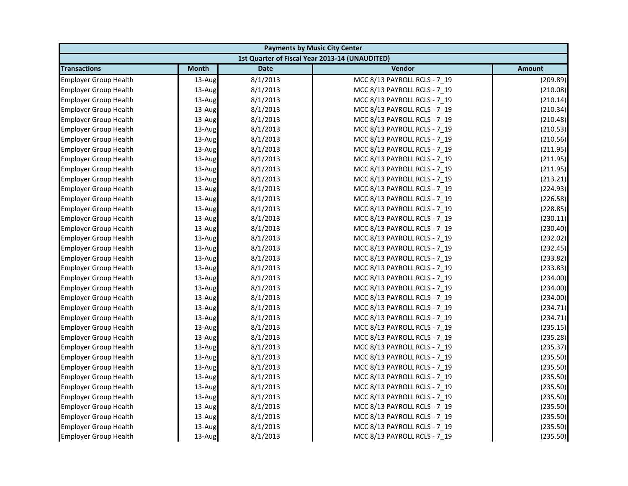| <b>Payments by Music City Center</b> |              |             |                                                |               |
|--------------------------------------|--------------|-------------|------------------------------------------------|---------------|
|                                      |              |             | 1st Quarter of Fiscal Year 2013-14 (UNAUDITED) |               |
| <b>Transactions</b>                  | <b>Month</b> | <b>Date</b> | Vendor                                         | <b>Amount</b> |
| <b>Employer Group Health</b>         | 13-Aug       | 8/1/2013    | MCC 8/13 PAYROLL RCLS - 7 19                   | (209.89)      |
| <b>Employer Group Health</b>         | 13-Aug       | 8/1/2013    | MCC 8/13 PAYROLL RCLS - 7_19                   | (210.08)      |
| <b>Employer Group Health</b>         | 13-Aug       | 8/1/2013    | MCC 8/13 PAYROLL RCLS - 7_19                   | (210.14)      |
| <b>Employer Group Health</b>         | 13-Aug       | 8/1/2013    | MCC 8/13 PAYROLL RCLS - 7 19                   | (210.34)      |
| <b>Employer Group Health</b>         | 13-Aug       | 8/1/2013    | MCC 8/13 PAYROLL RCLS - 7_19                   | (210.48)      |
| <b>Employer Group Health</b>         | 13-Aug       | 8/1/2013    | MCC 8/13 PAYROLL RCLS - 7 19                   | (210.53)      |
| <b>Employer Group Health</b>         | 13-Aug       | 8/1/2013    | MCC 8/13 PAYROLL RCLS - 7 19                   | (210.56)      |
| <b>Employer Group Health</b>         | 13-Aug       | 8/1/2013    | MCC 8/13 PAYROLL RCLS - 7 19                   | (211.95)      |
| <b>Employer Group Health</b>         | 13-Aug       | 8/1/2013    | MCC 8/13 PAYROLL RCLS - 7_19                   | (211.95)      |
| <b>Employer Group Health</b>         | 13-Aug       | 8/1/2013    | MCC 8/13 PAYROLL RCLS - 7 19                   | (211.95)      |
| <b>Employer Group Health</b>         | 13-Aug       | 8/1/2013    | MCC 8/13 PAYROLL RCLS - 7 19                   | (213.21)      |
| <b>Employer Group Health</b>         | 13-Aug       | 8/1/2013    | MCC 8/13 PAYROLL RCLS - 7 19                   | (224.93)      |
| <b>Employer Group Health</b>         | 13-Aug       | 8/1/2013    | MCC 8/13 PAYROLL RCLS - 7_19                   | (226.58)      |
| <b>Employer Group Health</b>         | 13-Aug       | 8/1/2013    | MCC 8/13 PAYROLL RCLS - 7 19                   | (228.85)      |
| <b>Employer Group Health</b>         | 13-Aug       | 8/1/2013    | MCC 8/13 PAYROLL RCLS - 7 19                   | (230.11)      |
| <b>Employer Group Health</b>         | 13-Aug       | 8/1/2013    | MCC 8/13 PAYROLL RCLS - 7_19                   | (230.40)      |
| <b>Employer Group Health</b>         | 13-Aug       | 8/1/2013    | MCC 8/13 PAYROLL RCLS - 7 19                   | (232.02)      |
| <b>Employer Group Health</b>         | 13-Aug       | 8/1/2013    | MCC 8/13 PAYROLL RCLS - 7 19                   | (232.45)      |
| <b>Employer Group Health</b>         | 13-Aug       | 8/1/2013    | MCC 8/13 PAYROLL RCLS - 7_19                   | (233.82)      |
| <b>Employer Group Health</b>         | 13-Aug       | 8/1/2013    | MCC 8/13 PAYROLL RCLS - 7 19                   | (233.83)      |
| <b>Employer Group Health</b>         | 13-Aug       | 8/1/2013    | MCC 8/13 PAYROLL RCLS - 7 19                   | (234.00)      |
| <b>Employer Group Health</b>         | 13-Aug       | 8/1/2013    | MCC 8/13 PAYROLL RCLS - 7_19                   | (234.00)      |
| <b>Employer Group Health</b>         | 13-Aug       | 8/1/2013    | MCC 8/13 PAYROLL RCLS - 7_19                   | (234.00)      |
| <b>Employer Group Health</b>         | 13-Aug       | 8/1/2013    | MCC 8/13 PAYROLL RCLS - 7 19                   | (234.71)      |
| <b>Employer Group Health</b>         | 13-Aug       | 8/1/2013    | MCC 8/13 PAYROLL RCLS - 7 19                   | (234.71)      |
| <b>Employer Group Health</b>         | 13-Aug       | 8/1/2013    | MCC 8/13 PAYROLL RCLS - 7_19                   | (235.15)      |
| <b>Employer Group Health</b>         | 13-Aug       | 8/1/2013    | MCC 8/13 PAYROLL RCLS - 7_19                   | (235.28)      |
| <b>Employer Group Health</b>         | 13-Aug       | 8/1/2013    | MCC 8/13 PAYROLL RCLS - 7 19                   | (235.37)      |
| <b>Employer Group Health</b>         | 13-Aug       | 8/1/2013    | MCC 8/13 PAYROLL RCLS - 7_19                   | (235.50)      |
| <b>Employer Group Health</b>         | 13-Aug       | 8/1/2013    | MCC 8/13 PAYROLL RCLS - 7 19                   | (235.50)      |
| <b>Employer Group Health</b>         | 13-Aug       | 8/1/2013    | MCC 8/13 PAYROLL RCLS - 7 19                   | (235.50)      |
| <b>Employer Group Health</b>         | 13-Aug       | 8/1/2013    | MCC 8/13 PAYROLL RCLS - 7 19                   | (235.50)      |
| <b>Employer Group Health</b>         | 13-Aug       | 8/1/2013    | MCC 8/13 PAYROLL RCLS - 7 19                   | (235.50)      |
| <b>Employer Group Health</b>         | 13-Aug       | 8/1/2013    | MCC 8/13 PAYROLL RCLS - 7_19                   | (235.50)      |
| <b>Employer Group Health</b>         | 13-Aug       | 8/1/2013    | MCC 8/13 PAYROLL RCLS - 7 19                   | (235.50)      |
| <b>Employer Group Health</b>         | 13-Aug       | 8/1/2013    | MCC 8/13 PAYROLL RCLS - 7_19                   | (235.50)      |
| <b>Employer Group Health</b>         | 13-Aug       | 8/1/2013    | MCC 8/13 PAYROLL RCLS - 7 19                   | (235.50)      |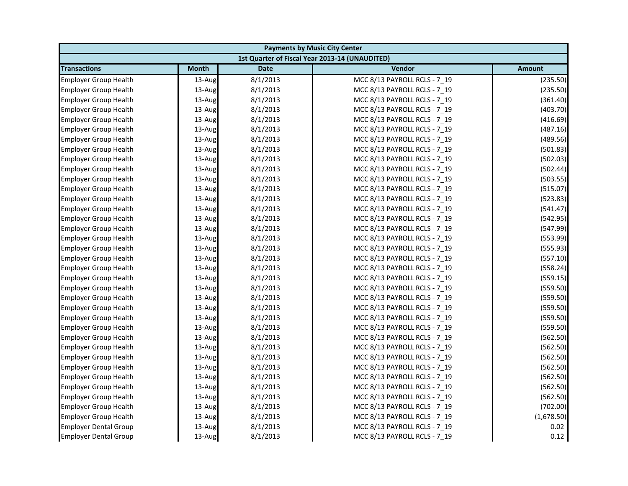| <b>Payments by Music City Center</b> |              |             |                                                |               |
|--------------------------------------|--------------|-------------|------------------------------------------------|---------------|
|                                      |              |             | 1st Quarter of Fiscal Year 2013-14 (UNAUDITED) |               |
| <b>Transactions</b>                  | <b>Month</b> | <b>Date</b> | Vendor                                         | <b>Amount</b> |
| <b>Employer Group Health</b>         | 13-Aug       | 8/1/2013    | MCC 8/13 PAYROLL RCLS - 7 19                   | (235.50)      |
| <b>Employer Group Health</b>         | 13-Aug       | 8/1/2013    | MCC 8/13 PAYROLL RCLS - 7_19                   | (235.50)      |
| <b>Employer Group Health</b>         | 13-Aug       | 8/1/2013    | MCC 8/13 PAYROLL RCLS - 7_19                   | (361.40)      |
| <b>Employer Group Health</b>         | 13-Aug       | 8/1/2013    | MCC 8/13 PAYROLL RCLS - 7 19                   | (403.70)      |
| <b>Employer Group Health</b>         | 13-Aug       | 8/1/2013    | MCC 8/13 PAYROLL RCLS - 7_19                   | (416.69)      |
| <b>Employer Group Health</b>         | 13-Aug       | 8/1/2013    | MCC 8/13 PAYROLL RCLS - 7 19                   | (487.16)      |
| <b>Employer Group Health</b>         | 13-Aug       | 8/1/2013    | MCC 8/13 PAYROLL RCLS - 7 19                   | (489.56)      |
| <b>Employer Group Health</b>         | 13-Aug       | 8/1/2013    | MCC 8/13 PAYROLL RCLS - 7 19                   | (501.83)      |
| <b>Employer Group Health</b>         | 13-Aug       | 8/1/2013    | MCC 8/13 PAYROLL RCLS - 7_19                   | (502.03)      |
| <b>Employer Group Health</b>         | 13-Aug       | 8/1/2013    | MCC 8/13 PAYROLL RCLS - 7 19                   | (502.44)      |
| <b>Employer Group Health</b>         | 13-Aug       | 8/1/2013    | MCC 8/13 PAYROLL RCLS - 7 19                   | (503.55)      |
| <b>Employer Group Health</b>         | 13-Aug       | 8/1/2013    | MCC 8/13 PAYROLL RCLS - 7 19                   | (515.07)      |
| <b>Employer Group Health</b>         | 13-Aug       | 8/1/2013    | MCC 8/13 PAYROLL RCLS - 7_19                   | (523.83)      |
| <b>Employer Group Health</b>         | 13-Aug       | 8/1/2013    | MCC 8/13 PAYROLL RCLS - 7 19                   | (541.47)      |
| <b>Employer Group Health</b>         | 13-Aug       | 8/1/2013    | MCC 8/13 PAYROLL RCLS - 7 19                   | (542.95)      |
| <b>Employer Group Health</b>         | 13-Aug       | 8/1/2013    | MCC 8/13 PAYROLL RCLS - 7_19                   | (547.99)      |
| <b>Employer Group Health</b>         | 13-Aug       | 8/1/2013    | MCC 8/13 PAYROLL RCLS - 7 19                   | (553.99)      |
| <b>Employer Group Health</b>         | 13-Aug       | 8/1/2013    | MCC 8/13 PAYROLL RCLS - 7 19                   | (555.93)      |
| <b>Employer Group Health</b>         | 13-Aug       | 8/1/2013    | MCC 8/13 PAYROLL RCLS - 7_19                   | (557.10)      |
| <b>Employer Group Health</b>         | 13-Aug       | 8/1/2013    | MCC 8/13 PAYROLL RCLS - 7 19                   | (558.24)      |
| <b>Employer Group Health</b>         | 13-Aug       | 8/1/2013    | MCC 8/13 PAYROLL RCLS - 7 19                   | (559.15)      |
| <b>Employer Group Health</b>         | 13-Aug       | 8/1/2013    | MCC 8/13 PAYROLL RCLS - 7_19                   | (559.50)      |
| <b>Employer Group Health</b>         | 13-Aug       | 8/1/2013    | MCC 8/13 PAYROLL RCLS - 7_19                   | (559.50)      |
| <b>Employer Group Health</b>         | 13-Aug       | 8/1/2013    | MCC 8/13 PAYROLL RCLS - 7 19                   | (559.50)      |
| <b>Employer Group Health</b>         | 13-Aug       | 8/1/2013    | MCC 8/13 PAYROLL RCLS - 7 19                   | (559.50)      |
| <b>Employer Group Health</b>         | 13-Aug       | 8/1/2013    | MCC 8/13 PAYROLL RCLS - 7_19                   | (559.50)      |
| <b>Employer Group Health</b>         | 13-Aug       | 8/1/2013    | MCC 8/13 PAYROLL RCLS - 7_19                   | (562.50)      |
| <b>Employer Group Health</b>         | 13-Aug       | 8/1/2013    | MCC 8/13 PAYROLL RCLS - 7 19                   | (562.50)      |
| <b>Employer Group Health</b>         | 13-Aug       | 8/1/2013    | MCC 8/13 PAYROLL RCLS - 7_19                   | (562.50)      |
| <b>Employer Group Health</b>         | 13-Aug       | 8/1/2013    | MCC 8/13 PAYROLL RCLS - 7 19                   | (562.50)      |
| <b>Employer Group Health</b>         | 13-Aug       | 8/1/2013    | MCC 8/13 PAYROLL RCLS - 7 19                   | (562.50)      |
| <b>Employer Group Health</b>         | 13-Aug       | 8/1/2013    | MCC 8/13 PAYROLL RCLS - 7 19                   | (562.50)      |
| <b>Employer Group Health</b>         | 13-Aug       | 8/1/2013    | MCC 8/13 PAYROLL RCLS - 7_19                   | (562.50)      |
| <b>Employer Group Health</b>         | 13-Aug       | 8/1/2013    | MCC 8/13 PAYROLL RCLS - 7_19                   | (702.00)      |
| <b>Employer Group Health</b>         | 13-Aug       | 8/1/2013    | MCC 8/13 PAYROLL RCLS - 7 19                   | (1,678.50)    |
| <b>Employer Dental Group</b>         | 13-Aug       | 8/1/2013    | MCC 8/13 PAYROLL RCLS - 7_19                   | 0.02          |
| <b>Employer Dental Group</b>         | 13-Aug       | 8/1/2013    | MCC 8/13 PAYROLL RCLS - 7 19                   | 0.12          |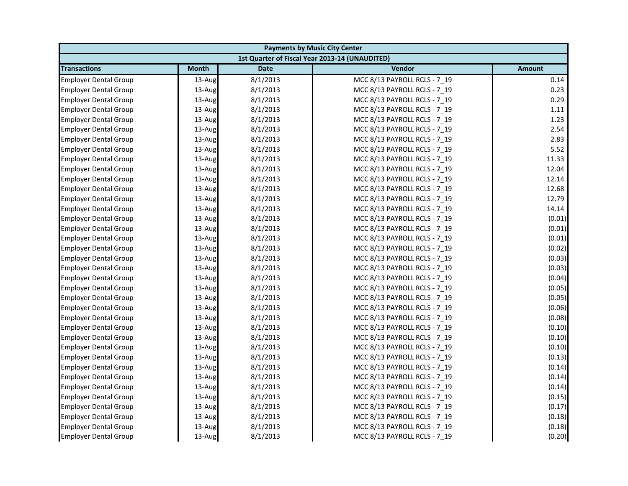| <b>Payments by Music City Center</b> |              |             |                                                |               |
|--------------------------------------|--------------|-------------|------------------------------------------------|---------------|
|                                      |              |             | 1st Quarter of Fiscal Year 2013-14 (UNAUDITED) |               |
| <b>Transactions</b>                  | <b>Month</b> | <b>Date</b> | Vendor                                         | <b>Amount</b> |
| <b>Employer Dental Group</b>         | 13-Aug       | 8/1/2013    | MCC 8/13 PAYROLL RCLS - 7 19                   | 0.14          |
| <b>Employer Dental Group</b>         | 13-Aug       | 8/1/2013    | MCC 8/13 PAYROLL RCLS - 7_19                   | 0.23          |
| <b>Employer Dental Group</b>         | 13-Aug       | 8/1/2013    | MCC 8/13 PAYROLL RCLS - 7 19                   | 0.29          |
| <b>Employer Dental Group</b>         | 13-Aug       | 8/1/2013    | MCC 8/13 PAYROLL RCLS - 7 19                   | 1.11          |
| <b>Employer Dental Group</b>         | 13-Aug       | 8/1/2013    | MCC 8/13 PAYROLL RCLS - 7_19                   | 1.23          |
| <b>Employer Dental Group</b>         | 13-Aug       | 8/1/2013    | MCC 8/13 PAYROLL RCLS - 7_19                   | 2.54          |
| <b>Employer Dental Group</b>         | 13-Aug       | 8/1/2013    | MCC 8/13 PAYROLL RCLS - 7 19                   | 2.83          |
| <b>Employer Dental Group</b>         | 13-Aug       | 8/1/2013    | MCC 8/13 PAYROLL RCLS - 7 19                   | 5.52          |
| <b>Employer Dental Group</b>         | 13-Aug       | 8/1/2013    | MCC 8/13 PAYROLL RCLS - 7_19                   | 11.33         |
| <b>Employer Dental Group</b>         | 13-Aug       | 8/1/2013    | MCC 8/13 PAYROLL RCLS - 7 19                   | 12.04         |
| <b>Employer Dental Group</b>         | 13-Aug       | 8/1/2013    | MCC 8/13 PAYROLL RCLS - 7 19                   | 12.14         |
| <b>Employer Dental Group</b>         | 13-Aug       | 8/1/2013    | MCC 8/13 PAYROLL RCLS - 7 19                   | 12.68         |
| <b>Employer Dental Group</b>         | 13-Aug       | 8/1/2013    | MCC 8/13 PAYROLL RCLS - 7_19                   | 12.79         |
| <b>Employer Dental Group</b>         | 13-Aug       | 8/1/2013    | MCC 8/13 PAYROLL RCLS - 7 19                   | 14.14         |
| <b>Employer Dental Group</b>         | 13-Aug       | 8/1/2013    | MCC 8/13 PAYROLL RCLS - 7 19                   | (0.01)        |
| <b>Employer Dental Group</b>         | 13-Aug       | 8/1/2013    | MCC 8/13 PAYROLL RCLS - 7_19                   | (0.01)        |
| <b>Employer Dental Group</b>         | 13-Aug       | 8/1/2013    | MCC 8/13 PAYROLL RCLS - 7 19                   | (0.01)        |
| <b>Employer Dental Group</b>         | 13-Aug       | 8/1/2013    | MCC 8/13 PAYROLL RCLS - 7 19                   | (0.02)        |
| <b>Employer Dental Group</b>         | 13-Aug       | 8/1/2013    | MCC 8/13 PAYROLL RCLS - 7_19                   | (0.03)        |
| <b>Employer Dental Group</b>         | 13-Aug       | 8/1/2013    | MCC 8/13 PAYROLL RCLS - 7 19                   | (0.03)        |
| <b>Employer Dental Group</b>         | 13-Aug       | 8/1/2013    | MCC 8/13 PAYROLL RCLS - 7 19                   | (0.04)        |
| <b>Employer Dental Group</b>         | 13-Aug       | 8/1/2013    | MCC 8/13 PAYROLL RCLS - 7 19                   | (0.05)        |
| <b>Employer Dental Group</b>         | 13-Aug       | 8/1/2013    | MCC 8/13 PAYROLL RCLS - 7_19                   | (0.05)        |
| <b>Employer Dental Group</b>         | 13-Aug       | 8/1/2013    | MCC 8/13 PAYROLL RCLS - 7 19                   | (0.06)        |
| <b>Employer Dental Group</b>         | 13-Aug       | 8/1/2013    | MCC 8/13 PAYROLL RCLS - 7 19                   | (0.08)        |
| <b>Employer Dental Group</b>         | 13-Aug       | 8/1/2013    | MCC 8/13 PAYROLL RCLS - 7_19                   | (0.10)        |
| <b>Employer Dental Group</b>         | 13-Aug       | 8/1/2013    | MCC 8/13 PAYROLL RCLS - 7_19                   | (0.10)        |
| <b>Employer Dental Group</b>         | 13-Aug       | 8/1/2013    | MCC 8/13 PAYROLL RCLS - 7 19                   | (0.10)        |
| <b>Employer Dental Group</b>         | 13-Aug       | 8/1/2013    | MCC 8/13 PAYROLL RCLS - 7_19                   | (0.13)        |
| <b>Employer Dental Group</b>         | 13-Aug       | 8/1/2013    | MCC 8/13 PAYROLL RCLS - 7 19                   | (0.14)        |
| <b>Employer Dental Group</b>         | 13-Aug       | 8/1/2013    | MCC 8/13 PAYROLL RCLS - 7 19                   | (0.14)        |
| <b>Employer Dental Group</b>         | 13-Aug       | 8/1/2013    | MCC 8/13 PAYROLL RCLS - 7 19                   | (0.14)        |
| <b>Employer Dental Group</b>         | 13-Aug       | 8/1/2013    | MCC 8/13 PAYROLL RCLS - 7 19                   | (0.15)        |
| <b>Employer Dental Group</b>         | 13-Aug       | 8/1/2013    | MCC 8/13 PAYROLL RCLS - 7_19                   | (0.17)        |
| <b>Employer Dental Group</b>         | 13-Aug       | 8/1/2013    | MCC 8/13 PAYROLL RCLS - 7 19                   | (0.18)        |
| <b>Employer Dental Group</b>         | 13-Aug       | 8/1/2013    | MCC 8/13 PAYROLL RCLS - 7_19                   | (0.18)        |
| <b>Employer Dental Group</b>         | 13-Aug       | 8/1/2013    | MCC 8/13 PAYROLL RCLS - 7 19                   | (0.20)        |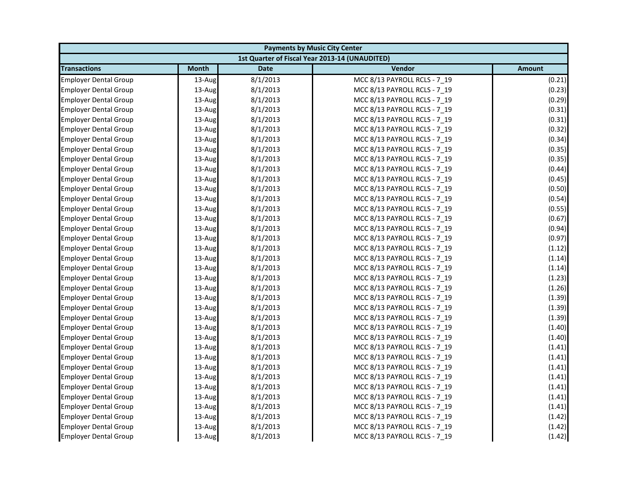| <b>Payments by Music City Center</b> |              |             |                                                |        |
|--------------------------------------|--------------|-------------|------------------------------------------------|--------|
|                                      |              |             | 1st Quarter of Fiscal Year 2013-14 (UNAUDITED) |        |
| <b>Transactions</b>                  | <b>Month</b> | <b>Date</b> | Vendor                                         | Amount |
| <b>Employer Dental Group</b>         | 13-Aug       | 8/1/2013    | MCC 8/13 PAYROLL RCLS - 7 19                   | (0.21) |
| <b>Employer Dental Group</b>         | 13-Aug       | 8/1/2013    | MCC 8/13 PAYROLL RCLS - 7 19                   | (0.23) |
| <b>Employer Dental Group</b>         | 13-Aug       | 8/1/2013    | MCC 8/13 PAYROLL RCLS - 7 19                   | (0.29) |
| <b>Employer Dental Group</b>         | 13-Aug       | 8/1/2013    | MCC 8/13 PAYROLL RCLS - 7 19                   | (0.31) |
| <b>Employer Dental Group</b>         | 13-Aug       | 8/1/2013    | MCC 8/13 PAYROLL RCLS - 7_19                   | (0.31) |
| <b>Employer Dental Group</b>         | 13-Aug       | 8/1/2013    | MCC 8/13 PAYROLL RCLS - 7 19                   | (0.32) |
| <b>Employer Dental Group</b>         | 13-Aug       | 8/1/2013    | MCC 8/13 PAYROLL RCLS - 7 19                   | (0.34) |
| <b>Employer Dental Group</b>         | 13-Aug       | 8/1/2013    | MCC 8/13 PAYROLL RCLS - 7 19                   | (0.35) |
| <b>Employer Dental Group</b>         | 13-Aug       | 8/1/2013    | MCC 8/13 PAYROLL RCLS - 7_19                   | (0.35) |
| <b>Employer Dental Group</b>         | 13-Aug       | 8/1/2013    | MCC 8/13 PAYROLL RCLS - 7 19                   | (0.44) |
| <b>Employer Dental Group</b>         | 13-Aug       | 8/1/2013    | MCC 8/13 PAYROLL RCLS - 7 19                   | (0.45) |
| <b>Employer Dental Group</b>         | 13-Aug       | 8/1/2013    | MCC 8/13 PAYROLL RCLS - 7 19                   | (0.50) |
| <b>Employer Dental Group</b>         | 13-Aug       | 8/1/2013    | MCC 8/13 PAYROLL RCLS - 7_19                   | (0.54) |
| <b>Employer Dental Group</b>         | $13$ -Aug    | 8/1/2013    | MCC 8/13 PAYROLL RCLS - 7 19                   | (0.55) |
| <b>Employer Dental Group</b>         | 13-Aug       | 8/1/2013    | MCC 8/13 PAYROLL RCLS - 7 19                   | (0.67) |
| <b>Employer Dental Group</b>         | 13-Aug       | 8/1/2013    | MCC 8/13 PAYROLL RCLS - 7_19                   | (0.94) |
| <b>Employer Dental Group</b>         | 13-Aug       | 8/1/2013    | MCC 8/13 PAYROLL RCLS - 7 19                   | (0.97) |
| <b>Employer Dental Group</b>         | 13-Aug       | 8/1/2013    | MCC 8/13 PAYROLL RCLS - 7 19                   | (1.12) |
| <b>Employer Dental Group</b>         | 13-Aug       | 8/1/2013    | MCC 8/13 PAYROLL RCLS - 7_19                   | (1.14) |
| <b>Employer Dental Group</b>         | 13-Aug       | 8/1/2013    | MCC 8/13 PAYROLL RCLS - 7 19                   | (1.14) |
| <b>Employer Dental Group</b>         | 13-Aug       | 8/1/2013    | MCC 8/13 PAYROLL RCLS - 7 19                   | (1.23) |
| <b>Employer Dental Group</b>         | 13-Aug       | 8/1/2013    | MCC 8/13 PAYROLL RCLS - 7 19                   | (1.26) |
| <b>Employer Dental Group</b>         | 13-Aug       | 8/1/2013    | MCC 8/13 PAYROLL RCLS - 7_19                   | (1.39) |
| <b>Employer Dental Group</b>         | 13-Aug       | 8/1/2013    | MCC 8/13 PAYROLL RCLS - 7 19                   | (1.39) |
| <b>Employer Dental Group</b>         | 13-Aug       | 8/1/2013    | MCC 8/13 PAYROLL RCLS - 7 19                   | (1.39) |
| <b>Employer Dental Group</b>         | 13-Aug       | 8/1/2013    | MCC 8/13 PAYROLL RCLS - 7_19                   | (1.40) |
| <b>Employer Dental Group</b>         | 13-Aug       | 8/1/2013    | MCC 8/13 PAYROLL RCLS - 7 19                   | (1.40) |
| <b>Employer Dental Group</b>         | 13-Aug       | 8/1/2013    | MCC 8/13 PAYROLL RCLS - 7 19                   | (1.41) |
| <b>Employer Dental Group</b>         | 13-Aug       | 8/1/2013    | MCC 8/13 PAYROLL RCLS - 7_19                   | (1.41) |
| <b>Employer Dental Group</b>         | 13-Aug       | 8/1/2013    | MCC 8/13 PAYROLL RCLS - 7 19                   | (1.41) |
| <b>Employer Dental Group</b>         | 13-Aug       | 8/1/2013    | MCC 8/13 PAYROLL RCLS - 7 19                   | (1.41) |
| <b>Employer Dental Group</b>         | 13-Aug       | 8/1/2013    | MCC 8/13 PAYROLL RCLS - 7 19                   | (1.41) |
| <b>Employer Dental Group</b>         | 13-Aug       | 8/1/2013    | MCC 8/13 PAYROLL RCLS - 7_19                   | (1.41) |
| <b>Employer Dental Group</b>         | 13-Aug       | 8/1/2013    | MCC 8/13 PAYROLL RCLS - 7_19                   | (1.41) |
| <b>Employer Dental Group</b>         | 13-Aug       | 8/1/2013    | MCC 8/13 PAYROLL RCLS - 7 19                   | (1.42) |
| <b>Employer Dental Group</b>         | 13-Aug       | 8/1/2013    | MCC 8/13 PAYROLL RCLS - 7_19                   | (1.42) |
| <b>Employer Dental Group</b>         | 13-Aug       | 8/1/2013    | MCC 8/13 PAYROLL RCLS - 7 19                   | (1.42) |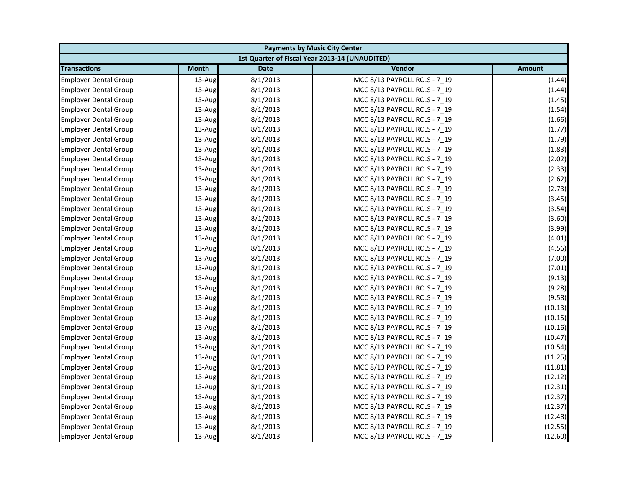| <b>Payments by Music City Center</b> |              |             |                                                |               |
|--------------------------------------|--------------|-------------|------------------------------------------------|---------------|
|                                      |              |             | 1st Quarter of Fiscal Year 2013-14 (UNAUDITED) |               |
| <b>Transactions</b>                  | <b>Month</b> | <b>Date</b> | Vendor                                         | <b>Amount</b> |
| <b>Employer Dental Group</b>         | 13-Aug       | 8/1/2013    | MCC 8/13 PAYROLL RCLS - 7 19                   | (1.44)        |
| <b>Employer Dental Group</b>         | 13-Aug       | 8/1/2013    | MCC 8/13 PAYROLL RCLS - 7_19                   | (1.44)        |
| <b>Employer Dental Group</b>         | 13-Aug       | 8/1/2013    | MCC 8/13 PAYROLL RCLS - 7 19                   | (1.45)        |
| <b>Employer Dental Group</b>         | 13-Aug       | 8/1/2013    | MCC 8/13 PAYROLL RCLS - 7 19                   | (1.54)        |
| <b>Employer Dental Group</b>         | 13-Aug       | 8/1/2013    | MCC 8/13 PAYROLL RCLS - 7_19                   | (1.66)        |
| <b>Employer Dental Group</b>         | 13-Aug       | 8/1/2013    | MCC 8/13 PAYROLL RCLS - 7 19                   | (1.77)        |
| <b>Employer Dental Group</b>         | 13-Aug       | 8/1/2013    | MCC 8/13 PAYROLL RCLS - 7 19                   | (1.79)        |
| <b>Employer Dental Group</b>         | 13-Aug       | 8/1/2013    | MCC 8/13 PAYROLL RCLS - 7 19                   | (1.83)        |
| <b>Employer Dental Group</b>         | 13-Aug       | 8/1/2013    | MCC 8/13 PAYROLL RCLS - 7_19                   | (2.02)        |
| <b>Employer Dental Group</b>         | 13-Aug       | 8/1/2013    | MCC 8/13 PAYROLL RCLS - 7 19                   | (2.33)        |
| <b>Employer Dental Group</b>         | 13-Aug       | 8/1/2013    | MCC 8/13 PAYROLL RCLS - 7 19                   | (2.62)        |
| <b>Employer Dental Group</b>         | 13-Aug       | 8/1/2013    | MCC 8/13 PAYROLL RCLS - 7 19                   | (2.73)        |
| <b>Employer Dental Group</b>         | 13-Aug       | 8/1/2013    | MCC 8/13 PAYROLL RCLS - 7_19                   | (3.45)        |
| <b>Employer Dental Group</b>         | 13-Aug       | 8/1/2013    | MCC 8/13 PAYROLL RCLS - 7 19                   | (3.54)        |
| <b>Employer Dental Group</b>         | 13-Aug       | 8/1/2013    | MCC 8/13 PAYROLL RCLS - 7 19                   | (3.60)        |
| <b>Employer Dental Group</b>         | 13-Aug       | 8/1/2013    | MCC 8/13 PAYROLL RCLS - 7_19                   | (3.99)        |
| <b>Employer Dental Group</b>         | 13-Aug       | 8/1/2013    | MCC 8/13 PAYROLL RCLS - 7 19                   | (4.01)        |
| <b>Employer Dental Group</b>         | 13-Aug       | 8/1/2013    | MCC 8/13 PAYROLL RCLS - 7 19                   | (4.56)        |
| <b>Employer Dental Group</b>         | 13-Aug       | 8/1/2013    | MCC 8/13 PAYROLL RCLS - 7_19                   | (7.00)        |
| <b>Employer Dental Group</b>         | 13-Aug       | 8/1/2013    | MCC 8/13 PAYROLL RCLS - 7 19                   | (7.01)        |
| <b>Employer Dental Group</b>         | 13-Aug       | 8/1/2013    | MCC 8/13 PAYROLL RCLS - 7 19                   | (9.13)        |
| <b>Employer Dental Group</b>         | 13-Aug       | 8/1/2013    | MCC 8/13 PAYROLL RCLS - 7_19                   | (9.28)        |
| <b>Employer Dental Group</b>         | 13-Aug       | 8/1/2013    | MCC 8/13 PAYROLL RCLS - 7_19                   | (9.58)        |
| <b>Employer Dental Group</b>         | 13-Aug       | 8/1/2013    | MCC 8/13 PAYROLL RCLS - 7 19                   | (10.13)       |
| <b>Employer Dental Group</b>         | 13-Aug       | 8/1/2013    | MCC 8/13 PAYROLL RCLS - 7 19                   | (10.15)       |
| <b>Employer Dental Group</b>         | 13-Aug       | 8/1/2013    | MCC 8/13 PAYROLL RCLS - 7_19                   | (10.16)       |
| <b>Employer Dental Group</b>         | 13-Aug       | 8/1/2013    | MCC 8/13 PAYROLL RCLS - 7 19                   | (10.47)       |
| <b>Employer Dental Group</b>         | 13-Aug       | 8/1/2013    | MCC 8/13 PAYROLL RCLS - 7 19                   | (10.54)       |
| <b>Employer Dental Group</b>         | 13-Aug       | 8/1/2013    | MCC 8/13 PAYROLL RCLS - 7_19                   | (11.25)       |
| <b>Employer Dental Group</b>         | 13-Aug       | 8/1/2013    | MCC 8/13 PAYROLL RCLS - 7 19                   | (11.81)       |
| <b>Employer Dental Group</b>         | 13-Aug       | 8/1/2013    | MCC 8/13 PAYROLL RCLS - 7 19                   | (12.12)       |
| <b>Employer Dental Group</b>         | 13-Aug       | 8/1/2013    | MCC 8/13 PAYROLL RCLS - 7 19                   | (12.31)       |
| <b>Employer Dental Group</b>         | 13-Aug       | 8/1/2013    | MCC 8/13 PAYROLL RCLS - 7 19                   | (12.37)       |
| <b>Employer Dental Group</b>         | 13-Aug       | 8/1/2013    | MCC 8/13 PAYROLL RCLS - 7_19                   | (12.37)       |
| <b>Employer Dental Group</b>         | 13-Aug       | 8/1/2013    | MCC 8/13 PAYROLL RCLS - 7 19                   | (12.48)       |
| <b>Employer Dental Group</b>         | 13-Aug       | 8/1/2013    | MCC 8/13 PAYROLL RCLS - 7_19                   | (12.55)       |
| <b>Employer Dental Group</b>         | 13-Aug       | 8/1/2013    | MCC 8/13 PAYROLL RCLS - 7 19                   | (12.60)       |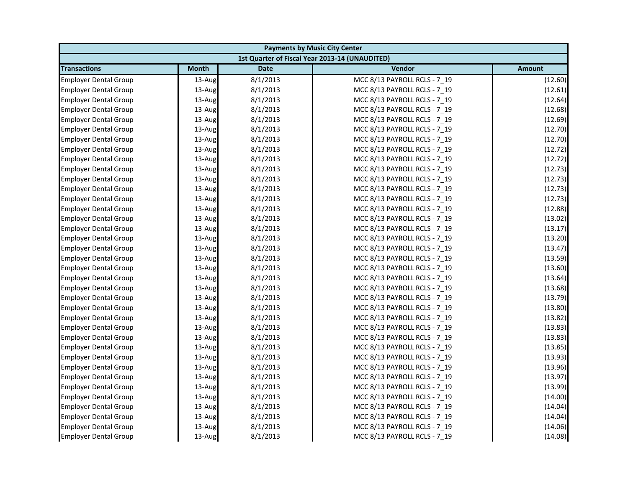| <b>Payments by Music City Center</b> |              |             |                                                |         |
|--------------------------------------|--------------|-------------|------------------------------------------------|---------|
|                                      |              |             | 1st Quarter of Fiscal Year 2013-14 (UNAUDITED) |         |
| <b>Transactions</b>                  | <b>Month</b> | <b>Date</b> | Vendor                                         | Amount  |
| <b>Employer Dental Group</b>         | 13-Aug       | 8/1/2013    | MCC 8/13 PAYROLL RCLS - 7 19                   | (12.60) |
| <b>Employer Dental Group</b>         | 13-Aug       | 8/1/2013    | MCC 8/13 PAYROLL RCLS - 7 19                   | (12.61) |
| <b>Employer Dental Group</b>         | 13-Aug       | 8/1/2013    | MCC 8/13 PAYROLL RCLS - 7 19                   | (12.64) |
| <b>Employer Dental Group</b>         | 13-Aug       | 8/1/2013    | MCC 8/13 PAYROLL RCLS - 7 19                   | (12.68) |
| <b>Employer Dental Group</b>         | 13-Aug       | 8/1/2013    | MCC 8/13 PAYROLL RCLS - 7_19                   | (12.69) |
| <b>Employer Dental Group</b>         | 13-Aug       | 8/1/2013    | MCC 8/13 PAYROLL RCLS - 7 19                   | (12.70) |
| <b>Employer Dental Group</b>         | 13-Aug       | 8/1/2013    | MCC 8/13 PAYROLL RCLS - 7 19                   | (12.70) |
| <b>Employer Dental Group</b>         | 13-Aug       | 8/1/2013    | MCC 8/13 PAYROLL RCLS - 7 19                   | (12.72) |
| <b>Employer Dental Group</b>         | 13-Aug       | 8/1/2013    | MCC 8/13 PAYROLL RCLS - 7_19                   | (12.72) |
| <b>Employer Dental Group</b>         | 13-Aug       | 8/1/2013    | MCC 8/13 PAYROLL RCLS - 7 19                   | (12.73) |
| <b>Employer Dental Group</b>         | 13-Aug       | 8/1/2013    | MCC 8/13 PAYROLL RCLS - 7 19                   | (12.73) |
| <b>Employer Dental Group</b>         | 13-Aug       | 8/1/2013    | MCC 8/13 PAYROLL RCLS - 7 19                   | (12.73) |
| <b>Employer Dental Group</b>         | 13-Aug       | 8/1/2013    | MCC 8/13 PAYROLL RCLS - 7_19                   | (12.73) |
| <b>Employer Dental Group</b>         | $13$ -Aug    | 8/1/2013    | MCC 8/13 PAYROLL RCLS - 7 19                   | (12.88) |
| <b>Employer Dental Group</b>         | 13-Aug       | 8/1/2013    | MCC 8/13 PAYROLL RCLS - 7 19                   | (13.02) |
| <b>Employer Dental Group</b>         | 13-Aug       | 8/1/2013    | MCC 8/13 PAYROLL RCLS - 7_19                   | (13.17) |
| <b>Employer Dental Group</b>         | 13-Aug       | 8/1/2013    | MCC 8/13 PAYROLL RCLS - 7 19                   | (13.20) |
| <b>Employer Dental Group</b>         | 13-Aug       | 8/1/2013    | MCC 8/13 PAYROLL RCLS - 7 19                   | (13.47) |
| <b>Employer Dental Group</b>         | 13-Aug       | 8/1/2013    | MCC 8/13 PAYROLL RCLS - 7_19                   | (13.59) |
| <b>Employer Dental Group</b>         | 13-Aug       | 8/1/2013    | MCC 8/13 PAYROLL RCLS - 7 19                   | (13.60) |
| <b>Employer Dental Group</b>         | 13-Aug       | 8/1/2013    | MCC 8/13 PAYROLL RCLS - 7 19                   | (13.64) |
| <b>Employer Dental Group</b>         | 13-Aug       | 8/1/2013    | MCC 8/13 PAYROLL RCLS - 7_19                   | (13.68) |
| <b>Employer Dental Group</b>         | 13-Aug       | 8/1/2013    | MCC 8/13 PAYROLL RCLS - 7_19                   | (13.79) |
| <b>Employer Dental Group</b>         | 13-Aug       | 8/1/2013    | MCC 8/13 PAYROLL RCLS - 7 19                   | (13.80) |
| <b>Employer Dental Group</b>         | 13-Aug       | 8/1/2013    | MCC 8/13 PAYROLL RCLS - 7 19                   | (13.82) |
| <b>Employer Dental Group</b>         | 13-Aug       | 8/1/2013    | MCC 8/13 PAYROLL RCLS - 7_19                   | (13.83) |
| <b>Employer Dental Group</b>         | 13-Aug       | 8/1/2013    | MCC 8/13 PAYROLL RCLS - 7 19                   | (13.83) |
| <b>Employer Dental Group</b>         | 13-Aug       | 8/1/2013    | MCC 8/13 PAYROLL RCLS - 7 19                   | (13.85) |
| <b>Employer Dental Group</b>         | 13-Aug       | 8/1/2013    | MCC 8/13 PAYROLL RCLS - 7_19                   | (13.93) |
| <b>Employer Dental Group</b>         | 13-Aug       | 8/1/2013    | MCC 8/13 PAYROLL RCLS - 7 19                   | (13.96) |
| <b>Employer Dental Group</b>         | 13-Aug       | 8/1/2013    | MCC 8/13 PAYROLL RCLS - 7 19                   | (13.97) |
| <b>Employer Dental Group</b>         | 13-Aug       | 8/1/2013    | MCC 8/13 PAYROLL RCLS - 7 19                   | (13.99) |
| <b>Employer Dental Group</b>         | 13-Aug       | 8/1/2013    | MCC 8/13 PAYROLL RCLS - 7_19                   | (14.00) |
| <b>Employer Dental Group</b>         | 13-Aug       | 8/1/2013    | MCC 8/13 PAYROLL RCLS - 7_19                   | (14.04) |
| <b>Employer Dental Group</b>         | 13-Aug       | 8/1/2013    | MCC 8/13 PAYROLL RCLS - 7 19                   | (14.04) |
| <b>Employer Dental Group</b>         | 13-Aug       | 8/1/2013    | MCC 8/13 PAYROLL RCLS - 7_19                   | (14.06) |
| <b>Employer Dental Group</b>         | 13-Aug       | 8/1/2013    | MCC 8/13 PAYROLL RCLS - 7 19                   | (14.08) |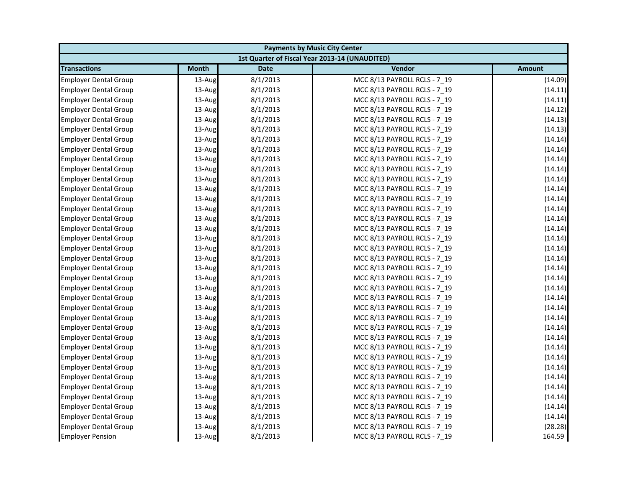| <b>Payments by Music City Center</b> |              |             |                                                |               |
|--------------------------------------|--------------|-------------|------------------------------------------------|---------------|
|                                      |              |             | 1st Quarter of Fiscal Year 2013-14 (UNAUDITED) |               |
| <b>Transactions</b>                  | <b>Month</b> | <b>Date</b> | Vendor                                         | <b>Amount</b> |
| <b>Employer Dental Group</b>         | 13-Aug       | 8/1/2013    | MCC 8/13 PAYROLL RCLS - 7 19                   | (14.09)       |
| <b>Employer Dental Group</b>         | 13-Aug       | 8/1/2013    | MCC 8/13 PAYROLL RCLS - 7_19                   | (14.11)       |
| <b>Employer Dental Group</b>         | 13-Aug       | 8/1/2013    | MCC 8/13 PAYROLL RCLS - 7_19                   | (14.11)       |
| <b>Employer Dental Group</b>         | 13-Aug       | 8/1/2013    | MCC 8/13 PAYROLL RCLS - 7 19                   | (14.12)       |
| <b>Employer Dental Group</b>         | 13-Aug       | 8/1/2013    | MCC 8/13 PAYROLL RCLS - 7_19                   | (14.13)       |
| <b>Employer Dental Group</b>         | 13-Aug       | 8/1/2013    | MCC 8/13 PAYROLL RCLS - 7 19                   | (14.13)       |
| <b>Employer Dental Group</b>         | 13-Aug       | 8/1/2013    | MCC 8/13 PAYROLL RCLS - 7 19                   | (14.14)       |
| <b>Employer Dental Group</b>         | 13-Aug       | 8/1/2013    | MCC 8/13 PAYROLL RCLS - 7 19                   | (14.14)       |
| <b>Employer Dental Group</b>         | 13-Aug       | 8/1/2013    | MCC 8/13 PAYROLL RCLS - 7_19                   | (14.14)       |
| <b>Employer Dental Group</b>         | 13-Aug       | 8/1/2013    | MCC 8/13 PAYROLL RCLS - 7 19                   | (14.14)       |
| <b>Employer Dental Group</b>         | 13-Aug       | 8/1/2013    | MCC 8/13 PAYROLL RCLS - 7 19                   | (14.14)       |
| <b>Employer Dental Group</b>         | 13-Aug       | 8/1/2013    | MCC 8/13 PAYROLL RCLS - 7 19                   | (14.14)       |
| <b>Employer Dental Group</b>         | 13-Aug       | 8/1/2013    | MCC 8/13 PAYROLL RCLS - 7_19                   | (14.14)       |
| <b>Employer Dental Group</b>         | 13-Aug       | 8/1/2013    | MCC 8/13 PAYROLL RCLS - 7 19                   | (14.14)       |
| <b>Employer Dental Group</b>         | 13-Aug       | 8/1/2013    | MCC 8/13 PAYROLL RCLS - 7 19                   | (14.14)       |
| <b>Employer Dental Group</b>         | 13-Aug       | 8/1/2013    | MCC 8/13 PAYROLL RCLS - 7_19                   | (14.14)       |
| <b>Employer Dental Group</b>         | 13-Aug       | 8/1/2013    | MCC 8/13 PAYROLL RCLS - 7 19                   | (14.14)       |
| <b>Employer Dental Group</b>         | 13-Aug       | 8/1/2013    | MCC 8/13 PAYROLL RCLS - 7 19                   | (14.14)       |
| <b>Employer Dental Group</b>         | 13-Aug       | 8/1/2013    | MCC 8/13 PAYROLL RCLS - 7_19                   | (14.14)       |
| <b>Employer Dental Group</b>         | 13-Aug       | 8/1/2013    | MCC 8/13 PAYROLL RCLS - 7 19                   | (14.14)       |
| <b>Employer Dental Group</b>         | 13-Aug       | 8/1/2013    | MCC 8/13 PAYROLL RCLS - 7 19                   | (14.14)       |
| <b>Employer Dental Group</b>         | 13-Aug       | 8/1/2013    | MCC 8/13 PAYROLL RCLS - 7_19                   | (14.14)       |
| <b>Employer Dental Group</b>         | 13-Aug       | 8/1/2013    | MCC 8/13 PAYROLL RCLS - 7_19                   | (14.14)       |
| <b>Employer Dental Group</b>         | 13-Aug       | 8/1/2013    | MCC 8/13 PAYROLL RCLS - 7 19                   | (14.14)       |
| <b>Employer Dental Group</b>         | 13-Aug       | 8/1/2013    | MCC 8/13 PAYROLL RCLS - 7 19                   | (14.14)       |
| <b>Employer Dental Group</b>         | 13-Aug       | 8/1/2013    | MCC 8/13 PAYROLL RCLS - 7_19                   | (14.14)       |
| <b>Employer Dental Group</b>         | 13-Aug       | 8/1/2013    | MCC 8/13 PAYROLL RCLS - 7 19                   | (14.14)       |
| <b>Employer Dental Group</b>         | 13-Aug       | 8/1/2013    | MCC 8/13 PAYROLL RCLS - 7 19                   | (14.14)       |
| <b>Employer Dental Group</b>         | 13-Aug       | 8/1/2013    | MCC 8/13 PAYROLL RCLS - 7_19                   | (14.14)       |
| <b>Employer Dental Group</b>         | 13-Aug       | 8/1/2013    | MCC 8/13 PAYROLL RCLS - 7 19                   | (14.14)       |
| <b>Employer Dental Group</b>         | 13-Aug       | 8/1/2013    | MCC 8/13 PAYROLL RCLS - 7 19                   | (14.14)       |
| <b>Employer Dental Group</b>         | 13-Aug       | 8/1/2013    | MCC 8/13 PAYROLL RCLS - 7 19                   | (14.14)       |
| <b>Employer Dental Group</b>         | 13-Aug       | 8/1/2013    | MCC 8/13 PAYROLL RCLS - 7 19                   | (14.14)       |
| <b>Employer Dental Group</b>         | 13-Aug       | 8/1/2013    | MCC 8/13 PAYROLL RCLS - 7_19                   | (14.14)       |
| <b>Employer Dental Group</b>         | 13-Aug       | 8/1/2013    | MCC 8/13 PAYROLL RCLS - 7 19                   | (14.14)       |
| <b>Employer Dental Group</b>         | 13-Aug       | 8/1/2013    | MCC 8/13 PAYROLL RCLS - 7_19                   | (28.28)       |
| <b>Employer Pension</b>              | 13-Aug       | 8/1/2013    | MCC 8/13 PAYROLL RCLS - 7 19                   | 164.59        |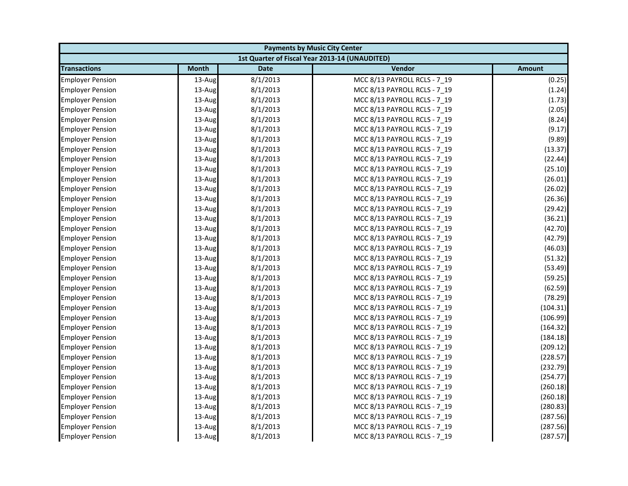| <b>Payments by Music City Center</b> |              |             |                                                |               |
|--------------------------------------|--------------|-------------|------------------------------------------------|---------------|
|                                      |              |             | 1st Quarter of Fiscal Year 2013-14 (UNAUDITED) |               |
| <b>Transactions</b>                  | <b>Month</b> | <b>Date</b> | Vendor                                         | <b>Amount</b> |
| <b>Employer Pension</b>              | 13-Aug       | 8/1/2013    | MCC 8/13 PAYROLL RCLS - 7 19                   | (0.25)        |
| <b>Employer Pension</b>              | 13-Aug       | 8/1/2013    | MCC 8/13 PAYROLL RCLS - 7_19                   | (1.24)        |
| <b>Employer Pension</b>              | 13-Aug       | 8/1/2013    | MCC 8/13 PAYROLL RCLS - 7 19                   | (1.73)        |
| <b>Employer Pension</b>              | 13-Aug       | 8/1/2013    | MCC 8/13 PAYROLL RCLS - 7 19                   | (2.05)        |
| <b>Employer Pension</b>              | 13-Aug       | 8/1/2013    | MCC 8/13 PAYROLL RCLS - 7_19                   | (8.24)        |
| <b>Employer Pension</b>              | 13-Aug       | 8/1/2013    | MCC 8/13 PAYROLL RCLS - 7 19                   | (9.17)        |
| <b>Employer Pension</b>              | 13-Aug       | 8/1/2013    | MCC 8/13 PAYROLL RCLS - 7 19                   | (9.89)        |
| <b>Employer Pension</b>              | 13-Aug       | 8/1/2013    | MCC 8/13 PAYROLL RCLS - 7 19                   | (13.37)       |
| <b>Employer Pension</b>              | 13-Aug       | 8/1/2013    | MCC 8/13 PAYROLL RCLS - 7_19                   | (22.44)       |
| <b>Employer Pension</b>              | 13-Aug       | 8/1/2013    | MCC 8/13 PAYROLL RCLS - 7_19                   | (25.10)       |
| <b>Employer Pension</b>              | 13-Aug       | 8/1/2013    | MCC 8/13 PAYROLL RCLS - 7 19                   | (26.01)       |
| <b>Employer Pension</b>              | 13-Aug       | 8/1/2013    | MCC 8/13 PAYROLL RCLS - 7 19                   | (26.02)       |
| <b>Employer Pension</b>              | 13-Aug       | 8/1/2013    | MCC 8/13 PAYROLL RCLS - 7_19                   | (26.36)       |
| <b>Employer Pension</b>              | 13-Aug       | 8/1/2013    | MCC 8/13 PAYROLL RCLS - 7 19                   | (29.42)       |
| <b>Employer Pension</b>              | 13-Aug       | 8/1/2013    | MCC 8/13 PAYROLL RCLS - 7_19                   | (36.21)       |
| <b>Employer Pension</b>              | 13-Aug       | 8/1/2013    | MCC 8/13 PAYROLL RCLS - 7_19                   | (42.70)       |
| <b>Employer Pension</b>              | 13-Aug       | 8/1/2013    | MCC 8/13 PAYROLL RCLS - 7 19                   | (42.79)       |
| <b>Employer Pension</b>              | 13-Aug       | 8/1/2013    | MCC 8/13 PAYROLL RCLS - 7 19                   | (46.03)       |
| <b>Employer Pension</b>              | 13-Aug       | 8/1/2013    | MCC 8/13 PAYROLL RCLS - 7_19                   | (51.32)       |
| <b>Employer Pension</b>              | 13-Aug       | 8/1/2013    | MCC 8/13 PAYROLL RCLS - 7 19                   | (53.49)       |
| <b>Employer Pension</b>              | 13-Aug       | 8/1/2013    | MCC 8/13 PAYROLL RCLS - 7 19                   | (59.25)       |
| <b>Employer Pension</b>              | 13-Aug       | 8/1/2013    | MCC 8/13 PAYROLL RCLS - 7_19                   | (62.59)       |
| <b>Employer Pension</b>              | 13-Aug       | 8/1/2013    | MCC 8/13 PAYROLL RCLS - 7 19                   | (78.29)       |
| <b>Employer Pension</b>              | 13-Aug       | 8/1/2013    | MCC 8/13 PAYROLL RCLS - 7 19                   | (104.31)      |
| <b>Employer Pension</b>              | 13-Aug       | 8/1/2013    | MCC 8/13 PAYROLL RCLS - 7 19                   | (106.99)      |
| <b>Employer Pension</b>              | 13-Aug       | 8/1/2013    | MCC 8/13 PAYROLL RCLS - 7_19                   | (164.32)      |
| <b>Employer Pension</b>              | 13-Aug       | 8/1/2013    | MCC 8/13 PAYROLL RCLS - 7 19                   | (184.18)      |
| <b>Employer Pension</b>              | 13-Aug       | 8/1/2013    | MCC 8/13 PAYROLL RCLS - 7 19                   | (209.12)      |
| <b>Employer Pension</b>              | 13-Aug       | 8/1/2013    | MCC 8/13 PAYROLL RCLS - 7_19                   | (228.57)      |
| <b>Employer Pension</b>              | 13-Aug       | 8/1/2013    | MCC 8/13 PAYROLL RCLS - 7 19                   | (232.79)      |
| <b>Employer Pension</b>              | 13-Aug       | 8/1/2013    | MCC 8/13 PAYROLL RCLS - 7 19                   | (254.77)      |
| <b>Employer Pension</b>              | 13-Aug       | 8/1/2013    | MCC 8/13 PAYROLL RCLS - 7 19                   | (260.18)      |
| <b>Employer Pension</b>              | 13-Aug       | 8/1/2013    | MCC 8/13 PAYROLL RCLS - 7_19                   | (260.18)      |
| <b>Employer Pension</b>              | 13-Aug       | 8/1/2013    | MCC 8/13 PAYROLL RCLS - 7_19                   | (280.83)      |
| <b>Employer Pension</b>              | 13-Aug       | 8/1/2013    | MCC 8/13 PAYROLL RCLS - 7 19                   | (287.56)      |
| <b>Employer Pension</b>              | 13-Aug       | 8/1/2013    | MCC 8/13 PAYROLL RCLS - 7_19                   | (287.56)      |
| <b>Employer Pension</b>              | 13-Aug       | 8/1/2013    | MCC 8/13 PAYROLL RCLS - 7 19                   | (287.57)      |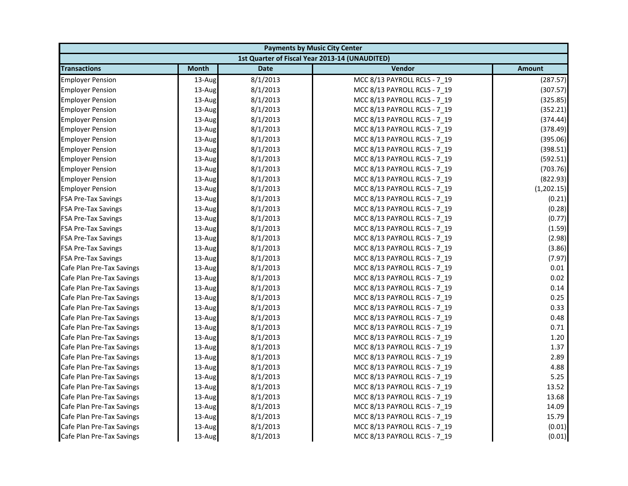|                            | <b>Payments by Music City Center</b> |             |                                                |               |  |
|----------------------------|--------------------------------------|-------------|------------------------------------------------|---------------|--|
|                            |                                      |             | 1st Quarter of Fiscal Year 2013-14 (UNAUDITED) |               |  |
| <b>Transactions</b>        | <b>Month</b>                         | <b>Date</b> | Vendor                                         | <b>Amount</b> |  |
| <b>Employer Pension</b>    | 13-Aug                               | 8/1/2013    | MCC 8/13 PAYROLL RCLS - 7 19                   | (287.57)      |  |
| <b>Employer Pension</b>    | 13-Aug                               | 8/1/2013    | MCC 8/13 PAYROLL RCLS - 7_19                   | (307.57)      |  |
| <b>Employer Pension</b>    | 13-Aug                               | 8/1/2013    | MCC 8/13 PAYROLL RCLS - 7 19                   | (325.85)      |  |
| <b>Employer Pension</b>    | 13-Aug                               | 8/1/2013    | MCC 8/13 PAYROLL RCLS - 7 19                   | (352.21)      |  |
| <b>Employer Pension</b>    | 13-Aug                               | 8/1/2013    | MCC 8/13 PAYROLL RCLS - 7_19                   | (374.44)      |  |
| <b>Employer Pension</b>    | 13-Aug                               | 8/1/2013    | MCC 8/13 PAYROLL RCLS - 7_19                   | (378.49)      |  |
| <b>Employer Pension</b>    | 13-Aug                               | 8/1/2013    | MCC 8/13 PAYROLL RCLS - 7 19                   | (395.06)      |  |
| <b>Employer Pension</b>    | 13-Aug                               | 8/1/2013    | MCC 8/13 PAYROLL RCLS - 7_19                   | (398.51)      |  |
| <b>Employer Pension</b>    | 13-Aug                               | 8/1/2013    | MCC 8/13 PAYROLL RCLS - 7 19                   | (592.51)      |  |
| <b>Employer Pension</b>    | 13-Aug                               | 8/1/2013    | MCC 8/13 PAYROLL RCLS - 7 19                   | (703.76)      |  |
| <b>Employer Pension</b>    | 13-Aug                               | 8/1/2013    | MCC 8/13 PAYROLL RCLS - 7 19                   | (822.93)      |  |
| <b>Employer Pension</b>    | 13-Aug                               | 8/1/2013    | MCC 8/13 PAYROLL RCLS - 7 19                   | (1,202.15)    |  |
| <b>FSA Pre-Tax Savings</b> | 13-Aug                               | 8/1/2013    | MCC 8/13 PAYROLL RCLS - 7_19                   | (0.21)        |  |
| <b>FSA Pre-Tax Savings</b> | 13-Aug                               | 8/1/2013    | MCC 8/13 PAYROLL RCLS - 7 19                   | (0.28)        |  |
| FSA Pre-Tax Savings        | 13-Aug                               | 8/1/2013    | MCC 8/13 PAYROLL RCLS - 7_19                   | (0.77)        |  |
| <b>FSA Pre-Tax Savings</b> | 13-Aug                               | 8/1/2013    | MCC 8/13 PAYROLL RCLS - 7 19                   | (1.59)        |  |
| <b>FSA Pre-Tax Savings</b> | 13-Aug                               | 8/1/2013    | MCC 8/13 PAYROLL RCLS - 7 19                   | (2.98)        |  |
| <b>FSA Pre-Tax Savings</b> | 13-Aug                               | 8/1/2013    | MCC 8/13 PAYROLL RCLS - 7_19                   | (3.86)        |  |
| <b>FSA Pre-Tax Savings</b> | 13-Aug                               | 8/1/2013    | MCC 8/13 PAYROLL RCLS - 7 19                   | (7.97)        |  |
| Cafe Plan Pre-Tax Savings  | 13-Aug                               | 8/1/2013    | MCC 8/13 PAYROLL RCLS - 7_19                   | 0.01          |  |
| Cafe Plan Pre-Tax Savings  | 13-Aug                               | 8/1/2013    | MCC 8/13 PAYROLL RCLS - 7_19                   | 0.02          |  |
| Cafe Plan Pre-Tax Savings  | 13-Aug                               | 8/1/2013    | MCC 8/13 PAYROLL RCLS - 7 19                   | 0.14          |  |
| Cafe Plan Pre-Tax Savings  | 13-Aug                               | 8/1/2013    | MCC 8/13 PAYROLL RCLS - 7_19                   | 0.25          |  |
| Cafe Plan Pre-Tax Savings  | 13-Aug                               | 8/1/2013    | MCC 8/13 PAYROLL RCLS - 7 19                   | 0.33          |  |
| Cafe Plan Pre-Tax Savings  | 13-Aug                               | 8/1/2013    | MCC 8/13 PAYROLL RCLS - 7 19                   | 0.48          |  |
| Cafe Plan Pre-Tax Savings  | 13-Aug                               | 8/1/2013    | MCC 8/13 PAYROLL RCLS - 7 19                   | 0.71          |  |
| Cafe Plan Pre-Tax Savings  | 13-Aug                               | 8/1/2013    | MCC 8/13 PAYROLL RCLS - 7_19                   | 1.20          |  |
| Cafe Plan Pre-Tax Savings  | 13-Aug                               | 8/1/2013    | MCC 8/13 PAYROLL RCLS - 7 19                   | 1.37          |  |
| Cafe Plan Pre-Tax Savings  | 13-Aug                               | 8/1/2013    | MCC 8/13 PAYROLL RCLS - 7 19                   | 2.89          |  |
| Cafe Plan Pre-Tax Savings  | 13-Aug                               | 8/1/2013    | MCC 8/13 PAYROLL RCLS - 7_19                   | 4.88          |  |
| Cafe Plan Pre-Tax Savings  | 13-Aug                               | 8/1/2013    | MCC 8/13 PAYROLL RCLS - 7 19                   | 5.25          |  |
| Cafe Plan Pre-Tax Savings  | 13-Aug                               | 8/1/2013    | MCC 8/13 PAYROLL RCLS - 7 19                   | 13.52         |  |
| Cafe Plan Pre-Tax Savings  | 13-Aug                               | 8/1/2013    | MCC 8/13 PAYROLL RCLS - 7_19                   | 13.68         |  |
| Cafe Plan Pre-Tax Savings  | 13-Aug                               | 8/1/2013    | MCC 8/13 PAYROLL RCLS - 7 19                   | 14.09         |  |
| Cafe Plan Pre-Tax Savings  | 13-Aug                               | 8/1/2013    | MCC 8/13 PAYROLL RCLS - 7 19                   | 15.79         |  |
| Cafe Plan Pre-Tax Savings  | 13-Aug                               | 8/1/2013    | MCC 8/13 PAYROLL RCLS - 7 19                   | (0.01)        |  |
| Cafe Plan Pre-Tax Savings  | 13-Aug                               | 8/1/2013    | MCC 8/13 PAYROLL RCLS - 7 19                   | (0.01)        |  |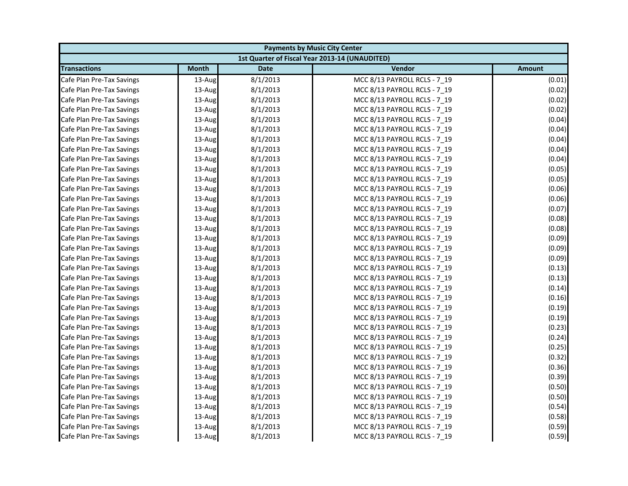| <b>Payments by Music City Center</b> |              |             |                                                |               |
|--------------------------------------|--------------|-------------|------------------------------------------------|---------------|
|                                      |              |             | 1st Quarter of Fiscal Year 2013-14 (UNAUDITED) |               |
| <b>Transactions</b>                  | <b>Month</b> | <b>Date</b> | Vendor                                         | <b>Amount</b> |
| Cafe Plan Pre-Tax Savings            | 13-Aug       | 8/1/2013    | MCC 8/13 PAYROLL RCLS - 7 19                   | (0.01)        |
| Cafe Plan Pre-Tax Savings            | 13-Aug       | 8/1/2013    | MCC 8/13 PAYROLL RCLS - 7_19                   | (0.02)        |
| Cafe Plan Pre-Tax Savings            | 13-Aug       | 8/1/2013    | MCC 8/13 PAYROLL RCLS - 7 19                   | (0.02)        |
| Cafe Plan Pre-Tax Savings            | 13-Aug       | 8/1/2013    | MCC 8/13 PAYROLL RCLS - 7 19                   | (0.02)        |
| Cafe Plan Pre-Tax Savings            | 13-Aug       | 8/1/2013    | MCC 8/13 PAYROLL RCLS - 7_19                   | (0.04)        |
| Cafe Plan Pre-Tax Savings            | 13-Aug       | 8/1/2013    | MCC 8/13 PAYROLL RCLS - 7_19                   | (0.04)        |
| Cafe Plan Pre-Tax Savings            | 13-Aug       | 8/1/2013    | MCC 8/13 PAYROLL RCLS - 7 19                   | (0.04)        |
| Cafe Plan Pre-Tax Savings            | 13-Aug       | 8/1/2013    | MCC 8/13 PAYROLL RCLS - 7_19                   | (0.04)        |
| Cafe Plan Pre-Tax Savings            | $13$ -Aug    | 8/1/2013    | MCC 8/13 PAYROLL RCLS - 7 19                   | (0.04)        |
| Cafe Plan Pre-Tax Savings            | 13-Aug       | 8/1/2013    | MCC 8/13 PAYROLL RCLS - 7 19                   | (0.05)        |
| Cafe Plan Pre-Tax Savings            | 13-Aug       | 8/1/2013    | MCC 8/13 PAYROLL RCLS - 7 19                   | (0.05)        |
| Cafe Plan Pre-Tax Savings            | 13-Aug       | 8/1/2013    | MCC 8/13 PAYROLL RCLS - 7 19                   | (0.06)        |
| Cafe Plan Pre-Tax Savings            | 13-Aug       | 8/1/2013    | MCC 8/13 PAYROLL RCLS - 7_19                   | (0.06)        |
| Cafe Plan Pre-Tax Savings            | 13-Aug       | 8/1/2013    | MCC 8/13 PAYROLL RCLS - 7 19                   | (0.07)        |
| Cafe Plan Pre-Tax Savings            | 13-Aug       | 8/1/2013    | MCC 8/13 PAYROLL RCLS - 7_19                   | (0.08)        |
| Cafe Plan Pre-Tax Savings            | 13-Aug       | 8/1/2013    | MCC 8/13 PAYROLL RCLS - 7 19                   | (0.08)        |
| Cafe Plan Pre-Tax Savings            | 13-Aug       | 8/1/2013    | MCC 8/13 PAYROLL RCLS - 7 19                   | (0.09)        |
| Cafe Plan Pre-Tax Savings            | 13-Aug       | 8/1/2013    | MCC 8/13 PAYROLL RCLS - 7_19                   | (0.09)        |
| Cafe Plan Pre-Tax Savings            | 13-Aug       | 8/1/2013    | MCC 8/13 PAYROLL RCLS - 7 19                   | (0.09)        |
| Cafe Plan Pre-Tax Savings            | 13-Aug       | 8/1/2013    | MCC 8/13 PAYROLL RCLS - 7_19                   | (0.13)        |
| Cafe Plan Pre-Tax Savings            | 13-Aug       | 8/1/2013    | MCC 8/13 PAYROLL RCLS - 7_19                   | (0.13)        |
| Cafe Plan Pre-Tax Savings            | $13$ -Aug    | 8/1/2013    | MCC 8/13 PAYROLL RCLS - 7 19                   | (0.14)        |
| Cafe Plan Pre-Tax Savings            | 13-Aug       | 8/1/2013    | MCC 8/13 PAYROLL RCLS - 7 19                   | (0.16)        |
| Cafe Plan Pre-Tax Savings            | 13-Aug       | 8/1/2013    | MCC 8/13 PAYROLL RCLS - 7 19                   | (0.19)        |
| Cafe Plan Pre-Tax Savings            | 13-Aug       | 8/1/2013    | MCC 8/13 PAYROLL RCLS - 7 19                   | (0.19)        |
| Cafe Plan Pre-Tax Savings            | 13-Aug       | 8/1/2013    | MCC 8/13 PAYROLL RCLS - 7_19                   | (0.23)        |
| Cafe Plan Pre-Tax Savings            | 13-Aug       | 8/1/2013    | MCC 8/13 PAYROLL RCLS - 7_19                   | (0.24)        |
| Cafe Plan Pre-Tax Savings            | 13-Aug       | 8/1/2013    | MCC 8/13 PAYROLL RCLS - 7 19                   | (0.25)        |
| Cafe Plan Pre-Tax Savings            | 13-Aug       | 8/1/2013    | MCC 8/13 PAYROLL RCLS - 7 19                   | (0.32)        |
| Cafe Plan Pre-Tax Savings            | 13-Aug       | 8/1/2013    | MCC 8/13 PAYROLL RCLS - 7_19                   | (0.36)        |
| Cafe Plan Pre-Tax Savings            | 13-Aug       | 8/1/2013    | MCC 8/13 PAYROLL RCLS - 7 19                   | (0.39)        |
| Cafe Plan Pre-Tax Savings            | 13-Aug       | 8/1/2013    | MCC 8/13 PAYROLL RCLS - 7 19                   | (0.50)        |
| Cafe Plan Pre-Tax Savings            | 13-Aug       | 8/1/2013    | MCC 8/13 PAYROLL RCLS - 7_19                   | (0.50)        |
| Cafe Plan Pre-Tax Savings            | 13-Aug       | 8/1/2013    | MCC 8/13 PAYROLL RCLS - 7 19                   | (0.54)        |
| Cafe Plan Pre-Tax Savings            | 13-Aug       | 8/1/2013    | MCC 8/13 PAYROLL RCLS - 7 19                   | (0.58)        |
| Cafe Plan Pre-Tax Savings            | 13-Aug       | 8/1/2013    | MCC 8/13 PAYROLL RCLS - 7 19                   | (0.59)        |
| Cafe Plan Pre-Tax Savings            | 13-Aug       | 8/1/2013    | MCC 8/13 PAYROLL RCLS - 7 19                   | (0.59)        |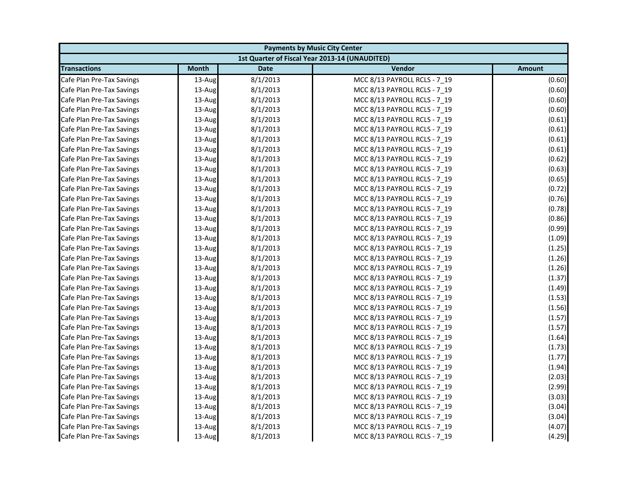| <b>Payments by Music City Center</b> |              |             |                                                |        |
|--------------------------------------|--------------|-------------|------------------------------------------------|--------|
|                                      |              |             | 1st Quarter of Fiscal Year 2013-14 (UNAUDITED) |        |
| <b>Transactions</b>                  | <b>Month</b> | <b>Date</b> | Vendor                                         | Amount |
| Cafe Plan Pre-Tax Savings            | $13$ -Aug    | 8/1/2013    | MCC 8/13 PAYROLL RCLS - 7 19                   | (0.60) |
| Cafe Plan Pre-Tax Savings            | 13-Aug       | 8/1/2013    | MCC 8/13 PAYROLL RCLS - 7_19                   | (0.60) |
| Cafe Plan Pre-Tax Savings            | 13-Aug       | 8/1/2013    | MCC 8/13 PAYROLL RCLS - 7 19                   | (0.60) |
| Cafe Plan Pre-Tax Savings            | 13-Aug       | 8/1/2013    | MCC 8/13 PAYROLL RCLS - 7 19                   | (0.60) |
| Cafe Plan Pre-Tax Savings            | 13-Aug       | 8/1/2013    | MCC 8/13 PAYROLL RCLS - 7_19                   | (0.61) |
| Cafe Plan Pre-Tax Savings            | 13-Aug       | 8/1/2013    | MCC 8/13 PAYROLL RCLS - 7_19                   | (0.61) |
| Cafe Plan Pre-Tax Savings            | 13-Aug       | 8/1/2013    | MCC 8/13 PAYROLL RCLS - 7 19                   | (0.61) |
| Cafe Plan Pre-Tax Savings            | 13-Aug       | 8/1/2013    | MCC 8/13 PAYROLL RCLS - 7_19                   | (0.61) |
| Cafe Plan Pre-Tax Savings            | 13-Aug       | 8/1/2013    | MCC 8/13 PAYROLL RCLS - 7 19                   | (0.62) |
| Cafe Plan Pre-Tax Savings            | 13-Aug       | 8/1/2013    | MCC 8/13 PAYROLL RCLS - 7 19                   | (0.63) |
| Cafe Plan Pre-Tax Savings            | 13-Aug       | 8/1/2013    | MCC 8/13 PAYROLL RCLS - 7 19                   | (0.65) |
| Cafe Plan Pre-Tax Savings            | 13-Aug       | 8/1/2013    | MCC 8/13 PAYROLL RCLS - 7 19                   | (0.72) |
| Cafe Plan Pre-Tax Savings            | 13-Aug       | 8/1/2013    | MCC 8/13 PAYROLL RCLS - 7_19                   | (0.76) |
| Cafe Plan Pre-Tax Savings            | 13-Aug       | 8/1/2013    | MCC 8/13 PAYROLL RCLS - 7 19                   | (0.78) |
| Cafe Plan Pre-Tax Savings            | 13-Aug       | 8/1/2013    | MCC 8/13 PAYROLL RCLS - 7_19                   | (0.86) |
| Cafe Plan Pre-Tax Savings            | 13-Aug       | 8/1/2013    | MCC 8/13 PAYROLL RCLS - 7 19                   | (0.99) |
| Cafe Plan Pre-Tax Savings            | 13-Aug       | 8/1/2013    | MCC 8/13 PAYROLL RCLS - 7 19                   | (1.09) |
| Cafe Plan Pre-Tax Savings            | 13-Aug       | 8/1/2013    | MCC 8/13 PAYROLL RCLS - 7_19                   | (1.25) |
| Cafe Plan Pre-Tax Savings            | 13-Aug       | 8/1/2013    | MCC 8/13 PAYROLL RCLS - 7 19                   | (1.26) |
| Cafe Plan Pre-Tax Savings            | 13-Aug       | 8/1/2013    | MCC 8/13 PAYROLL RCLS - 7_19                   | (1.26) |
| Cafe Plan Pre-Tax Savings            | 13-Aug       | 8/1/2013    | MCC 8/13 PAYROLL RCLS - 7_19                   | (1.37) |
| Cafe Plan Pre-Tax Savings            | $13$ -Aug    | 8/1/2013    | MCC 8/13 PAYROLL RCLS - 7 19                   | (1.49) |
| Cafe Plan Pre-Tax Savings            | 13-Aug       | 8/1/2013    | MCC 8/13 PAYROLL RCLS - 7_19                   | (1.53) |
| Cafe Plan Pre-Tax Savings            | 13-Aug       | 8/1/2013    | MCC 8/13 PAYROLL RCLS - 7 19                   | (1.56) |
| Cafe Plan Pre-Tax Savings            | 13-Aug       | 8/1/2013    | MCC 8/13 PAYROLL RCLS - 7 19                   | (1.57) |
| Cafe Plan Pre-Tax Savings            | 13-Aug       | 8/1/2013    | MCC 8/13 PAYROLL RCLS - 7_19                   | (1.57) |
| Cafe Plan Pre-Tax Savings            | 13-Aug       | 8/1/2013    | MCC 8/13 PAYROLL RCLS - 7_19                   | (1.64) |
| Cafe Plan Pre-Tax Savings            | 13-Aug       | 8/1/2013    | MCC 8/13 PAYROLL RCLS - 7 19                   | (1.73) |
| Cafe Plan Pre-Tax Savings            | $13$ -Aug    | 8/1/2013    | MCC 8/13 PAYROLL RCLS - 7 19                   | (1.77) |
| Cafe Plan Pre-Tax Savings            | 13-Aug       | 8/1/2013    | MCC 8/13 PAYROLL RCLS - 7_19                   | (1.94) |
| Cafe Plan Pre-Tax Savings            | 13-Aug       | 8/1/2013    | MCC 8/13 PAYROLL RCLS - 7 19                   | (2.03) |
| Cafe Plan Pre-Tax Savings            | $13$ -Aug    | 8/1/2013    | MCC 8/13 PAYROLL RCLS - 7 19                   | (2.99) |
| Cafe Plan Pre-Tax Savings            | 13-Aug       | 8/1/2013    | MCC 8/13 PAYROLL RCLS - 7_19                   | (3.03) |
| Cafe Plan Pre-Tax Savings            | 13-Aug       | 8/1/2013    | MCC 8/13 PAYROLL RCLS - 7 19                   | (3.04) |
| Cafe Plan Pre-Tax Savings            | 13-Aug       | 8/1/2013    | MCC 8/13 PAYROLL RCLS - 7 19                   | (3.04) |
| Cafe Plan Pre-Tax Savings            | 13-Aug       | 8/1/2013    | MCC 8/13 PAYROLL RCLS - 7 19                   | (4.07) |
| Cafe Plan Pre-Tax Savings            | 13-Aug       | 8/1/2013    | MCC 8/13 PAYROLL RCLS - 7 19                   | (4.29) |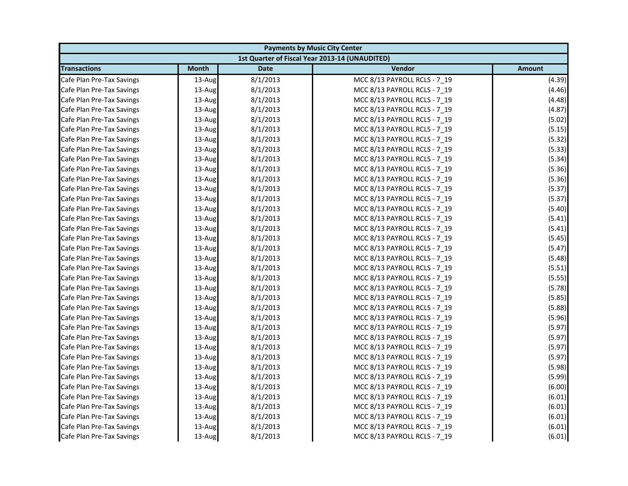| <b>Payments by Music City Center</b> |              |             |                                                |        |
|--------------------------------------|--------------|-------------|------------------------------------------------|--------|
|                                      |              |             | 1st Quarter of Fiscal Year 2013-14 (UNAUDITED) |        |
| <b>Transactions</b>                  | <b>Month</b> | <b>Date</b> | Vendor                                         | Amount |
| Cafe Plan Pre-Tax Savings            | $13$ -Aug    | 8/1/2013    | MCC 8/13 PAYROLL RCLS - 7 19                   | (4.39) |
| Cafe Plan Pre-Tax Savings            | 13-Aug       | 8/1/2013    | MCC 8/13 PAYROLL RCLS - 7_19                   | (4.46) |
| Cafe Plan Pre-Tax Savings            | 13-Aug       | 8/1/2013    | MCC 8/13 PAYROLL RCLS - 7 19                   | (4.48) |
| Cafe Plan Pre-Tax Savings            | 13-Aug       | 8/1/2013    | MCC 8/13 PAYROLL RCLS - 7 19                   | (4.87) |
| Cafe Plan Pre-Tax Savings            | 13-Aug       | 8/1/2013    | MCC 8/13 PAYROLL RCLS - 7_19                   | (5.02) |
| Cafe Plan Pre-Tax Savings            | 13-Aug       | 8/1/2013    | MCC 8/13 PAYROLL RCLS - 7_19                   | (5.15) |
| Cafe Plan Pre-Tax Savings            | 13-Aug       | 8/1/2013    | MCC 8/13 PAYROLL RCLS - 7 19                   | (5.32) |
| Cafe Plan Pre-Tax Savings            | 13-Aug       | 8/1/2013    | MCC 8/13 PAYROLL RCLS - 7_19                   | (5.33) |
| Cafe Plan Pre-Tax Savings            | 13-Aug       | 8/1/2013    | MCC 8/13 PAYROLL RCLS - 7 19                   | (5.34) |
| Cafe Plan Pre-Tax Savings            | 13-Aug       | 8/1/2013    | MCC 8/13 PAYROLL RCLS - 7 19                   | (5.36) |
| Cafe Plan Pre-Tax Savings            | 13-Aug       | 8/1/2013    | MCC 8/13 PAYROLL RCLS - 7 19                   | (5.36) |
| Cafe Plan Pre-Tax Savings            | 13-Aug       | 8/1/2013    | MCC 8/13 PAYROLL RCLS - 7 19                   | (5.37) |
| Cafe Plan Pre-Tax Savings            | 13-Aug       | 8/1/2013    | MCC 8/13 PAYROLL RCLS - 7_19                   | (5.37) |
| Cafe Plan Pre-Tax Savings            | 13-Aug       | 8/1/2013    | MCC 8/13 PAYROLL RCLS - 7 19                   | (5.40) |
| Cafe Plan Pre-Tax Savings            | 13-Aug       | 8/1/2013    | MCC 8/13 PAYROLL RCLS - 7_19                   | (5.41) |
| Cafe Plan Pre-Tax Savings            | 13-Aug       | 8/1/2013    | MCC 8/13 PAYROLL RCLS - 7 19                   | (5.41) |
| Cafe Plan Pre-Tax Savings            | 13-Aug       | 8/1/2013    | MCC 8/13 PAYROLL RCLS - 7 19                   | (5.45) |
| Cafe Plan Pre-Tax Savings            | 13-Aug       | 8/1/2013    | MCC 8/13 PAYROLL RCLS - 7_19                   | (5.47) |
| Cafe Plan Pre-Tax Savings            | 13-Aug       | 8/1/2013    | MCC 8/13 PAYROLL RCLS - 7 19                   | (5.48) |
| Cafe Plan Pre-Tax Savings            | 13-Aug       | 8/1/2013    | MCC 8/13 PAYROLL RCLS - 7_19                   | (5.51) |
| Cafe Plan Pre-Tax Savings            | 13-Aug       | 8/1/2013    | MCC 8/13 PAYROLL RCLS - 7_19                   | (5.55) |
| Cafe Plan Pre-Tax Savings            | $13$ -Aug    | 8/1/2013    | MCC 8/13 PAYROLL RCLS - 7 19                   | (5.78) |
| Cafe Plan Pre-Tax Savings            | 13-Aug       | 8/1/2013    | MCC 8/13 PAYROLL RCLS - 7_19                   | (5.85) |
| Cafe Plan Pre-Tax Savings            | 13-Aug       | 8/1/2013    | MCC 8/13 PAYROLL RCLS - 7 19                   | (5.88) |
| Cafe Plan Pre-Tax Savings            | 13-Aug       | 8/1/2013    | MCC 8/13 PAYROLL RCLS - 7 19                   | (5.96) |
| Cafe Plan Pre-Tax Savings            | 13-Aug       | 8/1/2013    | MCC 8/13 PAYROLL RCLS - 7_19                   | (5.97) |
| Cafe Plan Pre-Tax Savings            | 13-Aug       | 8/1/2013    | MCC 8/13 PAYROLL RCLS - 7_19                   | (5.97) |
| Cafe Plan Pre-Tax Savings            | 13-Aug       | 8/1/2013    | MCC 8/13 PAYROLL RCLS - 7 19                   | (5.97) |
| Cafe Plan Pre-Tax Savings            | $13$ -Aug    | 8/1/2013    | MCC 8/13 PAYROLL RCLS - 7 19                   | (5.97) |
| Cafe Plan Pre-Tax Savings            | 13-Aug       | 8/1/2013    | MCC 8/13 PAYROLL RCLS - 7_19                   | (5.98) |
| Cafe Plan Pre-Tax Savings            | 13-Aug       | 8/1/2013    | MCC 8/13 PAYROLL RCLS - 7 19                   | (5.99) |
| Cafe Plan Pre-Tax Savings            | $13$ -Aug    | 8/1/2013    | MCC 8/13 PAYROLL RCLS - 7 19                   | (6.00) |
| Cafe Plan Pre-Tax Savings            | 13-Aug       | 8/1/2013    | MCC 8/13 PAYROLL RCLS - 7_19                   | (6.01) |
| Cafe Plan Pre-Tax Savings            | 13-Aug       | 8/1/2013    | MCC 8/13 PAYROLL RCLS - 7 19                   | (6.01) |
| Cafe Plan Pre-Tax Savings            | 13-Aug       | 8/1/2013    | MCC 8/13 PAYROLL RCLS - 7 19                   | (6.01) |
| Cafe Plan Pre-Tax Savings            | 13-Aug       | 8/1/2013    | MCC 8/13 PAYROLL RCLS - 7 19                   | (6.01) |
| Cafe Plan Pre-Tax Savings            | 13-Aug       | 8/1/2013    | MCC 8/13 PAYROLL RCLS - 7 19                   | (6.01) |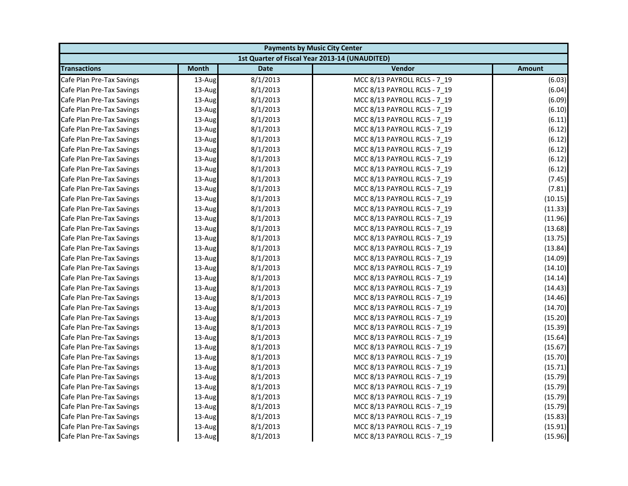| <b>Payments by Music City Center</b> |              |             |                                                |         |
|--------------------------------------|--------------|-------------|------------------------------------------------|---------|
|                                      |              |             | 1st Quarter of Fiscal Year 2013-14 (UNAUDITED) |         |
| <b>Transactions</b>                  | <b>Month</b> | <b>Date</b> | Vendor                                         | Amount  |
| Cafe Plan Pre-Tax Savings            | $13$ -Aug    | 8/1/2013    | MCC 8/13 PAYROLL RCLS - 7 19                   | (6.03)  |
| Cafe Plan Pre-Tax Savings            | 13-Aug       | 8/1/2013    | MCC 8/13 PAYROLL RCLS - 7_19                   | (6.04)  |
| Cafe Plan Pre-Tax Savings            | 13-Aug       | 8/1/2013    | MCC 8/13 PAYROLL RCLS - 7 19                   | (6.09)  |
| Cafe Plan Pre-Tax Savings            | 13-Aug       | 8/1/2013    | MCC 8/13 PAYROLL RCLS - 7 19                   | (6.10)  |
| Cafe Plan Pre-Tax Savings            | 13-Aug       | 8/1/2013    | MCC 8/13 PAYROLL RCLS - 7_19                   | (6.11)  |
| Cafe Plan Pre-Tax Savings            | 13-Aug       | 8/1/2013    | MCC 8/13 PAYROLL RCLS - 7_19                   | (6.12)  |
| Cafe Plan Pre-Tax Savings            | 13-Aug       | 8/1/2013    | MCC 8/13 PAYROLL RCLS - 7 19                   | (6.12)  |
| Cafe Plan Pre-Tax Savings            | 13-Aug       | 8/1/2013    | MCC 8/13 PAYROLL RCLS - 7_19                   | (6.12)  |
| Cafe Plan Pre-Tax Savings            | 13-Aug       | 8/1/2013    | MCC 8/13 PAYROLL RCLS - 7 19                   | (6.12)  |
| Cafe Plan Pre-Tax Savings            | 13-Aug       | 8/1/2013    | MCC 8/13 PAYROLL RCLS - 7 19                   | (6.12)  |
| Cafe Plan Pre-Tax Savings            | 13-Aug       | 8/1/2013    | MCC 8/13 PAYROLL RCLS - 7 19                   | (7.45)  |
| Cafe Plan Pre-Tax Savings            | 13-Aug       | 8/1/2013    | MCC 8/13 PAYROLL RCLS - 7 19                   | (7.81)  |
| Cafe Plan Pre-Tax Savings            | 13-Aug       | 8/1/2013    | MCC 8/13 PAYROLL RCLS - 7_19                   | (10.15) |
| Cafe Plan Pre-Tax Savings            | 13-Aug       | 8/1/2013    | MCC 8/13 PAYROLL RCLS - 7 19                   | (11.33) |
| Cafe Plan Pre-Tax Savings            | 13-Aug       | 8/1/2013    | MCC 8/13 PAYROLL RCLS - 7_19                   | (11.96) |
| Cafe Plan Pre-Tax Savings            | 13-Aug       | 8/1/2013    | MCC 8/13 PAYROLL RCLS - 7 19                   | (13.68) |
| Cafe Plan Pre-Tax Savings            | 13-Aug       | 8/1/2013    | MCC 8/13 PAYROLL RCLS - 7 19                   | (13.75) |
| Cafe Plan Pre-Tax Savings            | 13-Aug       | 8/1/2013    | MCC 8/13 PAYROLL RCLS - 7_19                   | (13.84) |
| Cafe Plan Pre-Tax Savings            | 13-Aug       | 8/1/2013    | MCC 8/13 PAYROLL RCLS - 7 19                   | (14.09) |
| Cafe Plan Pre-Tax Savings            | 13-Aug       | 8/1/2013    | MCC 8/13 PAYROLL RCLS - 7_19                   | (14.10) |
| Cafe Plan Pre-Tax Savings            | 13-Aug       | 8/1/2013    | MCC 8/13 PAYROLL RCLS - 7_19                   | (14.14) |
| Cafe Plan Pre-Tax Savings            | $13$ -Aug    | 8/1/2013    | MCC 8/13 PAYROLL RCLS - 7 19                   | (14.43) |
| Cafe Plan Pre-Tax Savings            | 13-Aug       | 8/1/2013    | MCC 8/13 PAYROLL RCLS - 7_19                   | (14.46) |
| Cafe Plan Pre-Tax Savings            | 13-Aug       | 8/1/2013    | MCC 8/13 PAYROLL RCLS - 7 19                   | (14.70) |
| Cafe Plan Pre-Tax Savings            | 13-Aug       | 8/1/2013    | MCC 8/13 PAYROLL RCLS - 7 19                   | (15.20) |
| Cafe Plan Pre-Tax Savings            | 13-Aug       | 8/1/2013    | MCC 8/13 PAYROLL RCLS - 7_19                   | (15.39) |
| Cafe Plan Pre-Tax Savings            | 13-Aug       | 8/1/2013    | MCC 8/13 PAYROLL RCLS - 7_19                   | (15.64) |
| Cafe Plan Pre-Tax Savings            | 13-Aug       | 8/1/2013    | MCC 8/13 PAYROLL RCLS - 7 19                   | (15.67) |
| Cafe Plan Pre-Tax Savings            | 13-Aug       | 8/1/2013    | MCC 8/13 PAYROLL RCLS - 7 19                   | (15.70) |
| Cafe Plan Pre-Tax Savings            | 13-Aug       | 8/1/2013    | MCC 8/13 PAYROLL RCLS - 7_19                   | (15.71) |
| Cafe Plan Pre-Tax Savings            | 13-Aug       | 8/1/2013    | MCC 8/13 PAYROLL RCLS - 7 19                   | (15.79) |
| Cafe Plan Pre-Tax Savings            | 13-Aug       | 8/1/2013    | MCC 8/13 PAYROLL RCLS - 7 19                   | (15.79) |
| Cafe Plan Pre-Tax Savings            | 13-Aug       | 8/1/2013    | MCC 8/13 PAYROLL RCLS - 7_19                   | (15.79) |
| Cafe Plan Pre-Tax Savings            | 13-Aug       | 8/1/2013    | MCC 8/13 PAYROLL RCLS - 7 19                   | (15.79) |
| Cafe Plan Pre-Tax Savings            | 13-Aug       | 8/1/2013    | MCC 8/13 PAYROLL RCLS - 7 19                   | (15.83) |
| Cafe Plan Pre-Tax Savings            | 13-Aug       | 8/1/2013    | MCC 8/13 PAYROLL RCLS - 7 19                   | (15.91) |
| Cafe Plan Pre-Tax Savings            | 13-Aug       | 8/1/2013    | MCC 8/13 PAYROLL RCLS - 7 19                   | (15.96) |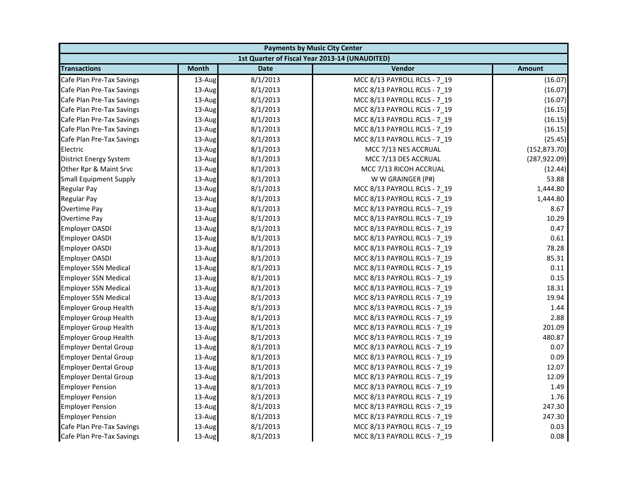| <b>Payments by Music City Center</b> |              |             |                                                |               |
|--------------------------------------|--------------|-------------|------------------------------------------------|---------------|
|                                      |              |             | 1st Quarter of Fiscal Year 2013-14 (UNAUDITED) |               |
| <b>Transactions</b>                  | <b>Month</b> | <b>Date</b> | Vendor                                         | <b>Amount</b> |
| Cafe Plan Pre-Tax Savings            | 13-Aug       | 8/1/2013    | MCC 8/13 PAYROLL RCLS - 7 19                   | (16.07)       |
| Cafe Plan Pre-Tax Savings            | 13-Aug       | 8/1/2013    | MCC 8/13 PAYROLL RCLS - 7_19                   | (16.07)       |
| Cafe Plan Pre-Tax Savings            | 13-Aug       | 8/1/2013    | MCC 8/13 PAYROLL RCLS - 7 19                   | (16.07)       |
| Cafe Plan Pre-Tax Savings            | 13-Aug       | 8/1/2013    | MCC 8/13 PAYROLL RCLS - 7 19                   | (16.15)       |
| Cafe Plan Pre-Tax Savings            | 13-Aug       | 8/1/2013    | MCC 8/13 PAYROLL RCLS - 7_19                   | (16.15)       |
| Cafe Plan Pre-Tax Savings            | 13-Aug       | 8/1/2013    | MCC 8/13 PAYROLL RCLS - 7_19                   | (16.15)       |
| Cafe Plan Pre-Tax Savings            | 13-Aug       | 8/1/2013    | MCC 8/13 PAYROLL RCLS - 7 19                   | (25.45)       |
| Electric                             | 13-Aug       | 8/1/2013    | MCC 7/13 NES ACCRUAL                           | (152, 873.70) |
| District Energy System               | 13-Aug       | 8/1/2013    | MCC 7/13 DES ACCRUAL                           | (287, 922.09) |
| Other Rpr & Maint Srvc               | 13-Aug       | 8/1/2013    | MCC 7/13 RICOH ACCRUAL                         | (12.44)       |
| <b>Small Equipment Supply</b>        | 13-Aug       | 8/1/2013    | W W GRAINGER (P#)                              | 53.88         |
| Regular Pay                          | 13-Aug       | 8/1/2013    | MCC 8/13 PAYROLL RCLS - 7 19                   | 1,444.80      |
| Regular Pay                          | 13-Aug       | 8/1/2013    | MCC 8/13 PAYROLL RCLS - 7_19                   | 1,444.80      |
| Overtime Pay                         | 13-Aug       | 8/1/2013    | MCC 8/13 PAYROLL RCLS - 7 19                   | 8.67          |
| Overtime Pay                         | 13-Aug       | 8/1/2013    | MCC 8/13 PAYROLL RCLS - 7_19                   | 10.29         |
| <b>Employer OASDI</b>                | 13-Aug       | 8/1/2013    | MCC 8/13 PAYROLL RCLS - 7 19                   | 0.47          |
| <b>Employer OASDI</b>                | 13-Aug       | 8/1/2013    | MCC 8/13 PAYROLL RCLS - 7 19                   | 0.61          |
| Employer OASDI                       | 13-Aug       | 8/1/2013    | MCC 8/13 PAYROLL RCLS - 7_19                   | 78.28         |
| <b>Employer OASDI</b>                | 13-Aug       | 8/1/2013    | MCC 8/13 PAYROLL RCLS - 7 19                   | 85.31         |
| <b>Employer SSN Medical</b>          | 13-Aug       | 8/1/2013    | MCC 8/13 PAYROLL RCLS - 7_19                   | 0.11          |
| <b>Employer SSN Medical</b>          | 13-Aug       | 8/1/2013    | MCC 8/13 PAYROLL RCLS - 7_19                   | 0.15          |
| <b>Employer SSN Medical</b>          | 13-Aug       | 8/1/2013    | MCC 8/13 PAYROLL RCLS - 7 19                   | 18.31         |
| <b>Employer SSN Medical</b>          | 13-Aug       | 8/1/2013    | MCC 8/13 PAYROLL RCLS - 7 19                   | 19.94         |
| <b>Employer Group Health</b>         | 13-Aug       | 8/1/2013    | MCC 8/13 PAYROLL RCLS - 7 19                   | 1.44          |
| <b>Employer Group Health</b>         | 13-Aug       | 8/1/2013    | MCC 8/13 PAYROLL RCLS - 7 19                   | 2.88          |
| <b>Employer Group Health</b>         | 13-Aug       | 8/1/2013    | MCC 8/13 PAYROLL RCLS - 7 19                   | 201.09        |
| <b>Employer Group Health</b>         | 13-Aug       | 8/1/2013    | MCC 8/13 PAYROLL RCLS - 7_19                   | 480.87        |
| <b>Employer Dental Group</b>         | 13-Aug       | 8/1/2013    | MCC 8/13 PAYROLL RCLS - 7 19                   | 0.07          |
| <b>Employer Dental Group</b>         | 13-Aug       | 8/1/2013    | MCC 8/13 PAYROLL RCLS - 7 19                   | 0.09          |
| <b>Employer Dental Group</b>         | 13-Aug       | 8/1/2013    | MCC 8/13 PAYROLL RCLS - 7_19                   | 12.07         |
| <b>Employer Dental Group</b>         | 13-Aug       | 8/1/2013    | MCC 8/13 PAYROLL RCLS - 7 19                   | 12.09         |
| <b>Employer Pension</b>              | 13-Aug       | 8/1/2013    | MCC 8/13 PAYROLL RCLS - 7 19                   | 1.49          |
| <b>Employer Pension</b>              | 13-Aug       | 8/1/2013    | MCC 8/13 PAYROLL RCLS - 7_19                   | 1.76          |
| <b>Employer Pension</b>              | 13-Aug       | 8/1/2013    | MCC 8/13 PAYROLL RCLS - 7 19                   | 247.30        |
| <b>Employer Pension</b>              | 13-Aug       | 8/1/2013    | MCC 8/13 PAYROLL RCLS - 7 19                   | 247.30        |
| Cafe Plan Pre-Tax Savings            | 13-Aug       | 8/1/2013    | MCC 8/13 PAYROLL RCLS - 7 19                   | 0.03          |
| Cafe Plan Pre-Tax Savings            | 13-Aug       | 8/1/2013    | MCC 8/13 PAYROLL RCLS - 7 19                   | 0.08          |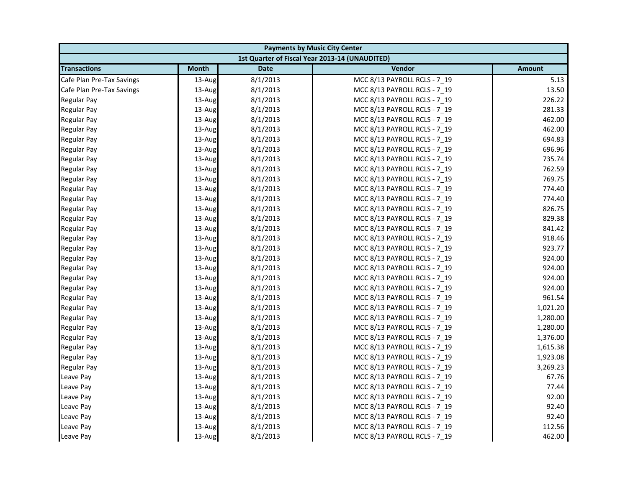| <b>Payments by Music City Center</b> |              |             |                                                |               |
|--------------------------------------|--------------|-------------|------------------------------------------------|---------------|
|                                      |              |             | 1st Quarter of Fiscal Year 2013-14 (UNAUDITED) |               |
| <b>Transactions</b>                  | <b>Month</b> | <b>Date</b> | Vendor                                         | <b>Amount</b> |
| Cafe Plan Pre-Tax Savings            | 13-Aug       | 8/1/2013    | MCC 8/13 PAYROLL RCLS - 7_19                   | 5.13          |
| Cafe Plan Pre-Tax Savings            | 13-Aug       | 8/1/2013    | MCC 8/13 PAYROLL RCLS - 7_19                   | 13.50         |
| <b>Regular Pay</b>                   | 13-Aug       | 8/1/2013    | MCC 8/13 PAYROLL RCLS - 7 19                   | 226.22        |
| <b>Regular Pay</b>                   | 13-Aug       | 8/1/2013    | MCC 8/13 PAYROLL RCLS - 7 19                   | 281.33        |
| <b>Regular Pay</b>                   | 13-Aug       | 8/1/2013    | MCC 8/13 PAYROLL RCLS - 7_19                   | 462.00        |
| <b>Regular Pay</b>                   | 13-Aug       | 8/1/2013    | MCC 8/13 PAYROLL RCLS - 7_19                   | 462.00        |
| <b>Regular Pay</b>                   | 13-Aug       | 8/1/2013    | MCC 8/13 PAYROLL RCLS - 7 19                   | 694.83        |
| <b>Regular Pay</b>                   | 13-Aug       | 8/1/2013    | MCC 8/13 PAYROLL RCLS - 7_19                   | 696.96        |
| <b>Regular Pay</b>                   | 13-Aug       | 8/1/2013    | MCC 8/13 PAYROLL RCLS - 7 19                   | 735.74        |
| <b>Regular Pay</b>                   | 13-Aug       | 8/1/2013    | MCC 8/13 PAYROLL RCLS - 7 19                   | 762.59        |
| <b>Regular Pay</b>                   | 13-Aug       | 8/1/2013    | MCC 8/13 PAYROLL RCLS - 7_19                   | 769.75        |
| <b>Regular Pay</b>                   | 13-Aug       | 8/1/2013    | MCC 8/13 PAYROLL RCLS - 7 19                   | 774.40        |
| <b>Regular Pay</b>                   | 13-Aug       | 8/1/2013    | MCC 8/13 PAYROLL RCLS - 7_19                   | 774.40        |
| <b>Regular Pay</b>                   | 13-Aug       | 8/1/2013    | MCC 8/13 PAYROLL RCLS - 7_19                   | 826.75        |
| <b>Regular Pay</b>                   | 13-Aug       | 8/1/2013    | MCC 8/13 PAYROLL RCLS - 7_19                   | 829.38        |
| <b>Regular Pay</b>                   | 13-Aug       | 8/1/2013    | MCC 8/13 PAYROLL RCLS - 7 19                   | 841.42        |
| <b>Regular Pay</b>                   | 13-Aug       | 8/1/2013    | MCC 8/13 PAYROLL RCLS - 7 19                   | 918.46        |
| <b>Regular Pay</b>                   | 13-Aug       | 8/1/2013    | MCC 8/13 PAYROLL RCLS - 7_19                   | 923.77        |
| <b>Regular Pay</b>                   | 13-Aug       | 8/1/2013    | MCC 8/13 PAYROLL RCLS - 7 19                   | 924.00        |
| <b>Regular Pay</b>                   | 13-Aug       | 8/1/2013    | MCC 8/13 PAYROLL RCLS - 7_19                   | 924.00        |
| <b>Regular Pay</b>                   | 13-Aug       | 8/1/2013    | MCC 8/13 PAYROLL RCLS - 7_19                   | 924.00        |
| <b>Regular Pay</b>                   | 13-Aug       | 8/1/2013    | MCC 8/13 PAYROLL RCLS - 7 19                   | 924.00        |
| <b>Regular Pay</b>                   | 13-Aug       | 8/1/2013    | MCC 8/13 PAYROLL RCLS - 7_19                   | 961.54        |
| <b>Regular Pay</b>                   | 13-Aug       | 8/1/2013    | MCC 8/13 PAYROLL RCLS - 7 19                   | 1,021.20      |
| <b>Regular Pay</b>                   | 13-Aug       | 8/1/2013    | MCC 8/13 PAYROLL RCLS - 7 19                   | 1,280.00      |
| <b>Regular Pay</b>                   | 13-Aug       | 8/1/2013    | MCC 8/13 PAYROLL RCLS - 7_19                   | 1,280.00      |
| <b>Regular Pay</b>                   | 13-Aug       | 8/1/2013    | MCC 8/13 PAYROLL RCLS - 7_19                   | 1,376.00      |
| <b>Regular Pay</b>                   | 13-Aug       | 8/1/2013    | MCC 8/13 PAYROLL RCLS - 7 19                   | 1,615.38      |
| <b>Regular Pay</b>                   | 13-Aug       | 8/1/2013    | MCC 8/13 PAYROLL RCLS - 7 19                   | 1,923.08      |
| <b>Regular Pay</b>                   | 13-Aug       | 8/1/2013    | MCC 8/13 PAYROLL RCLS - 7_19                   | 3,269.23      |
| Leave Pay                            | 13-Aug       | 8/1/2013    | MCC 8/13 PAYROLL RCLS - 7 19                   | 67.76         |
| Leave Pay                            | 13-Aug       | 8/1/2013    | MCC 8/13 PAYROLL RCLS - 7 19                   | 77.44         |
| Leave Pay                            | 13-Aug       | 8/1/2013    | MCC 8/13 PAYROLL RCLS - 7_19                   | 92.00         |
| Leave Pay                            | 13-Aug       | 8/1/2013    | MCC 8/13 PAYROLL RCLS - 7_19                   | 92.40         |
| Leave Pay                            | 13-Aug       | 8/1/2013    | MCC 8/13 PAYROLL RCLS - 7 19                   | 92.40         |
| Leave Pay                            | 13-Aug       | 8/1/2013    | MCC 8/13 PAYROLL RCLS - 7_19                   | 112.56        |
| Leave Pay                            | 13-Aug       | 8/1/2013    | MCC 8/13 PAYROLL RCLS - 7 19                   | 462.00        |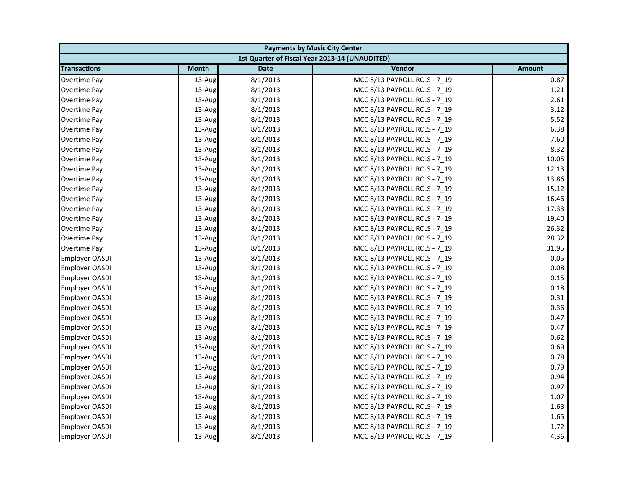| <b>Payments by Music City Center</b> |              |             |                                                |               |
|--------------------------------------|--------------|-------------|------------------------------------------------|---------------|
|                                      |              |             | 1st Quarter of Fiscal Year 2013-14 (UNAUDITED) |               |
| <b>Transactions</b>                  | <b>Month</b> | <b>Date</b> | Vendor                                         | <b>Amount</b> |
| Overtime Pay                         | 13-Aug       | 8/1/2013    | MCC 8/13 PAYROLL RCLS - 7 19                   | 0.87          |
| Overtime Pay                         | 13-Aug       | 8/1/2013    | MCC 8/13 PAYROLL RCLS - 7_19                   | 1.21          |
| Overtime Pay                         | 13-Aug       | 8/1/2013    | MCC 8/13 PAYROLL RCLS - 7 19                   | 2.61          |
| Overtime Pay                         | 13-Aug       | 8/1/2013    | MCC 8/13 PAYROLL RCLS - 7 19                   | 3.12          |
| Overtime Pay                         | 13-Aug       | 8/1/2013    | MCC 8/13 PAYROLL RCLS - 7_19                   | 5.52          |
| Overtime Pay                         | 13-Aug       | 8/1/2013    | MCC 8/13 PAYROLL RCLS - 7_19                   | 6.38          |
| Overtime Pay                         | 13-Aug       | 8/1/2013    | MCC 8/13 PAYROLL RCLS - 7 19                   | 7.60          |
| Overtime Pay                         | 13-Aug       | 8/1/2013    | MCC 8/13 PAYROLL RCLS - 7_19                   | 8.32          |
| Overtime Pay                         | 13-Aug       | 8/1/2013    | MCC 8/13 PAYROLL RCLS - 7 19                   | 10.05         |
| Overtime Pay                         | 13-Aug       | 8/1/2013    | MCC 8/13 PAYROLL RCLS - 7 19                   | 12.13         |
| Overtime Pay                         | 13-Aug       | 8/1/2013    | MCC 8/13 PAYROLL RCLS - 7_19                   | 13.86         |
| Overtime Pay                         | 13-Aug       | 8/1/2013    | MCC 8/13 PAYROLL RCLS - 7 19                   | 15.12         |
| Overtime Pay                         | 13-Aug       | 8/1/2013    | MCC 8/13 PAYROLL RCLS - 7_19                   | 16.46         |
| Overtime Pay                         | 13-Aug       | 8/1/2013    | MCC 8/13 PAYROLL RCLS - 7 19                   | 17.33         |
| Overtime Pay                         | 13-Aug       | 8/1/2013    | MCC 8/13 PAYROLL RCLS - 7_19                   | 19.40         |
| Overtime Pay                         | 13-Aug       | 8/1/2013    | MCC 8/13 PAYROLL RCLS - 7 19                   | 26.32         |
| Overtime Pay                         | 13-Aug       | 8/1/2013    | MCC 8/13 PAYROLL RCLS - 7 19                   | 28.32         |
| <b>Overtime Pay</b>                  | 13-Aug       | 8/1/2013    | MCC 8/13 PAYROLL RCLS - 7_19                   | 31.95         |
| Employer OASDI                       | 13-Aug       | 8/1/2013    | MCC 8/13 PAYROLL RCLS - 7 19                   | 0.05          |
| <b>Employer OASDI</b>                | 13-Aug       | 8/1/2013    | MCC 8/13 PAYROLL RCLS - 7_19                   | 0.08          |
| <b>Employer OASDI</b>                | 13-Aug       | 8/1/2013    | MCC 8/13 PAYROLL RCLS - 7_19                   | 0.15          |
| <b>Employer OASDI</b>                | 13-Aug       | 8/1/2013    | MCC 8/13 PAYROLL RCLS - 7 19                   | 0.18          |
| <b>Employer OASDI</b>                | 13-Aug       | 8/1/2013    | MCC 8/13 PAYROLL RCLS - 7_19                   | 0.31          |
| Employer OASDI                       | 13-Aug       | 8/1/2013    | MCC 8/13 PAYROLL RCLS - 7 19                   | 0.36          |
| <b>Employer OASDI</b>                | 13-Aug       | 8/1/2013    | MCC 8/13 PAYROLL RCLS - 7 19                   | 0.47          |
| <b>Employer OASDI</b>                | 13-Aug       | 8/1/2013    | MCC 8/13 PAYROLL RCLS - 7_19                   | 0.47          |
| Employer OASDI                       | 13-Aug       | 8/1/2013    | MCC 8/13 PAYROLL RCLS - 7_19                   | 0.62          |
| <b>Employer OASDI</b>                | 13-Aug       | 8/1/2013    | MCC 8/13 PAYROLL RCLS - 7 19                   | 0.69          |
| <b>Employer OASDI</b>                | 13-Aug       | 8/1/2013    | MCC 8/13 PAYROLL RCLS - 7 19                   | 0.78          |
| Employer OASDI                       | 13-Aug       | 8/1/2013    | MCC 8/13 PAYROLL RCLS - 7_19                   | 0.79          |
| <b>Employer OASDI</b>                | 13-Aug       | 8/1/2013    | MCC 8/13 PAYROLL RCLS - 7 19                   | 0.94          |
| Employer OASDI                       | 13-Aug       | 8/1/2013    | MCC 8/13 PAYROLL RCLS - 7 19                   | 0.97          |
| Employer OASDI                       | 13-Aug       | 8/1/2013    | MCC 8/13 PAYROLL RCLS - 7_19                   | 1.07          |
| <b>Employer OASDI</b>                | 13-Aug       | 8/1/2013    | MCC 8/13 PAYROLL RCLS - 7 19                   | 1.63          |
| <b>Employer OASDI</b>                | 13-Aug       | 8/1/2013    | MCC 8/13 PAYROLL RCLS - 7 19                   | 1.65          |
| <b>Employer OASDI</b>                | 13-Aug       | 8/1/2013    | MCC 8/13 PAYROLL RCLS - 7_19                   | 1.72          |
| <b>Employer OASDI</b>                | 13-Aug       | 8/1/2013    | MCC 8/13 PAYROLL RCLS - 7 19                   | 4.36          |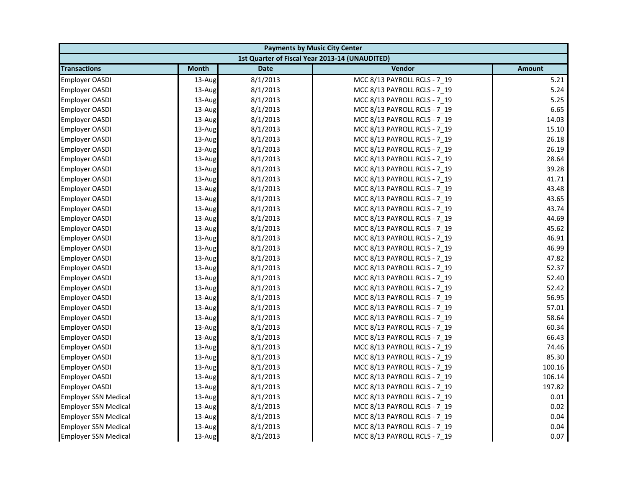| <b>Payments by Music City Center</b> |              |             |                                                |               |
|--------------------------------------|--------------|-------------|------------------------------------------------|---------------|
|                                      |              |             | 1st Quarter of Fiscal Year 2013-14 (UNAUDITED) |               |
| <b>Transactions</b>                  | <b>Month</b> | <b>Date</b> | Vendor                                         | <b>Amount</b> |
| <b>Employer OASDI</b>                | 13-Aug       | 8/1/2013    | MCC 8/13 PAYROLL RCLS - 7 19                   | 5.21          |
| <b>Employer OASDI</b>                | 13-Aug       | 8/1/2013    | MCC 8/13 PAYROLL RCLS - 7_19                   | 5.24          |
| <b>Employer OASDI</b>                | 13-Aug       | 8/1/2013    | MCC 8/13 PAYROLL RCLS - 7 19                   | 5.25          |
| Employer OASDI                       | 13-Aug       | 8/1/2013    | MCC 8/13 PAYROLL RCLS - 7 19                   | 6.65          |
| Employer OASDI                       | 13-Aug       | 8/1/2013    | MCC 8/13 PAYROLL RCLS - 7_19                   | 14.03         |
| <b>Employer OASDI</b>                | 13-Aug       | 8/1/2013    | MCC 8/13 PAYROLL RCLS - 7_19                   | 15.10         |
| <b>Employer OASDI</b>                | 13-Aug       | 8/1/2013    | MCC 8/13 PAYROLL RCLS - 7 19                   | 26.18         |
| <b>Employer OASDI</b>                | 13-Aug       | 8/1/2013    | MCC 8/13 PAYROLL RCLS - 7_19                   | 26.19         |
| <b>Employer OASDI</b>                | 13-Aug       | 8/1/2013    | MCC 8/13 PAYROLL RCLS - 7 19                   | 28.64         |
| Employer OASDI                       | 13-Aug       | 8/1/2013    | MCC 8/13 PAYROLL RCLS - 7 19                   | 39.28         |
| Employer OASDI                       | 13-Aug       | 8/1/2013    | MCC 8/13 PAYROLL RCLS - 7_19                   | 41.71         |
| <b>Employer OASDI</b>                | 13-Aug       | 8/1/2013    | MCC 8/13 PAYROLL RCLS - 7 19                   | 43.48         |
| Employer OASDI                       | 13-Aug       | 8/1/2013    | MCC 8/13 PAYROLL RCLS - 7_19                   | 43.65         |
| <b>Employer OASDI</b>                | 13-Aug       | 8/1/2013    | MCC 8/13 PAYROLL RCLS - 7 19                   | 43.74         |
| <b>Employer OASDI</b>                | 13-Aug       | 8/1/2013    | MCC 8/13 PAYROLL RCLS - 7_19                   | 44.69         |
| <b>Employer OASDI</b>                | 13-Aug       | 8/1/2013    | MCC 8/13 PAYROLL RCLS - 7 19                   | 45.62         |
| <b>Employer OASDI</b>                | 13-Aug       | 8/1/2013    | MCC 8/13 PAYROLL RCLS - 7 19                   | 46.91         |
| Employer OASDI                       | 13-Aug       | 8/1/2013    | MCC 8/13 PAYROLL RCLS - 7_19                   | 46.99         |
| Employer OASDI                       | 13-Aug       | 8/1/2013    | MCC 8/13 PAYROLL RCLS - 7 19                   | 47.82         |
| <b>Employer OASDI</b>                | 13-Aug       | 8/1/2013    | MCC 8/13 PAYROLL RCLS - 7_19                   | 52.37         |
| <b>Employer OASDI</b>                | 13-Aug       | 8/1/2013    | MCC 8/13 PAYROLL RCLS - 7_19                   | 52.40         |
| <b>Employer OASDI</b>                | 13-Aug       | 8/1/2013    | MCC 8/13 PAYROLL RCLS - 7 19                   | 52.42         |
| <b>Employer OASDI</b>                | 13-Aug       | 8/1/2013    | MCC 8/13 PAYROLL RCLS - 7_19                   | 56.95         |
| <b>Employer OASDI</b>                | 13-Aug       | 8/1/2013    | MCC 8/13 PAYROLL RCLS - 7 19                   | 57.01         |
| <b>Employer OASDI</b>                | 13-Aug       | 8/1/2013    | MCC 8/13 PAYROLL RCLS - 7 19                   | 58.64         |
| <b>Employer OASDI</b>                | 13-Aug       | 8/1/2013    | MCC 8/13 PAYROLL RCLS - 7_19                   | 60.34         |
| <b>Employer OASDI</b>                | 13-Aug       | 8/1/2013    | MCC 8/13 PAYROLL RCLS - 7_19                   | 66.43         |
| <b>Employer OASDI</b>                | 13-Aug       | 8/1/2013    | MCC 8/13 PAYROLL RCLS - 7 19                   | 74.46         |
| <b>Employer OASDI</b>                | 13-Aug       | 8/1/2013    | MCC 8/13 PAYROLL RCLS - 7 19                   | 85.30         |
| <b>Employer OASDI</b>                | 13-Aug       | 8/1/2013    | MCC 8/13 PAYROLL RCLS - 7_19                   | 100.16        |
| <b>Employer OASDI</b>                | 13-Aug       | 8/1/2013    | MCC 8/13 PAYROLL RCLS - 7 19                   | 106.14        |
| Employer OASDI                       | 13-Aug       | 8/1/2013    | MCC 8/13 PAYROLL RCLS - 7 19                   | 197.82        |
| <b>Employer SSN Medical</b>          | 13-Aug       | 8/1/2013    | MCC 8/13 PAYROLL RCLS - 7_19                   | 0.01          |
| <b>Employer SSN Medical</b>          | 13-Aug       | 8/1/2013    | MCC 8/13 PAYROLL RCLS - 7 19                   | 0.02          |
| <b>Employer SSN Medical</b>          | 13-Aug       | 8/1/2013    | MCC 8/13 PAYROLL RCLS - 7 19                   | 0.04          |
| <b>Employer SSN Medical</b>          | 13-Aug       | 8/1/2013    | MCC 8/13 PAYROLL RCLS - 7_19                   | 0.04          |
| <b>Employer SSN Medical</b>          | 13-Aug       | 8/1/2013    | MCC 8/13 PAYROLL RCLS - 7 19                   | 0.07          |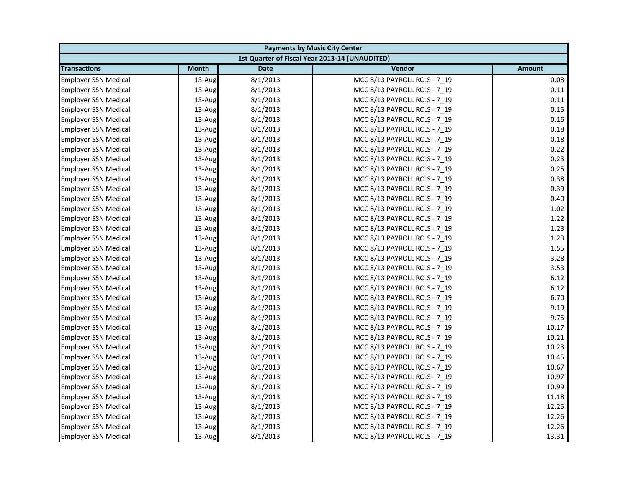|                             | <b>Payments by Music City Center</b> |             |                                                |               |  |
|-----------------------------|--------------------------------------|-------------|------------------------------------------------|---------------|--|
|                             |                                      |             | 1st Quarter of Fiscal Year 2013-14 (UNAUDITED) |               |  |
| <b>Transactions</b>         | <b>Month</b>                         | <b>Date</b> | Vendor                                         | <b>Amount</b> |  |
| <b>Employer SSN Medical</b> | 13-Aug                               | 8/1/2013    | MCC 8/13 PAYROLL RCLS - 7 19                   | 0.08          |  |
| <b>Employer SSN Medical</b> | 13-Aug                               | 8/1/2013    | MCC 8/13 PAYROLL RCLS - 7_19                   | 0.11          |  |
| <b>Employer SSN Medical</b> | 13-Aug                               | 8/1/2013    | MCC 8/13 PAYROLL RCLS - 7 19                   | 0.11          |  |
| <b>Employer SSN Medical</b> | 13-Aug                               | 8/1/2013    | MCC 8/13 PAYROLL RCLS - 7 19                   | 0.15          |  |
| <b>Employer SSN Medical</b> | 13-Aug                               | 8/1/2013    | MCC 8/13 PAYROLL RCLS - 7_19                   | 0.16          |  |
| <b>Employer SSN Medical</b> | 13-Aug                               | 8/1/2013    | MCC 8/13 PAYROLL RCLS - 7_19                   | 0.18          |  |
| <b>Employer SSN Medical</b> | 13-Aug                               | 8/1/2013    | MCC 8/13 PAYROLL RCLS - 7 19                   | 0.18          |  |
| <b>Employer SSN Medical</b> | 13-Aug                               | 8/1/2013    | MCC 8/13 PAYROLL RCLS - 7_19                   | 0.22          |  |
| <b>Employer SSN Medical</b> | 13-Aug                               | 8/1/2013    | MCC 8/13 PAYROLL RCLS - 7 19                   | 0.23          |  |
| <b>Employer SSN Medical</b> | 13-Aug                               | 8/1/2013    | MCC 8/13 PAYROLL RCLS - 7 19                   | 0.25          |  |
| <b>Employer SSN Medical</b> | 13-Aug                               | 8/1/2013    | MCC 8/13 PAYROLL RCLS - 7 19                   | 0.38          |  |
| <b>Employer SSN Medical</b> | 13-Aug                               | 8/1/2013    | MCC 8/13 PAYROLL RCLS - 7 19                   | 0.39          |  |
| <b>Employer SSN Medical</b> | 13-Aug                               | 8/1/2013    | MCC 8/13 PAYROLL RCLS - 7_19                   | 0.40          |  |
| <b>Employer SSN Medical</b> | 13-Aug                               | 8/1/2013    | MCC 8/13 PAYROLL RCLS - 7 19                   | 1.02          |  |
| <b>Employer SSN Medical</b> | 13-Aug                               | 8/1/2013    | MCC 8/13 PAYROLL RCLS - 7_19                   | 1.22          |  |
| <b>Employer SSN Medical</b> | 13-Aug                               | 8/1/2013    | MCC 8/13 PAYROLL RCLS - 7 19                   | 1.23          |  |
| <b>Employer SSN Medical</b> | 13-Aug                               | 8/1/2013    | MCC 8/13 PAYROLL RCLS - 7 19                   | 1.23          |  |
| <b>Employer SSN Medical</b> | 13-Aug                               | 8/1/2013    | MCC 8/13 PAYROLL RCLS - 7_19                   | 1.55          |  |
| <b>Employer SSN Medical</b> | 13-Aug                               | 8/1/2013    | MCC 8/13 PAYROLL RCLS - 7 19                   | 3.28          |  |
| <b>Employer SSN Medical</b> | 13-Aug                               | 8/1/2013    | MCC 8/13 PAYROLL RCLS - 7_19                   | 3.53          |  |
| <b>Employer SSN Medical</b> | 13-Aug                               | 8/1/2013    | MCC 8/13 PAYROLL RCLS - 7_19                   | 6.12          |  |
| <b>Employer SSN Medical</b> | 13-Aug                               | 8/1/2013    | MCC 8/13 PAYROLL RCLS - 7 19                   | 6.12          |  |
| <b>Employer SSN Medical</b> | 13-Aug                               | 8/1/2013    | MCC 8/13 PAYROLL RCLS - 7 19                   | 6.70          |  |
| <b>Employer SSN Medical</b> | 13-Aug                               | 8/1/2013    | MCC 8/13 PAYROLL RCLS - 7 19                   | 9.19          |  |
| <b>Employer SSN Medical</b> | 13-Aug                               | 8/1/2013    | MCC 8/13 PAYROLL RCLS - 7 19                   | 9.75          |  |
| <b>Employer SSN Medical</b> | 13-Aug                               | 8/1/2013    | MCC 8/13 PAYROLL RCLS - 7 19                   | 10.17         |  |
| Employer SSN Medical        | 13-Aug                               | 8/1/2013    | MCC 8/13 PAYROLL RCLS - 7_19                   | 10.21         |  |
| <b>Employer SSN Medical</b> | 13-Aug                               | 8/1/2013    | MCC 8/13 PAYROLL RCLS - 7 19                   | 10.23         |  |
| <b>Employer SSN Medical</b> | 13-Aug                               | 8/1/2013    | MCC 8/13 PAYROLL RCLS - 7 19                   | 10.45         |  |
| <b>Employer SSN Medical</b> | 13-Aug                               | 8/1/2013    | MCC 8/13 PAYROLL RCLS - 7_19                   | 10.67         |  |
| <b>Employer SSN Medical</b> | 13-Aug                               | 8/1/2013    | MCC 8/13 PAYROLL RCLS - 7 19                   | 10.97         |  |
| <b>Employer SSN Medical</b> | 13-Aug                               | 8/1/2013    | MCC 8/13 PAYROLL RCLS - 7 19                   | 10.99         |  |
| <b>Employer SSN Medical</b> | 13-Aug                               | 8/1/2013    | MCC 8/13 PAYROLL RCLS - 7_19                   | 11.18         |  |
| <b>Employer SSN Medical</b> | 13-Aug                               | 8/1/2013    | MCC 8/13 PAYROLL RCLS - 7 19                   | 12.25         |  |
| <b>Employer SSN Medical</b> | 13-Aug                               | 8/1/2013    | MCC 8/13 PAYROLL RCLS - 7 19                   | 12.26         |  |
| <b>Employer SSN Medical</b> | 13-Aug                               | 8/1/2013    | MCC 8/13 PAYROLL RCLS - 7 19                   | 12.26         |  |
| <b>Employer SSN Medical</b> | 13-Aug                               | 8/1/2013    | MCC 8/13 PAYROLL RCLS - 7 19                   | 13.31         |  |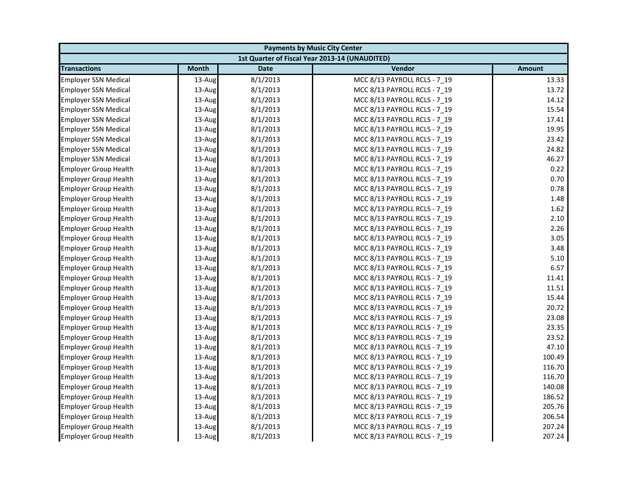| <b>Payments by Music City Center</b> |              |             |                                                |               |
|--------------------------------------|--------------|-------------|------------------------------------------------|---------------|
|                                      |              |             | 1st Quarter of Fiscal Year 2013-14 (UNAUDITED) |               |
| <b>Transactions</b>                  | <b>Month</b> | <b>Date</b> | Vendor                                         | <b>Amount</b> |
| <b>Employer SSN Medical</b>          | 13-Aug       | 8/1/2013    | MCC 8/13 PAYROLL RCLS - 7 19                   | 13.33         |
| <b>Employer SSN Medical</b>          | 13-Aug       | 8/1/2013    | MCC 8/13 PAYROLL RCLS - 7 19                   | 13.72         |
| <b>Employer SSN Medical</b>          | 13-Aug       | 8/1/2013    | MCC 8/13 PAYROLL RCLS - 7 19                   | 14.12         |
| <b>Employer SSN Medical</b>          | 13-Aug       | 8/1/2013    | MCC 8/13 PAYROLL RCLS - 7 19                   | 15.54         |
| <b>Employer SSN Medical</b>          | 13-Aug       | 8/1/2013    | MCC 8/13 PAYROLL RCLS - 7_19                   | 17.41         |
| <b>Employer SSN Medical</b>          | 13-Aug       | 8/1/2013    | MCC 8/13 PAYROLL RCLS - 7 19                   | 19.95         |
| <b>Employer SSN Medical</b>          | 13-Aug       | 8/1/2013    | MCC 8/13 PAYROLL RCLS - 7 19                   | 23.42         |
| <b>Employer SSN Medical</b>          | 13-Aug       | 8/1/2013    | MCC 8/13 PAYROLL RCLS - 7 19                   | 24.82         |
| <b>Employer SSN Medical</b>          | 13-Aug       | 8/1/2013    | MCC 8/13 PAYROLL RCLS - 7_19                   | 46.27         |
| <b>Employer Group Health</b>         | 13-Aug       | 8/1/2013    | MCC 8/13 PAYROLL RCLS - 7 19                   | 0.22          |
| <b>Employer Group Health</b>         | 13-Aug       | 8/1/2013    | MCC 8/13 PAYROLL RCLS - 7 19                   | 0.70          |
| <b>Employer Group Health</b>         | 13-Aug       | 8/1/2013    | MCC 8/13 PAYROLL RCLS - 7 19                   | 0.78          |
| <b>Employer Group Health</b>         | 13-Aug       | 8/1/2013    | MCC 8/13 PAYROLL RCLS - 7_19                   | 1.48          |
| <b>Employer Group Health</b>         | $13$ -Aug    | 8/1/2013    | MCC 8/13 PAYROLL RCLS - 7 19                   | 1.62          |
| <b>Employer Group Health</b>         | 13-Aug       | 8/1/2013    | MCC 8/13 PAYROLL RCLS - 7 19                   | 2.10          |
| <b>Employer Group Health</b>         | 13-Aug       | 8/1/2013    | MCC 8/13 PAYROLL RCLS - 7_19                   | 2.26          |
| <b>Employer Group Health</b>         | 13-Aug       | 8/1/2013    | MCC 8/13 PAYROLL RCLS - 7 19                   | 3.05          |
| <b>Employer Group Health</b>         | 13-Aug       | 8/1/2013    | MCC 8/13 PAYROLL RCLS - 7 19                   | 3.48          |
| <b>Employer Group Health</b>         | 13-Aug       | 8/1/2013    | MCC 8/13 PAYROLL RCLS - 7_19                   | 5.10          |
| <b>Employer Group Health</b>         | 13-Aug       | 8/1/2013    | MCC 8/13 PAYROLL RCLS - 7 19                   | 6.57          |
| <b>Employer Group Health</b>         | 13-Aug       | 8/1/2013    | MCC 8/13 PAYROLL RCLS - 7 19                   | 11.41         |
| <b>Employer Group Health</b>         | 13-Aug       | 8/1/2013    | MCC 8/13 PAYROLL RCLS - 7 19                   | 11.51         |
| <b>Employer Group Health</b>         | 13-Aug       | 8/1/2013    | MCC 8/13 PAYROLL RCLS - 7_19                   | 15.44         |
| <b>Employer Group Health</b>         | 13-Aug       | 8/1/2013    | MCC 8/13 PAYROLL RCLS - 7 19                   | 20.72         |
| <b>Employer Group Health</b>         | 13-Aug       | 8/1/2013    | MCC 8/13 PAYROLL RCLS - 7 19                   | 23.08         |
| <b>Employer Group Health</b>         | 13-Aug       | 8/1/2013    | MCC 8/13 PAYROLL RCLS - 7_19                   | 23.35         |
| <b>Employer Group Health</b>         | $13$ -Aug    | 8/1/2013    | MCC 8/13 PAYROLL RCLS - 7 19                   | 23.52         |
| <b>Employer Group Health</b>         | 13-Aug       | 8/1/2013    | MCC 8/13 PAYROLL RCLS - 7 19                   | 47.10         |
| <b>Employer Group Health</b>         | 13-Aug       | 8/1/2013    | MCC 8/13 PAYROLL RCLS - 7_19                   | 100.49        |
| <b>Employer Group Health</b>         | 13-Aug       | 8/1/2013    | MCC 8/13 PAYROLL RCLS - 7 19                   | 116.70        |
| <b>Employer Group Health</b>         | 13-Aug       | 8/1/2013    | MCC 8/13 PAYROLL RCLS - 7 19                   | 116.70        |
| <b>Employer Group Health</b>         | 13-Aug       | 8/1/2013    | MCC 8/13 PAYROLL RCLS - 7 19                   | 140.08        |
| <b>Employer Group Health</b>         | 13-Aug       | 8/1/2013    | MCC 8/13 PAYROLL RCLS - 7 19                   | 186.52        |
| <b>Employer Group Health</b>         | 13-Aug       | 8/1/2013    | MCC 8/13 PAYROLL RCLS - 7_19                   | 205.76        |
| <b>Employer Group Health</b>         | 13-Aug       | 8/1/2013    | MCC 8/13 PAYROLL RCLS - 7 19                   | 206.54        |
| <b>Employer Group Health</b>         | 13-Aug       | 8/1/2013    | MCC 8/13 PAYROLL RCLS - 7_19                   | 207.24        |
| <b>Employer Group Health</b>         | 13-Aug       | 8/1/2013    | MCC 8/13 PAYROLL RCLS - 7 19                   | 207.24        |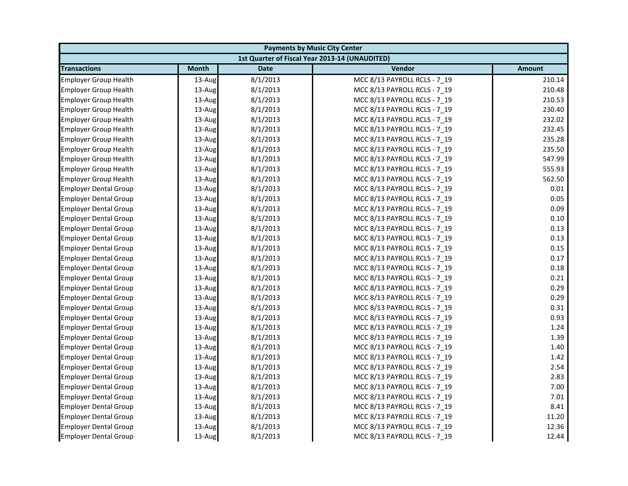| <b>Payments by Music City Center</b> |              |             |                                                |               |
|--------------------------------------|--------------|-------------|------------------------------------------------|---------------|
|                                      |              |             | 1st Quarter of Fiscal Year 2013-14 (UNAUDITED) |               |
| <b>Transactions</b>                  | <b>Month</b> | <b>Date</b> | Vendor                                         | <b>Amount</b> |
| <b>Employer Group Health</b>         | 13-Aug       | 8/1/2013    | MCC 8/13 PAYROLL RCLS - 7 19                   | 210.14        |
| <b>Employer Group Health</b>         | 13-Aug       | 8/1/2013    | MCC 8/13 PAYROLL RCLS - 7_19                   | 210.48        |
| <b>Employer Group Health</b>         | 13-Aug       | 8/1/2013    | MCC 8/13 PAYROLL RCLS - 7 19                   | 210.53        |
| <b>Employer Group Health</b>         | 13-Aug       | 8/1/2013    | MCC 8/13 PAYROLL RCLS - 7 19                   | 230.40        |
| <b>Employer Group Health</b>         | 13-Aug       | 8/1/2013    | MCC 8/13 PAYROLL RCLS - 7_19                   | 232.02        |
| <b>Employer Group Health</b>         | 13-Aug       | 8/1/2013    | MCC 8/13 PAYROLL RCLS - 7 19                   | 232.45        |
| <b>Employer Group Health</b>         | 13-Aug       | 8/1/2013    | MCC 8/13 PAYROLL RCLS - 7 19                   | 235.28        |
| <b>Employer Group Health</b>         | 13-Aug       | 8/1/2013    | MCC 8/13 PAYROLL RCLS - 7 19                   | 235.50        |
| <b>Employer Group Health</b>         | 13-Aug       | 8/1/2013    | MCC 8/13 PAYROLL RCLS - 7_19                   | 547.99        |
| <b>Employer Group Health</b>         | 13-Aug       | 8/1/2013    | MCC 8/13 PAYROLL RCLS - 7 19                   | 555.93        |
| <b>Employer Group Health</b>         | 13-Aug       | 8/1/2013    | MCC 8/13 PAYROLL RCLS - 7 19                   | 562.50        |
| <b>Employer Dental Group</b>         | 13-Aug       | 8/1/2013    | MCC 8/13 PAYROLL RCLS - 7 19                   | 0.01          |
| <b>Employer Dental Group</b>         | 13-Aug       | 8/1/2013    | MCC 8/13 PAYROLL RCLS - 7_19                   | 0.05          |
| <b>Employer Dental Group</b>         | 13-Aug       | 8/1/2013    | MCC 8/13 PAYROLL RCLS - 7 19                   | 0.09          |
| <b>Employer Dental Group</b>         | 13-Aug       | 8/1/2013    | MCC 8/13 PAYROLL RCLS - 7 19                   | 0.10          |
| <b>Employer Dental Group</b>         | 13-Aug       | 8/1/2013    | MCC 8/13 PAYROLL RCLS - 7_19                   | 0.13          |
| <b>Employer Dental Group</b>         | 13-Aug       | 8/1/2013    | MCC 8/13 PAYROLL RCLS - 7 19                   | 0.13          |
| <b>Employer Dental Group</b>         | 13-Aug       | 8/1/2013    | MCC 8/13 PAYROLL RCLS - 7 19                   | 0.15          |
| <b>Employer Dental Group</b>         | 13-Aug       | 8/1/2013    | MCC 8/13 PAYROLL RCLS - 7_19                   | 0.17          |
| <b>Employer Dental Group</b>         | 13-Aug       | 8/1/2013    | MCC 8/13 PAYROLL RCLS - 7 19                   | 0.18          |
| <b>Employer Dental Group</b>         | 13-Aug       | 8/1/2013    | MCC 8/13 PAYROLL RCLS - 7 19                   | 0.21          |
| <b>Employer Dental Group</b>         | 13-Aug       | 8/1/2013    | MCC 8/13 PAYROLL RCLS - 7 19                   | 0.29          |
| <b>Employer Dental Group</b>         | 13-Aug       | 8/1/2013    | MCC 8/13 PAYROLL RCLS - 7 19                   | 0.29          |
| <b>Employer Dental Group</b>         | 13-Aug       | 8/1/2013    | MCC 8/13 PAYROLL RCLS - 7 19                   | 0.31          |
| <b>Employer Dental Group</b>         | 13-Aug       | 8/1/2013    | MCC 8/13 PAYROLL RCLS - 7 19                   | 0.93          |
| <b>Employer Dental Group</b>         | 13-Aug       | 8/1/2013    | MCC 8/13 PAYROLL RCLS - 7_19                   | 1.24          |
| <b>Employer Dental Group</b>         | 13-Aug       | 8/1/2013    | MCC 8/13 PAYROLL RCLS - 7 19                   | 1.39          |
| <b>Employer Dental Group</b>         | 13-Aug       | 8/1/2013    | MCC 8/13 PAYROLL RCLS - 7 19                   | 1.40          |
| <b>Employer Dental Group</b>         | 13-Aug       | 8/1/2013    | MCC 8/13 PAYROLL RCLS - 7_19                   | 1.42          |
| <b>Employer Dental Group</b>         | 13-Aug       | 8/1/2013    | MCC 8/13 PAYROLL RCLS - 7 19                   | 2.54          |
| <b>Employer Dental Group</b>         | 13-Aug       | 8/1/2013    | MCC 8/13 PAYROLL RCLS - 7 19                   | 2.83          |
| <b>Employer Dental Group</b>         | 13-Aug       | 8/1/2013    | MCC 8/13 PAYROLL RCLS - 7 19                   | 7.00          |
| <b>Employer Dental Group</b>         | 13-Aug       | 8/1/2013    | MCC 8/13 PAYROLL RCLS - 7_19                   | 7.01          |
| <b>Employer Dental Group</b>         | 13-Aug       | 8/1/2013    | MCC 8/13 PAYROLL RCLS - 7_19                   | 8.41          |
| <b>Employer Dental Group</b>         | 13-Aug       | 8/1/2013    | MCC 8/13 PAYROLL RCLS - 7 19                   | 11.20         |
| <b>Employer Dental Group</b>         | 13-Aug       | 8/1/2013    | MCC 8/13 PAYROLL RCLS - 7_19                   | 12.36         |
| <b>Employer Dental Group</b>         | 13-Aug       | 8/1/2013    | MCC 8/13 PAYROLL RCLS - 7 19                   | 12.44         |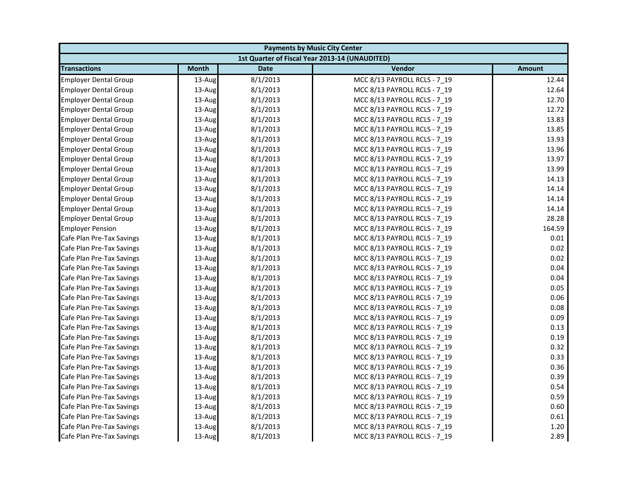| <b>Payments by Music City Center</b> |              |             |                                                |               |
|--------------------------------------|--------------|-------------|------------------------------------------------|---------------|
|                                      |              |             | 1st Quarter of Fiscal Year 2013-14 (UNAUDITED) |               |
| <b>Transactions</b>                  | <b>Month</b> | <b>Date</b> | Vendor                                         | <b>Amount</b> |
| <b>Employer Dental Group</b>         | 13-Aug       | 8/1/2013    | MCC 8/13 PAYROLL RCLS - 7 19                   | 12.44         |
| <b>Employer Dental Group</b>         | 13-Aug       | 8/1/2013    | MCC 8/13 PAYROLL RCLS - 7_19                   | 12.64         |
| <b>Employer Dental Group</b>         | 13-Aug       | 8/1/2013    | MCC 8/13 PAYROLL RCLS - 7 19                   | 12.70         |
| <b>Employer Dental Group</b>         | 13-Aug       | 8/1/2013    | MCC 8/13 PAYROLL RCLS - 7 19                   | 12.72         |
| <b>Employer Dental Group</b>         | 13-Aug       | 8/1/2013    | MCC 8/13 PAYROLL RCLS - 7_19                   | 13.83         |
| <b>Employer Dental Group</b>         | 13-Aug       | 8/1/2013    | MCC 8/13 PAYROLL RCLS - 7_19                   | 13.85         |
| <b>Employer Dental Group</b>         | 13-Aug       | 8/1/2013    | MCC 8/13 PAYROLL RCLS - 7 19                   | 13.93         |
| <b>Employer Dental Group</b>         | 13-Aug       | 8/1/2013    | MCC 8/13 PAYROLL RCLS - 7_19                   | 13.96         |
| <b>Employer Dental Group</b>         | 13-Aug       | 8/1/2013    | MCC 8/13 PAYROLL RCLS - 7 19                   | 13.97         |
| <b>Employer Dental Group</b>         | 13-Aug       | 8/1/2013    | MCC 8/13 PAYROLL RCLS - 7 19                   | 13.99         |
| <b>Employer Dental Group</b>         | 13-Aug       | 8/1/2013    | MCC 8/13 PAYROLL RCLS - 7 19                   | 14.13         |
| <b>Employer Dental Group</b>         | 13-Aug       | 8/1/2013    | MCC 8/13 PAYROLL RCLS - 7 19                   | 14.14         |
| <b>Employer Dental Group</b>         | 13-Aug       | 8/1/2013    | MCC 8/13 PAYROLL RCLS - 7_19                   | 14.14         |
| <b>Employer Dental Group</b>         | 13-Aug       | 8/1/2013    | MCC 8/13 PAYROLL RCLS - 7 19                   | 14.14         |
| <b>Employer Dental Group</b>         | 13-Aug       | 8/1/2013    | MCC 8/13 PAYROLL RCLS - 7_19                   | 28.28         |
| <b>Employer Pension</b>              | 13-Aug       | 8/1/2013    | MCC 8/13 PAYROLL RCLS - 7 19                   | 164.59        |
| Cafe Plan Pre-Tax Savings            | 13-Aug       | 8/1/2013    | MCC 8/13 PAYROLL RCLS - 7 19                   | 0.01          |
| Cafe Plan Pre-Tax Savings            | 13-Aug       | 8/1/2013    | MCC 8/13 PAYROLL RCLS - 7_19                   | 0.02          |
| Cafe Plan Pre-Tax Savings            | 13-Aug       | 8/1/2013    | MCC 8/13 PAYROLL RCLS - 7 19                   | 0.02          |
| Cafe Plan Pre-Tax Savings            | 13-Aug       | 8/1/2013    | MCC 8/13 PAYROLL RCLS - 7_19                   | 0.04          |
| Cafe Plan Pre-Tax Savings            | 13-Aug       | 8/1/2013    | MCC 8/13 PAYROLL RCLS - 7_19                   | 0.04          |
| Cafe Plan Pre-Tax Savings            | 13-Aug       | 8/1/2013    | MCC 8/13 PAYROLL RCLS - 7 19                   | 0.05          |
| Cafe Plan Pre-Tax Savings            | 13-Aug       | 8/1/2013    | MCC 8/13 PAYROLL RCLS - 7 19                   | 0.06          |
| Cafe Plan Pre-Tax Savings            | 13-Aug       | 8/1/2013    | MCC 8/13 PAYROLL RCLS - 7 19                   | 0.08          |
| Cafe Plan Pre-Tax Savings            | 13-Aug       | 8/1/2013    | MCC 8/13 PAYROLL RCLS - 7 19                   | 0.09          |
| Cafe Plan Pre-Tax Savings            | 13-Aug       | 8/1/2013    | MCC 8/13 PAYROLL RCLS - 7 19                   | 0.13          |
| Cafe Plan Pre-Tax Savings            | 13-Aug       | 8/1/2013    | MCC 8/13 PAYROLL RCLS - 7_19                   | 0.19          |
| Cafe Plan Pre-Tax Savings            | 13-Aug       | 8/1/2013    | MCC 8/13 PAYROLL RCLS - 7 19                   | 0.32          |
| Cafe Plan Pre-Tax Savings            | 13-Aug       | 8/1/2013    | MCC 8/13 PAYROLL RCLS - 7 19                   | 0.33          |
| Cafe Plan Pre-Tax Savings            | 13-Aug       | 8/1/2013    | MCC 8/13 PAYROLL RCLS - 7_19                   | 0.36          |
| Cafe Plan Pre-Tax Savings            | 13-Aug       | 8/1/2013    | MCC 8/13 PAYROLL RCLS - 7 19                   | 0.39          |
| Cafe Plan Pre-Tax Savings            | 13-Aug       | 8/1/2013    | MCC 8/13 PAYROLL RCLS - 7 19                   | 0.54          |
| Cafe Plan Pre-Tax Savings            | 13-Aug       | 8/1/2013    | MCC 8/13 PAYROLL RCLS - 7_19                   | 0.59          |
| Cafe Plan Pre-Tax Savings            | 13-Aug       | 8/1/2013    | MCC 8/13 PAYROLL RCLS - 7 19                   | 0.60          |
| Cafe Plan Pre-Tax Savings            | 13-Aug       | 8/1/2013    | MCC 8/13 PAYROLL RCLS - 7 19                   | 0.61          |
| Cafe Plan Pre-Tax Savings            | 13-Aug       | 8/1/2013    | MCC 8/13 PAYROLL RCLS - 7 19                   | 1.20          |
| Cafe Plan Pre-Tax Savings            | 13-Aug       | 8/1/2013    | MCC 8/13 PAYROLL RCLS - 7 19                   | 2.89          |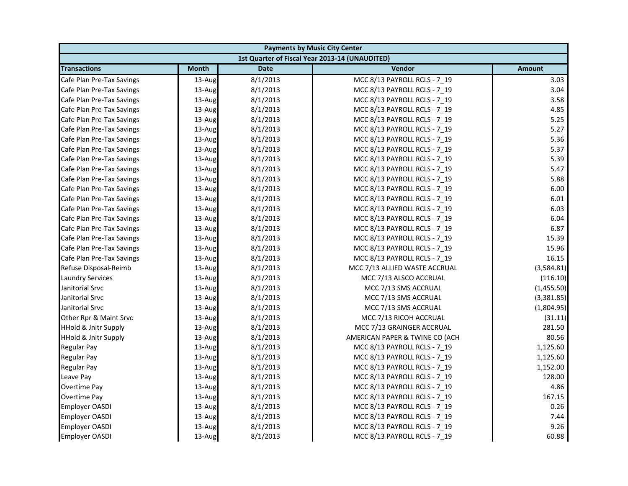|                                 | <b>Payments by Music City Center</b> |             |                                                |               |  |
|---------------------------------|--------------------------------------|-------------|------------------------------------------------|---------------|--|
|                                 |                                      |             | 1st Quarter of Fiscal Year 2013-14 (UNAUDITED) |               |  |
| <b>Transactions</b>             | <b>Month</b>                         | <b>Date</b> | Vendor                                         | <b>Amount</b> |  |
| Cafe Plan Pre-Tax Savings       | 13-Aug                               | 8/1/2013    | MCC 8/13 PAYROLL RCLS - 7 19                   | 3.03          |  |
| Cafe Plan Pre-Tax Savings       | 13-Aug                               | 8/1/2013    | MCC 8/13 PAYROLL RCLS - 7_19                   | 3.04          |  |
| Cafe Plan Pre-Tax Savings       | 13-Aug                               | 8/1/2013    | MCC 8/13 PAYROLL RCLS - 7 19                   | 3.58          |  |
| Cafe Plan Pre-Tax Savings       | 13-Aug                               | 8/1/2013    | MCC 8/13 PAYROLL RCLS - 7 19                   | 4.85          |  |
| Cafe Plan Pre-Tax Savings       | 13-Aug                               | 8/1/2013    | MCC 8/13 PAYROLL RCLS - 7_19                   | 5.25          |  |
| Cafe Plan Pre-Tax Savings       | 13-Aug                               | 8/1/2013    | MCC 8/13 PAYROLL RCLS - 7_19                   | 5.27          |  |
| Cafe Plan Pre-Tax Savings       | 13-Aug                               | 8/1/2013    | MCC 8/13 PAYROLL RCLS - 7 19                   | 5.36          |  |
| Cafe Plan Pre-Tax Savings       | 13-Aug                               | 8/1/2013    | MCC 8/13 PAYROLL RCLS - 7_19                   | 5.37          |  |
| Cafe Plan Pre-Tax Savings       | 13-Aug                               | 8/1/2013    | MCC 8/13 PAYROLL RCLS - 7 19                   | 5.39          |  |
| Cafe Plan Pre-Tax Savings       | 13-Aug                               | 8/1/2013    | MCC 8/13 PAYROLL RCLS - 7 19                   | 5.47          |  |
| Cafe Plan Pre-Tax Savings       | 13-Aug                               | 8/1/2013    | MCC 8/13 PAYROLL RCLS - 7 19                   | 5.88          |  |
| Cafe Plan Pre-Tax Savings       | 13-Aug                               | 8/1/2013    | MCC 8/13 PAYROLL RCLS - 7 19                   | 6.00          |  |
| Cafe Plan Pre-Tax Savings       | 13-Aug                               | 8/1/2013    | MCC 8/13 PAYROLL RCLS - 7_19                   | 6.01          |  |
| Cafe Plan Pre-Tax Savings       | 13-Aug                               | 8/1/2013    | MCC 8/13 PAYROLL RCLS - 7 19                   | 6.03          |  |
| Cafe Plan Pre-Tax Savings       | 13-Aug                               | 8/1/2013    | MCC 8/13 PAYROLL RCLS - 7_19                   | 6.04          |  |
| Cafe Plan Pre-Tax Savings       | 13-Aug                               | 8/1/2013    | MCC 8/13 PAYROLL RCLS - 7 19                   | 6.87          |  |
| Cafe Plan Pre-Tax Savings       | 13-Aug                               | 8/1/2013    | MCC 8/13 PAYROLL RCLS - 7 19                   | 15.39         |  |
| Cafe Plan Pre-Tax Savings       | 13-Aug                               | 8/1/2013    | MCC 8/13 PAYROLL RCLS - 7_19                   | 15.96         |  |
| Cafe Plan Pre-Tax Savings       | 13-Aug                               | 8/1/2013    | MCC 8/13 PAYROLL RCLS - 7 19                   | 16.15         |  |
| Refuse Disposal-Reimb           | 13-Aug                               | 8/1/2013    | MCC 7/13 ALLIED WASTE ACCRUAL                  | (3,584.81)    |  |
| <b>Laundry Services</b>         | 13-Aug                               | 8/1/2013    | MCC 7/13 ALSCO ACCRUAL                         | (116.10)      |  |
| Janitorial Srvc                 | 13-Aug                               | 8/1/2013    | MCC 7/13 SMS ACCRUAL                           | (1,455.50)    |  |
| Janitorial Srvc                 | 13-Aug                               | 8/1/2013    | MCC 7/13 SMS ACCRUAL                           | (3,381.85)    |  |
| Janitorial Srvc                 | 13-Aug                               | 8/1/2013    | MCC 7/13 SMS ACCRUAL                           | (1,804.95)    |  |
| Other Rpr & Maint Srvc          | 13-Aug                               | 8/1/2013    | MCC 7/13 RICOH ACCRUAL                         | (31.11)       |  |
| <b>HHold &amp; Jnitr Supply</b> | 13-Aug                               | 8/1/2013    | MCC 7/13 GRAINGER ACCRUAL                      | 281.50        |  |
| <b>HHold &amp; Jnitr Supply</b> | 13-Aug                               | 8/1/2013    | AMERICAN PAPER & TWINE CO (ACH                 | 80.56         |  |
| <b>Regular Pay</b>              | 13-Aug                               | 8/1/2013    | MCC 8/13 PAYROLL RCLS - 7 19                   | 1,125.60      |  |
| <b>Regular Pay</b>              | 13-Aug                               | 8/1/2013    | MCC 8/13 PAYROLL RCLS - 7 19                   | 1,125.60      |  |
| <b>Regular Pay</b>              | 13-Aug                               | 8/1/2013    | MCC 8/13 PAYROLL RCLS - 7_19                   | 1,152.00      |  |
| Leave Pay                       | 13-Aug                               | 8/1/2013    | MCC 8/13 PAYROLL RCLS - 7 19                   | 128.00        |  |
| <b>Overtime Pay</b>             | 13-Aug                               | 8/1/2013    | MCC 8/13 PAYROLL RCLS - 7 19                   | 4.86          |  |
| <b>Overtime Pay</b>             | 13-Aug                               | 8/1/2013    | MCC 8/13 PAYROLL RCLS - 7_19                   | 167.15        |  |
| Employer OASDI                  | 13-Aug                               | 8/1/2013    | MCC 8/13 PAYROLL RCLS - 7 19                   | 0.26          |  |
| <b>Employer OASDI</b>           | 13-Aug                               | 8/1/2013    | MCC 8/13 PAYROLL RCLS - 7 19                   | 7.44          |  |
| <b>Employer OASDI</b>           | 13-Aug                               | 8/1/2013    | MCC 8/13 PAYROLL RCLS - 7 19                   | 9.26          |  |
| <b>Employer OASDI</b>           | 13-Aug                               | 8/1/2013    | MCC 8/13 PAYROLL RCLS - 7 19                   | 60.88         |  |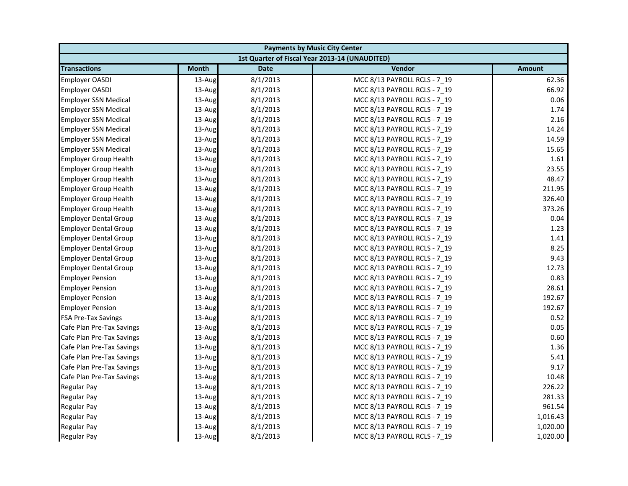| <b>Payments by Music City Center</b> |              |             |                                                |               |
|--------------------------------------|--------------|-------------|------------------------------------------------|---------------|
|                                      |              |             | 1st Quarter of Fiscal Year 2013-14 (UNAUDITED) |               |
| <b>Transactions</b>                  | <b>Month</b> | <b>Date</b> | Vendor                                         | <b>Amount</b> |
| <b>Employer OASDI</b>                | 13-Aug       | 8/1/2013    | MCC 8/13 PAYROLL RCLS - 7 19                   | 62.36         |
| <b>Employer OASDI</b>                | 13-Aug       | 8/1/2013    | MCC 8/13 PAYROLL RCLS - 7_19                   | 66.92         |
| <b>Employer SSN Medical</b>          | 13-Aug       | 8/1/2013    | MCC 8/13 PAYROLL RCLS - 7 19                   | 0.06          |
| <b>Employer SSN Medical</b>          | 13-Aug       | 8/1/2013    | MCC 8/13 PAYROLL RCLS - 7 19                   | 1.74          |
| <b>Employer SSN Medical</b>          | 13-Aug       | 8/1/2013    | MCC 8/13 PAYROLL RCLS - 7_19                   | 2.16          |
| <b>Employer SSN Medical</b>          | 13-Aug       | 8/1/2013    | MCC 8/13 PAYROLL RCLS - 7 19                   | 14.24         |
| <b>Employer SSN Medical</b>          | 13-Aug       | 8/1/2013    | MCC 8/13 PAYROLL RCLS - 7 19                   | 14.59         |
| <b>Employer SSN Medical</b>          | 13-Aug       | 8/1/2013    | MCC 8/13 PAYROLL RCLS - 7_19                   | 15.65         |
| <b>Employer Group Health</b>         | 13-Aug       | 8/1/2013    | MCC 8/13 PAYROLL RCLS - 7 19                   | 1.61          |
| <b>Employer Group Health</b>         | 13-Aug       | 8/1/2013    | MCC 8/13 PAYROLL RCLS - 7 19                   | 23.55         |
| <b>Employer Group Health</b>         | 13-Aug       | 8/1/2013    | MCC 8/13 PAYROLL RCLS - 7 19                   | 48.47         |
| <b>Employer Group Health</b>         | 13-Aug       | 8/1/2013    | MCC 8/13 PAYROLL RCLS - 7 19                   | 211.95        |
| <b>Employer Group Health</b>         | 13-Aug       | 8/1/2013    | MCC 8/13 PAYROLL RCLS - 7_19                   | 326.40        |
| <b>Employer Group Health</b>         | 13-Aug       | 8/1/2013    | MCC 8/13 PAYROLL RCLS - 7 19                   | 373.26        |
| <b>Employer Dental Group</b>         | 13-Aug       | 8/1/2013    | MCC 8/13 PAYROLL RCLS - 7_19                   | 0.04          |
| <b>Employer Dental Group</b>         | 13-Aug       | 8/1/2013    | MCC 8/13 PAYROLL RCLS - 7 19                   | 1.23          |
| <b>Employer Dental Group</b>         | 13-Aug       | 8/1/2013    | MCC 8/13 PAYROLL RCLS - 7 19                   | 1.41          |
| <b>Employer Dental Group</b>         | 13-Aug       | 8/1/2013    | MCC 8/13 PAYROLL RCLS - 7_19                   | 8.25          |
| <b>Employer Dental Group</b>         | 13-Aug       | 8/1/2013    | MCC 8/13 PAYROLL RCLS - 7 19                   | 9.43          |
| <b>Employer Dental Group</b>         | 13-Aug       | 8/1/2013    | MCC 8/13 PAYROLL RCLS - 7_19                   | 12.73         |
| <b>Employer Pension</b>              | 13-Aug       | 8/1/2013    | MCC 8/13 PAYROLL RCLS - 7_19                   | 0.83          |
| <b>Employer Pension</b>              | 13-Aug       | 8/1/2013    | MCC 8/13 PAYROLL RCLS - 7 19                   | 28.61         |
| <b>Employer Pension</b>              | 13-Aug       | 8/1/2013    | MCC 8/13 PAYROLL RCLS - 7_19                   | 192.67        |
| <b>Employer Pension</b>              | 13-Aug       | 8/1/2013    | MCC 8/13 PAYROLL RCLS - 7 19                   | 192.67        |
| <b>FSA Pre-Tax Savings</b>           | 13-Aug       | 8/1/2013    | MCC 8/13 PAYROLL RCLS - 7 19                   | 0.52          |
| Cafe Plan Pre-Tax Savings            | 13-Aug       | 8/1/2013    | MCC 8/13 PAYROLL RCLS - 7 19                   | 0.05          |
| Cafe Plan Pre-Tax Savings            | 13-Aug       | 8/1/2013    | MCC 8/13 PAYROLL RCLS - 7_19                   | 0.60          |
| Cafe Plan Pre-Tax Savings            | 13-Aug       | 8/1/2013    | MCC 8/13 PAYROLL RCLS - 7 19                   | 1.36          |
| Cafe Plan Pre-Tax Savings            | 13-Aug       | 8/1/2013    | MCC 8/13 PAYROLL RCLS - 7 19                   | 5.41          |
| Cafe Plan Pre-Tax Savings            | 13-Aug       | 8/1/2013    | MCC 8/13 PAYROLL RCLS - 7_19                   | 9.17          |
| Cafe Plan Pre-Tax Savings            | 13-Aug       | 8/1/2013    | MCC 8/13 PAYROLL RCLS - 7 19                   | 10.48         |
| Regular Pay                          | 13-Aug       | 8/1/2013    | MCC 8/13 PAYROLL RCLS - 7 19                   | 226.22        |
| <b>Regular Pay</b>                   | 13-Aug       | 8/1/2013    | MCC 8/13 PAYROLL RCLS - 7_19                   | 281.33        |
| <b>Regular Pay</b>                   | 13-Aug       | 8/1/2013    | MCC 8/13 PAYROLL RCLS - 7 19                   | 961.54        |
| <b>Regular Pay</b>                   | 13-Aug       | 8/1/2013    | MCC 8/13 PAYROLL RCLS - 7 19                   | 1,016.43      |
| <b>Regular Pay</b>                   | 13-Aug       | 8/1/2013    | MCC 8/13 PAYROLL RCLS - 7 19                   | 1,020.00      |
| <b>Regular Pay</b>                   | 13-Aug       | 8/1/2013    | MCC 8/13 PAYROLL RCLS - 7 19                   | 1,020.00      |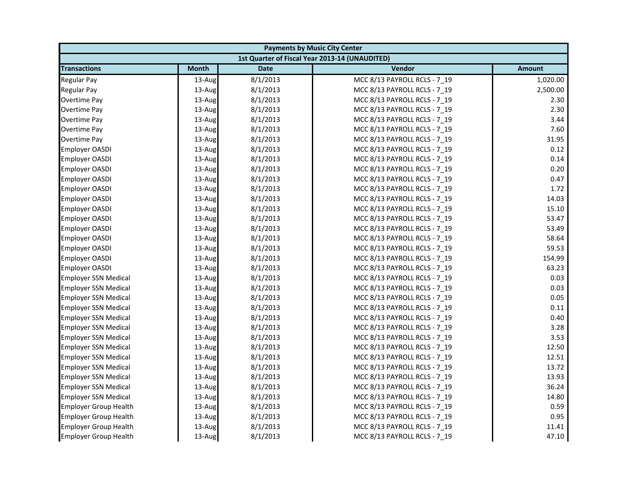| <b>Payments by Music City Center</b> |              |             |                                                |               |
|--------------------------------------|--------------|-------------|------------------------------------------------|---------------|
|                                      |              |             | 1st Quarter of Fiscal Year 2013-14 (UNAUDITED) |               |
| <b>Transactions</b>                  | <b>Month</b> | <b>Date</b> | Vendor                                         | <b>Amount</b> |
| Regular Pay                          | 13-Aug       | 8/1/2013    | MCC 8/13 PAYROLL RCLS - 7 19                   | 1,020.00      |
| Regular Pay                          | 13-Aug       | 8/1/2013    | MCC 8/13 PAYROLL RCLS - 7_19                   | 2,500.00      |
| Overtime Pay                         | 13-Aug       | 8/1/2013    | MCC 8/13 PAYROLL RCLS - 7 19                   | 2.30          |
| Overtime Pay                         | 13-Aug       | 8/1/2013    | MCC 8/13 PAYROLL RCLS - 7 19                   | 2.30          |
| Overtime Pay                         | 13-Aug       | 8/1/2013    | MCC 8/13 PAYROLL RCLS - 7_19                   | 3.44          |
| Overtime Pay                         | 13-Aug       | 8/1/2013    | MCC 8/13 PAYROLL RCLS - 7 19                   | 7.60          |
| Overtime Pay                         | 13-Aug       | 8/1/2013    | MCC 8/13 PAYROLL RCLS - 7 19                   | 31.95         |
| Employer OASDI                       | 13-Aug       | 8/1/2013    | MCC 8/13 PAYROLL RCLS - 7 19                   | 0.12          |
| <b>Employer OASDI</b>                | 13-Aug       | 8/1/2013    | MCC 8/13 PAYROLL RCLS - 7_19                   | 0.14          |
| Employer OASDI                       | 13-Aug       | 8/1/2013    | MCC 8/13 PAYROLL RCLS - 7 19                   | 0.20          |
| Employer OASDI                       | 13-Aug       | 8/1/2013    | MCC 8/13 PAYROLL RCLS - 7 19                   | 0.47          |
| <b>Employer OASDI</b>                | 13-Aug       | 8/1/2013    | MCC 8/13 PAYROLL RCLS - 7 19                   | 1.72          |
| <b>Employer OASDI</b>                | 13-Aug       | 8/1/2013    | MCC 8/13 PAYROLL RCLS - 7_19                   | 14.03         |
| <b>Employer OASDI</b>                | 13-Aug       | 8/1/2013    | MCC 8/13 PAYROLL RCLS - 7 19                   | 15.10         |
| <b>Employer OASDI</b>                | 13-Aug       | 8/1/2013    | MCC 8/13 PAYROLL RCLS - 7 19                   | 53.47         |
| <b>Employer OASDI</b>                | 13-Aug       | 8/1/2013    | MCC 8/13 PAYROLL RCLS - 7_19                   | 53.49         |
| <b>Employer OASDI</b>                | 13-Aug       | 8/1/2013    | MCC 8/13 PAYROLL RCLS - 7 19                   | 58.64         |
| Employer OASDI                       | 13-Aug       | 8/1/2013    | MCC 8/13 PAYROLL RCLS - 7 19                   | 59.53         |
| <b>Employer OASDI</b>                | 13-Aug       | 8/1/2013    | MCC 8/13 PAYROLL RCLS - 7_19                   | 154.99        |
| <b>Employer OASDI</b>                | 13-Aug       | 8/1/2013    | MCC 8/13 PAYROLL RCLS - 7 19                   | 63.23         |
| <b>Employer SSN Medical</b>          | 13-Aug       | 8/1/2013    | MCC 8/13 PAYROLL RCLS - 7 19                   | 0.03          |
| <b>Employer SSN Medical</b>          | 13-Aug       | 8/1/2013    | MCC 8/13 PAYROLL RCLS - 7 19                   | 0.03          |
| <b>Employer SSN Medical</b>          | 13-Aug       | 8/1/2013    | MCC 8/13 PAYROLL RCLS - 7_19                   | 0.05          |
| <b>Employer SSN Medical</b>          | 13-Aug       | 8/1/2013    | MCC 8/13 PAYROLL RCLS - 7 19                   | 0.11          |
| <b>Employer SSN Medical</b>          | 13-Aug       | 8/1/2013    | MCC 8/13 PAYROLL RCLS - 7 19                   | 0.40          |
| <b>Employer SSN Medical</b>          | 13-Aug       | 8/1/2013    | MCC 8/13 PAYROLL RCLS - 7_19                   | 3.28          |
| <b>Employer SSN Medical</b>          | 13-Aug       | 8/1/2013    | MCC 8/13 PAYROLL RCLS - 7 19                   | 3.53          |
| <b>Employer SSN Medical</b>          | 13-Aug       | 8/1/2013    | MCC 8/13 PAYROLL RCLS - 7 19                   | 12.50         |
| <b>Employer SSN Medical</b>          | 13-Aug       | 8/1/2013    | MCC 8/13 PAYROLL RCLS - 7_19                   | 12.51         |
| <b>Employer SSN Medical</b>          | 13-Aug       | 8/1/2013    | MCC 8/13 PAYROLL RCLS - 7 19                   | 13.72         |
| <b>Employer SSN Medical</b>          | 13-Aug       | 8/1/2013    | MCC 8/13 PAYROLL RCLS - 7 19                   | 13.93         |
| <b>Employer SSN Medical</b>          | 13-Aug       | 8/1/2013    | MCC 8/13 PAYROLL RCLS - 7 19                   | 36.24         |
| <b>Employer SSN Medical</b>          | 13-Aug       | 8/1/2013    | MCC 8/13 PAYROLL RCLS - 7_19                   | 14.80         |
| <b>Employer Group Health</b>         | 13-Aug       | 8/1/2013    | MCC 8/13 PAYROLL RCLS - 7 19                   | 0.59          |
| <b>Employer Group Health</b>         | 13-Aug       | 8/1/2013    | MCC 8/13 PAYROLL RCLS - 7 19                   | 0.95          |
| <b>Employer Group Health</b>         | 13-Aug       | 8/1/2013    | MCC 8/13 PAYROLL RCLS - 7 19                   | 11.41         |
| <b>Employer Group Health</b>         | 13-Aug       | 8/1/2013    | MCC 8/13 PAYROLL RCLS - 7 19                   | 47.10         |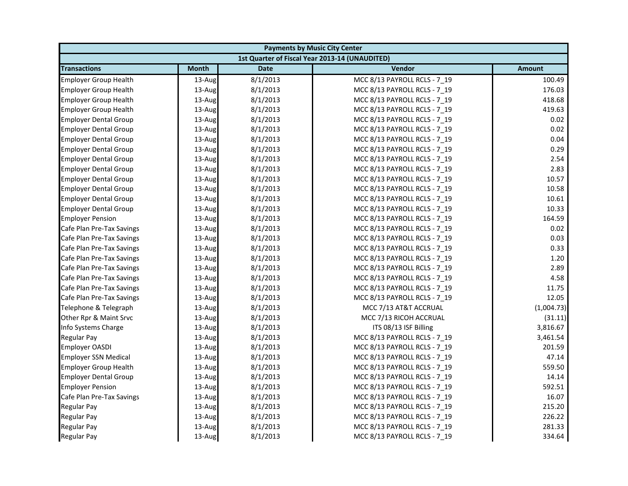| <b>Payments by Music City Center</b> |              |             |                                                |               |
|--------------------------------------|--------------|-------------|------------------------------------------------|---------------|
|                                      |              |             | 1st Quarter of Fiscal Year 2013-14 (UNAUDITED) |               |
| <b>Transactions</b>                  | <b>Month</b> | <b>Date</b> | Vendor                                         | <b>Amount</b> |
| <b>Employer Group Health</b>         | 13-Aug       | 8/1/2013    | MCC 8/13 PAYROLL RCLS - 7 19                   | 100.49        |
| <b>Employer Group Health</b>         | 13-Aug       | 8/1/2013    | MCC 8/13 PAYROLL RCLS - 7_19                   | 176.03        |
| <b>Employer Group Health</b>         | 13-Aug       | 8/1/2013    | MCC 8/13 PAYROLL RCLS - 7 19                   | 418.68        |
| <b>Employer Group Health</b>         | 13-Aug       | 8/1/2013    | MCC 8/13 PAYROLL RCLS - 7 19                   | 419.63        |
| <b>Employer Dental Group</b>         | 13-Aug       | 8/1/2013    | MCC 8/13 PAYROLL RCLS - 7_19                   | 0.02          |
| <b>Employer Dental Group</b>         | 13-Aug       | 8/1/2013    | MCC 8/13 PAYROLL RCLS - 7 19                   | 0.02          |
| <b>Employer Dental Group</b>         | 13-Aug       | 8/1/2013    | MCC 8/13 PAYROLL RCLS - 7 19                   | 0.04          |
| <b>Employer Dental Group</b>         | 13-Aug       | 8/1/2013    | MCC 8/13 PAYROLL RCLS - 7_19                   | 0.29          |
| <b>Employer Dental Group</b>         | 13-Aug       | 8/1/2013    | MCC 8/13 PAYROLL RCLS - 7 19                   | 2.54          |
| <b>Employer Dental Group</b>         | 13-Aug       | 8/1/2013    | MCC 8/13 PAYROLL RCLS - 7 19                   | 2.83          |
| <b>Employer Dental Group</b>         | 13-Aug       | 8/1/2013    | MCC 8/13 PAYROLL RCLS - 7 19                   | 10.57         |
| <b>Employer Dental Group</b>         | 13-Aug       | 8/1/2013    | MCC 8/13 PAYROLL RCLS - 7 19                   | 10.58         |
| <b>Employer Dental Group</b>         | 13-Aug       | 8/1/2013    | MCC 8/13 PAYROLL RCLS - 7_19                   | 10.61         |
| <b>Employer Dental Group</b>         | 13-Aug       | 8/1/2013    | MCC 8/13 PAYROLL RCLS - 7 19                   | 10.33         |
| <b>Employer Pension</b>              | 13-Aug       | 8/1/2013    | MCC 8/13 PAYROLL RCLS - 7_19                   | 164.59        |
| Cafe Plan Pre-Tax Savings            | 13-Aug       | 8/1/2013    | MCC 8/13 PAYROLL RCLS - 7 19                   | 0.02          |
| Cafe Plan Pre-Tax Savings            | 13-Aug       | 8/1/2013    | MCC 8/13 PAYROLL RCLS - 7 19                   | 0.03          |
| Cafe Plan Pre-Tax Savings            | 13-Aug       | 8/1/2013    | MCC 8/13 PAYROLL RCLS - 7_19                   | 0.33          |
| Cafe Plan Pre-Tax Savings            | 13-Aug       | 8/1/2013    | MCC 8/13 PAYROLL RCLS - 7 19                   | 1.20          |
| Cafe Plan Pre-Tax Savings            | 13-Aug       | 8/1/2013    | MCC 8/13 PAYROLL RCLS - 7_19                   | 2.89          |
| Cafe Plan Pre-Tax Savings            | 13-Aug       | 8/1/2013    | MCC 8/13 PAYROLL RCLS - 7_19                   | 4.58          |
| Cafe Plan Pre-Tax Savings            | 13-Aug       | 8/1/2013    | MCC 8/13 PAYROLL RCLS - 7 19                   | 11.75         |
| Cafe Plan Pre-Tax Savings            | 13-Aug       | 8/1/2013    | MCC 8/13 PAYROLL RCLS - 7_19                   | 12.05         |
| Telephone & Telegraph                | 13-Aug       | 8/1/2013    | MCC 7/13 AT&T ACCRUAL                          | (1,004.73)    |
| Other Rpr & Maint Srvc               | 13-Aug       | 8/1/2013    | MCC 7/13 RICOH ACCRUAL                         | (31.11)       |
| Info Systems Charge                  | 13-Aug       | 8/1/2013    | ITS 08/13 ISF Billing                          | 3,816.67      |
| Regular Pay                          | 13-Aug       | 8/1/2013    | MCC 8/13 PAYROLL RCLS - 7_19                   | 3,461.54      |
| <b>Employer OASDI</b>                | 13-Aug       | 8/1/2013    | MCC 8/13 PAYROLL RCLS - 7 19                   | 201.59        |
| <b>Employer SSN Medical</b>          | 13-Aug       | 8/1/2013    | MCC 8/13 PAYROLL RCLS - 7 19                   | 47.14         |
| <b>Employer Group Health</b>         | 13-Aug       | 8/1/2013    | MCC 8/13 PAYROLL RCLS - 7_19                   | 559.50        |
| <b>Employer Dental Group</b>         | 13-Aug       | 8/1/2013    | MCC 8/13 PAYROLL RCLS - 7 19                   | 14.14         |
| <b>Employer Pension</b>              | 13-Aug       | 8/1/2013    | MCC 8/13 PAYROLL RCLS - 7 19                   | 592.51        |
| Cafe Plan Pre-Tax Savings            | 13-Aug       | 8/1/2013    | MCC 8/13 PAYROLL RCLS - 7_19                   | 16.07         |
| Regular Pay                          | 13-Aug       | 8/1/2013    | MCC 8/13 PAYROLL RCLS - 7 19                   | 215.20        |
| <b>Regular Pay</b>                   | 13-Aug       | 8/1/2013    | MCC 8/13 PAYROLL RCLS - 7 19                   | 226.22        |
| <b>Regular Pay</b>                   | 13-Aug       | 8/1/2013    | MCC 8/13 PAYROLL RCLS - 7 19                   | 281.33        |
| <b>Regular Pay</b>                   | 13-Aug       | 8/1/2013    | MCC 8/13 PAYROLL RCLS - 7 19                   | 334.64        |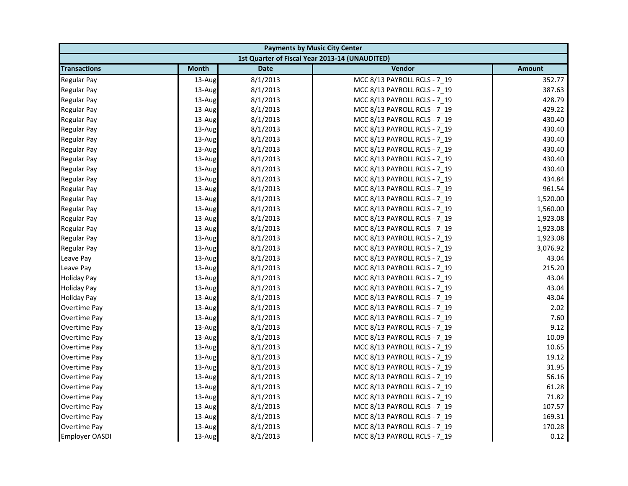| <b>Payments by Music City Center</b> |              |             |                                                |               |
|--------------------------------------|--------------|-------------|------------------------------------------------|---------------|
|                                      |              |             | 1st Quarter of Fiscal Year 2013-14 (UNAUDITED) |               |
| <b>Transactions</b>                  | <b>Month</b> | <b>Date</b> | Vendor                                         | <b>Amount</b> |
| <b>Regular Pay</b>                   | 13-Aug       | 8/1/2013    | MCC 8/13 PAYROLL RCLS - 7_19                   | 352.77        |
| <b>Regular Pay</b>                   | 13-Aug       | 8/1/2013    | MCC 8/13 PAYROLL RCLS - 7_19                   | 387.63        |
| <b>Regular Pay</b>                   | 13-Aug       | 8/1/2013    | MCC 8/13 PAYROLL RCLS - 7 19                   | 428.79        |
| Regular Pay                          | 13-Aug       | 8/1/2013    | MCC 8/13 PAYROLL RCLS - 7 19                   | 429.22        |
| <b>Regular Pay</b>                   | 13-Aug       | 8/1/2013    | MCC 8/13 PAYROLL RCLS - 7_19                   | 430.40        |
| <b>Regular Pay</b>                   | 13-Aug       | 8/1/2013    | MCC 8/13 PAYROLL RCLS - 7_19                   | 430.40        |
| <b>Regular Pay</b>                   | 13-Aug       | 8/1/2013    | MCC 8/13 PAYROLL RCLS - 7 19                   | 430.40        |
| <b>Regular Pay</b>                   | 13-Aug       | 8/1/2013    | MCC 8/13 PAYROLL RCLS - 7_19                   | 430.40        |
| Regular Pay                          | 13-Aug       | 8/1/2013    | MCC 8/13 PAYROLL RCLS - 7 19                   | 430.40        |
| <b>Regular Pay</b>                   | 13-Aug       | 8/1/2013    | MCC 8/13 PAYROLL RCLS - 7 19                   | 430.40        |
| <b>Regular Pay</b>                   | 13-Aug       | 8/1/2013    | MCC 8/13 PAYROLL RCLS - 7_19                   | 434.84        |
| <b>Regular Pay</b>                   | 13-Aug       | 8/1/2013    | MCC 8/13 PAYROLL RCLS - 7 19                   | 961.54        |
| <b>Regular Pay</b>                   | 13-Aug       | 8/1/2013    | MCC 8/13 PAYROLL RCLS - 7_19                   | 1,520.00      |
| <b>Regular Pay</b>                   | 13-Aug       | 8/1/2013    | MCC 8/13 PAYROLL RCLS - 7_19                   | 1,560.00      |
| <b>Regular Pay</b>                   | 13-Aug       | 8/1/2013    | MCC 8/13 PAYROLL RCLS - 7_19                   | 1,923.08      |
| <b>Regular Pay</b>                   | 13-Aug       | 8/1/2013    | MCC 8/13 PAYROLL RCLS - 7 19                   | 1,923.08      |
| <b>Regular Pay</b>                   | 13-Aug       | 8/1/2013    | MCC 8/13 PAYROLL RCLS - 7 19                   | 1,923.08      |
| <b>Regular Pay</b>                   | 13-Aug       | 8/1/2013    | MCC 8/13 PAYROLL RCLS - 7_19                   | 3,076.92      |
| Leave Pay                            | 13-Aug       | 8/1/2013    | MCC 8/13 PAYROLL RCLS - 7 19                   | 43.04         |
| Leave Pay                            | 13-Aug       | 8/1/2013    | MCC 8/13 PAYROLL RCLS - 7_19                   | 215.20        |
| <b>Holiday Pay</b>                   | 13-Aug       | 8/1/2013    | MCC 8/13 PAYROLL RCLS - 7_19                   | 43.04         |
| <b>Holiday Pay</b>                   | 13-Aug       | 8/1/2013    | MCC 8/13 PAYROLL RCLS - 7_19                   | 43.04         |
| <b>Holiday Pay</b>                   | 13-Aug       | 8/1/2013    | MCC 8/13 PAYROLL RCLS - 7_19                   | 43.04         |
| Overtime Pay                         | 13-Aug       | 8/1/2013    | MCC 8/13 PAYROLL RCLS - 7 19                   | 2.02          |
| Overtime Pay                         | 13-Aug       | 8/1/2013    | MCC 8/13 PAYROLL RCLS - 7 19                   | 7.60          |
| Overtime Pay                         | 13-Aug       | 8/1/2013    | MCC 8/13 PAYROLL RCLS - 7_19                   | 9.12          |
| Overtime Pay                         | 13-Aug       | 8/1/2013    | MCC 8/13 PAYROLL RCLS - 7_19                   | 10.09         |
| <b>Overtime Pay</b>                  | 13-Aug       | 8/1/2013    | MCC 8/13 PAYROLL RCLS - 7 19                   | 10.65         |
| <b>Overtime Pay</b>                  | 13-Aug       | 8/1/2013    | MCC 8/13 PAYROLL RCLS - 7 19                   | 19.12         |
| Overtime Pay                         | 13-Aug       | 8/1/2013    | MCC 8/13 PAYROLL RCLS - 7_19                   | 31.95         |
| <b>Overtime Pay</b>                  | 13-Aug       | 8/1/2013    | MCC 8/13 PAYROLL RCLS - 7 19                   | 56.16         |
| <b>Overtime Pay</b>                  | 13-Aug       | 8/1/2013    | MCC 8/13 PAYROLL RCLS - 7 19                   | 61.28         |
| Overtime Pay                         | 13-Aug       | 8/1/2013    | MCC 8/13 PAYROLL RCLS - 7_19                   | 71.82         |
| Overtime Pay                         | 13-Aug       | 8/1/2013    | MCC 8/13 PAYROLL RCLS - 7_19                   | 107.57        |
| Overtime Pay                         | 13-Aug       | 8/1/2013    | MCC 8/13 PAYROLL RCLS - 7 19                   | 169.31        |
| Overtime Pay                         | 13-Aug       | 8/1/2013    | MCC 8/13 PAYROLL RCLS - 7_19                   | 170.28        |
| <b>Employer OASDI</b>                | 13-Aug       | 8/1/2013    | MCC 8/13 PAYROLL RCLS - 7 19                   | 0.12          |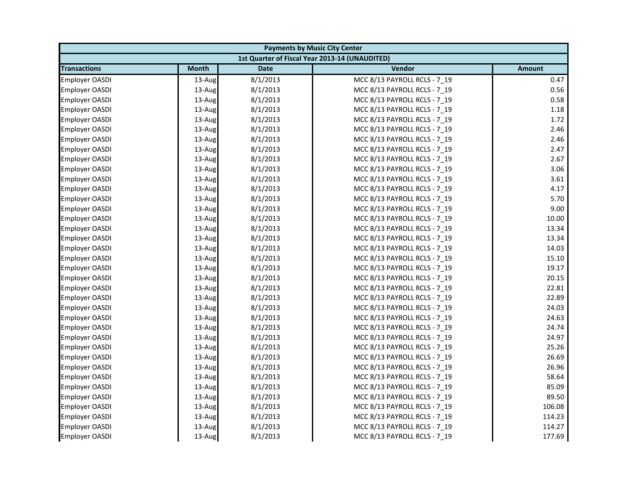| <b>Payments by Music City Center</b> |              |             |                                                |               |
|--------------------------------------|--------------|-------------|------------------------------------------------|---------------|
|                                      |              |             | 1st Quarter of Fiscal Year 2013-14 (UNAUDITED) |               |
| <b>Transactions</b>                  | <b>Month</b> | <b>Date</b> | Vendor                                         | <b>Amount</b> |
| <b>Employer OASDI</b>                | 13-Aug       | 8/1/2013    | MCC 8/13 PAYROLL RCLS - 7 19                   | 0.47          |
| <b>Employer OASDI</b>                | 13-Aug       | 8/1/2013    | MCC 8/13 PAYROLL RCLS - 7_19                   | 0.56          |
| <b>Employer OASDI</b>                | 13-Aug       | 8/1/2013    | MCC 8/13 PAYROLL RCLS - 7 19                   | 0.58          |
| <b>Employer OASDI</b>                | 13-Aug       | 8/1/2013    | MCC 8/13 PAYROLL RCLS - 7 19                   | 1.18          |
| Employer OASDI                       | 13-Aug       | 8/1/2013    | MCC 8/13 PAYROLL RCLS - 7_19                   | 1.72          |
| <b>Employer OASDI</b>                | 13-Aug       | 8/1/2013    | MCC 8/13 PAYROLL RCLS - 7_19                   | 2.46          |
| <b>Employer OASDI</b>                | 13-Aug       | 8/1/2013    | MCC 8/13 PAYROLL RCLS - 7 19                   | 2.46          |
| <b>Employer OASDI</b>                | 13-Aug       | 8/1/2013    | MCC 8/13 PAYROLL RCLS - 7_19                   | 2.47          |
| <b>Employer OASDI</b>                | 13-Aug       | 8/1/2013    | MCC 8/13 PAYROLL RCLS - 7 19                   | 2.67          |
| Employer OASDI                       | 13-Aug       | 8/1/2013    | MCC 8/13 PAYROLL RCLS - 7 19                   | 3.06          |
| Employer OASDI                       | 13-Aug       | 8/1/2013    | MCC 8/13 PAYROLL RCLS - 7_19                   | 3.61          |
| <b>Employer OASDI</b>                | 13-Aug       | 8/1/2013    | MCC 8/13 PAYROLL RCLS - 7 19                   | 4.17          |
| Employer OASDI                       | 13-Aug       | 8/1/2013    | MCC 8/13 PAYROLL RCLS - 7_19                   | 5.70          |
| <b>Employer OASDI</b>                | 13-Aug       | 8/1/2013    | MCC 8/13 PAYROLL RCLS - 7 19                   | 9.00          |
| Employer OASDI                       | 13-Aug       | 8/1/2013    | MCC 8/13 PAYROLL RCLS - 7_19                   | 10.00         |
| <b>Employer OASDI</b>                | 13-Aug       | 8/1/2013    | MCC 8/13 PAYROLL RCLS - 7 19                   | 13.34         |
| <b>Employer OASDI</b>                | 13-Aug       | 8/1/2013    | MCC 8/13 PAYROLL RCLS - 7 19                   | 13.34         |
| Employer OASDI                       | 13-Aug       | 8/1/2013    | MCC 8/13 PAYROLL RCLS - 7_19                   | 14.03         |
| <b>Employer OASDI</b>                | 13-Aug       | 8/1/2013    | MCC 8/13 PAYROLL RCLS - 7 19                   | 15.10         |
| <b>Employer OASDI</b>                | 13-Aug       | 8/1/2013    | MCC 8/13 PAYROLL RCLS - 7_19                   | 19.17         |
| <b>Employer OASDI</b>                | 13-Aug       | 8/1/2013    | MCC 8/13 PAYROLL RCLS - 7_19                   | 20.15         |
| <b>Employer OASDI</b>                | 13-Aug       | 8/1/2013    | MCC 8/13 PAYROLL RCLS - 7 19                   | 22.81         |
| <b>Employer OASDI</b>                | 13-Aug       | 8/1/2013    | MCC 8/13 PAYROLL RCLS - 7_19                   | 22.89         |
| <b>Employer OASDI</b>                | 13-Aug       | 8/1/2013    | MCC 8/13 PAYROLL RCLS - 7 19                   | 24.03         |
| <b>Employer OASDI</b>                | 13-Aug       | 8/1/2013    | MCC 8/13 PAYROLL RCLS - 7 19                   | 24.63         |
| Employer OASDI                       | 13-Aug       | 8/1/2013    | MCC 8/13 PAYROLL RCLS - 7_19                   | 24.74         |
| <b>Employer OASDI</b>                | 13-Aug       | 8/1/2013    | MCC 8/13 PAYROLL RCLS - 7_19                   | 24.97         |
| <b>Employer OASDI</b>                | 13-Aug       | 8/1/2013    | MCC 8/13 PAYROLL RCLS - 7 19                   | 25.26         |
| <b>Employer OASDI</b>                | 13-Aug       | 8/1/2013    | MCC 8/13 PAYROLL RCLS - 7 19                   | 26.69         |
| Employer OASDI                       | 13-Aug       | 8/1/2013    | MCC 8/13 PAYROLL RCLS - 7_19                   | 26.96         |
| <b>Employer OASDI</b>                | 13-Aug       | 8/1/2013    | MCC 8/13 PAYROLL RCLS - 7 19                   | 58.64         |
| <b>Employer OASDI</b>                | 13-Aug       | 8/1/2013    | MCC 8/13 PAYROLL RCLS - 7 19                   | 85.09         |
| <b>Employer OASDI</b>                | 13-Aug       | 8/1/2013    | MCC 8/13 PAYROLL RCLS - 7_19                   | 89.50         |
| <b>Employer OASDI</b>                | 13-Aug       | 8/1/2013    | MCC 8/13 PAYROLL RCLS - 7 19                   | 106.08        |
| <b>Employer OASDI</b>                | 13-Aug       | 8/1/2013    | MCC 8/13 PAYROLL RCLS - 7 19                   | 114.23        |
| <b>Employer OASDI</b>                | 13-Aug       | 8/1/2013    | MCC 8/13 PAYROLL RCLS - 7 19                   | 114.27        |
| <b>Employer OASDI</b>                | 13-Aug       | 8/1/2013    | MCC 8/13 PAYROLL RCLS - 7 19                   | 177.69        |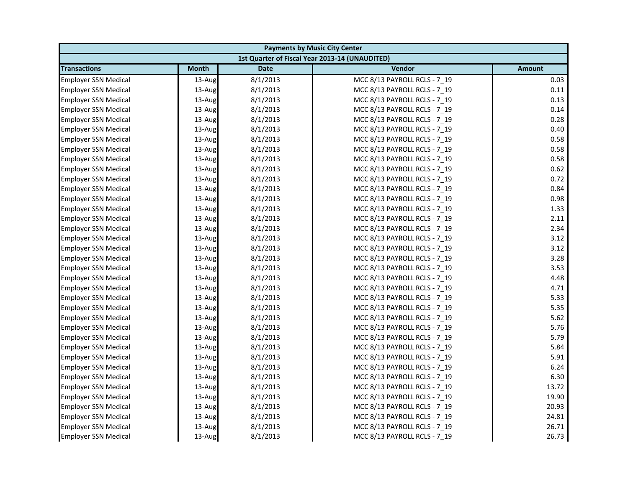|                             | <b>Payments by Music City Center</b> |             |                                                |               |  |
|-----------------------------|--------------------------------------|-------------|------------------------------------------------|---------------|--|
|                             |                                      |             | 1st Quarter of Fiscal Year 2013-14 (UNAUDITED) |               |  |
| <b>Transactions</b>         | <b>Month</b>                         | <b>Date</b> | Vendor                                         | <b>Amount</b> |  |
| <b>Employer SSN Medical</b> | 13-Aug                               | 8/1/2013    | MCC 8/13 PAYROLL RCLS - 7 19                   | 0.03          |  |
| <b>Employer SSN Medical</b> | 13-Aug                               | 8/1/2013    | MCC 8/13 PAYROLL RCLS - 7_19                   | 0.11          |  |
| <b>Employer SSN Medical</b> | 13-Aug                               | 8/1/2013    | MCC 8/13 PAYROLL RCLS - 7 19                   | 0.13          |  |
| <b>Employer SSN Medical</b> | 13-Aug                               | 8/1/2013    | MCC 8/13 PAYROLL RCLS - 7 19                   | 0.14          |  |
| <b>Employer SSN Medical</b> | 13-Aug                               | 8/1/2013    | MCC 8/13 PAYROLL RCLS - 7_19                   | 0.28          |  |
| <b>Employer SSN Medical</b> | 13-Aug                               | 8/1/2013    | MCC 8/13 PAYROLL RCLS - 7_19                   | 0.40          |  |
| <b>Employer SSN Medical</b> | 13-Aug                               | 8/1/2013    | MCC 8/13 PAYROLL RCLS - 7 19                   | 0.58          |  |
| <b>Employer SSN Medical</b> | 13-Aug                               | 8/1/2013    | MCC 8/13 PAYROLL RCLS - 7_19                   | 0.58          |  |
| <b>Employer SSN Medical</b> | 13-Aug                               | 8/1/2013    | MCC 8/13 PAYROLL RCLS - 7 19                   | 0.58          |  |
| <b>Employer SSN Medical</b> | 13-Aug                               | 8/1/2013    | MCC 8/13 PAYROLL RCLS - 7 19                   | 0.62          |  |
| <b>Employer SSN Medical</b> | 13-Aug                               | 8/1/2013    | MCC 8/13 PAYROLL RCLS - 7 19                   | 0.72          |  |
| <b>Employer SSN Medical</b> | 13-Aug                               | 8/1/2013    | MCC 8/13 PAYROLL RCLS - 7 19                   | 0.84          |  |
| <b>Employer SSN Medical</b> | 13-Aug                               | 8/1/2013    | MCC 8/13 PAYROLL RCLS - 7_19                   | 0.98          |  |
| <b>Employer SSN Medical</b> | 13-Aug                               | 8/1/2013    | MCC 8/13 PAYROLL RCLS - 7 19                   | 1.33          |  |
| <b>Employer SSN Medical</b> | 13-Aug                               | 8/1/2013    | MCC 8/13 PAYROLL RCLS - 7_19                   | 2.11          |  |
| <b>Employer SSN Medical</b> | 13-Aug                               | 8/1/2013    | MCC 8/13 PAYROLL RCLS - 7 19                   | 2.34          |  |
| <b>Employer SSN Medical</b> | 13-Aug                               | 8/1/2013    | MCC 8/13 PAYROLL RCLS - 7 19                   | 3.12          |  |
| <b>Employer SSN Medical</b> | 13-Aug                               | 8/1/2013    | MCC 8/13 PAYROLL RCLS - 7_19                   | 3.12          |  |
| <b>Employer SSN Medical</b> | 13-Aug                               | 8/1/2013    | MCC 8/13 PAYROLL RCLS - 7 19                   | 3.28          |  |
| <b>Employer SSN Medical</b> | 13-Aug                               | 8/1/2013    | MCC 8/13 PAYROLL RCLS - 7_19                   | 3.53          |  |
| <b>Employer SSN Medical</b> | 13-Aug                               | 8/1/2013    | MCC 8/13 PAYROLL RCLS - 7_19                   | 4.48          |  |
| <b>Employer SSN Medical</b> | 13-Aug                               | 8/1/2013    | MCC 8/13 PAYROLL RCLS - 7 19                   | 4.71          |  |
| <b>Employer SSN Medical</b> | 13-Aug                               | 8/1/2013    | MCC 8/13 PAYROLL RCLS - 7_19                   | 5.33          |  |
| <b>Employer SSN Medical</b> | 13-Aug                               | 8/1/2013    | MCC 8/13 PAYROLL RCLS - 7 19                   | 5.35          |  |
| <b>Employer SSN Medical</b> | 13-Aug                               | 8/1/2013    | MCC 8/13 PAYROLL RCLS - 7 19                   | 5.62          |  |
| <b>Employer SSN Medical</b> | 13-Aug                               | 8/1/2013    | MCC 8/13 PAYROLL RCLS - 7 19                   | 5.76          |  |
| Employer SSN Medical        | 13-Aug                               | 8/1/2013    | MCC 8/13 PAYROLL RCLS - 7_19                   | 5.79          |  |
| <b>Employer SSN Medical</b> | 13-Aug                               | 8/1/2013    | MCC 8/13 PAYROLL RCLS - 7 19                   | 5.84          |  |
| <b>Employer SSN Medical</b> | 13-Aug                               | 8/1/2013    | MCC 8/13 PAYROLL RCLS - 7 19                   | 5.91          |  |
| <b>Employer SSN Medical</b> | 13-Aug                               | 8/1/2013    | MCC 8/13 PAYROLL RCLS - 7_19                   | 6.24          |  |
| <b>Employer SSN Medical</b> | 13-Aug                               | 8/1/2013    | MCC 8/13 PAYROLL RCLS - 7 19                   | 6.30          |  |
| <b>Employer SSN Medical</b> | 13-Aug                               | 8/1/2013    | MCC 8/13 PAYROLL RCLS - 7 19                   | 13.72         |  |
| <b>Employer SSN Medical</b> | 13-Aug                               | 8/1/2013    | MCC 8/13 PAYROLL RCLS - 7_19                   | 19.90         |  |
| <b>Employer SSN Medical</b> | 13-Aug                               | 8/1/2013    | MCC 8/13 PAYROLL RCLS - 7 19                   | 20.93         |  |
| <b>Employer SSN Medical</b> | 13-Aug                               | 8/1/2013    | MCC 8/13 PAYROLL RCLS - 7 19                   | 24.81         |  |
| <b>Employer SSN Medical</b> | 13-Aug                               | 8/1/2013    | MCC 8/13 PAYROLL RCLS - 7 19                   | 26.71         |  |
| <b>Employer SSN Medical</b> | 13-Aug                               | 8/1/2013    | MCC 8/13 PAYROLL RCLS - 7 19                   | 26.73         |  |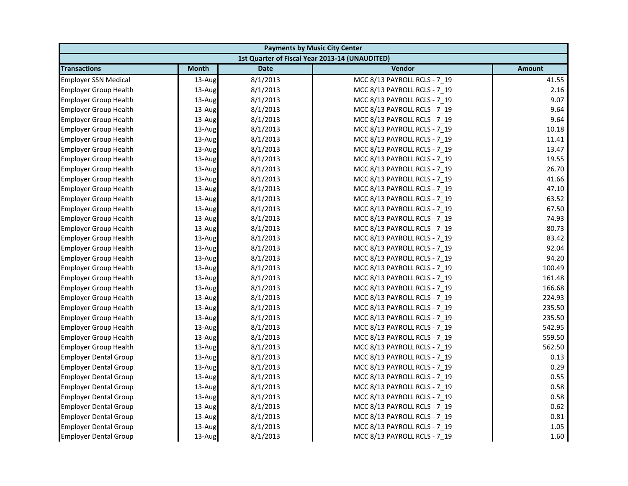| <b>Payments by Music City Center</b> |              |             |                                                |               |
|--------------------------------------|--------------|-------------|------------------------------------------------|---------------|
|                                      |              |             | 1st Quarter of Fiscal Year 2013-14 (UNAUDITED) |               |
| <b>Transactions</b>                  | <b>Month</b> | <b>Date</b> | Vendor                                         | <b>Amount</b> |
| <b>Employer SSN Medical</b>          | 13-Aug       | 8/1/2013    | MCC 8/13 PAYROLL RCLS - 7 19                   | 41.55         |
| <b>Employer Group Health</b>         | 13-Aug       | 8/1/2013    | MCC 8/13 PAYROLL RCLS - 7 19                   | 2.16          |
| <b>Employer Group Health</b>         | 13-Aug       | 8/1/2013    | MCC 8/13 PAYROLL RCLS - 7 19                   | 9.07          |
| <b>Employer Group Health</b>         | 13-Aug       | 8/1/2013    | MCC 8/13 PAYROLL RCLS - 7 19                   | 9.64          |
| <b>Employer Group Health</b>         | 13-Aug       | 8/1/2013    | MCC 8/13 PAYROLL RCLS - 7 19                   | 9.64          |
| <b>Employer Group Health</b>         | 13-Aug       | 8/1/2013    | MCC 8/13 PAYROLL RCLS - 7 19                   | 10.18         |
| <b>Employer Group Health</b>         | 13-Aug       | 8/1/2013    | MCC 8/13 PAYROLL RCLS - 7 19                   | 11.41         |
| <b>Employer Group Health</b>         | 13-Aug       | 8/1/2013    | MCC 8/13 PAYROLL RCLS - 7 19                   | 13.47         |
| <b>Employer Group Health</b>         | 13-Aug       | 8/1/2013    | MCC 8/13 PAYROLL RCLS - 7_19                   | 19.55         |
| <b>Employer Group Health</b>         | 13-Aug       | 8/1/2013    | MCC 8/13 PAYROLL RCLS - 7 19                   | 26.70         |
| <b>Employer Group Health</b>         | 13-Aug       | 8/1/2013    | MCC 8/13 PAYROLL RCLS - 7 19                   | 41.66         |
| <b>Employer Group Health</b>         | 13-Aug       | 8/1/2013    | MCC 8/13 PAYROLL RCLS - 7 19                   | 47.10         |
| <b>Employer Group Health</b>         | 13-Aug       | 8/1/2013    | MCC 8/13 PAYROLL RCLS - 7_19                   | 63.52         |
| <b>Employer Group Health</b>         | 13-Aug       | 8/1/2013    | MCC 8/13 PAYROLL RCLS - 7 19                   | 67.50         |
| <b>Employer Group Health</b>         | 13-Aug       | 8/1/2013    | MCC 8/13 PAYROLL RCLS - 7 19                   | 74.93         |
| <b>Employer Group Health</b>         | 13-Aug       | 8/1/2013    | MCC 8/13 PAYROLL RCLS - 7_19                   | 80.73         |
| <b>Employer Group Health</b>         | 13-Aug       | 8/1/2013    | MCC 8/13 PAYROLL RCLS - 7 19                   | 83.42         |
| <b>Employer Group Health</b>         | 13-Aug       | 8/1/2013    | MCC 8/13 PAYROLL RCLS - 7 19                   | 92.04         |
| <b>Employer Group Health</b>         | 13-Aug       | 8/1/2013    | MCC 8/13 PAYROLL RCLS - 7_19                   | 94.20         |
| <b>Employer Group Health</b>         | 13-Aug       | 8/1/2013    | MCC 8/13 PAYROLL RCLS - 7 19                   | 100.49        |
| <b>Employer Group Health</b>         | 13-Aug       | 8/1/2013    | MCC 8/13 PAYROLL RCLS - 7 19                   | 161.48        |
| <b>Employer Group Health</b>         | 13-Aug       | 8/1/2013    | MCC 8/13 PAYROLL RCLS - 7 19                   | 166.68        |
| <b>Employer Group Health</b>         | 13-Aug       | 8/1/2013    | MCC 8/13 PAYROLL RCLS - 7_19                   | 224.93        |
| <b>Employer Group Health</b>         | 13-Aug       | 8/1/2013    | MCC 8/13 PAYROLL RCLS - 7 19                   | 235.50        |
| <b>Employer Group Health</b>         | 13-Aug       | 8/1/2013    | MCC 8/13 PAYROLL RCLS - 7 19                   | 235.50        |
| <b>Employer Group Health</b>         | 13-Aug       | 8/1/2013    | MCC 8/13 PAYROLL RCLS - 7_19                   | 542.95        |
| <b>Employer Group Health</b>         | 13-Aug       | 8/1/2013    | MCC 8/13 PAYROLL RCLS - 7 19                   | 559.50        |
| <b>Employer Group Health</b>         | 13-Aug       | 8/1/2013    | MCC 8/13 PAYROLL RCLS - 7 19                   | 562.50        |
| <b>Employer Dental Group</b>         | 13-Aug       | 8/1/2013    | MCC 8/13 PAYROLL RCLS - 7_19                   | 0.13          |
| <b>Employer Dental Group</b>         | 13-Aug       | 8/1/2013    | MCC 8/13 PAYROLL RCLS - 7 19                   | 0.29          |
| <b>Employer Dental Group</b>         | 13-Aug       | 8/1/2013    | MCC 8/13 PAYROLL RCLS - 7 19                   | 0.55          |
| <b>Employer Dental Group</b>         | 13-Aug       | 8/1/2013    | MCC 8/13 PAYROLL RCLS - 7 19                   | 0.58          |
| <b>Employer Dental Group</b>         | 13-Aug       | 8/1/2013    | MCC 8/13 PAYROLL RCLS - 7_19                   | 0.58          |
| <b>Employer Dental Group</b>         | 13-Aug       | 8/1/2013    | MCC 8/13 PAYROLL RCLS - 7 19                   | 0.62          |
| <b>Employer Dental Group</b>         | 13-Aug       | 8/1/2013    | MCC 8/13 PAYROLL RCLS - 7 19                   | 0.81          |
| <b>Employer Dental Group</b>         | 13-Aug       | 8/1/2013    | MCC 8/13 PAYROLL RCLS - 7_19                   | 1.05          |
| <b>Employer Dental Group</b>         | 13-Aug       | 8/1/2013    | MCC 8/13 PAYROLL RCLS - 7 19                   | 1.60          |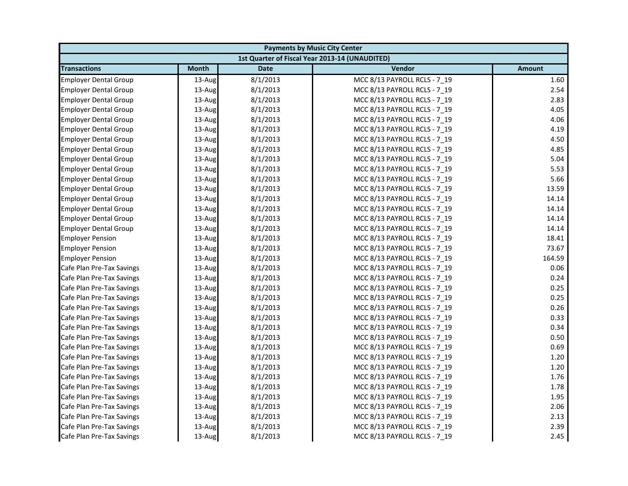| <b>Payments by Music City Center</b> |              |             |                                                |               |
|--------------------------------------|--------------|-------------|------------------------------------------------|---------------|
|                                      |              |             | 1st Quarter of Fiscal Year 2013-14 (UNAUDITED) |               |
| <b>Transactions</b>                  | <b>Month</b> | <b>Date</b> | Vendor                                         | <b>Amount</b> |
| <b>Employer Dental Group</b>         | 13-Aug       | 8/1/2013    | MCC 8/13 PAYROLL RCLS - 7 19                   | 1.60          |
| <b>Employer Dental Group</b>         | 13-Aug       | 8/1/2013    | MCC 8/13 PAYROLL RCLS - 7_19                   | 2.54          |
| <b>Employer Dental Group</b>         | 13-Aug       | 8/1/2013    | MCC 8/13 PAYROLL RCLS - 7 19                   | 2.83          |
| <b>Employer Dental Group</b>         | 13-Aug       | 8/1/2013    | MCC 8/13 PAYROLL RCLS - 7 19                   | 4.05          |
| <b>Employer Dental Group</b>         | 13-Aug       | 8/1/2013    | MCC 8/13 PAYROLL RCLS - 7_19                   | 4.06          |
| <b>Employer Dental Group</b>         | 13-Aug       | 8/1/2013    | MCC 8/13 PAYROLL RCLS - 7_19                   | 4.19          |
| <b>Employer Dental Group</b>         | 13-Aug       | 8/1/2013    | MCC 8/13 PAYROLL RCLS - 7 19                   | 4.50          |
| <b>Employer Dental Group</b>         | 13-Aug       | 8/1/2013    | MCC 8/13 PAYROLL RCLS - 7_19                   | 4.85          |
| <b>Employer Dental Group</b>         | 13-Aug       | 8/1/2013    | MCC 8/13 PAYROLL RCLS - 7 19                   | 5.04          |
| <b>Employer Dental Group</b>         | 13-Aug       | 8/1/2013    | MCC 8/13 PAYROLL RCLS - 7 19                   | 5.53          |
| <b>Employer Dental Group</b>         | 13-Aug       | 8/1/2013    | MCC 8/13 PAYROLL RCLS - 7 19                   | 5.66          |
| <b>Employer Dental Group</b>         | 13-Aug       | 8/1/2013    | MCC 8/13 PAYROLL RCLS - 7 19                   | 13.59         |
| <b>Employer Dental Group</b>         | 13-Aug       | 8/1/2013    | MCC 8/13 PAYROLL RCLS - 7_19                   | 14.14         |
| <b>Employer Dental Group</b>         | 13-Aug       | 8/1/2013    | MCC 8/13 PAYROLL RCLS - 7 19                   | 14.14         |
| <b>Employer Dental Group</b>         | 13-Aug       | 8/1/2013    | MCC 8/13 PAYROLL RCLS - 7_19                   | 14.14         |
| <b>Employer Dental Group</b>         | 13-Aug       | 8/1/2013    | MCC 8/13 PAYROLL RCLS - 7 19                   | 14.14         |
| <b>Employer Pension</b>              | 13-Aug       | 8/1/2013    | MCC 8/13 PAYROLL RCLS - 7 19                   | 18.41         |
| <b>Employer Pension</b>              | 13-Aug       | 8/1/2013    | MCC 8/13 PAYROLL RCLS - 7_19                   | 73.67         |
| <b>Employer Pension</b>              | 13-Aug       | 8/1/2013    | MCC 8/13 PAYROLL RCLS - 7 19                   | 164.59        |
| Cafe Plan Pre-Tax Savings            | 13-Aug       | 8/1/2013    | MCC 8/13 PAYROLL RCLS - 7_19                   | 0.06          |
| Cafe Plan Pre-Tax Savings            | 13-Aug       | 8/1/2013    | MCC 8/13 PAYROLL RCLS - 7_19                   | 0.24          |
| Cafe Plan Pre-Tax Savings            | 13-Aug       | 8/1/2013    | MCC 8/13 PAYROLL RCLS - 7 19                   | 0.25          |
| Cafe Plan Pre-Tax Savings            | 13-Aug       | 8/1/2013    | MCC 8/13 PAYROLL RCLS - 7 19                   | 0.25          |
| Cafe Plan Pre-Tax Savings            | 13-Aug       | 8/1/2013    | MCC 8/13 PAYROLL RCLS - 7 19                   | 0.26          |
| Cafe Plan Pre-Tax Savings            | 13-Aug       | 8/1/2013    | MCC 8/13 PAYROLL RCLS - 7 19                   | 0.33          |
| Cafe Plan Pre-Tax Savings            | 13-Aug       | 8/1/2013    | MCC 8/13 PAYROLL RCLS - 7 19                   | 0.34          |
| Cafe Plan Pre-Tax Savings            | 13-Aug       | 8/1/2013    | MCC 8/13 PAYROLL RCLS - 7_19                   | 0.50          |
| Cafe Plan Pre-Tax Savings            | 13-Aug       | 8/1/2013    | MCC 8/13 PAYROLL RCLS - 7 19                   | 0.69          |
| Cafe Plan Pre-Tax Savings            | 13-Aug       | 8/1/2013    | MCC 8/13 PAYROLL RCLS - 7 19                   | 1.20          |
| Cafe Plan Pre-Tax Savings            | 13-Aug       | 8/1/2013    | MCC 8/13 PAYROLL RCLS - 7_19                   | 1.20          |
| Cafe Plan Pre-Tax Savings            | 13-Aug       | 8/1/2013    | MCC 8/13 PAYROLL RCLS - 7 19                   | 1.76          |
| Cafe Plan Pre-Tax Savings            | 13-Aug       | 8/1/2013    | MCC 8/13 PAYROLL RCLS - 7 19                   | 1.78          |
| Cafe Plan Pre-Tax Savings            | 13-Aug       | 8/1/2013    | MCC 8/13 PAYROLL RCLS - 7_19                   | 1.95          |
| Cafe Plan Pre-Tax Savings            | 13-Aug       | 8/1/2013    | MCC 8/13 PAYROLL RCLS - 7 19                   | 2.06          |
| Cafe Plan Pre-Tax Savings            | 13-Aug       | 8/1/2013    | MCC 8/13 PAYROLL RCLS - 7 19                   | 2.13          |
| Cafe Plan Pre-Tax Savings            | 13-Aug       | 8/1/2013    | MCC 8/13 PAYROLL RCLS - 7 19                   | 2.39          |
| Cafe Plan Pre-Tax Savings            | 13-Aug       | 8/1/2013    | MCC 8/13 PAYROLL RCLS - 7 19                   | 2.45          |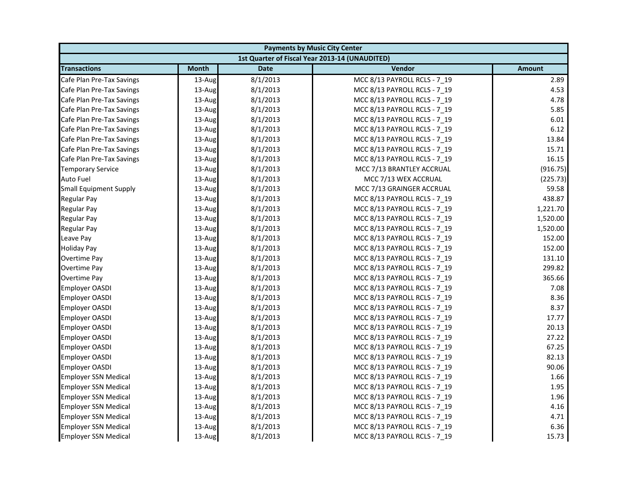| <b>Payments by Music City Center</b> |              |             |                                                |               |
|--------------------------------------|--------------|-------------|------------------------------------------------|---------------|
|                                      |              |             | 1st Quarter of Fiscal Year 2013-14 (UNAUDITED) |               |
| <b>Transactions</b>                  | <b>Month</b> | <b>Date</b> | Vendor                                         | <b>Amount</b> |
| Cafe Plan Pre-Tax Savings            | 13-Aug       | 8/1/2013    | MCC 8/13 PAYROLL RCLS - 7 19                   | 2.89          |
| Cafe Plan Pre-Tax Savings            | 13-Aug       | 8/1/2013    | MCC 8/13 PAYROLL RCLS - 7_19                   | 4.53          |
| Cafe Plan Pre-Tax Savings            | 13-Aug       | 8/1/2013    | MCC 8/13 PAYROLL RCLS - 7 19                   | 4.78          |
| Cafe Plan Pre-Tax Savings            | 13-Aug       | 8/1/2013    | MCC 8/13 PAYROLL RCLS - 7 19                   | 5.85          |
| Cafe Plan Pre-Tax Savings            | 13-Aug       | 8/1/2013    | MCC 8/13 PAYROLL RCLS - 7_19                   | 6.01          |
| Cafe Plan Pre-Tax Savings            | 13-Aug       | 8/1/2013    | MCC 8/13 PAYROLL RCLS - 7_19                   | 6.12          |
| Cafe Plan Pre-Tax Savings            | 13-Aug       | 8/1/2013    | MCC 8/13 PAYROLL RCLS - 7 19                   | 13.84         |
| Cafe Plan Pre-Tax Savings            | 13-Aug       | 8/1/2013    | MCC 8/13 PAYROLL RCLS - 7_19                   | 15.71         |
| Cafe Plan Pre-Tax Savings            | 13-Aug       | 8/1/2013    | MCC 8/13 PAYROLL RCLS - 7 19                   | 16.15         |
| <b>Temporary Service</b>             | 13-Aug       | 8/1/2013    | MCC 7/13 BRANTLEY ACCRUAL                      | (916.75)      |
| Auto Fuel                            | 13-Aug       | 8/1/2013    | MCC 7/13 WEX ACCRUAL                           | (225.73)      |
| <b>Small Equipment Supply</b>        | 13-Aug       | 8/1/2013    | MCC 7/13 GRAINGER ACCRUAL                      | 59.58         |
| Regular Pay                          | 13-Aug       | 8/1/2013    | MCC 8/13 PAYROLL RCLS - 7 19                   | 438.87        |
| Regular Pay                          | 13-Aug       | 8/1/2013    | MCC 8/13 PAYROLL RCLS - 7 19                   | 1,221.70      |
| <b>Regular Pay</b>                   | 13-Aug       | 8/1/2013    | MCC 8/13 PAYROLL RCLS - 7_19                   | 1,520.00      |
| <b>Regular Pay</b>                   | 13-Aug       | 8/1/2013    | MCC 8/13 PAYROLL RCLS - 7 19                   | 1,520.00      |
| Leave Pay                            | 13-Aug       | 8/1/2013    | MCC 8/13 PAYROLL RCLS - 7 19                   | 152.00        |
| <b>Holiday Pay</b>                   | 13-Aug       | 8/1/2013    | MCC 8/13 PAYROLL RCLS - 7_19                   | 152.00        |
| Overtime Pay                         | 13-Aug       | 8/1/2013    | MCC 8/13 PAYROLL RCLS - 7 19                   | 131.10        |
| Overtime Pay                         | 13-Aug       | 8/1/2013    | MCC 8/13 PAYROLL RCLS - 7_19                   | 299.82        |
| Overtime Pay                         | 13-Aug       | 8/1/2013    | MCC 8/13 PAYROLL RCLS - 7_19                   | 365.66        |
| <b>Employer OASDI</b>                | 13-Aug       | 8/1/2013    | MCC 8/13 PAYROLL RCLS - 7 19                   | 7.08          |
| Employer OASDI                       | 13-Aug       | 8/1/2013    | MCC 8/13 PAYROLL RCLS - 7_19                   | 8.36          |
| Employer OASDI                       | 13-Aug       | 8/1/2013    | MCC 8/13 PAYROLL RCLS - 7 19                   | 8.37          |
| <b>Employer OASDI</b>                | 13-Aug       | 8/1/2013    | MCC 8/13 PAYROLL RCLS - 7 19                   | 17.77         |
| Employer OASDI                       | 13-Aug       | 8/1/2013    | MCC 8/13 PAYROLL RCLS - 7 19                   | 20.13         |
| <b>Employer OASDI</b>                | 13-Aug       | 8/1/2013    | MCC 8/13 PAYROLL RCLS - 7_19                   | 27.22         |
| <b>Employer OASDI</b>                | 13-Aug       | 8/1/2013    | MCC 8/13 PAYROLL RCLS - 7 19                   | 67.25         |
| Employer OASDI                       | 13-Aug       | 8/1/2013    | MCC 8/13 PAYROLL RCLS - 7 19                   | 82.13         |
| <b>Employer OASDI</b>                | 13-Aug       | 8/1/2013    | MCC 8/13 PAYROLL RCLS - 7_19                   | 90.06         |
| <b>Employer SSN Medical</b>          | 13-Aug       | 8/1/2013    | MCC 8/13 PAYROLL RCLS - 7 19                   | 1.66          |
| <b>Employer SSN Medical</b>          | 13-Aug       | 8/1/2013    | MCC 8/13 PAYROLL RCLS - 7 19                   | 1.95          |
| <b>Employer SSN Medical</b>          | 13-Aug       | 8/1/2013    | MCC 8/13 PAYROLL RCLS - 7_19                   | 1.96          |
| <b>Employer SSN Medical</b>          | 13-Aug       | 8/1/2013    | MCC 8/13 PAYROLL RCLS - 7 19                   | 4.16          |
| <b>Employer SSN Medical</b>          | 13-Aug       | 8/1/2013    | MCC 8/13 PAYROLL RCLS - 7 19                   | 4.71          |
| <b>Employer SSN Medical</b>          | 13-Aug       | 8/1/2013    | MCC 8/13 PAYROLL RCLS - 7 19                   | 6.36          |
| <b>Employer SSN Medical</b>          | 13-Aug       | 8/1/2013    | MCC 8/13 PAYROLL RCLS - 7 19                   | 15.73         |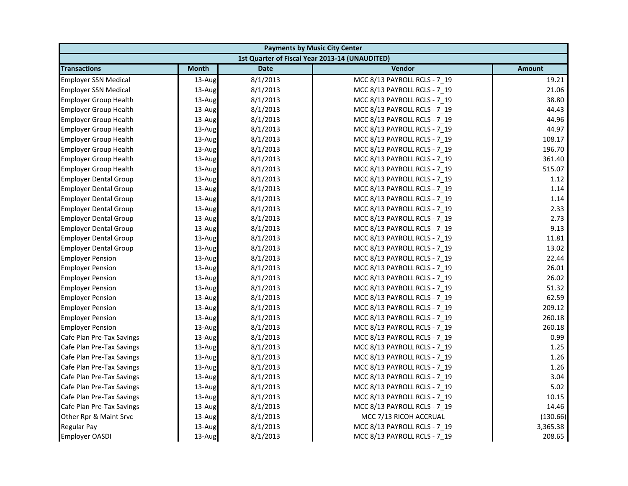| <b>Payments by Music City Center</b> |              |             |                                                |               |
|--------------------------------------|--------------|-------------|------------------------------------------------|---------------|
|                                      |              |             | 1st Quarter of Fiscal Year 2013-14 (UNAUDITED) |               |
| <b>Transactions</b>                  | <b>Month</b> | <b>Date</b> | Vendor                                         | <b>Amount</b> |
| <b>Employer SSN Medical</b>          | 13-Aug       | 8/1/2013    | MCC 8/13 PAYROLL RCLS - 7 19                   | 19.21         |
| <b>Employer SSN Medical</b>          | 13-Aug       | 8/1/2013    | MCC 8/13 PAYROLL RCLS - 7_19                   | 21.06         |
| <b>Employer Group Health</b>         | 13-Aug       | 8/1/2013    | MCC 8/13 PAYROLL RCLS - 7 19                   | 38.80         |
| <b>Employer Group Health</b>         | 13-Aug       | 8/1/2013    | MCC 8/13 PAYROLL RCLS - 7 19                   | 44.43         |
| <b>Employer Group Health</b>         | 13-Aug       | 8/1/2013    | MCC 8/13 PAYROLL RCLS - 7_19                   | 44.96         |
| <b>Employer Group Health</b>         | 13-Aug       | 8/1/2013    | MCC 8/13 PAYROLL RCLS - 7_19                   | 44.97         |
| <b>Employer Group Health</b>         | 13-Aug       | 8/1/2013    | MCC 8/13 PAYROLL RCLS - 7 19                   | 108.17        |
| <b>Employer Group Health</b>         | 13-Aug       | 8/1/2013    | MCC 8/13 PAYROLL RCLS - 7_19                   | 196.70        |
| <b>Employer Group Health</b>         | 13-Aug       | 8/1/2013    | MCC 8/13 PAYROLL RCLS - 7 19                   | 361.40        |
| <b>Employer Group Health</b>         | 13-Aug       | 8/1/2013    | MCC 8/13 PAYROLL RCLS - 7 19                   | 515.07        |
| <b>Employer Dental Group</b>         | 13-Aug       | 8/1/2013    | MCC 8/13 PAYROLL RCLS - 7 19                   | 1.12          |
| <b>Employer Dental Group</b>         | 13-Aug       | 8/1/2013    | MCC 8/13 PAYROLL RCLS - 7 19                   | 1.14          |
| <b>Employer Dental Group</b>         | 13-Aug       | 8/1/2013    | MCC 8/13 PAYROLL RCLS - 7_19                   | 1.14          |
| <b>Employer Dental Group</b>         | 13-Aug       | 8/1/2013    | MCC 8/13 PAYROLL RCLS - 7 19                   | 2.33          |
| <b>Employer Dental Group</b>         | 13-Aug       | 8/1/2013    | MCC 8/13 PAYROLL RCLS - 7_19                   | 2.73          |
| <b>Employer Dental Group</b>         | 13-Aug       | 8/1/2013    | MCC 8/13 PAYROLL RCLS - 7 19                   | 9.13          |
| <b>Employer Dental Group</b>         | 13-Aug       | 8/1/2013    | MCC 8/13 PAYROLL RCLS - 7 19                   | 11.81         |
| <b>Employer Dental Group</b>         | 13-Aug       | 8/1/2013    | MCC 8/13 PAYROLL RCLS - 7_19                   | 13.02         |
| <b>Employer Pension</b>              | 13-Aug       | 8/1/2013    | MCC 8/13 PAYROLL RCLS - 7 19                   | 22.44         |
| <b>Employer Pension</b>              | 13-Aug       | 8/1/2013    | MCC 8/13 PAYROLL RCLS - 7_19                   | 26.01         |
| <b>Employer Pension</b>              | 13-Aug       | 8/1/2013    | MCC 8/13 PAYROLL RCLS - 7_19                   | 26.02         |
| <b>Employer Pension</b>              | 13-Aug       | 8/1/2013    | MCC 8/13 PAYROLL RCLS - 7 19                   | 51.32         |
| <b>Employer Pension</b>              | 13-Aug       | 8/1/2013    | MCC 8/13 PAYROLL RCLS - 7_19                   | 62.59         |
| <b>Employer Pension</b>              | 13-Aug       | 8/1/2013    | MCC 8/13 PAYROLL RCLS - 7 19                   | 209.12        |
| <b>Employer Pension</b>              | 13-Aug       | 8/1/2013    | MCC 8/13 PAYROLL RCLS - 7 19                   | 260.18        |
| <b>Employer Pension</b>              | 13-Aug       | 8/1/2013    | MCC 8/13 PAYROLL RCLS - 7 19                   | 260.18        |
| Cafe Plan Pre-Tax Savings            | 13-Aug       | 8/1/2013    | MCC 8/13 PAYROLL RCLS - 7_19                   | 0.99          |
| Cafe Plan Pre-Tax Savings            | 13-Aug       | 8/1/2013    | MCC 8/13 PAYROLL RCLS - 7 19                   | 1.25          |
| Cafe Plan Pre-Tax Savings            | 13-Aug       | 8/1/2013    | MCC 8/13 PAYROLL RCLS - 7 19                   | 1.26          |
| Cafe Plan Pre-Tax Savings            | 13-Aug       | 8/1/2013    | MCC 8/13 PAYROLL RCLS - 7_19                   | 1.26          |
| Cafe Plan Pre-Tax Savings            | 13-Aug       | 8/1/2013    | MCC 8/13 PAYROLL RCLS - 7 19                   | 3.04          |
| Cafe Plan Pre-Tax Savings            | 13-Aug       | 8/1/2013    | MCC 8/13 PAYROLL RCLS - 7 19                   | 5.02          |
| Cafe Plan Pre-Tax Savings            | 13-Aug       | 8/1/2013    | MCC 8/13 PAYROLL RCLS - 7_19                   | 10.15         |
| Cafe Plan Pre-Tax Savings            | 13-Aug       | 8/1/2013    | MCC 8/13 PAYROLL RCLS - 7_19                   | 14.46         |
| Other Rpr & Maint Srvc               | 13-Aug       | 8/1/2013    | MCC 7/13 RICOH ACCRUAL                         | (130.66)      |
| <b>Regular Pay</b>                   | 13-Aug       | 8/1/2013    | MCC 8/13 PAYROLL RCLS - 7 19                   | 3,365.38      |
| <b>Employer OASDI</b>                | 13-Aug       | 8/1/2013    | MCC 8/13 PAYROLL RCLS - 7 19                   | 208.65        |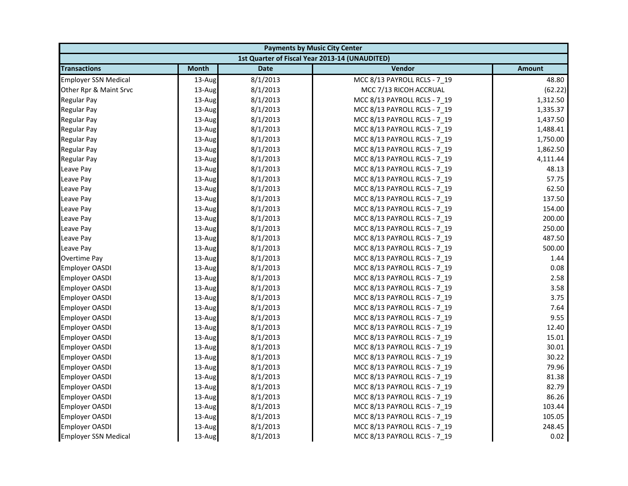| <b>Payments by Music City Center</b> |              |             |                                                |               |
|--------------------------------------|--------------|-------------|------------------------------------------------|---------------|
|                                      |              |             | 1st Quarter of Fiscal Year 2013-14 (UNAUDITED) |               |
| <b>Transactions</b>                  | <b>Month</b> | <b>Date</b> | Vendor                                         | <b>Amount</b> |
| <b>Employer SSN Medical</b>          | 13-Aug       | 8/1/2013    | MCC 8/13 PAYROLL RCLS - 7_19                   | 48.80         |
| Other Rpr & Maint Srvc               | 13-Aug       | 8/1/2013    | MCC 7/13 RICOH ACCRUAL                         | (62.22)       |
| <b>Regular Pay</b>                   | 13-Aug       | 8/1/2013    | MCC 8/13 PAYROLL RCLS - 7 19                   | 1,312.50      |
| <b>Regular Pay</b>                   | 13-Aug       | 8/1/2013    | MCC 8/13 PAYROLL RCLS - 7 19                   | 1,335.37      |
| <b>Regular Pay</b>                   | 13-Aug       | 8/1/2013    | MCC 8/13 PAYROLL RCLS - 7_19                   | 1,437.50      |
| <b>Regular Pay</b>                   | 13-Aug       | 8/1/2013    | MCC 8/13 PAYROLL RCLS - 7_19                   | 1,488.41      |
| <b>Regular Pay</b>                   | 13-Aug       | 8/1/2013    | MCC 8/13 PAYROLL RCLS - 7 19                   | 1,750.00      |
| <b>Regular Pay</b>                   | 13-Aug       | 8/1/2013    | MCC 8/13 PAYROLL RCLS - 7_19                   | 1,862.50      |
| Regular Pay                          | 13-Aug       | 8/1/2013    | MCC 8/13 PAYROLL RCLS - 7 19                   | 4,111.44      |
| Leave Pay                            | 13-Aug       | 8/1/2013    | MCC 8/13 PAYROLL RCLS - 7 19                   | 48.13         |
| Leave Pay                            | 13-Aug       | 8/1/2013    | MCC 8/13 PAYROLL RCLS - 7_19                   | 57.75         |
| Leave Pay                            | 13-Aug       | 8/1/2013    | MCC 8/13 PAYROLL RCLS - 7 19                   | 62.50         |
| Leave Pay                            | 13-Aug       | 8/1/2013    | MCC 8/13 PAYROLL RCLS - 7_19                   | 137.50        |
| Leave Pay                            | 13-Aug       | 8/1/2013    | MCC 8/13 PAYROLL RCLS - 7_19                   | 154.00        |
| Leave Pay                            | 13-Aug       | 8/1/2013    | MCC 8/13 PAYROLL RCLS - 7_19                   | 200.00        |
| Leave Pay                            | 13-Aug       | 8/1/2013    | MCC 8/13 PAYROLL RCLS - 7 19                   | 250.00        |
| Leave Pay                            | 13-Aug       | 8/1/2013    | MCC 8/13 PAYROLL RCLS - 7 19                   | 487.50        |
| Leave Pay                            | 13-Aug       | 8/1/2013    | MCC 8/13 PAYROLL RCLS - 7_19                   | 500.00        |
| Overtime Pay                         | $13$ -Aug    | 8/1/2013    | MCC 8/13 PAYROLL RCLS - 7 19                   | 1.44          |
| <b>Employer OASDI</b>                | 13-Aug       | 8/1/2013    | MCC 8/13 PAYROLL RCLS - 7_19                   | 0.08          |
| <b>Employer OASDI</b>                | 13-Aug       | 8/1/2013    | MCC 8/13 PAYROLL RCLS - 7_19                   | 2.58          |
| <b>Employer OASDI</b>                | 13-Aug       | 8/1/2013    | MCC 8/13 PAYROLL RCLS - 7 19                   | 3.58          |
| <b>Employer OASDI</b>                | 13-Aug       | 8/1/2013    | MCC 8/13 PAYROLL RCLS - 7_19                   | 3.75          |
| <b>Employer OASDI</b>                | 13-Aug       | 8/1/2013    | MCC 8/13 PAYROLL RCLS - 7 19                   | 7.64          |
| <b>Employer OASDI</b>                | 13-Aug       | 8/1/2013    | MCC 8/13 PAYROLL RCLS - 7 19                   | 9.55          |
| <b>Employer OASDI</b>                | 13-Aug       | 8/1/2013    | MCC 8/13 PAYROLL RCLS - 7_19                   | 12.40         |
| <b>Employer OASDI</b>                | 13-Aug       | 8/1/2013    | MCC 8/13 PAYROLL RCLS - 7_19                   | 15.01         |
| <b>Employer OASDI</b>                | 13-Aug       | 8/1/2013    | MCC 8/13 PAYROLL RCLS - 7 19                   | 30.01         |
| <b>Employer OASDI</b>                | 13-Aug       | 8/1/2013    | MCC 8/13 PAYROLL RCLS - 7 19                   | 30.22         |
| <b>Employer OASDI</b>                | 13-Aug       | 8/1/2013    | MCC 8/13 PAYROLL RCLS - 7_19                   | 79.96         |
| <b>Employer OASDI</b>                | 13-Aug       | 8/1/2013    | MCC 8/13 PAYROLL RCLS - 7 19                   | 81.38         |
| <b>Employer OASDI</b>                | 13-Aug       | 8/1/2013    | MCC 8/13 PAYROLL RCLS - 7 19                   | 82.79         |
| <b>Employer OASDI</b>                | 13-Aug       | 8/1/2013    | MCC 8/13 PAYROLL RCLS - 7_19                   | 86.26         |
| Employer OASDI                       | 13-Aug       | 8/1/2013    | MCC 8/13 PAYROLL RCLS - 7 19                   | 103.44        |
| <b>Employer OASDI</b>                | 13-Aug       | 8/1/2013    | MCC 8/13 PAYROLL RCLS - 7 19                   | 105.05        |
| <b>Employer OASDI</b>                | 13-Aug       | 8/1/2013    | MCC 8/13 PAYROLL RCLS - 7_19                   | 248.45        |
| <b>Employer SSN Medical</b>          | 13-Aug       | 8/1/2013    | MCC 8/13 PAYROLL RCLS - 7 19                   | 0.02          |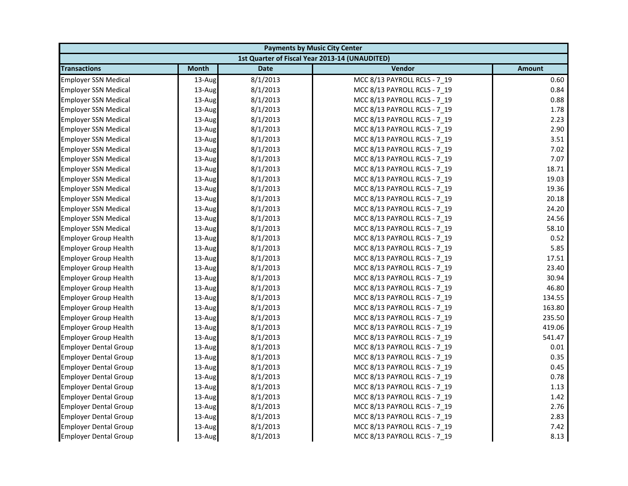|                              | <b>Payments by Music City Center</b> |             |                                                |               |  |
|------------------------------|--------------------------------------|-------------|------------------------------------------------|---------------|--|
|                              |                                      |             | 1st Quarter of Fiscal Year 2013-14 (UNAUDITED) |               |  |
| <b>Transactions</b>          | <b>Month</b>                         | <b>Date</b> | Vendor                                         | <b>Amount</b> |  |
| <b>Employer SSN Medical</b>  | 13-Aug                               | 8/1/2013    | MCC 8/13 PAYROLL RCLS - 7 19                   | 0.60          |  |
| <b>Employer SSN Medical</b>  | 13-Aug                               | 8/1/2013    | MCC 8/13 PAYROLL RCLS - 7 19                   | 0.84          |  |
| <b>Employer SSN Medical</b>  | 13-Aug                               | 8/1/2013    | MCC 8/13 PAYROLL RCLS - 7 19                   | 0.88          |  |
| <b>Employer SSN Medical</b>  | 13-Aug                               | 8/1/2013    | MCC 8/13 PAYROLL RCLS - 7 19                   | 1.78          |  |
| <b>Employer SSN Medical</b>  | 13-Aug                               | 8/1/2013    | MCC 8/13 PAYROLL RCLS - 7 19                   | 2.23          |  |
| <b>Employer SSN Medical</b>  | 13-Aug                               | 8/1/2013    | MCC 8/13 PAYROLL RCLS - 7 19                   | 2.90          |  |
| <b>Employer SSN Medical</b>  | 13-Aug                               | 8/1/2013    | MCC 8/13 PAYROLL RCLS - 7 19                   | 3.51          |  |
| <b>Employer SSN Medical</b>  | 13-Aug                               | 8/1/2013    | MCC 8/13 PAYROLL RCLS - 7 19                   | 7.02          |  |
| <b>Employer SSN Medical</b>  | 13-Aug                               | 8/1/2013    | MCC 8/13 PAYROLL RCLS - 7_19                   | 7.07          |  |
| <b>Employer SSN Medical</b>  | 13-Aug                               | 8/1/2013    | MCC 8/13 PAYROLL RCLS - 7 19                   | 18.71         |  |
| <b>Employer SSN Medical</b>  | 13-Aug                               | 8/1/2013    | MCC 8/13 PAYROLL RCLS - 7 19                   | 19.03         |  |
| <b>Employer SSN Medical</b>  | 13-Aug                               | 8/1/2013    | MCC 8/13 PAYROLL RCLS - 7 19                   | 19.36         |  |
| <b>Employer SSN Medical</b>  | 13-Aug                               | 8/1/2013    | MCC 8/13 PAYROLL RCLS - 7_19                   | 20.18         |  |
| <b>Employer SSN Medical</b>  | 13-Aug                               | 8/1/2013    | MCC 8/13 PAYROLL RCLS - 7 19                   | 24.20         |  |
| <b>Employer SSN Medical</b>  | 13-Aug                               | 8/1/2013    | MCC 8/13 PAYROLL RCLS - 7 19                   | 24.56         |  |
| <b>Employer SSN Medical</b>  | 13-Aug                               | 8/1/2013    | MCC 8/13 PAYROLL RCLS - 7_19                   | 58.10         |  |
| <b>Employer Group Health</b> | 13-Aug                               | 8/1/2013    | MCC 8/13 PAYROLL RCLS - 7 19                   | 0.52          |  |
| <b>Employer Group Health</b> | 13-Aug                               | 8/1/2013    | MCC 8/13 PAYROLL RCLS - 7 19                   | 5.85          |  |
| <b>Employer Group Health</b> | 13-Aug                               | 8/1/2013    | MCC 8/13 PAYROLL RCLS - 7_19                   | 17.51         |  |
| <b>Employer Group Health</b> | 13-Aug                               | 8/1/2013    | MCC 8/13 PAYROLL RCLS - 7 19                   | 23.40         |  |
| <b>Employer Group Health</b> | 13-Aug                               | 8/1/2013    | MCC 8/13 PAYROLL RCLS - 7 19                   | 30.94         |  |
| <b>Employer Group Health</b> | 13-Aug                               | 8/1/2013    | MCC 8/13 PAYROLL RCLS - 7 19                   | 46.80         |  |
| <b>Employer Group Health</b> | 13-Aug                               | 8/1/2013    | MCC 8/13 PAYROLL RCLS - 7_19                   | 134.55        |  |
| <b>Employer Group Health</b> | 13-Aug                               | 8/1/2013    | MCC 8/13 PAYROLL RCLS - 7 19                   | 163.80        |  |
| <b>Employer Group Health</b> | 13-Aug                               | 8/1/2013    | MCC 8/13 PAYROLL RCLS - 7 19                   | 235.50        |  |
| <b>Employer Group Health</b> | 13-Aug                               | 8/1/2013    | MCC 8/13 PAYROLL RCLS - 7_19                   | 419.06        |  |
| <b>Employer Group Health</b> | 13-Aug                               | 8/1/2013    | MCC 8/13 PAYROLL RCLS - 7 19                   | 541.47        |  |
| <b>Employer Dental Group</b> | 13-Aug                               | 8/1/2013    | MCC 8/13 PAYROLL RCLS - 7 19                   | 0.01          |  |
| <b>Employer Dental Group</b> | 13-Aug                               | 8/1/2013    | MCC 8/13 PAYROLL RCLS - 7_19                   | 0.35          |  |
| <b>Employer Dental Group</b> | 13-Aug                               | 8/1/2013    | MCC 8/13 PAYROLL RCLS - 7 19                   | 0.45          |  |
| <b>Employer Dental Group</b> | 13-Aug                               | 8/1/2013    | MCC 8/13 PAYROLL RCLS - 7 19                   | 0.78          |  |
| <b>Employer Dental Group</b> | 13-Aug                               | 8/1/2013    | MCC 8/13 PAYROLL RCLS - 7 19                   | 1.13          |  |
| <b>Employer Dental Group</b> | 13-Aug                               | 8/1/2013    | MCC 8/13 PAYROLL RCLS - 7 19                   | 1.42          |  |
| <b>Employer Dental Group</b> | 13-Aug                               | 8/1/2013    | MCC 8/13 PAYROLL RCLS - 7 19                   | 2.76          |  |
| <b>Employer Dental Group</b> | 13-Aug                               | 8/1/2013    | MCC 8/13 PAYROLL RCLS - 7 19                   | 2.83          |  |
| <b>Employer Dental Group</b> | 13-Aug                               | 8/1/2013    | MCC 8/13 PAYROLL RCLS - 7_19                   | 7.42          |  |
| <b>Employer Dental Group</b> | 13-Aug                               | 8/1/2013    | MCC 8/13 PAYROLL RCLS - 7 19                   | 8.13          |  |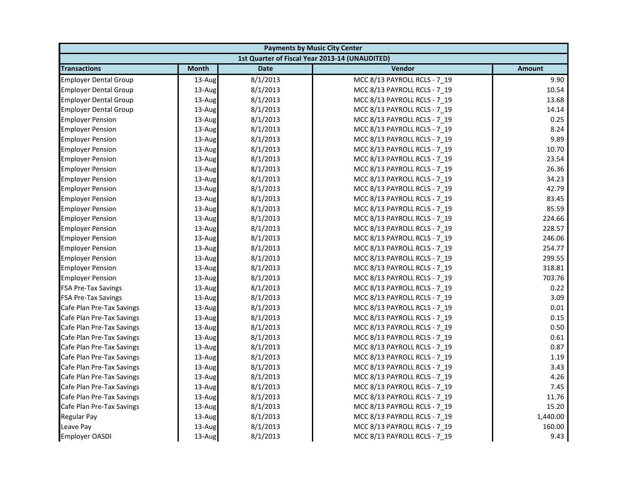| <b>Payments by Music City Center</b> |              |             |                                                |               |
|--------------------------------------|--------------|-------------|------------------------------------------------|---------------|
|                                      |              |             | 1st Quarter of Fiscal Year 2013-14 (UNAUDITED) |               |
| <b>Transactions</b>                  | <b>Month</b> | <b>Date</b> | Vendor                                         | <b>Amount</b> |
| <b>Employer Dental Group</b>         | 13-Aug       | 8/1/2013    | MCC 8/13 PAYROLL RCLS - 7 19                   | 9.90          |
| <b>Employer Dental Group</b>         | 13-Aug       | 8/1/2013    | MCC 8/13 PAYROLL RCLS - 7_19                   | 10.54         |
| <b>Employer Dental Group</b>         | 13-Aug       | 8/1/2013    | MCC 8/13 PAYROLL RCLS - 7 19                   | 13.68         |
| <b>Employer Dental Group</b>         | 13-Aug       | 8/1/2013    | MCC 8/13 PAYROLL RCLS - 7 19                   | 14.14         |
| <b>Employer Pension</b>              | 13-Aug       | 8/1/2013    | MCC 8/13 PAYROLL RCLS - 7_19                   | 0.25          |
| <b>Employer Pension</b>              | 13-Aug       | 8/1/2013    | MCC 8/13 PAYROLL RCLS - 7 19                   | 8.24          |
| <b>Employer Pension</b>              | 13-Aug       | 8/1/2013    | MCC 8/13 PAYROLL RCLS - 7 19                   | 9.89          |
| <b>Employer Pension</b>              | 13-Aug       | 8/1/2013    | MCC 8/13 PAYROLL RCLS - 7_19                   | 10.70         |
| <b>Employer Pension</b>              | 13-Aug       | 8/1/2013    | MCC 8/13 PAYROLL RCLS - 7 19                   | 23.54         |
| <b>Employer Pension</b>              | 13-Aug       | 8/1/2013    | MCC 8/13 PAYROLL RCLS - 7 19                   | 26.36         |
| <b>Employer Pension</b>              | 13-Aug       | 8/1/2013    | MCC 8/13 PAYROLL RCLS - 7 19                   | 34.23         |
| <b>Employer Pension</b>              | 13-Aug       | 8/1/2013    | MCC 8/13 PAYROLL RCLS - 7 19                   | 42.79         |
| <b>Employer Pension</b>              | 13-Aug       | 8/1/2013    | MCC 8/13 PAYROLL RCLS - 7_19                   | 83.45         |
| <b>Employer Pension</b>              | 13-Aug       | 8/1/2013    | MCC 8/13 PAYROLL RCLS - 7 19                   | 85.59         |
| <b>Employer Pension</b>              | 13-Aug       | 8/1/2013    | MCC 8/13 PAYROLL RCLS - 7_19                   | 224.66        |
| <b>Employer Pension</b>              | 13-Aug       | 8/1/2013    | MCC 8/13 PAYROLL RCLS - 7 19                   | 228.57        |
| <b>Employer Pension</b>              | 13-Aug       | 8/1/2013    | MCC 8/13 PAYROLL RCLS - 7 19                   | 246.06        |
| <b>Employer Pension</b>              | 13-Aug       | 8/1/2013    | MCC 8/13 PAYROLL RCLS - 7_19                   | 254.77        |
| <b>Employer Pension</b>              | 13-Aug       | 8/1/2013    | MCC 8/13 PAYROLL RCLS - 7 19                   | 299.55        |
| <b>Employer Pension</b>              | 13-Aug       | 8/1/2013    | MCC 8/13 PAYROLL RCLS - 7_19                   | 318.81        |
| <b>Employer Pension</b>              | 13-Aug       | 8/1/2013    | MCC 8/13 PAYROLL RCLS - 7_19                   | 703.76        |
| <b>FSA Pre-Tax Savings</b>           | 13-Aug       | 8/1/2013    | MCC 8/13 PAYROLL RCLS - 7 19                   | 0.22          |
| <b>FSA Pre-Tax Savings</b>           | 13-Aug       | 8/1/2013    | MCC 8/13 PAYROLL RCLS - 7_19                   | 3.09          |
| Cafe Plan Pre-Tax Savings            | 13-Aug       | 8/1/2013    | MCC 8/13 PAYROLL RCLS - 7 19                   | 0.01          |
| Cafe Plan Pre-Tax Savings            | 13-Aug       | 8/1/2013    | MCC 8/13 PAYROLL RCLS - 7 19                   | 0.15          |
| Cafe Plan Pre-Tax Savings            | 13-Aug       | 8/1/2013    | MCC 8/13 PAYROLL RCLS - 7 19                   | 0.50          |
| Cafe Plan Pre-Tax Savings            | 13-Aug       | 8/1/2013    | MCC 8/13 PAYROLL RCLS - 7_19                   | 0.61          |
| Cafe Plan Pre-Tax Savings            | 13-Aug       | 8/1/2013    | MCC 8/13 PAYROLL RCLS - 7 19                   | 0.87          |
| Cafe Plan Pre-Tax Savings            | $13$ -Aug    | 8/1/2013    | MCC 8/13 PAYROLL RCLS - 7 19                   | 1.19          |
| Cafe Plan Pre-Tax Savings            | 13-Aug       | 8/1/2013    | MCC 8/13 PAYROLL RCLS - 7_19                   | 3.43          |
| Cafe Plan Pre-Tax Savings            | 13-Aug       | 8/1/2013    | MCC 8/13 PAYROLL RCLS - 7 19                   | 4.26          |
| Cafe Plan Pre-Tax Savings            | 13-Aug       | 8/1/2013    | MCC 8/13 PAYROLL RCLS - 7 19                   | 7.45          |
| Cafe Plan Pre-Tax Savings            | 13-Aug       | 8/1/2013    | MCC 8/13 PAYROLL RCLS - 7_19                   | 11.76         |
| Cafe Plan Pre-Tax Savings            | 13-Aug       | 8/1/2013    | MCC 8/13 PAYROLL RCLS - 7 19                   | 15.20         |
| <b>Regular Pay</b>                   | 13-Aug       | 8/1/2013    | MCC 8/13 PAYROLL RCLS - 7 19                   | 1,440.00      |
| Leave Pay                            | 13-Aug       | 8/1/2013    | MCC 8/13 PAYROLL RCLS - 7 19                   | 160.00        |
| <b>Employer OASDI</b>                | 13-Aug       | 8/1/2013    | MCC 8/13 PAYROLL RCLS - 7 19                   | 9.43          |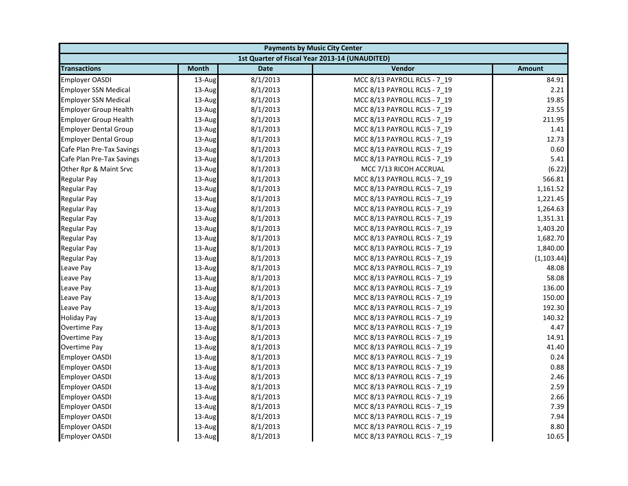| <b>Payments by Music City Center</b> |              |             |                                                |               |
|--------------------------------------|--------------|-------------|------------------------------------------------|---------------|
|                                      |              |             | 1st Quarter of Fiscal Year 2013-14 (UNAUDITED) |               |
| <b>Transactions</b>                  | <b>Month</b> | <b>Date</b> | Vendor                                         | <b>Amount</b> |
| <b>Employer OASDI</b>                | 13-Aug       | 8/1/2013    | MCC 8/13 PAYROLL RCLS - 7 19                   | 84.91         |
| <b>Employer SSN Medical</b>          | 13-Aug       | 8/1/2013    | MCC 8/13 PAYROLL RCLS - 7_19                   | 2.21          |
| <b>Employer SSN Medical</b>          | 13-Aug       | 8/1/2013    | MCC 8/13 PAYROLL RCLS - 7 19                   | 19.85         |
| <b>Employer Group Health</b>         | 13-Aug       | 8/1/2013    | MCC 8/13 PAYROLL RCLS - 7 19                   | 23.55         |
| <b>Employer Group Health</b>         | 13-Aug       | 8/1/2013    | MCC 8/13 PAYROLL RCLS - 7_19                   | 211.95        |
| <b>Employer Dental Group</b>         | 13-Aug       | 8/1/2013    | MCC 8/13 PAYROLL RCLS - 7_19                   | 1.41          |
| <b>Employer Dental Group</b>         | 13-Aug       | 8/1/2013    | MCC 8/13 PAYROLL RCLS - 7 19                   | 12.73         |
| Cafe Plan Pre-Tax Savings            | 13-Aug       | 8/1/2013    | MCC 8/13 PAYROLL RCLS - 7_19                   | 0.60          |
| Cafe Plan Pre-Tax Savings            | 13-Aug       | 8/1/2013    | MCC 8/13 PAYROLL RCLS - 7 19                   | 5.41          |
| Other Rpr & Maint Srvc               | 13-Aug       | 8/1/2013    | MCC 7/13 RICOH ACCRUAL                         | (6.22)        |
| Regular Pay                          | 13-Aug       | 8/1/2013    | MCC 8/13 PAYROLL RCLS - 7_19                   | 566.81        |
| <b>Regular Pay</b>                   | 13-Aug       | 8/1/2013    | MCC 8/13 PAYROLL RCLS - 7 19                   | 1,161.52      |
| Regular Pay                          | 13-Aug       | 8/1/2013    | MCC 8/13 PAYROLL RCLS - 7_19                   | 1,221.45      |
| <b>Regular Pay</b>                   | 13-Aug       | 8/1/2013    | MCC 8/13 PAYROLL RCLS - 7 19                   | 1,264.63      |
| <b>Regular Pay</b>                   | 13-Aug       | 8/1/2013    | MCC 8/13 PAYROLL RCLS - 7_19                   | 1,351.31      |
| <b>Regular Pay</b>                   | 13-Aug       | 8/1/2013    | MCC 8/13 PAYROLL RCLS - 7 19                   | 1,403.20      |
| <b>Regular Pay</b>                   | 13-Aug       | 8/1/2013    | MCC 8/13 PAYROLL RCLS - 7 19                   | 1,682.70      |
| <b>Regular Pay</b>                   | 13-Aug       | 8/1/2013    | MCC 8/13 PAYROLL RCLS - 7_19                   | 1,840.00      |
| <b>Regular Pay</b>                   | 13-Aug       | 8/1/2013    | MCC 8/13 PAYROLL RCLS - 7 19                   | (1, 103.44)   |
| Leave Pay                            | 13-Aug       | 8/1/2013    | MCC 8/13 PAYROLL RCLS - 7_19                   | 48.08         |
| Leave Pay                            | 13-Aug       | 8/1/2013    | MCC 8/13 PAYROLL RCLS - 7_19                   | 58.08         |
| Leave Pay                            | 13-Aug       | 8/1/2013    | MCC 8/13 PAYROLL RCLS - 7 19                   | 136.00        |
| Leave Pay                            | 13-Aug       | 8/1/2013    | MCC 8/13 PAYROLL RCLS - 7_19                   | 150.00        |
| Leave Pay                            | 13-Aug       | 8/1/2013    | MCC 8/13 PAYROLL RCLS - 7 19                   | 192.30        |
| <b>Holiday Pay</b>                   | 13-Aug       | 8/1/2013    | MCC 8/13 PAYROLL RCLS - 7 19                   | 140.32        |
| Overtime Pay                         | 13-Aug       | 8/1/2013    | MCC 8/13 PAYROLL RCLS - 7_19                   | 4.47          |
| Overtime Pay                         | 13-Aug       | 8/1/2013    | MCC 8/13 PAYROLL RCLS - 7_19                   | 14.91         |
| <b>Overtime Pay</b>                  | 13-Aug       | 8/1/2013    | MCC 8/13 PAYROLL RCLS - 7 19                   | 41.40         |
| <b>Employer OASDI</b>                | 13-Aug       | 8/1/2013    | MCC 8/13 PAYROLL RCLS - 7 19                   | 0.24          |
| <b>Employer OASDI</b>                | 13-Aug       | 8/1/2013    | MCC 8/13 PAYROLL RCLS - 7_19                   | 0.88          |
| <b>Employer OASDI</b>                | 13-Aug       | 8/1/2013    | MCC 8/13 PAYROLL RCLS - 7 19                   | 2.46          |
| <b>Employer OASDI</b>                | 13-Aug       | 8/1/2013    | MCC 8/13 PAYROLL RCLS - 7 19                   | 2.59          |
| <b>Employer OASDI</b>                | 13-Aug       | 8/1/2013    | MCC 8/13 PAYROLL RCLS - 7_19                   | 2.66          |
| <b>Employer OASDI</b>                | 13-Aug       | 8/1/2013    | MCC 8/13 PAYROLL RCLS - 7 19                   | 7.39          |
| <b>Employer OASDI</b>                | 13-Aug       | 8/1/2013    | MCC 8/13 PAYROLL RCLS - 7 19                   | 7.94          |
| <b>Employer OASDI</b>                | 13-Aug       | 8/1/2013    | MCC 8/13 PAYROLL RCLS - 7_19                   | 8.80          |
| <b>Employer OASDI</b>                | 13-Aug       | 8/1/2013    | MCC 8/13 PAYROLL RCLS - 7 19                   | 10.65         |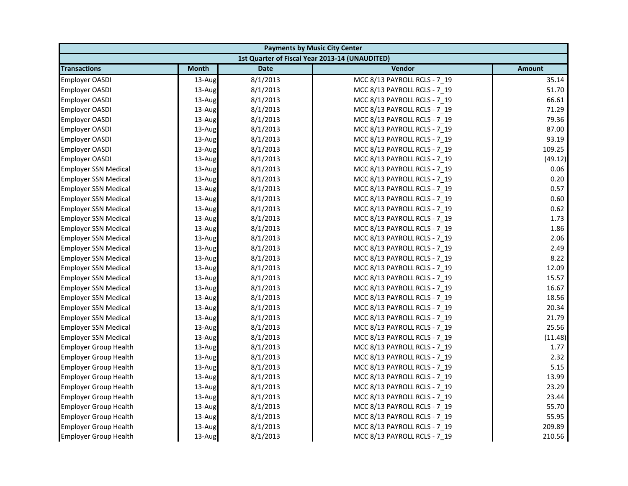| <b>Payments by Music City Center</b> |              |             |                                                |               |
|--------------------------------------|--------------|-------------|------------------------------------------------|---------------|
|                                      |              |             | 1st Quarter of Fiscal Year 2013-14 (UNAUDITED) |               |
| <b>Transactions</b>                  | <b>Month</b> | <b>Date</b> | Vendor                                         | <b>Amount</b> |
| <b>Employer OASDI</b>                | 13-Aug       | 8/1/2013    | MCC 8/13 PAYROLL RCLS - 7 19                   | 35.14         |
| <b>Employer OASDI</b>                | 13-Aug       | 8/1/2013    | MCC 8/13 PAYROLL RCLS - 7_19                   | 51.70         |
| Employer OASDI                       | 13-Aug       | 8/1/2013    | MCC 8/13 PAYROLL RCLS - 7 19                   | 66.61         |
| Employer OASDI                       | 13-Aug       | 8/1/2013    | MCC 8/13 PAYROLL RCLS - 7 19                   | 71.29         |
| Employer OASDI                       | 13-Aug       | 8/1/2013    | MCC 8/13 PAYROLL RCLS - 7_19                   | 79.36         |
| Employer OASDI                       | 13-Aug       | 8/1/2013    | MCC 8/13 PAYROLL RCLS - 7 19                   | 87.00         |
| Employer OASDI                       | 13-Aug       | 8/1/2013    | MCC 8/13 PAYROLL RCLS - 7 19                   | 93.19         |
| Employer OASDI                       | 13-Aug       | 8/1/2013    | MCC 8/13 PAYROLL RCLS - 7 19                   | 109.25        |
| <b>Employer OASDI</b>                | 13-Aug       | 8/1/2013    | MCC 8/13 PAYROLL RCLS - 7_19                   | (49.12)       |
| <b>Employer SSN Medical</b>          | 13-Aug       | 8/1/2013    | MCC 8/13 PAYROLL RCLS - 7 19                   | 0.06          |
| <b>Employer SSN Medical</b>          | 13-Aug       | 8/1/2013    | MCC 8/13 PAYROLL RCLS - 7 19                   | 0.20          |
| <b>Employer SSN Medical</b>          | 13-Aug       | 8/1/2013    | MCC 8/13 PAYROLL RCLS - 7 19                   | 0.57          |
| <b>Employer SSN Medical</b>          | 13-Aug       | 8/1/2013    | MCC 8/13 PAYROLL RCLS - 7_19                   | 0.60          |
| <b>Employer SSN Medical</b>          | $13$ -Aug    | 8/1/2013    | MCC 8/13 PAYROLL RCLS - 7 19                   | 0.62          |
| <b>Employer SSN Medical</b>          | 13-Aug       | 8/1/2013    | MCC 8/13 PAYROLL RCLS - 7 19                   | 1.73          |
| <b>Employer SSN Medical</b>          | 13-Aug       | 8/1/2013    | MCC 8/13 PAYROLL RCLS - 7_19                   | 1.86          |
| <b>Employer SSN Medical</b>          | 13-Aug       | 8/1/2013    | MCC 8/13 PAYROLL RCLS - 7 19                   | 2.06          |
| <b>Employer SSN Medical</b>          | 13-Aug       | 8/1/2013    | MCC 8/13 PAYROLL RCLS - 7 19                   | 2.49          |
| <b>Employer SSN Medical</b>          | 13-Aug       | 8/1/2013    | MCC 8/13 PAYROLL RCLS - 7_19                   | 8.22          |
| <b>Employer SSN Medical</b>          | 13-Aug       | 8/1/2013    | MCC 8/13 PAYROLL RCLS - 7 19                   | 12.09         |
| <b>Employer SSN Medical</b>          | 13-Aug       | 8/1/2013    | MCC 8/13 PAYROLL RCLS - 7 19                   | 15.57         |
| <b>Employer SSN Medical</b>          | 13-Aug       | 8/1/2013    | MCC 8/13 PAYROLL RCLS - 7_19                   | 16.67         |
| <b>Employer SSN Medical</b>          | 13-Aug       | 8/1/2013    | MCC 8/13 PAYROLL RCLS - 7_19                   | 18.56         |
| <b>Employer SSN Medical</b>          | 13-Aug       | 8/1/2013    | MCC 8/13 PAYROLL RCLS - 7 19                   | 20.34         |
| <b>Employer SSN Medical</b>          | 13-Aug       | 8/1/2013    | MCC 8/13 PAYROLL RCLS - 7 19                   | 21.79         |
| <b>Employer SSN Medical</b>          | 13-Aug       | 8/1/2013    | MCC 8/13 PAYROLL RCLS - 7_19                   | 25.56         |
| <b>Employer SSN Medical</b>          | 13-Aug       | 8/1/2013    | MCC 8/13 PAYROLL RCLS - 7 19                   | (11.48)       |
| <b>Employer Group Health</b>         | 13-Aug       | 8/1/2013    | MCC 8/13 PAYROLL RCLS - 7 19                   | 1.77          |
| <b>Employer Group Health</b>         | 13-Aug       | 8/1/2013    | MCC 8/13 PAYROLL RCLS - 7_19                   | 2.32          |
| <b>Employer Group Health</b>         | 13-Aug       | 8/1/2013    | MCC 8/13 PAYROLL RCLS - 7 19                   | 5.15          |
| <b>Employer Group Health</b>         | 13-Aug       | 8/1/2013    | MCC 8/13 PAYROLL RCLS - 7 19                   | 13.99         |
| <b>Employer Group Health</b>         | 13-Aug       | 8/1/2013    | MCC 8/13 PAYROLL RCLS - 7 19                   | 23.29         |
| <b>Employer Group Health</b>         | 13-Aug       | 8/1/2013    | MCC 8/13 PAYROLL RCLS - 7_19                   | 23.44         |
| <b>Employer Group Health</b>         | 13-Aug       | 8/1/2013    | MCC 8/13 PAYROLL RCLS - 7_19                   | 55.70         |
| <b>Employer Group Health</b>         | 13-Aug       | 8/1/2013    | MCC 8/13 PAYROLL RCLS - 7 19                   | 55.95         |
| <b>Employer Group Health</b>         | 13-Aug       | 8/1/2013    | MCC 8/13 PAYROLL RCLS - 7_19                   | 209.89        |
| <b>Employer Group Health</b>         | 13-Aug       | 8/1/2013    | MCC 8/13 PAYROLL RCLS - 7 19                   | 210.56        |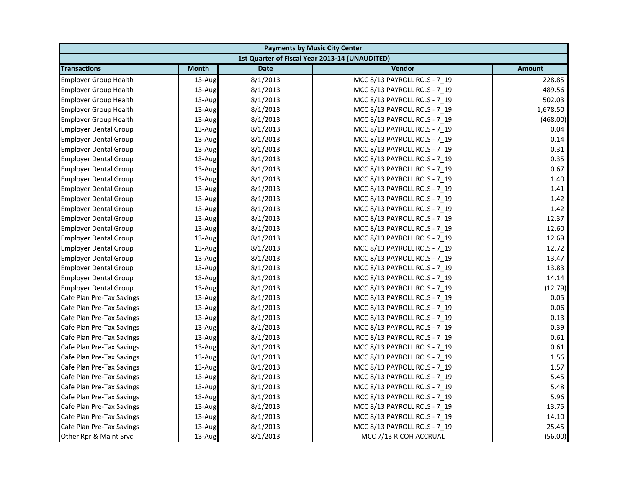| <b>Payments by Music City Center</b> |              |             |                                                |               |
|--------------------------------------|--------------|-------------|------------------------------------------------|---------------|
|                                      |              |             | 1st Quarter of Fiscal Year 2013-14 (UNAUDITED) |               |
| <b>Transactions</b>                  | <b>Month</b> | <b>Date</b> | Vendor                                         | <b>Amount</b> |
| <b>Employer Group Health</b>         | 13-Aug       | 8/1/2013    | MCC 8/13 PAYROLL RCLS - 7 19                   | 228.85        |
| <b>Employer Group Health</b>         | 13-Aug       | 8/1/2013    | MCC 8/13 PAYROLL RCLS - 7_19                   | 489.56        |
| <b>Employer Group Health</b>         | 13-Aug       | 8/1/2013    | MCC 8/13 PAYROLL RCLS - 7 19                   | 502.03        |
| <b>Employer Group Health</b>         | 13-Aug       | 8/1/2013    | MCC 8/13 PAYROLL RCLS - 7 19                   | 1,678.50      |
| <b>Employer Group Health</b>         | 13-Aug       | 8/1/2013    | MCC 8/13 PAYROLL RCLS - 7_19                   | (468.00)      |
| <b>Employer Dental Group</b>         | 13-Aug       | 8/1/2013    | MCC 8/13 PAYROLL RCLS - 7_19                   | 0.04          |
| <b>Employer Dental Group</b>         | 13-Aug       | 8/1/2013    | MCC 8/13 PAYROLL RCLS - 7 19                   | 0.14          |
| <b>Employer Dental Group</b>         | 13-Aug       | 8/1/2013    | MCC 8/13 PAYROLL RCLS - 7_19                   | 0.31          |
| <b>Employer Dental Group</b>         | 13-Aug       | 8/1/2013    | MCC 8/13 PAYROLL RCLS - 7 19                   | 0.35          |
| <b>Employer Dental Group</b>         | 13-Aug       | 8/1/2013    | MCC 8/13 PAYROLL RCLS - 7 19                   | 0.67          |
| <b>Employer Dental Group</b>         | 13-Aug       | 8/1/2013    | MCC 8/13 PAYROLL RCLS - 7 19                   | 1.40          |
| <b>Employer Dental Group</b>         | 13-Aug       | 8/1/2013    | MCC 8/13 PAYROLL RCLS - 7 19                   | 1.41          |
| <b>Employer Dental Group</b>         | 13-Aug       | 8/1/2013    | MCC 8/13 PAYROLL RCLS - 7_19                   | 1.42          |
| <b>Employer Dental Group</b>         | 13-Aug       | 8/1/2013    | MCC 8/13 PAYROLL RCLS - 7 19                   | 1.42          |
| <b>Employer Dental Group</b>         | 13-Aug       | 8/1/2013    | MCC 8/13 PAYROLL RCLS - 7_19                   | 12.37         |
| <b>Employer Dental Group</b>         | 13-Aug       | 8/1/2013    | MCC 8/13 PAYROLL RCLS - 7 19                   | 12.60         |
| <b>Employer Dental Group</b>         | 13-Aug       | 8/1/2013    | MCC 8/13 PAYROLL RCLS - 7 19                   | 12.69         |
| <b>Employer Dental Group</b>         | 13-Aug       | 8/1/2013    | MCC 8/13 PAYROLL RCLS - 7_19                   | 12.72         |
| <b>Employer Dental Group</b>         | 13-Aug       | 8/1/2013    | MCC 8/13 PAYROLL RCLS - 7 19                   | 13.47         |
| <b>Employer Dental Group</b>         | 13-Aug       | 8/1/2013    | MCC 8/13 PAYROLL RCLS - 7_19                   | 13.83         |
| <b>Employer Dental Group</b>         | 13-Aug       | 8/1/2013    | MCC 8/13 PAYROLL RCLS - 7_19                   | 14.14         |
| <b>Employer Dental Group</b>         | 13-Aug       | 8/1/2013    | MCC 8/13 PAYROLL RCLS - 7 19                   | (12.79)       |
| Cafe Plan Pre-Tax Savings            | 13-Aug       | 8/1/2013    | MCC 8/13 PAYROLL RCLS - 7_19                   | 0.05          |
| Cafe Plan Pre-Tax Savings            | 13-Aug       | 8/1/2013    | MCC 8/13 PAYROLL RCLS - 7 19                   | 0.06          |
| Cafe Plan Pre-Tax Savings            | 13-Aug       | 8/1/2013    | MCC 8/13 PAYROLL RCLS - 7 19                   | 0.13          |
| Cafe Plan Pre-Tax Savings            | 13-Aug       | 8/1/2013    | MCC 8/13 PAYROLL RCLS - 7 19                   | 0.39          |
| Cafe Plan Pre-Tax Savings            | 13-Aug       | 8/1/2013    | MCC 8/13 PAYROLL RCLS - 7_19                   | 0.61          |
| Cafe Plan Pre-Tax Savings            | 13-Aug       | 8/1/2013    | MCC 8/13 PAYROLL RCLS - 7 19                   | 0.61          |
| Cafe Plan Pre-Tax Savings            | 13-Aug       | 8/1/2013    | MCC 8/13 PAYROLL RCLS - 7 19                   | 1.56          |
| Cafe Plan Pre-Tax Savings            | 13-Aug       | 8/1/2013    | MCC 8/13 PAYROLL RCLS - 7_19                   | 1.57          |
| Cafe Plan Pre-Tax Savings            | 13-Aug       | 8/1/2013    | MCC 8/13 PAYROLL RCLS - 7 19                   | 5.45          |
| Cafe Plan Pre-Tax Savings            | 13-Aug       | 8/1/2013    | MCC 8/13 PAYROLL RCLS - 7 19                   | 5.48          |
| Cafe Plan Pre-Tax Savings            | 13-Aug       | 8/1/2013    | MCC 8/13 PAYROLL RCLS - 7_19                   | 5.96          |
| Cafe Plan Pre-Tax Savings            | 13-Aug       | 8/1/2013    | MCC 8/13 PAYROLL RCLS - 7 19                   | 13.75         |
| Cafe Plan Pre-Tax Savings            | 13-Aug       | 8/1/2013    | MCC 8/13 PAYROLL RCLS - 7 19                   | 14.10         |
| Cafe Plan Pre-Tax Savings            | 13-Aug       | 8/1/2013    | MCC 8/13 PAYROLL RCLS - 7_19                   | 25.45         |
| Other Rpr & Maint Srvc               | 13-Aug       | 8/1/2013    | MCC 7/13 RICOH ACCRUAL                         | (56.00)       |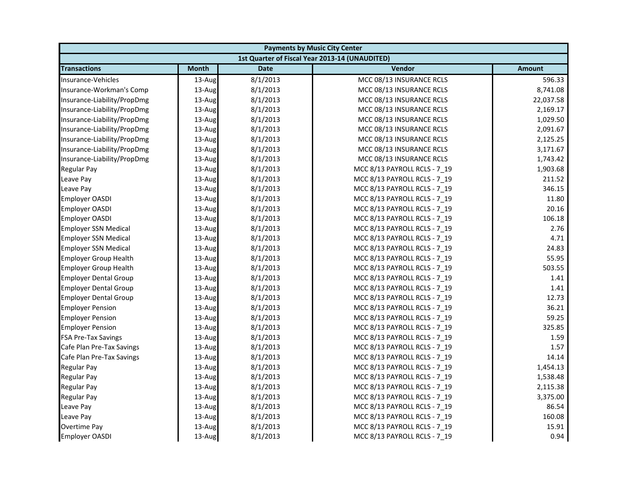| <b>Payments by Music City Center</b> |              |             |                                                |               |
|--------------------------------------|--------------|-------------|------------------------------------------------|---------------|
|                                      |              |             | 1st Quarter of Fiscal Year 2013-14 (UNAUDITED) |               |
| <b>Transactions</b>                  | <b>Month</b> | <b>Date</b> | Vendor                                         | <b>Amount</b> |
| Insurance-Vehicles                   | 13-Aug       | 8/1/2013    | MCC 08/13 INSURANCE RCLS                       | 596.33        |
| Insurance-Workman's Comp             | 13-Aug       | 8/1/2013    | MCC 08/13 INSURANCE RCLS                       | 8,741.08      |
| Insurance-Liability/PropDmg          | 13-Aug       | 8/1/2013    | MCC 08/13 INSURANCE RCLS                       | 22,037.58     |
| Insurance-Liability/PropDmg          | 13-Aug       | 8/1/2013    | MCC 08/13 INSURANCE RCLS                       | 2,169.17      |
| Insurance-Liability/PropDmg          | 13-Aug       | 8/1/2013    | MCC 08/13 INSURANCE RCLS                       | 1,029.50      |
| Insurance-Liability/PropDmg          | 13-Aug       | 8/1/2013    | MCC 08/13 INSURANCE RCLS                       | 2,091.67      |
| Insurance-Liability/PropDmg          | 13-Aug       | 8/1/2013    | MCC 08/13 INSURANCE RCLS                       | 2,125.25      |
| Insurance-Liability/PropDmg          | 13-Aug       | 8/1/2013    | MCC 08/13 INSURANCE RCLS                       | 3,171.67      |
| Insurance-Liability/PropDmg          | 13-Aug       | 8/1/2013    | MCC 08/13 INSURANCE RCLS                       | 1,743.42      |
| <b>Regular Pay</b>                   | 13-Aug       | 8/1/2013    | MCC 8/13 PAYROLL RCLS - 7 19                   | 1,903.68      |
| Leave Pay                            | 13-Aug       | 8/1/2013    | MCC 8/13 PAYROLL RCLS - 7 19                   | 211.52        |
| Leave Pay                            | 13-Aug       | 8/1/2013    | MCC 8/13 PAYROLL RCLS - 7 19                   | 346.15        |
| <b>Employer OASDI</b>                | 13-Aug       | 8/1/2013    | MCC 8/13 PAYROLL RCLS - 7_19                   | 11.80         |
| Employer OASDI                       | 13-Aug       | 8/1/2013    | MCC 8/13 PAYROLL RCLS - 7 19                   | 20.16         |
| <b>Employer OASDI</b>                | 13-Aug       | 8/1/2013    | MCC 8/13 PAYROLL RCLS - 7_19                   | 106.18        |
| <b>Employer SSN Medical</b>          | 13-Aug       | 8/1/2013    | MCC 8/13 PAYROLL RCLS - 7 19                   | 2.76          |
| <b>Employer SSN Medical</b>          | 13-Aug       | 8/1/2013    | MCC 8/13 PAYROLL RCLS - 7 19                   | 4.71          |
| <b>Employer SSN Medical</b>          | 13-Aug       | 8/1/2013    | MCC 8/13 PAYROLL RCLS - 7_19                   | 24.83         |
| <b>Employer Group Health</b>         | 13-Aug       | 8/1/2013    | MCC 8/13 PAYROLL RCLS - 7 19                   | 55.95         |
| <b>Employer Group Health</b>         | 13-Aug       | 8/1/2013    | MCC 8/13 PAYROLL RCLS - 7_19                   | 503.55        |
| <b>Employer Dental Group</b>         | 13-Aug       | 8/1/2013    | MCC 8/13 PAYROLL RCLS - 7_19                   | 1.41          |
| <b>Employer Dental Group</b>         | $13$ -Aug    | 8/1/2013    | MCC 8/13 PAYROLL RCLS - 7 19                   | 1.41          |
| <b>Employer Dental Group</b>         | 13-Aug       | 8/1/2013    | MCC 8/13 PAYROLL RCLS - 7 19                   | 12.73         |
| <b>Employer Pension</b>              | 13-Aug       | 8/1/2013    | MCC 8/13 PAYROLL RCLS - 7 19                   | 36.21         |
| <b>Employer Pension</b>              | 13-Aug       | 8/1/2013    | MCC 8/13 PAYROLL RCLS - 7 19                   | 59.25         |
| <b>Employer Pension</b>              | 13-Aug       | 8/1/2013    | MCC 8/13 PAYROLL RCLS - 7 19                   | 325.85        |
| <b>FSA Pre-Tax Savings</b>           | 13-Aug       | 8/1/2013    | MCC 8/13 PAYROLL RCLS - 7_19                   | 1.59          |
| Cafe Plan Pre-Tax Savings            | 13-Aug       | 8/1/2013    | MCC 8/13 PAYROLL RCLS - 7 19                   | 1.57          |
| Cafe Plan Pre-Tax Savings            | $13$ -Aug    | 8/1/2013    | MCC 8/13 PAYROLL RCLS - 7 19                   | 14.14         |
| <b>Regular Pay</b>                   | 13-Aug       | 8/1/2013    | MCC 8/13 PAYROLL RCLS - 7_19                   | 1,454.13      |
| <b>Regular Pay</b>                   | 13-Aug       | 8/1/2013    | MCC 8/13 PAYROLL RCLS - 7 19                   | 1,538.48      |
| <b>Regular Pay</b>                   | 13-Aug       | 8/1/2013    | MCC 8/13 PAYROLL RCLS - 7 19                   | 2,115.38      |
| Regular Pay                          | 13-Aug       | 8/1/2013    | MCC 8/13 PAYROLL RCLS - 7_19                   | 3,375.00      |
| Leave Pay                            | 13-Aug       | 8/1/2013    | MCC 8/13 PAYROLL RCLS - 7 19                   | 86.54         |
| Leave Pay                            | 13-Aug       | 8/1/2013    | MCC 8/13 PAYROLL RCLS - 7 19                   | 160.08        |
| <b>Overtime Pay</b>                  | 13-Aug       | 8/1/2013    | MCC 8/13 PAYROLL RCLS - 7 19                   | 15.91         |
| <b>Employer OASDI</b>                | 13-Aug       | 8/1/2013    | MCC 8/13 PAYROLL RCLS - 7 19                   | 0.94          |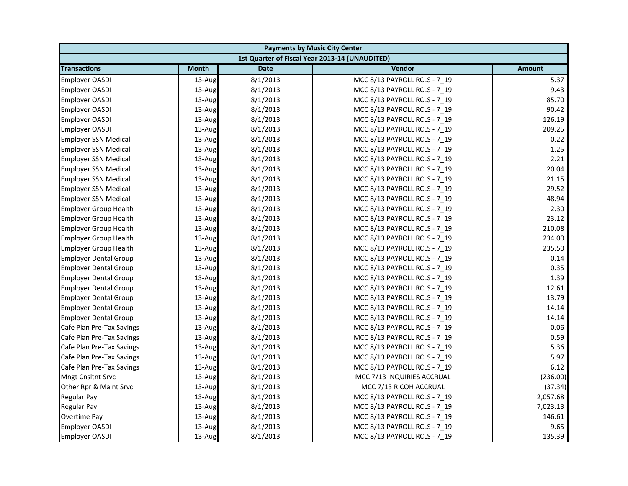| <b>Payments by Music City Center</b> |              |             |                                                |               |
|--------------------------------------|--------------|-------------|------------------------------------------------|---------------|
|                                      |              |             | 1st Quarter of Fiscal Year 2013-14 (UNAUDITED) |               |
| <b>Transactions</b>                  | <b>Month</b> | <b>Date</b> | Vendor                                         | <b>Amount</b> |
| <b>Employer OASDI</b>                | 13-Aug       | 8/1/2013    | MCC 8/13 PAYROLL RCLS - 7 19                   | 5.37          |
| <b>Employer OASDI</b>                | 13-Aug       | 8/1/2013    | MCC 8/13 PAYROLL RCLS - 7_19                   | 9.43          |
| <b>Employer OASDI</b>                | 13-Aug       | 8/1/2013    | MCC 8/13 PAYROLL RCLS - 7 19                   | 85.70         |
| <b>Employer OASDI</b>                | 13-Aug       | 8/1/2013    | MCC 8/13 PAYROLL RCLS - 7 19                   | 90.42         |
| Employer OASDI                       | 13-Aug       | 8/1/2013    | MCC 8/13 PAYROLL RCLS - 7_19                   | 126.19        |
| <b>Employer OASDI</b>                | 13-Aug       | 8/1/2013    | MCC 8/13 PAYROLL RCLS - 7_19                   | 209.25        |
| <b>Employer SSN Medical</b>          | 13-Aug       | 8/1/2013    | MCC 8/13 PAYROLL RCLS - 7 19                   | 0.22          |
| <b>Employer SSN Medical</b>          | 13-Aug       | 8/1/2013    | MCC 8/13 PAYROLL RCLS - 7_19                   | 1.25          |
| <b>Employer SSN Medical</b>          | 13-Aug       | 8/1/2013    | MCC 8/13 PAYROLL RCLS - 7 19                   | 2.21          |
| <b>Employer SSN Medical</b>          | 13-Aug       | 8/1/2013    | MCC 8/13 PAYROLL RCLS - 7 19                   | 20.04         |
| <b>Employer SSN Medical</b>          | 13-Aug       | 8/1/2013    | MCC 8/13 PAYROLL RCLS - 7 19                   | 21.15         |
| <b>Employer SSN Medical</b>          | 13-Aug       | 8/1/2013    | MCC 8/13 PAYROLL RCLS - 7 19                   | 29.52         |
| <b>Employer SSN Medical</b>          | 13-Aug       | 8/1/2013    | MCC 8/13 PAYROLL RCLS - 7_19                   | 48.94         |
| <b>Employer Group Health</b>         | 13-Aug       | 8/1/2013    | MCC 8/13 PAYROLL RCLS - 7 19                   | 2.30          |
| <b>Employer Group Health</b>         | 13-Aug       | 8/1/2013    | MCC 8/13 PAYROLL RCLS - 7_19                   | 23.12         |
| <b>Employer Group Health</b>         | 13-Aug       | 8/1/2013    | MCC 8/13 PAYROLL RCLS - 7 19                   | 210.08        |
| <b>Employer Group Health</b>         | 13-Aug       | 8/1/2013    | MCC 8/13 PAYROLL RCLS - 7 19                   | 234.00        |
| <b>Employer Group Health</b>         | 13-Aug       | 8/1/2013    | MCC 8/13 PAYROLL RCLS - 7_19                   | 235.50        |
| <b>Employer Dental Group</b>         | 13-Aug       | 8/1/2013    | MCC 8/13 PAYROLL RCLS - 7 19                   | 0.14          |
| <b>Employer Dental Group</b>         | 13-Aug       | 8/1/2013    | MCC 8/13 PAYROLL RCLS - 7_19                   | 0.35          |
| <b>Employer Dental Group</b>         | 13-Aug       | 8/1/2013    | MCC 8/13 PAYROLL RCLS - 7_19                   | 1.39          |
| <b>Employer Dental Group</b>         | 13-Aug       | 8/1/2013    | MCC 8/13 PAYROLL RCLS - 7 19                   | 12.61         |
| <b>Employer Dental Group</b>         | 13-Aug       | 8/1/2013    | MCC 8/13 PAYROLL RCLS - 7_19                   | 13.79         |
| <b>Employer Dental Group</b>         | 13-Aug       | 8/1/2013    | MCC 8/13 PAYROLL RCLS - 7 19                   | 14.14         |
| <b>Employer Dental Group</b>         | 13-Aug       | 8/1/2013    | MCC 8/13 PAYROLL RCLS - 7 19                   | 14.14         |
| Cafe Plan Pre-Tax Savings            | 13-Aug       | 8/1/2013    | MCC 8/13 PAYROLL RCLS - 7 19                   | 0.06          |
| Cafe Plan Pre-Tax Savings            | 13-Aug       | 8/1/2013    | MCC 8/13 PAYROLL RCLS - 7_19                   | 0.59          |
| Cafe Plan Pre-Tax Savings            | 13-Aug       | 8/1/2013    | MCC 8/13 PAYROLL RCLS - 7 19                   | 5.36          |
| Cafe Plan Pre-Tax Savings            | 13-Aug       | 8/1/2013    | MCC 8/13 PAYROLL RCLS - 7 19                   | 5.97          |
| Cafe Plan Pre-Tax Savings            | 13-Aug       | 8/1/2013    | MCC 8/13 PAYROLL RCLS - 7_19                   | 6.12          |
| Mngt Cnsltnt Srvc                    | 13-Aug       | 8/1/2013    | MCC 7/13 INQUIRIES ACCRUAL                     | (236.00)      |
| Other Rpr & Maint Srvc               | 13-Aug       | 8/1/2013    | MCC 7/13 RICOH ACCRUAL                         | (37.34)       |
| Regular Pay                          | 13-Aug       | 8/1/2013    | MCC 8/13 PAYROLL RCLS - 7_19                   | 2,057.68      |
| <b>Regular Pay</b>                   | 13-Aug       | 8/1/2013    | MCC 8/13 PAYROLL RCLS - 7 19                   | 7,023.13      |
| Overtime Pay                         | 13-Aug       | 8/1/2013    | MCC 8/13 PAYROLL RCLS - 7 19                   | 146.61        |
| Employer OASDI                       | 13-Aug       | 8/1/2013    | MCC 8/13 PAYROLL RCLS - 7 19                   | 9.65          |
| <b>Employer OASDI</b>                | 13-Aug       | 8/1/2013    | MCC 8/13 PAYROLL RCLS - 7 19                   | 135.39        |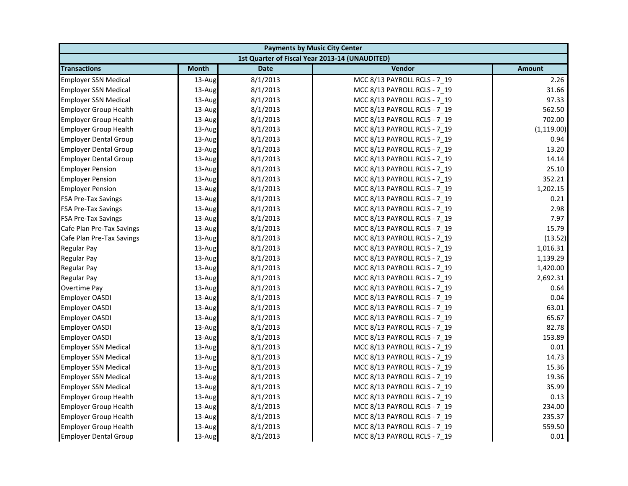| <b>Payments by Music City Center</b> |              |             |                                                |               |
|--------------------------------------|--------------|-------------|------------------------------------------------|---------------|
|                                      |              |             | 1st Quarter of Fiscal Year 2013-14 (UNAUDITED) |               |
| <b>Transactions</b>                  | <b>Month</b> | <b>Date</b> | Vendor                                         | <b>Amount</b> |
| <b>Employer SSN Medical</b>          | 13-Aug       | 8/1/2013    | MCC 8/13 PAYROLL RCLS - 7 19                   | 2.26          |
| <b>Employer SSN Medical</b>          | 13-Aug       | 8/1/2013    | MCC 8/13 PAYROLL RCLS - 7_19                   | 31.66         |
| <b>Employer SSN Medical</b>          | 13-Aug       | 8/1/2013    | MCC 8/13 PAYROLL RCLS - 7 19                   | 97.33         |
| <b>Employer Group Health</b>         | 13-Aug       | 8/1/2013    | MCC 8/13 PAYROLL RCLS - 7 19                   | 562.50        |
| <b>Employer Group Health</b>         | 13-Aug       | 8/1/2013    | MCC 8/13 PAYROLL RCLS - 7_19                   | 702.00        |
| <b>Employer Group Health</b>         | 13-Aug       | 8/1/2013    | MCC 8/13 PAYROLL RCLS - 7 19                   | (1, 119.00)   |
| <b>Employer Dental Group</b>         | 13-Aug       | 8/1/2013    | MCC 8/13 PAYROLL RCLS - 7 19                   | 0.94          |
| <b>Employer Dental Group</b>         | 13-Aug       | 8/1/2013    | MCC 8/13 PAYROLL RCLS - 7 19                   | 13.20         |
| <b>Employer Dental Group</b>         | 13-Aug       | 8/1/2013    | MCC 8/13 PAYROLL RCLS - 7_19                   | 14.14         |
| <b>Employer Pension</b>              | 13-Aug       | 8/1/2013    | MCC 8/13 PAYROLL RCLS - 7 19                   | 25.10         |
| <b>Employer Pension</b>              | 13-Aug       | 8/1/2013    | MCC 8/13 PAYROLL RCLS - 7 19                   | 352.21        |
| <b>Employer Pension</b>              | 13-Aug       | 8/1/2013    | MCC 8/13 PAYROLL RCLS - 7 19                   | 1,202.15      |
| <b>FSA Pre-Tax Savings</b>           | 13-Aug       | 8/1/2013    | MCC 8/13 PAYROLL RCLS - 7_19                   | 0.21          |
| <b>FSA Pre-Tax Savings</b>           | 13-Aug       | 8/1/2013    | MCC 8/13 PAYROLL RCLS - 7 19                   | 2.98          |
| <b>FSA Pre-Tax Savings</b>           | 13-Aug       | 8/1/2013    | MCC 8/13 PAYROLL RCLS - 7 19                   | 7.97          |
| Cafe Plan Pre-Tax Savings            | 13-Aug       | 8/1/2013    | MCC 8/13 PAYROLL RCLS - 7_19                   | 15.79         |
| Cafe Plan Pre-Tax Savings            | 13-Aug       | 8/1/2013    | MCC 8/13 PAYROLL RCLS - 7 19                   | (13.52)       |
| Regular Pay                          | 13-Aug       | 8/1/2013    | MCC 8/13 PAYROLL RCLS - 7 19                   | 1,016.31      |
| <b>Regular Pay</b>                   | 13-Aug       | 8/1/2013    | MCC 8/13 PAYROLL RCLS - 7_19                   | 1,139.29      |
| Regular Pay                          | 13-Aug       | 8/1/2013    | MCC 8/13 PAYROLL RCLS - 7 19                   | 1,420.00      |
| <b>Regular Pay</b>                   | 13-Aug       | 8/1/2013    | MCC 8/13 PAYROLL RCLS - 7 19                   | 2,692.31      |
| Overtime Pay                         | 13-Aug       | 8/1/2013    | MCC 8/13 PAYROLL RCLS - 7 19                   | 0.64          |
| <b>Employer OASDI</b>                | 13-Aug       | 8/1/2013    | MCC 8/13 PAYROLL RCLS - 7_19                   | 0.04          |
| <b>Employer OASDI</b>                | 13-Aug       | 8/1/2013    | MCC 8/13 PAYROLL RCLS - 7 19                   | 63.01         |
| <b>Employer OASDI</b>                | 13-Aug       | 8/1/2013    | MCC 8/13 PAYROLL RCLS - 7 19                   | 65.67         |
| <b>Employer OASDI</b>                | 13-Aug       | 8/1/2013    | MCC 8/13 PAYROLL RCLS - 7_19                   | 82.78         |
| <b>Employer OASDI</b>                | 13-Aug       | 8/1/2013    | MCC 8/13 PAYROLL RCLS - 7 19                   | 153.89        |
| <b>Employer SSN Medical</b>          | 13-Aug       | 8/1/2013    | MCC 8/13 PAYROLL RCLS - 7 19                   | 0.01          |
| <b>Employer SSN Medical</b>          | 13-Aug       | 8/1/2013    | MCC 8/13 PAYROLL RCLS - 7_19                   | 14.73         |
| <b>Employer SSN Medical</b>          | 13-Aug       | 8/1/2013    | MCC 8/13 PAYROLL RCLS - 7 19                   | 15.36         |
| <b>Employer SSN Medical</b>          | 13-Aug       | 8/1/2013    | MCC 8/13 PAYROLL RCLS - 7 19                   | 19.36         |
| <b>Employer SSN Medical</b>          | 13-Aug       | 8/1/2013    | MCC 8/13 PAYROLL RCLS - 7 19                   | 35.99         |
| <b>Employer Group Health</b>         | 13-Aug       | 8/1/2013    | MCC 8/13 PAYROLL RCLS - 7 19                   | 0.13          |
| <b>Employer Group Health</b>         | 13-Aug       | 8/1/2013    | MCC 8/13 PAYROLL RCLS - 7_19                   | 234.00        |
| <b>Employer Group Health</b>         | 13-Aug       | 8/1/2013    | MCC 8/13 PAYROLL RCLS - 7 19                   | 235.37        |
| <b>Employer Group Health</b>         | 13-Aug       | 8/1/2013    | MCC 8/13 PAYROLL RCLS - 7_19                   | 559.50        |
| <b>Employer Dental Group</b>         | 13-Aug       | 8/1/2013    | MCC 8/13 PAYROLL RCLS - 7 19                   | 0.01          |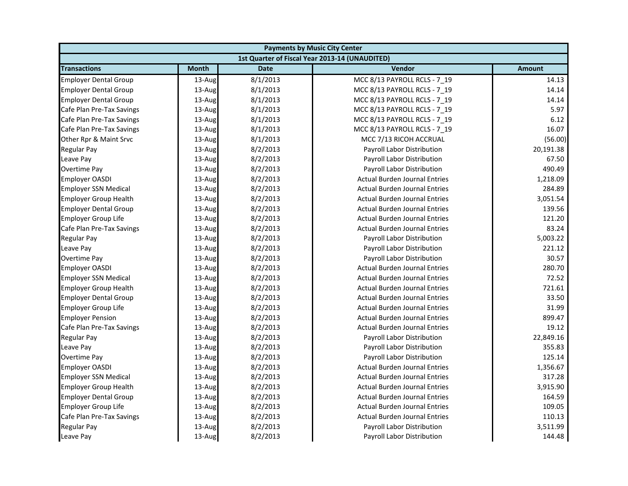| <b>Payments by Music City Center</b> |              |             |                                                |               |
|--------------------------------------|--------------|-------------|------------------------------------------------|---------------|
|                                      |              |             | 1st Quarter of Fiscal Year 2013-14 (UNAUDITED) |               |
| <b>Transactions</b>                  | <b>Month</b> | <b>Date</b> | Vendor                                         | <b>Amount</b> |
| <b>Employer Dental Group</b>         | 13-Aug       | 8/1/2013    | MCC 8/13 PAYROLL RCLS - 7 19                   | 14.13         |
| <b>Employer Dental Group</b>         | 13-Aug       | 8/1/2013    | MCC 8/13 PAYROLL RCLS - 7_19                   | 14.14         |
| <b>Employer Dental Group</b>         | 13-Aug       | 8/1/2013    | MCC 8/13 PAYROLL RCLS - 7_19                   | 14.14         |
| Cafe Plan Pre-Tax Savings            | 13-Aug       | 8/1/2013    | MCC 8/13 PAYROLL RCLS - 7 19                   | 5.97          |
| Cafe Plan Pre-Tax Savings            | 13-Aug       | 8/1/2013    | MCC 8/13 PAYROLL RCLS - 7_19                   | 6.12          |
| Cafe Plan Pre-Tax Savings            | 13-Aug       | 8/1/2013    | MCC 8/13 PAYROLL RCLS - 7_19                   | 16.07         |
| Other Rpr & Maint Srvc               | 13-Aug       | 8/1/2013    | MCC 7/13 RICOH ACCRUAL                         | (56.00)       |
| <b>Regular Pay</b>                   | 13-Aug       | 8/2/2013    | Payroll Labor Distribution                     | 20,191.38     |
| Leave Pay                            | 13-Aug       | 8/2/2013    | Payroll Labor Distribution                     | 67.50         |
| <b>Overtime Pay</b>                  | 13-Aug       | 8/2/2013    | Payroll Labor Distribution                     | 490.49        |
| <b>Employer OASDI</b>                | 13-Aug       | 8/2/2013    | <b>Actual Burden Journal Entries</b>           | 1,218.09      |
| <b>Employer SSN Medical</b>          | 13-Aug       | 8/2/2013    | <b>Actual Burden Journal Entries</b>           | 284.89        |
| <b>Employer Group Health</b>         | 13-Aug       | 8/2/2013    | <b>Actual Burden Journal Entries</b>           | 3,051.54      |
| <b>Employer Dental Group</b>         | 13-Aug       | 8/2/2013    | <b>Actual Burden Journal Entries</b>           | 139.56        |
| <b>Employer Group Life</b>           | 13-Aug       | 8/2/2013    | <b>Actual Burden Journal Entries</b>           | 121.20        |
| Cafe Plan Pre-Tax Savings            | 13-Aug       | 8/2/2013    | <b>Actual Burden Journal Entries</b>           | 83.24         |
| <b>Regular Pay</b>                   | 13-Aug       | 8/2/2013    | Payroll Labor Distribution                     | 5,003.22      |
| Leave Pay                            | 13-Aug       | 8/2/2013    | Payroll Labor Distribution                     | 221.12        |
| Overtime Pay                         | 13-Aug       | 8/2/2013    | Payroll Labor Distribution                     | 30.57         |
| <b>Employer OASDI</b>                | 13-Aug       | 8/2/2013    | <b>Actual Burden Journal Entries</b>           | 280.70        |
| <b>Employer SSN Medical</b>          | 13-Aug       | 8/2/2013    | <b>Actual Burden Journal Entries</b>           | 72.52         |
| <b>Employer Group Health</b>         | 13-Aug       | 8/2/2013    | <b>Actual Burden Journal Entries</b>           | 721.61        |
| <b>Employer Dental Group</b>         | 13-Aug       | 8/2/2013    | <b>Actual Burden Journal Entries</b>           | 33.50         |
| <b>Employer Group Life</b>           | 13-Aug       | 8/2/2013    | <b>Actual Burden Journal Entries</b>           | 31.99         |
| <b>Employer Pension</b>              | 13-Aug       | 8/2/2013    | <b>Actual Burden Journal Entries</b>           | 899.47        |
| Cafe Plan Pre-Tax Savings            | 13-Aug       | 8/2/2013    | <b>Actual Burden Journal Entries</b>           | 19.12         |
| <b>Regular Pay</b>                   | 13-Aug       | 8/2/2013    | Payroll Labor Distribution                     | 22,849.16     |
| Leave Pay                            | 13-Aug       | 8/2/2013    | Payroll Labor Distribution                     | 355.83        |
| <b>Overtime Pay</b>                  | 13-Aug       | 8/2/2013    | Payroll Labor Distribution                     | 125.14        |
| <b>Employer OASDI</b>                | 13-Aug       | 8/2/2013    | <b>Actual Burden Journal Entries</b>           | 1,356.67      |
| <b>Employer SSN Medical</b>          | 13-Aug       | 8/2/2013    | <b>Actual Burden Journal Entries</b>           | 317.28        |
| <b>Employer Group Health</b>         | 13-Aug       | 8/2/2013    | <b>Actual Burden Journal Entries</b>           | 3,915.90      |
| <b>Employer Dental Group</b>         | 13-Aug       | 8/2/2013    | <b>Actual Burden Journal Entries</b>           | 164.59        |
| <b>Employer Group Life</b>           | 13-Aug       | 8/2/2013    | <b>Actual Burden Journal Entries</b>           | 109.05        |
| Cafe Plan Pre-Tax Savings            | 13-Aug       | 8/2/2013    | <b>Actual Burden Journal Entries</b>           | 110.13        |
| <b>Regular Pay</b>                   | 13-Aug       | 8/2/2013    | Payroll Labor Distribution                     | 3,511.99      |
| Leave Pay                            | 13-Aug       | 8/2/2013    | Payroll Labor Distribution                     | 144.48        |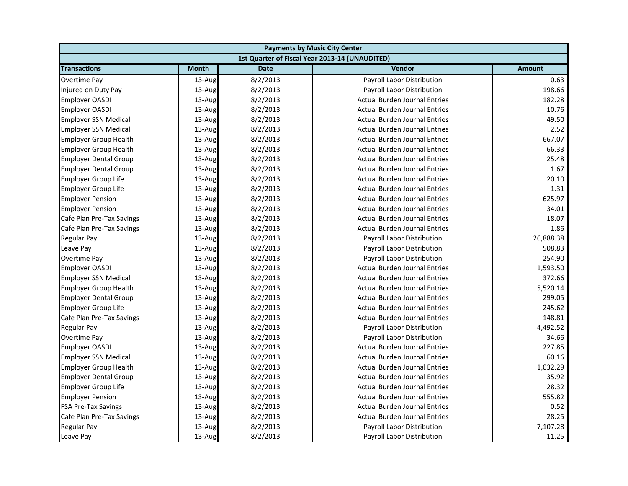| <b>Payments by Music City Center</b> |              |             |                                                |               |
|--------------------------------------|--------------|-------------|------------------------------------------------|---------------|
|                                      |              |             | 1st Quarter of Fiscal Year 2013-14 (UNAUDITED) |               |
| <b>Transactions</b>                  | <b>Month</b> | <b>Date</b> | Vendor                                         | <b>Amount</b> |
| <b>Overtime Pay</b>                  | 13-Aug       | 8/2/2013    | Payroll Labor Distribution                     | 0.63          |
| Injured on Duty Pay                  | $13$ -Aug    | 8/2/2013    | Payroll Labor Distribution                     | 198.66        |
| <b>Employer OASDI</b>                | 13-Aug       | 8/2/2013    | <b>Actual Burden Journal Entries</b>           | 182.28        |
| <b>Employer OASDI</b>                | 13-Aug       | 8/2/2013    | <b>Actual Burden Journal Entries</b>           | 10.76         |
| <b>Employer SSN Medical</b>          | 13-Aug       | 8/2/2013    | <b>Actual Burden Journal Entries</b>           | 49.50         |
| <b>Employer SSN Medical</b>          | 13-Aug       | 8/2/2013    | <b>Actual Burden Journal Entries</b>           | 2.52          |
| <b>Employer Group Health</b>         | 13-Aug       | 8/2/2013    | <b>Actual Burden Journal Entries</b>           | 667.07        |
| <b>Employer Group Health</b>         | 13-Aug       | 8/2/2013    | <b>Actual Burden Journal Entries</b>           | 66.33         |
| <b>Employer Dental Group</b>         | 13-Aug       | 8/2/2013    | <b>Actual Burden Journal Entries</b>           | 25.48         |
| <b>Employer Dental Group</b>         | 13-Aug       | 8/2/2013    | <b>Actual Burden Journal Entries</b>           | 1.67          |
| <b>Employer Group Life</b>           | 13-Aug       | 8/2/2013    | <b>Actual Burden Journal Entries</b>           | 20.10         |
| <b>Employer Group Life</b>           | 13-Aug       | 8/2/2013    | <b>Actual Burden Journal Entries</b>           | 1.31          |
| <b>Employer Pension</b>              | 13-Aug       | 8/2/2013    | <b>Actual Burden Journal Entries</b>           | 625.97        |
| <b>Employer Pension</b>              | 13-Aug       | 8/2/2013    | <b>Actual Burden Journal Entries</b>           | 34.01         |
| Cafe Plan Pre-Tax Savings            | 13-Aug       | 8/2/2013    | <b>Actual Burden Journal Entries</b>           | 18.07         |
| Cafe Plan Pre-Tax Savings            | 13-Aug       | 8/2/2013    | <b>Actual Burden Journal Entries</b>           | 1.86          |
| <b>Regular Pay</b>                   | 13-Aug       | 8/2/2013    | Payroll Labor Distribution                     | 26,888.38     |
| Leave Pay                            | 13-Aug       | 8/2/2013    | Payroll Labor Distribution                     | 508.83        |
| Overtime Pay                         | 13-Aug       | 8/2/2013    | Payroll Labor Distribution                     | 254.90        |
| <b>Employer OASDI</b>                | 13-Aug       | 8/2/2013    | <b>Actual Burden Journal Entries</b>           | 1,593.50      |
| <b>Employer SSN Medical</b>          | 13-Aug       | 8/2/2013    | <b>Actual Burden Journal Entries</b>           | 372.66        |
| <b>Employer Group Health</b>         | 13-Aug       | 8/2/2013    | <b>Actual Burden Journal Entries</b>           | 5,520.14      |
| <b>Employer Dental Group</b>         | 13-Aug       | 8/2/2013    | <b>Actual Burden Journal Entries</b>           | 299.05        |
| <b>Employer Group Life</b>           | 13-Aug       | 8/2/2013    | <b>Actual Burden Journal Entries</b>           | 245.62        |
| Cafe Plan Pre-Tax Savings            | 13-Aug       | 8/2/2013    | <b>Actual Burden Journal Entries</b>           | 148.81        |
| <b>Regular Pay</b>                   | 13-Aug       | 8/2/2013    | Payroll Labor Distribution                     | 4,492.52      |
| <b>Overtime Pay</b>                  | 13-Aug       | 8/2/2013    | Payroll Labor Distribution                     | 34.66         |
| <b>Employer OASDI</b>                | 13-Aug       | 8/2/2013    | <b>Actual Burden Journal Entries</b>           | 227.85        |
| <b>Employer SSN Medical</b>          | 13-Aug       | 8/2/2013    | <b>Actual Burden Journal Entries</b>           | 60.16         |
| <b>Employer Group Health</b>         | 13-Aug       | 8/2/2013    | <b>Actual Burden Journal Entries</b>           | 1,032.29      |
| <b>Employer Dental Group</b>         | 13-Aug       | 8/2/2013    | <b>Actual Burden Journal Entries</b>           | 35.92         |
| <b>Employer Group Life</b>           | 13-Aug       | 8/2/2013    | <b>Actual Burden Journal Entries</b>           | 28.32         |
| <b>Employer Pension</b>              | 13-Aug       | 8/2/2013    | <b>Actual Burden Journal Entries</b>           | 555.82        |
| <b>FSA Pre-Tax Savings</b>           | 13-Aug       | 8/2/2013    | <b>Actual Burden Journal Entries</b>           | 0.52          |
| Cafe Plan Pre-Tax Savings            | 13-Aug       | 8/2/2013    | <b>Actual Burden Journal Entries</b>           | 28.25         |
| <b>Regular Pay</b>                   | 13-Aug       | 8/2/2013    | Payroll Labor Distribution                     | 7,107.28      |
| Leave Pay                            | 13-Aug       | 8/2/2013    | Payroll Labor Distribution                     | 11.25         |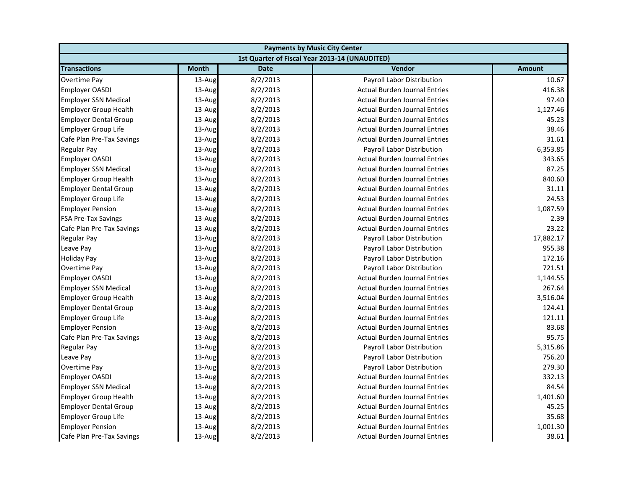| <b>Payments by Music City Center</b> |              |             |                                                |               |
|--------------------------------------|--------------|-------------|------------------------------------------------|---------------|
|                                      |              |             | 1st Quarter of Fiscal Year 2013-14 (UNAUDITED) |               |
| <b>Transactions</b>                  | <b>Month</b> | <b>Date</b> | Vendor                                         | <b>Amount</b> |
| Overtime Pay                         | 13-Aug       | 8/2/2013    | Payroll Labor Distribution                     | 10.67         |
| <b>Employer OASDI</b>                | 13-Aug       | 8/2/2013    | <b>Actual Burden Journal Entries</b>           | 416.38        |
| <b>Employer SSN Medical</b>          | 13-Aug       | 8/2/2013    | <b>Actual Burden Journal Entries</b>           | 97.40         |
| <b>Employer Group Health</b>         | 13-Aug       | 8/2/2013    | <b>Actual Burden Journal Entries</b>           | 1,127.46      |
| <b>Employer Dental Group</b>         | 13-Aug       | 8/2/2013    | <b>Actual Burden Journal Entries</b>           | 45.23         |
| Employer Group Life                  | 13-Aug       | 8/2/2013    | <b>Actual Burden Journal Entries</b>           | 38.46         |
| Cafe Plan Pre-Tax Savings            | 13-Aug       | 8/2/2013    | <b>Actual Burden Journal Entries</b>           | 31.61         |
| <b>Regular Pay</b>                   | 13-Aug       | 8/2/2013    | Payroll Labor Distribution                     | 6,353.85      |
| <b>Employer OASDI</b>                | 13-Aug       | 8/2/2013    | <b>Actual Burden Journal Entries</b>           | 343.65        |
| <b>Employer SSN Medical</b>          | 13-Aug       | 8/2/2013    | <b>Actual Burden Journal Entries</b>           | 87.25         |
| <b>Employer Group Health</b>         | 13-Aug       | 8/2/2013    | <b>Actual Burden Journal Entries</b>           | 840.60        |
| <b>Employer Dental Group</b>         | 13-Aug       | 8/2/2013    | <b>Actual Burden Journal Entries</b>           | 31.11         |
| <b>Employer Group Life</b>           | 13-Aug       | 8/2/2013    | <b>Actual Burden Journal Entries</b>           | 24.53         |
| <b>Employer Pension</b>              | 13-Aug       | 8/2/2013    | <b>Actual Burden Journal Entries</b>           | 1,087.59      |
| <b>FSA Pre-Tax Savings</b>           | 13-Aug       | 8/2/2013    | <b>Actual Burden Journal Entries</b>           | 2.39          |
| Cafe Plan Pre-Tax Savings            | 13-Aug       | 8/2/2013    | <b>Actual Burden Journal Entries</b>           | 23.22         |
| <b>Regular Pay</b>                   | 13-Aug       | 8/2/2013    | <b>Payroll Labor Distribution</b>              | 17,882.17     |
| Leave Pay                            | 13-Aug       | 8/2/2013    | Payroll Labor Distribution                     | 955.38        |
| <b>Holiday Pay</b>                   | 13-Aug       | 8/2/2013    | Payroll Labor Distribution                     | 172.16        |
| Overtime Pay                         | 13-Aug       | 8/2/2013    | Payroll Labor Distribution                     | 721.51        |
| <b>Employer OASDI</b>                | 13-Aug       | 8/2/2013    | <b>Actual Burden Journal Entries</b>           | 1,144.55      |
| <b>Employer SSN Medical</b>          | 13-Aug       | 8/2/2013    | <b>Actual Burden Journal Entries</b>           | 267.64        |
| <b>Employer Group Health</b>         | 13-Aug       | 8/2/2013    | <b>Actual Burden Journal Entries</b>           | 3,516.04      |
| <b>Employer Dental Group</b>         | 13-Aug       | 8/2/2013    | <b>Actual Burden Journal Entries</b>           | 124.41        |
| <b>Employer Group Life</b>           | 13-Aug       | 8/2/2013    | <b>Actual Burden Journal Entries</b>           | 121.11        |
| <b>Employer Pension</b>              | 13-Aug       | 8/2/2013    | <b>Actual Burden Journal Entries</b>           | 83.68         |
| Cafe Plan Pre-Tax Savings            | 13-Aug       | 8/2/2013    | <b>Actual Burden Journal Entries</b>           | 95.75         |
| <b>Regular Pay</b>                   | 13-Aug       | 8/2/2013    | Payroll Labor Distribution                     | 5,315.86      |
| Leave Pay                            | 13-Aug       | 8/2/2013    | Payroll Labor Distribution                     | 756.20        |
| Overtime Pay                         | 13-Aug       | 8/2/2013    | <b>Payroll Labor Distribution</b>              | 279.30        |
| <b>Employer OASDI</b>                | 13-Aug       | 8/2/2013    | <b>Actual Burden Journal Entries</b>           | 332.13        |
| <b>Employer SSN Medical</b>          | 13-Aug       | 8/2/2013    | <b>Actual Burden Journal Entries</b>           | 84.54         |
| <b>Employer Group Health</b>         | 13-Aug       | 8/2/2013    | <b>Actual Burden Journal Entries</b>           | 1,401.60      |
| <b>Employer Dental Group</b>         | 13-Aug       | 8/2/2013    | <b>Actual Burden Journal Entries</b>           | 45.25         |
| <b>Employer Group Life</b>           | 13-Aug       | 8/2/2013    | <b>Actual Burden Journal Entries</b>           | 35.68         |
| <b>Employer Pension</b>              | 13-Aug       | 8/2/2013    | <b>Actual Burden Journal Entries</b>           | 1,001.30      |
| Cafe Plan Pre-Tax Savings            | 13-Aug       | 8/2/2013    | <b>Actual Burden Journal Entries</b>           | 38.61         |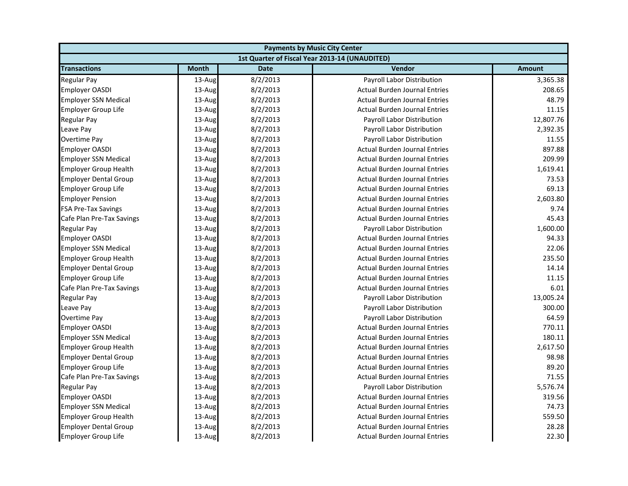| <b>Payments by Music City Center</b> |              |             |                                                |               |
|--------------------------------------|--------------|-------------|------------------------------------------------|---------------|
|                                      |              |             | 1st Quarter of Fiscal Year 2013-14 (UNAUDITED) |               |
| <b>Transactions</b>                  | <b>Month</b> | <b>Date</b> | Vendor                                         | <b>Amount</b> |
| <b>Regular Pay</b>                   | 13-Aug       | 8/2/2013    | Payroll Labor Distribution                     | 3,365.38      |
| <b>Employer OASDI</b>                | 13-Aug       | 8/2/2013    | <b>Actual Burden Journal Entries</b>           | 208.65        |
| <b>Employer SSN Medical</b>          | 13-Aug       | 8/2/2013    | <b>Actual Burden Journal Entries</b>           | 48.79         |
| <b>Employer Group Life</b>           | 13-Aug       | 8/2/2013    | <b>Actual Burden Journal Entries</b>           | 11.15         |
| <b>Regular Pay</b>                   | 13-Aug       | 8/2/2013    | Payroll Labor Distribution                     | 12,807.76     |
| Leave Pay                            | 13-Aug       | 8/2/2013    | Payroll Labor Distribution                     | 2,392.35      |
| Overtime Pay                         | 13-Aug       | 8/2/2013    | Payroll Labor Distribution                     | 11.55         |
| <b>Employer OASDI</b>                | 13-Aug       | 8/2/2013    | <b>Actual Burden Journal Entries</b>           | 897.88        |
| <b>Employer SSN Medical</b>          | 13-Aug       | 8/2/2013    | <b>Actual Burden Journal Entries</b>           | 209.99        |
| <b>Employer Group Health</b>         | 13-Aug       | 8/2/2013    | <b>Actual Burden Journal Entries</b>           | 1,619.41      |
| <b>Employer Dental Group</b>         | 13-Aug       | 8/2/2013    | <b>Actual Burden Journal Entries</b>           | 73.53         |
| <b>Employer Group Life</b>           | 13-Aug       | 8/2/2013    | <b>Actual Burden Journal Entries</b>           | 69.13         |
| <b>Employer Pension</b>              | 13-Aug       | 8/2/2013    | <b>Actual Burden Journal Entries</b>           | 2,603.80      |
| <b>FSA Pre-Tax Savings</b>           | 13-Aug       | 8/2/2013    | <b>Actual Burden Journal Entries</b>           | 9.74          |
| Cafe Plan Pre-Tax Savings            | 13-Aug       | 8/2/2013    | <b>Actual Burden Journal Entries</b>           | 45.43         |
| Regular Pay                          | 13-Aug       | 8/2/2013    | Payroll Labor Distribution                     | 1,600.00      |
| <b>Employer OASDI</b>                | 13-Aug       | 8/2/2013    | <b>Actual Burden Journal Entries</b>           | 94.33         |
| <b>Employer SSN Medical</b>          | 13-Aug       | 8/2/2013    | <b>Actual Burden Journal Entries</b>           | 22.06         |
| <b>Employer Group Health</b>         | 13-Aug       | 8/2/2013    | <b>Actual Burden Journal Entries</b>           | 235.50        |
| <b>Employer Dental Group</b>         | 13-Aug       | 8/2/2013    | <b>Actual Burden Journal Entries</b>           | 14.14         |
| <b>Employer Group Life</b>           | 13-Aug       | 8/2/2013    | <b>Actual Burden Journal Entries</b>           | 11.15         |
| Cafe Plan Pre-Tax Savings            | 13-Aug       | 8/2/2013    | <b>Actual Burden Journal Entries</b>           | 6.01          |
| <b>Regular Pay</b>                   | 13-Aug       | 8/2/2013    | Payroll Labor Distribution                     | 13,005.24     |
| Leave Pay                            | 13-Aug       | 8/2/2013    | Payroll Labor Distribution                     | 300.00        |
| <b>Overtime Pay</b>                  | 13-Aug       | 8/2/2013    | Payroll Labor Distribution                     | 64.59         |
| <b>Employer OASDI</b>                | 13-Aug       | 8/2/2013    | <b>Actual Burden Journal Entries</b>           | 770.11        |
| <b>Employer SSN Medical</b>          | 13-Aug       | 8/2/2013    | <b>Actual Burden Journal Entries</b>           | 180.11        |
| <b>Employer Group Health</b>         | 13-Aug       | 8/2/2013    | <b>Actual Burden Journal Entries</b>           | 2,617.50      |
| <b>Employer Dental Group</b>         | 13-Aug       | 8/2/2013    | <b>Actual Burden Journal Entries</b>           | 98.98         |
| <b>Employer Group Life</b>           | 13-Aug       | 8/2/2013    | <b>Actual Burden Journal Entries</b>           | 89.20         |
| Cafe Plan Pre-Tax Savings            | 13-Aug       | 8/2/2013    | <b>Actual Burden Journal Entries</b>           | 71.55         |
| <b>Regular Pay</b>                   | 13-Aug       | 8/2/2013    | <b>Payroll Labor Distribution</b>              | 5,576.74      |
| <b>Employer OASDI</b>                | 13-Aug       | 8/2/2013    | <b>Actual Burden Journal Entries</b>           | 319.56        |
| <b>Employer SSN Medical</b>          | 13-Aug       | 8/2/2013    | <b>Actual Burden Journal Entries</b>           | 74.73         |
| <b>Employer Group Health</b>         | 13-Aug       | 8/2/2013    | <b>Actual Burden Journal Entries</b>           | 559.50        |
| <b>Employer Dental Group</b>         | 13-Aug       | 8/2/2013    | <b>Actual Burden Journal Entries</b>           | 28.28         |
| <b>Employer Group Life</b>           | 13-Aug       | 8/2/2013    | <b>Actual Burden Journal Entries</b>           | 22.30         |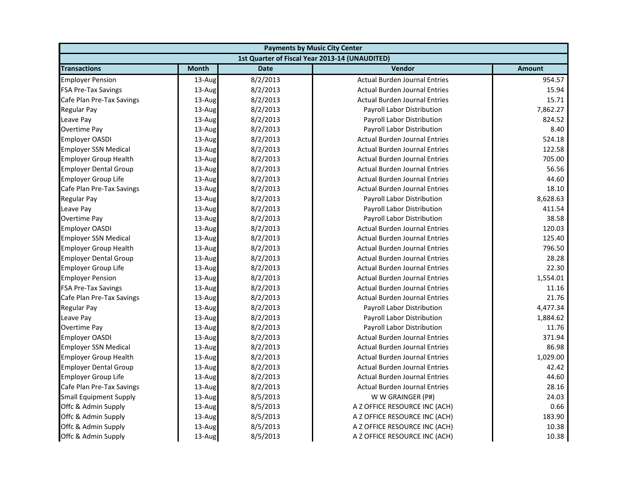| <b>Payments by Music City Center</b> |              |             |                                                |               |
|--------------------------------------|--------------|-------------|------------------------------------------------|---------------|
|                                      |              |             | 1st Quarter of Fiscal Year 2013-14 (UNAUDITED) |               |
| <b>Transactions</b>                  | <b>Month</b> | <b>Date</b> | Vendor                                         | <b>Amount</b> |
| <b>Employer Pension</b>              | 13-Aug       | 8/2/2013    | <b>Actual Burden Journal Entries</b>           | 954.57        |
| <b>FSA Pre-Tax Savings</b>           | 13-Aug       | 8/2/2013    | <b>Actual Burden Journal Entries</b>           | 15.94         |
| Cafe Plan Pre-Tax Savings            | 13-Aug       | 8/2/2013    | <b>Actual Burden Journal Entries</b>           | 15.71         |
| <b>Regular Pay</b>                   | 13-Aug       | 8/2/2013    | Payroll Labor Distribution                     | 7,862.27      |
| Leave Pay                            | 13-Aug       | 8/2/2013    | Payroll Labor Distribution                     | 824.52        |
| <b>Overtime Pay</b>                  | 13-Aug       | 8/2/2013    | Payroll Labor Distribution                     | 8.40          |
| <b>Employer OASDI</b>                | 13-Aug       | 8/2/2013    | <b>Actual Burden Journal Entries</b>           | 524.18        |
| <b>Employer SSN Medical</b>          | 13-Aug       | 8/2/2013    | <b>Actual Burden Journal Entries</b>           | 122.58        |
| <b>Employer Group Health</b>         | 13-Aug       | 8/2/2013    | <b>Actual Burden Journal Entries</b>           | 705.00        |
| <b>Employer Dental Group</b>         | 13-Aug       | 8/2/2013    | <b>Actual Burden Journal Entries</b>           | 56.56         |
| <b>Employer Group Life</b>           | 13-Aug       | 8/2/2013    | <b>Actual Burden Journal Entries</b>           | 44.60         |
| Cafe Plan Pre-Tax Savings            | 13-Aug       | 8/2/2013    | <b>Actual Burden Journal Entries</b>           | 18.10         |
| <b>Regular Pay</b>                   | 13-Aug       | 8/2/2013    | Payroll Labor Distribution                     | 8,628.63      |
| Leave Pay                            | 13-Aug       | 8/2/2013    | Payroll Labor Distribution                     | 411.54        |
| Overtime Pay                         | 13-Aug       | 8/2/2013    | Payroll Labor Distribution                     | 38.58         |
| <b>Employer OASDI</b>                | 13-Aug       | 8/2/2013    | <b>Actual Burden Journal Entries</b>           | 120.03        |
| <b>Employer SSN Medical</b>          | 13-Aug       | 8/2/2013    | <b>Actual Burden Journal Entries</b>           | 125.40        |
| <b>Employer Group Health</b>         | 13-Aug       | 8/2/2013    | <b>Actual Burden Journal Entries</b>           | 796.50        |
| <b>Employer Dental Group</b>         | 13-Aug       | 8/2/2013    | <b>Actual Burden Journal Entries</b>           | 28.28         |
| <b>Employer Group Life</b>           | 13-Aug       | 8/2/2013    | <b>Actual Burden Journal Entries</b>           | 22.30         |
| <b>Employer Pension</b>              | 13-Aug       | 8/2/2013    | <b>Actual Burden Journal Entries</b>           | 1,554.01      |
| <b>FSA Pre-Tax Savings</b>           | 13-Aug       | 8/2/2013    | <b>Actual Burden Journal Entries</b>           | 11.16         |
| Cafe Plan Pre-Tax Savings            | 13-Aug       | 8/2/2013    | <b>Actual Burden Journal Entries</b>           | 21.76         |
| <b>Regular Pay</b>                   | 13-Aug       | 8/2/2013    | Payroll Labor Distribution                     | 4,477.34      |
| Leave Pay                            | 13-Aug       | 8/2/2013    | Payroll Labor Distribution                     | 1,884.62      |
| <b>Overtime Pay</b>                  | 13-Aug       | 8/2/2013    | Payroll Labor Distribution                     | 11.76         |
| <b>Employer OASDI</b>                | 13-Aug       | 8/2/2013    | <b>Actual Burden Journal Entries</b>           | 371.94        |
| <b>Employer SSN Medical</b>          | 13-Aug       | 8/2/2013    | <b>Actual Burden Journal Entries</b>           | 86.98         |
| <b>Employer Group Health</b>         | 13-Aug       | 8/2/2013    | <b>Actual Burden Journal Entries</b>           | 1,029.00      |
| <b>Employer Dental Group</b>         | 13-Aug       | 8/2/2013    | <b>Actual Burden Journal Entries</b>           | 42.42         |
| <b>Employer Group Life</b>           | 13-Aug       | 8/2/2013    | <b>Actual Burden Journal Entries</b>           | 44.60         |
| Cafe Plan Pre-Tax Savings            | 13-Aug       | 8/2/2013    | <b>Actual Burden Journal Entries</b>           | 28.16         |
| <b>Small Equipment Supply</b>        | 13-Aug       | 8/5/2013    | W W GRAINGER (P#)                              | 24.03         |
| Offc & Admin Supply                  | 13-Aug       | 8/5/2013    | A Z OFFICE RESOURCE INC (ACH)                  | 0.66          |
| Offc & Admin Supply                  | 13-Aug       | 8/5/2013    | A Z OFFICE RESOURCE INC (ACH)                  | 183.90        |
| Offc & Admin Supply                  | 13-Aug       | 8/5/2013    | A Z OFFICE RESOURCE INC (ACH)                  | 10.38         |
| Offc & Admin Supply                  | 13-Aug       | 8/5/2013    | A Z OFFICE RESOURCE INC (ACH)                  | 10.38         |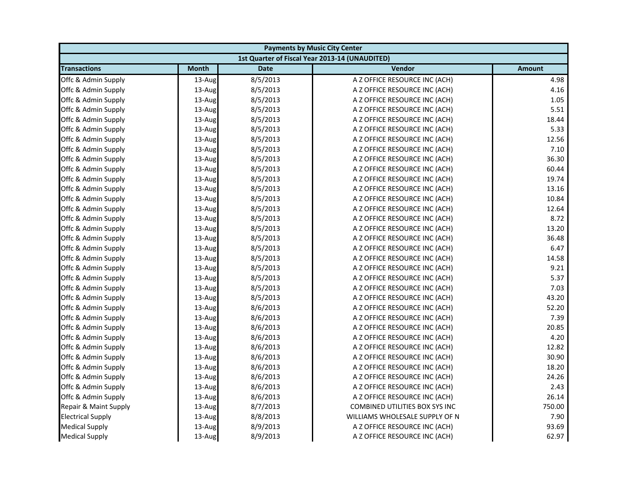| <b>Payments by Music City Center</b> |              |             |                                                |               |
|--------------------------------------|--------------|-------------|------------------------------------------------|---------------|
|                                      |              |             | 1st Quarter of Fiscal Year 2013-14 (UNAUDITED) |               |
| <b>Transactions</b>                  | <b>Month</b> | <b>Date</b> | Vendor                                         | <b>Amount</b> |
| Offc & Admin Supply                  | 13-Aug       | 8/5/2013    | A Z OFFICE RESOURCE INC (ACH)                  | 4.98          |
| Offc & Admin Supply                  | 13-Aug       | 8/5/2013    | A Z OFFICE RESOURCE INC (ACH)                  | 4.16          |
| Offc & Admin Supply                  | 13-Aug       | 8/5/2013    | A Z OFFICE RESOURCE INC (ACH)                  | 1.05          |
| Offc & Admin Supply                  | 13-Aug       | 8/5/2013    | A Z OFFICE RESOURCE INC (ACH)                  | 5.51          |
| Offc & Admin Supply                  | 13-Aug       | 8/5/2013    | A Z OFFICE RESOURCE INC (ACH)                  | 18.44         |
| Offc & Admin Supply                  | 13-Aug       | 8/5/2013    | A Z OFFICE RESOURCE INC (ACH)                  | 5.33          |
| Offc & Admin Supply                  | 13-Aug       | 8/5/2013    | A Z OFFICE RESOURCE INC (ACH)                  | 12.56         |
| Offc & Admin Supply                  | 13-Aug       | 8/5/2013    | A Z OFFICE RESOURCE INC (ACH)                  | 7.10          |
| Offc & Admin Supply                  | 13-Aug       | 8/5/2013    | A Z OFFICE RESOURCE INC (ACH)                  | 36.30         |
| Offc & Admin Supply                  | 13-Aug       | 8/5/2013    | A Z OFFICE RESOURCE INC (ACH)                  | 60.44         |
| Offc & Admin Supply                  | 13-Aug       | 8/5/2013    | A Z OFFICE RESOURCE INC (ACH)                  | 19.74         |
| Offc & Admin Supply                  | 13-Aug       | 8/5/2013    | A Z OFFICE RESOURCE INC (ACH)                  | 13.16         |
| Offc & Admin Supply                  | 13-Aug       | 8/5/2013    | A Z OFFICE RESOURCE INC (ACH)                  | 10.84         |
| Offc & Admin Supply                  | 13-Aug       | 8/5/2013    | A Z OFFICE RESOURCE INC (ACH)                  | 12.64         |
| Offc & Admin Supply                  | 13-Aug       | 8/5/2013    | A Z OFFICE RESOURCE INC (ACH)                  | 8.72          |
| Offc & Admin Supply                  | 13-Aug       | 8/5/2013    | A Z OFFICE RESOURCE INC (ACH)                  | 13.20         |
| Offc & Admin Supply                  | 13-Aug       | 8/5/2013    | A Z OFFICE RESOURCE INC (ACH)                  | 36.48         |
| Offc & Admin Supply                  | 13-Aug       | 8/5/2013    | A Z OFFICE RESOURCE INC (ACH)                  | 6.47          |
| Offc & Admin Supply                  | 13-Aug       | 8/5/2013    | A Z OFFICE RESOURCE INC (ACH)                  | 14.58         |
| Offc & Admin Supply                  | 13-Aug       | 8/5/2013    | A Z OFFICE RESOURCE INC (ACH)                  | 9.21          |
| Offc & Admin Supply                  | 13-Aug       | 8/5/2013    | A Z OFFICE RESOURCE INC (ACH)                  | 5.37          |
| Offc & Admin Supply                  | 13-Aug       | 8/5/2013    | A Z OFFICE RESOURCE INC (ACH)                  | 7.03          |
| Offc & Admin Supply                  | 13-Aug       | 8/5/2013    | A Z OFFICE RESOURCE INC (ACH)                  | 43.20         |
| Offc & Admin Supply                  | 13-Aug       | 8/6/2013    | A Z OFFICE RESOURCE INC (ACH)                  | 52.20         |
| Offc & Admin Supply                  | 13-Aug       | 8/6/2013    | A Z OFFICE RESOURCE INC (ACH)                  | 7.39          |
| Offc & Admin Supply                  | 13-Aug       | 8/6/2013    | A Z OFFICE RESOURCE INC (ACH)                  | 20.85         |
| Offc & Admin Supply                  | 13-Aug       | 8/6/2013    | A Z OFFICE RESOURCE INC (ACH)                  | 4.20          |
| Offc & Admin Supply                  | 13-Aug       | 8/6/2013    | A Z OFFICE RESOURCE INC (ACH)                  | 12.82         |
| Offc & Admin Supply                  | 13-Aug       | 8/6/2013    | A Z OFFICE RESOURCE INC (ACH)                  | 30.90         |
| Offc & Admin Supply                  | 13-Aug       | 8/6/2013    | A Z OFFICE RESOURCE INC (ACH)                  | 18.20         |
| Offc & Admin Supply                  | 13-Aug       | 8/6/2013    | A Z OFFICE RESOURCE INC (ACH)                  | 24.26         |
| Offc & Admin Supply                  | 13-Aug       | 8/6/2013    | A Z OFFICE RESOURCE INC (ACH)                  | 2.43          |
| Offc & Admin Supply                  | 13-Aug       | 8/6/2013    | A Z OFFICE RESOURCE INC (ACH)                  | 26.14         |
| Repair & Maint Supply                | 13-Aug       | 8/7/2013    | COMBINED UTILITIES BOX SYS INC                 | 750.00        |
| <b>Electrical Supply</b>             | 13-Aug       | 8/8/2013    | WILLIAMS WHOLESALE SUPPLY OF N                 | 7.90          |
| <b>Medical Supply</b>                | 13-Aug       | 8/9/2013    | A Z OFFICE RESOURCE INC (ACH)                  | 93.69         |
| <b>Medical Supply</b>                | 13-Aug       | 8/9/2013    | A Z OFFICE RESOURCE INC (ACH)                  | 62.97         |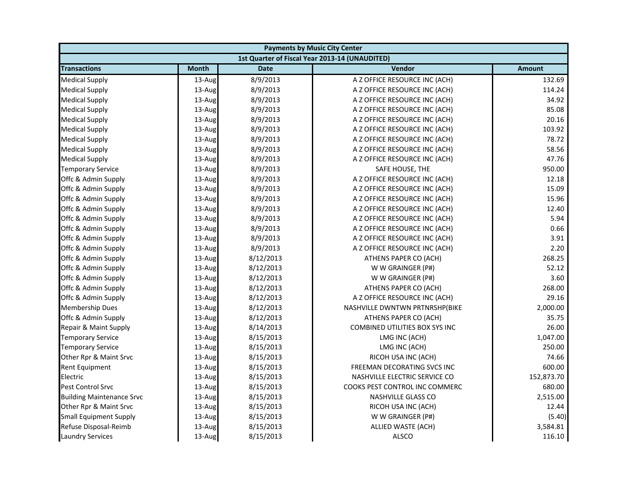| <b>Payments by Music City Center</b> |              |             |                                                |               |
|--------------------------------------|--------------|-------------|------------------------------------------------|---------------|
|                                      |              |             | 1st Quarter of Fiscal Year 2013-14 (UNAUDITED) |               |
| <b>Transactions</b>                  | <b>Month</b> | <b>Date</b> | Vendor                                         | <b>Amount</b> |
| <b>Medical Supply</b>                | 13-Aug       | 8/9/2013    | A Z OFFICE RESOURCE INC (ACH)                  | 132.69        |
| <b>Medical Supply</b>                | 13-Aug       | 8/9/2013    | A Z OFFICE RESOURCE INC (ACH)                  | 114.24        |
| <b>Medical Supply</b>                | 13-Aug       | 8/9/2013    | A Z OFFICE RESOURCE INC (ACH)                  | 34.92         |
| <b>Medical Supply</b>                | 13-Aug       | 8/9/2013    | A Z OFFICE RESOURCE INC (ACH)                  | 85.08         |
| <b>Medical Supply</b>                | 13-Aug       | 8/9/2013    | A Z OFFICE RESOURCE INC (ACH)                  | 20.16         |
| <b>Medical Supply</b>                | 13-Aug       | 8/9/2013    | A Z OFFICE RESOURCE INC (ACH)                  | 103.92        |
| <b>Medical Supply</b>                | 13-Aug       | 8/9/2013    | A Z OFFICE RESOURCE INC (ACH)                  | 78.72         |
| <b>Medical Supply</b>                | 13-Aug       | 8/9/2013    | A Z OFFICE RESOURCE INC (ACH)                  | 58.56         |
| <b>Medical Supply</b>                | 13-Aug       | 8/9/2013    | A Z OFFICE RESOURCE INC (ACH)                  | 47.76         |
| <b>Temporary Service</b>             | 13-Aug       | 8/9/2013    | SAFE HOUSE, THE                                | 950.00        |
| Offc & Admin Supply                  | 13-Aug       | 8/9/2013    | A Z OFFICE RESOURCE INC (ACH)                  | 12.18         |
| Offc & Admin Supply                  | 13-Aug       | 8/9/2013    | A Z OFFICE RESOURCE INC (ACH)                  | 15.09         |
| Offc & Admin Supply                  | 13-Aug       | 8/9/2013    | A Z OFFICE RESOURCE INC (ACH)                  | 15.96         |
| Offc & Admin Supply                  | 13-Aug       | 8/9/2013    | A Z OFFICE RESOURCE INC (ACH)                  | 12.40         |
| Offc & Admin Supply                  | 13-Aug       | 8/9/2013    | A Z OFFICE RESOURCE INC (ACH)                  | 5.94          |
| Offc & Admin Supply                  | 13-Aug       | 8/9/2013    | A Z OFFICE RESOURCE INC (ACH)                  | 0.66          |
| Offc & Admin Supply                  | 13-Aug       | 8/9/2013    | A Z OFFICE RESOURCE INC (ACH)                  | 3.91          |
| Offc & Admin Supply                  | 13-Aug       | 8/9/2013    | A Z OFFICE RESOURCE INC (ACH)                  | 2.20          |
| Offc & Admin Supply                  | 13-Aug       | 8/12/2013   | ATHENS PAPER CO (ACH)                          | 268.25        |
| Offc & Admin Supply                  | 13-Aug       | 8/12/2013   | W W GRAINGER (P#)                              | 52.12         |
| Offc & Admin Supply                  | 13-Aug       | 8/12/2013   | W W GRAINGER (P#)                              | 3.60          |
| Offc & Admin Supply                  | 13-Aug       | 8/12/2013   | ATHENS PAPER CO (ACH)                          | 268.00        |
| Offc & Admin Supply                  | 13-Aug       | 8/12/2013   | A Z OFFICE RESOURCE INC (ACH)                  | 29.16         |
| <b>Membership Dues</b>               | 13-Aug       | 8/12/2013   | NASHVILLE DWNTWN PRTNRSHP(BIKE                 | 2,000.00      |
| Offc & Admin Supply                  | 13-Aug       | 8/12/2013   | ATHENS PAPER CO (ACH)                          | 35.75         |
| Repair & Maint Supply                | 13-Aug       | 8/14/2013   | <b>COMBINED UTILITIES BOX SYS INC</b>          | 26.00         |
| <b>Temporary Service</b>             | 13-Aug       | 8/15/2013   | LMG INC (ACH)                                  | 1,047.00      |
| <b>Temporary Service</b>             | 13-Aug       | 8/15/2013   | LMG INC (ACH)                                  | 250.00        |
| Other Rpr & Maint Srvc               | 13-Aug       | 8/15/2013   | RICOH USA INC (ACH)                            | 74.66         |
| Rent Equipment                       | 13-Aug       | 8/15/2013   | FREEMAN DECORATING SVCS INC                    | 600.00        |
| Electric                             | 13-Aug       | 8/15/2013   | NASHVILLE ELECTRIC SERVICE CO                  | 152,873.70    |
| Pest Control Srvc                    | 13-Aug       | 8/15/2013   | COOKS PEST CONTROL INC COMMERC                 | 680.00        |
| <b>Building Maintenance Srvc</b>     | 13-Aug       | 8/15/2013   | <b>NASHVILLE GLASS CO</b>                      | 2,515.00      |
| Other Rpr & Maint Srvc               | 13-Aug       | 8/15/2013   | RICOH USA INC (ACH)                            | 12.44         |
| <b>Small Equipment Supply</b>        | 13-Aug       | 8/15/2013   | W W GRAINGER (P#)                              | (5.40)        |
| Refuse Disposal-Reimb                | 13-Aug       | 8/15/2013   | ALLIED WASTE (ACH)                             | 3,584.81      |
| <b>Laundry Services</b>              | 13-Aug       | 8/15/2013   | ALSCO                                          | 116.10        |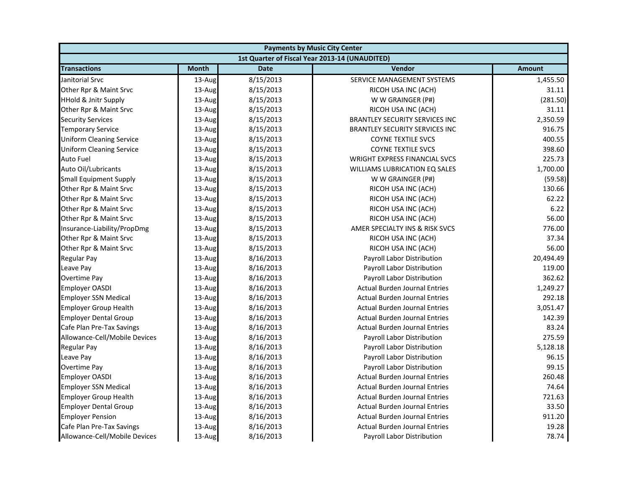| <b>Payments by Music City Center</b> |              |             |                                                |               |
|--------------------------------------|--------------|-------------|------------------------------------------------|---------------|
|                                      |              |             | 1st Quarter of Fiscal Year 2013-14 (UNAUDITED) |               |
| <b>Transactions</b>                  | <b>Month</b> | <b>Date</b> | Vendor                                         | <b>Amount</b> |
| Janitorial Srvc                      | $13$ -Aug    | 8/15/2013   | SERVICE MANAGEMENT SYSTEMS                     | 1,455.50      |
| Other Rpr & Maint Srvc               | 13-Aug       | 8/15/2013   | RICOH USA INC (ACH)                            | 31.11         |
| <b>HHold &amp; Jnitr Supply</b>      | 13-Aug       | 8/15/2013   | W W GRAINGER (P#)                              | (281.50)      |
| Other Rpr & Maint Srvc               | 13-Aug       | 8/15/2013   | RICOH USA INC (ACH)                            | 31.11         |
| <b>Security Services</b>             | 13-Aug       | 8/15/2013   | <b>BRANTLEY SECURITY SERVICES INC</b>          | 2,350.59      |
| <b>Temporary Service</b>             | 13-Aug       | 8/15/2013   | <b>BRANTLEY SECURITY SERVICES INC</b>          | 916.75        |
| <b>Uniform Cleaning Service</b>      | 13-Aug       | 8/15/2013   | <b>COYNE TEXTILE SVCS</b>                      | 400.55        |
| <b>Uniform Cleaning Service</b>      | 13-Aug       | 8/15/2013   | <b>COYNE TEXTILE SVCS</b>                      | 398.60        |
| <b>Auto Fuel</b>                     | 13-Aug       | 8/15/2013   | <b>WRIGHT EXPRESS FINANCIAL SVCS</b>           | 225.73        |
| Auto Oil/Lubricants                  | 13-Aug       | 8/15/2013   | <b>WILLIAMS LUBRICATION EQ SALES</b>           | 1,700.00      |
| <b>Small Equipment Supply</b>        | 13-Aug       | 8/15/2013   | W W GRAINGER (P#)                              | (59.58)       |
| Other Rpr & Maint Srvc               | 13-Aug       | 8/15/2013   | RICOH USA INC (ACH)                            | 130.66        |
| Other Rpr & Maint Srvc               | 13-Aug       | 8/15/2013   | RICOH USA INC (ACH)                            | 62.22         |
| Other Rpr & Maint Srvc               | 13-Aug       | 8/15/2013   | RICOH USA INC (ACH)                            | 6.22          |
| Other Rpr & Maint Srvc               | 13-Aug       | 8/15/2013   | RICOH USA INC (ACH)                            | 56.00         |
| Insurance-Liability/PropDmg          | 13-Aug       | 8/15/2013   | AMER SPECIALTY INS & RISK SVCS                 | 776.00        |
| Other Rpr & Maint Srvc               | 13-Aug       | 8/15/2013   | RICOH USA INC (ACH)                            | 37.34         |
| Other Rpr & Maint Srvc               | 13-Aug       | 8/15/2013   | RICOH USA INC (ACH)                            | 56.00         |
| Regular Pay                          | 13-Aug       | 8/16/2013   | Payroll Labor Distribution                     | 20,494.49     |
| Leave Pay                            | 13-Aug       | 8/16/2013   | Payroll Labor Distribution                     | 119.00        |
| <b>Overtime Pay</b>                  | 13-Aug       | 8/16/2013   | Payroll Labor Distribution                     | 362.62        |
| <b>Employer OASDI</b>                | 13-Aug       | 8/16/2013   | <b>Actual Burden Journal Entries</b>           | 1,249.27      |
| <b>Employer SSN Medical</b>          | 13-Aug       | 8/16/2013   | <b>Actual Burden Journal Entries</b>           | 292.18        |
| <b>Employer Group Health</b>         | 13-Aug       | 8/16/2013   | <b>Actual Burden Journal Entries</b>           | 3,051.47      |
| <b>Employer Dental Group</b>         | 13-Aug       | 8/16/2013   | <b>Actual Burden Journal Entries</b>           | 142.39        |
| Cafe Plan Pre-Tax Savings            | 13-Aug       | 8/16/2013   | <b>Actual Burden Journal Entries</b>           | 83.24         |
| Allowance-Cell/Mobile Devices        | 13-Aug       | 8/16/2013   | Payroll Labor Distribution                     | 275.59        |
| <b>Regular Pay</b>                   | 13-Aug       | 8/16/2013   | Payroll Labor Distribution                     | 5,128.18      |
| Leave Pay                            | 13-Aug       | 8/16/2013   | Payroll Labor Distribution                     | 96.15         |
| <b>Overtime Pay</b>                  | 13-Aug       | 8/16/2013   | Payroll Labor Distribution                     | 99.15         |
| <b>Employer OASDI</b>                | 13-Aug       | 8/16/2013   | <b>Actual Burden Journal Entries</b>           | 260.48        |
| <b>Employer SSN Medical</b>          | 13-Aug       | 8/16/2013   | <b>Actual Burden Journal Entries</b>           | 74.64         |
| <b>Employer Group Health</b>         | 13-Aug       | 8/16/2013   | <b>Actual Burden Journal Entries</b>           | 721.63        |
| <b>Employer Dental Group</b>         | 13-Aug       | 8/16/2013   | <b>Actual Burden Journal Entries</b>           | 33.50         |
| <b>Employer Pension</b>              | 13-Aug       | 8/16/2013   | <b>Actual Burden Journal Entries</b>           | 911.20        |
| Cafe Plan Pre-Tax Savings            | 13-Aug       | 8/16/2013   | <b>Actual Burden Journal Entries</b>           | 19.28         |
| Allowance-Cell/Mobile Devices        | 13-Aug       | 8/16/2013   | Payroll Labor Distribution                     | 78.74         |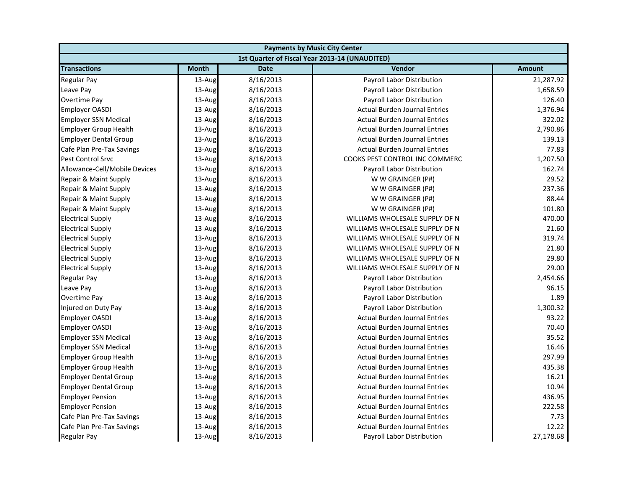| <b>Payments by Music City Center</b> |              |             |                                                |               |
|--------------------------------------|--------------|-------------|------------------------------------------------|---------------|
|                                      |              |             | 1st Quarter of Fiscal Year 2013-14 (UNAUDITED) |               |
| <b>Transactions</b>                  | <b>Month</b> | <b>Date</b> | Vendor                                         | <b>Amount</b> |
| <b>Regular Pay</b>                   | 13-Aug       | 8/16/2013   | Payroll Labor Distribution                     | 21,287.92     |
| Leave Pay                            | $13$ -Aug    | 8/16/2013   | Payroll Labor Distribution                     | 1,658.59      |
| Overtime Pay                         | 13-Aug       | 8/16/2013   | Payroll Labor Distribution                     | 126.40        |
| <b>Employer OASDI</b>                | 13-Aug       | 8/16/2013   | <b>Actual Burden Journal Entries</b>           | 1,376.94      |
| <b>Employer SSN Medical</b>          | 13-Aug       | 8/16/2013   | <b>Actual Burden Journal Entries</b>           | 322.02        |
| <b>Employer Group Health</b>         | 13-Aug       | 8/16/2013   | <b>Actual Burden Journal Entries</b>           | 2,790.86      |
| <b>Employer Dental Group</b>         | 13-Aug       | 8/16/2013   | <b>Actual Burden Journal Entries</b>           | 139.13        |
| Cafe Plan Pre-Tax Savings            | 13-Aug       | 8/16/2013   | <b>Actual Burden Journal Entries</b>           | 77.83         |
| <b>Pest Control Srvc</b>             | $13$ -Aug    | 8/16/2013   | COOKS PEST CONTROL INC COMMERC                 | 1,207.50      |
| Allowance-Cell/Mobile Devices        | 13-Aug       | 8/16/2013   | Payroll Labor Distribution                     | 162.74        |
| Repair & Maint Supply                | 13-Aug       | 8/16/2013   | W W GRAINGER (P#)                              | 29.52         |
| Repair & Maint Supply                | 13-Aug       | 8/16/2013   | W W GRAINGER (P#)                              | 237.36        |
| Repair & Maint Supply                | 13-Aug       | 8/16/2013   | W W GRAINGER (P#)                              | 88.44         |
| Repair & Maint Supply                | 13-Aug       | 8/16/2013   | W W GRAINGER (P#)                              | 101.80        |
| <b>Electrical Supply</b>             | 13-Aug       | 8/16/2013   | WILLIAMS WHOLESALE SUPPLY OF N                 | 470.00        |
| <b>Electrical Supply</b>             | 13-Aug       | 8/16/2013   | WILLIAMS WHOLESALE SUPPLY OF N                 | 21.60         |
| <b>Electrical Supply</b>             | 13-Aug       | 8/16/2013   | WILLIAMS WHOLESALE SUPPLY OF N                 | 319.74        |
| <b>Electrical Supply</b>             | 13-Aug       | 8/16/2013   | WILLIAMS WHOLESALE SUPPLY OF N                 | 21.80         |
| <b>Electrical Supply</b>             | 13-Aug       | 8/16/2013   | WILLIAMS WHOLESALE SUPPLY OF N                 | 29.80         |
| <b>Electrical Supply</b>             | 13-Aug       | 8/16/2013   | WILLIAMS WHOLESALE SUPPLY OF N                 | 29.00         |
| Regular Pay                          | 13-Aug       | 8/16/2013   | Payroll Labor Distribution                     | 2,454.66      |
| Leave Pay                            | 13-Aug       | 8/16/2013   | Payroll Labor Distribution                     | 96.15         |
| Overtime Pay                         | 13-Aug       | 8/16/2013   | Payroll Labor Distribution                     | 1.89          |
| Injured on Duty Pay                  | 13-Aug       | 8/16/2013   | Payroll Labor Distribution                     | 1,300.32      |
| Employer OASDI                       | 13-Aug       | 8/16/2013   | <b>Actual Burden Journal Entries</b>           | 93.22         |
| <b>Employer OASDI</b>                | 13-Aug       | 8/16/2013   | <b>Actual Burden Journal Entries</b>           | 70.40         |
| <b>Employer SSN Medical</b>          | 13-Aug       | 8/16/2013   | <b>Actual Burden Journal Entries</b>           | 35.52         |
| <b>Employer SSN Medical</b>          | 13-Aug       | 8/16/2013   | <b>Actual Burden Journal Entries</b>           | 16.46         |
| <b>Employer Group Health</b>         | 13-Aug       | 8/16/2013   | <b>Actual Burden Journal Entries</b>           | 297.99        |
| <b>Employer Group Health</b>         | 13-Aug       | 8/16/2013   | <b>Actual Burden Journal Entries</b>           | 435.38        |
| <b>Employer Dental Group</b>         | 13-Aug       | 8/16/2013   | <b>Actual Burden Journal Entries</b>           | 16.21         |
| <b>Employer Dental Group</b>         | 13-Aug       | 8/16/2013   | <b>Actual Burden Journal Entries</b>           | 10.94         |
| <b>Employer Pension</b>              | 13-Aug       | 8/16/2013   | <b>Actual Burden Journal Entries</b>           | 436.95        |
| <b>Employer Pension</b>              | 13-Aug       | 8/16/2013   | <b>Actual Burden Journal Entries</b>           | 222.58        |
| Cafe Plan Pre-Tax Savings            | 13-Aug       | 8/16/2013   | <b>Actual Burden Journal Entries</b>           | 7.73          |
| Cafe Plan Pre-Tax Savings            | 13-Aug       | 8/16/2013   | <b>Actual Burden Journal Entries</b>           | 12.22         |
| <b>Regular Pay</b>                   | 13-Aug       | 8/16/2013   | Payroll Labor Distribution                     | 27,178.68     |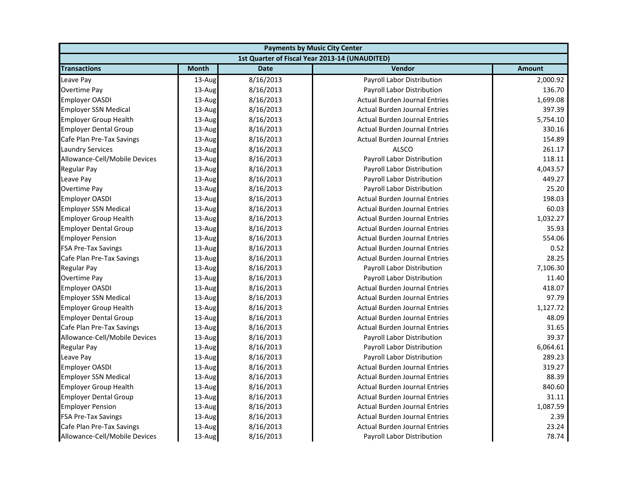| <b>Payments by Music City Center</b> |              |             |                                                |               |
|--------------------------------------|--------------|-------------|------------------------------------------------|---------------|
|                                      |              |             | 1st Quarter of Fiscal Year 2013-14 (UNAUDITED) |               |
| <b>Transactions</b>                  | <b>Month</b> | <b>Date</b> | Vendor                                         | <b>Amount</b> |
| Leave Pay                            | 13-Aug       | 8/16/2013   | Payroll Labor Distribution                     | 2,000.92      |
| Overtime Pay                         | 13-Aug       | 8/16/2013   | Payroll Labor Distribution                     | 136.70        |
| <b>Employer OASDI</b>                | $13$ -Aug    | 8/16/2013   | <b>Actual Burden Journal Entries</b>           | 1,699.08      |
| <b>Employer SSN Medical</b>          | 13-Aug       | 8/16/2013   | <b>Actual Burden Journal Entries</b>           | 397.39        |
| <b>Employer Group Health</b>         | 13-Aug       | 8/16/2013   | <b>Actual Burden Journal Entries</b>           | 5,754.10      |
| <b>Employer Dental Group</b>         | 13-Aug       | 8/16/2013   | <b>Actual Burden Journal Entries</b>           | 330.16        |
| Cafe Plan Pre-Tax Savings            | 13-Aug       | 8/16/2013   | <b>Actual Burden Journal Entries</b>           | 154.89        |
| <b>Laundry Services</b>              | 13-Aug       | 8/16/2013   | <b>ALSCO</b>                                   | 261.17        |
| Allowance-Cell/Mobile Devices        | $13$ -Aug    | 8/16/2013   | Payroll Labor Distribution                     | 118.11        |
| <b>Regular Pay</b>                   | 13-Aug       | 8/16/2013   | Payroll Labor Distribution                     | 4,043.57      |
| Leave Pay                            | 13-Aug       | 8/16/2013   | Payroll Labor Distribution                     | 449.27        |
| <b>Overtime Pay</b>                  | 13-Aug       | 8/16/2013   | Payroll Labor Distribution                     | 25.20         |
| <b>Employer OASDI</b>                | 13-Aug       | 8/16/2013   | <b>Actual Burden Journal Entries</b>           | 198.03        |
| <b>Employer SSN Medical</b>          | 13-Aug       | 8/16/2013   | <b>Actual Burden Journal Entries</b>           | 60.03         |
| <b>Employer Group Health</b>         | 13-Aug       | 8/16/2013   | <b>Actual Burden Journal Entries</b>           | 1,032.27      |
| <b>Employer Dental Group</b>         | 13-Aug       | 8/16/2013   | <b>Actual Burden Journal Entries</b>           | 35.93         |
| <b>Employer Pension</b>              | 13-Aug       | 8/16/2013   | <b>Actual Burden Journal Entries</b>           | 554.06        |
| <b>FSA Pre-Tax Savings</b>           | 13-Aug       | 8/16/2013   | <b>Actual Burden Journal Entries</b>           | 0.52          |
| Cafe Plan Pre-Tax Savings            | 13-Aug       | 8/16/2013   | <b>Actual Burden Journal Entries</b>           | 28.25         |
| <b>Regular Pay</b>                   | 13-Aug       | 8/16/2013   | Payroll Labor Distribution                     | 7,106.30      |
| <b>Overtime Pay</b>                  | 13-Aug       | 8/16/2013   | Payroll Labor Distribution                     | 11.40         |
| <b>Employer OASDI</b>                | 13-Aug       | 8/16/2013   | <b>Actual Burden Journal Entries</b>           | 418.07        |
| <b>Employer SSN Medical</b>          | 13-Aug       | 8/16/2013   | <b>Actual Burden Journal Entries</b>           | 97.79         |
| <b>Employer Group Health</b>         | 13-Aug       | 8/16/2013   | <b>Actual Burden Journal Entries</b>           | 1,127.72      |
| <b>Employer Dental Group</b>         | 13-Aug       | 8/16/2013   | <b>Actual Burden Journal Entries</b>           | 48.09         |
| Cafe Plan Pre-Tax Savings            | 13-Aug       | 8/16/2013   | <b>Actual Burden Journal Entries</b>           | 31.65         |
| Allowance-Cell/Mobile Devices        | 13-Aug       | 8/16/2013   | Payroll Labor Distribution                     | 39.37         |
| <b>Regular Pay</b>                   | 13-Aug       | 8/16/2013   | Payroll Labor Distribution                     | 6,064.61      |
| Leave Pay                            | 13-Aug       | 8/16/2013   | Payroll Labor Distribution                     | 289.23        |
| <b>Employer OASDI</b>                | 13-Aug       | 8/16/2013   | <b>Actual Burden Journal Entries</b>           | 319.27        |
| <b>Employer SSN Medical</b>          | 13-Aug       | 8/16/2013   | <b>Actual Burden Journal Entries</b>           | 88.39         |
| <b>Employer Group Health</b>         | 13-Aug       | 8/16/2013   | <b>Actual Burden Journal Entries</b>           | 840.60        |
| <b>Employer Dental Group</b>         | 13-Aug       | 8/16/2013   | <b>Actual Burden Journal Entries</b>           | 31.11         |
| <b>Employer Pension</b>              | 13-Aug       | 8/16/2013   | <b>Actual Burden Journal Entries</b>           | 1,087.59      |
| <b>FSA Pre-Tax Savings</b>           | 13-Aug       | 8/16/2013   | <b>Actual Burden Journal Entries</b>           | 2.39          |
| Cafe Plan Pre-Tax Savings            | 13-Aug       | 8/16/2013   | <b>Actual Burden Journal Entries</b>           | 23.24         |
| Allowance-Cell/Mobile Devices        | 13-Aug       | 8/16/2013   | Payroll Labor Distribution                     | 78.74         |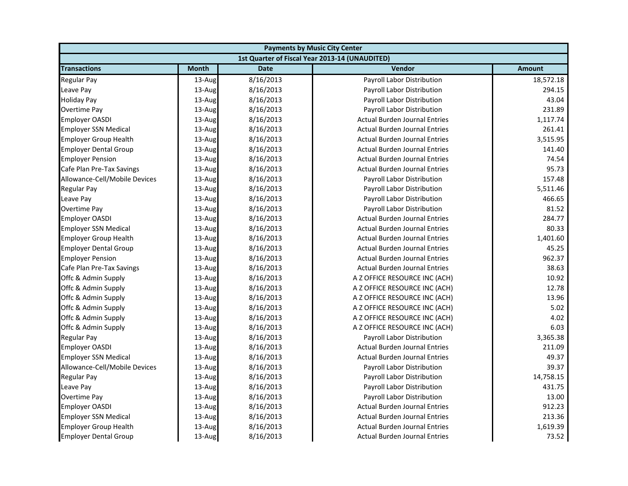| <b>Payments by Music City Center</b> |              |             |                                                |               |
|--------------------------------------|--------------|-------------|------------------------------------------------|---------------|
|                                      |              |             | 1st Quarter of Fiscal Year 2013-14 (UNAUDITED) |               |
| <b>Transactions</b>                  | <b>Month</b> | <b>Date</b> | Vendor                                         | <b>Amount</b> |
| Regular Pay                          | 13-Aug       | 8/16/2013   | <b>Payroll Labor Distribution</b>              | 18,572.18     |
| Leave Pay                            | $13$ -Aug    | 8/16/2013   | Payroll Labor Distribution                     | 294.15        |
| Holiday Pay                          | 13-Aug       | 8/16/2013   | Payroll Labor Distribution                     | 43.04         |
| Overtime Pay                         | 13-Aug       | 8/16/2013   | Payroll Labor Distribution                     | 231.89        |
| <b>Employer OASDI</b>                | 13-Aug       | 8/16/2013   | <b>Actual Burden Journal Entries</b>           | 1,117.74      |
| <b>Employer SSN Medical</b>          | 13-Aug       | 8/16/2013   | <b>Actual Burden Journal Entries</b>           | 261.41        |
| <b>Employer Group Health</b>         | 13-Aug       | 8/16/2013   | <b>Actual Burden Journal Entries</b>           | 3,515.95      |
| <b>Employer Dental Group</b>         | 13-Aug       | 8/16/2013   | <b>Actual Burden Journal Entries</b>           | 141.40        |
| <b>Employer Pension</b>              | $13$ -Aug    | 8/16/2013   | <b>Actual Burden Journal Entries</b>           | 74.54         |
| Cafe Plan Pre-Tax Savings            | 13-Aug       | 8/16/2013   | <b>Actual Burden Journal Entries</b>           | 95.73         |
| Allowance-Cell/Mobile Devices        | 13-Aug       | 8/16/2013   | Payroll Labor Distribution                     | 157.48        |
| <b>Regular Pay</b>                   | 13-Aug       | 8/16/2013   | Payroll Labor Distribution                     | 5,511.46      |
| Leave Pay                            | 13-Aug       | 8/16/2013   | Payroll Labor Distribution                     | 466.65        |
| Overtime Pay                         | 13-Aug       | 8/16/2013   | Payroll Labor Distribution                     | 81.52         |
| <b>Employer OASDI</b>                | 13-Aug       | 8/16/2013   | <b>Actual Burden Journal Entries</b>           | 284.77        |
| <b>Employer SSN Medical</b>          | 13-Aug       | 8/16/2013   | <b>Actual Burden Journal Entries</b>           | 80.33         |
| <b>Employer Group Health</b>         | 13-Aug       | 8/16/2013   | <b>Actual Burden Journal Entries</b>           | 1,401.60      |
| <b>Employer Dental Group</b>         | 13-Aug       | 8/16/2013   | <b>Actual Burden Journal Entries</b>           | 45.25         |
| <b>Employer Pension</b>              | $13$ -Aug    | 8/16/2013   | <b>Actual Burden Journal Entries</b>           | 962.37        |
| Cafe Plan Pre-Tax Savings            | 13-Aug       | 8/16/2013   | <b>Actual Burden Journal Entries</b>           | 38.63         |
| Offc & Admin Supply                  | 13-Aug       | 8/16/2013   | A Z OFFICE RESOURCE INC (ACH)                  | 10.92         |
| Offc & Admin Supply                  | 13-Aug       | 8/16/2013   | A Z OFFICE RESOURCE INC (ACH)                  | 12.78         |
| Offc & Admin Supply                  | 13-Aug       | 8/16/2013   | A Z OFFICE RESOURCE INC (ACH)                  | 13.96         |
| Offc & Admin Supply                  | 13-Aug       | 8/16/2013   | A Z OFFICE RESOURCE INC (ACH)                  | 5.02          |
| Offc & Admin Supply                  | 13-Aug       | 8/16/2013   | A Z OFFICE RESOURCE INC (ACH)                  | 4.02          |
| Offc & Admin Supply                  | 13-Aug       | 8/16/2013   | A Z OFFICE RESOURCE INC (ACH)                  | 6.03          |
| Regular Pay                          | 13-Aug       | 8/16/2013   | Payroll Labor Distribution                     | 3,365.38      |
| <b>Employer OASDI</b>                | 13-Aug       | 8/16/2013   | <b>Actual Burden Journal Entries</b>           | 211.09        |
| <b>Employer SSN Medical</b>          | 13-Aug       | 8/16/2013   | <b>Actual Burden Journal Entries</b>           | 49.37         |
| Allowance-Cell/Mobile Devices        | 13-Aug       | 8/16/2013   | Payroll Labor Distribution                     | 39.37         |
| Regular Pay                          | 13-Aug       | 8/16/2013   | Payroll Labor Distribution                     | 14,758.15     |
| Leave Pay                            | 13-Aug       | 8/16/2013   | Payroll Labor Distribution                     | 431.75        |
| Overtime Pay                         | 13-Aug       | 8/16/2013   | <b>Payroll Labor Distribution</b>              | 13.00         |
| <b>Employer OASDI</b>                | 13-Aug       | 8/16/2013   | <b>Actual Burden Journal Entries</b>           | 912.23        |
| <b>Employer SSN Medical</b>          | 13-Aug       | 8/16/2013   | <b>Actual Burden Journal Entries</b>           | 213.36        |
| <b>Employer Group Health</b>         | 13-Aug       | 8/16/2013   | <b>Actual Burden Journal Entries</b>           | 1,619.39      |
| <b>Employer Dental Group</b>         | 13-Aug       | 8/16/2013   | <b>Actual Burden Journal Entries</b>           | 73.52         |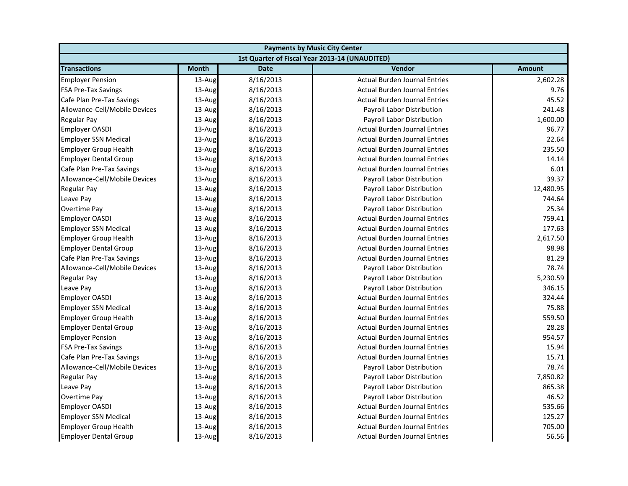| <b>Payments by Music City Center</b> |              |             |                                                |               |
|--------------------------------------|--------------|-------------|------------------------------------------------|---------------|
|                                      |              |             | 1st Quarter of Fiscal Year 2013-14 (UNAUDITED) |               |
| <b>Transactions</b>                  | <b>Month</b> | <b>Date</b> | <b>Vendor</b>                                  | <b>Amount</b> |
| <b>Employer Pension</b>              | 13-Aug       | 8/16/2013   | <b>Actual Burden Journal Entries</b>           | 2,602.28      |
| <b>FSA Pre-Tax Savings</b>           | 13-Aug       | 8/16/2013   | <b>Actual Burden Journal Entries</b>           | 9.76          |
| Cafe Plan Pre-Tax Savings            | 13-Aug       | 8/16/2013   | <b>Actual Burden Journal Entries</b>           | 45.52         |
| Allowance-Cell/Mobile Devices        | 13-Aug       | 8/16/2013   | Payroll Labor Distribution                     | 241.48        |
| Regular Pay                          | 13-Aug       | 8/16/2013   | Payroll Labor Distribution                     | 1,600.00      |
| <b>Employer OASDI</b>                | 13-Aug       | 8/16/2013   | <b>Actual Burden Journal Entries</b>           | 96.77         |
| <b>Employer SSN Medical</b>          | 13-Aug       | 8/16/2013   | <b>Actual Burden Journal Entries</b>           | 22.64         |
| <b>Employer Group Health</b>         | 13-Aug       | 8/16/2013   | <b>Actual Burden Journal Entries</b>           | 235.50        |
| <b>Employer Dental Group</b>         | $13$ -Aug    | 8/16/2013   | <b>Actual Burden Journal Entries</b>           | 14.14         |
| Cafe Plan Pre-Tax Savings            | 13-Aug       | 8/16/2013   | <b>Actual Burden Journal Entries</b>           | 6.01          |
| Allowance-Cell/Mobile Devices        | 13-Aug       | 8/16/2013   | Payroll Labor Distribution                     | 39.37         |
| <b>Regular Pay</b>                   | 13-Aug       | 8/16/2013   | Payroll Labor Distribution                     | 12,480.95     |
| Leave Pay                            | 13-Aug       | 8/16/2013   | Payroll Labor Distribution                     | 744.64        |
| Overtime Pay                         | 13-Aug       | 8/16/2013   | Payroll Labor Distribution                     | 25.34         |
| <b>Employer OASDI</b>                | 13-Aug       | 8/16/2013   | <b>Actual Burden Journal Entries</b>           | 759.41        |
| <b>Employer SSN Medical</b>          | 13-Aug       | 8/16/2013   | <b>Actual Burden Journal Entries</b>           | 177.63        |
| <b>Employer Group Health</b>         | 13-Aug       | 8/16/2013   | <b>Actual Burden Journal Entries</b>           | 2,617.50      |
| <b>Employer Dental Group</b>         | 13-Aug       | 8/16/2013   | <b>Actual Burden Journal Entries</b>           | 98.98         |
| Cafe Plan Pre-Tax Savings            | 13-Aug       | 8/16/2013   | <b>Actual Burden Journal Entries</b>           | 81.29         |
| Allowance-Cell/Mobile Devices        | 13-Aug       | 8/16/2013   | Payroll Labor Distribution                     | 78.74         |
| <b>Regular Pay</b>                   | 13-Aug       | 8/16/2013   | Payroll Labor Distribution                     | 5,230.59      |
| Leave Pay                            | 13-Aug       | 8/16/2013   | Payroll Labor Distribution                     | 346.15        |
| <b>Employer OASDI</b>                | 13-Aug       | 8/16/2013   | <b>Actual Burden Journal Entries</b>           | 324.44        |
| <b>Employer SSN Medical</b>          | 13-Aug       | 8/16/2013   | <b>Actual Burden Journal Entries</b>           | 75.88         |
| <b>Employer Group Health</b>         | 13-Aug       | 8/16/2013   | <b>Actual Burden Journal Entries</b>           | 559.50        |
| <b>Employer Dental Group</b>         | 13-Aug       | 8/16/2013   | <b>Actual Burden Journal Entries</b>           | 28.28         |
| <b>Employer Pension</b>              | 13-Aug       | 8/16/2013   | <b>Actual Burden Journal Entries</b>           | 954.57        |
| <b>FSA Pre-Tax Savings</b>           | 13-Aug       | 8/16/2013   | <b>Actual Burden Journal Entries</b>           | 15.94         |
| Cafe Plan Pre-Tax Savings            | 13-Aug       | 8/16/2013   | <b>Actual Burden Journal Entries</b>           | 15.71         |
| Allowance-Cell/Mobile Devices        | 13-Aug       | 8/16/2013   | Payroll Labor Distribution                     | 78.74         |
| <b>Regular Pay</b>                   | 13-Aug       | 8/16/2013   | Payroll Labor Distribution                     | 7,850.82      |
| Leave Pay                            | 13-Aug       | 8/16/2013   | Payroll Labor Distribution                     | 865.38        |
| Overtime Pay                         | 13-Aug       | 8/16/2013   | <b>Payroll Labor Distribution</b>              | 46.52         |
| <b>Employer OASDI</b>                | 13-Aug       | 8/16/2013   | <b>Actual Burden Journal Entries</b>           | 535.66        |
| <b>Employer SSN Medical</b>          | 13-Aug       | 8/16/2013   | <b>Actual Burden Journal Entries</b>           | 125.27        |
| <b>Employer Group Health</b>         | 13-Aug       | 8/16/2013   | <b>Actual Burden Journal Entries</b>           | 705.00        |
| <b>Employer Dental Group</b>         | 13-Aug       | 8/16/2013   | <b>Actual Burden Journal Entries</b>           | 56.56         |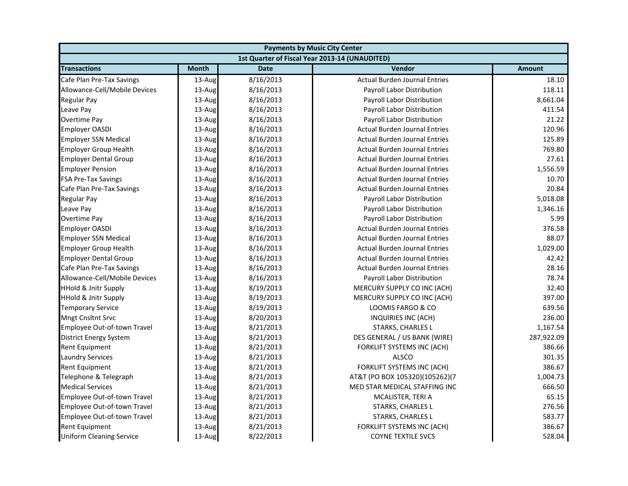| <b>Payments by Music City Center</b> |              |             |                                                |               |
|--------------------------------------|--------------|-------------|------------------------------------------------|---------------|
|                                      |              |             | 1st Quarter of Fiscal Year 2013-14 (UNAUDITED) |               |
| <b>Transactions</b>                  | <b>Month</b> | <b>Date</b> | Vendor                                         | <b>Amount</b> |
| Cafe Plan Pre-Tax Savings            | 13-Aug       | 8/16/2013   | <b>Actual Burden Journal Entries</b>           | 18.10         |
| Allowance-Cell/Mobile Devices        | 13-Aug       | 8/16/2013   | Payroll Labor Distribution                     | 118.11        |
| Regular Pay                          | 13-Aug       | 8/16/2013   | Payroll Labor Distribution                     | 8,661.04      |
| Leave Pay                            | 13-Aug       | 8/16/2013   | Payroll Labor Distribution                     | 411.54        |
| Overtime Pay                         | 13-Aug       | 8/16/2013   | Payroll Labor Distribution                     | 21.22         |
| <b>Employer OASDI</b>                | 13-Aug       | 8/16/2013   | <b>Actual Burden Journal Entries</b>           | 120.96        |
| <b>Employer SSN Medical</b>          | 13-Aug       | 8/16/2013   | <b>Actual Burden Journal Entries</b>           | 125.89        |
| <b>Employer Group Health</b>         | 13-Aug       | 8/16/2013   | <b>Actual Burden Journal Entries</b>           | 769.80        |
| <b>Employer Dental Group</b>         | 13-Aug       | 8/16/2013   | <b>Actual Burden Journal Entries</b>           | 27.61         |
| <b>Employer Pension</b>              | 13-Aug       | 8/16/2013   | <b>Actual Burden Journal Entries</b>           | 1,556.59      |
| <b>FSA Pre-Tax Savings</b>           | 13-Aug       | 8/16/2013   | <b>Actual Burden Journal Entries</b>           | 10.70         |
| Cafe Plan Pre-Tax Savings            | 13-Aug       | 8/16/2013   | <b>Actual Burden Journal Entries</b>           | 20.84         |
| Regular Pay                          | 13-Aug       | 8/16/2013   | Payroll Labor Distribution                     | 5,018.08      |
| Leave Pay                            | 13-Aug       | 8/16/2013   | Payroll Labor Distribution                     | 1,346.16      |
| Overtime Pay                         | 13-Aug       | 8/16/2013   | Payroll Labor Distribution                     | 5.99          |
| <b>Employer OASDI</b>                | 13-Aug       | 8/16/2013   | <b>Actual Burden Journal Entries</b>           | 376.58        |
| <b>Employer SSN Medical</b>          | 13-Aug       | 8/16/2013   | <b>Actual Burden Journal Entries</b>           | 88.07         |
| <b>Employer Group Health</b>         | 13-Aug       | 8/16/2013   | <b>Actual Burden Journal Entries</b>           | 1,029.00      |
| <b>Employer Dental Group</b>         | 13-Aug       | 8/16/2013   | <b>Actual Burden Journal Entries</b>           | 42.42         |
| Cafe Plan Pre-Tax Savings            | 13-Aug       | 8/16/2013   | <b>Actual Burden Journal Entries</b>           | 28.16         |
| Allowance-Cell/Mobile Devices        | 13-Aug       | 8/16/2013   | Payroll Labor Distribution                     | 78.74         |
| <b>HHold &amp; Jnitr Supply</b>      | 13-Aug       | 8/19/2013   | MERCURY SUPPLY CO INC (ACH)                    | 32.40         |
| <b>HHold &amp; Jnitr Supply</b>      | 13-Aug       | 8/19/2013   | MERCURY SUPPLY CO INC (ACH)                    | 397.00        |
| <b>Temporary Service</b>             | 13-Aug       | 8/19/2013   | LOOMIS FARGO & CO                              | 639.56        |
| <b>Mngt Cnsltnt Srvc</b>             | 13-Aug       | 8/20/2013   | INQUIRIES INC (ACH)                            | 236.00        |
| Employee Out-of-town Travel          | 13-Aug       | 8/21/2013   | STARKS, CHARLES L                              | 1,167.54      |
| <b>District Energy System</b>        | 13-Aug       | 8/21/2013   | DES GENERAL / US BANK (WIRE)                   | 287,922.09    |
| Rent Equipment                       | 13-Aug       | 8/21/2013   | FORKLIFT SYSTEMS INC (ACH)                     | 386.66        |
| <b>Laundry Services</b>              | 13-Aug       | 8/21/2013   | <b>ALSCO</b>                                   | 301.35        |
| Rent Equipment                       | 13-Aug       | 8/21/2013   | <b>FORKLIFT SYSTEMS INC (ACH)</b>              | 386.67        |
| Telephone & Telegraph                | 13-Aug       | 8/21/2013   | AT&T (PO BOX 105320)(105262)(7                 | 1,004.73      |
| <b>Medical Services</b>              | 13-Aug       | 8/21/2013   | MED STAR MEDICAL STAFFING INC                  | 666.50        |
| Employee Out-of-town Travel          | 13-Aug       | 8/21/2013   | MCALISTER, TERI A                              | 65.15         |
| Employee Out-of-town Travel          | 13-Aug       | 8/21/2013   | <b>STARKS, CHARLES L</b>                       | 276.56        |
| Employee Out-of-town Travel          | 13-Aug       | 8/21/2013   | STARKS, CHARLES L                              | 583.77        |
| Rent Equipment                       | 13-Aug       | 8/21/2013   | FORKLIFT SYSTEMS INC (ACH)                     | 386.67        |
| <b>Uniform Cleaning Service</b>      | 13-Aug       | 8/22/2013   | <b>COYNE TEXTILE SVCS</b>                      | 528.04        |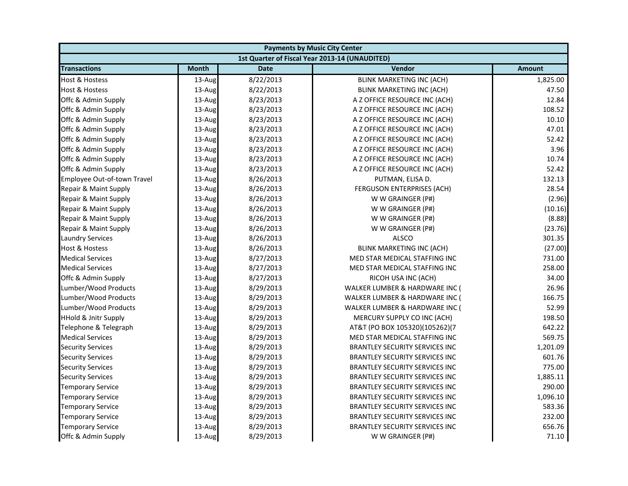| <b>Payments by Music City Center</b> |              |             |                                                |               |
|--------------------------------------|--------------|-------------|------------------------------------------------|---------------|
|                                      |              |             | 1st Quarter of Fiscal Year 2013-14 (UNAUDITED) |               |
| <b>Transactions</b>                  | <b>Month</b> | <b>Date</b> | Vendor                                         | <b>Amount</b> |
| Host & Hostess                       | 13-Aug       | 8/22/2013   | <b>BLINK MARKETING INC (ACH)</b>               | 1,825.00      |
| Host & Hostess                       | 13-Aug       | 8/22/2013   | <b>BLINK MARKETING INC (ACH)</b>               | 47.50         |
| Offc & Admin Supply                  | 13-Aug       | 8/23/2013   | A Z OFFICE RESOURCE INC (ACH)                  | 12.84         |
| Offc & Admin Supply                  | 13-Aug       | 8/23/2013   | A Z OFFICE RESOURCE INC (ACH)                  | 108.52        |
| Offc & Admin Supply                  | 13-Aug       | 8/23/2013   | A Z OFFICE RESOURCE INC (ACH)                  | 10.10         |
| Offc & Admin Supply                  | 13-Aug       | 8/23/2013   | A Z OFFICE RESOURCE INC (ACH)                  | 47.01         |
| Offc & Admin Supply                  | 13-Aug       | 8/23/2013   | A Z OFFICE RESOURCE INC (ACH)                  | 52.42         |
| Offc & Admin Supply                  | 13-Aug       | 8/23/2013   | A Z OFFICE RESOURCE INC (ACH)                  | 3.96          |
| Offc & Admin Supply                  | 13-Aug       | 8/23/2013   | A Z OFFICE RESOURCE INC (ACH)                  | 10.74         |
| Offc & Admin Supply                  | 13-Aug       | 8/23/2013   | A Z OFFICE RESOURCE INC (ACH)                  | 52.42         |
| Employee Out-of-town Travel          | 13-Aug       | 8/26/2013   | PUTMAN, ELISA D.                               | 132.13        |
| Repair & Maint Supply                | 13-Aug       | 8/26/2013   | <b>FERGUSON ENTERPRISES (ACH)</b>              | 28.54         |
| Repair & Maint Supply                | 13-Aug       | 8/26/2013   | W W GRAINGER (P#)                              | (2.96)        |
| Repair & Maint Supply                | 13-Aug       | 8/26/2013   | W W GRAINGER (P#)                              | (10.16)       |
| Repair & Maint Supply                | 13-Aug       | 8/26/2013   | W W GRAINGER (P#)                              | (8.88)        |
| Repair & Maint Supply                | 13-Aug       | 8/26/2013   | W W GRAINGER (P#)                              | (23.76)       |
| <b>Laundry Services</b>              | 13-Aug       | 8/26/2013   | <b>ALSCO</b>                                   | 301.35        |
| <b>Host &amp; Hostess</b>            | 13-Aug       | 8/26/2013   | <b>BLINK MARKETING INC (ACH)</b>               | (27.00)       |
| <b>Medical Services</b>              | 13-Aug       | 8/27/2013   | MED STAR MEDICAL STAFFING INC                  | 731.00        |
| <b>Medical Services</b>              | 13-Aug       | 8/27/2013   | MED STAR MEDICAL STAFFING INC                  | 258.00        |
| Offc & Admin Supply                  | 13-Aug       | 8/27/2013   | RICOH USA INC (ACH)                            | 34.00         |
| Lumber/Wood Products                 | 13-Aug       | 8/29/2013   | WALKER LUMBER & HARDWARE INC (                 | 26.96         |
| Lumber/Wood Products                 | 13-Aug       | 8/29/2013   | WALKER LUMBER & HARDWARE INC (                 | 166.75        |
| Lumber/Wood Products                 | 13-Aug       | 8/29/2013   | WALKER LUMBER & HARDWARE INC (                 | 52.99         |
| <b>HHold &amp; Jnitr Supply</b>      | 13-Aug       | 8/29/2013   | MERCURY SUPPLY CO INC (ACH)                    | 198.50        |
| Telephone & Telegraph                | 13-Aug       | 8/29/2013   | AT&T (PO BOX 105320)(105262)(7                 | 642.22        |
| <b>Medical Services</b>              | 13-Aug       | 8/29/2013   | MED STAR MEDICAL STAFFING INC                  | 569.75        |
| <b>Security Services</b>             | 13-Aug       | 8/29/2013   | <b>BRANTLEY SECURITY SERVICES INC</b>          | 1,201.09      |
| <b>Security Services</b>             | 13-Aug       | 8/29/2013   | <b>BRANTLEY SECURITY SERVICES INC</b>          | 601.76        |
| <b>Security Services</b>             | 13-Aug       | 8/29/2013   | BRANTLEY SECURITY SERVICES INC                 | 775.00        |
| <b>Security Services</b>             | 13-Aug       | 8/29/2013   | <b>BRANTLEY SECURITY SERVICES INC</b>          | 1,885.11      |
| <b>Temporary Service</b>             | 13-Aug       | 8/29/2013   | <b>BRANTLEY SECURITY SERVICES INC</b>          | 290.00        |
| <b>Temporary Service</b>             | 13-Aug       | 8/29/2013   | BRANTLEY SECURITY SERVICES INC                 | 1,096.10      |
| <b>Temporary Service</b>             | 13-Aug       | 8/29/2013   | <b>BRANTLEY SECURITY SERVICES INC</b>          | 583.36        |
| <b>Temporary Service</b>             | 13-Aug       | 8/29/2013   | <b>BRANTLEY SECURITY SERVICES INC</b>          | 232.00        |
| <b>Temporary Service</b>             | 13-Aug       | 8/29/2013   | <b>BRANTLEY SECURITY SERVICES INC</b>          | 656.76        |
| Offc & Admin Supply                  | 13-Aug       | 8/29/2013   | W W GRAINGER (P#)                              | 71.10         |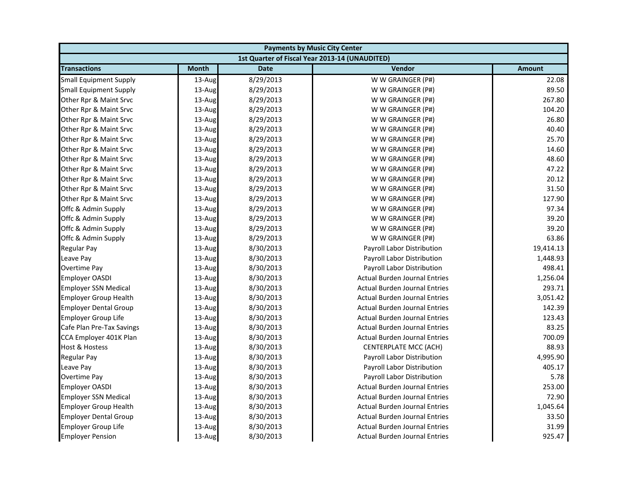| <b>Payments by Music City Center</b> |              |             |                                                |               |
|--------------------------------------|--------------|-------------|------------------------------------------------|---------------|
|                                      |              |             | 1st Quarter of Fiscal Year 2013-14 (UNAUDITED) |               |
| <b>Transactions</b>                  | <b>Month</b> | <b>Date</b> | Vendor                                         | <b>Amount</b> |
| <b>Small Equipment Supply</b>        | 13-Aug       | 8/29/2013   | W W GRAINGER (P#)                              | 22.08         |
| <b>Small Equipment Supply</b>        | 13-Aug       | 8/29/2013   | W W GRAINGER (P#)                              | 89.50         |
| Other Rpr & Maint Srvc               | 13-Aug       | 8/29/2013   | W W GRAINGER (P#)                              | 267.80        |
| Other Rpr & Maint Srvc               | 13-Aug       | 8/29/2013   | W W GRAINGER (P#)                              | 104.20        |
| Other Rpr & Maint Srvc               | 13-Aug       | 8/29/2013   | W W GRAINGER (P#)                              | 26.80         |
| Other Rpr & Maint Srvc               | 13-Aug       | 8/29/2013   | W W GRAINGER (P#)                              | 40.40         |
| Other Rpr & Maint Srvc               | 13-Aug       | 8/29/2013   | W W GRAINGER (P#)                              | 25.70         |
| Other Rpr & Maint Srvc               | 13-Aug       | 8/29/2013   | W W GRAINGER (P#)                              | 14.60         |
| Other Rpr & Maint Srvc               | 13-Aug       | 8/29/2013   | W W GRAINGER (P#)                              | 48.60         |
| Other Rpr & Maint Srvc               | 13-Aug       | 8/29/2013   | W W GRAINGER (P#)                              | 47.22         |
| Other Rpr & Maint Srvc               | 13-Aug       | 8/29/2013   | W W GRAINGER (P#)                              | 20.12         |
| Other Rpr & Maint Srvc               | 13-Aug       | 8/29/2013   | W W GRAINGER (P#)                              | 31.50         |
| Other Rpr & Maint Srvc               | 13-Aug       | 8/29/2013   | W W GRAINGER (P#)                              | 127.90        |
| Offc & Admin Supply                  | 13-Aug       | 8/29/2013   | W W GRAINGER (P#)                              | 97.34         |
| Offc & Admin Supply                  | 13-Aug       | 8/29/2013   | W W GRAINGER (P#)                              | 39.20         |
| Offc & Admin Supply                  | 13-Aug       | 8/29/2013   | W W GRAINGER (P#)                              | 39.20         |
| Offc & Admin Supply                  | 13-Aug       | 8/29/2013   | W W GRAINGER (P#)                              | 63.86         |
| <b>Regular Pay</b>                   | 13-Aug       | 8/30/2013   | Payroll Labor Distribution                     | 19,414.13     |
| Leave Pay                            | 13-Aug       | 8/30/2013   | Payroll Labor Distribution                     | 1,448.93      |
| Overtime Pay                         | 13-Aug       | 8/30/2013   | Payroll Labor Distribution                     | 498.41        |
| <b>Employer OASDI</b>                | 13-Aug       | 8/30/2013   | <b>Actual Burden Journal Entries</b>           | 1,256.04      |
| <b>Employer SSN Medical</b>          | 13-Aug       | 8/30/2013   | <b>Actual Burden Journal Entries</b>           | 293.71        |
| <b>Employer Group Health</b>         | 13-Aug       | 8/30/2013   | <b>Actual Burden Journal Entries</b>           | 3,051.42      |
| <b>Employer Dental Group</b>         | 13-Aug       | 8/30/2013   | <b>Actual Burden Journal Entries</b>           | 142.39        |
| <b>Employer Group Life</b>           | 13-Aug       | 8/30/2013   | <b>Actual Burden Journal Entries</b>           | 123.43        |
| Cafe Plan Pre-Tax Savings            | 13-Aug       | 8/30/2013   | <b>Actual Burden Journal Entries</b>           | 83.25         |
| CCA Employer 401K Plan               | 13-Aug       | 8/30/2013   | <b>Actual Burden Journal Entries</b>           | 700.09        |
| Host & Hostess                       | 13-Aug       | 8/30/2013   | CENTERPLATE MCC (ACH)                          | 88.93         |
| <b>Regular Pay</b>                   | 13-Aug       | 8/30/2013   | Payroll Labor Distribution                     | 4,995.90      |
| Leave Pay                            | 13-Aug       | 8/30/2013   | Payroll Labor Distribution                     | 405.17        |
| Overtime Pay                         | 13-Aug       | 8/30/2013   | Payroll Labor Distribution                     | 5.78          |
| <b>Employer OASDI</b>                | 13-Aug       | 8/30/2013   | <b>Actual Burden Journal Entries</b>           | 253.00        |
| <b>Employer SSN Medical</b>          | 13-Aug       | 8/30/2013   | <b>Actual Burden Journal Entries</b>           | 72.90         |
| <b>Employer Group Health</b>         | 13-Aug       | 8/30/2013   | <b>Actual Burden Journal Entries</b>           | 1,045.64      |
| <b>Employer Dental Group</b>         | 13-Aug       | 8/30/2013   | <b>Actual Burden Journal Entries</b>           | 33.50         |
| <b>Employer Group Life</b>           | 13-Aug       | 8/30/2013   | <b>Actual Burden Journal Entries</b>           | 31.99         |
| <b>Employer Pension</b>              | 13-Aug       | 8/30/2013   | <b>Actual Burden Journal Entries</b>           | 925.47        |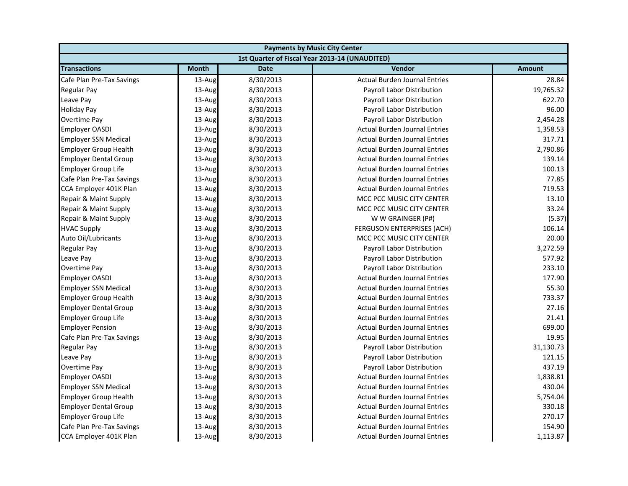| <b>Payments by Music City Center</b> |              |             |                                                |               |
|--------------------------------------|--------------|-------------|------------------------------------------------|---------------|
|                                      |              |             | 1st Quarter of Fiscal Year 2013-14 (UNAUDITED) |               |
| <b>Transactions</b>                  | <b>Month</b> | <b>Date</b> | Vendor                                         | <b>Amount</b> |
| Cafe Plan Pre-Tax Savings            | 13-Aug       | 8/30/2013   | <b>Actual Burden Journal Entries</b>           | 28.84         |
| <b>Regular Pay</b>                   | 13-Aug       | 8/30/2013   | Payroll Labor Distribution                     | 19,765.32     |
| Leave Pay                            | 13-Aug       | 8/30/2013   | Payroll Labor Distribution                     | 622.70        |
| <b>Holiday Pay</b>                   | 13-Aug       | 8/30/2013   | Payroll Labor Distribution                     | 96.00         |
| <b>Overtime Pay</b>                  | 13-Aug       | 8/30/2013   | Payroll Labor Distribution                     | 2,454.28      |
| <b>Employer OASDI</b>                | 13-Aug       | 8/30/2013   | <b>Actual Burden Journal Entries</b>           | 1,358.53      |
| <b>Employer SSN Medical</b>          | 13-Aug       | 8/30/2013   | <b>Actual Burden Journal Entries</b>           | 317.71        |
| <b>Employer Group Health</b>         | 13-Aug       | 8/30/2013   | <b>Actual Burden Journal Entries</b>           | 2,790.86      |
| <b>Employer Dental Group</b>         | 13-Aug       | 8/30/2013   | <b>Actual Burden Journal Entries</b>           | 139.14        |
| <b>Employer Group Life</b>           | 13-Aug       | 8/30/2013   | <b>Actual Burden Journal Entries</b>           | 100.13        |
| Cafe Plan Pre-Tax Savings            | 13-Aug       | 8/30/2013   | <b>Actual Burden Journal Entries</b>           | 77.85         |
| CCA Employer 401K Plan               | 13-Aug       | 8/30/2013   | <b>Actual Burden Journal Entries</b>           | 719.53        |
| Repair & Maint Supply                | 13-Aug       | 8/30/2013   | MCC PCC MUSIC CITY CENTER                      | 13.10         |
| Repair & Maint Supply                | 13-Aug       | 8/30/2013   | MCC PCC MUSIC CITY CENTER                      | 33.24         |
| Repair & Maint Supply                | 13-Aug       | 8/30/2013   | W W GRAINGER (P#)                              | (5.37)        |
| <b>HVAC Supply</b>                   | 13-Aug       | 8/30/2013   | FERGUSON ENTERPRISES (ACH)                     | 106.14        |
| Auto Oil/Lubricants                  | 13-Aug       | 8/30/2013   | MCC PCC MUSIC CITY CENTER                      | 20.00         |
| <b>Regular Pay</b>                   | 13-Aug       | 8/30/2013   | Payroll Labor Distribution                     | 3,272.59      |
| Leave Pay                            | 13-Aug       | 8/30/2013   | Payroll Labor Distribution                     | 577.92        |
| <b>Overtime Pay</b>                  | 13-Aug       | 8/30/2013   | Payroll Labor Distribution                     | 233.10        |
| <b>Employer OASDI</b>                | 13-Aug       | 8/30/2013   | <b>Actual Burden Journal Entries</b>           | 177.90        |
| <b>Employer SSN Medical</b>          | 13-Aug       | 8/30/2013   | <b>Actual Burden Journal Entries</b>           | 55.30         |
| <b>Employer Group Health</b>         | 13-Aug       | 8/30/2013   | <b>Actual Burden Journal Entries</b>           | 733.37        |
| <b>Employer Dental Group</b>         | 13-Aug       | 8/30/2013   | <b>Actual Burden Journal Entries</b>           | 27.16         |
| <b>Employer Group Life</b>           | 13-Aug       | 8/30/2013   | <b>Actual Burden Journal Entries</b>           | 21.41         |
| <b>Employer Pension</b>              | 13-Aug       | 8/30/2013   | <b>Actual Burden Journal Entries</b>           | 699.00        |
| Cafe Plan Pre-Tax Savings            | 13-Aug       | 8/30/2013   | <b>Actual Burden Journal Entries</b>           | 19.95         |
| <b>Regular Pay</b>                   | 13-Aug       | 8/30/2013   | Payroll Labor Distribution                     | 31,130.73     |
| Leave Pay                            | 13-Aug       | 8/30/2013   | Payroll Labor Distribution                     | 121.15        |
| Overtime Pay                         | 13-Aug       | 8/30/2013   | Payroll Labor Distribution                     | 437.19        |
| <b>Employer OASDI</b>                | 13-Aug       | 8/30/2013   | <b>Actual Burden Journal Entries</b>           | 1,838.81      |
| <b>Employer SSN Medical</b>          | 13-Aug       | 8/30/2013   | <b>Actual Burden Journal Entries</b>           | 430.04        |
| <b>Employer Group Health</b>         | 13-Aug       | 8/30/2013   | <b>Actual Burden Journal Entries</b>           | 5,754.04      |
| <b>Employer Dental Group</b>         | 13-Aug       | 8/30/2013   | <b>Actual Burden Journal Entries</b>           | 330.18        |
| <b>Employer Group Life</b>           | 13-Aug       | 8/30/2013   | <b>Actual Burden Journal Entries</b>           | 270.17        |
| Cafe Plan Pre-Tax Savings            | 13-Aug       | 8/30/2013   | <b>Actual Burden Journal Entries</b>           | 154.90        |
| CCA Employer 401K Plan               | 13-Aug       | 8/30/2013   | <b>Actual Burden Journal Entries</b>           | 1,113.87      |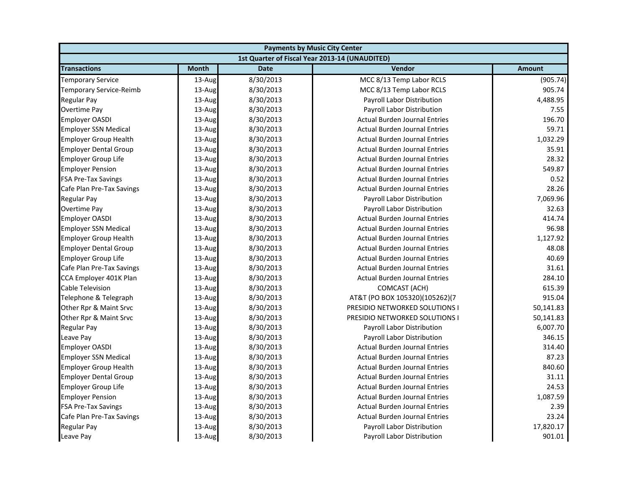| <b>Payments by Music City Center</b> |              |             |                                                |               |
|--------------------------------------|--------------|-------------|------------------------------------------------|---------------|
|                                      |              |             | 1st Quarter of Fiscal Year 2013-14 (UNAUDITED) |               |
| <b>Transactions</b>                  | <b>Month</b> | <b>Date</b> | <b>Vendor</b>                                  | <b>Amount</b> |
| <b>Temporary Service</b>             | 13-Aug       | 8/30/2013   | MCC 8/13 Temp Labor RCLS                       | (905.74)      |
| <b>Temporary Service-Reimb</b>       | 13-Aug       | 8/30/2013   | MCC 8/13 Temp Labor RCLS                       | 905.74        |
| Regular Pay                          | 13-Aug       | 8/30/2013   | Payroll Labor Distribution                     | 4,488.95      |
| <b>Overtime Pay</b>                  | 13-Aug       | 8/30/2013   | Payroll Labor Distribution                     | 7.55          |
| Employer OASDI                       | 13-Aug       | 8/30/2013   | <b>Actual Burden Journal Entries</b>           | 196.70        |
| <b>Employer SSN Medical</b>          | 13-Aug       | 8/30/2013   | <b>Actual Burden Journal Entries</b>           | 59.71         |
| <b>Employer Group Health</b>         | 13-Aug       | 8/30/2013   | <b>Actual Burden Journal Entries</b>           | 1,032.29      |
| <b>Employer Dental Group</b>         | 13-Aug       | 8/30/2013   | <b>Actual Burden Journal Entries</b>           | 35.91         |
| <b>Employer Group Life</b>           | $13$ -Aug    | 8/30/2013   | <b>Actual Burden Journal Entries</b>           | 28.32         |
| <b>Employer Pension</b>              | 13-Aug       | 8/30/2013   | <b>Actual Burden Journal Entries</b>           | 549.87        |
| <b>FSA Pre-Tax Savings</b>           | 13-Aug       | 8/30/2013   | <b>Actual Burden Journal Entries</b>           | 0.52          |
| Cafe Plan Pre-Tax Savings            | 13-Aug       | 8/30/2013   | <b>Actual Burden Journal Entries</b>           | 28.26         |
| Regular Pay                          | 13-Aug       | 8/30/2013   | Payroll Labor Distribution                     | 7,069.96      |
| Overtime Pay                         | 13-Aug       | 8/30/2013   | Payroll Labor Distribution                     | 32.63         |
| <b>Employer OASDI</b>                | 13-Aug       | 8/30/2013   | <b>Actual Burden Journal Entries</b>           | 414.74        |
| <b>Employer SSN Medical</b>          | 13-Aug       | 8/30/2013   | <b>Actual Burden Journal Entries</b>           | 96.98         |
| <b>Employer Group Health</b>         | 13-Aug       | 8/30/2013   | <b>Actual Burden Journal Entries</b>           | 1,127.92      |
| <b>Employer Dental Group</b>         | 13-Aug       | 8/30/2013   | <b>Actual Burden Journal Entries</b>           | 48.08         |
| <b>Employer Group Life</b>           | 13-Aug       | 8/30/2013   | <b>Actual Burden Journal Entries</b>           | 40.69         |
| Cafe Plan Pre-Tax Savings            | 13-Aug       | 8/30/2013   | <b>Actual Burden Journal Entries</b>           | 31.61         |
| CCA Employer 401K Plan               | 13-Aug       | 8/30/2013   | <b>Actual Burden Journal Entries</b>           | 284.10        |
| Cable Television                     | 13-Aug       | 8/30/2013   | COMCAST (ACH)                                  | 615.39        |
| Telephone & Telegraph                | 13-Aug       | 8/30/2013   | AT&T (PO BOX 105320)(105262)(7                 | 915.04        |
| Other Rpr & Maint Srvc               | 13-Aug       | 8/30/2013   | PRESIDIO NETWORKED SOLUTIONS I                 | 50,141.83     |
| Other Rpr & Maint Srvc               | 13-Aug       | 8/30/2013   | PRESIDIO NETWORKED SOLUTIONS I                 | 50,141.83     |
| <b>Regular Pay</b>                   | 13-Aug       | 8/30/2013   | Payroll Labor Distribution                     | 6,007.70      |
| Leave Pay                            | 13-Aug       | 8/30/2013   | Payroll Labor Distribution                     | 346.15        |
| <b>Employer OASDI</b>                | 13-Aug       | 8/30/2013   | <b>Actual Burden Journal Entries</b>           | 314.40        |
| <b>Employer SSN Medical</b>          | 13-Aug       | 8/30/2013   | <b>Actual Burden Journal Entries</b>           | 87.23         |
| <b>Employer Group Health</b>         | 13-Aug       | 8/30/2013   | <b>Actual Burden Journal Entries</b>           | 840.60        |
| <b>Employer Dental Group</b>         | 13-Aug       | 8/30/2013   | <b>Actual Burden Journal Entries</b>           | 31.11         |
| <b>Employer Group Life</b>           | 13-Aug       | 8/30/2013   | <b>Actual Burden Journal Entries</b>           | 24.53         |
| <b>Employer Pension</b>              | 13-Aug       | 8/30/2013   | <b>Actual Burden Journal Entries</b>           | 1,087.59      |
| <b>FSA Pre-Tax Savings</b>           | 13-Aug       | 8/30/2013   | <b>Actual Burden Journal Entries</b>           | 2.39          |
| Cafe Plan Pre-Tax Savings            | 13-Aug       | 8/30/2013   | <b>Actual Burden Journal Entries</b>           | 23.24         |
| <b>Regular Pay</b>                   | 13-Aug       | 8/30/2013   | Payroll Labor Distribution                     | 17,820.17     |
| Leave Pay                            | 13-Aug       | 8/30/2013   | Payroll Labor Distribution                     | 901.01        |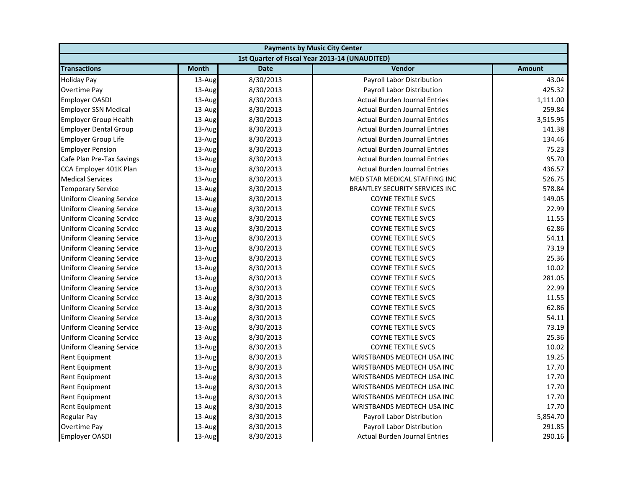| <b>Payments by Music City Center</b> |              |             |                                                |               |
|--------------------------------------|--------------|-------------|------------------------------------------------|---------------|
|                                      |              |             | 1st Quarter of Fiscal Year 2013-14 (UNAUDITED) |               |
| <b>Transactions</b>                  | <b>Month</b> | <b>Date</b> | Vendor                                         | <b>Amount</b> |
| <b>Holiday Pay</b>                   | 13-Aug       | 8/30/2013   | Payroll Labor Distribution                     | 43.04         |
| Overtime Pay                         | 13-Aug       | 8/30/2013   | Payroll Labor Distribution                     | 425.32        |
| <b>Employer OASDI</b>                | 13-Aug       | 8/30/2013   | <b>Actual Burden Journal Entries</b>           | 1,111.00      |
| <b>Employer SSN Medical</b>          | 13-Aug       | 8/30/2013   | <b>Actual Burden Journal Entries</b>           | 259.84        |
| <b>Employer Group Health</b>         | 13-Aug       | 8/30/2013   | <b>Actual Burden Journal Entries</b>           | 3,515.95      |
| <b>Employer Dental Group</b>         | 13-Aug       | 8/30/2013   | <b>Actual Burden Journal Entries</b>           | 141.38        |
| <b>Employer Group Life</b>           | 13-Aug       | 8/30/2013   | <b>Actual Burden Journal Entries</b>           | 134.46        |
| <b>Employer Pension</b>              | 13-Aug       | 8/30/2013   | <b>Actual Burden Journal Entries</b>           | 75.23         |
| Cafe Plan Pre-Tax Savings            | 13-Aug       | 8/30/2013   | <b>Actual Burden Journal Entries</b>           | 95.70         |
| CCA Employer 401K Plan               | 13-Aug       | 8/30/2013   | <b>Actual Burden Journal Entries</b>           | 436.57        |
| <b>Medical Services</b>              | 13-Aug       | 8/30/2013   | MED STAR MEDICAL STAFFING INC                  | 526.75        |
| <b>Temporary Service</b>             | 13-Aug       | 8/30/2013   | <b>BRANTLEY SECURITY SERVICES INC</b>          | 578.84        |
| <b>Uniform Cleaning Service</b>      | 13-Aug       | 8/30/2013   | <b>COYNE TEXTILE SVCS</b>                      | 149.05        |
| <b>Uniform Cleaning Service</b>      | 13-Aug       | 8/30/2013   | <b>COYNE TEXTILE SVCS</b>                      | 22.99         |
| <b>Uniform Cleaning Service</b>      | 13-Aug       | 8/30/2013   | <b>COYNE TEXTILE SVCS</b>                      | 11.55         |
| <b>Uniform Cleaning Service</b>      | 13-Aug       | 8/30/2013   | <b>COYNE TEXTILE SVCS</b>                      | 62.86         |
| <b>Uniform Cleaning Service</b>      | 13-Aug       | 8/30/2013   | <b>COYNE TEXTILE SVCS</b>                      | 54.11         |
| <b>Uniform Cleaning Service</b>      | 13-Aug       | 8/30/2013   | <b>COYNE TEXTILE SVCS</b>                      | 73.19         |
| <b>Uniform Cleaning Service</b>      | 13-Aug       | 8/30/2013   | <b>COYNE TEXTILE SVCS</b>                      | 25.36         |
| <b>Uniform Cleaning Service</b>      | 13-Aug       | 8/30/2013   | <b>COYNE TEXTILE SVCS</b>                      | 10.02         |
| <b>Uniform Cleaning Service</b>      | 13-Aug       | 8/30/2013   | <b>COYNE TEXTILE SVCS</b>                      | 281.05        |
| <b>Uniform Cleaning Service</b>      | 13-Aug       | 8/30/2013   | <b>COYNE TEXTILE SVCS</b>                      | 22.99         |
| <b>Uniform Cleaning Service</b>      | 13-Aug       | 8/30/2013   | <b>COYNE TEXTILE SVCS</b>                      | 11.55         |
| <b>Uniform Cleaning Service</b>      | 13-Aug       | 8/30/2013   | <b>COYNE TEXTILE SVCS</b>                      | 62.86         |
| <b>Uniform Cleaning Service</b>      | 13-Aug       | 8/30/2013   | <b>COYNE TEXTILE SVCS</b>                      | 54.11         |
| <b>Uniform Cleaning Service</b>      | 13-Aug       | 8/30/2013   | <b>COYNE TEXTILE SVCS</b>                      | 73.19         |
| <b>Uniform Cleaning Service</b>      | 13-Aug       | 8/30/2013   | <b>COYNE TEXTILE SVCS</b>                      | 25.36         |
| <b>Uniform Cleaning Service</b>      | 13-Aug       | 8/30/2013   | <b>COYNE TEXTILE SVCS</b>                      | 10.02         |
| Rent Equipment                       | 13-Aug       | 8/30/2013   | WRISTBANDS MEDTECH USA INC                     | 19.25         |
| Rent Equipment                       | 13-Aug       | 8/30/2013   | WRISTBANDS MEDTECH USA INC                     | 17.70         |
| Rent Equipment                       | 13-Aug       | 8/30/2013   | WRISTBANDS MEDTECH USA INC                     | 17.70         |
| Rent Equipment                       | 13-Aug       | 8/30/2013   | WRISTBANDS MEDTECH USA INC                     | 17.70         |
| Rent Equipment                       | 13-Aug       | 8/30/2013   | <b>WRISTBANDS MEDTECH USA INC</b>              | 17.70         |
| <b>Rent Equipment</b>                | 13-Aug       | 8/30/2013   | WRISTBANDS MEDTECH USA INC                     | 17.70         |
| <b>Regular Pay</b>                   | 13-Aug       | 8/30/2013   | Payroll Labor Distribution                     | 5,854.70      |
| Overtime Pay                         | 13-Aug       | 8/30/2013   | Payroll Labor Distribution                     | 291.85        |
| <b>Employer OASDI</b>                | 13-Aug       | 8/30/2013   | <b>Actual Burden Journal Entries</b>           | 290.16        |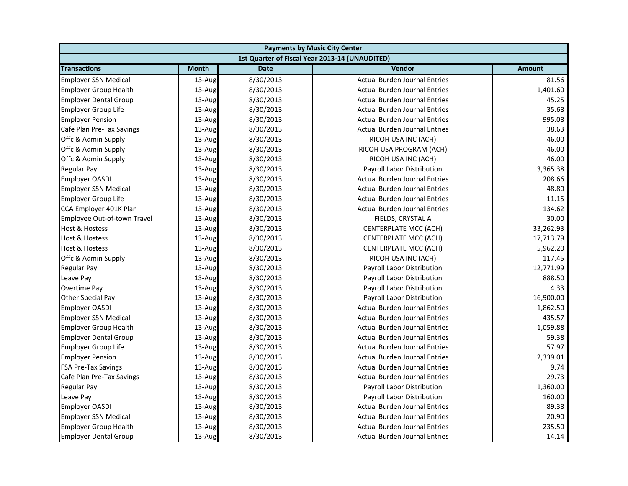| <b>Payments by Music City Center</b> |              |             |                                                |               |
|--------------------------------------|--------------|-------------|------------------------------------------------|---------------|
|                                      |              |             | 1st Quarter of Fiscal Year 2013-14 (UNAUDITED) |               |
| <b>Transactions</b>                  | <b>Month</b> | <b>Date</b> | Vendor                                         | <b>Amount</b> |
| <b>Employer SSN Medical</b>          | 13-Aug       | 8/30/2013   | <b>Actual Burden Journal Entries</b>           | 81.56         |
| <b>Employer Group Health</b>         | 13-Aug       | 8/30/2013   | <b>Actual Burden Journal Entries</b>           | 1,401.60      |
| <b>Employer Dental Group</b>         | 13-Aug       | 8/30/2013   | <b>Actual Burden Journal Entries</b>           | 45.25         |
| <b>Employer Group Life</b>           | 13-Aug       | 8/30/2013   | <b>Actual Burden Journal Entries</b>           | 35.68         |
| <b>Employer Pension</b>              | 13-Aug       | 8/30/2013   | <b>Actual Burden Journal Entries</b>           | 995.08        |
| Cafe Plan Pre-Tax Savings            | 13-Aug       | 8/30/2013   | <b>Actual Burden Journal Entries</b>           | 38.63         |
| Offc & Admin Supply                  | 13-Aug       | 8/30/2013   | RICOH USA INC (ACH)                            | 46.00         |
| Offc & Admin Supply                  | 13-Aug       | 8/30/2013   | RICOH USA PROGRAM (ACH)                        | 46.00         |
| Offc & Admin Supply                  | 13-Aug       | 8/30/2013   | RICOH USA INC (ACH)                            | 46.00         |
| <b>Regular Pay</b>                   | 13-Aug       | 8/30/2013   | Payroll Labor Distribution                     | 3,365.38      |
| <b>Employer OASDI</b>                | 13-Aug       | 8/30/2013   | <b>Actual Burden Journal Entries</b>           | 208.66        |
| <b>Employer SSN Medical</b>          | 13-Aug       | 8/30/2013   | <b>Actual Burden Journal Entries</b>           | 48.80         |
| <b>Employer Group Life</b>           | 13-Aug       | 8/30/2013   | <b>Actual Burden Journal Entries</b>           | 11.15         |
| CCA Employer 401K Plan               | 13-Aug       | 8/30/2013   | <b>Actual Burden Journal Entries</b>           | 134.62        |
| Employee Out-of-town Travel          | 13-Aug       | 8/30/2013   | FIELDS, CRYSTAL A                              | 30.00         |
| <b>Host &amp; Hostess</b>            | 13-Aug       | 8/30/2013   | CENTERPLATE MCC (ACH)                          | 33,262.93     |
| <b>Host &amp; Hostess</b>            | 13-Aug       | 8/30/2013   | CENTERPLATE MCC (ACH)                          | 17,713.79     |
| Host & Hostess                       | 13-Aug       | 8/30/2013   | CENTERPLATE MCC (ACH)                          | 5,962.20      |
| Offc & Admin Supply                  | 13-Aug       | 8/30/2013   | RICOH USA INC (ACH)                            | 117.45        |
| <b>Regular Pay</b>                   | 13-Aug       | 8/30/2013   | Payroll Labor Distribution                     | 12,771.99     |
| Leave Pay                            | 13-Aug       | 8/30/2013   | Payroll Labor Distribution                     | 888.50        |
| <b>Overtime Pay</b>                  | 13-Aug       | 8/30/2013   | Payroll Labor Distribution                     | 4.33          |
| Other Special Pay                    | 13-Aug       | 8/30/2013   | Payroll Labor Distribution                     | 16,900.00     |
| <b>Employer OASDI</b>                | 13-Aug       | 8/30/2013   | <b>Actual Burden Journal Entries</b>           | 1,862.50      |
| <b>Employer SSN Medical</b>          | 13-Aug       | 8/30/2013   | <b>Actual Burden Journal Entries</b>           | 435.57        |
| <b>Employer Group Health</b>         | 13-Aug       | 8/30/2013   | <b>Actual Burden Journal Entries</b>           | 1,059.88      |
| <b>Employer Dental Group</b>         | 13-Aug       | 8/30/2013   | <b>Actual Burden Journal Entries</b>           | 59.38         |
| <b>Employer Group Life</b>           | 13-Aug       | 8/30/2013   | <b>Actual Burden Journal Entries</b>           | 57.97         |
| <b>Employer Pension</b>              | 13-Aug       | 8/30/2013   | <b>Actual Burden Journal Entries</b>           | 2,339.01      |
| <b>FSA Pre-Tax Savings</b>           | 13-Aug       | 8/30/2013   | <b>Actual Burden Journal Entries</b>           | 9.74          |
| Cafe Plan Pre-Tax Savings            | 13-Aug       | 8/30/2013   | <b>Actual Burden Journal Entries</b>           | 29.73         |
| <b>Regular Pay</b>                   | 13-Aug       | 8/30/2013   | Payroll Labor Distribution                     | 1,360.00      |
| Leave Pay                            | 13-Aug       | 8/30/2013   | <b>Payroll Labor Distribution</b>              | 160.00        |
| <b>Employer OASDI</b>                | 13-Aug       | 8/30/2013   | <b>Actual Burden Journal Entries</b>           | 89.38         |
| <b>Employer SSN Medical</b>          | 13-Aug       | 8/30/2013   | <b>Actual Burden Journal Entries</b>           | 20.90         |
| <b>Employer Group Health</b>         | 13-Aug       | 8/30/2013   | <b>Actual Burden Journal Entries</b>           | 235.50        |
| <b>Employer Dental Group</b>         | 13-Aug       | 8/30/2013   | <b>Actual Burden Journal Entries</b>           | 14.14         |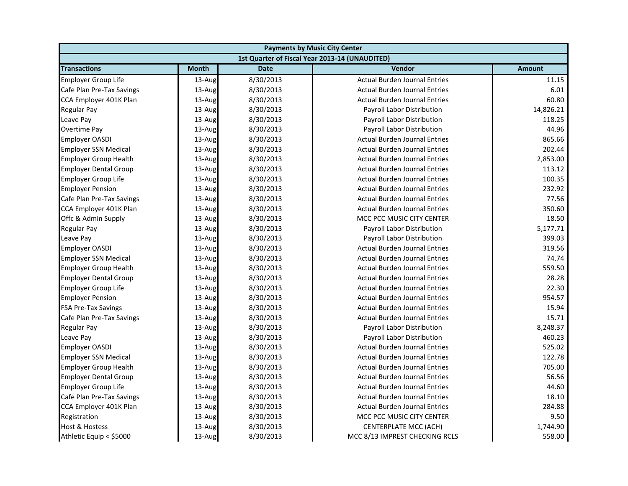| <b>Payments by Music City Center</b> |              |             |                                                |               |
|--------------------------------------|--------------|-------------|------------------------------------------------|---------------|
|                                      |              |             | 1st Quarter of Fiscal Year 2013-14 (UNAUDITED) |               |
| <b>Transactions</b>                  | <b>Month</b> | <b>Date</b> | Vendor                                         | <b>Amount</b> |
| <b>Employer Group Life</b>           | 13-Aug       | 8/30/2013   | <b>Actual Burden Journal Entries</b>           | 11.15         |
| Cafe Plan Pre-Tax Savings            | $13$ -Aug    | 8/30/2013   | <b>Actual Burden Journal Entries</b>           | 6.01          |
| CCA Employer 401K Plan               | 13-Aug       | 8/30/2013   | <b>Actual Burden Journal Entries</b>           | 60.80         |
| Regular Pay                          | 13-Aug       | 8/30/2013   | Payroll Labor Distribution                     | 14,826.21     |
| Leave Pay                            | 13-Aug       | 8/30/2013   | Payroll Labor Distribution                     | 118.25        |
| Overtime Pay                         | 13-Aug       | 8/30/2013   | Payroll Labor Distribution                     | 44.96         |
| <b>Employer OASDI</b>                | 13-Aug       | 8/30/2013   | <b>Actual Burden Journal Entries</b>           | 865.66        |
| <b>Employer SSN Medical</b>          | 13-Aug       | 8/30/2013   | <b>Actual Burden Journal Entries</b>           | 202.44        |
| <b>Employer Group Health</b>         | $13$ -Aug    | 8/30/2013   | <b>Actual Burden Journal Entries</b>           | 2,853.00      |
| <b>Employer Dental Group</b>         | 13-Aug       | 8/30/2013   | <b>Actual Burden Journal Entries</b>           | 113.12        |
| <b>Employer Group Life</b>           | $13$ -Aug    | 8/30/2013   | <b>Actual Burden Journal Entries</b>           | 100.35        |
| <b>Employer Pension</b>              | $13$ -Aug    | 8/30/2013   | <b>Actual Burden Journal Entries</b>           | 232.92        |
| Cafe Plan Pre-Tax Savings            | 13-Aug       | 8/30/2013   | <b>Actual Burden Journal Entries</b>           | 77.56         |
| CCA Employer 401K Plan               | $13$ -Aug    | 8/30/2013   | <b>Actual Burden Journal Entries</b>           | 350.60        |
| Offc & Admin Supply                  | 13-Aug       | 8/30/2013   | MCC PCC MUSIC CITY CENTER                      | 18.50         |
| Regular Pay                          | 13-Aug       | 8/30/2013   | Payroll Labor Distribution                     | 5,177.71      |
| Leave Pay                            | 13-Aug       | 8/30/2013   | Payroll Labor Distribution                     | 399.03        |
| <b>Employer OASDI</b>                | 13-Aug       | 8/30/2013   | <b>Actual Burden Journal Entries</b>           | 319.56        |
| <b>Employer SSN Medical</b>          | 13-Aug       | 8/30/2013   | <b>Actual Burden Journal Entries</b>           | 74.74         |
| <b>Employer Group Health</b>         | 13-Aug       | 8/30/2013   | <b>Actual Burden Journal Entries</b>           | 559.50        |
| <b>Employer Dental Group</b>         | $13$ -Aug    | 8/30/2013   | <b>Actual Burden Journal Entries</b>           | 28.28         |
| <b>Employer Group Life</b>           | $13$ -Aug    | 8/30/2013   | <b>Actual Burden Journal Entries</b>           | 22.30         |
| <b>Employer Pension</b>              | 13-Aug       | 8/30/2013   | <b>Actual Burden Journal Entries</b>           | 954.57        |
| <b>FSA Pre-Tax Savings</b>           | 13-Aug       | 8/30/2013   | <b>Actual Burden Journal Entries</b>           | 15.94         |
| Cafe Plan Pre-Tax Savings            | 13-Aug       | 8/30/2013   | <b>Actual Burden Journal Entries</b>           | 15.71         |
| Regular Pay                          | 13-Aug       | 8/30/2013   | Payroll Labor Distribution                     | 8,248.37      |
| Leave Pay                            | 13-Aug       | 8/30/2013   | Payroll Labor Distribution                     | 460.23        |
| <b>Employer OASDI</b>                | 13-Aug       | 8/30/2013   | <b>Actual Burden Journal Entries</b>           | 525.02        |
| <b>Employer SSN Medical</b>          | $13$ -Aug    | 8/30/2013   | <b>Actual Burden Journal Entries</b>           | 122.78        |
| <b>Employer Group Health</b>         | 13-Aug       | 8/30/2013   | <b>Actual Burden Journal Entries</b>           | 705.00        |
| <b>Employer Dental Group</b>         | $13$ -Aug    | 8/30/2013   | <b>Actual Burden Journal Entries</b>           | 56.56         |
| <b>Employer Group Life</b>           | $13$ -Aug    | 8/30/2013   | <b>Actual Burden Journal Entries</b>           | 44.60         |
| Cafe Plan Pre-Tax Savings            | 13-Aug       | 8/30/2013   | <b>Actual Burden Journal Entries</b>           | 18.10         |
| CCA Employer 401K Plan               | $13$ -Aug    | 8/30/2013   | <b>Actual Burden Journal Entries</b>           | 284.88        |
| Registration                         | 13-Aug       | 8/30/2013   | MCC PCC MUSIC CITY CENTER                      | 9.50          |
| Host & Hostess                       | 13-Aug       | 8/30/2013   | CENTERPLATE MCC (ACH)                          | 1,744.90      |
| Athletic Equip < \$5000              | 13-Aug       | 8/30/2013   | MCC 8/13 IMPREST CHECKING RCLS                 | 558.00        |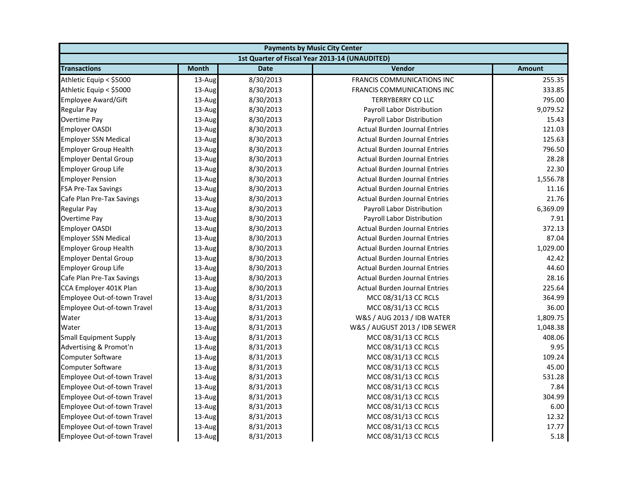| <b>Payments by Music City Center</b> |              |             |                                                |               |
|--------------------------------------|--------------|-------------|------------------------------------------------|---------------|
|                                      |              |             | 1st Quarter of Fiscal Year 2013-14 (UNAUDITED) |               |
| <b>Transactions</b>                  | <b>Month</b> | <b>Date</b> | Vendor                                         | <b>Amount</b> |
| Athletic Equip < \$5000              | 13-Aug       | 8/30/2013   | FRANCIS COMMUNICATIONS INC                     | 255.35        |
| Athletic Equip < \$5000              | 13-Aug       | 8/30/2013   | FRANCIS COMMUNICATIONS INC                     | 333.85        |
| Employee Award/Gift                  | 13-Aug       | 8/30/2013   | <b>TERRYBERRY CO LLC</b>                       | 795.00        |
| Regular Pay                          | 13-Aug       | 8/30/2013   | <b>Payroll Labor Distribution</b>              | 9,079.52      |
| Overtime Pay                         | 13-Aug       | 8/30/2013   | Payroll Labor Distribution                     | 15.43         |
| <b>Employer OASDI</b>                | 13-Aug       | 8/30/2013   | <b>Actual Burden Journal Entries</b>           | 121.03        |
| <b>Employer SSN Medical</b>          | 13-Aug       | 8/30/2013   | <b>Actual Burden Journal Entries</b>           | 125.63        |
| <b>Employer Group Health</b>         | 13-Aug       | 8/30/2013   | <b>Actual Burden Journal Entries</b>           | 796.50        |
| <b>Employer Dental Group</b>         | 13-Aug       | 8/30/2013   | <b>Actual Burden Journal Entries</b>           | 28.28         |
| <b>Employer Group Life</b>           | 13-Aug       | 8/30/2013   | <b>Actual Burden Journal Entries</b>           | 22.30         |
| <b>Employer Pension</b>              | 13-Aug       | 8/30/2013   | <b>Actual Burden Journal Entries</b>           | 1,556.78      |
| <b>FSA Pre-Tax Savings</b>           | 13-Aug       | 8/30/2013   | <b>Actual Burden Journal Entries</b>           | 11.16         |
| Cafe Plan Pre-Tax Savings            | 13-Aug       | 8/30/2013   | <b>Actual Burden Journal Entries</b>           | 21.76         |
| Regular Pay                          | 13-Aug       | 8/30/2013   | Payroll Labor Distribution                     | 6,369.09      |
| Overtime Pay                         | 13-Aug       | 8/30/2013   | Payroll Labor Distribution                     | 7.91          |
| <b>Employer OASDI</b>                | 13-Aug       | 8/30/2013   | <b>Actual Burden Journal Entries</b>           | 372.13        |
| <b>Employer SSN Medical</b>          | 13-Aug       | 8/30/2013   | <b>Actual Burden Journal Entries</b>           | 87.04         |
| <b>Employer Group Health</b>         | 13-Aug       | 8/30/2013   | <b>Actual Burden Journal Entries</b>           | 1,029.00      |
| <b>Employer Dental Group</b>         | 13-Aug       | 8/30/2013   | <b>Actual Burden Journal Entries</b>           | 42.42         |
| <b>Employer Group Life</b>           | 13-Aug       | 8/30/2013   | <b>Actual Burden Journal Entries</b>           | 44.60         |
| Cafe Plan Pre-Tax Savings            | 13-Aug       | 8/30/2013   | <b>Actual Burden Journal Entries</b>           | 28.16         |
| CCA Employer 401K Plan               | 13-Aug       | 8/30/2013   | <b>Actual Burden Journal Entries</b>           | 225.64        |
| Employee Out-of-town Travel          | 13-Aug       | 8/31/2013   | MCC 08/31/13 CC RCLS                           | 364.99        |
| Employee Out-of-town Travel          | 13-Aug       | 8/31/2013   | MCC 08/31/13 CC RCLS                           | 36.00         |
| Water                                | 13-Aug       | 8/31/2013   | W&S / AUG 2013 / IDB WATER                     | 1,809.75      |
| Water                                | 13-Aug       | 8/31/2013   | W&S / AUGUST 2013 / IDB SEWER                  | 1,048.38      |
| <b>Small Equipment Supply</b>        | 13-Aug       | 8/31/2013   | MCC 08/31/13 CC RCLS                           | 408.06        |
| Advertising & Promot'n               | 13-Aug       | 8/31/2013   | MCC 08/31/13 CC RCLS                           | 9.95          |
| Computer Software                    | 13-Aug       | 8/31/2013   | MCC 08/31/13 CC RCLS                           | 109.24        |
| <b>Computer Software</b>             | 13-Aug       | 8/31/2013   | MCC 08/31/13 CC RCLS                           | 45.00         |
| Employee Out-of-town Travel          | 13-Aug       | 8/31/2013   | MCC 08/31/13 CC RCLS                           | 531.28        |
| Employee Out-of-town Travel          | 13-Aug       | 8/31/2013   | MCC 08/31/13 CC RCLS                           | 7.84          |
| Employee Out-of-town Travel          | 13-Aug       | 8/31/2013   | MCC 08/31/13 CC RCLS                           | 304.99        |
| Employee Out-of-town Travel          | 13-Aug       | 8/31/2013   | MCC 08/31/13 CC RCLS                           | 6.00          |
| Employee Out-of-town Travel          | 13-Aug       | 8/31/2013   | MCC 08/31/13 CC RCLS                           | 12.32         |
| Employee Out-of-town Travel          | 13-Aug       | 8/31/2013   | MCC 08/31/13 CC RCLS                           | 17.77         |
| Employee Out-of-town Travel          | 13-Aug       | 8/31/2013   | MCC 08/31/13 CC RCLS                           | 5.18          |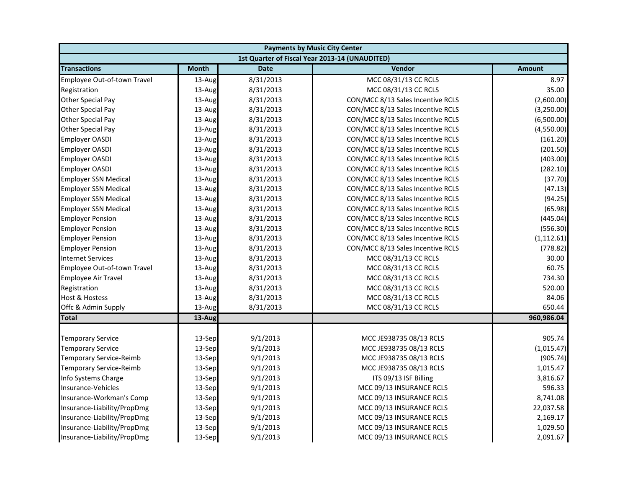|                                | <b>Payments by Music City Center</b> |             |                                                |               |  |
|--------------------------------|--------------------------------------|-------------|------------------------------------------------|---------------|--|
|                                |                                      |             | 1st Quarter of Fiscal Year 2013-14 (UNAUDITED) |               |  |
| <b>Transactions</b>            | <b>Month</b>                         | <b>Date</b> | Vendor                                         | <b>Amount</b> |  |
| Employee Out-of-town Travel    | 13-Aug                               | 8/31/2013   | MCC 08/31/13 CC RCLS                           | 8.97          |  |
| Registration                   | 13-Aug                               | 8/31/2013   | MCC 08/31/13 CC RCLS                           | 35.00         |  |
| Other Special Pay              | 13-Aug                               | 8/31/2013   | CON/MCC 8/13 Sales Incentive RCLS              | (2,600.00)    |  |
| Other Special Pay              | 13-Aug                               | 8/31/2013   | CON/MCC 8/13 Sales Incentive RCLS              | (3,250.00)    |  |
| Other Special Pay              | 13-Aug                               | 8/31/2013   | CON/MCC 8/13 Sales Incentive RCLS              | (6,500.00)    |  |
| Other Special Pay              | 13-Aug                               | 8/31/2013   | CON/MCC 8/13 Sales Incentive RCLS              | (4,550.00)    |  |
| <b>Employer OASDI</b>          | 13-Aug                               | 8/31/2013   | CON/MCC 8/13 Sales Incentive RCLS              | (161.20)      |  |
| <b>Employer OASDI</b>          | 13-Aug                               | 8/31/2013   | CON/MCC 8/13 Sales Incentive RCLS              | (201.50)      |  |
| <b>Employer OASDI</b>          | 13-Aug                               | 8/31/2013   | CON/MCC 8/13 Sales Incentive RCLS              | (403.00)      |  |
| <b>Employer OASDI</b>          | 13-Aug                               | 8/31/2013   | CON/MCC 8/13 Sales Incentive RCLS              | (282.10)      |  |
| <b>Employer SSN Medical</b>    | 13-Aug                               | 8/31/2013   | CON/MCC 8/13 Sales Incentive RCLS              | (37.70)       |  |
| <b>Employer SSN Medical</b>    | 13-Aug                               | 8/31/2013   | CON/MCC 8/13 Sales Incentive RCLS              | (47.13)       |  |
| <b>Employer SSN Medical</b>    | 13-Aug                               | 8/31/2013   | CON/MCC 8/13 Sales Incentive RCLS              | (94.25)       |  |
| <b>Employer SSN Medical</b>    | 13-Aug                               | 8/31/2013   | CON/MCC 8/13 Sales Incentive RCLS              | (65.98)       |  |
| <b>Employer Pension</b>        | 13-Aug                               | 8/31/2013   | CON/MCC 8/13 Sales Incentive RCLS              | (445.04)      |  |
| <b>Employer Pension</b>        | 13-Aug                               | 8/31/2013   | CON/MCC 8/13 Sales Incentive RCLS              | (556.30)      |  |
| <b>Employer Pension</b>        | 13-Aug                               | 8/31/2013   | CON/MCC 8/13 Sales Incentive RCLS              | (1, 112.61)   |  |
| <b>Employer Pension</b>        | 13-Aug                               | 8/31/2013   | CON/MCC 8/13 Sales Incentive RCLS              | (778.82)      |  |
| <b>Internet Services</b>       | 13-Aug                               | 8/31/2013   | MCC 08/31/13 CC RCLS                           | 30.00         |  |
| Employee Out-of-town Travel    | 13-Aug                               | 8/31/2013   | MCC 08/31/13 CC RCLS                           | 60.75         |  |
| <b>Employee Air Travel</b>     | 13-Aug                               | 8/31/2013   | MCC 08/31/13 CC RCLS                           | 734.30        |  |
| Registration                   | 13-Aug                               | 8/31/2013   | MCC 08/31/13 CC RCLS                           | 520.00        |  |
| Host & Hostess                 | 13-Aug                               | 8/31/2013   | MCC 08/31/13 CC RCLS                           | 84.06         |  |
| Offc & Admin Supply            | 13-Aug                               | 8/31/2013   | MCC 08/31/13 CC RCLS                           | 650.44        |  |
| <b>Total</b>                   | 13-Aug                               |             |                                                | 960,986.04    |  |
|                                |                                      |             |                                                |               |  |
| <b>Temporary Service</b>       | 13-Sep                               | 9/1/2013    | MCC JE938735 08/13 RCLS                        | 905.74        |  |
| <b>Temporary Service</b>       | 13-Sep                               | 9/1/2013    | MCC JE938735 08/13 RCLS                        | (1,015.47)    |  |
| <b>Temporary Service-Reimb</b> | 13-Sep                               | 9/1/2013    | MCC JE938735 08/13 RCLS                        | (905.74)      |  |
| <b>Temporary Service-Reimb</b> | 13-Sep                               | 9/1/2013    | MCC JE938735 08/13 RCLS                        | 1,015.47      |  |
| Info Systems Charge            | 13-Sep                               | 9/1/2013    | ITS 09/13 ISF Billing                          | 3,816.67      |  |
| Insurance-Vehicles             | 13-Sep                               | 9/1/2013    | MCC 09/13 INSURANCE RCLS                       | 596.33        |  |
| Insurance-Workman's Comp       | 13-Sep                               | 9/1/2013    | MCC 09/13 INSURANCE RCLS                       | 8,741.08      |  |
| Insurance-Liability/PropDmg    | 13-Sep                               | 9/1/2013    | MCC 09/13 INSURANCE RCLS                       | 22,037.58     |  |
| Insurance-Liability/PropDmg    | 13-Sep                               | 9/1/2013    | MCC 09/13 INSURANCE RCLS                       | 2,169.17      |  |
| Insurance-Liability/PropDmg    | 13-Sep                               | 9/1/2013    | MCC 09/13 INSURANCE RCLS                       | 1,029.50      |  |
| Insurance-Liability/PropDmg    | 13-Sep                               | 9/1/2013    | MCC 09/13 INSURANCE RCLS                       | 2,091.67      |  |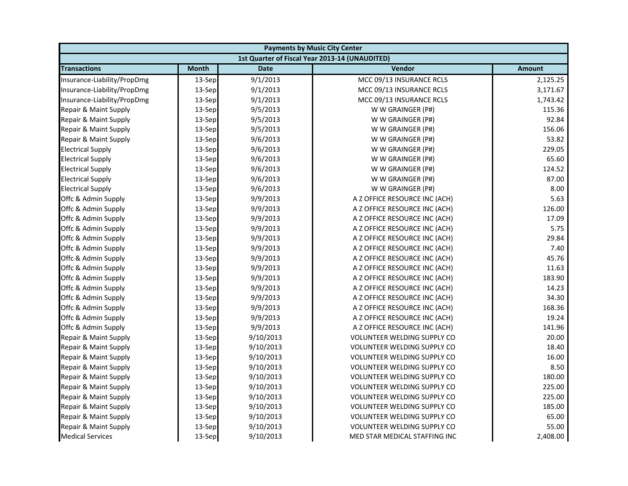| <b>Payments by Music City Center</b> |              |             |                                                |               |
|--------------------------------------|--------------|-------------|------------------------------------------------|---------------|
|                                      |              |             | 1st Quarter of Fiscal Year 2013-14 (UNAUDITED) |               |
| <b>Transactions</b>                  | <b>Month</b> | <b>Date</b> | Vendor                                         | <b>Amount</b> |
| Insurance-Liability/PropDmg          | 13-Sep       | 9/1/2013    | MCC 09/13 INSURANCE RCLS                       | 2,125.25      |
| Insurance-Liability/PropDmg          | 13-Sep       | 9/1/2013    | MCC 09/13 INSURANCE RCLS                       | 3,171.67      |
| Insurance-Liability/PropDmg          | 13-Sep       | 9/1/2013    | MCC 09/13 INSURANCE RCLS                       | 1,743.42      |
| Repair & Maint Supply                | 13-Sep       | 9/5/2013    | W W GRAINGER (P#)                              | 115.36        |
| Repair & Maint Supply                | 13-Sep       | 9/5/2013    | W W GRAINGER (P#)                              | 92.84         |
| Repair & Maint Supply                | 13-Sep       | 9/5/2013    | W W GRAINGER (P#)                              | 156.06        |
| Repair & Maint Supply                | 13-Sep       | 9/6/2013    | W W GRAINGER (P#)                              | 53.82         |
| <b>Electrical Supply</b>             | 13-Sep       | 9/6/2013    | W W GRAINGER (P#)                              | 229.05        |
| <b>Electrical Supply</b>             | 13-Sep       | 9/6/2013    | W W GRAINGER (P#)                              | 65.60         |
| <b>Electrical Supply</b>             | 13-Sep       | 9/6/2013    | W W GRAINGER (P#)                              | 124.52        |
| <b>Electrical Supply</b>             | 13-Sep       | 9/6/2013    | W W GRAINGER (P#)                              | 87.00         |
| <b>Electrical Supply</b>             | 13-Sep       | 9/6/2013    | W W GRAINGER (P#)                              | 8.00          |
| Offc & Admin Supply                  | 13-Sep       | 9/9/2013    | A Z OFFICE RESOURCE INC (ACH)                  | 5.63          |
| Offc & Admin Supply                  | 13-Sep       | 9/9/2013    | A Z OFFICE RESOURCE INC (ACH)                  | 126.00        |
| Offc & Admin Supply                  | 13-Sep       | 9/9/2013    | A Z OFFICE RESOURCE INC (ACH)                  | 17.09         |
| Offc & Admin Supply                  | 13-Sep       | 9/9/2013    | A Z OFFICE RESOURCE INC (ACH)                  | 5.75          |
| Offc & Admin Supply                  | 13-Sep       | 9/9/2013    | A Z OFFICE RESOURCE INC (ACH)                  | 29.84         |
| Offc & Admin Supply                  | 13-Sep       | 9/9/2013    | A Z OFFICE RESOURCE INC (ACH)                  | 7.40          |
| Offc & Admin Supply                  | 13-Sep       | 9/9/2013    | A Z OFFICE RESOURCE INC (ACH)                  | 45.76         |
| Offc & Admin Supply                  | 13-Sep       | 9/9/2013    | A Z OFFICE RESOURCE INC (ACH)                  | 11.63         |
| Offc & Admin Supply                  | 13-Sep       | 9/9/2013    | A Z OFFICE RESOURCE INC (ACH)                  | 183.90        |
| Offc & Admin Supply                  | 13-Sep       | 9/9/2013    | A Z OFFICE RESOURCE INC (ACH)                  | 14.23         |
| Offc & Admin Supply                  | 13-Sep       | 9/9/2013    | A Z OFFICE RESOURCE INC (ACH)                  | 34.30         |
| Offc & Admin Supply                  | 13-Sep       | 9/9/2013    | A Z OFFICE RESOURCE INC (ACH)                  | 168.36        |
| Offc & Admin Supply                  | 13-Sep       | 9/9/2013    | A Z OFFICE RESOURCE INC (ACH)                  | 19.24         |
| Offc & Admin Supply                  | 13-Sep       | 9/9/2013    | A Z OFFICE RESOURCE INC (ACH)                  | 141.96        |
| Repair & Maint Supply                | 13-Sep       | 9/10/2013   | <b>VOLUNTEER WELDING SUPPLY CO</b>             | 20.00         |
| Repair & Maint Supply                | 13-Sep       | 9/10/2013   | <b>VOLUNTEER WELDING SUPPLY CO</b>             | 18.40         |
| Repair & Maint Supply                | 13-Sep       | 9/10/2013   | VOLUNTEER WELDING SUPPLY CO                    | 16.00         |
| Repair & Maint Supply                | 13-Sep       | 9/10/2013   | <b>VOLUNTEER WELDING SUPPLY CO</b>             | 8.50          |
| Repair & Maint Supply                | 13-Sep       | 9/10/2013   | <b>VOLUNTEER WELDING SUPPLY CO</b>             | 180.00        |
| Repair & Maint Supply                | 13-Sep       | 9/10/2013   | <b>VOLUNTEER WELDING SUPPLY CO</b>             | 225.00        |
| Repair & Maint Supply                | 13-Sep       | 9/10/2013   | <b>VOLUNTEER WELDING SUPPLY CO</b>             | 225.00        |
| Repair & Maint Supply                | 13-Sep       | 9/10/2013   | <b>VOLUNTEER WELDING SUPPLY CO</b>             | 185.00        |
| Repair & Maint Supply                | 13-Sep       | 9/10/2013   | VOLUNTEER WELDING SUPPLY CO                    | 65.00         |
| Repair & Maint Supply                | 13-Sep       | 9/10/2013   | VOLUNTEER WELDING SUPPLY CO                    | 55.00         |
| <b>Medical Services</b>              | 13-Sep       | 9/10/2013   | MED STAR MEDICAL STAFFING INC                  | 2,408.00      |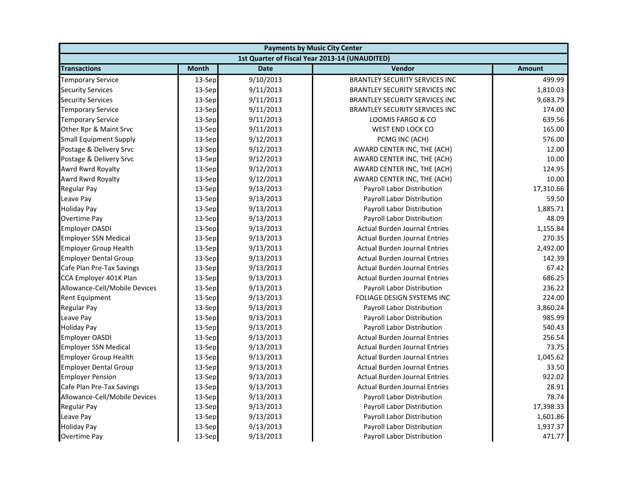| <b>Payments by Music City Center</b> |              |             |                                                |               |
|--------------------------------------|--------------|-------------|------------------------------------------------|---------------|
|                                      |              |             | 1st Quarter of Fiscal Year 2013-14 (UNAUDITED) |               |
| <b>Transactions</b>                  | <b>Month</b> | <b>Date</b> | Vendor                                         | <b>Amount</b> |
| <b>Temporary Service</b>             | 13-Sep       | 9/10/2013   | <b>BRANTLEY SECURITY SERVICES INC</b>          | 499.99        |
| <b>Security Services</b>             | 13-Sep       | 9/11/2013   | <b>BRANTLEY SECURITY SERVICES INC</b>          | 1,810.03      |
| <b>Security Services</b>             | 13-Sep       | 9/11/2013   | <b>BRANTLEY SECURITY SERVICES INC</b>          | 9,683.79      |
| <b>Temporary Service</b>             | 13-Sep       | 9/11/2013   | <b>BRANTLEY SECURITY SERVICES INC</b>          | 174.00        |
| <b>Temporary Service</b>             | 13-Sep       | 9/11/2013   | LOOMIS FARGO & CO                              | 639.56        |
| Other Rpr & Maint Srvc               | 13-Sep       | 9/11/2013   | WEST END LOCK CO                               | 165.00        |
| <b>Small Equipment Supply</b>        | $13-$ Sep    | 9/12/2013   | PCMG INC (ACH)                                 | 576.00        |
| Postage & Delivery Srvc              | 13-Sep       | 9/12/2013   | AWARD CENTER INC, THE (ACH)                    | 12.00         |
| Postage & Delivery Srvc              | 13-Sep       | 9/12/2013   | AWARD CENTER INC, THE (ACH)                    | 10.00         |
| Awrd Rwrd Royalty                    | 13-Sep       | 9/12/2013   | AWARD CENTER INC, THE (ACH)                    | 124.95        |
| Awrd Rwrd Royalty                    | 13-Sep       | 9/12/2013   | AWARD CENTER INC, THE (ACH)                    | 10.00         |
| <b>Regular Pay</b>                   | 13-Sep       | 9/13/2013   | Payroll Labor Distribution                     | 17,310.66     |
| Leave Pay                            | 13-Sep       | 9/13/2013   | Payroll Labor Distribution                     | 59.50         |
| <b>Holiday Pay</b>                   | 13-Sep       | 9/13/2013   | Payroll Labor Distribution                     | 1,885.71      |
| <b>Overtime Pay</b>                  | 13-Sep       | 9/13/2013   | Payroll Labor Distribution                     | 48.09         |
| <b>Employer OASDI</b>                | 13-Sep       | 9/13/2013   | <b>Actual Burden Journal Entries</b>           | 1,155.84      |
| <b>Employer SSN Medical</b>          | 13-Sep       | 9/13/2013   | <b>Actual Burden Journal Entries</b>           | 270.35        |
| <b>Employer Group Health</b>         | 13-Sep       | 9/13/2013   | <b>Actual Burden Journal Entries</b>           | 2,492.00      |
| <b>Employer Dental Group</b>         | 13-Sep       | 9/13/2013   | <b>Actual Burden Journal Entries</b>           | 142.39        |
| Cafe Plan Pre-Tax Savings            | 13-Sep       | 9/13/2013   | <b>Actual Burden Journal Entries</b>           | 67.42         |
| CCA Employer 401K Plan               | 13-Sep       | 9/13/2013   | <b>Actual Burden Journal Entries</b>           | 686.25        |
| Allowance-Cell/Mobile Devices        | 13-Sep       | 9/13/2013   | Payroll Labor Distribution                     | 236.22        |
| Rent Equipment                       | 13-Sep       | 9/13/2013   | FOLIAGE DESIGN SYSTEMS INC                     | 224.00        |
| <b>Regular Pay</b>                   | 13-Sep       | 9/13/2013   | Payroll Labor Distribution                     | 3,860.24      |
| Leave Pay                            | 13-Sep       | 9/13/2013   | Payroll Labor Distribution                     | 985.99        |
| <b>Holiday Pay</b>                   | 13-Sep       | 9/13/2013   | Payroll Labor Distribution                     | 540.43        |
| Employer OASDI                       | 13-Sep       | 9/13/2013   | <b>Actual Burden Journal Entries</b>           | 256.54        |
| <b>Employer SSN Medical</b>          | 13-Sep       | 9/13/2013   | <b>Actual Burden Journal Entries</b>           | 73.75         |
| <b>Employer Group Health</b>         | 13-Sep       | 9/13/2013   | <b>Actual Burden Journal Entries</b>           | 1,045.62      |
| <b>Employer Dental Group</b>         | 13-Sep       | 9/13/2013   | <b>Actual Burden Journal Entries</b>           | 33.50         |
| <b>Employer Pension</b>              | 13-Sep       | 9/13/2013   | <b>Actual Burden Journal Entries</b>           | 922.02        |
| Cafe Plan Pre-Tax Savings            | 13-Sep       | 9/13/2013   | <b>Actual Burden Journal Entries</b>           | 28.91         |
| Allowance-Cell/Mobile Devices        | 13-Sep       | 9/13/2013   | Payroll Labor Distribution                     | 78.74         |
| <b>Regular Pay</b>                   | 13-Sep       | 9/13/2013   | Payroll Labor Distribution                     | 17,398.33     |
| Leave Pay                            | 13-Sep       | 9/13/2013   | Payroll Labor Distribution                     | 1,601.86      |
| <b>Holiday Pay</b>                   | 13-Sep       | 9/13/2013   | Payroll Labor Distribution                     | 1,937.37      |
| Overtime Pay                         | 13-Sep       | 9/13/2013   | Payroll Labor Distribution                     | 471.77        |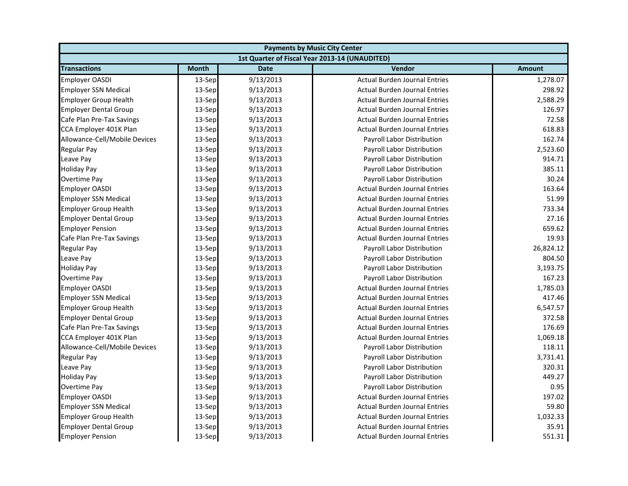| <b>Payments by Music City Center</b> |              |             |                                                |               |
|--------------------------------------|--------------|-------------|------------------------------------------------|---------------|
|                                      |              |             | 1st Quarter of Fiscal Year 2013-14 (UNAUDITED) |               |
| <b>Transactions</b>                  | <b>Month</b> | <b>Date</b> | <b>Vendor</b>                                  | <b>Amount</b> |
| <b>Employer OASDI</b>                | 13-Sep       | 9/13/2013   | <b>Actual Burden Journal Entries</b>           | 1,278.07      |
| <b>Employer SSN Medical</b>          | 13-Sep       | 9/13/2013   | <b>Actual Burden Journal Entries</b>           | 298.92        |
| <b>Employer Group Health</b>         | 13-Sep       | 9/13/2013   | <b>Actual Burden Journal Entries</b>           | 2,588.29      |
| <b>Employer Dental Group</b>         | 13-Sep       | 9/13/2013   | <b>Actual Burden Journal Entries</b>           | 126.97        |
| Cafe Plan Pre-Tax Savings            | 13-Sep       | 9/13/2013   | <b>Actual Burden Journal Entries</b>           | 72.58         |
| CCA Employer 401K Plan               | 13-Sep       | 9/13/2013   | <b>Actual Burden Journal Entries</b>           | 618.83        |
| Allowance-Cell/Mobile Devices        | 13-Sep       | 9/13/2013   | Payroll Labor Distribution                     | 162.74        |
| <b>Regular Pay</b>                   | 13-Sep       | 9/13/2013   | Payroll Labor Distribution                     | 2,523.60      |
| Leave Pay                            | 13-Sep       | 9/13/2013   | Payroll Labor Distribution                     | 914.71        |
| <b>Holiday Pay</b>                   | 13-Sep       | 9/13/2013   | Payroll Labor Distribution                     | 385.11        |
| <b>Overtime Pay</b>                  | 13-Sep       | 9/13/2013   | Payroll Labor Distribution                     | 30.24         |
| <b>Employer OASDI</b>                | 13-Sep       | 9/13/2013   | <b>Actual Burden Journal Entries</b>           | 163.64        |
| <b>Employer SSN Medical</b>          | 13-Sep       | 9/13/2013   | <b>Actual Burden Journal Entries</b>           | 51.99         |
| <b>Employer Group Health</b>         | 13-Sep       | 9/13/2013   | <b>Actual Burden Journal Entries</b>           | 733.34        |
| <b>Employer Dental Group</b>         | 13-Sep       | 9/13/2013   | <b>Actual Burden Journal Entries</b>           | 27.16         |
| <b>Employer Pension</b>              | 13-Sep       | 9/13/2013   | <b>Actual Burden Journal Entries</b>           | 659.62        |
| Cafe Plan Pre-Tax Savings            | 13-Sep       | 9/13/2013   | <b>Actual Burden Journal Entries</b>           | 19.93         |
| <b>Regular Pay</b>                   | 13-Sep       | 9/13/2013   | Payroll Labor Distribution                     | 26,824.12     |
| Leave Pay                            | 13-Sep       | 9/13/2013   | Payroll Labor Distribution                     | 804.50        |
| <b>Holiday Pay</b>                   | 13-Sep       | 9/13/2013   | Payroll Labor Distribution                     | 3,193.75      |
| <b>Overtime Pay</b>                  | 13-Sep       | 9/13/2013   | Payroll Labor Distribution                     | 167.23        |
| <b>Employer OASDI</b>                | 13-Sep       | 9/13/2013   | <b>Actual Burden Journal Entries</b>           | 1,785.03      |
| <b>Employer SSN Medical</b>          | 13-Sep       | 9/13/2013   | <b>Actual Burden Journal Entries</b>           | 417.46        |
| <b>Employer Group Health</b>         | 13-Sep       | 9/13/2013   | <b>Actual Burden Journal Entries</b>           | 6,547.57      |
| <b>Employer Dental Group</b>         | 13-Sep       | 9/13/2013   | <b>Actual Burden Journal Entries</b>           | 372.58        |
| Cafe Plan Pre-Tax Savings            | 13-Sep       | 9/13/2013   | <b>Actual Burden Journal Entries</b>           | 176.69        |
| CCA Employer 401K Plan               | 13-Sep       | 9/13/2013   | <b>Actual Burden Journal Entries</b>           | 1,069.18      |
| Allowance-Cell/Mobile Devices        | 13-Sep       | 9/13/2013   | Payroll Labor Distribution                     | 118.11        |
| <b>Regular Pay</b>                   | 13-Sep       | 9/13/2013   | Payroll Labor Distribution                     | 3,731.41      |
| Leave Pay                            | 13-Sep       | 9/13/2013   | Payroll Labor Distribution                     | 320.31        |
| <b>Holiday Pay</b>                   | 13-Sep       | 9/13/2013   | Payroll Labor Distribution                     | 449.27        |
| Overtime Pay                         | 13-Sep       | 9/13/2013   | Payroll Labor Distribution                     | 0.95          |
| <b>Employer OASDI</b>                | 13-Sep       | 9/13/2013   | <b>Actual Burden Journal Entries</b>           | 197.02        |
| <b>Employer SSN Medical</b>          | 13-Sep       | 9/13/2013   | <b>Actual Burden Journal Entries</b>           | 59.80         |
| <b>Employer Group Health</b>         | 13-Sep       | 9/13/2013   | <b>Actual Burden Journal Entries</b>           | 1,032.33      |
| <b>Employer Dental Group</b>         | 13-Sep       | 9/13/2013   | <b>Actual Burden Journal Entries</b>           | 35.91         |
| <b>Employer Pension</b>              | 13-Sep       | 9/13/2013   | <b>Actual Burden Journal Entries</b>           | 551.31        |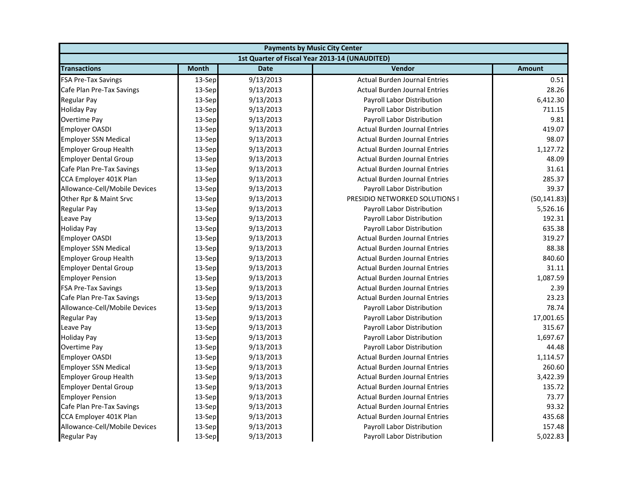| <b>Payments by Music City Center</b> |              |             |                                                |               |
|--------------------------------------|--------------|-------------|------------------------------------------------|---------------|
|                                      |              |             | 1st Quarter of Fiscal Year 2013-14 (UNAUDITED) |               |
| <b>Transactions</b>                  | <b>Month</b> | <b>Date</b> | <b>Vendor</b>                                  | <b>Amount</b> |
| <b>FSA Pre-Tax Savings</b>           | 13-Sep       | 9/13/2013   | <b>Actual Burden Journal Entries</b>           | 0.51          |
| Cafe Plan Pre-Tax Savings            | 13-Sep       | 9/13/2013   | <b>Actual Burden Journal Entries</b>           | 28.26         |
| Regular Pay                          | 13-Sep       | 9/13/2013   | Payroll Labor Distribution                     | 6,412.30      |
| <b>Holiday Pay</b>                   | 13-Sep       | 9/13/2013   | Payroll Labor Distribution                     | 711.15        |
| Overtime Pay                         | 13-Sep       | 9/13/2013   | Payroll Labor Distribution                     | 9.81          |
| <b>Employer OASDI</b>                | 13-Sep       | 9/13/2013   | <b>Actual Burden Journal Entries</b>           | 419.07        |
| <b>Employer SSN Medical</b>          | 13-Sep       | 9/13/2013   | <b>Actual Burden Journal Entries</b>           | 98.07         |
| <b>Employer Group Health</b>         | 13-Sep       | 9/13/2013   | <b>Actual Burden Journal Entries</b>           | 1,127.72      |
| <b>Employer Dental Group</b>         | 13-Sep       | 9/13/2013   | <b>Actual Burden Journal Entries</b>           | 48.09         |
| Cafe Plan Pre-Tax Savings            | 13-Sep       | 9/13/2013   | <b>Actual Burden Journal Entries</b>           | 31.61         |
| CCA Employer 401K Plan               | 13-Sep       | 9/13/2013   | <b>Actual Burden Journal Entries</b>           | 285.37        |
| Allowance-Cell/Mobile Devices        | 13-Sep       | 9/13/2013   | Payroll Labor Distribution                     | 39.37         |
| Other Rpr & Maint Srvc               | 13-Sep       | 9/13/2013   | PRESIDIO NETWORKED SOLUTIONS I                 | (50, 141.83)  |
| <b>Regular Pay</b>                   | 13-Sep       | 9/13/2013   | Payroll Labor Distribution                     | 5,526.16      |
| Leave Pay                            | 13-Sep       | 9/13/2013   | Payroll Labor Distribution                     | 192.31        |
| <b>Holiday Pay</b>                   | 13-Sep       | 9/13/2013   | Payroll Labor Distribution                     | 635.38        |
| <b>Employer OASDI</b>                | 13-Sep       | 9/13/2013   | <b>Actual Burden Journal Entries</b>           | 319.27        |
| <b>Employer SSN Medical</b>          | 13-Sep       | 9/13/2013   | <b>Actual Burden Journal Entries</b>           | 88.38         |
| <b>Employer Group Health</b>         | 13-Sep       | 9/13/2013   | <b>Actual Burden Journal Entries</b>           | 840.60        |
| <b>Employer Dental Group</b>         | 13-Sep       | 9/13/2013   | <b>Actual Burden Journal Entries</b>           | 31.11         |
| <b>Employer Pension</b>              | 13-Sep       | 9/13/2013   | <b>Actual Burden Journal Entries</b>           | 1,087.59      |
| <b>FSA Pre-Tax Savings</b>           | 13-Sep       | 9/13/2013   | <b>Actual Burden Journal Entries</b>           | 2.39          |
| Cafe Plan Pre-Tax Savings            | 13-Sep       | 9/13/2013   | <b>Actual Burden Journal Entries</b>           | 23.23         |
| Allowance-Cell/Mobile Devices        | 13-Sep       | 9/13/2013   | Payroll Labor Distribution                     | 78.74         |
| <b>Regular Pay</b>                   | 13-Sep       | 9/13/2013   | Payroll Labor Distribution                     | 17,001.65     |
| Leave Pay                            | 13-Sep       | 9/13/2013   | Payroll Labor Distribution                     | 315.67        |
| <b>Holiday Pay</b>                   | 13-Sep       | 9/13/2013   | Payroll Labor Distribution                     | 1,697.67      |
| Overtime Pay                         | 13-Sep       | 9/13/2013   | Payroll Labor Distribution                     | 44.48         |
| <b>Employer OASDI</b>                | 13-Sep       | 9/13/2013   | <b>Actual Burden Journal Entries</b>           | 1,114.57      |
| <b>Employer SSN Medical</b>          | 13-Sep       | 9/13/2013   | <b>Actual Burden Journal Entries</b>           | 260.60        |
| <b>Employer Group Health</b>         | 13-Sep       | 9/13/2013   | <b>Actual Burden Journal Entries</b>           | 3,422.39      |
| <b>Employer Dental Group</b>         | 13-Sep       | 9/13/2013   | <b>Actual Burden Journal Entries</b>           | 135.72        |
| <b>Employer Pension</b>              | 13-Sep       | 9/13/2013   | <b>Actual Burden Journal Entries</b>           | 73.77         |
| Cafe Plan Pre-Tax Savings            | 13-Sep       | 9/13/2013   | <b>Actual Burden Journal Entries</b>           | 93.32         |
| CCA Employer 401K Plan               | 13-Sep       | 9/13/2013   | <b>Actual Burden Journal Entries</b>           | 435.68        |
| Allowance-Cell/Mobile Devices        | 13-Sep       | 9/13/2013   | Payroll Labor Distribution                     | 157.48        |
| <b>Regular Pay</b>                   | 13-Sep       | 9/13/2013   | Payroll Labor Distribution                     | 5,022.83      |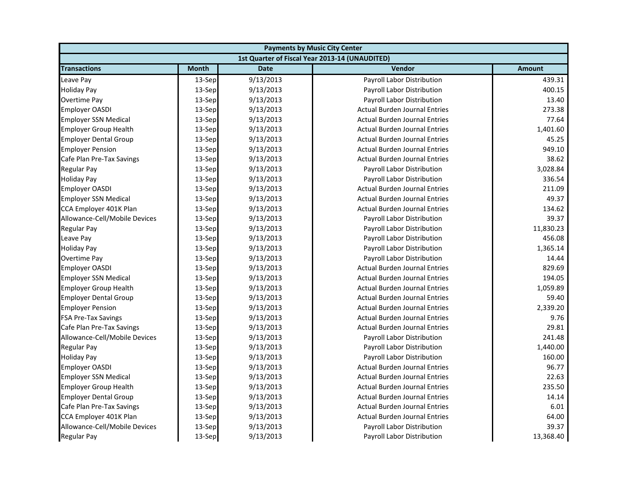| <b>Payments by Music City Center</b> |              |             |                                                |               |
|--------------------------------------|--------------|-------------|------------------------------------------------|---------------|
|                                      |              |             | 1st Quarter of Fiscal Year 2013-14 (UNAUDITED) |               |
| <b>Transactions</b>                  | <b>Month</b> | <b>Date</b> | Vendor                                         | <b>Amount</b> |
| Leave Pay                            | 13-Sep       | 9/13/2013   | Payroll Labor Distribution                     | 439.31        |
| <b>Holiday Pay</b>                   | 13-Sep       | 9/13/2013   | Payroll Labor Distribution                     | 400.15        |
| Overtime Pay                         | 13-Sep       | 9/13/2013   | Payroll Labor Distribution                     | 13.40         |
| <b>Employer OASDI</b>                | 13-Sep       | 9/13/2013   | <b>Actual Burden Journal Entries</b>           | 273.38        |
| <b>Employer SSN Medical</b>          | 13-Sep       | 9/13/2013   | <b>Actual Burden Journal Entries</b>           | 77.64         |
| <b>Employer Group Health</b>         | 13-Sep       | 9/13/2013   | <b>Actual Burden Journal Entries</b>           | 1,401.60      |
| <b>Employer Dental Group</b>         | 13-Sep       | 9/13/2013   | <b>Actual Burden Journal Entries</b>           | 45.25         |
| <b>Employer Pension</b>              | 13-Sep       | 9/13/2013   | <b>Actual Burden Journal Entries</b>           | 949.10        |
| Cafe Plan Pre-Tax Savings            | 13-Sep       | 9/13/2013   | <b>Actual Burden Journal Entries</b>           | 38.62         |
| <b>Regular Pay</b>                   | 13-Sep       | 9/13/2013   | Payroll Labor Distribution                     | 3,028.84      |
| <b>Holiday Pay</b>                   | 13-Sep       | 9/13/2013   | Payroll Labor Distribution                     | 336.54        |
| <b>Employer OASDI</b>                | 13-Sep       | 9/13/2013   | <b>Actual Burden Journal Entries</b>           | 211.09        |
| <b>Employer SSN Medical</b>          | 13-Sep       | 9/13/2013   | <b>Actual Burden Journal Entries</b>           | 49.37         |
| CCA Employer 401K Plan               | 13-Sep       | 9/13/2013   | <b>Actual Burden Journal Entries</b>           | 134.62        |
| Allowance-Cell/Mobile Devices        | 13-Sep       | 9/13/2013   | <b>Payroll Labor Distribution</b>              | 39.37         |
| <b>Regular Pay</b>                   | 13-Sep       | 9/13/2013   | Payroll Labor Distribution                     | 11,830.23     |
| Leave Pay                            | 13-Sep       | 9/13/2013   | Payroll Labor Distribution                     | 456.08        |
| <b>Holiday Pay</b>                   | 13-Sep       | 9/13/2013   | Payroll Labor Distribution                     | 1,365.14      |
| Overtime Pay                         | 13-Sep       | 9/13/2013   | Payroll Labor Distribution                     | 14.44         |
| <b>Employer OASDI</b>                | 13-Sep       | 9/13/2013   | <b>Actual Burden Journal Entries</b>           | 829.69        |
| <b>Employer SSN Medical</b>          | 13-Sep       | 9/13/2013   | <b>Actual Burden Journal Entries</b>           | 194.05        |
| <b>Employer Group Health</b>         | 13-Sep       | 9/13/2013   | <b>Actual Burden Journal Entries</b>           | 1,059.89      |
| <b>Employer Dental Group</b>         | 13-Sep       | 9/13/2013   | <b>Actual Burden Journal Entries</b>           | 59.40         |
| <b>Employer Pension</b>              | 13-Sep       | 9/13/2013   | <b>Actual Burden Journal Entries</b>           | 2,339.20      |
| <b>FSA Pre-Tax Savings</b>           | 13-Sep       | 9/13/2013   | <b>Actual Burden Journal Entries</b>           | 9.76          |
| Cafe Plan Pre-Tax Savings            | 13-Sep       | 9/13/2013   | <b>Actual Burden Journal Entries</b>           | 29.81         |
| Allowance-Cell/Mobile Devices        | 13-Sep       | 9/13/2013   | Payroll Labor Distribution                     | 241.48        |
| <b>Regular Pay</b>                   | 13-Sep       | 9/13/2013   | Payroll Labor Distribution                     | 1,440.00      |
| <b>Holiday Pay</b>                   | 13-Sep       | 9/13/2013   | Payroll Labor Distribution                     | 160.00        |
| <b>Employer OASDI</b>                | 13-Sep       | 9/13/2013   | <b>Actual Burden Journal Entries</b>           | 96.77         |
| <b>Employer SSN Medical</b>          | 13-Sep       | 9/13/2013   | <b>Actual Burden Journal Entries</b>           | 22.63         |
| <b>Employer Group Health</b>         | 13-Sep       | 9/13/2013   | <b>Actual Burden Journal Entries</b>           | 235.50        |
| <b>Employer Dental Group</b>         | 13-Sep       | 9/13/2013   | <b>Actual Burden Journal Entries</b>           | 14.14         |
| Cafe Plan Pre-Tax Savings            | 13-Sep       | 9/13/2013   | <b>Actual Burden Journal Entries</b>           | 6.01          |
| CCA Employer 401K Plan               | 13-Sep       | 9/13/2013   | <b>Actual Burden Journal Entries</b>           | 64.00         |
| Allowance-Cell/Mobile Devices        | 13-Sep       | 9/13/2013   | <b>Payroll Labor Distribution</b>              | 39.37         |
| <b>Regular Pay</b>                   | 13-Sep       | 9/13/2013   | Payroll Labor Distribution                     | 13,368.40     |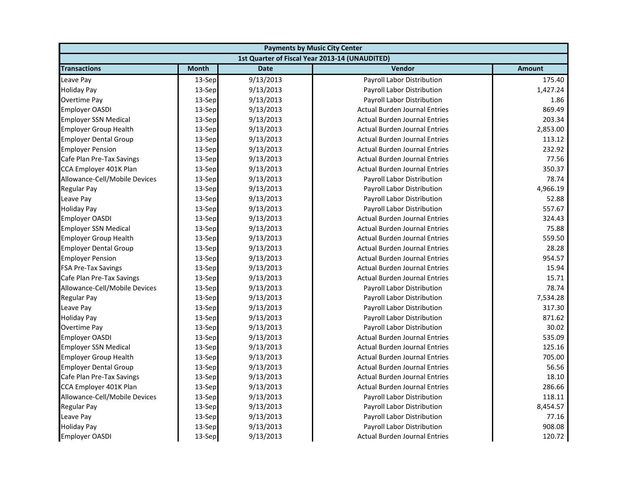| <b>Payments by Music City Center</b> |              |             |                                                |          |
|--------------------------------------|--------------|-------------|------------------------------------------------|----------|
|                                      |              |             | 1st Quarter of Fiscal Year 2013-14 (UNAUDITED) |          |
| <b>Transactions</b>                  | <b>Month</b> | <b>Date</b> | Vendor                                         | Amount   |
| Leave Pay                            | 13-Sep       | 9/13/2013   | Payroll Labor Distribution                     | 175.40   |
| <b>Holiday Pay</b>                   | 13-Sep       | 9/13/2013   | Payroll Labor Distribution                     | 1,427.24 |
| Overtime Pay                         | 13-Sep       | 9/13/2013   | Payroll Labor Distribution                     | 1.86     |
| <b>Employer OASDI</b>                | 13-Sep       | 9/13/2013   | <b>Actual Burden Journal Entries</b>           | 869.49   |
| <b>Employer SSN Medical</b>          | 13-Sep       | 9/13/2013   | <b>Actual Burden Journal Entries</b>           | 203.34   |
| <b>Employer Group Health</b>         | 13-Sep       | 9/13/2013   | <b>Actual Burden Journal Entries</b>           | 2,853.00 |
| <b>Employer Dental Group</b>         | 13-Sep       | 9/13/2013   | <b>Actual Burden Journal Entries</b>           | 113.12   |
| <b>Employer Pension</b>              | 13-Sep       | 9/13/2013   | <b>Actual Burden Journal Entries</b>           | 232.92   |
| Cafe Plan Pre-Tax Savings            | 13-Sep       | 9/13/2013   | <b>Actual Burden Journal Entries</b>           | 77.56    |
| CCA Employer 401K Plan               | 13-Sep       | 9/13/2013   | <b>Actual Burden Journal Entries</b>           | 350.37   |
| Allowance-Cell/Mobile Devices        | 13-Sep       | 9/13/2013   | Payroll Labor Distribution                     | 78.74    |
| Regular Pay                          | 13-Sep       | 9/13/2013   | Payroll Labor Distribution                     | 4,966.19 |
| Leave Pay                            | 13-Sep       | 9/13/2013   | Payroll Labor Distribution                     | 52.88    |
| <b>Holiday Pay</b>                   | 13-Sep       | 9/13/2013   | Payroll Labor Distribution                     | 557.67   |
| <b>Employer OASDI</b>                | 13-Sep       | 9/13/2013   | <b>Actual Burden Journal Entries</b>           | 324.43   |
| <b>Employer SSN Medical</b>          | 13-Sep       | 9/13/2013   | <b>Actual Burden Journal Entries</b>           | 75.88    |
| <b>Employer Group Health</b>         | 13-Sep       | 9/13/2013   | <b>Actual Burden Journal Entries</b>           | 559.50   |
| <b>Employer Dental Group</b>         | 13-Sep       | 9/13/2013   | <b>Actual Burden Journal Entries</b>           | 28.28    |
| <b>Employer Pension</b>              | 13-Sep       | 9/13/2013   | <b>Actual Burden Journal Entries</b>           | 954.57   |
| <b>FSA Pre-Tax Savings</b>           | 13-Sep       | 9/13/2013   | <b>Actual Burden Journal Entries</b>           | 15.94    |
| Cafe Plan Pre-Tax Savings            | 13-Sep       | 9/13/2013   | <b>Actual Burden Journal Entries</b>           | 15.71    |
| Allowance-Cell/Mobile Devices        | 13-Sep       | 9/13/2013   | Payroll Labor Distribution                     | 78.74    |
| <b>Regular Pay</b>                   | 13-Sep       | 9/13/2013   | Payroll Labor Distribution                     | 7,534.28 |
| Leave Pay                            | 13-Sep       | 9/13/2013   | Payroll Labor Distribution                     | 317.30   |
| <b>Holiday Pay</b>                   | 13-Sep       | 9/13/2013   | Payroll Labor Distribution                     | 871.62   |
| Overtime Pay                         | 13-Sep       | 9/13/2013   | Payroll Labor Distribution                     | 30.02    |
| <b>Employer OASDI</b>                | 13-Sep       | 9/13/2013   | <b>Actual Burden Journal Entries</b>           | 535.09   |
| <b>Employer SSN Medical</b>          | 13-Sep       | 9/13/2013   | <b>Actual Burden Journal Entries</b>           | 125.16   |
| <b>Employer Group Health</b>         | 13-Sep       | 9/13/2013   | <b>Actual Burden Journal Entries</b>           | 705.00   |
| <b>Employer Dental Group</b>         | 13-Sep       | 9/13/2013   | <b>Actual Burden Journal Entries</b>           | 56.56    |
| Cafe Plan Pre-Tax Savings            | 13-Sep       | 9/13/2013   | <b>Actual Burden Journal Entries</b>           | 18.10    |
| CCA Employer 401K Plan               | 13-Sep       | 9/13/2013   | <b>Actual Burden Journal Entries</b>           | 286.66   |
| Allowance-Cell/Mobile Devices        | 13-Sep       | 9/13/2013   | Payroll Labor Distribution                     | 118.11   |
| <b>Regular Pay</b>                   | 13-Sep       | 9/13/2013   | Payroll Labor Distribution                     | 8,454.57 |
| Leave Pay                            | 13-Sep       | 9/13/2013   | Payroll Labor Distribution                     | 77.16    |
| <b>Holiday Pay</b>                   | 13-Sep       | 9/13/2013   | Payroll Labor Distribution                     | 908.08   |
| <b>Employer OASDI</b>                | 13-Sep       | 9/13/2013   | <b>Actual Burden Journal Entries</b>           | 120.72   |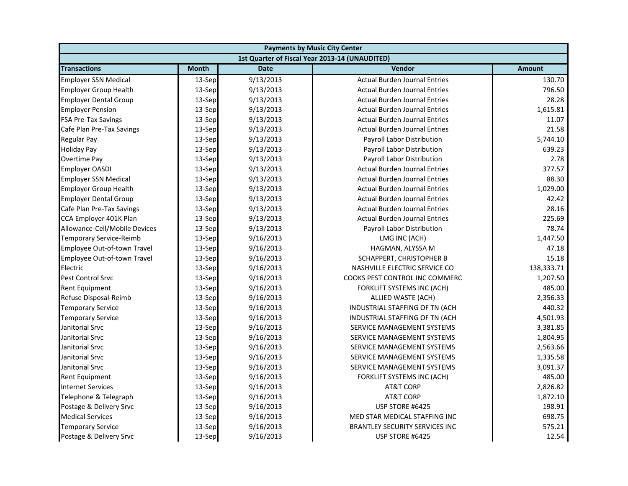| <b>Payments by Music City Center</b> |              |             |                                                |               |
|--------------------------------------|--------------|-------------|------------------------------------------------|---------------|
|                                      |              |             | 1st Quarter of Fiscal Year 2013-14 (UNAUDITED) |               |
| <b>Transactions</b>                  | <b>Month</b> | <b>Date</b> | <b>Vendor</b>                                  | <b>Amount</b> |
| <b>Employer SSN Medical</b>          | 13-Sep       | 9/13/2013   | <b>Actual Burden Journal Entries</b>           | 130.70        |
| <b>Employer Group Health</b>         | 13-Sep       | 9/13/2013   | <b>Actual Burden Journal Entries</b>           | 796.50        |
| <b>Employer Dental Group</b>         | 13-Sep       | 9/13/2013   | <b>Actual Burden Journal Entries</b>           | 28.28         |
| <b>Employer Pension</b>              | 13-Sep       | 9/13/2013   | <b>Actual Burden Journal Entries</b>           | 1,615.81      |
| <b>FSA Pre-Tax Savings</b>           | 13-Sep       | 9/13/2013   | <b>Actual Burden Journal Entries</b>           | 11.07         |
| Cafe Plan Pre-Tax Savings            | 13-Sep       | 9/13/2013   | <b>Actual Burden Journal Entries</b>           | 21.58         |
| Regular Pay                          | 13-Sep       | 9/13/2013   | Payroll Labor Distribution                     | 5,744.10      |
| <b>Holiday Pay</b>                   | 13-Sep       | 9/13/2013   | Payroll Labor Distribution                     | 639.23        |
| Overtime Pay                         | 13-Sep       | 9/13/2013   | Payroll Labor Distribution                     | 2.78          |
| <b>Employer OASDI</b>                | 13-Sep       | 9/13/2013   | <b>Actual Burden Journal Entries</b>           | 377.57        |
| <b>Employer SSN Medical</b>          | 13-Sep       | 9/13/2013   | <b>Actual Burden Journal Entries</b>           | 88.30         |
| <b>Employer Group Health</b>         | 13-Sep       | 9/13/2013   | <b>Actual Burden Journal Entries</b>           | 1,029.00      |
| <b>Employer Dental Group</b>         | 13-Sep       | 9/13/2013   | <b>Actual Burden Journal Entries</b>           | 42.42         |
| Cafe Plan Pre-Tax Savings            | 13-Sep       | 9/13/2013   | <b>Actual Burden Journal Entries</b>           | 28.16         |
| CCA Employer 401K Plan               | 13-Sep       | 9/13/2013   | <b>Actual Burden Journal Entries</b>           | 225.69        |
| Allowance-Cell/Mobile Devices        | 13-Sep       | 9/13/2013   | Payroll Labor Distribution                     | 78.74         |
| <b>Temporary Service-Reimb</b>       | 13-Sep       | 9/16/2013   | LMG INC (ACH)                                  | 1,447.50      |
| Employee Out-of-town Travel          | 13-Sep       | 9/16/2013   | HAGMAN, ALYSSA M                               | 47.18         |
| Employee Out-of-town Travel          | 13-Sep       | 9/16/2013   | SCHAPPERT, CHRISTOPHER B                       | 15.18         |
| Electric                             | 13-Sep       | 9/16/2013   | NASHVILLE ELECTRIC SERVICE CO                  | 138,333.71    |
| Pest Control Srvc                    | 13-Sep       | 9/16/2013   | COOKS PEST CONTROL INC COMMERC                 | 1,207.50      |
| <b>Rent Equipment</b>                | 13-Sep       | 9/16/2013   | FORKLIFT SYSTEMS INC (ACH)                     | 485.00        |
| Refuse Disposal-Reimb                | 13-Sep       | 9/16/2013   | ALLIED WASTE (ACH)                             | 2,356.33      |
| <b>Temporary Service</b>             | 13-Sep       | 9/16/2013   | INDUSTRIAL STAFFING OF TN (ACH                 | 440.32        |
| <b>Temporary Service</b>             | 13-Sep       | 9/16/2013   | INDUSTRIAL STAFFING OF TN (ACH                 | 4,501.93      |
| Janitorial Srvc                      | 13-Sep       | 9/16/2013   | SERVICE MANAGEMENT SYSTEMS                     | 3,381.85      |
| Janitorial Srvc                      | 13-Sep       | 9/16/2013   | SERVICE MANAGEMENT SYSTEMS                     | 1,804.95      |
| Janitorial Srvc                      | 13-Sep       | 9/16/2013   | SERVICE MANAGEMENT SYSTEMS                     | 2,563.66      |
| Janitorial Srvc                      | 13-Sep       | 9/16/2013   | SERVICE MANAGEMENT SYSTEMS                     | 1,335.58      |
| Janitorial Srvc                      | 13-Sep       | 9/16/2013   | SERVICE MANAGEMENT SYSTEMS                     | 3,091.37      |
| Rent Equipment                       | 13-Sep       | 9/16/2013   | FORKLIFT SYSTEMS INC (ACH)                     | 485.00        |
| <b>Internet Services</b>             | 13-Sep       | 9/16/2013   | <b>AT&amp;T CORP</b>                           | 2,826.82      |
| Telephone & Telegraph                | 13-Sep       | 9/16/2013   | <b>AT&amp;T CORP</b>                           | 1,872.10      |
| Postage & Delivery Srvc              | 13-Sep       | 9/16/2013   | USP STORE #6425                                | 198.91        |
| <b>Medical Services</b>              | 13-Sep       | 9/16/2013   | MED STAR MEDICAL STAFFING INC                  | 698.75        |
| <b>Temporary Service</b>             | 13-Sep       | 9/16/2013   | BRANTLEY SECURITY SERVICES INC                 | 575.21        |
| Postage & Delivery Srvc              | 13-Sep       | 9/16/2013   | USP STORE #6425                                | 12.54         |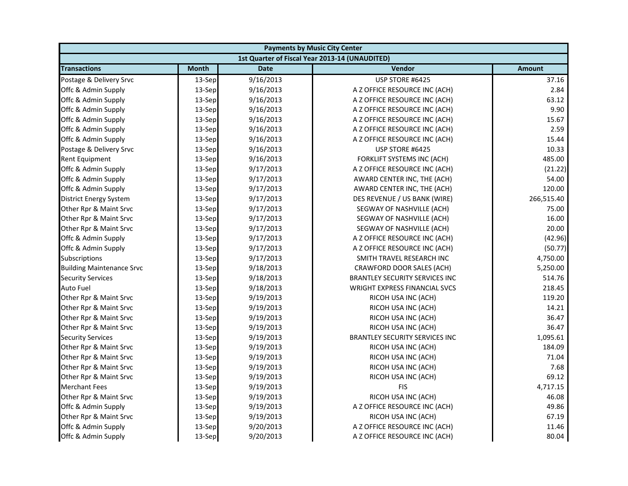| <b>Payments by Music City Center</b> |              |             |                                                |               |
|--------------------------------------|--------------|-------------|------------------------------------------------|---------------|
|                                      |              |             | 1st Quarter of Fiscal Year 2013-14 (UNAUDITED) |               |
| <b>Transactions</b>                  | <b>Month</b> | <b>Date</b> | Vendor                                         | <b>Amount</b> |
| Postage & Delivery Srvc              | 13-Sep       | 9/16/2013   | USP STORE #6425                                | 37.16         |
| Offc & Admin Supply                  | 13-Sep       | 9/16/2013   | A Z OFFICE RESOURCE INC (ACH)                  | 2.84          |
| Offc & Admin Supply                  | 13-Sep       | 9/16/2013   | A Z OFFICE RESOURCE INC (ACH)                  | 63.12         |
| Offc & Admin Supply                  | 13-Sep       | 9/16/2013   | A Z OFFICE RESOURCE INC (ACH)                  | 9.90          |
| Offc & Admin Supply                  | 13-Sep       | 9/16/2013   | A Z OFFICE RESOURCE INC (ACH)                  | 15.67         |
| Offc & Admin Supply                  | 13-Sep       | 9/16/2013   | A Z OFFICE RESOURCE INC (ACH)                  | 2.59          |
| Offc & Admin Supply                  | 13-Sep       | 9/16/2013   | A Z OFFICE RESOURCE INC (ACH)                  | 15.44         |
| Postage & Delivery Srvc              | 13-Sep       | 9/16/2013   | USP STORE #6425                                | 10.33         |
| Rent Equipment                       | 13-Sep       | 9/16/2013   | FORKLIFT SYSTEMS INC (ACH)                     | 485.00        |
| Offc & Admin Supply                  | 13-Sep       | 9/17/2013   | A Z OFFICE RESOURCE INC (ACH)                  | (21.22)       |
| Offc & Admin Supply                  | 13-Sep       | 9/17/2013   | AWARD CENTER INC, THE (ACH)                    | 54.00         |
| Offc & Admin Supply                  | 13-Sep       | 9/17/2013   | AWARD CENTER INC, THE (ACH)                    | 120.00        |
| <b>District Energy System</b>        | 13-Sep       | 9/17/2013   | DES REVENUE / US BANK (WIRE)                   | 266,515.40    |
| Other Rpr & Maint Srvc               | 13-Sep       | 9/17/2013   | SEGWAY OF NASHVILLE (ACH)                      | 75.00         |
| Other Rpr & Maint Srvc               | 13-Sep       | 9/17/2013   | SEGWAY OF NASHVILLE (ACH)                      | 16.00         |
| Other Rpr & Maint Srvc               | 13-Sep       | 9/17/2013   | SEGWAY OF NASHVILLE (ACH)                      | 20.00         |
| Offc & Admin Supply                  | 13-Sep       | 9/17/2013   | A Z OFFICE RESOURCE INC (ACH)                  | (42.96)       |
| Offc & Admin Supply                  | 13-Sep       | 9/17/2013   | A Z OFFICE RESOURCE INC (ACH)                  | (50.77)       |
| Subscriptions                        | 13-Sep       | 9/17/2013   | SMITH TRAVEL RESEARCH INC                      | 4,750.00      |
| <b>Building Maintenance Srvc</b>     | 13-Sep       | 9/18/2013   | CRAWFORD DOOR SALES (ACH)                      | 5,250.00      |
| <b>Security Services</b>             | 13-Sep       | 9/18/2013   | <b>BRANTLEY SECURITY SERVICES INC</b>          | 514.76        |
| Auto Fuel                            | 13-Sep       | 9/18/2013   | <b>WRIGHT EXPRESS FINANCIAL SVCS</b>           | 218.45        |
| Other Rpr & Maint Srvc               | 13-Sep       | 9/19/2013   | RICOH USA INC (ACH)                            | 119.20        |
| Other Rpr & Maint Srvc               | 13-Sep       | 9/19/2013   | RICOH USA INC (ACH)                            | 14.21         |
| Other Rpr & Maint Srvc               | 13-Sep       | 9/19/2013   | RICOH USA INC (ACH)                            | 36.47         |
| Other Rpr & Maint Srvc               | 13-Sep       | 9/19/2013   | RICOH USA INC (ACH)                            | 36.47         |
| <b>Security Services</b>             | 13-Sep       | 9/19/2013   | <b>BRANTLEY SECURITY SERVICES INC</b>          | 1,095.61      |
| Other Rpr & Maint Srvc               | 13-Sep       | 9/19/2013   | RICOH USA INC (ACH)                            | 184.09        |
| Other Rpr & Maint Srvc               | 13-Sep       | 9/19/2013   | RICOH USA INC (ACH)                            | 71.04         |
| Other Rpr & Maint Srvc               | 13-Sep       | 9/19/2013   | RICOH USA INC (ACH)                            | 7.68          |
| Other Rpr & Maint Srvc               | 13-Sep       | 9/19/2013   | RICOH USA INC (ACH)                            | 69.12         |
| <b>Merchant Fees</b>                 | 13-Sep       | 9/19/2013   | <b>FIS</b>                                     | 4,717.15      |
| Other Rpr & Maint Srvc               | 13-Sep       | 9/19/2013   | RICOH USA INC (ACH)                            | 46.08         |
| Offc & Admin Supply                  | 13-Sep       | 9/19/2013   | A Z OFFICE RESOURCE INC (ACH)                  | 49.86         |
| Other Rpr & Maint Srvc               | 13-Sep       | 9/19/2013   | RICOH USA INC (ACH)                            | 67.19         |
| Offc & Admin Supply                  | 13-Sep       | 9/20/2013   | A Z OFFICE RESOURCE INC (ACH)                  | 11.46         |
| Offc & Admin Supply                  | 13-Sep       | 9/20/2013   | A Z OFFICE RESOURCE INC (ACH)                  | 80.04         |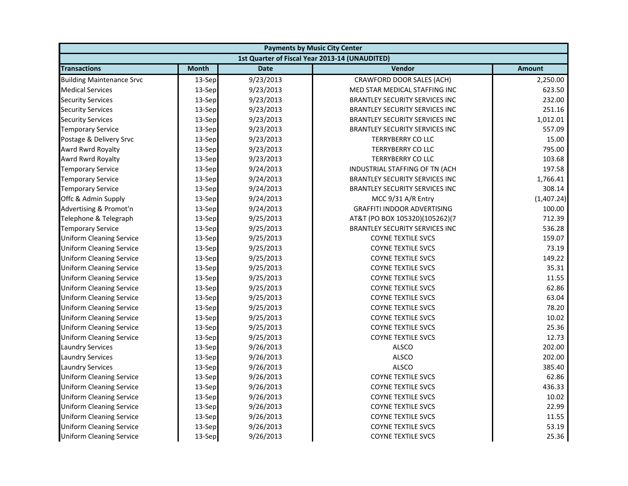| <b>Payments by Music City Center</b> |              |             |                                                |               |
|--------------------------------------|--------------|-------------|------------------------------------------------|---------------|
|                                      |              |             | 1st Quarter of Fiscal Year 2013-14 (UNAUDITED) |               |
| <b>Transactions</b>                  | <b>Month</b> | <b>Date</b> | Vendor                                         | <b>Amount</b> |
| <b>Building Maintenance Srvc</b>     | 13-Sep       | 9/23/2013   | CRAWFORD DOOR SALES (ACH)                      | 2,250.00      |
| <b>Medical Services</b>              | 13-Sep       | 9/23/2013   | MED STAR MEDICAL STAFFING INC                  | 623.50        |
| <b>Security Services</b>             | 13-Sep       | 9/23/2013   | <b>BRANTLEY SECURITY SERVICES INC</b>          | 232.00        |
| <b>Security Services</b>             | 13-Sep       | 9/23/2013   | <b>BRANTLEY SECURITY SERVICES INC</b>          | 251.16        |
| <b>Security Services</b>             | 13-Sep       | 9/23/2013   | BRANTLEY SECURITY SERVICES INC                 | 1,012.01      |
| <b>Temporary Service</b>             | 13-Sep       | 9/23/2013   | <b>BRANTLEY SECURITY SERVICES INC</b>          | 557.09        |
| Postage & Delivery Srvc              | 13-Sep       | 9/23/2013   | <b>TERRYBERRY CO LLC</b>                       | 15.00         |
| Awrd Rwrd Royalty                    | 13-Sep       | 9/23/2013   | <b>TERRYBERRY CO LLC</b>                       | 795.00        |
| Awrd Rwrd Royalty                    | 13-Sep       | 9/23/2013   | <b>TERRYBERRY CO LLC</b>                       | 103.68        |
| <b>Temporary Service</b>             | 13-Sep       | 9/24/2013   | INDUSTRIAL STAFFING OF TN (ACH                 | 197.58        |
| <b>Temporary Service</b>             | 13-Sep       | 9/24/2013   | <b>BRANTLEY SECURITY SERVICES INC</b>          | 1,766.41      |
| <b>Temporary Service</b>             | 13-Sep       | 9/24/2013   | <b>BRANTLEY SECURITY SERVICES INC</b>          | 308.14        |
| Offc & Admin Supply                  | 13-Sep       | 9/24/2013   | MCC 9/31 A/R Entry                             | (1,407.24)    |
| Advertising & Promot'n               | 13-Sep       | 9/24/2013   | <b>GRAFFITI INDOOR ADVERTISING</b>             | 100.00        |
| Telephone & Telegraph                | 13-Sep       | 9/25/2013   | AT&T (PO BOX 105320)(105262)(7                 | 712.39        |
| <b>Temporary Service</b>             | 13-Sep       | 9/25/2013   | BRANTLEY SECURITY SERVICES INC                 | 536.28        |
| <b>Uniform Cleaning Service</b>      | 13-Sep       | 9/25/2013   | <b>COYNE TEXTILE SVCS</b>                      | 159.07        |
| <b>Uniform Cleaning Service</b>      | 13-Sep       | 9/25/2013   | <b>COYNE TEXTILE SVCS</b>                      | 73.19         |
| <b>Uniform Cleaning Service</b>      | 13-Sep       | 9/25/2013   | COYNE TEXTILE SVCS                             | 149.22        |
| <b>Uniform Cleaning Service</b>      | 13-Sep       | 9/25/2013   | <b>COYNE TEXTILE SVCS</b>                      | 35.31         |
| <b>Uniform Cleaning Service</b>      | 13-Sep       | 9/25/2013   | <b>COYNE TEXTILE SVCS</b>                      | 11.55         |
| <b>Uniform Cleaning Service</b>      | 13-Sep       | 9/25/2013   | <b>COYNE TEXTILE SVCS</b>                      | 62.86         |
| <b>Uniform Cleaning Service</b>      | 13-Sep       | 9/25/2013   | <b>COYNE TEXTILE SVCS</b>                      | 63.04         |
| <b>Uniform Cleaning Service</b>      | 13-Sep       | 9/25/2013   | <b>COYNE TEXTILE SVCS</b>                      | 78.20         |
| <b>Uniform Cleaning Service</b>      | 13-Sep       | 9/25/2013   | <b>COYNE TEXTILE SVCS</b>                      | 10.02         |
| <b>Uniform Cleaning Service</b>      | 13-Sep       | 9/25/2013   | <b>COYNE TEXTILE SVCS</b>                      | 25.36         |
| <b>Uniform Cleaning Service</b>      | 13-Sep       | 9/25/2013   | <b>COYNE TEXTILE SVCS</b>                      | 12.73         |
| <b>Laundry Services</b>              | 13-Sep       | 9/26/2013   | <b>ALSCO</b>                                   | 202.00        |
| <b>Laundry Services</b>              | 13-Sep       | 9/26/2013   | <b>ALSCO</b>                                   | 202.00        |
| <b>Laundry Services</b>              | 13-Sep       | 9/26/2013   | <b>ALSCO</b>                                   | 385.40        |
| <b>Uniform Cleaning Service</b>      | 13-Sep       | 9/26/2013   | <b>COYNE TEXTILE SVCS</b>                      | 62.86         |
| <b>Uniform Cleaning Service</b>      | 13-Sep       | 9/26/2013   | COYNE TEXTILE SVCS                             | 436.33        |
| <b>Uniform Cleaning Service</b>      | 13-Sep       | 9/26/2013   | <b>COYNE TEXTILE SVCS</b>                      | 10.02         |
| <b>Uniform Cleaning Service</b>      | 13-Sep       | 9/26/2013   | <b>COYNE TEXTILE SVCS</b>                      | 22.99         |
| <b>Uniform Cleaning Service</b>      | 13-Sep       | 9/26/2013   | <b>COYNE TEXTILE SVCS</b>                      | 11.55         |
| <b>Uniform Cleaning Service</b>      | 13-Sep       | 9/26/2013   | <b>COYNE TEXTILE SVCS</b>                      | 53.19         |
| <b>Uniform Cleaning Service</b>      | 13-Sep       | 9/26/2013   | <b>COYNE TEXTILE SVCS</b>                      | 25.36         |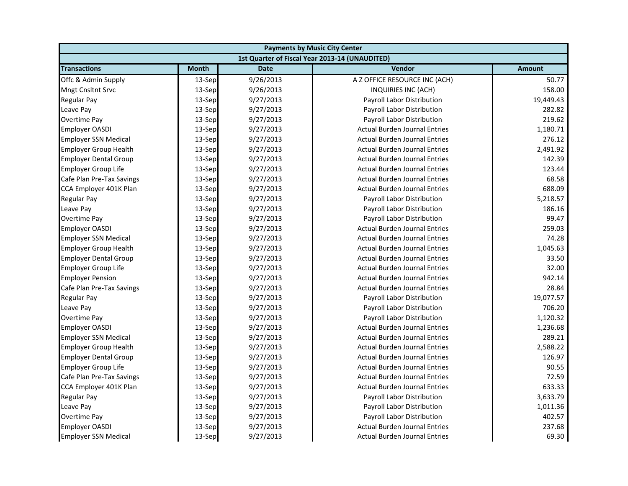| <b>Payments by Music City Center</b> |              |             |                                                |               |
|--------------------------------------|--------------|-------------|------------------------------------------------|---------------|
|                                      |              |             | 1st Quarter of Fiscal Year 2013-14 (UNAUDITED) |               |
| <b>Transactions</b>                  | <b>Month</b> | <b>Date</b> | Vendor                                         | <b>Amount</b> |
| Offc & Admin Supply                  | 13-Sep       | 9/26/2013   | A Z OFFICE RESOURCE INC (ACH)                  | 50.77         |
| <b>Mngt Cnsltnt Srvc</b>             | 13-Sep       | 9/26/2013   | INQUIRIES INC (ACH)                            | 158.00        |
| <b>Regular Pay</b>                   | 13-Sep       | 9/27/2013   | Payroll Labor Distribution                     | 19,449.43     |
| Leave Pay                            | 13-Sep       | 9/27/2013   | Payroll Labor Distribution                     | 282.82        |
| Overtime Pay                         | 13-Sep       | 9/27/2013   | Payroll Labor Distribution                     | 219.62        |
| <b>Employer OASDI</b>                | 13-Sep       | 9/27/2013   | <b>Actual Burden Journal Entries</b>           | 1,180.71      |
| <b>Employer SSN Medical</b>          | 13-Sep       | 9/27/2013   | <b>Actual Burden Journal Entries</b>           | 276.12        |
| <b>Employer Group Health</b>         | 13-Sep       | 9/27/2013   | <b>Actual Burden Journal Entries</b>           | 2,491.92      |
| <b>Employer Dental Group</b>         | 13-Sep       | 9/27/2013   | <b>Actual Burden Journal Entries</b>           | 142.39        |
| <b>Employer Group Life</b>           | 13-Sep       | 9/27/2013   | <b>Actual Burden Journal Entries</b>           | 123.44        |
| Cafe Plan Pre-Tax Savings            | 13-Sep       | 9/27/2013   | <b>Actual Burden Journal Entries</b>           | 68.58         |
| CCA Employer 401K Plan               | 13-Sep       | 9/27/2013   | <b>Actual Burden Journal Entries</b>           | 688.09        |
| <b>Regular Pay</b>                   | 13-Sep       | 9/27/2013   | Payroll Labor Distribution                     | 5,218.57      |
| Leave Pay                            | 13-Sep       | 9/27/2013   | Payroll Labor Distribution                     | 186.16        |
| Overtime Pay                         | 13-Sep       | 9/27/2013   | Payroll Labor Distribution                     | 99.47         |
| <b>Employer OASDI</b>                | 13-Sep       | 9/27/2013   | <b>Actual Burden Journal Entries</b>           | 259.03        |
| <b>Employer SSN Medical</b>          | 13-Sep       | 9/27/2013   | <b>Actual Burden Journal Entries</b>           | 74.28         |
| <b>Employer Group Health</b>         | 13-Sep       | 9/27/2013   | <b>Actual Burden Journal Entries</b>           | 1,045.63      |
| <b>Employer Dental Group</b>         | 13-Sep       | 9/27/2013   | <b>Actual Burden Journal Entries</b>           | 33.50         |
| <b>Employer Group Life</b>           | $13-Sep$     | 9/27/2013   | <b>Actual Burden Journal Entries</b>           | 32.00         |
| <b>Employer Pension</b>              | 13-Sep       | 9/27/2013   | <b>Actual Burden Journal Entries</b>           | 942.14        |
| Cafe Plan Pre-Tax Savings            | 13-Sep       | 9/27/2013   | <b>Actual Burden Journal Entries</b>           | 28.84         |
| <b>Regular Pay</b>                   | 13-Sep       | 9/27/2013   | Payroll Labor Distribution                     | 19,077.57     |
| Leave Pay                            | 13-Sep       | 9/27/2013   | Payroll Labor Distribution                     | 706.20        |
| Overtime Pay                         | 13-Sep       | 9/27/2013   | Payroll Labor Distribution                     | 1,120.32      |
| <b>Employer OASDI</b>                | 13-Sep       | 9/27/2013   | <b>Actual Burden Journal Entries</b>           | 1,236.68      |
| <b>Employer SSN Medical</b>          | 13-Sep       | 9/27/2013   | <b>Actual Burden Journal Entries</b>           | 289.21        |
| <b>Employer Group Health</b>         | 13-Sep       | 9/27/2013   | <b>Actual Burden Journal Entries</b>           | 2,588.22      |
| <b>Employer Dental Group</b>         | 13-Sep       | 9/27/2013   | <b>Actual Burden Journal Entries</b>           | 126.97        |
| <b>Employer Group Life</b>           | 13-Sep       | 9/27/2013   | <b>Actual Burden Journal Entries</b>           | 90.55         |
| Cafe Plan Pre-Tax Savings            | 13-Sep       | 9/27/2013   | <b>Actual Burden Journal Entries</b>           | 72.59         |
| CCA Employer 401K Plan               | 13-Sep       | 9/27/2013   | <b>Actual Burden Journal Entries</b>           | 633.33        |
| <b>Regular Pay</b>                   | 13-Sep       | 9/27/2013   | Payroll Labor Distribution                     | 3,633.79      |
| Leave Pay                            | 13-Sep       | 9/27/2013   | Payroll Labor Distribution                     | 1,011.36      |
| <b>Overtime Pay</b>                  | 13-Sep       | 9/27/2013   | Payroll Labor Distribution                     | 402.57        |
| <b>Employer OASDI</b>                | 13-Sep       | 9/27/2013   | <b>Actual Burden Journal Entries</b>           | 237.68        |
| <b>Employer SSN Medical</b>          | 13-Sep       | 9/27/2013   | <b>Actual Burden Journal Entries</b>           | 69.30         |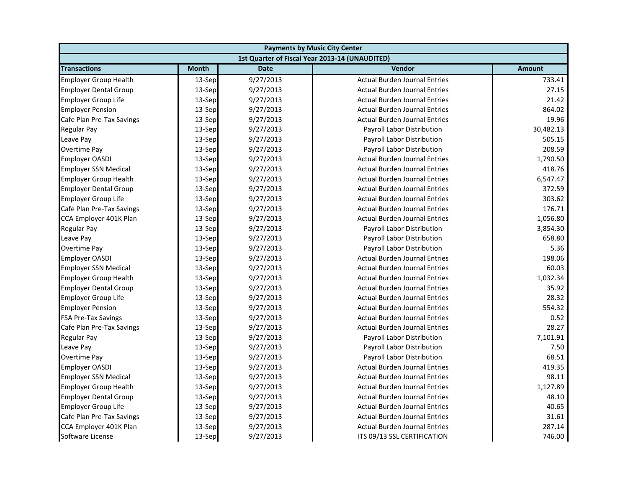| <b>Payments by Music City Center</b> |              |             |                                                |               |
|--------------------------------------|--------------|-------------|------------------------------------------------|---------------|
|                                      |              |             | 1st Quarter of Fiscal Year 2013-14 (UNAUDITED) |               |
| <b>Transactions</b>                  | <b>Month</b> | <b>Date</b> | <b>Vendor</b>                                  | <b>Amount</b> |
| <b>Employer Group Health</b>         | 13-Sep       | 9/27/2013   | <b>Actual Burden Journal Entries</b>           | 733.41        |
| <b>Employer Dental Group</b>         | 13-Sep       | 9/27/2013   | <b>Actual Burden Journal Entries</b>           | 27.15         |
| <b>Employer Group Life</b>           | 13-Sep       | 9/27/2013   | <b>Actual Burden Journal Entries</b>           | 21.42         |
| <b>Employer Pension</b>              | 13-Sep       | 9/27/2013   | <b>Actual Burden Journal Entries</b>           | 864.02        |
| Cafe Plan Pre-Tax Savings            | 13-Sep       | 9/27/2013   | <b>Actual Burden Journal Entries</b>           | 19.96         |
| Regular Pay                          | 13-Sep       | 9/27/2013   | Payroll Labor Distribution                     | 30,482.13     |
| Leave Pay                            | 13-Sep       | 9/27/2013   | Payroll Labor Distribution                     | 505.15        |
| <b>Overtime Pay</b>                  | 13-Sep       | 9/27/2013   | Payroll Labor Distribution                     | 208.59        |
| <b>Employer OASDI</b>                | 13-Sep       | 9/27/2013   | <b>Actual Burden Journal Entries</b>           | 1,790.50      |
| <b>Employer SSN Medical</b>          | 13-Sep       | 9/27/2013   | <b>Actual Burden Journal Entries</b>           | 418.76        |
| <b>Employer Group Health</b>         | 13-Sep       | 9/27/2013   | <b>Actual Burden Journal Entries</b>           | 6,547.47      |
| <b>Employer Dental Group</b>         | 13-Sep       | 9/27/2013   | <b>Actual Burden Journal Entries</b>           | 372.59        |
| <b>Employer Group Life</b>           | 13-Sep       | 9/27/2013   | <b>Actual Burden Journal Entries</b>           | 303.62        |
| Cafe Plan Pre-Tax Savings            | 13-Sep       | 9/27/2013   | <b>Actual Burden Journal Entries</b>           | 176.71        |
| CCA Employer 401K Plan               | 13-Sep       | 9/27/2013   | <b>Actual Burden Journal Entries</b>           | 1,056.80      |
| Regular Pay                          | 13-Sep       | 9/27/2013   | Payroll Labor Distribution                     | 3,854.30      |
| Leave Pay                            | 13-Sep       | 9/27/2013   | Payroll Labor Distribution                     | 658.80        |
| <b>Overtime Pay</b>                  | 13-Sep       | 9/27/2013   | Payroll Labor Distribution                     | 5.36          |
| <b>Employer OASDI</b>                | 13-Sep       | 9/27/2013   | <b>Actual Burden Journal Entries</b>           | 198.06        |
| <b>Employer SSN Medical</b>          | 13-Sep       | 9/27/2013   | <b>Actual Burden Journal Entries</b>           | 60.03         |
| <b>Employer Group Health</b>         | 13-Sep       | 9/27/2013   | <b>Actual Burden Journal Entries</b>           | 1,032.34      |
| <b>Employer Dental Group</b>         | 13-Sep       | 9/27/2013   | <b>Actual Burden Journal Entries</b>           | 35.92         |
| <b>Employer Group Life</b>           | 13-Sep       | 9/27/2013   | <b>Actual Burden Journal Entries</b>           | 28.32         |
| <b>Employer Pension</b>              | 13-Sep       | 9/27/2013   | <b>Actual Burden Journal Entries</b>           | 554.32        |
| <b>FSA Pre-Tax Savings</b>           | 13-Sep       | 9/27/2013   | <b>Actual Burden Journal Entries</b>           | 0.52          |
| Cafe Plan Pre-Tax Savings            | 13-Sep       | 9/27/2013   | <b>Actual Burden Journal Entries</b>           | 28.27         |
| <b>Regular Pay</b>                   | 13-Sep       | 9/27/2013   | Payroll Labor Distribution                     | 7,101.91      |
| Leave Pay                            | 13-Sep       | 9/27/2013   | Payroll Labor Distribution                     | 7.50          |
| <b>Overtime Pay</b>                  | 13-Sep       | 9/27/2013   | Payroll Labor Distribution                     | 68.51         |
| <b>Employer OASDI</b>                | 13-Sep       | 9/27/2013   | <b>Actual Burden Journal Entries</b>           | 419.35        |
| <b>Employer SSN Medical</b>          | 13-Sep       | 9/27/2013   | <b>Actual Burden Journal Entries</b>           | 98.11         |
| <b>Employer Group Health</b>         | 13-Sep       | 9/27/2013   | <b>Actual Burden Journal Entries</b>           | 1,127.89      |
| <b>Employer Dental Group</b>         | 13-Sep       | 9/27/2013   | <b>Actual Burden Journal Entries</b>           | 48.10         |
| <b>Employer Group Life</b>           | 13-Sep       | 9/27/2013   | <b>Actual Burden Journal Entries</b>           | 40.65         |
| Cafe Plan Pre-Tax Savings            | 13-Sep       | 9/27/2013   | <b>Actual Burden Journal Entries</b>           | 31.61         |
| CCA Employer 401K Plan               | 13-Sep       | 9/27/2013   | <b>Actual Burden Journal Entries</b>           | 287.14        |
| Software License                     | 13-Sep       | 9/27/2013   | ITS 09/13 SSL CERTIFICATION                    | 746.00        |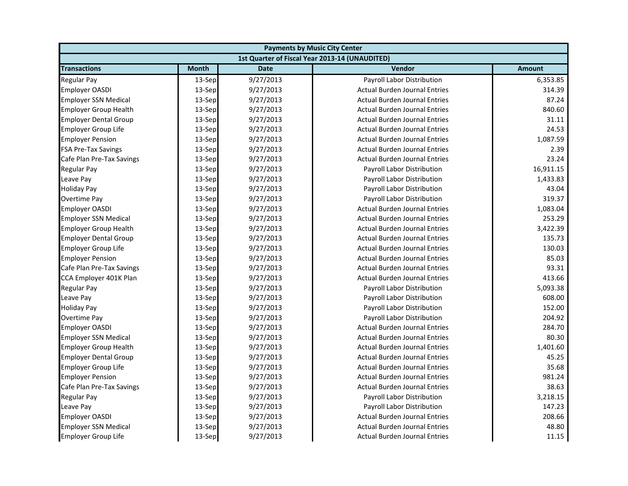| <b>Payments by Music City Center</b> |              |             |                                                |               |
|--------------------------------------|--------------|-------------|------------------------------------------------|---------------|
|                                      |              |             | 1st Quarter of Fiscal Year 2013-14 (UNAUDITED) |               |
| <b>Transactions</b>                  | <b>Month</b> | <b>Date</b> | Vendor                                         | <b>Amount</b> |
| <b>Regular Pay</b>                   | 13-Sep       | 9/27/2013   | <b>Payroll Labor Distribution</b>              | 6,353.85      |
| <b>Employer OASDI</b>                | 13-Sep       | 9/27/2013   | <b>Actual Burden Journal Entries</b>           | 314.39        |
| <b>Employer SSN Medical</b>          | 13-Sep       | 9/27/2013   | <b>Actual Burden Journal Entries</b>           | 87.24         |
| <b>Employer Group Health</b>         | 13-Sep       | 9/27/2013   | <b>Actual Burden Journal Entries</b>           | 840.60        |
| <b>Employer Dental Group</b>         | 13-Sep       | 9/27/2013   | <b>Actual Burden Journal Entries</b>           | 31.11         |
| <b>Employer Group Life</b>           | 13-Sep       | 9/27/2013   | <b>Actual Burden Journal Entries</b>           | 24.53         |
| <b>Employer Pension</b>              | 13-Sep       | 9/27/2013   | <b>Actual Burden Journal Entries</b>           | 1,087.59      |
| <b>FSA Pre-Tax Savings</b>           | 13-Sep       | 9/27/2013   | <b>Actual Burden Journal Entries</b>           | 2.39          |
| Cafe Plan Pre-Tax Savings            | 13-Sep       | 9/27/2013   | <b>Actual Burden Journal Entries</b>           | 23.24         |
| <b>Regular Pay</b>                   | 13-Sep       | 9/27/2013   | Payroll Labor Distribution                     | 16,911.15     |
| Leave Pay                            | 13-Sep       | 9/27/2013   | Payroll Labor Distribution                     | 1,433.83      |
| <b>Holiday Pay</b>                   | 13-Sep       | 9/27/2013   | Payroll Labor Distribution                     | 43.04         |
| Overtime Pay                         | 13-Sep       | 9/27/2013   | Payroll Labor Distribution                     | 319.37        |
| <b>Employer OASDI</b>                | 13-Sep       | 9/27/2013   | <b>Actual Burden Journal Entries</b>           | 1,083.04      |
| <b>Employer SSN Medical</b>          | 13-Sep       | 9/27/2013   | <b>Actual Burden Journal Entries</b>           | 253.29        |
| <b>Employer Group Health</b>         | 13-Sep       | 9/27/2013   | <b>Actual Burden Journal Entries</b>           | 3,422.39      |
| <b>Employer Dental Group</b>         | 13-Sep       | 9/27/2013   | <b>Actual Burden Journal Entries</b>           | 135.73        |
| <b>Employer Group Life</b>           | 13-Sep       | 9/27/2013   | <b>Actual Burden Journal Entries</b>           | 130.03        |
| <b>Employer Pension</b>              | 13-Sep       | 9/27/2013   | <b>Actual Burden Journal Entries</b>           | 85.03         |
| Cafe Plan Pre-Tax Savings            | 13-Sep       | 9/27/2013   | <b>Actual Burden Journal Entries</b>           | 93.31         |
| CCA Employer 401K Plan               | 13-Sep       | 9/27/2013   | <b>Actual Burden Journal Entries</b>           | 413.66        |
| <b>Regular Pay</b>                   | 13-Sep       | 9/27/2013   | Payroll Labor Distribution                     | 5,093.38      |
| Leave Pay                            | 13-Sep       | 9/27/2013   | Payroll Labor Distribution                     | 608.00        |
| <b>Holiday Pay</b>                   | 13-Sep       | 9/27/2013   | Payroll Labor Distribution                     | 152.00        |
| <b>Overtime Pay</b>                  | 13-Sep       | 9/27/2013   | Payroll Labor Distribution                     | 204.92        |
| <b>Employer OASDI</b>                | 13-Sep       | 9/27/2013   | <b>Actual Burden Journal Entries</b>           | 284.70        |
| <b>Employer SSN Medical</b>          | 13-Sep       | 9/27/2013   | <b>Actual Burden Journal Entries</b>           | 80.30         |
| <b>Employer Group Health</b>         | 13-Sep       | 9/27/2013   | <b>Actual Burden Journal Entries</b>           | 1,401.60      |
| <b>Employer Dental Group</b>         | 13-Sep       | 9/27/2013   | <b>Actual Burden Journal Entries</b>           | 45.25         |
| <b>Employer Group Life</b>           | 13-Sep       | 9/27/2013   | <b>Actual Burden Journal Entries</b>           | 35.68         |
| <b>Employer Pension</b>              | 13-Sep       | 9/27/2013   | <b>Actual Burden Journal Entries</b>           | 981.24        |
| Cafe Plan Pre-Tax Savings            | 13-Sep       | 9/27/2013   | <b>Actual Burden Journal Entries</b>           | 38.63         |
| <b>Regular Pay</b>                   | 13-Sep       | 9/27/2013   | Payroll Labor Distribution                     | 3,218.15      |
| Leave Pay                            | 13-Sep       | 9/27/2013   | Payroll Labor Distribution                     | 147.23        |
| <b>Employer OASDI</b>                | 13-Sep       | 9/27/2013   | <b>Actual Burden Journal Entries</b>           | 208.66        |
| <b>Employer SSN Medical</b>          | 13-Sep       | 9/27/2013   | <b>Actual Burden Journal Entries</b>           | 48.80         |
| <b>Employer Group Life</b>           | 13-Sep       | 9/27/2013   | <b>Actual Burden Journal Entries</b>           | 11.15         |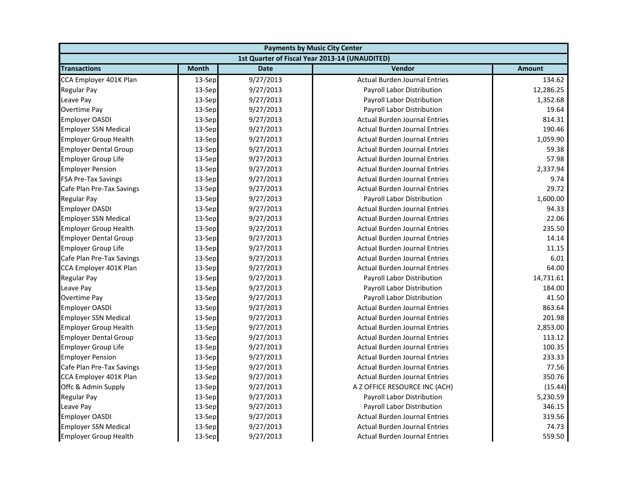| <b>Payments by Music City Center</b> |              |             |                                                |           |
|--------------------------------------|--------------|-------------|------------------------------------------------|-----------|
|                                      |              |             | 1st Quarter of Fiscal Year 2013-14 (UNAUDITED) |           |
| <b>Transactions</b>                  | <b>Month</b> | <b>Date</b> | Vendor                                         | Amount    |
| CCA Employer 401K Plan               | 13-Sep       | 9/27/2013   | <b>Actual Burden Journal Entries</b>           | 134.62    |
| <b>Regular Pay</b>                   | 13-Sep       | 9/27/2013   | Payroll Labor Distribution                     | 12,286.25 |
| Leave Pay                            | 13-Sep       | 9/27/2013   | Payroll Labor Distribution                     | 1,352.68  |
| Overtime Pay                         | 13-Sep       | 9/27/2013   | Payroll Labor Distribution                     | 19.64     |
| <b>Employer OASDI</b>                | 13-Sep       | 9/27/2013   | <b>Actual Burden Journal Entries</b>           | 814.31    |
| <b>Employer SSN Medical</b>          | 13-Sep       | 9/27/2013   | <b>Actual Burden Journal Entries</b>           | 190.46    |
| <b>Employer Group Health</b>         | 13-Sep       | 9/27/2013   | <b>Actual Burden Journal Entries</b>           | 1,059.90  |
| <b>Employer Dental Group</b>         | 13-Sep       | 9/27/2013   | <b>Actual Burden Journal Entries</b>           | 59.38     |
| <b>Employer Group Life</b>           | 13-Sep       | 9/27/2013   | <b>Actual Burden Journal Entries</b>           | 57.98     |
| <b>Employer Pension</b>              | 13-Sep       | 9/27/2013   | <b>Actual Burden Journal Entries</b>           | 2,337.94  |
| <b>FSA Pre-Tax Savings</b>           | 13-Sep       | 9/27/2013   | <b>Actual Burden Journal Entries</b>           | 9.74      |
| Cafe Plan Pre-Tax Savings            | 13-Sep       | 9/27/2013   | <b>Actual Burden Journal Entries</b>           | 29.72     |
| <b>Regular Pay</b>                   | 13-Sep       | 9/27/2013   | Payroll Labor Distribution                     | 1,600.00  |
| <b>Employer OASDI</b>                | 13-Sep       | 9/27/2013   | <b>Actual Burden Journal Entries</b>           | 94.33     |
| <b>Employer SSN Medical</b>          | 13-Sep       | 9/27/2013   | <b>Actual Burden Journal Entries</b>           | 22.06     |
| <b>Employer Group Health</b>         | 13-Sep       | 9/27/2013   | <b>Actual Burden Journal Entries</b>           | 235.50    |
| <b>Employer Dental Group</b>         | 13-Sep       | 9/27/2013   | <b>Actual Burden Journal Entries</b>           | 14.14     |
| <b>Employer Group Life</b>           | 13-Sep       | 9/27/2013   | <b>Actual Burden Journal Entries</b>           | 11.15     |
| Cafe Plan Pre-Tax Savings            | 13-Sep       | 9/27/2013   | <b>Actual Burden Journal Entries</b>           | 6.01      |
| CCA Employer 401K Plan               | 13-Sep       | 9/27/2013   | <b>Actual Burden Journal Entries</b>           | 64.00     |
| <b>Regular Pay</b>                   | 13-Sep       | 9/27/2013   | Payroll Labor Distribution                     | 14,731.61 |
| Leave Pay                            | 13-Sep       | 9/27/2013   | Payroll Labor Distribution                     | 184.00    |
| Overtime Pay                         | 13-Sep       | 9/27/2013   | Payroll Labor Distribution                     | 41.50     |
| <b>Employer OASDI</b>                | 13-Sep       | 9/27/2013   | <b>Actual Burden Journal Entries</b>           | 863.64    |
| <b>Employer SSN Medical</b>          | 13-Sep       | 9/27/2013   | <b>Actual Burden Journal Entries</b>           | 201.98    |
| <b>Employer Group Health</b>         | 13-Sep       | 9/27/2013   | <b>Actual Burden Journal Entries</b>           | 2,853.00  |
| <b>Employer Dental Group</b>         | 13-Sep       | 9/27/2013   | <b>Actual Burden Journal Entries</b>           | 113.12    |
| <b>Employer Group Life</b>           | 13-Sep       | 9/27/2013   | <b>Actual Burden Journal Entries</b>           | 100.35    |
| <b>Employer Pension</b>              | 13-Sep       | 9/27/2013   | <b>Actual Burden Journal Entries</b>           | 233.33    |
| Cafe Plan Pre-Tax Savings            | 13-Sep       | 9/27/2013   | <b>Actual Burden Journal Entries</b>           | 77.56     |
| CCA Employer 401K Plan               | 13-Sep       | 9/27/2013   | <b>Actual Burden Journal Entries</b>           | 350.76    |
| Offc & Admin Supply                  | 13-Sep       | 9/27/2013   | A Z OFFICE RESOURCE INC (ACH)                  | (15.44)   |
| <b>Regular Pay</b>                   | 13-Sep       | 9/27/2013   | Payroll Labor Distribution                     | 5,230.59  |
| Leave Pay                            | 13-Sep       | 9/27/2013   | Payroll Labor Distribution                     | 346.15    |
| <b>Employer OASDI</b>                | 13-Sep       | 9/27/2013   | <b>Actual Burden Journal Entries</b>           | 319.56    |
| <b>Employer SSN Medical</b>          | 13-Sep       | 9/27/2013   | <b>Actual Burden Journal Entries</b>           | 74.73     |
| <b>Employer Group Health</b>         | 13-Sep       | 9/27/2013   | <b>Actual Burden Journal Entries</b>           | 559.50    |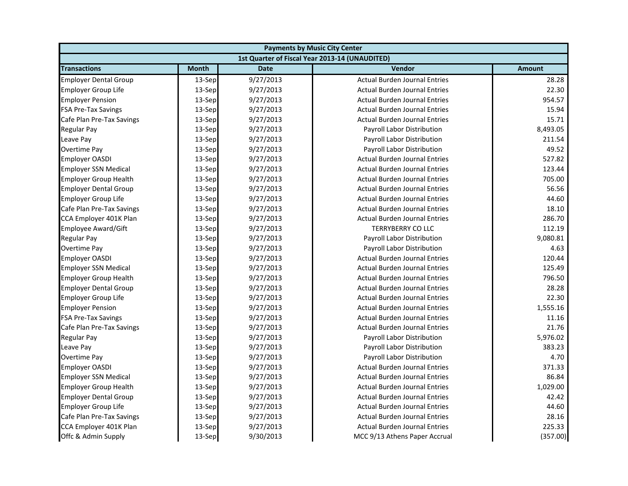| <b>Payments by Music City Center</b> |              |             |                                                |               |
|--------------------------------------|--------------|-------------|------------------------------------------------|---------------|
|                                      |              |             | 1st Quarter of Fiscal Year 2013-14 (UNAUDITED) |               |
| <b>Transactions</b>                  | <b>Month</b> | <b>Date</b> | <b>Vendor</b>                                  | <b>Amount</b> |
| <b>Employer Dental Group</b>         | 13-Sep       | 9/27/2013   | <b>Actual Burden Journal Entries</b>           | 28.28         |
| <b>Employer Group Life</b>           | 13-Sep       | 9/27/2013   | <b>Actual Burden Journal Entries</b>           | 22.30         |
| <b>Employer Pension</b>              | 13-Sep       | 9/27/2013   | <b>Actual Burden Journal Entries</b>           | 954.57        |
| <b>FSA Pre-Tax Savings</b>           | 13-Sep       | 9/27/2013   | <b>Actual Burden Journal Entries</b>           | 15.94         |
| Cafe Plan Pre-Tax Savings            | 13-Sep       | 9/27/2013   | <b>Actual Burden Journal Entries</b>           | 15.71         |
| Regular Pay                          | 13-Sep       | 9/27/2013   | Payroll Labor Distribution                     | 8,493.05      |
| Leave Pay                            | 13-Sep       | 9/27/2013   | Payroll Labor Distribution                     | 211.54        |
| <b>Overtime Pay</b>                  | 13-Sep       | 9/27/2013   | Payroll Labor Distribution                     | 49.52         |
| <b>Employer OASDI</b>                | 13-Sep       | 9/27/2013   | <b>Actual Burden Journal Entries</b>           | 527.82        |
| <b>Employer SSN Medical</b>          | 13-Sep       | 9/27/2013   | <b>Actual Burden Journal Entries</b>           | 123.44        |
| <b>Employer Group Health</b>         | 13-Sep       | 9/27/2013   | <b>Actual Burden Journal Entries</b>           | 705.00        |
| <b>Employer Dental Group</b>         | 13-Sep       | 9/27/2013   | <b>Actual Burden Journal Entries</b>           | 56.56         |
| <b>Employer Group Life</b>           | 13-Sep       | 9/27/2013   | <b>Actual Burden Journal Entries</b>           | 44.60         |
| Cafe Plan Pre-Tax Savings            | 13-Sep       | 9/27/2013   | <b>Actual Burden Journal Entries</b>           | 18.10         |
| CCA Employer 401K Plan               | 13-Sep       | 9/27/2013   | <b>Actual Burden Journal Entries</b>           | 286.70        |
| <b>Employee Award/Gift</b>           | 13-Sep       | 9/27/2013   | <b>TERRYBERRY CO LLC</b>                       | 112.19        |
| Regular Pay                          | 13-Sep       | 9/27/2013   | Payroll Labor Distribution                     | 9,080.81      |
| <b>Overtime Pay</b>                  | 13-Sep       | 9/27/2013   | Payroll Labor Distribution                     | 4.63          |
| <b>Employer OASDI</b>                | 13-Sep       | 9/27/2013   | <b>Actual Burden Journal Entries</b>           | 120.44        |
| <b>Employer SSN Medical</b>          | 13-Sep       | 9/27/2013   | <b>Actual Burden Journal Entries</b>           | 125.49        |
| <b>Employer Group Health</b>         | 13-Sep       | 9/27/2013   | <b>Actual Burden Journal Entries</b>           | 796.50        |
| <b>Employer Dental Group</b>         | 13-Sep       | 9/27/2013   | <b>Actual Burden Journal Entries</b>           | 28.28         |
| <b>Employer Group Life</b>           | 13-Sep       | 9/27/2013   | <b>Actual Burden Journal Entries</b>           | 22.30         |
| <b>Employer Pension</b>              | 13-Sep       | 9/27/2013   | <b>Actual Burden Journal Entries</b>           | 1,555.16      |
| <b>FSA Pre-Tax Savings</b>           | 13-Sep       | 9/27/2013   | <b>Actual Burden Journal Entries</b>           | 11.16         |
| Cafe Plan Pre-Tax Savings            | 13-Sep       | 9/27/2013   | <b>Actual Burden Journal Entries</b>           | 21.76         |
| Regular Pay                          | 13-Sep       | 9/27/2013   | Payroll Labor Distribution                     | 5,976.02      |
| Leave Pay                            | 13-Sep       | 9/27/2013   | Payroll Labor Distribution                     | 383.23        |
| Overtime Pay                         | 13-Sep       | 9/27/2013   | Payroll Labor Distribution                     | 4.70          |
| <b>Employer OASDI</b>                | 13-Sep       | 9/27/2013   | <b>Actual Burden Journal Entries</b>           | 371.33        |
| <b>Employer SSN Medical</b>          | 13-Sep       | 9/27/2013   | <b>Actual Burden Journal Entries</b>           | 86.84         |
| <b>Employer Group Health</b>         | 13-Sep       | 9/27/2013   | <b>Actual Burden Journal Entries</b>           | 1,029.00      |
| <b>Employer Dental Group</b>         | 13-Sep       | 9/27/2013   | <b>Actual Burden Journal Entries</b>           | 42.42         |
| <b>Employer Group Life</b>           | 13-Sep       | 9/27/2013   | <b>Actual Burden Journal Entries</b>           | 44.60         |
| Cafe Plan Pre-Tax Savings            | 13-Sep       | 9/27/2013   | <b>Actual Burden Journal Entries</b>           | 28.16         |
| CCA Employer 401K Plan               | 13-Sep       | 9/27/2013   | <b>Actual Burden Journal Entries</b>           | 225.33        |
| Offc & Admin Supply                  | 13-Sep       | 9/30/2013   | MCC 9/13 Athens Paper Accrual                  | (357.00)      |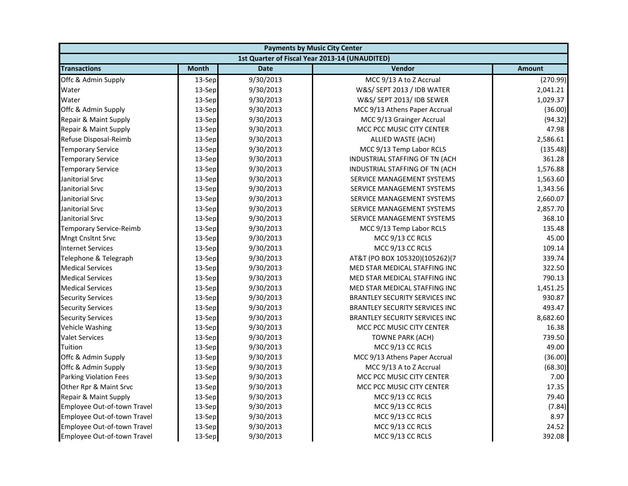| <b>Payments by Music City Center</b> |              |             |                                                |               |
|--------------------------------------|--------------|-------------|------------------------------------------------|---------------|
|                                      |              |             | 1st Quarter of Fiscal Year 2013-14 (UNAUDITED) |               |
| <b>Transactions</b>                  | <b>Month</b> | <b>Date</b> | <b>Vendor</b>                                  | <b>Amount</b> |
| Offc & Admin Supply                  | 13-Sep       | 9/30/2013   | MCC 9/13 A to Z Accrual                        | (270.99)      |
| Water                                | 13-Sep       | 9/30/2013   | W&S/ SEPT 2013 / IDB WATER                     | 2,041.21      |
| Water                                | 13-Sep       | 9/30/2013   | W&S/ SEPT 2013/ IDB SEWER                      | 1,029.37      |
| Offc & Admin Supply                  | 13-Sep       | 9/30/2013   | MCC 9/13 Athens Paper Accrual                  | (36.00)       |
| Repair & Maint Supply                | 13-Sep       | 9/30/2013   | MCC 9/13 Grainger Accrual                      | (94.32)       |
| Repair & Maint Supply                | 13-Sep       | 9/30/2013   | MCC PCC MUSIC CITY CENTER                      | 47.98         |
| Refuse Disposal-Reimb                | 13-Sep       | 9/30/2013   | ALLIED WASTE (ACH)                             | 2,586.61      |
| <b>Temporary Service</b>             | 13-Sep       | 9/30/2013   | MCC 9/13 Temp Labor RCLS                       | (135.48)      |
| <b>Temporary Service</b>             | 13-Sep       | 9/30/2013   | INDUSTRIAL STAFFING OF TN (ACH                 | 361.28        |
| <b>Temporary Service</b>             | 13-Sep       | 9/30/2013   | INDUSTRIAL STAFFING OF TN (ACH                 | 1,576.88      |
| Janitorial Srvc                      | 13-Sep       | 9/30/2013   | SERVICE MANAGEMENT SYSTEMS                     | 1,563.60      |
| Janitorial Srvc                      | 13-Sep       | 9/30/2013   | SERVICE MANAGEMENT SYSTEMS                     | 1,343.56      |
| Janitorial Srvc                      | 13-Sep       | 9/30/2013   | SERVICE MANAGEMENT SYSTEMS                     | 2,660.07      |
| Janitorial Srvc                      | 13-Sep       | 9/30/2013   | SERVICE MANAGEMENT SYSTEMS                     | 2,857.70      |
| Janitorial Srvc                      | 13-Sep       | 9/30/2013   | SERVICE MANAGEMENT SYSTEMS                     | 368.10        |
| <b>Temporary Service-Reimb</b>       | 13-Sep       | 9/30/2013   | MCC 9/13 Temp Labor RCLS                       | 135.48        |
| <b>Mngt Cnsltnt Srvc</b>             | 13-Sep       | 9/30/2013   | MCC 9/13 CC RCLS                               | 45.00         |
| <b>Internet Services</b>             | 13-Sep       | 9/30/2013   | MCC 9/13 CC RCLS                               | 109.14        |
| Telephone & Telegraph                | 13-Sep       | 9/30/2013   | AT&T (PO BOX 105320)(105262)(7                 | 339.74        |
| <b>Medical Services</b>              | 13-Sep       | 9/30/2013   | MED STAR MEDICAL STAFFING INC                  | 322.50        |
| <b>Medical Services</b>              | 13-Sep       | 9/30/2013   | MED STAR MEDICAL STAFFING INC                  | 790.13        |
| <b>Medical Services</b>              | 13-Sep       | 9/30/2013   | MED STAR MEDICAL STAFFING INC                  | 1,451.25      |
| <b>Security Services</b>             | 13-Sep       | 9/30/2013   | <b>BRANTLEY SECURITY SERVICES INC</b>          | 930.87        |
| <b>Security Services</b>             | 13-Sep       | 9/30/2013   | <b>BRANTLEY SECURITY SERVICES INC</b>          | 493.47        |
| <b>Security Services</b>             | 13-Sep       | 9/30/2013   | <b>BRANTLEY SECURITY SERVICES INC</b>          | 8,682.60      |
| Vehicle Washing                      | 13-Sep       | 9/30/2013   | MCC PCC MUSIC CITY CENTER                      | 16.38         |
| <b>Valet Services</b>                | 13-Sep       | 9/30/2013   | TOWNE PARK (ACH)                               | 739.50        |
| Tuition                              | 13-Sep       | 9/30/2013   | MCC 9/13 CC RCLS                               | 49.00         |
| Offc & Admin Supply                  | 13-Sep       | 9/30/2013   | MCC 9/13 Athens Paper Accrual                  | (36.00)       |
| Offc & Admin Supply                  | 13-Sep       | 9/30/2013   | MCC 9/13 A to Z Accrual                        | (68.30)       |
| <b>Parking Violation Fees</b>        | 13-Sep       | 9/30/2013   | MCC PCC MUSIC CITY CENTER                      | 7.00          |
| Other Rpr & Maint Srvc               | 13-Sep       | 9/30/2013   | MCC PCC MUSIC CITY CENTER                      | 17.35         |
| Repair & Maint Supply                | 13-Sep       | 9/30/2013   | MCC 9/13 CC RCLS                               | 79.40         |
| Employee Out-of-town Travel          | 13-Sep       | 9/30/2013   | MCC 9/13 CC RCLS                               | (7.84)        |
| Employee Out-of-town Travel          | 13-Sep       | 9/30/2013   | MCC 9/13 CC RCLS                               | 8.97          |
| Employee Out-of-town Travel          | 13-Sep       | 9/30/2013   | MCC 9/13 CC RCLS                               | 24.52         |
| Employee Out-of-town Travel          | 13-Sep       | 9/30/2013   | MCC 9/13 CC RCLS                               | 392.08        |